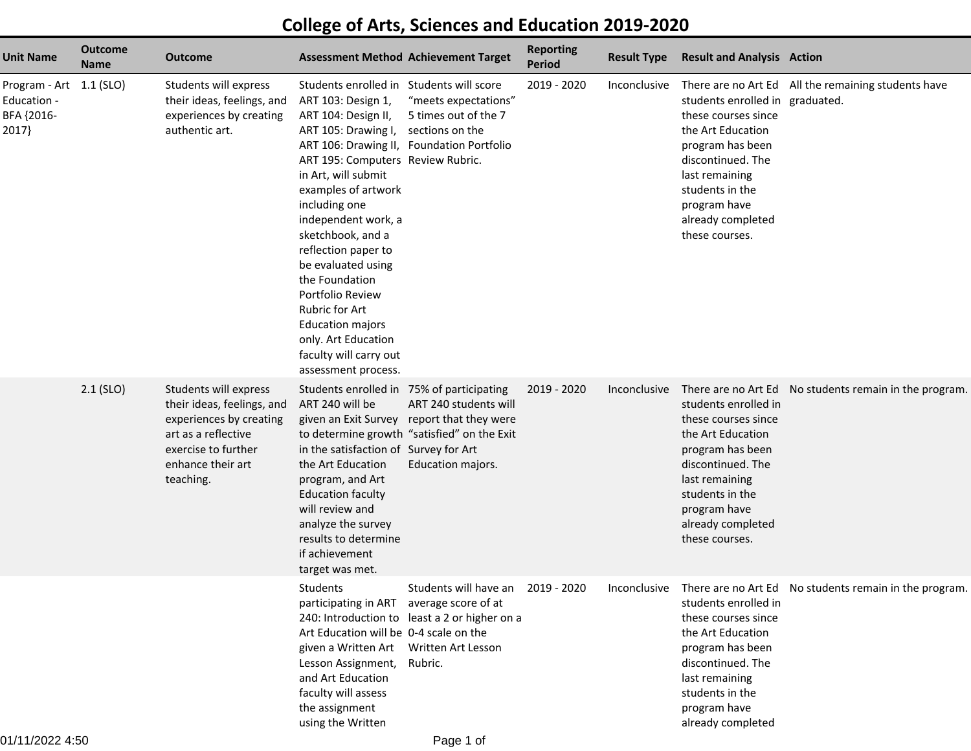## **College of Arts, Sciences and Education 2019-2020**

| <b>Unit Name</b>                                              | <b>Outcome</b><br><b>Name</b> | <b>Outcome</b>                                                                                                                                                 | <b>Assessment Method Achievement Target</b>                                                                                                                                                                                                                                                                                                                                                                                                                                                                       |                                                                                                                    | <b>Reporting</b><br><b>Period</b> | <b>Result Type</b> | <b>Result and Analysis Action</b>                                                                                                                                                                                |                                                                     |
|---------------------------------------------------------------|-------------------------------|----------------------------------------------------------------------------------------------------------------------------------------------------------------|-------------------------------------------------------------------------------------------------------------------------------------------------------------------------------------------------------------------------------------------------------------------------------------------------------------------------------------------------------------------------------------------------------------------------------------------------------------------------------------------------------------------|--------------------------------------------------------------------------------------------------------------------|-----------------------------------|--------------------|------------------------------------------------------------------------------------------------------------------------------------------------------------------------------------------------------------------|---------------------------------------------------------------------|
| Program - Art 1.1 (SLO)<br>Education -<br>BFA {2016-<br>2017} |                               | Students will express<br>their ideas, feelings, and<br>experiences by creating<br>authentic art.                                                               | Students enrolled in Students will score<br>ART 103: Design 1,<br>ART 104: Design II,<br>ART 105: Drawing I,<br>ART 106: Drawing II, Foundation Portfolio<br>ART 195: Computers Review Rubric.<br>in Art, will submit<br>examples of artwork<br>including one<br>independent work, a<br>sketchbook, and a<br>reflection paper to<br>be evaluated using<br>the Foundation<br>Portfolio Review<br>Rubric for Art<br><b>Education majors</b><br>only. Art Education<br>faculty will carry out<br>assessment process. | "meets expectations"<br>5 times out of the 7<br>sections on the                                                    | 2019 - 2020                       |                    | students enrolled in graduated.<br>these courses since<br>the Art Education<br>program has been<br>discontinued. The<br>last remaining<br>students in the<br>program have<br>already completed<br>these courses. | Inconclusive There are no Art Ed All the remaining students have    |
|                                                               | $2.1$ (SLO)                   | Students will express<br>their ideas, feelings, and<br>experiences by creating<br>art as a reflective<br>exercise to further<br>enhance their art<br>teaching. | Students enrolled in 75% of participating<br>ART 240 will be<br>given an Exit Survey<br>in the satisfaction of Survey for Art<br>the Art Education<br>program, and Art<br><b>Education faculty</b><br>will review and<br>analyze the survey<br>results to determine<br>if achievement<br>target was met.                                                                                                                                                                                                          | ART 240 students will<br>report that they were<br>to determine growth "satisfied" on the Exit<br>Education majors. | 2019 - 2020                       | Inconclusive       | students enrolled in<br>these courses since<br>the Art Education<br>program has been<br>discontinued. The<br>last remaining<br>students in the<br>program have<br>already completed<br>these courses.            | There are no Art Ed No students remain in the program.              |
|                                                               |                               |                                                                                                                                                                | Students<br>participating in ART average score of at<br>Art Education will be 0-4 scale on the<br>given a Written Art Written Art Lesson<br>Lesson Assignment,<br>and Art Education<br>faculty will assess<br>the assignment<br>using the Written                                                                                                                                                                                                                                                                 | Students will have an<br>240: Introduction to least a 2 or higher on a<br>Rubric.                                  | 2019 - 2020                       |                    | students enrolled in<br>these courses since<br>the Art Education<br>program has been<br>discontinued. The<br>last remaining<br>students in the<br>program have<br>already completed                              | Inconclusive There are no Art Ed No students remain in the program. |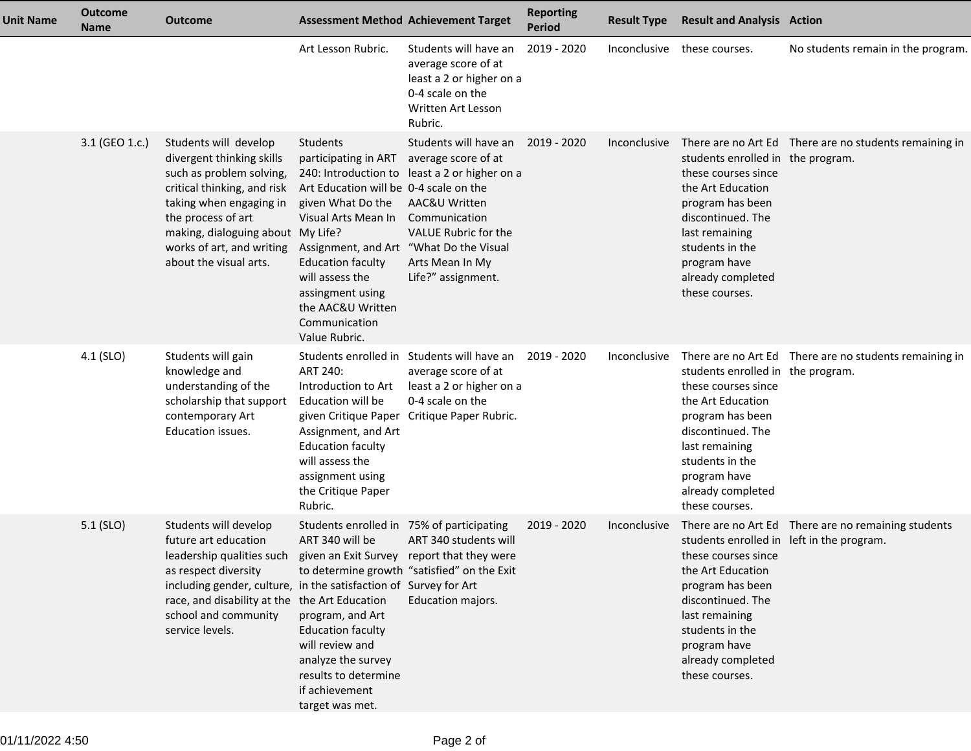| <b>Unit Name</b> | <b>Outcome</b><br><b>Name</b> | <b>Outcome</b>                                                                                                                                                                                                                                                                                                |                                                                                                                                                                                                                                                                                             | <b>Assessment Method Achievement Target</b>                                                                                                                                                                  | <b>Reporting</b><br><b>Period</b> | <b>Result Type</b>  | <b>Result and Analysis Action</b>                                                                                                                                                                                          |                                                        |
|------------------|-------------------------------|---------------------------------------------------------------------------------------------------------------------------------------------------------------------------------------------------------------------------------------------------------------------------------------------------------------|---------------------------------------------------------------------------------------------------------------------------------------------------------------------------------------------------------------------------------------------------------------------------------------------|--------------------------------------------------------------------------------------------------------------------------------------------------------------------------------------------------------------|-----------------------------------|---------------------|----------------------------------------------------------------------------------------------------------------------------------------------------------------------------------------------------------------------------|--------------------------------------------------------|
|                  |                               |                                                                                                                                                                                                                                                                                                               | Art Lesson Rubric.                                                                                                                                                                                                                                                                          | Students will have an<br>average score of at<br>least a 2 or higher on a<br>0-4 scale on the<br>Written Art Lesson<br>Rubric.                                                                                | 2019 - 2020                       |                     | Inconclusive these courses.                                                                                                                                                                                                | No students remain in the program.                     |
|                  | 3.1 (GEO 1.c.)                | Students will develop<br>divergent thinking skills<br>such as problem solving,<br>critical thinking, and risk<br>taking when engaging in<br>the process of art<br>making, dialoguing about My Life?<br>works of art, and writing<br>about the visual arts.                                                    | Students<br>participating in ART<br>Art Education will be 0-4 scale on the<br>given What Do the<br>Visual Arts Mean In<br>Assignment, and Art "What Do the Visual<br><b>Education faculty</b><br>will assess the<br>assingment using<br>the AAC&U Written<br>Communication<br>Value Rubric. | Students will have an 2019 - 2020<br>average score of at<br>240: Introduction to least a 2 or higher on a<br>AAC&U Written<br>Communication<br>VALUE Rubric for the<br>Arts Mean In My<br>Life?" assignment. |                                   | <b>Inconclusive</b> | students enrolled in the program.<br>these courses since<br>the Art Education<br>program has been<br>discontinued. The<br>last remaining<br>students in the<br>program have<br>already completed<br>these courses.         | There are no Art Ed There are no students remaining in |
|                  | 4.1 (SLO)                     | Students will gain<br>knowledge and<br>understanding of the<br>scholarship that support<br>contemporary Art<br>Education issues.                                                                                                                                                                              | ART 240:<br>Introduction to Art<br>Education will be<br>given Critique Paper<br>Assignment, and Art<br><b>Education faculty</b><br>will assess the<br>assignment using<br>the Critique Paper<br>Rubric.                                                                                     | Students enrolled in Students will have an<br>average score of at<br>least a 2 or higher on a<br>0-4 scale on the<br>Critique Paper Rubric.                                                                  | 2019 - 2020                       | Inconclusive        | students enrolled in the program.<br>these courses since<br>the Art Education<br>program has been<br>discontinued. The<br>last remaining<br>students in the<br>program have<br>already completed<br>these courses.         | There are no Art Ed There are no students remaining in |
|                  | $5.1$ (SLO)                   | Students will develop<br>future art education<br>leadership qualities such given an Exit Survey report that they were<br>as respect diversity<br>including gender, culture, in the satisfaction of Survey for Art<br>race, and disability at the the Art Education<br>school and community<br>service levels. | Students enrolled in 75% of participating<br>ART 340 will be<br>program, and Art<br><b>Education faculty</b><br>will review and<br>analyze the survey<br>results to determine<br>if achievement<br>target was met.                                                                          | ART 340 students will<br>to determine growth "satisfied" on the Exit<br>Education majors.                                                                                                                    | 2019 - 2020                       | Inconclusive        | students enrolled in left in the program.<br>these courses since<br>the Art Education<br>program has been<br>discontinued. The<br>last remaining<br>students in the<br>program have<br>already completed<br>these courses. | There are no Art Ed There are no remaining students    |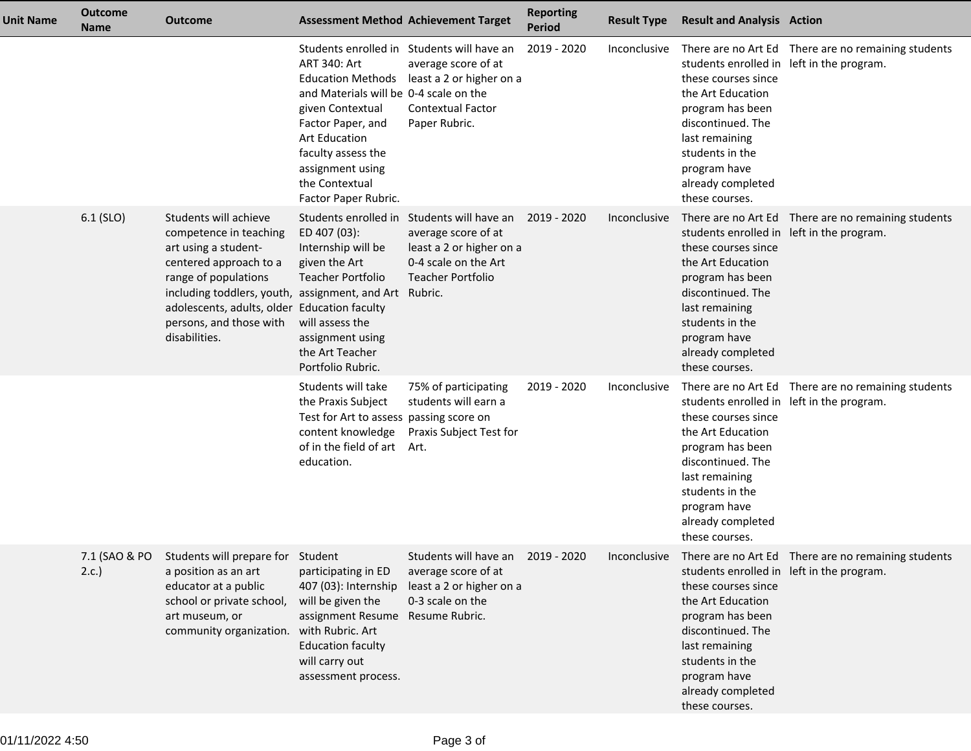| Unit Name | <b>Outcome</b><br><b>Name</b> | <b>Outcome</b>                                                                                                                                                                                                                                                          |                                                                                                                                                                                                                                                | <b>Assessment Method Achievement Target</b>                                                                                                | <b>Reporting</b><br><b>Period</b> | <b>Result Type</b> | <b>Result and Analysis Action</b>                                                                                                                                                                                          |                                                     |
|-----------|-------------------------------|-------------------------------------------------------------------------------------------------------------------------------------------------------------------------------------------------------------------------------------------------------------------------|------------------------------------------------------------------------------------------------------------------------------------------------------------------------------------------------------------------------------------------------|--------------------------------------------------------------------------------------------------------------------------------------------|-----------------------------------|--------------------|----------------------------------------------------------------------------------------------------------------------------------------------------------------------------------------------------------------------------|-----------------------------------------------------|
|           |                               |                                                                                                                                                                                                                                                                         | <b>ART 340: Art</b><br><b>Education Methods</b><br>and Materials will be 0-4 scale on the<br>given Contextual<br>Factor Paper, and<br><b>Art Education</b><br>faculty assess the<br>assignment using<br>the Contextual<br>Factor Paper Rubric. | Students enrolled in Students will have an<br>average score of at<br>least a 2 or higher on a<br><b>Contextual Factor</b><br>Paper Rubric. | 2019 - 2020                       | Inconclusive       | students enrolled in left in the program.<br>these courses since<br>the Art Education<br>program has been<br>discontinued. The<br>last remaining<br>students in the<br>program have<br>already completed<br>these courses. | There are no Art Ed There are no remaining students |
|           | 6.1 (SLO)                     | Students will achieve<br>competence in teaching<br>art using a student-<br>centered approach to a<br>range of populations<br>including toddlers, youth, assignment, and Art<br>adolescents, adults, older Education faculty<br>persons, and those with<br>disabilities. | Students enrolled in<br>ED 407 (03):<br>Internship will be<br>given the Art<br><b>Teacher Portfolio</b><br>will assess the<br>assignment using<br>the Art Teacher<br>Portfolio Rubric.                                                         | Students will have an<br>average score of at<br>least a 2 or higher on a<br>0-4 scale on the Art<br><b>Teacher Portfolio</b><br>Rubric.    | 2019 - 2020                       | Inconclusive       | students enrolled in left in the program.<br>these courses since<br>the Art Education<br>program has been<br>discontinued. The<br>last remaining<br>students in the<br>program have<br>already completed<br>these courses. | There are no Art Ed There are no remaining students |
|           |                               |                                                                                                                                                                                                                                                                         | Students will take<br>the Praxis Subject<br>Test for Art to assess passing score on<br>content knowledge<br>of in the field of art<br>education.                                                                                               | 75% of participating<br>students will earn a<br>Praxis Subject Test for<br>Art.                                                            | 2019 - 2020                       | Inconclusive       | students enrolled in left in the program.<br>these courses since<br>the Art Education<br>program has been<br>discontinued. The<br>last remaining<br>students in the<br>program have<br>already completed<br>these courses. | There are no Art Ed There are no remaining students |
|           | 7.1 (SAO & PO<br>2.c.         | Students will prepare for Student<br>a position as an art<br>educator at a public<br>school or private school,<br>art museum, or<br>community organization. with Rubric. Art                                                                                            | participating in ED<br>407 (03): Internship<br>will be given the<br>assignment Resume<br><b>Education faculty</b><br>will carry out<br>assessment process.                                                                                     | Students will have an 2019 - 2020<br>average score of at<br>least a 2 or higher on a<br>0-3 scale on the<br>Resume Rubric.                 |                                   | Inconclusive       | students enrolled in left in the program.<br>these courses since<br>the Art Education<br>program has been<br>discontinued. The<br>last remaining<br>students in the<br>program have<br>already completed<br>these courses. | There are no Art Ed There are no remaining students |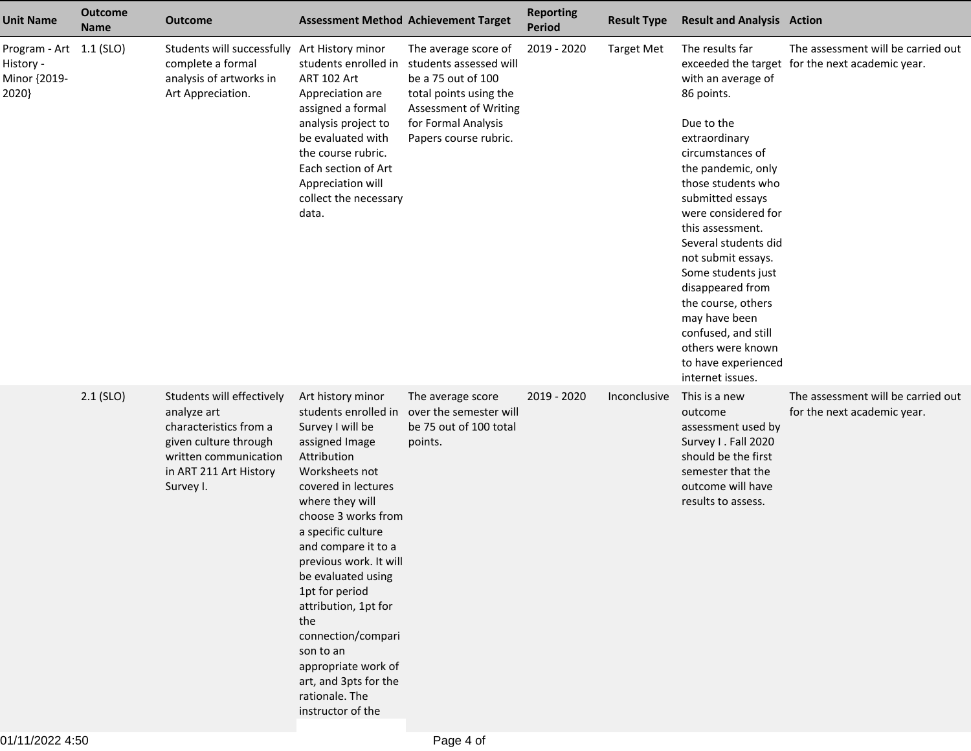| <b>Unit Name</b>                                              | <b>Outcome</b><br><b>Name</b> | Outcome                                                                                                                                                     |                                                                                                                                                                                                                                                                                                                                                                                                                                                           | <b>Assessment Method Achievement Target</b>                                                                                                                             | <b>Reporting</b><br><b>Period</b> | <b>Result Type</b> | <b>Result and Analysis Action</b>                                                                                                                                                                                                                                                                                                                                                                                                       |                                                                                       |
|---------------------------------------------------------------|-------------------------------|-------------------------------------------------------------------------------------------------------------------------------------------------------------|-----------------------------------------------------------------------------------------------------------------------------------------------------------------------------------------------------------------------------------------------------------------------------------------------------------------------------------------------------------------------------------------------------------------------------------------------------------|-------------------------------------------------------------------------------------------------------------------------------------------------------------------------|-----------------------------------|--------------------|-----------------------------------------------------------------------------------------------------------------------------------------------------------------------------------------------------------------------------------------------------------------------------------------------------------------------------------------------------------------------------------------------------------------------------------------|---------------------------------------------------------------------------------------|
| Program - Art 1.1 (SLO)<br>History -<br>Minor {2019-<br>2020} |                               | Students will successfully Art History minor<br>complete a formal<br>analysis of artworks in<br>Art Appreciation.                                           | students enrolled in<br>ART 102 Art<br>Appreciation are<br>assigned a formal<br>analysis project to<br>be evaluated with<br>the course rubric.<br>Each section of Art<br>Appreciation will<br>collect the necessary<br>data.                                                                                                                                                                                                                              | The average score of<br>students assessed will<br>be a 75 out of 100<br>total points using the<br>Assessment of Writing<br>for Formal Analysis<br>Papers course rubric. | 2019 - 2020                       | <b>Target Met</b>  | The results far<br>with an average of<br>86 points.<br>Due to the<br>extraordinary<br>circumstances of<br>the pandemic, only<br>those students who<br>submitted essays<br>were considered for<br>this assessment.<br>Several students did<br>not submit essays.<br>Some students just<br>disappeared from<br>the course, others<br>may have been<br>confused, and still<br>others were known<br>to have experienced<br>internet issues. | The assessment will be carried out<br>exceeded the target for the next academic year. |
|                                                               | $2.1$ (SLO)                   | Students will effectively<br>analyze art<br>characteristics from a<br>given culture through<br>written communication<br>in ART 211 Art History<br>Survey I. | Art history minor<br>students enrolled in<br>Survey I will be<br>assigned Image<br>Attribution<br>Worksheets not<br>covered in lectures<br>where they will<br>choose 3 works from<br>a specific culture<br>and compare it to a<br>previous work. It will<br>be evaluated using<br>1pt for period<br>attribution, 1pt for<br>the<br>connection/compari<br>son to an<br>appropriate work of<br>art, and 3pts for the<br>rationale. The<br>instructor of the | The average score<br>over the semester will<br>be 75 out of 100 total<br>points.                                                                                        | 2019 - 2020                       | Inconclusive       | This is a new<br>outcome<br>assessment used by<br>Survey I. Fall 2020<br>should be the first<br>semester that the<br>outcome will have<br>results to assess.                                                                                                                                                                                                                                                                            | The assessment will be carried out<br>for the next academic year.                     |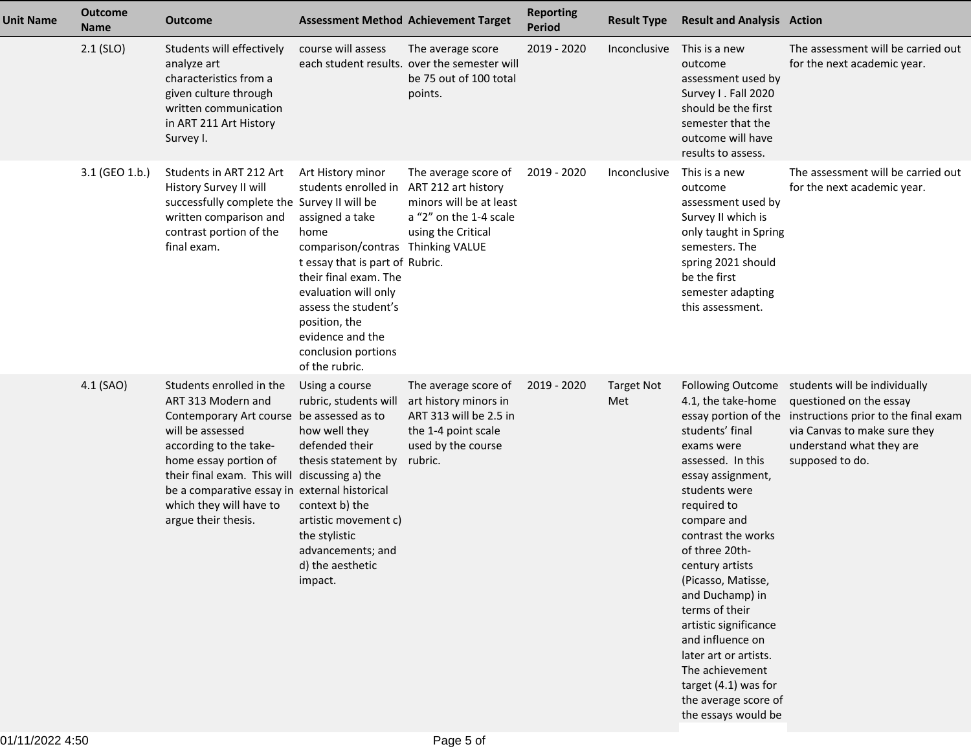| Unit Name | <b>Outcome</b><br><b>Name</b> | <b>Outcome</b>                                                                                                                                                                                                                                                                                                         |                                                                                                                                                                                                                                                                                                     | <b>Assessment Method Achievement Target</b>                                                                                     | <b>Reporting</b><br><b>Period</b> | <b>Result Type</b>       | <b>Result and Analysis Action</b>                                                                                                                                                                                                                                                                                                                                                                                                  |                                                                                                                                                                                                                        |
|-----------|-------------------------------|------------------------------------------------------------------------------------------------------------------------------------------------------------------------------------------------------------------------------------------------------------------------------------------------------------------------|-----------------------------------------------------------------------------------------------------------------------------------------------------------------------------------------------------------------------------------------------------------------------------------------------------|---------------------------------------------------------------------------------------------------------------------------------|-----------------------------------|--------------------------|------------------------------------------------------------------------------------------------------------------------------------------------------------------------------------------------------------------------------------------------------------------------------------------------------------------------------------------------------------------------------------------------------------------------------------|------------------------------------------------------------------------------------------------------------------------------------------------------------------------------------------------------------------------|
|           | $2.1$ (SLO)                   | Students will effectively<br>analyze art<br>characteristics from a<br>given culture through<br>written communication<br>in ART 211 Art History<br>Survey I.                                                                                                                                                            | course will assess                                                                                                                                                                                                                                                                                  | The average score<br>each student results. over the semester will<br>be 75 out of 100 total<br>points.                          | 2019 - 2020                       | Inconclusive             | This is a new<br>outcome<br>assessment used by<br>Survey I. Fall 2020<br>should be the first<br>semester that the<br>outcome will have<br>results to assess.                                                                                                                                                                                                                                                                       | The assessment will be carried out<br>for the next academic year.                                                                                                                                                      |
|           | 3.1 (GEO 1.b.)                | Students in ART 212 Art<br>History Survey II will<br>successfully complete the Survey II will be<br>written comparison and<br>contrast portion of the<br>final exam.                                                                                                                                                   | Art History minor<br>students enrolled in<br>assigned a take<br>home<br>comparison/contras Thinking VALUE<br>t essay that is part of Rubric.<br>their final exam. The<br>evaluation will only<br>assess the student's<br>position, the<br>evidence and the<br>conclusion portions<br>of the rubric. | The average score of<br>ART 212 art history<br>minors will be at least<br>a "2" on the 1-4 scale<br>using the Critical          | 2019 - 2020                       | Inconclusive             | This is a new<br>outcome<br>assessment used by<br>Survey II which is<br>only taught in Spring<br>semesters. The<br>spring 2021 should<br>be the first<br>semester adapting<br>this assessment.                                                                                                                                                                                                                                     | The assessment will be carried out<br>for the next academic year.                                                                                                                                                      |
|           | 4.1 (SAO)                     | Students enrolled in the<br>ART 313 Modern and<br>Contemporary Art course be assessed as to<br>will be assessed<br>according to the take-<br>home essay portion of<br>their final exam. This will discussing a) the<br>be a comparative essay in external historical<br>which they will have to<br>argue their thesis. | Using a course<br>rubric, students will<br>how well they<br>defended their<br>thesis statement by<br>context b) the<br>artistic movement c)<br>the stylistic<br>advancements; and<br>d) the aesthetic<br>impact.                                                                                    | The average score of<br>art history minors in<br>ART 313 will be 2.5 in<br>the 1-4 point scale<br>used by the course<br>rubric. | 2019 - 2020                       | <b>Target Not</b><br>Met | 4.1, the take-home<br>students' final<br>exams were<br>assessed. In this<br>essay assignment,<br>students were<br>required to<br>compare and<br>contrast the works<br>of three 20th-<br>century artists<br>(Picasso, Matisse,<br>and Duchamp) in<br>terms of their<br>artistic significance<br>and influence on<br>later art or artists.<br>The achievement<br>target (4.1) was for<br>the average score of<br>the essays would be | Following Outcome students will be individually<br>questioned on the essay<br>essay portion of the instructions prior to the final exam<br>via Canvas to make sure they<br>understand what they are<br>supposed to do. |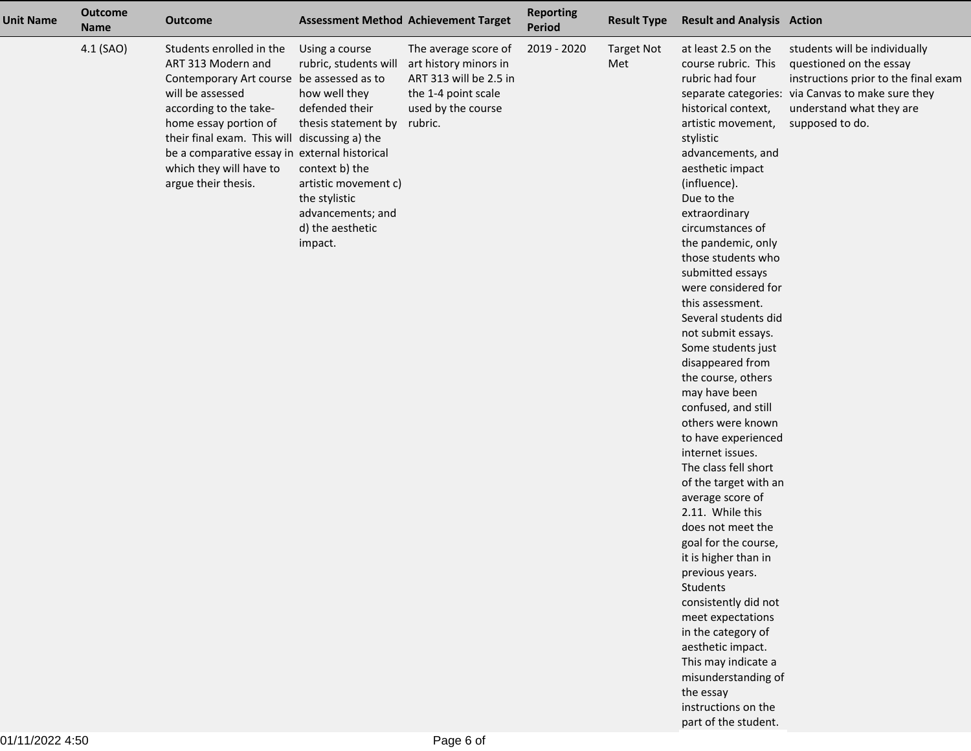| <b>Unit Name</b> | <b>Outcome</b><br><b>Name</b> | <b>Outcome</b>                                                                                                                                                                                                                                                                                                         | <b>Assessment Method Achievement Target</b>                                                                                                                                                                      |                                                                                                                                 | <b>Reporting</b><br><b>Period</b> | <b>Result Type</b>       | <b>Result and Analysis Action</b>                                                                                                                                                                                                                                                                                                                                                                                                                                                                                                                                                                                                                                                                                                                                                                                                                                                                                                                                   |                                                                                                                                                                                 |
|------------------|-------------------------------|------------------------------------------------------------------------------------------------------------------------------------------------------------------------------------------------------------------------------------------------------------------------------------------------------------------------|------------------------------------------------------------------------------------------------------------------------------------------------------------------------------------------------------------------|---------------------------------------------------------------------------------------------------------------------------------|-----------------------------------|--------------------------|---------------------------------------------------------------------------------------------------------------------------------------------------------------------------------------------------------------------------------------------------------------------------------------------------------------------------------------------------------------------------------------------------------------------------------------------------------------------------------------------------------------------------------------------------------------------------------------------------------------------------------------------------------------------------------------------------------------------------------------------------------------------------------------------------------------------------------------------------------------------------------------------------------------------------------------------------------------------|---------------------------------------------------------------------------------------------------------------------------------------------------------------------------------|
|                  | 4.1 (SAO)                     | Students enrolled in the<br>ART 313 Modern and<br>Contemporary Art course be assessed as to<br>will be assessed<br>according to the take-<br>home essay portion of<br>their final exam. This will discussing a) the<br>be a comparative essay in external historical<br>which they will have to<br>argue their thesis. | Using a course<br>rubric, students will<br>how well they<br>defended their<br>thesis statement by<br>context b) the<br>artistic movement c)<br>the stylistic<br>advancements; and<br>d) the aesthetic<br>impact. | The average score of<br>art history minors in<br>ART 313 will be 2.5 in<br>the 1-4 point scale<br>used by the course<br>rubric. | 2019 - 2020                       | <b>Target Not</b><br>Met | at least 2.5 on the<br>course rubric. This<br>rubric had four<br>separate categories:<br>historical context,<br>artistic movement,<br>stylistic<br>advancements, and<br>aesthetic impact<br>(influence).<br>Due to the<br>extraordinary<br>circumstances of<br>the pandemic, only<br>those students who<br>submitted essays<br>were considered for<br>this assessment.<br>Several students did<br>not submit essays.<br>Some students just<br>disappeared from<br>the course, others<br>may have been<br>confused, and still<br>others were known<br>to have experienced<br>internet issues.<br>The class fell short<br>of the target with an<br>average score of<br>2.11. While this<br>does not meet the<br>goal for the course,<br>it is higher than in<br>previous years.<br>Students<br>consistently did not<br>meet expectations<br>in the category of<br>aesthetic impact.<br>This may indicate a<br>misunderstanding of<br>the essay<br>instructions on the | students will be individually<br>questioned on the essay<br>instructions prior to the final exam<br>via Canvas to make sure they<br>understand what they are<br>supposed to do. |

part of the student.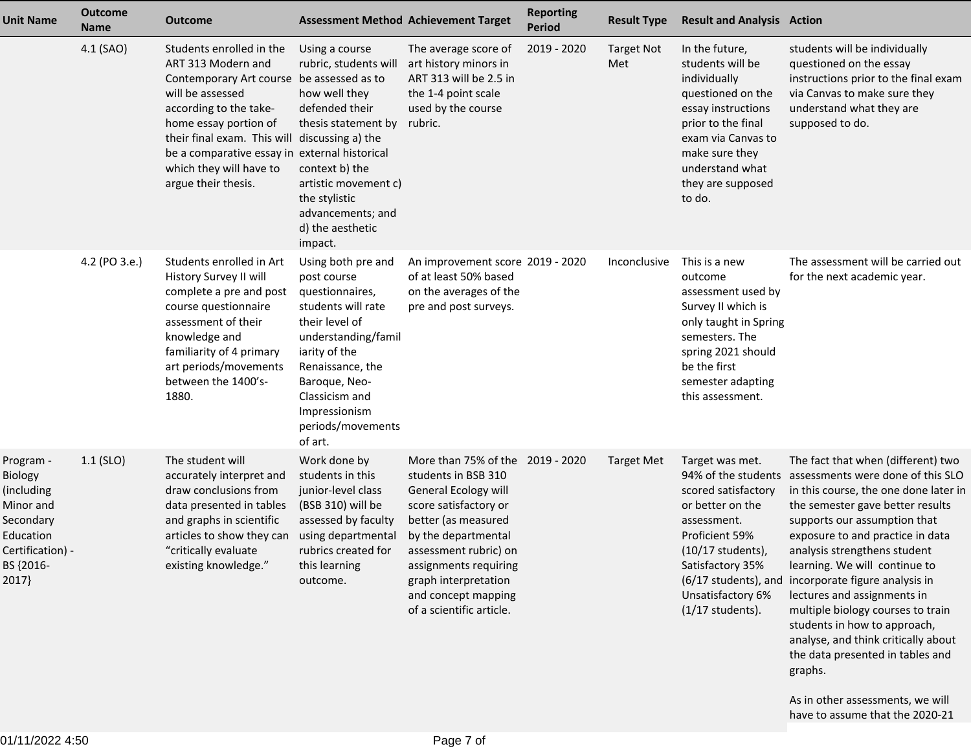| <b>Unit Name</b>                                                                                                    | <b>Outcome</b><br><b>Name</b> | <b>Outcome</b>                                                                                                                                                                                                                                                                                                         |                                                                                                                                                                                                                                              | <b>Assessment Method Achievement Target</b>                                                                                                                                                                                                                                         | <b>Reporting</b><br><b>Period</b> | <b>Result Type</b>       | <b>Result and Analysis Action</b>                                                                                                                                                                             |                                                                                                                                                                                                                                                                                                                                                                                                                                                                                                                                                                                                    |
|---------------------------------------------------------------------------------------------------------------------|-------------------------------|------------------------------------------------------------------------------------------------------------------------------------------------------------------------------------------------------------------------------------------------------------------------------------------------------------------------|----------------------------------------------------------------------------------------------------------------------------------------------------------------------------------------------------------------------------------------------|-------------------------------------------------------------------------------------------------------------------------------------------------------------------------------------------------------------------------------------------------------------------------------------|-----------------------------------|--------------------------|---------------------------------------------------------------------------------------------------------------------------------------------------------------------------------------------------------------|----------------------------------------------------------------------------------------------------------------------------------------------------------------------------------------------------------------------------------------------------------------------------------------------------------------------------------------------------------------------------------------------------------------------------------------------------------------------------------------------------------------------------------------------------------------------------------------------------|
|                                                                                                                     | 4.1 (SAO)                     | Students enrolled in the<br>ART 313 Modern and<br>Contemporary Art course be assessed as to<br>will be assessed<br>according to the take-<br>home essay portion of<br>their final exam. This will discussing a) the<br>be a comparative essay in external historical<br>which they will have to<br>argue their thesis. | Using a course<br>rubric, students will<br>how well they<br>defended their<br>thesis statement by<br>context b) the<br>artistic movement c)<br>the stylistic<br>advancements; and<br>d) the aesthetic<br>impact.                             | The average score of<br>art history minors in<br>ART 313 will be 2.5 in<br>the 1-4 point scale<br>used by the course<br>rubric.                                                                                                                                                     | 2019 - 2020                       | <b>Target Not</b><br>Met | In the future,<br>students will be<br>individually<br>questioned on the<br>essay instructions<br>prior to the final<br>exam via Canvas to<br>make sure they<br>understand what<br>they are supposed<br>to do. | students will be individually<br>questioned on the essay<br>instructions prior to the final exam<br>via Canvas to make sure they<br>understand what they are<br>supposed to do.                                                                                                                                                                                                                                                                                                                                                                                                                    |
|                                                                                                                     | 4.2 (PO 3.e.)                 | Students enrolled in Art<br>History Survey II will<br>complete a pre and post<br>course questionnaire<br>assessment of their<br>knowledge and<br>familiarity of 4 primary<br>art periods/movements<br>between the 1400's-<br>1880.                                                                                     | Using both pre and<br>post course<br>questionnaires,<br>students will rate<br>their level of<br>understanding/famil<br>iarity of the<br>Renaissance, the<br>Baroque, Neo-<br>Classicism and<br>Impressionism<br>periods/movements<br>of art. | An improvement score 2019 - 2020<br>of at least 50% based<br>on the averages of the<br>pre and post surveys.                                                                                                                                                                        |                                   | Inconclusive             | This is a new<br>outcome<br>assessment used by<br>Survey II which is<br>only taught in Spring<br>semesters. The<br>spring 2021 should<br>be the first<br>semester adapting<br>this assessment.                | The assessment will be carried out<br>for the next academic year.                                                                                                                                                                                                                                                                                                                                                                                                                                                                                                                                  |
| Program -<br>Biology<br>(including<br>Minor and<br>Secondary<br>Education<br>Certification) -<br>BS {2016-<br>2017} | $1.1$ (SLO)                   | The student will<br>accurately interpret and<br>draw conclusions from<br>data presented in tables<br>and graphs in scientific<br>articles to show they can<br>"critically evaluate<br>existing knowledge."                                                                                                             | Work done by<br>students in this<br>junior-level class<br>(BSB 310) will be<br>assessed by faculty<br>using departmental<br>rubrics created for<br>this learning<br>outcome.                                                                 | More than 75% of the 2019 - 2020<br>students in BSB 310<br>General Ecology will<br>score satisfactory or<br>better (as measured<br>by the departmental<br>assessment rubric) on<br>assignments requiring<br>graph interpretation<br>and concept mapping<br>of a scientific article. |                                   | <b>Target Met</b>        | Target was met.<br>scored satisfactory<br>or better on the<br>assessment.<br>Proficient 59%<br>(10/17 students),<br>Satisfactory 35%<br>Unsatisfactory 6%<br>$(1/17$ students).                               | The fact that when (different) two<br>94% of the students assessments were done of this SLO<br>in this course, the one done later in<br>the semester gave better results<br>supports our assumption that<br>exposure to and practice in data<br>analysis strengthens student<br>learning. We will continue to<br>(6/17 students), and incorporate figure analysis in<br>lectures and assignments in<br>multiple biology courses to train<br>students in how to approach,<br>analyse, and think critically about<br>the data presented in tables and<br>graphs.<br>As in other assessments, we will |
|                                                                                                                     |                               |                                                                                                                                                                                                                                                                                                                        |                                                                                                                                                                                                                                              |                                                                                                                                                                                                                                                                                     |                                   |                          |                                                                                                                                                                                                               | have to assume that the 2020-21                                                                                                                                                                                                                                                                                                                                                                                                                                                                                                                                                                    |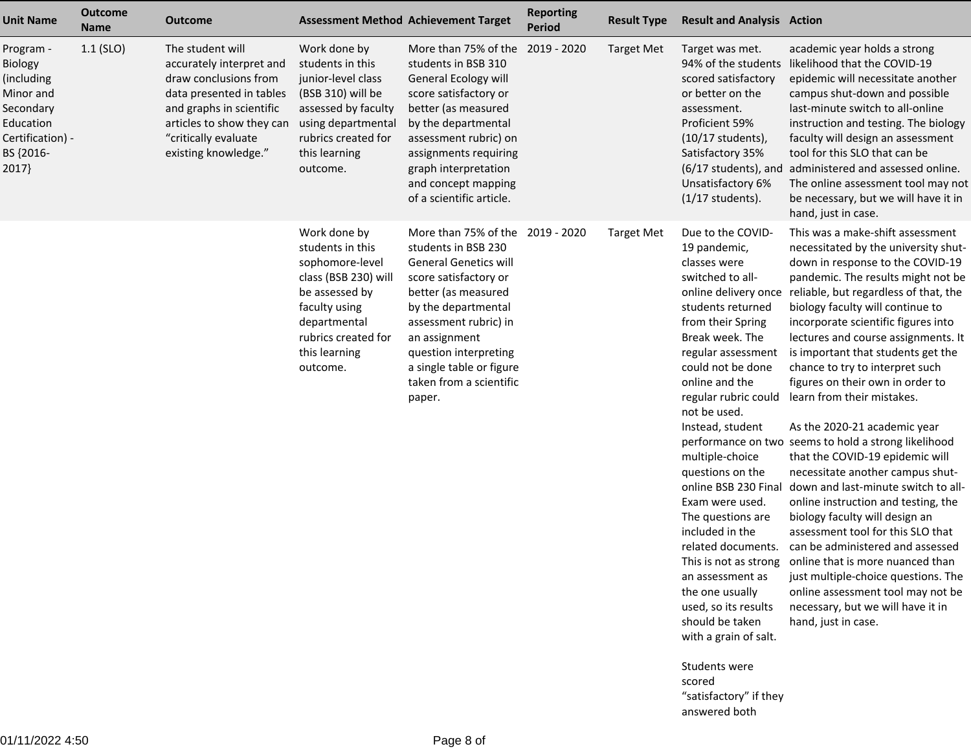| <b>Unit Name</b>                                                                                                    | <b>Outcome</b><br><b>Name</b> | Outcome                                                                                                                                                                                                    |                                                                                                                                                                                    | <b>Assessment Method Achievement Target</b>                                                                                                                                                                                                                                                        | <b>Reporting</b><br><b>Period</b> | <b>Result Type</b> | <b>Result and Analysis Action</b>                                                                                                                                                                                                                                                                                                                                                                                                                                                                                                                                                                                    |                                                                                                                                                                                                                                                                                                                                                                                                                                                                                                                                                                                                                                                                                                                                                                                                                                                                                                                                                                                                                    |
|---------------------------------------------------------------------------------------------------------------------|-------------------------------|------------------------------------------------------------------------------------------------------------------------------------------------------------------------------------------------------------|------------------------------------------------------------------------------------------------------------------------------------------------------------------------------------|----------------------------------------------------------------------------------------------------------------------------------------------------------------------------------------------------------------------------------------------------------------------------------------------------|-----------------------------------|--------------------|----------------------------------------------------------------------------------------------------------------------------------------------------------------------------------------------------------------------------------------------------------------------------------------------------------------------------------------------------------------------------------------------------------------------------------------------------------------------------------------------------------------------------------------------------------------------------------------------------------------------|--------------------------------------------------------------------------------------------------------------------------------------------------------------------------------------------------------------------------------------------------------------------------------------------------------------------------------------------------------------------------------------------------------------------------------------------------------------------------------------------------------------------------------------------------------------------------------------------------------------------------------------------------------------------------------------------------------------------------------------------------------------------------------------------------------------------------------------------------------------------------------------------------------------------------------------------------------------------------------------------------------------------|
| Program -<br>Biology<br>(including<br>Minor and<br>Secondary<br>Education<br>Certification) -<br>BS {2016-<br>2017} | $1.1$ (SLO)                   | The student will<br>accurately interpret and<br>draw conclusions from<br>data presented in tables<br>and graphs in scientific<br>articles to show they can<br>"critically evaluate<br>existing knowledge." | Work done by<br>students in this<br>junior-level class<br>(BSB 310) will be<br>assessed by faculty<br>using departmental<br>rubrics created for<br>this learning<br>outcome.       | More than 75% of the<br>students in BSB 310<br>General Ecology will<br>score satisfactory or<br>better (as measured<br>by the departmental<br>assessment rubric) on<br>assignments requiring<br>graph interpretation<br>and concept mapping<br>of a scientific article.                            | 2019 - 2020                       | <b>Target Met</b>  | Target was met.<br>94% of the students<br>scored satisfactory<br>or better on the<br>assessment.<br>Proficient 59%<br>(10/17 students),<br>Satisfactory 35%<br>(6/17 students), and<br>Unsatisfactory 6%<br>$(1/17$ students).                                                                                                                                                                                                                                                                                                                                                                                       | academic year holds a strong<br>likelihood that the COVID-19<br>epidemic will necessitate another<br>campus shut-down and possible<br>last-minute switch to all-online<br>instruction and testing. The biology<br>faculty will design an assessment<br>tool for this SLO that can be<br>administered and assessed online.<br>The online assessment tool may not<br>be necessary, but we will have it in<br>hand, just in case.                                                                                                                                                                                                                                                                                                                                                                                                                                                                                                                                                                                     |
|                                                                                                                     |                               |                                                                                                                                                                                                            | Work done by<br>students in this<br>sophomore-level<br>class (BSB 230) will<br>be assessed by<br>faculty using<br>departmental<br>rubrics created for<br>this learning<br>outcome. | More than 75% of the 2019 - 2020<br>students in BSB 230<br><b>General Genetics will</b><br>score satisfactory or<br>better (as measured<br>by the departmental<br>assessment rubric) in<br>an assignment<br>question interpreting<br>a single table or figure<br>taken from a scientific<br>paper. |                                   | <b>Target Met</b>  | Due to the COVID-<br>19 pandemic,<br>classes were<br>switched to all-<br>online delivery once<br>students returned<br>from their Spring<br>Break week. The<br>regular assessment<br>could not be done<br>online and the<br>regular rubric could<br>not be used.<br>Instead, student<br>multiple-choice<br>questions on the<br>online BSB 230 Final<br>Exam were used.<br>The questions are<br>included in the<br>related documents.<br>an assessment as<br>the one usually<br>used, so its results<br>should be taken<br>with a grain of salt.<br>Students were<br>scored<br>"satisfactory" if they<br>answered both | This was a make-shift assessment<br>necessitated by the university shut-<br>down in response to the COVID-19<br>pandemic. The results might not be<br>reliable, but regardless of that, the<br>biology faculty will continue to<br>incorporate scientific figures into<br>lectures and course assignments. It<br>is important that students get the<br>chance to try to interpret such<br>figures on their own in order to<br>learn from their mistakes.<br>As the 2020-21 academic year<br>performance on two seems to hold a strong likelihood<br>that the COVID-19 epidemic will<br>necessitate another campus shut-<br>down and last-minute switch to all-<br>online instruction and testing, the<br>biology faculty will design an<br>assessment tool for this SLO that<br>can be administered and assessed<br>This is not as strong online that is more nuanced than<br>just multiple-choice questions. The<br>online assessment tool may not be<br>necessary, but we will have it in<br>hand, just in case. |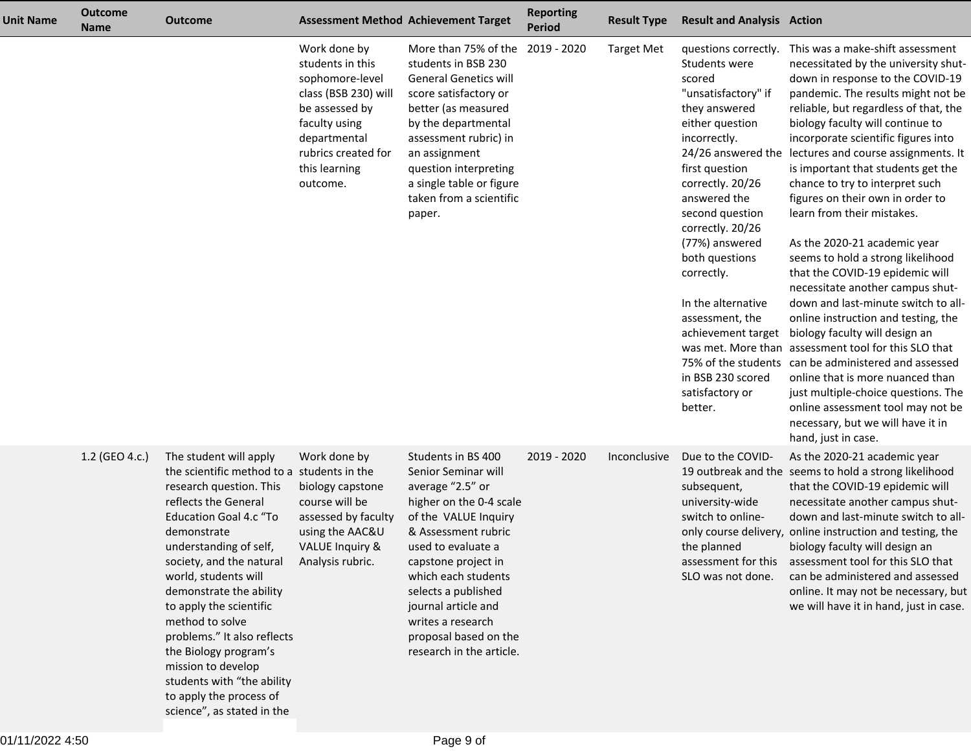| <b>Unit Name</b> | <b>Outcome</b><br><b>Name</b> | <b>Outcome</b>                                                                                                                                                                                                                                                                                                                                                                                                                                                                                      |                                                                                                                                                                                    | <b>Assessment Method Achievement Target</b>                                                                                                                                                                                                                                                                                         | <b>Reporting</b><br><b>Period</b> | <b>Result Type</b> | <b>Result and Analysis Action</b>                                                                                                                                                                                                                                                                                                                                                                                 |                                                                                                                                                                                                                                                                                                                                                                                                                                                                                                                                                                                                                                                                                                                                                                                                                                                                                                                                                                                                                  |
|------------------|-------------------------------|-----------------------------------------------------------------------------------------------------------------------------------------------------------------------------------------------------------------------------------------------------------------------------------------------------------------------------------------------------------------------------------------------------------------------------------------------------------------------------------------------------|------------------------------------------------------------------------------------------------------------------------------------------------------------------------------------|-------------------------------------------------------------------------------------------------------------------------------------------------------------------------------------------------------------------------------------------------------------------------------------------------------------------------------------|-----------------------------------|--------------------|-------------------------------------------------------------------------------------------------------------------------------------------------------------------------------------------------------------------------------------------------------------------------------------------------------------------------------------------------------------------------------------------------------------------|------------------------------------------------------------------------------------------------------------------------------------------------------------------------------------------------------------------------------------------------------------------------------------------------------------------------------------------------------------------------------------------------------------------------------------------------------------------------------------------------------------------------------------------------------------------------------------------------------------------------------------------------------------------------------------------------------------------------------------------------------------------------------------------------------------------------------------------------------------------------------------------------------------------------------------------------------------------------------------------------------------------|
|                  |                               |                                                                                                                                                                                                                                                                                                                                                                                                                                                                                                     | Work done by<br>students in this<br>sophomore-level<br>class (BSB 230) will<br>be assessed by<br>faculty using<br>departmental<br>rubrics created for<br>this learning<br>outcome. | More than 75% of the<br>students in BSB 230<br><b>General Genetics will</b><br>score satisfactory or<br>better (as measured<br>by the departmental<br>assessment rubric) in<br>an assignment<br>question interpreting<br>a single table or figure<br>taken from a scientific<br>paper.                                              | 2019 - 2020                       | <b>Target Met</b>  | questions correctly.<br>Students were<br>scored<br>"unsatisfactory" if<br>they answered<br>either question<br>incorrectly.<br>24/26 answered the<br>first question<br>correctly. 20/26<br>answered the<br>second question<br>correctly. 20/26<br>(77%) answered<br>both questions<br>correctly.<br>In the alternative<br>assessment, the<br>achievement target<br>in BSB 230 scored<br>satisfactory or<br>better. | This was a make-shift assessment<br>necessitated by the university shut-<br>down in response to the COVID-19<br>pandemic. The results might not be<br>reliable, but regardless of that, the<br>biology faculty will continue to<br>incorporate scientific figures into<br>lectures and course assignments. It<br>is important that students get the<br>chance to try to interpret such<br>figures on their own in order to<br>learn from their mistakes.<br>As the 2020-21 academic year<br>seems to hold a strong likelihood<br>that the COVID-19 epidemic will<br>necessitate another campus shut-<br>down and last-minute switch to all-<br>online instruction and testing, the<br>biology faculty will design an<br>was met. More than assessment tool for this SLO that<br>75% of the students can be administered and assessed<br>online that is more nuanced than<br>just multiple-choice questions. The<br>online assessment tool may not be<br>necessary, but we will have it in<br>hand, just in case. |
|                  | 1.2 (GEO 4.c.)                | The student will apply<br>the scientific method to a students in the<br>research question. This<br>reflects the General<br><b>Education Goal 4.c "To</b><br>demonstrate<br>understanding of self,<br>society, and the natural<br>world, students will<br>demonstrate the ability<br>to apply the scientific<br>method to solve<br>problems." It also reflects<br>the Biology program's<br>mission to develop<br>students with "the ability<br>to apply the process of<br>science", as stated in the | Work done by<br>biology capstone<br>course will be<br>assessed by faculty<br>using the AAC&U<br><b>VALUE Inquiry &amp;</b><br>Analysis rubric.                                     | Students in BS 400<br>Senior Seminar will<br>average "2.5" or<br>higher on the 0-4 scale<br>of the VALUE Inquiry<br>& Assessment rubric<br>used to evaluate a<br>capstone project in<br>which each students<br>selects a published<br>journal article and<br>writes a research<br>proposal based on the<br>research in the article. | 2019 - 2020                       | Inconclusive       | Due to the COVID-<br>subsequent,<br>university-wide<br>switch to online-<br>the planned<br>assessment for this<br>SLO was not done.                                                                                                                                                                                                                                                                               | As the 2020-21 academic year<br>19 outbreak and the seems to hold a strong likelihood<br>that the COVID-19 epidemic will<br>necessitate another campus shut-<br>down and last-minute switch to all-<br>only course delivery, online instruction and testing, the<br>biology faculty will design an<br>assessment tool for this SLO that<br>can be administered and assessed<br>online. It may not be necessary, but<br>we will have it in hand, just in case.                                                                                                                                                                                                                                                                                                                                                                                                                                                                                                                                                    |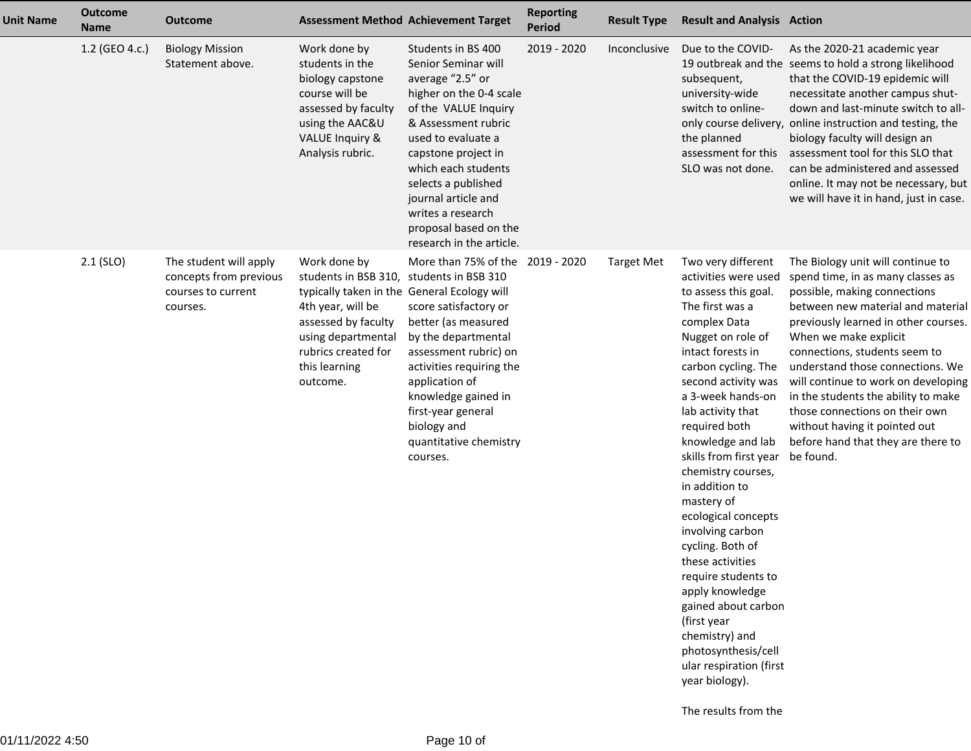| <b>Unit Name</b> | <b>Outcome</b><br><b>Name</b> | <b>Outcome</b>                                                                     | <b>Assessment Method Achievement Target</b>                                                                                                                                                                                   |                                                                                                                                                                                                                                                                                                                                     | <b>Reporting</b><br>Period | <b>Result Type</b> | <b>Result and Analysis Action</b>                                                                                                                                                                                                                                                                                                                                                                                                                                                                                                                                                                                                              |                                                                                                                                                                                                                                                                                                                                                                                                                                                                                       |
|------------------|-------------------------------|------------------------------------------------------------------------------------|-------------------------------------------------------------------------------------------------------------------------------------------------------------------------------------------------------------------------------|-------------------------------------------------------------------------------------------------------------------------------------------------------------------------------------------------------------------------------------------------------------------------------------------------------------------------------------|----------------------------|--------------------|------------------------------------------------------------------------------------------------------------------------------------------------------------------------------------------------------------------------------------------------------------------------------------------------------------------------------------------------------------------------------------------------------------------------------------------------------------------------------------------------------------------------------------------------------------------------------------------------------------------------------------------------|---------------------------------------------------------------------------------------------------------------------------------------------------------------------------------------------------------------------------------------------------------------------------------------------------------------------------------------------------------------------------------------------------------------------------------------------------------------------------------------|
|                  | 1.2 (GEO 4.c.)                | <b>Biology Mission</b><br>Statement above.                                         | Work done by<br>students in the<br>biology capstone<br>course will be<br>assessed by faculty<br>using the AAC&U<br><b>VALUE Inquiry &amp;</b><br>Analysis rubric.                                                             | Students in BS 400<br>Senior Seminar will<br>average "2.5" or<br>higher on the 0-4 scale<br>of the VALUE Inquiry<br>& Assessment rubric<br>used to evaluate a<br>capstone project in<br>which each students<br>selects a published<br>journal article and<br>writes a research<br>proposal based on the<br>research in the article. | 2019 - 2020                | Inconclusive       | Due to the COVID-<br>subsequent,<br>university-wide<br>switch to online-<br>the planned<br>assessment for this<br>SLO was not done.                                                                                                                                                                                                                                                                                                                                                                                                                                                                                                            | As the 2020-21 academic year<br>19 outbreak and the seems to hold a strong likelihood<br>that the COVID-19 epidemic will<br>necessitate another campus shut-<br>down and last-minute switch to all-<br>only course delivery, online instruction and testing, the<br>biology faculty will design an<br>assessment tool for this SLO that<br>can be administered and assessed<br>online. It may not be necessary, but<br>we will have it in hand, just in case.                         |
|                  | $2.1$ (SLO)                   | The student will apply<br>concepts from previous<br>courses to current<br>courses. | Work done by<br>students in BSB 310, students in BSB 310<br>typically taken in the General Ecology will<br>4th year, will be<br>assessed by faculty<br>using departmental<br>rubrics created for<br>this learning<br>outcome. | More than 75% of the 2019 - 2020<br>score satisfactory or<br>better (as measured<br>by the departmental<br>assessment rubric) on<br>activities requiring the<br>application of<br>knowledge gained in<br>first-year general<br>biology and<br>quantitative chemistry<br>courses.                                                    |                            | <b>Target Met</b>  | Two very different<br>activities were used<br>to assess this goal.<br>The first was a<br>complex Data<br>Nugget on role of<br>intact forests in<br>carbon cycling. The<br>second activity was<br>a 3-week hands-on<br>lab activity that<br>required both<br>knowledge and lab<br>skills from first year<br>chemistry courses,<br>in addition to<br>mastery of<br>ecological concepts<br>involving carbon<br>cycling. Both of<br>these activities<br>require students to<br>apply knowledge<br>gained about carbon<br>(first year<br>chemistry) and<br>photosynthesis/cell<br>ular respiration (first<br>year biology).<br>The results from the | The Biology unit will continue to<br>spend time, in as many classes as<br>possible, making connections<br>between new material and material<br>previously learned in other courses.<br>When we make explicit<br>connections, students seem to<br>understand those connections. We<br>will continue to work on developing<br>in the students the ability to make<br>those connections on their own<br>without having it pointed out<br>before hand that they are there to<br>be found. |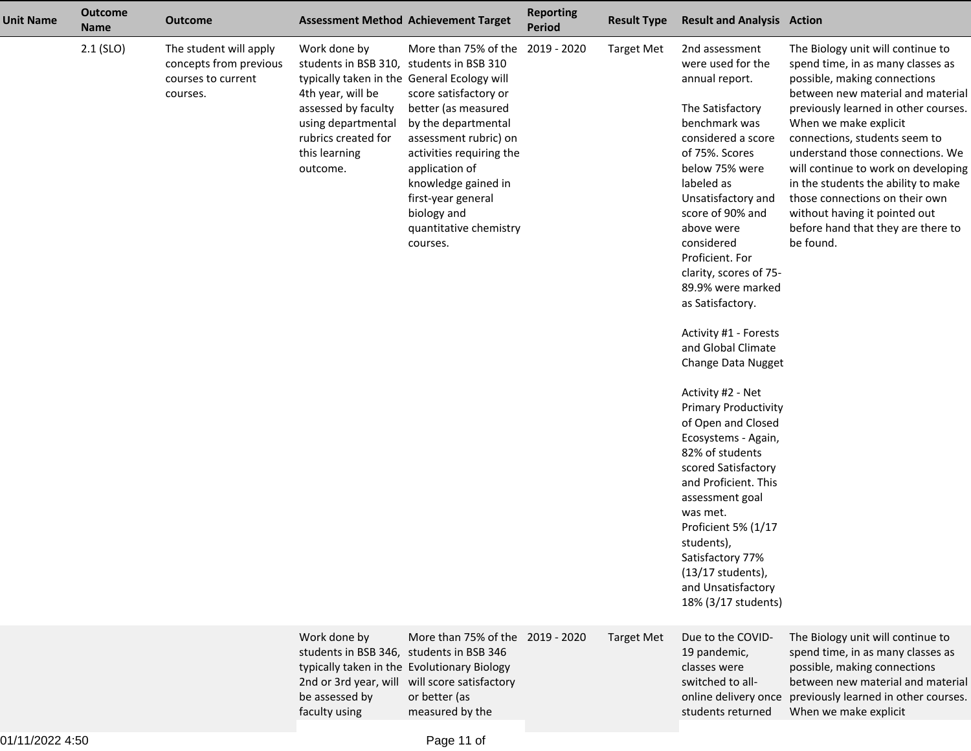| <b>Unit Name</b> | <b>Outcome</b><br><b>Name</b> | <b>Outcome</b>                                                                     |                                                                                                                                                                                                                               | <b>Assessment Method Achievement Target</b>                                                                                                                                                                                                                          | <b>Reporting</b><br><b>Period</b> | <b>Result Type</b> | <b>Result and Analysis Action</b>                                                                                                                                                                                                                                                                                                                                                                                                                                                                                                                                                                                                                                                                                                  |                                                                                                                                                                                                                                                                                                                                                                                                                                                                                       |
|------------------|-------------------------------|------------------------------------------------------------------------------------|-------------------------------------------------------------------------------------------------------------------------------------------------------------------------------------------------------------------------------|----------------------------------------------------------------------------------------------------------------------------------------------------------------------------------------------------------------------------------------------------------------------|-----------------------------------|--------------------|------------------------------------------------------------------------------------------------------------------------------------------------------------------------------------------------------------------------------------------------------------------------------------------------------------------------------------------------------------------------------------------------------------------------------------------------------------------------------------------------------------------------------------------------------------------------------------------------------------------------------------------------------------------------------------------------------------------------------------|---------------------------------------------------------------------------------------------------------------------------------------------------------------------------------------------------------------------------------------------------------------------------------------------------------------------------------------------------------------------------------------------------------------------------------------------------------------------------------------|
|                  | $2.1$ (SLO)                   | The student will apply<br>concepts from previous<br>courses to current<br>courses. | Work done by<br>students in BSB 310, students in BSB 310<br>typically taken in the General Ecology will<br>4th year, will be<br>assessed by faculty<br>using departmental<br>rubrics created for<br>this learning<br>outcome. | More than 75% of the<br>score satisfactory or<br>better (as measured<br>by the departmental<br>assessment rubric) on<br>activities requiring the<br>application of<br>knowledge gained in<br>first-year general<br>biology and<br>quantitative chemistry<br>courses. | 2019 - 2020                       | <b>Target Met</b>  | 2nd assessment<br>were used for the<br>annual report.<br>The Satisfactory<br>benchmark was<br>considered a score<br>of 75%. Scores<br>below 75% were<br>labeled as<br>Unsatisfactory and<br>score of 90% and<br>above were<br>considered<br>Proficient. For<br>clarity, scores of 75-<br>89.9% were marked<br>as Satisfactory.<br>Activity #1 - Forests<br>and Global Climate<br>Change Data Nugget<br>Activity #2 - Net<br><b>Primary Productivity</b><br>of Open and Closed<br>Ecosystems - Again,<br>82% of students<br>scored Satisfactory<br>and Proficient. This<br>assessment goal<br>was met.<br>Proficient 5% (1/17<br>students),<br>Satisfactory 77%<br>$(13/17$ students),<br>and Unsatisfactory<br>18% (3/17 students) | The Biology unit will continue to<br>spend time, in as many classes as<br>possible, making connections<br>between new material and material<br>previously learned in other courses.<br>When we make explicit<br>connections, students seem to<br>understand those connections. We<br>will continue to work on developing<br>in the students the ability to make<br>those connections on their own<br>without having it pointed out<br>before hand that they are there to<br>be found. |
|                  |                               |                                                                                    | Work done by<br>students in BSB 346, students in BSB 346<br>2nd or 3rd year, will<br>be assessed by<br>faculty using                                                                                                          | More than 75% of the 2019 - 2020<br>typically taken in the Evolutionary Biology<br>will score satisfactory<br>or better (as<br>measured by the                                                                                                                       |                                   | <b>Target Met</b>  | Due to the COVID-<br>19 pandemic,<br>classes were<br>switched to all-<br>online delivery once<br>students returned                                                                                                                                                                                                                                                                                                                                                                                                                                                                                                                                                                                                                 | The Biology unit will continue to<br>spend time, in as many classes as<br>possible, making connections<br>between new material and material<br>previously learned in other courses.<br>When we make explicit                                                                                                                                                                                                                                                                          |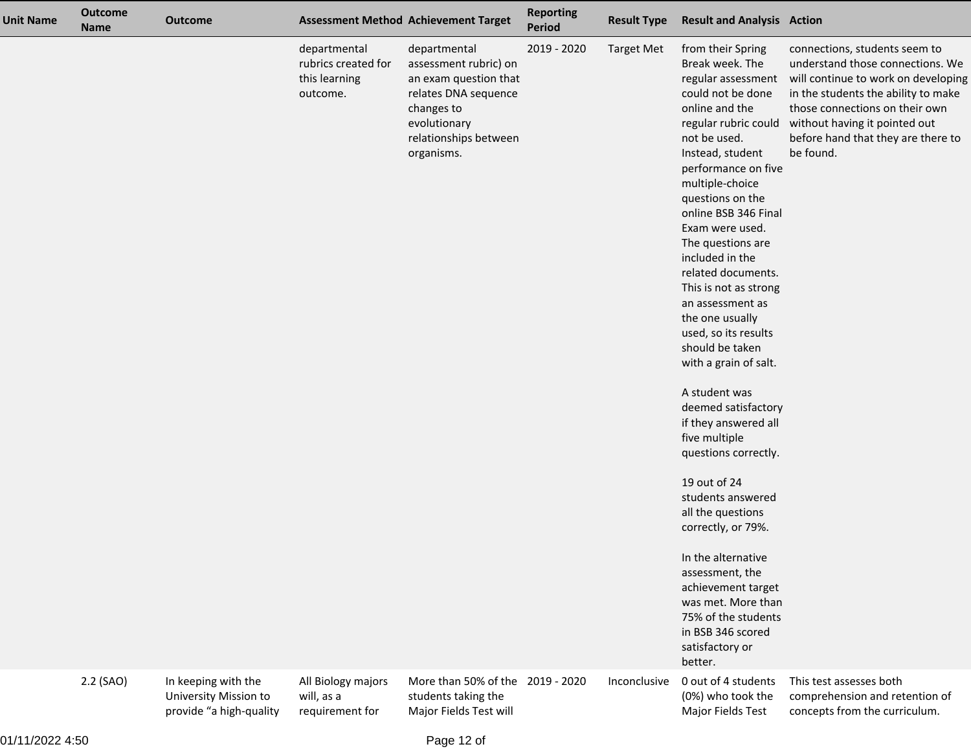| <b>Unit Name</b> | <b>Outcome</b><br><b>Name</b> | <b>Outcome</b>                                                          |                                                                  | <b>Assessment Method Achievement Target</b>                                                                                                                 | <b>Reporting</b><br>Period | <b>Result Type</b> | <b>Result and Analysis Action</b>                                                                                                                                                                                                                                                                                                                                                                                                                                                                                                                                                                                                                                                                                                                                                                                                |                                                                                                                                                                                                                                                                       |
|------------------|-------------------------------|-------------------------------------------------------------------------|------------------------------------------------------------------|-------------------------------------------------------------------------------------------------------------------------------------------------------------|----------------------------|--------------------|----------------------------------------------------------------------------------------------------------------------------------------------------------------------------------------------------------------------------------------------------------------------------------------------------------------------------------------------------------------------------------------------------------------------------------------------------------------------------------------------------------------------------------------------------------------------------------------------------------------------------------------------------------------------------------------------------------------------------------------------------------------------------------------------------------------------------------|-----------------------------------------------------------------------------------------------------------------------------------------------------------------------------------------------------------------------------------------------------------------------|
|                  |                               |                                                                         | departmental<br>rubrics created for<br>this learning<br>outcome. | departmental<br>assessment rubric) on<br>an exam question that<br>relates DNA sequence<br>changes to<br>evolutionary<br>relationships between<br>organisms. | 2019 - 2020                | <b>Target Met</b>  | from their Spring<br>Break week. The<br>regular assessment<br>could not be done<br>online and the<br>regular rubric could<br>not be used.<br>Instead, student<br>performance on five<br>multiple-choice<br>questions on the<br>online BSB 346 Final<br>Exam were used.<br>The questions are<br>included in the<br>related documents.<br>This is not as strong<br>an assessment as<br>the one usually<br>used, so its results<br>should be taken<br>with a grain of salt.<br>A student was<br>deemed satisfactory<br>if they answered all<br>five multiple<br>questions correctly.<br>19 out of 24<br>students answered<br>all the questions<br>correctly, or 79%.<br>In the alternative<br>assessment, the<br>achievement target<br>was met. More than<br>75% of the students<br>in BSB 346 scored<br>satisfactory or<br>better. | connections, students seem to<br>understand those connections. We<br>will continue to work on developing<br>in the students the ability to make<br>those connections on their own<br>without having it pointed out<br>before hand that they are there to<br>be found. |
|                  | 2.2 (SAO)                     | In keeping with the<br>University Mission to<br>provide "a high-quality | All Biology majors<br>will, as a<br>requirement for              | More than 50% of the 2019 - 2020<br>students taking the<br>Major Fields Test will                                                                           |                            | Inconclusive       | 0 out of 4 students<br>(0%) who took the<br>Major Fields Test                                                                                                                                                                                                                                                                                                                                                                                                                                                                                                                                                                                                                                                                                                                                                                    | This test assesses both<br>comprehension and retention of<br>concepts from the curriculum.                                                                                                                                                                            |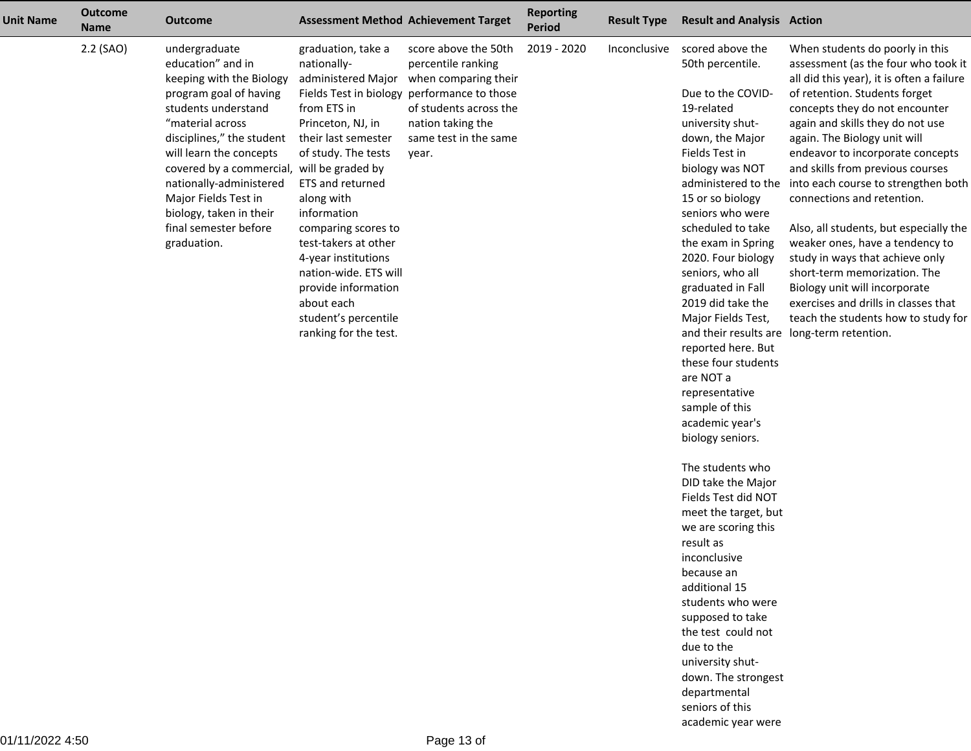| <b>Unit Name</b> | <b>Outcome</b><br><b>Name</b> | <b>Outcome</b>                                                                                                                                                                                                                                                                                                                                                  |                                                                                                                                                                                                                                                                                                                                                                                 | <b>Assessment Method Achievement Target</b>                                                                                                                                                        | <b>Reporting</b><br><b>Period</b> | <b>Result Type</b> | <b>Result and Analysis Action</b>                                                                                                                                                                                                                                                                                                                                                                                                                                                                                                                                                                                                                                                                                                                                                                                                                                         |                                                                                                                                                                                                                                                                                                                                                                                                                                                                                                                                                                                                                                                                                                                       |
|------------------|-------------------------------|-----------------------------------------------------------------------------------------------------------------------------------------------------------------------------------------------------------------------------------------------------------------------------------------------------------------------------------------------------------------|---------------------------------------------------------------------------------------------------------------------------------------------------------------------------------------------------------------------------------------------------------------------------------------------------------------------------------------------------------------------------------|----------------------------------------------------------------------------------------------------------------------------------------------------------------------------------------------------|-----------------------------------|--------------------|---------------------------------------------------------------------------------------------------------------------------------------------------------------------------------------------------------------------------------------------------------------------------------------------------------------------------------------------------------------------------------------------------------------------------------------------------------------------------------------------------------------------------------------------------------------------------------------------------------------------------------------------------------------------------------------------------------------------------------------------------------------------------------------------------------------------------------------------------------------------------|-----------------------------------------------------------------------------------------------------------------------------------------------------------------------------------------------------------------------------------------------------------------------------------------------------------------------------------------------------------------------------------------------------------------------------------------------------------------------------------------------------------------------------------------------------------------------------------------------------------------------------------------------------------------------------------------------------------------------|
|                  | 2.2 (SAO)                     | undergraduate<br>education" and in<br>keeping with the Biology<br>program goal of having<br>students understand<br>"material across<br>disciplines," the student<br>will learn the concepts<br>covered by a commercial, will be graded by<br>nationally-administered<br>Major Fields Test in<br>biology, taken in their<br>final semester before<br>graduation. | graduation, take a<br>nationally-<br>administered Major<br>from ETS in<br>Princeton, NJ, in<br>their last semester<br>of study. The tests<br>ETS and returned<br>along with<br>information<br>comparing scores to<br>test-takers at other<br>4-year institutions<br>nation-wide. ETS will<br>provide information<br>about each<br>student's percentile<br>ranking for the test. | score above the 50th<br>percentile ranking<br>when comparing their<br>Fields Test in biology performance to those<br>of students across the<br>nation taking the<br>same test in the same<br>year. | 2019 - 2020                       | Inconclusive       | scored above the<br>50th percentile.<br>Due to the COVID-<br>19-related<br>university shut-<br>down, the Major<br>Fields Test in<br>biology was NOT<br>administered to the<br>15 or so biology<br>seniors who were<br>scheduled to take<br>the exam in Spring<br>2020. Four biology<br>seniors, who all<br>graduated in Fall<br>2019 did take the<br>Major Fields Test,<br>reported here. But<br>these four students<br>are NOT a<br>representative<br>sample of this<br>academic year's<br>biology seniors.<br>The students who<br>DID take the Major<br>Fields Test did NOT<br>meet the target, but<br>we are scoring this<br>result as<br>inconclusive<br>because an<br>additional 15<br>students who were<br>supposed to take<br>the test could not<br>due to the<br>university shut-<br>down. The strongest<br>departmental<br>seniors of this<br>academic year were | When students do poorly in this<br>assessment (as the four who took it<br>all did this year), it is often a failure<br>of retention. Students forget<br>concepts they do not encounter<br>again and skills they do not use<br>again. The Biology unit will<br>endeavor to incorporate concepts<br>and skills from previous courses<br>into each course to strengthen both<br>connections and retention.<br>Also, all students, but especially the<br>weaker ones, have a tendency to<br>study in ways that achieve only<br>short-term memorization. The<br>Biology unit will incorporate<br>exercises and drills in classes that<br>teach the students how to study for<br>and their results are long-term retention. |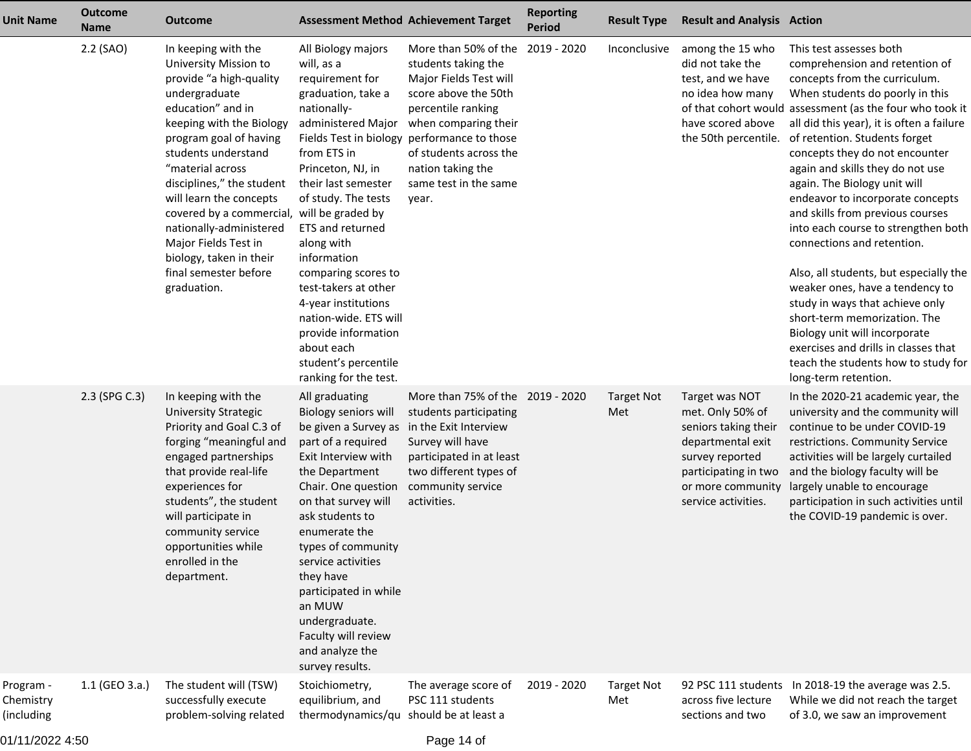| <b>Unit Name</b>                     | <b>Outcome</b><br><b>Name</b> | <b>Outcome</b>                                                                                                                                                                                                                                                                                                                                                                                                                             | <b>Assessment Method Achievement Target</b>                                                                                                                                                                                                                                                                                                                                                                                                                      |                                                                                                                                                                                                                                                                  | <b>Reporting</b><br><b>Period</b> | <b>Result Type</b>       | <b>Result and Analysis Action</b>                                                                                                                                      |                                                                                                                                                                                                                                                                                                                                                                                                                                                                                                                                                                                                                                                                                                                                                                                                                    |
|--------------------------------------|-------------------------------|--------------------------------------------------------------------------------------------------------------------------------------------------------------------------------------------------------------------------------------------------------------------------------------------------------------------------------------------------------------------------------------------------------------------------------------------|------------------------------------------------------------------------------------------------------------------------------------------------------------------------------------------------------------------------------------------------------------------------------------------------------------------------------------------------------------------------------------------------------------------------------------------------------------------|------------------------------------------------------------------------------------------------------------------------------------------------------------------------------------------------------------------------------------------------------------------|-----------------------------------|--------------------------|------------------------------------------------------------------------------------------------------------------------------------------------------------------------|--------------------------------------------------------------------------------------------------------------------------------------------------------------------------------------------------------------------------------------------------------------------------------------------------------------------------------------------------------------------------------------------------------------------------------------------------------------------------------------------------------------------------------------------------------------------------------------------------------------------------------------------------------------------------------------------------------------------------------------------------------------------------------------------------------------------|
|                                      | 2.2 (SAO)                     | In keeping with the<br>University Mission to<br>provide "a high-quality<br>undergraduate<br>education" and in<br>keeping with the Biology<br>program goal of having<br>students understand<br>"material across<br>disciplines," the student<br>will learn the concepts<br>covered by a commercial, will be graded by<br>nationally-administered<br>Major Fields Test in<br>biology, taken in their<br>final semester before<br>graduation. | All Biology majors<br>will, as a<br>requirement for<br>graduation, take a<br>nationally-<br>administered Major<br>Fields Test in biology<br>from ETS in<br>Princeton, NJ, in<br>their last semester<br>of study. The tests<br>ETS and returned<br>along with<br>information<br>comparing scores to<br>test-takers at other<br>4-year institutions<br>nation-wide. ETS will<br>provide information<br>about each<br>student's percentile<br>ranking for the test. | More than 50% of the 2019 - 2020<br>students taking the<br>Major Fields Test will<br>score above the 50th<br>percentile ranking<br>when comparing their<br>performance to those<br>of students across the<br>nation taking the<br>same test in the same<br>year. |                                   | Inconclusive             | among the 15 who<br>did not take the<br>test, and we have<br>no idea how many<br>have scored above<br>the 50th percentile.                                             | This test assesses both<br>comprehension and retention of<br>concepts from the curriculum.<br>When students do poorly in this<br>of that cohort would assessment (as the four who took it<br>all did this year), it is often a failure<br>of retention. Students forget<br>concepts they do not encounter<br>again and skills they do not use<br>again. The Biology unit will<br>endeavor to incorporate concepts<br>and skills from previous courses<br>into each course to strengthen both<br>connections and retention.<br>Also, all students, but especially the<br>weaker ones, have a tendency to<br>study in ways that achieve only<br>short-term memorization. The<br>Biology unit will incorporate<br>exercises and drills in classes that<br>teach the students how to study for<br>long-term retention. |
|                                      | 2.3 (SPG C.3)                 | In keeping with the<br><b>University Strategic</b><br>Priority and Goal C.3 of<br>forging "meaningful and<br>engaged partnerships<br>that provide real-life<br>experiences for<br>students", the student<br>will participate in<br>community service<br>opportunities while<br>enrolled in the<br>department.                                                                                                                              | All graduating<br>Biology seniors will<br>be given a Survey as in the Exit Interview<br>part of a required<br>Exit Interview with<br>the Department<br>Chair. One question<br>on that survey will<br>ask students to<br>enumerate the<br>types of community<br>service activities<br>they have<br>participated in while<br>an MUW<br>undergraduate.<br>Faculty will review<br>and analyze the<br>survey results.                                                 | More than 75% of the 2019 - 2020<br>students participating<br>Survey will have<br>participated in at least<br>two different types of<br>community service<br>activities.                                                                                         |                                   | <b>Target Not</b><br>Met | Target was NOT<br>met. Only 50% of<br>seniors taking their<br>departmental exit<br>survey reported<br>participating in two<br>or more community<br>service activities. | In the 2020-21 academic year, the<br>university and the community will<br>continue to be under COVID-19<br>restrictions. Community Service<br>activities will be largely curtailed<br>and the biology faculty will be<br>largely unable to encourage<br>participation in such activities until<br>the COVID-19 pandemic is over.                                                                                                                                                                                                                                                                                                                                                                                                                                                                                   |
| Program -<br>Chemistry<br>(including | 1.1 (GEO 3.a.)                | The student will (TSW)<br>successfully execute<br>problem-solving related                                                                                                                                                                                                                                                                                                                                                                  | Stoichiometry,<br>equilibrium, and<br>thermodynamics/qu should be at least a                                                                                                                                                                                                                                                                                                                                                                                     | The average score of<br>PSC 111 students                                                                                                                                                                                                                         | 2019 - 2020                       | <b>Target Not</b><br>Met | across five lecture<br>sections and two                                                                                                                                | 92 PSC 111 students In 2018-19 the average was 2.5.<br>While we did not reach the target<br>of 3.0, we saw an improvement                                                                                                                                                                                                                                                                                                                                                                                                                                                                                                                                                                                                                                                                                          |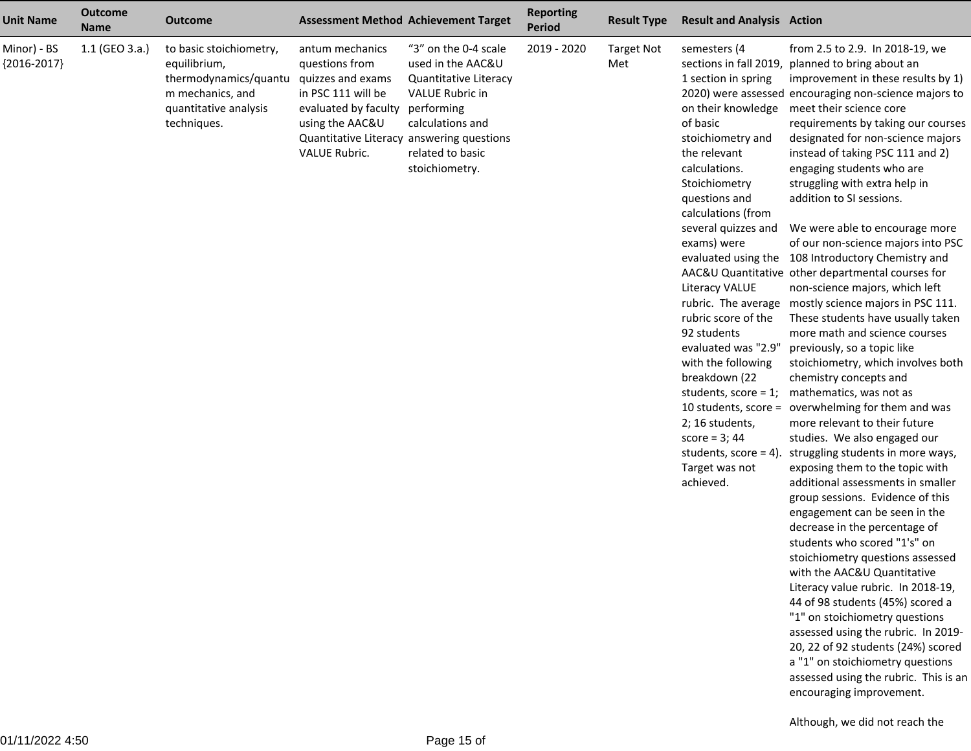| <b>Unit Name</b>             | <b>Outcome</b><br><b>Name</b> | <b>Outcome</b>                                                                                                               | <b>Assessment Method Achievement Target</b>                                                                                                                                                  |                                                                                                                                                               | <b>Reporting</b><br><b>Period</b> | <b>Result Type</b>       | <b>Result and Analysis Action</b>                                                                                                                                                                                                                                                                                                                                                                                                                                           |                                                                                                                                                                                                                                                                                                                                                                                                                                                                                                                                                                                                                                                                                                                                                                                                                                                                                                                                                                                                                                                                                                                                                                                                                                                                                                                                                                                                                                                                                                                                                                                                                                                     |
|------------------------------|-------------------------------|------------------------------------------------------------------------------------------------------------------------------|----------------------------------------------------------------------------------------------------------------------------------------------------------------------------------------------|---------------------------------------------------------------------------------------------------------------------------------------------------------------|-----------------------------------|--------------------------|-----------------------------------------------------------------------------------------------------------------------------------------------------------------------------------------------------------------------------------------------------------------------------------------------------------------------------------------------------------------------------------------------------------------------------------------------------------------------------|-----------------------------------------------------------------------------------------------------------------------------------------------------------------------------------------------------------------------------------------------------------------------------------------------------------------------------------------------------------------------------------------------------------------------------------------------------------------------------------------------------------------------------------------------------------------------------------------------------------------------------------------------------------------------------------------------------------------------------------------------------------------------------------------------------------------------------------------------------------------------------------------------------------------------------------------------------------------------------------------------------------------------------------------------------------------------------------------------------------------------------------------------------------------------------------------------------------------------------------------------------------------------------------------------------------------------------------------------------------------------------------------------------------------------------------------------------------------------------------------------------------------------------------------------------------------------------------------------------------------------------------------------------|
| Minor) - BS<br>${2016-2017}$ | 1.1 (GEO 3.a.)                | to basic stoichiometry,<br>equilibrium,<br>thermodynamics/quantu<br>m mechanics, and<br>quantitative analysis<br>techniques. | antum mechanics<br>questions from<br>quizzes and exams<br>in PSC 111 will be<br>evaluated by faculty<br>using the AAC&U<br>Quantitative Literacy answering questions<br><b>VALUE Rubric.</b> | "3" on the 0-4 scale<br>used in the AAC&U<br>Quantitative Literacy<br>VALUE Rubric in<br>performing<br>calculations and<br>related to basic<br>stoichiometry. | 2019 - 2020                       | <b>Target Not</b><br>Met | semesters (4<br>1 section in spring<br>on their knowledge<br>of basic<br>stoichiometry and<br>the relevant<br>calculations.<br>Stoichiometry<br>questions and<br>calculations (from<br>several quizzes and<br>exams) were<br>Literacy VALUE<br>rubric score of the<br>92 students<br>evaluated was "2.9"<br>with the following<br>breakdown (22<br>students, score = $1$ ;<br>2; 16 students,<br>score = $3; 44$<br>students, score = $4$ ).<br>Target was not<br>achieved. | from 2.5 to 2.9. In 2018-19, we<br>sections in fall 2019, planned to bring about an<br>improvement in these results by 1)<br>2020) were assessed encouraging non-science majors to<br>meet their science core<br>requirements by taking our courses<br>designated for non-science majors<br>instead of taking PSC 111 and 2)<br>engaging students who are<br>struggling with extra help in<br>addition to SI sessions.<br>We were able to encourage more<br>of our non-science majors into PSC<br>evaluated using the 108 Introductory Chemistry and<br>AAC&U Quantitative other departmental courses for<br>non-science majors, which left<br>rubric. The average mostly science majors in PSC 111.<br>These students have usually taken<br>more math and science courses<br>previously, so a topic like<br>stoichiometry, which involves both<br>chemistry concepts and<br>mathematics, was not as<br>10 students, score = overwhelming for them and was<br>more relevant to their future<br>studies. We also engaged our<br>struggling students in more ways,<br>exposing them to the topic with<br>additional assessments in smaller<br>group sessions. Evidence of this<br>engagement can be seen in the<br>decrease in the percentage of<br>students who scored "1's" on<br>stoichiometry questions assessed<br>with the AAC&U Quantitative<br>Literacy value rubric. In 2018-19,<br>44 of 98 students (45%) scored a<br>"1" on stoichiometry questions<br>assessed using the rubric. In 2019-<br>20, 22 of 92 students (24%) scored<br>a "1" on stoichiometry questions<br>assessed using the rubric. This is an<br>encouraging improvement. |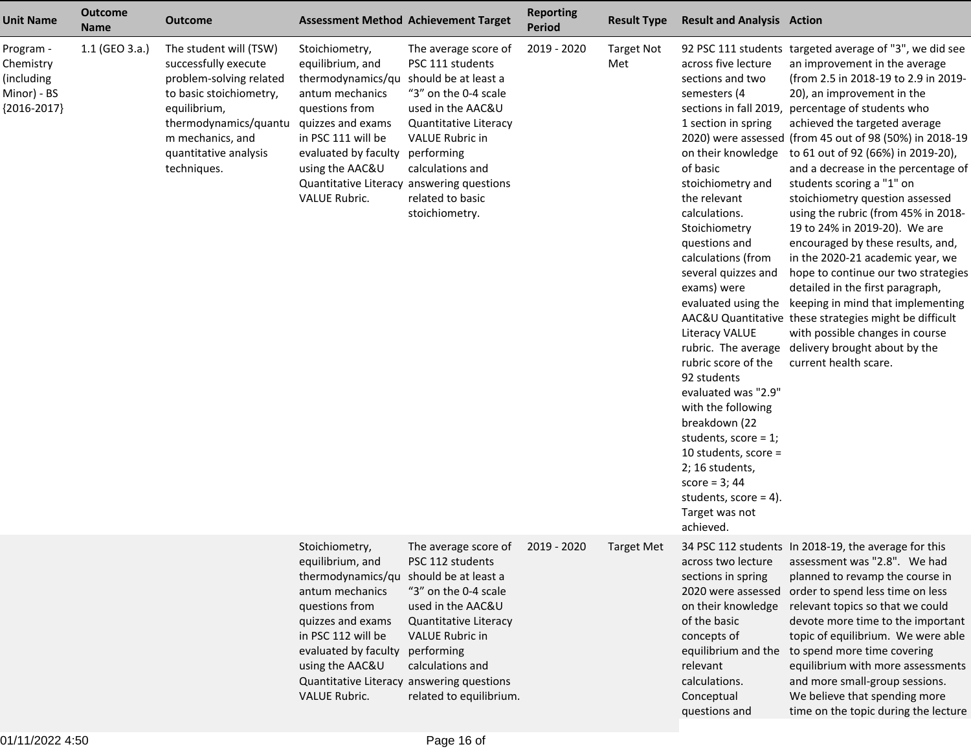| <b>Unit Name</b>                                                     | <b>Outcome</b><br><b>Name</b> | <b>Outcome</b>                                                                                                                                                                                            | <b>Assessment Method Achievement Target</b>                                                                                                                                                                                                                                             |                                                                                                                                                                                                           | <b>Reporting</b><br><b>Period</b> | <b>Result Type</b>       | <b>Result and Analysis Action</b>                                                                                                                                                                                                                                                                                                                                                                                                                                                                                                                                                                                               |                                                                                                                                                                                                                                                                                                                                                                                                                                                                                                                                                                                                                                                                                                                                                                                                                                                               |
|----------------------------------------------------------------------|-------------------------------|-----------------------------------------------------------------------------------------------------------------------------------------------------------------------------------------------------------|-----------------------------------------------------------------------------------------------------------------------------------------------------------------------------------------------------------------------------------------------------------------------------------------|-----------------------------------------------------------------------------------------------------------------------------------------------------------------------------------------------------------|-----------------------------------|--------------------------|---------------------------------------------------------------------------------------------------------------------------------------------------------------------------------------------------------------------------------------------------------------------------------------------------------------------------------------------------------------------------------------------------------------------------------------------------------------------------------------------------------------------------------------------------------------------------------------------------------------------------------|---------------------------------------------------------------------------------------------------------------------------------------------------------------------------------------------------------------------------------------------------------------------------------------------------------------------------------------------------------------------------------------------------------------------------------------------------------------------------------------------------------------------------------------------------------------------------------------------------------------------------------------------------------------------------------------------------------------------------------------------------------------------------------------------------------------------------------------------------------------|
| Program -<br>Chemistry<br>(including<br>Minor) - BS<br>${2016-2017}$ | 1.1 (GEO 3.a.)                | The student will (TSW)<br>successfully execute<br>problem-solving related<br>to basic stoichiometry,<br>equilibrium,<br>thermodynamics/quantu<br>m mechanics, and<br>quantitative analysis<br>techniques. | Stoichiometry,<br>equilibrium, and<br>thermodynamics/qu should be at least a<br>antum mechanics<br>questions from<br>quizzes and exams<br>in PSC 111 will be<br>evaluated by faculty<br>using the AAC&U<br>Quantitative Literacy answering questions<br>VALUE Rubric.                   | The average score of<br>PSC 111 students<br>"3" on the 0-4 scale<br>used in the AAC&U<br>Quantitative Literacy<br>VALUE Rubric in<br>performing<br>calculations and<br>related to basic<br>stoichiometry. | 2019 - 2020                       | <b>Target Not</b><br>Met | across five lecture<br>sections and two<br>semesters (4<br>sections in fall 2019,<br>1 section in spring<br>on their knowledge<br>of basic<br>stoichiometry and<br>the relevant<br>calculations.<br>Stoichiometry<br>questions and<br>calculations (from<br>several quizzes and<br>exams) were<br>evaluated using the<br><b>Literacy VALUE</b><br>rubric. The average<br>rubric score of the<br>92 students<br>evaluated was "2.9"<br>with the following<br>breakdown (22<br>students, score = $1$ ;<br>10 students, score $=$<br>2; 16 students,<br>score = $3; 44$<br>students, score = $4$ ).<br>Target was not<br>achieved. | 92 PSC 111 students targeted average of "3", we did see<br>an improvement in the average<br>(from 2.5 in 2018-19 to 2.9 in 2019-<br>20), an improvement in the<br>percentage of students who<br>achieved the targeted average<br>2020) were assessed (from 45 out of 98 (50%) in 2018-19<br>to 61 out of 92 (66%) in 2019-20),<br>and a decrease in the percentage of<br>students scoring a "1" on<br>stoichiometry question assessed<br>using the rubric (from 45% in 2018-<br>19 to 24% in 2019-20). We are<br>encouraged by these results, and,<br>in the 2020-21 academic year, we<br>hope to continue our two strategies<br>detailed in the first paragraph,<br>keeping in mind that implementing<br>AAC&U Quantitative these strategies might be difficult<br>with possible changes in course<br>delivery brought about by the<br>current health scare. |
|                                                                      |                               |                                                                                                                                                                                                           | Stoichiometry,<br>equilibrium, and<br>thermodynamics/qu should be at least a<br>antum mechanics<br>questions from<br>quizzes and exams<br>in PSC 112 will be<br>evaluated by faculty performing<br>using the AAC&U<br>Quantitative Literacy answering questions<br><b>VALUE Rubric.</b> | The average score of<br>PSC 112 students<br>"3" on the 0-4 scale<br>used in the AAC&U<br>Quantitative Literacy<br><b>VALUE Rubric in</b><br>calculations and<br>related to equilibrium.                   | 2019 - 2020                       | <b>Target Met</b>        | across two lecture<br>sections in spring<br>2020 were assessed<br>on their knowledge<br>of the basic<br>concepts of<br>equilibrium and the<br>relevant<br>calculations.<br>Conceptual<br>questions and                                                                                                                                                                                                                                                                                                                                                                                                                          | 34 PSC 112 students In 2018-19, the average for this<br>assessment was "2.8". We had<br>planned to revamp the course in<br>order to spend less time on less<br>relevant topics so that we could<br>devote more time to the important<br>topic of equilibrium. We were able<br>to spend more time covering<br>equilibrium with more assessments<br>and more small-group sessions.<br>We believe that spending more<br>time on the topic during the lecture                                                                                                                                                                                                                                                                                                                                                                                                     |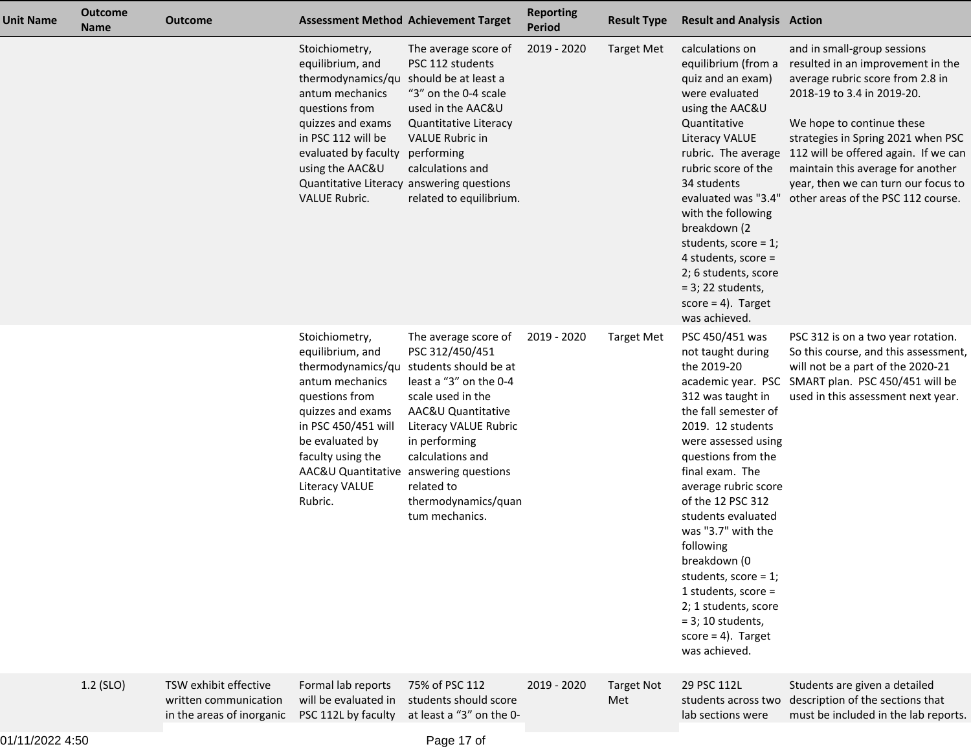| <b>Unit Name</b> | <b>Outcome</b><br><b>Name</b> | <b>Outcome</b>                                                              |                                                                                                                                                                                                                                                                              | <b>Assessment Method Achievement Target</b>                                                                                                                                                                                                                                  | <b>Reporting</b><br><b>Period</b> | <b>Result Type</b>       | <b>Result and Analysis Action</b>                                                                                                                                                                                                                                                                                                                                                                                                                     |                                                                                                                                                                                                                                                                                                                                                                 |
|------------------|-------------------------------|-----------------------------------------------------------------------------|------------------------------------------------------------------------------------------------------------------------------------------------------------------------------------------------------------------------------------------------------------------------------|------------------------------------------------------------------------------------------------------------------------------------------------------------------------------------------------------------------------------------------------------------------------------|-----------------------------------|--------------------------|-------------------------------------------------------------------------------------------------------------------------------------------------------------------------------------------------------------------------------------------------------------------------------------------------------------------------------------------------------------------------------------------------------------------------------------------------------|-----------------------------------------------------------------------------------------------------------------------------------------------------------------------------------------------------------------------------------------------------------------------------------------------------------------------------------------------------------------|
|                  |                               |                                                                             | Stoichiometry,<br>equilibrium, and<br>thermodynamics/qu should be at least a<br>antum mechanics<br>questions from<br>quizzes and exams<br>in PSC 112 will be<br>evaluated by faculty<br>using the AAC&U<br>Quantitative Literacy answering questions<br><b>VALUE Rubric.</b> | The average score of<br>PSC 112 students<br>"3" on the 0-4 scale<br>used in the AAC&U<br>Quantitative Literacy<br><b>VALUE Rubric in</b><br>performing<br>calculations and<br>related to equilibrium.                                                                        | 2019 - 2020                       | <b>Target Met</b>        | calculations on<br>equilibrium (from a<br>quiz and an exam)<br>were evaluated<br>using the AAC&U<br>Quantitative<br>Literacy VALUE<br>rubric. The average<br>rubric score of the<br>34 students<br>evaluated was "3.4"<br>with the following<br>breakdown (2<br>students, score = $1$ ;<br>4 students, score =<br>2; 6 students, score<br>$= 3$ ; 22 students,<br>score = $4$ ). Target<br>was achieved.                                              | and in small-group sessions<br>resulted in an improvement in the<br>average rubric score from 2.8 in<br>2018-19 to 3.4 in 2019-20.<br>We hope to continue these<br>strategies in Spring 2021 when PSC<br>112 will be offered again. If we can<br>maintain this average for another<br>year, then we can turn our focus to<br>other areas of the PSC 112 course. |
|                  |                               |                                                                             | Stoichiometry,<br>equilibrium, and<br>antum mechanics<br>questions from<br>quizzes and exams<br>in PSC 450/451 will<br>be evaluated by<br>faculty using the<br>AAC&U Quantitative answering questions<br>Literacy VALUE<br>Rubric.                                           | The average score of<br>PSC 312/450/451<br>thermodynamics/qu students should be at<br>least a "3" on the 0-4<br>scale used in the<br>AAC&U Quantitative<br>Literacy VALUE Rubric<br>in performing<br>calculations and<br>related to<br>thermodynamics/quan<br>tum mechanics. | 2019 - 2020                       | <b>Target Met</b>        | PSC 450/451 was<br>not taught during<br>the 2019-20<br>312 was taught in<br>the fall semester of<br>2019. 12 students<br>were assessed using<br>questions from the<br>final exam. The<br>average rubric score<br>of the 12 PSC 312<br>students evaluated<br>was "3.7" with the<br>following<br>breakdown (0<br>students, score = $1$ ;<br>1 students, score =<br>2; 1 students, score<br>$=$ 3; 10 students,<br>$score = 4$ . Target<br>was achieved. | PSC 312 is on a two year rotation.<br>So this course, and this assessment,<br>will not be a part of the 2020-21<br>academic year. PSC SMART plan. PSC 450/451 will be<br>used in this assessment next year.                                                                                                                                                     |
|                  | 1.2 (SLO)                     | TSW exhibit effective<br>written communication<br>in the areas of inorganic | Formal lab reports<br>will be evaluated in<br>PSC 112L by faculty                                                                                                                                                                                                            | 75% of PSC 112<br>students should score<br>at least a "3" on the 0-                                                                                                                                                                                                          | 2019 - 2020                       | <b>Target Not</b><br>Met | 29 PSC 112L<br>students across two<br>lab sections were                                                                                                                                                                                                                                                                                                                                                                                               | Students are given a detailed<br>description of the sections that<br>must be included in the lab reports.                                                                                                                                                                                                                                                       |
|                  |                               |                                                                             |                                                                                                                                                                                                                                                                              |                                                                                                                                                                                                                                                                              |                                   |                          |                                                                                                                                                                                                                                                                                                                                                                                                                                                       |                                                                                                                                                                                                                                                                                                                                                                 |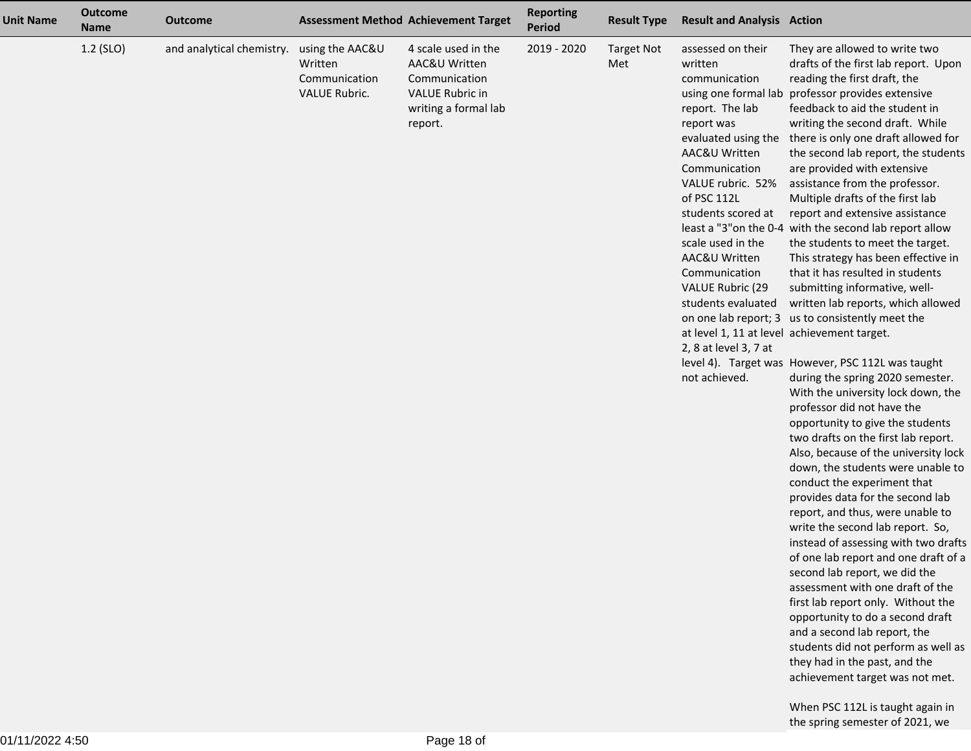| <b>Unit Name</b> | <b>Outcome</b><br><b>Name</b> | <b>Outcome</b>            | <b>Assessment Method Achievement Target</b>                         |                                                                                                                    | <b>Reporting</b><br><b>Period</b> | <b>Result Type</b>       | <b>Result and Analysis Action</b>                                                                                                                                                                                                                                                                                                                                    |                                                                                                                                                                                                                                                                                                                                                                                                                                                                                                                                                                                                                                                                                                                                                                                                                                                                                                                                                                                                                                                                                                                                                                                                                                                                                                                                                                                                                                                                                                                                                                                                                          |
|------------------|-------------------------------|---------------------------|---------------------------------------------------------------------|--------------------------------------------------------------------------------------------------------------------|-----------------------------------|--------------------------|----------------------------------------------------------------------------------------------------------------------------------------------------------------------------------------------------------------------------------------------------------------------------------------------------------------------------------------------------------------------|--------------------------------------------------------------------------------------------------------------------------------------------------------------------------------------------------------------------------------------------------------------------------------------------------------------------------------------------------------------------------------------------------------------------------------------------------------------------------------------------------------------------------------------------------------------------------------------------------------------------------------------------------------------------------------------------------------------------------------------------------------------------------------------------------------------------------------------------------------------------------------------------------------------------------------------------------------------------------------------------------------------------------------------------------------------------------------------------------------------------------------------------------------------------------------------------------------------------------------------------------------------------------------------------------------------------------------------------------------------------------------------------------------------------------------------------------------------------------------------------------------------------------------------------------------------------------------------------------------------------------|
|                  | 1.2 (SLO)                     | and analytical chemistry. | using the AAC&U<br>Written<br>Communication<br><b>VALUE Rubric.</b> | 4 scale used in the<br>AAC&U Written<br>Communication<br><b>VALUE Rubric in</b><br>writing a formal lab<br>report. | 2019 - 2020                       | <b>Target Not</b><br>Met | assessed on their<br>written<br>communication<br>report. The lab<br>report was<br>AAC&U Written<br>Communication<br>VALUE rubric. 52%<br>of PSC 112L<br>students scored at<br>scale used in the<br>AAC&U Written<br>Communication<br>VALUE Rubric (29<br>students evaluated<br>at level 1, 11 at level achievement target.<br>2, 8 at level 3, 7 at<br>not achieved. | They are allowed to write two<br>drafts of the first lab report. Upon<br>reading the first draft, the<br>using one formal lab professor provides extensive<br>feedback to aid the student in<br>writing the second draft. While<br>evaluated using the there is only one draft allowed for<br>the second lab report, the students<br>are provided with extensive<br>assistance from the professor.<br>Multiple drafts of the first lab<br>report and extensive assistance<br>least a "3" on the 0-4 with the second lab report allow<br>the students to meet the target.<br>This strategy has been effective in<br>that it has resulted in students<br>submitting informative, well-<br>written lab reports, which allowed<br>on one lab report; 3 us to consistently meet the<br>level 4). Target was However, PSC 112L was taught<br>during the spring 2020 semester.<br>With the university lock down, the<br>professor did not have the<br>opportunity to give the students<br>two drafts on the first lab report.<br>Also, because of the university lock<br>down, the students were unable to<br>conduct the experiment that<br>provides data for the second lab<br>report, and thus, were unable to<br>write the second lab report. So,<br>instead of assessing with two drafts<br>of one lab report and one draft of a<br>second lab report, we did the<br>assessment with one draft of the<br>first lab report only. Without the<br>opportunity to do a second draft<br>and a second lab report, the<br>students did not perform as well as<br>they had in the past, and the<br>achievement target was not met. |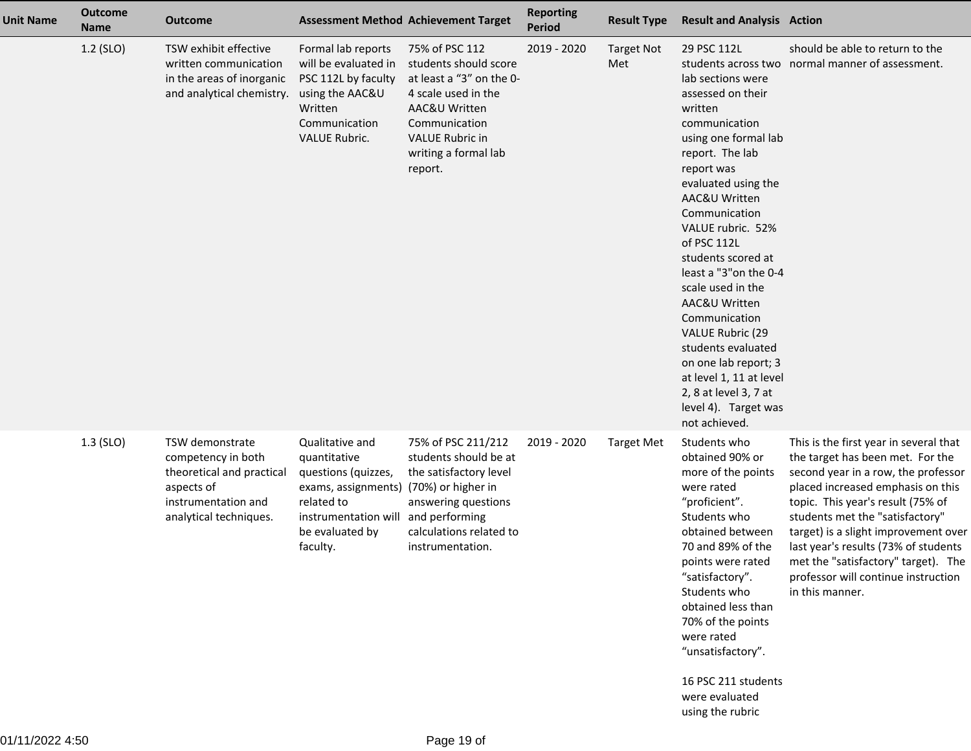| <b>Unit Name</b> | <b>Outcome</b><br><b>Name</b> | <b>Outcome</b>                                                                                                                    |                                                                                                                                                                       | <b>Assessment Method Achievement Target</b>                                                                                                                                               | <b>Reporting</b><br><b>Period</b> | <b>Result Type</b>       | <b>Result and Analysis Action</b>                                                                                                                                                                                                                                                                                                                                                                                                                                                                                    |                                                                                                                                                                                                                                                                                                                                                                                                                 |
|------------------|-------------------------------|-----------------------------------------------------------------------------------------------------------------------------------|-----------------------------------------------------------------------------------------------------------------------------------------------------------------------|-------------------------------------------------------------------------------------------------------------------------------------------------------------------------------------------|-----------------------------------|--------------------------|----------------------------------------------------------------------------------------------------------------------------------------------------------------------------------------------------------------------------------------------------------------------------------------------------------------------------------------------------------------------------------------------------------------------------------------------------------------------------------------------------------------------|-----------------------------------------------------------------------------------------------------------------------------------------------------------------------------------------------------------------------------------------------------------------------------------------------------------------------------------------------------------------------------------------------------------------|
|                  | 1.2 (SLO)                     | TSW exhibit effective<br>written communication<br>in the areas of inorganic<br>and analytical chemistry.                          | Formal lab reports<br>will be evaluated in<br>PSC 112L by faculty<br>using the AAC&U<br>Written<br>Communication<br><b>VALUE Rubric.</b>                              | 75% of PSC 112<br>students should score<br>at least a "3" on the 0-<br>4 scale used in the<br>AAC&U Written<br>Communication<br><b>VALUE Rubric in</b><br>writing a formal lab<br>report. | 2019 - 2020                       | <b>Target Not</b><br>Met | 29 PSC 112L<br>lab sections were<br>assessed on their<br>written<br>communication<br>using one formal lab<br>report. The lab<br>report was<br>evaluated using the<br>AAC&U Written<br>Communication<br>VALUE rubric. 52%<br>of PSC 112L<br>students scored at<br>least a "3" on the 0-4<br>scale used in the<br>AAC&U Written<br>Communication<br><b>VALUE Rubric (29</b><br>students evaluated<br>on one lab report; 3<br>at level 1, 11 at level<br>2, 8 at level 3, 7 at<br>level 4). Target was<br>not achieved. | should be able to return to the<br>students across two normal manner of assessment.                                                                                                                                                                                                                                                                                                                             |
|                  | $1.3$ (SLO)                   | TSW demonstrate<br>competency in both<br>theoretical and practical<br>aspects of<br>instrumentation and<br>analytical techniques. | Qualitative and<br>quantitative<br>questions (quizzes,<br>exams, assignments) (70%) or higher in<br>related to<br>instrumentation will<br>be evaluated by<br>faculty. | 75% of PSC 211/212<br>students should be at<br>the satisfactory level<br>answering questions<br>and performing<br>calculations related to<br>instrumentation.                             | 2019 - 2020                       | <b>Target Met</b>        | Students who<br>obtained 90% or<br>more of the points<br>were rated<br>"proficient".<br>Students who<br>obtained between<br>70 and 89% of the<br>points were rated<br>"satisfactory".<br>Students who<br>obtained less than<br>70% of the points<br>were rated<br>"unsatisfactory".<br>16 PSC 211 students<br>were evaluated<br>using the rubric                                                                                                                                                                     | This is the first year in several that<br>the target has been met. For the<br>second year in a row, the professor<br>placed increased emphasis on this<br>topic. This year's result (75% of<br>students met the "satisfactory"<br>target) is a slight improvement over<br>last year's results (73% of students<br>met the "satisfactory" target). The<br>professor will continue instruction<br>in this manner. |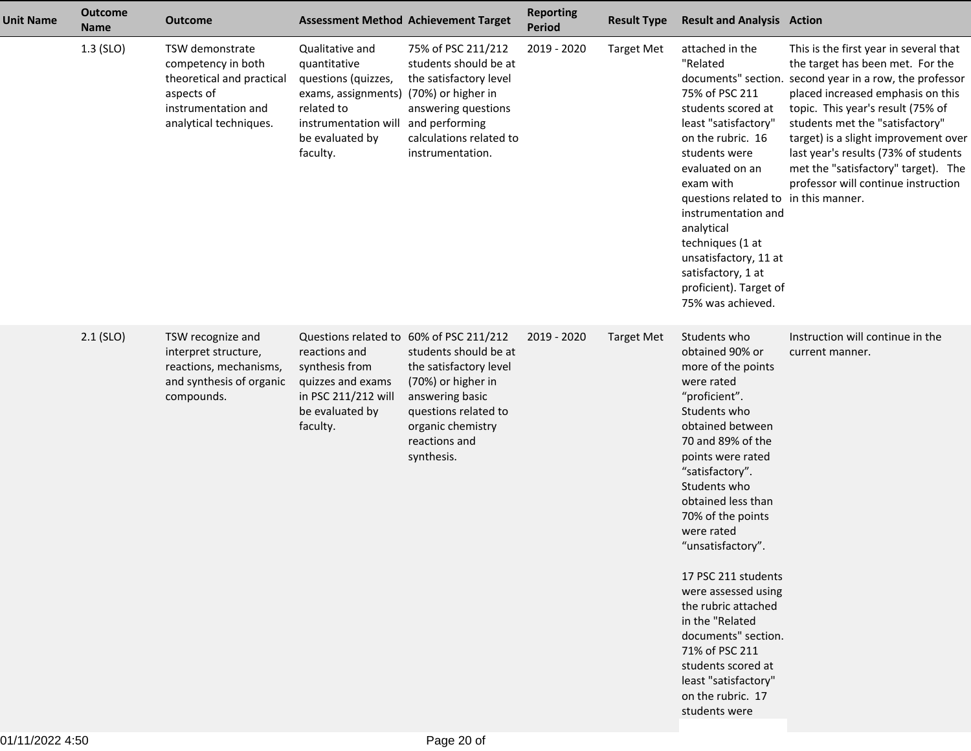| <b>Unit Name</b> | <b>Outcome</b><br><b>Name</b> | <b>Outcome</b>                                                                                                                    | <b>Assessment Method Achievement Target</b>                                                                                                                                          |                                                                                                                                                                      | <b>Reporting</b><br><b>Period</b> | <b>Result Type</b> | <b>Result and Analysis Action</b>                                                                                                                                                                                                                                                                                                                                                                                                                                                                        |                                                                                                                                                                                                                                                                                                                                                                                                                  |
|------------------|-------------------------------|-----------------------------------------------------------------------------------------------------------------------------------|--------------------------------------------------------------------------------------------------------------------------------------------------------------------------------------|----------------------------------------------------------------------------------------------------------------------------------------------------------------------|-----------------------------------|--------------------|----------------------------------------------------------------------------------------------------------------------------------------------------------------------------------------------------------------------------------------------------------------------------------------------------------------------------------------------------------------------------------------------------------------------------------------------------------------------------------------------------------|------------------------------------------------------------------------------------------------------------------------------------------------------------------------------------------------------------------------------------------------------------------------------------------------------------------------------------------------------------------------------------------------------------------|
|                  | $1.3$ (SLO)                   | TSW demonstrate<br>competency in both<br>theoretical and practical<br>aspects of<br>instrumentation and<br>analytical techniques. | Qualitative and<br>quantitative<br>questions (quizzes,<br>exams, assignments) (70%) or higher in<br>related to<br>instrumentation will and performing<br>be evaluated by<br>faculty. | 75% of PSC 211/212<br>students should be at<br>the satisfactory level<br>answering questions<br>calculations related to<br>instrumentation.                          | 2019 - 2020                       | <b>Target Met</b>  | attached in the<br>"Related<br>75% of PSC 211<br>students scored at<br>least "satisfactory"<br>on the rubric. 16<br>students were<br>evaluated on an<br>exam with<br>questions related to in this manner.<br>instrumentation and<br>analytical<br>techniques (1 at<br>unsatisfactory, 11 at<br>satisfactory, 1 at<br>proficient). Target of<br>75% was achieved.                                                                                                                                         | This is the first year in several that<br>the target has been met. For the<br>documents" section. second year in a row, the professor<br>placed increased emphasis on this<br>topic. This year's result (75% of<br>students met the "satisfactory"<br>target) is a slight improvement over<br>last year's results (73% of students<br>met the "satisfactory" target). The<br>professor will continue instruction |
|                  | $2.1$ (SLO)                   | TSW recognize and<br>interpret structure,<br>reactions, mechanisms,<br>and synthesis of organic<br>compounds.                     | Questions related to 60% of PSC 211/212<br>reactions and<br>synthesis from<br>quizzes and exams<br>in PSC 211/212 will<br>be evaluated by<br>faculty.                                | students should be at<br>the satisfactory level<br>(70%) or higher in<br>answering basic<br>questions related to<br>organic chemistry<br>reactions and<br>synthesis. | 2019 - 2020                       | <b>Target Met</b>  | Students who<br>obtained 90% or<br>more of the points<br>were rated<br>"proficient".<br>Students who<br>obtained between<br>70 and 89% of the<br>points were rated<br>"satisfactory".<br>Students who<br>obtained less than<br>70% of the points<br>were rated<br>"unsatisfactory".<br>17 PSC 211 students<br>were assessed using<br>the rubric attached<br>in the "Related<br>documents" section.<br>71% of PSC 211<br>students scored at<br>least "satisfactory"<br>on the rubric. 17<br>students were | Instruction will continue in the<br>current manner.                                                                                                                                                                                                                                                                                                                                                              |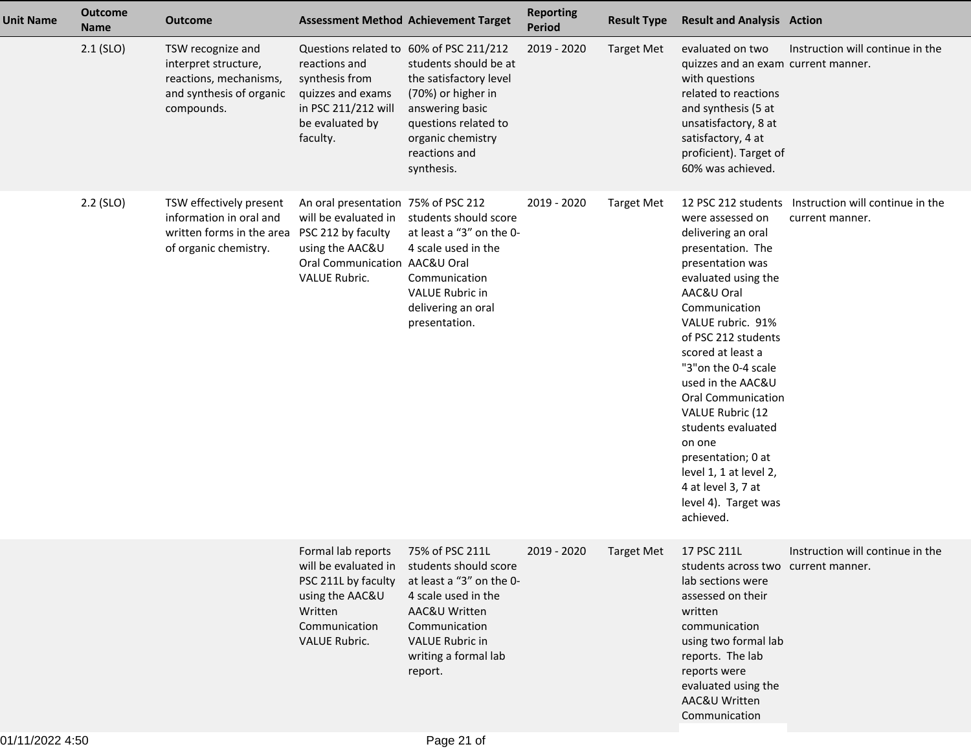| <b>Unit Name</b> | <b>Outcome</b><br><b>Name</b> | <b>Outcome</b>                                                                                                              |                                                                                                                                                       | <b>Assessment Method Achievement Target</b>                                                                                                                                                                     | <b>Reporting</b><br><b>Period</b> | <b>Result Type</b> | <b>Result and Analysis Action</b>                                                                                                                                                                                                                                                                                                                                                                                                               |                                                                         |
|------------------|-------------------------------|-----------------------------------------------------------------------------------------------------------------------------|-------------------------------------------------------------------------------------------------------------------------------------------------------|-----------------------------------------------------------------------------------------------------------------------------------------------------------------------------------------------------------------|-----------------------------------|--------------------|-------------------------------------------------------------------------------------------------------------------------------------------------------------------------------------------------------------------------------------------------------------------------------------------------------------------------------------------------------------------------------------------------------------------------------------------------|-------------------------------------------------------------------------|
|                  | $2.1$ (SLO)                   | TSW recognize and<br>interpret structure,<br>reactions, mechanisms,<br>and synthesis of organic<br>compounds.               | Questions related to 60% of PSC 211/212<br>reactions and<br>synthesis from<br>quizzes and exams<br>in PSC 211/212 will<br>be evaluated by<br>faculty. | students should be at<br>the satisfactory level<br>(70%) or higher in<br>answering basic<br>questions related to<br>organic chemistry<br>reactions and<br>synthesis.                                            | 2019 - 2020                       | <b>Target Met</b>  | evaluated on two<br>quizzes and an exam current manner.<br>with questions<br>related to reactions<br>and synthesis (5 at<br>unsatisfactory, 8 at<br>satisfactory, 4 at<br>proficient). Target of<br>60% was achieved.                                                                                                                                                                                                                           | Instruction will continue in the                                        |
|                  | 2.2 (SLO)                     | TSW effectively present<br>information in oral and<br>written forms in the area PSC 212 by faculty<br>of organic chemistry. | An oral presentation 75% of PSC 212<br>will be evaluated in<br>using the AAC&U<br>Oral Communication AAC&U Oral<br><b>VALUE Rubric.</b>               | students should score<br>at least a "3" on the 0-<br>4 scale used in the<br>Communication<br><b>VALUE Rubric in</b><br>delivering an oral<br>presentation.                                                      | 2019 - 2020                       | <b>Target Met</b>  | were assessed on<br>delivering an oral<br>presentation. The<br>presentation was<br>evaluated using the<br>AAC&U Oral<br>Communication<br>VALUE rubric. 91%<br>of PSC 212 students<br>scored at least a<br>"3" on the 0-4 scale<br>used in the AAC&U<br><b>Oral Communication</b><br>VALUE Rubric (12<br>students evaluated<br>on one<br>presentation; 0 at<br>level 1, 1 at level 2,<br>4 at level 3, 7 at<br>level 4). Target was<br>achieved. | 12 PSC 212 students Instruction will continue in the<br>current manner. |
|                  |                               |                                                                                                                             | Formal lab reports<br>PSC 211L by faculty<br>using the AAC&U<br>Written<br>Communication<br><b>VALUE Rubric.</b>                                      | 75% of PSC 211L<br>will be evaluated in students should score<br>at least a "3" on the 0-<br>4 scale used in the<br>AAC&U Written<br>Communication<br><b>VALUE Rubric in</b><br>writing a formal lab<br>report. | 2019 - 2020                       | <b>Target Met</b>  | 17 PSC 211L<br>students across two current manner.<br>lab sections were<br>assessed on their<br>written<br>communication<br>using two formal lab<br>reports. The lab<br>reports were<br>evaluated using the<br>AAC&U Written<br>Communication                                                                                                                                                                                                   | Instruction will continue in the                                        |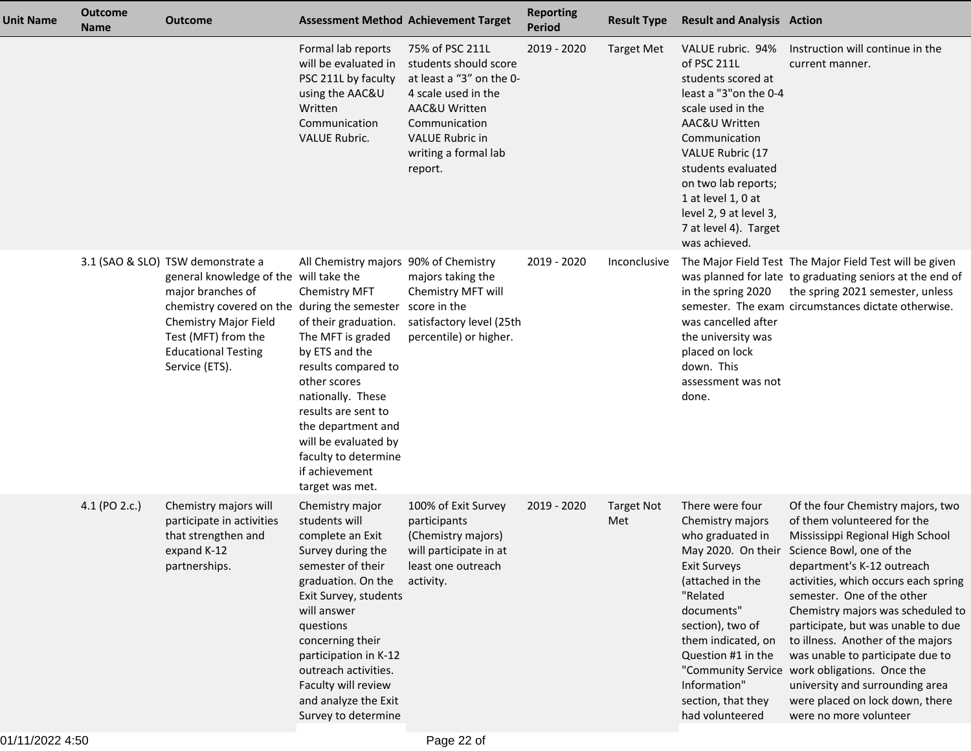| <b>Unit Name</b> | <b>Outcome</b><br><b>Name</b> | <b>Outcome</b>                                                                                                                                                                                                                                   |                                                                                                                                                                                                                                                                                                                      | <b>Assessment Method Achievement Target</b>                                                                                                                                                | <b>Reporting</b><br><b>Period</b> | <b>Result Type</b>       | <b>Result and Analysis Action</b>                                                                                                                                                                                                                                                                         |                                                                                                                                                                                                                                                                                                                                                                                                                                                                                                                                                              |
|------------------|-------------------------------|--------------------------------------------------------------------------------------------------------------------------------------------------------------------------------------------------------------------------------------------------|----------------------------------------------------------------------------------------------------------------------------------------------------------------------------------------------------------------------------------------------------------------------------------------------------------------------|--------------------------------------------------------------------------------------------------------------------------------------------------------------------------------------------|-----------------------------------|--------------------------|-----------------------------------------------------------------------------------------------------------------------------------------------------------------------------------------------------------------------------------------------------------------------------------------------------------|--------------------------------------------------------------------------------------------------------------------------------------------------------------------------------------------------------------------------------------------------------------------------------------------------------------------------------------------------------------------------------------------------------------------------------------------------------------------------------------------------------------------------------------------------------------|
|                  |                               |                                                                                                                                                                                                                                                  | Formal lab reports<br>will be evaluated in<br>PSC 211L by faculty<br>using the AAC&U<br>Written<br>Communication<br><b>VALUE Rubric.</b>                                                                                                                                                                             | 75% of PSC 211L<br>students should score<br>at least a "3" on the 0-<br>4 scale used in the<br>AAC&U Written<br>Communication<br><b>VALUE Rubric in</b><br>writing a formal lab<br>report. | 2019 - 2020                       | <b>Target Met</b>        | VALUE rubric. 94%<br>of PSC 211L<br>students scored at<br>least a "3" on the 0-4<br>scale used in the<br>AAC&U Written<br>Communication<br><b>VALUE Rubric (17</b><br>students evaluated<br>on two lab reports;<br>1 at level 1, 0 at<br>level 2, 9 at level 3,<br>7 at level 4). Target<br>was achieved. | Instruction will continue in the<br>current manner.                                                                                                                                                                                                                                                                                                                                                                                                                                                                                                          |
|                  |                               | 3.1 (SAO & SLO) TSW demonstrate a<br>general knowledge of the will take the<br>major branches of<br>chemistry covered on the during the semester<br>Chemistry Major Field<br>Test (MFT) from the<br><b>Educational Testing</b><br>Service (ETS). | All Chemistry majors 90% of Chemistry<br>Chemistry MFT<br>of their graduation.<br>The MFT is graded<br>by ETS and the<br>results compared to<br>other scores<br>nationally. These<br>results are sent to<br>the department and<br>will be evaluated by<br>faculty to determine<br>if achievement<br>target was met.  | majors taking the<br>Chemistry MFT will<br>score in the<br>satisfactory level (25th<br>percentile) or higher.                                                                              | 2019 - 2020                       | Inconclusive             | in the spring 2020<br>was cancelled after<br>the university was<br>placed on lock<br>down. This<br>assessment was not<br>done.                                                                                                                                                                            | The Major Field Test The Major Field Test will be given<br>was planned for late to graduating seniors at the end of<br>the spring 2021 semester, unless<br>semester. The exam circumstances dictate otherwise.                                                                                                                                                                                                                                                                                                                                               |
|                  | 4.1 (PO 2.c.)                 | Chemistry majors will<br>participate in activities<br>that strengthen and<br>expand K-12<br>partnerships.                                                                                                                                        | Chemistry major<br>students will<br>complete an Exit<br>Survey during the<br>semester of their<br>graduation. On the<br>Exit Survey, students<br>will answer<br>questions<br>concerning their<br>participation in K-12<br>outreach activities.<br>Faculty will review<br>and analyze the Exit<br>Survey to determine | 100% of Exit Survey<br>participants<br>(Chemistry majors)<br>will participate in at<br>least one outreach<br>activity.                                                                     | 2019 - 2020                       | <b>Target Not</b><br>Met | There were four<br>Chemistry majors<br>who graduated in<br><b>Exit Surveys</b><br>(attached in the<br>"Related<br>documents"<br>section), two of<br>them indicated, on<br>Question #1 in the<br>Information"<br>section, that they<br>had volunteered                                                     | Of the four Chemistry majors, two<br>of them volunteered for the<br>Mississippi Regional High School<br>May 2020. On their Science Bowl, one of the<br>department's K-12 outreach<br>activities, which occurs each spring<br>semester. One of the other<br>Chemistry majors was scheduled to<br>participate, but was unable to due<br>to illness. Another of the majors<br>was unable to participate due to<br>"Community Service work obligations. Once the<br>university and surrounding area<br>were placed on lock down, there<br>were no more volunteer |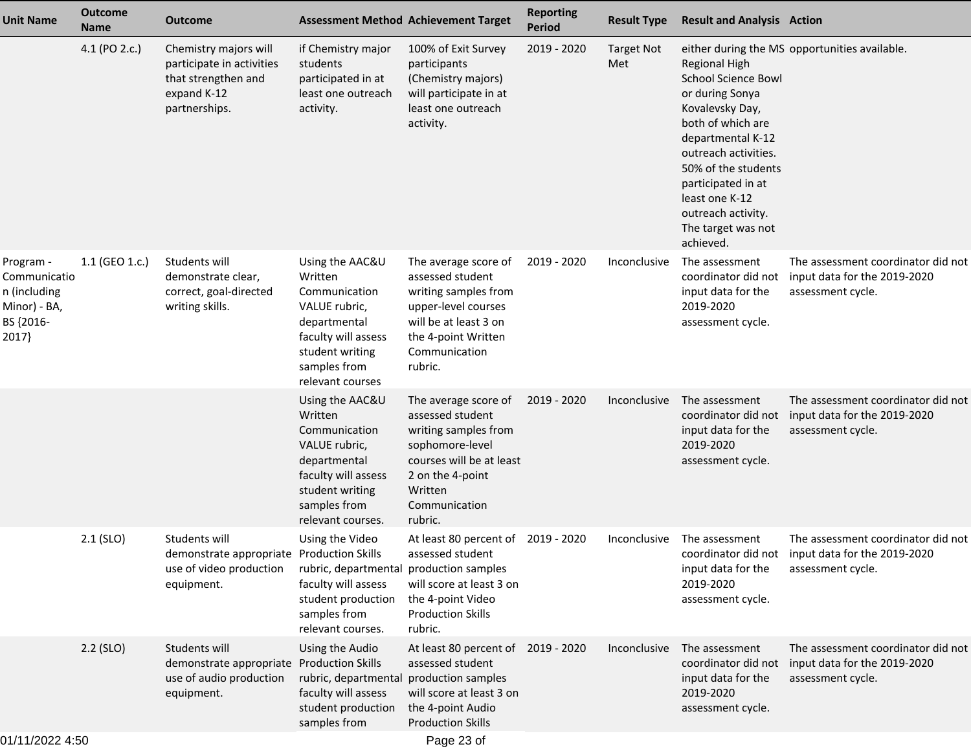| <b>Unit Name</b>                                                                | <b>Outcome</b><br><b>Name</b> | <b>Outcome</b>                                                                                            |                                                                                                                                                             | <b>Assessment Method Achievement Target</b>                                                                                                                                | <b>Reporting</b><br><b>Period</b> | <b>Result Type</b>       | <b>Result and Analysis Action</b>                                                                                                                                                                                                                                                  |                                                                                                             |
|---------------------------------------------------------------------------------|-------------------------------|-----------------------------------------------------------------------------------------------------------|-------------------------------------------------------------------------------------------------------------------------------------------------------------|----------------------------------------------------------------------------------------------------------------------------------------------------------------------------|-----------------------------------|--------------------------|------------------------------------------------------------------------------------------------------------------------------------------------------------------------------------------------------------------------------------------------------------------------------------|-------------------------------------------------------------------------------------------------------------|
|                                                                                 | 4.1 (PO 2.c.)                 | Chemistry majors will<br>participate in activities<br>that strengthen and<br>expand K-12<br>partnerships. | if Chemistry major<br>students<br>participated in at<br>least one outreach<br>activity.                                                                     | 100% of Exit Survey<br>participants<br>(Chemistry majors)<br>will participate in at<br>least one outreach<br>activity.                                                     | 2019 - 2020                       | <b>Target Not</b><br>Met | <b>Regional High</b><br><b>School Science Bowl</b><br>or during Sonya<br>Kovalevsky Day,<br>both of which are<br>departmental K-12<br>outreach activities.<br>50% of the students<br>participated in at<br>least one K-12<br>outreach activity.<br>The target was not<br>achieved. | either during the MS opportunities available.                                                               |
| Program -<br>Communicatio<br>n (including<br>Minor) - BA,<br>BS {2016-<br>2017} | 1.1 (GEO 1.c.)                | Students will<br>demonstrate clear,<br>correct, goal-directed<br>writing skills.                          | Using the AAC&U<br>Written<br>Communication<br>VALUE rubric,<br>departmental<br>faculty will assess<br>student writing<br>samples from<br>relevant courses  | The average score of<br>assessed student<br>writing samples from<br>upper-level courses<br>will be at least 3 on<br>the 4-point Written<br>Communication<br>rubric.        | 2019 - 2020                       | Inconclusive             | The assessment<br>coordinator did not<br>input data for the<br>2019-2020<br>assessment cycle.                                                                                                                                                                                      | The assessment coordinator did not<br>input data for the 2019-2020<br>assessment cycle.                     |
|                                                                                 |                               |                                                                                                           | Using the AAC&U<br>Written<br>Communication<br>VALUE rubric,<br>departmental<br>faculty will assess<br>student writing<br>samples from<br>relevant courses. | The average score of<br>assessed student<br>writing samples from<br>sophomore-level<br>courses will be at least<br>2 on the 4-point<br>Written<br>Communication<br>rubric. | 2019 - 2020                       | Inconclusive             | The assessment<br>coordinator did not<br>input data for the<br>2019-2020<br>assessment cycle.                                                                                                                                                                                      | The assessment coordinator did not<br>input data for the 2019-2020<br>assessment cycle.                     |
|                                                                                 | $2.1$ (SLO)                   | Students will<br>demonstrate appropriate Production Skills<br>use of video production<br>equipment.       | Using the Video<br>rubric, departmental production samples<br>faculty will assess<br>student production<br>samples from<br>relevant courses.                | At least 80 percent of 2019 - 2020<br>assessed student<br>will score at least 3 on<br>the 4-point Video<br><b>Production Skills</b><br>rubric.                             |                                   | Inconclusive             | The assessment<br>input data for the<br>2019-2020<br>assessment cycle.                                                                                                                                                                                                             | The assessment coordinator did not<br>coordinator did not input data for the 2019-2020<br>assessment cycle. |
|                                                                                 | $2.2$ (SLO)                   | Students will<br>demonstrate appropriate Production Skills<br>use of audio production<br>equipment.       | Using the Audio<br>rubric, departmental<br>faculty will assess<br>student production<br>samples from                                                        | At least 80 percent of 2019 - 2020<br>assessed student<br>production samples<br>will score at least 3 on<br>the 4-point Audio<br><b>Production Skills</b>                  |                                   | Inconclusive             | The assessment<br>coordinator did not<br>input data for the<br>2019-2020<br>assessment cycle.                                                                                                                                                                                      | The assessment coordinator did not<br>input data for the 2019-2020<br>assessment cycle.                     |
| 01/11/2022 4:50                                                                 |                               |                                                                                                           |                                                                                                                                                             | Page 23 of                                                                                                                                                                 |                                   |                          |                                                                                                                                                                                                                                                                                    |                                                                                                             |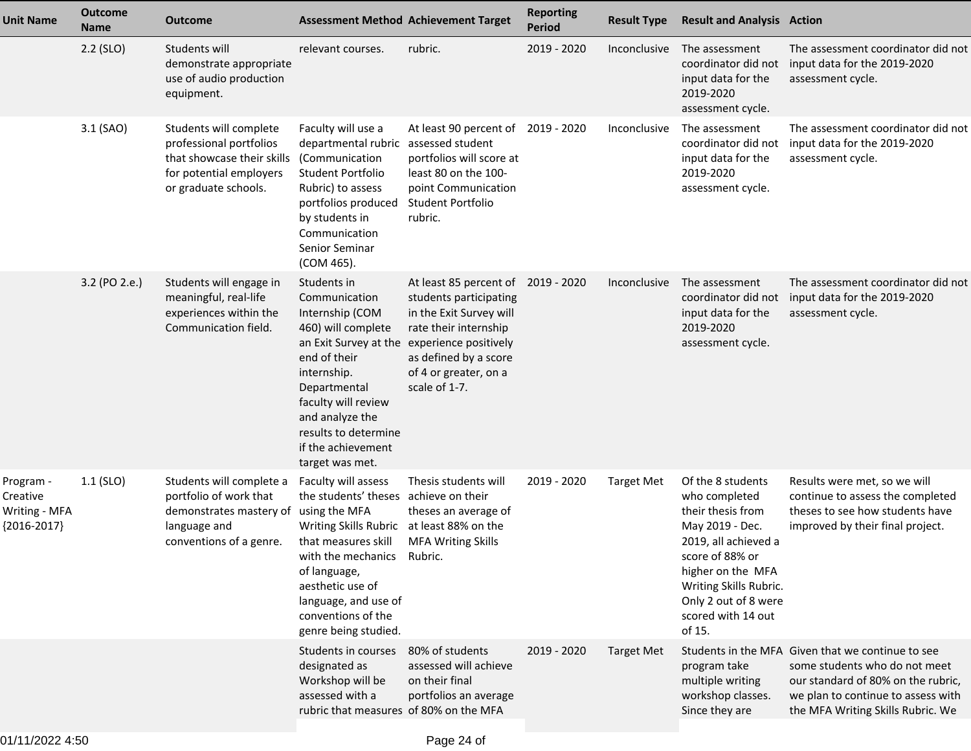| <b>Unit Name</b>                                      | <b>Outcome</b><br><b>Name</b> | Outcome                                                                                                                                | <b>Assessment Method Achievement Target</b>                                                                                                                                                                                                                              |                                                                                                                                                                                                                                    | <b>Reporting</b><br><b>Period</b> | <b>Result Type</b>  | <b>Result and Analysis Action</b>                                                                                                                                                                                            |                                                                                                                                                                                                     |
|-------------------------------------------------------|-------------------------------|----------------------------------------------------------------------------------------------------------------------------------------|--------------------------------------------------------------------------------------------------------------------------------------------------------------------------------------------------------------------------------------------------------------------------|------------------------------------------------------------------------------------------------------------------------------------------------------------------------------------------------------------------------------------|-----------------------------------|---------------------|------------------------------------------------------------------------------------------------------------------------------------------------------------------------------------------------------------------------------|-----------------------------------------------------------------------------------------------------------------------------------------------------------------------------------------------------|
|                                                       | $2.2$ (SLO)                   | Students will<br>demonstrate appropriate<br>use of audio production<br>equipment.                                                      | relevant courses.                                                                                                                                                                                                                                                        | rubric.                                                                                                                                                                                                                            | 2019 - 2020                       | Inconclusive        | The assessment<br>coordinator did not<br>input data for the<br>2019-2020<br>assessment cycle.                                                                                                                                | The assessment coordinator did not<br>input data for the 2019-2020<br>assessment cycle.                                                                                                             |
|                                                       | 3.1 (SAO)                     | Students will complete<br>professional portfolios<br>that showcase their skills<br>for potential employers<br>or graduate schools.     | Faculty will use a<br>departmental rubric assessed student<br>(Communication<br>Student Portfolio<br>Rubric) to assess<br>portfolios produced<br>by students in<br>Communication<br>Senior Seminar<br>(COM 465).                                                         | At least 90 percent of<br>portfolios will score at<br>least 80 on the 100-<br>point Communication<br>Student Portfolio<br>rubric.                                                                                                  | 2019 - 2020                       | Inconclusive        | The assessment<br>coordinator did not<br>input data for the<br>2019-2020<br>assessment cycle.                                                                                                                                | The assessment coordinator did not<br>input data for the 2019-2020<br>assessment cycle.                                                                                                             |
|                                                       | 3.2 (PO 2.e.)                 | Students will engage in<br>meaningful, real-life<br>experiences within the<br>Communication field.                                     | Students in<br>Communication<br>Internship (COM<br>460) will complete<br>end of their<br>internship.<br>Departmental<br>faculty will review<br>and analyze the<br>results to determine<br>if the achievement<br>target was met.                                          | At least 85 percent of 2019 - 2020<br>students participating<br>in the Exit Survey will<br>rate their internship<br>an Exit Survey at the experience positively<br>as defined by a score<br>of 4 or greater, on a<br>scale of 1-7. |                                   | <b>Inconclusive</b> | The assessment<br>coordinator did not<br>input data for the<br>2019-2020<br>assessment cycle.                                                                                                                                | The assessment coordinator did not<br>input data for the 2019-2020<br>assessment cycle.                                                                                                             |
| Program -<br>Creative<br>Writing - MFA<br>{2016-2017} | $1.1$ (SLO)                   | Students will complete a<br>portfolio of work that<br>demonstrates mastery of using the MFA<br>language and<br>conventions of a genre. | Faculty will assess<br>the students' theses achieve on their<br>Writing Skills Rubric at least 88% on the<br>that measures skill<br>with the mechanics Rubric.<br>of language,<br>aesthetic use of<br>language, and use of<br>conventions of the<br>genre being studied. | Thesis students will<br>theses an average of<br><b>MFA Writing Skills</b>                                                                                                                                                          | 2019 - 2020                       | <b>Target Met</b>   | Of the 8 students<br>who completed<br>their thesis from<br>May 2019 - Dec.<br>2019, all achieved a<br>score of 88% or<br>higher on the MFA<br>Writing Skills Rubric.<br>Only 2 out of 8 were<br>scored with 14 out<br>of 15. | Results were met, so we will<br>continue to assess the completed<br>theses to see how students have<br>improved by their final project.                                                             |
|                                                       |                               |                                                                                                                                        | Students in courses<br>designated as<br>Workshop will be<br>assessed with a<br>rubric that measures of 80% on the MFA                                                                                                                                                    | 80% of students<br>assessed will achieve<br>on their final<br>portfolios an average                                                                                                                                                | 2019 - 2020                       | <b>Target Met</b>   | program take<br>multiple writing<br>workshop classes.<br>Since they are                                                                                                                                                      | Students in the MFA Given that we continue to see<br>some students who do not meet<br>our standard of 80% on the rubric,<br>we plan to continue to assess with<br>the MFA Writing Skills Rubric. We |
|                                                       |                               |                                                                                                                                        |                                                                                                                                                                                                                                                                          |                                                                                                                                                                                                                                    |                                   |                     |                                                                                                                                                                                                                              |                                                                                                                                                                                                     |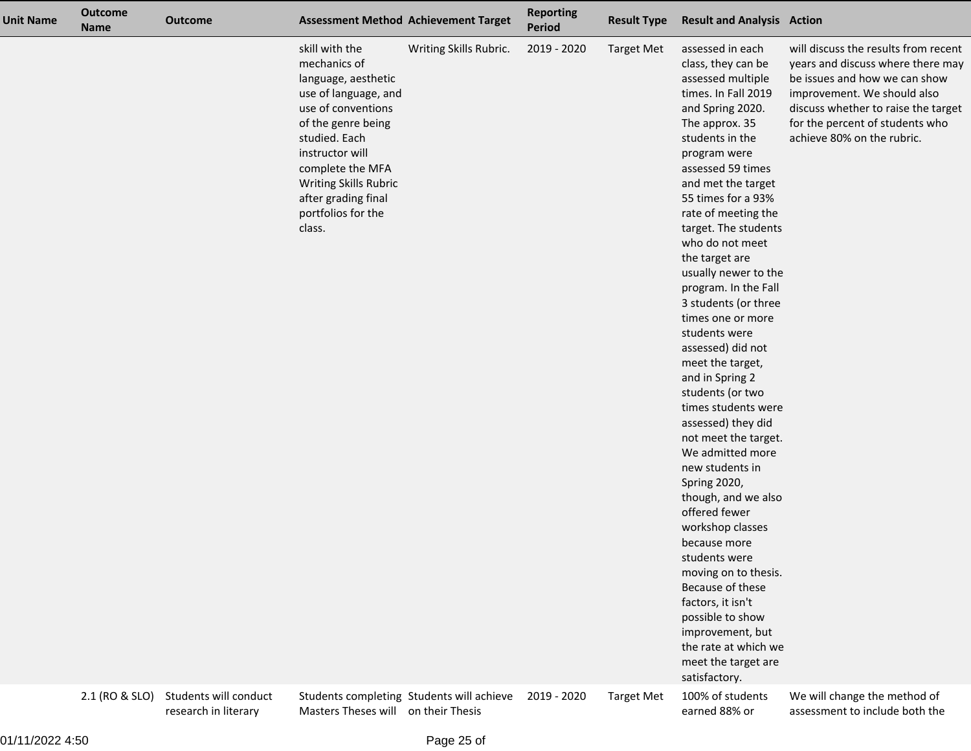| <b>Unit Name</b> | <b>Outcome</b><br><b>Name</b> | <b>Outcome</b>                                |                                                                                                                                                                                                                                                                   | <b>Assessment Method Achievement Target</b> | <b>Reporting</b><br><b>Period</b> | <b>Result Type</b> | <b>Result and Analysis Action</b>                                                                                                                                                                                                                                                                                                                                                                                                                                                                                                                                                                                                                                                                                                                                                                                                                                                                                |                                                                                                                                                                                                                                                   |
|------------------|-------------------------------|-----------------------------------------------|-------------------------------------------------------------------------------------------------------------------------------------------------------------------------------------------------------------------------------------------------------------------|---------------------------------------------|-----------------------------------|--------------------|------------------------------------------------------------------------------------------------------------------------------------------------------------------------------------------------------------------------------------------------------------------------------------------------------------------------------------------------------------------------------------------------------------------------------------------------------------------------------------------------------------------------------------------------------------------------------------------------------------------------------------------------------------------------------------------------------------------------------------------------------------------------------------------------------------------------------------------------------------------------------------------------------------------|---------------------------------------------------------------------------------------------------------------------------------------------------------------------------------------------------------------------------------------------------|
|                  |                               |                                               | skill with the<br>mechanics of<br>language, aesthetic<br>use of language, and<br>use of conventions<br>of the genre being<br>studied. Each<br>instructor will<br>complete the MFA<br>Writing Skills Rubric<br>after grading final<br>portfolios for the<br>class. | Writing Skills Rubric.                      | 2019 - 2020                       | <b>Target Met</b>  | assessed in each<br>class, they can be<br>assessed multiple<br>times. In Fall 2019<br>and Spring 2020.<br>The approx. 35<br>students in the<br>program were<br>assessed 59 times<br>and met the target<br>55 times for a 93%<br>rate of meeting the<br>target. The students<br>who do not meet<br>the target are<br>usually newer to the<br>program. In the Fall<br>3 students (or three<br>times one or more<br>students were<br>assessed) did not<br>meet the target,<br>and in Spring 2<br>students (or two<br>times students were<br>assessed) they did<br>not meet the target.<br>We admitted more<br>new students in<br>Spring 2020,<br>though, and we also<br>offered fewer<br>workshop classes<br>because more<br>students were<br>moving on to thesis.<br>Because of these<br>factors, it isn't<br>possible to show<br>improvement, but<br>the rate at which we<br>meet the target are<br>satisfactory. | will discuss the results from recent<br>years and discuss where there may<br>be issues and how we can show<br>improvement. We should also<br>discuss whether to raise the target<br>for the percent of students who<br>achieve 80% on the rubric. |
|                  | 2.1 (RO & SLO)                | Students will conduct<br>research in literary | Masters Theses will on their Thesis                                                                                                                                                                                                                               | Students completing Students will achieve   | 2019 - 2020                       | <b>Target Met</b>  | 100% of students<br>earned 88% or                                                                                                                                                                                                                                                                                                                                                                                                                                                                                                                                                                                                                                                                                                                                                                                                                                                                                | We will change the method of<br>assessment to include both the                                                                                                                                                                                    |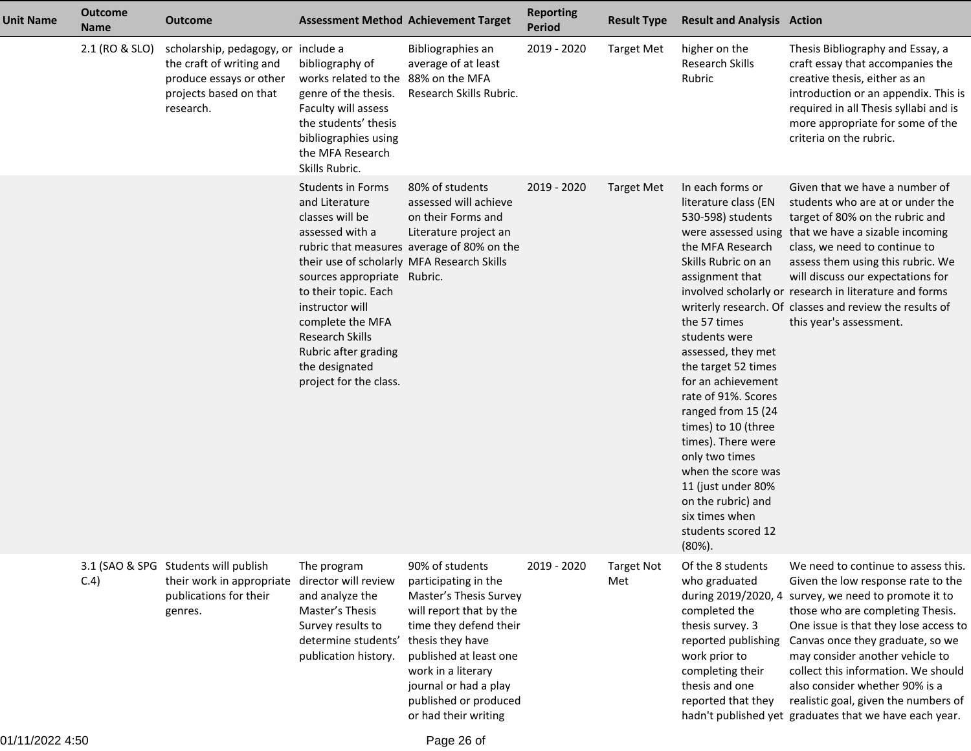| <b>Unit Name</b> | <b>Outcome</b><br><b>Name</b> | <b>Outcome</b>                                                                                                                    |                                                                                                                                                                                                                                                                                                                     | <b>Assessment Method Achievement Target</b>                                                                                                                                                                                                                          | <b>Reporting</b><br>Period | <b>Result Type</b>       | <b>Result and Analysis Action</b>                                                                                                                                                                                                                                                                                                                                                                                                                                   |                                                                                                                                                                                                                                                                                                                                                                                                                                              |
|------------------|-------------------------------|-----------------------------------------------------------------------------------------------------------------------------------|---------------------------------------------------------------------------------------------------------------------------------------------------------------------------------------------------------------------------------------------------------------------------------------------------------------------|----------------------------------------------------------------------------------------------------------------------------------------------------------------------------------------------------------------------------------------------------------------------|----------------------------|--------------------------|---------------------------------------------------------------------------------------------------------------------------------------------------------------------------------------------------------------------------------------------------------------------------------------------------------------------------------------------------------------------------------------------------------------------------------------------------------------------|----------------------------------------------------------------------------------------------------------------------------------------------------------------------------------------------------------------------------------------------------------------------------------------------------------------------------------------------------------------------------------------------------------------------------------------------|
|                  | 2.1 (RO & SLO)                | scholarship, pedagogy, or include a<br>the craft of writing and<br>produce essays or other<br>projects based on that<br>research. | bibliography of<br>works related to the 88% on the MFA<br>genre of the thesis.<br>Faculty will assess<br>the students' thesis<br>bibliographies using<br>the MFA Research<br>Skills Rubric.                                                                                                                         | Bibliographies an<br>average of at least<br>Research Skills Rubric.                                                                                                                                                                                                  | 2019 - 2020                | <b>Target Met</b>        | higher on the<br>Research Skills<br>Rubric                                                                                                                                                                                                                                                                                                                                                                                                                          | Thesis Bibliography and Essay, a<br>craft essay that accompanies the<br>creative thesis, either as an<br>introduction or an appendix. This is<br>required in all Thesis syllabi and is<br>more appropriate for some of the<br>criteria on the rubric.                                                                                                                                                                                        |
|                  |                               |                                                                                                                                   | <b>Students in Forms</b><br>and Literature<br>classes will be<br>assessed with a<br>their use of scholarly MFA Research Skills<br>sources appropriate Rubric.<br>to their topic. Each<br>instructor will<br>complete the MFA<br>Research Skills<br>Rubric after grading<br>the designated<br>project for the class. | 80% of students<br>assessed will achieve<br>on their Forms and<br>Literature project an<br>rubric that measures average of 80% on the                                                                                                                                | 2019 - 2020                | <b>Target Met</b>        | In each forms or<br>literature class (EN<br>530-598) students<br>the MFA Research<br>Skills Rubric on an<br>assignment that<br>the 57 times<br>students were<br>assessed, they met<br>the target 52 times<br>for an achievement<br>rate of 91%. Scores<br>ranged from 15 (24<br>times) to 10 (three<br>times). There were<br>only two times<br>when the score was<br>11 (just under 80%<br>on the rubric) and<br>six times when<br>students scored 12<br>$(80\%)$ . | Given that we have a number of<br>students who are at or under the<br>target of 80% on the rubric and<br>were assessed using that we have a sizable incoming<br>class, we need to continue to<br>assess them using this rubric. We<br>will discuss our expectations for<br>involved scholarly or research in literature and forms<br>writerly research. Of classes and review the results of<br>this year's assessment.                      |
|                  | C.4)                          | 3.1 (SAO & SPG Students will publish<br>their work in appropriate<br>publications for their<br>genres.                            | The program<br>director will review<br>and analyze the<br>Master's Thesis<br>Survey results to<br>determine students'<br>publication history.                                                                                                                                                                       | 90% of students<br>participating in the<br>Master's Thesis Survey<br>will report that by the<br>time they defend their<br>thesis they have<br>published at least one<br>work in a literary<br>journal or had a play<br>published or produced<br>or had their writing | 2019 - 2020                | <b>Target Not</b><br>Met | Of the 8 students<br>who graduated<br>during 2019/2020, 4<br>completed the<br>thesis survey. 3<br>reported publishing<br>work prior to<br>completing their<br>thesis and one<br>reported that they                                                                                                                                                                                                                                                                  | We need to continue to assess this.<br>Given the low response rate to the<br>survey, we need to promote it to<br>those who are completing Thesis.<br>One issue is that they lose access to<br>Canvas once they graduate, so we<br>may consider another vehicle to<br>collect this information. We should<br>also consider whether 90% is a<br>realistic goal, given the numbers of<br>hadn't published yet graduates that we have each year. |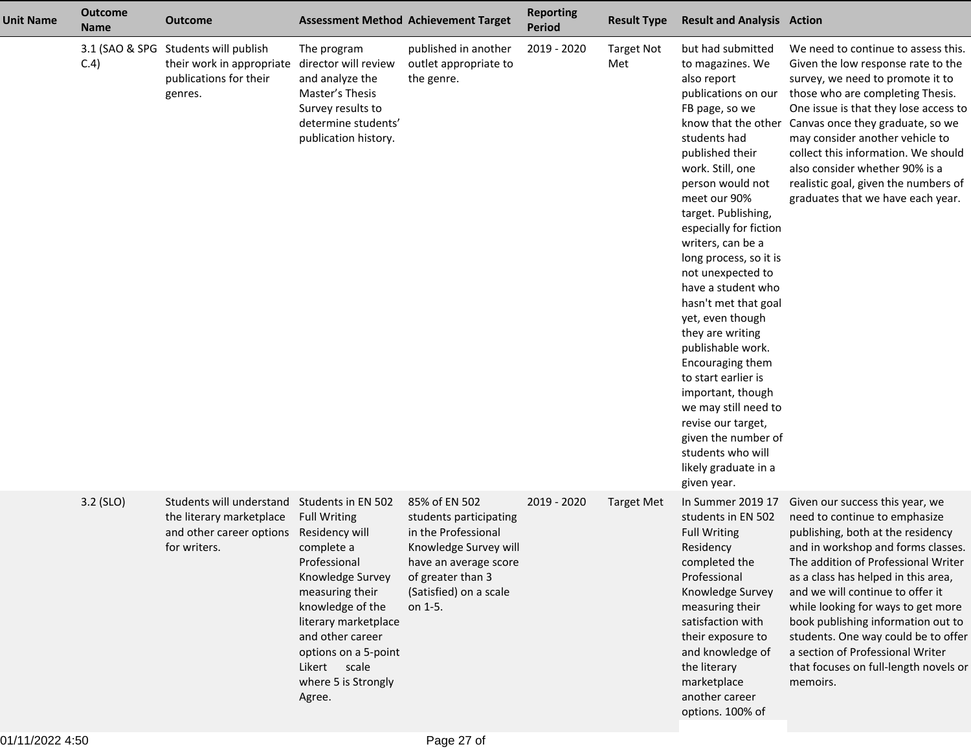| <b>Unit Name</b> | <b>Outcome</b><br><b>Name</b> | <b>Outcome</b>                                                                                   |                                                                                                                                                                                                                                                                           | <b>Assessment Method Achievement Target</b>                                                                                                                                | <b>Reporting</b><br><b>Period</b> | <b>Result Type</b>       | <b>Result and Analysis Action</b>                                                                                                                                                                                                                                                                                                                                                                                                                                                                                                                                                                                                                |                                                                                                                                                                                                                                                                                                                                                                                                                                                                           |
|------------------|-------------------------------|--------------------------------------------------------------------------------------------------|---------------------------------------------------------------------------------------------------------------------------------------------------------------------------------------------------------------------------------------------------------------------------|----------------------------------------------------------------------------------------------------------------------------------------------------------------------------|-----------------------------------|--------------------------|--------------------------------------------------------------------------------------------------------------------------------------------------------------------------------------------------------------------------------------------------------------------------------------------------------------------------------------------------------------------------------------------------------------------------------------------------------------------------------------------------------------------------------------------------------------------------------------------------------------------------------------------------|---------------------------------------------------------------------------------------------------------------------------------------------------------------------------------------------------------------------------------------------------------------------------------------------------------------------------------------------------------------------------------------------------------------------------------------------------------------------------|
|                  | 3.1 (SAO & SPG<br>C.4)        | Students will publish<br>their work in appropriate<br>publications for their<br>genres.          | The program<br>director will review<br>and analyze the<br>Master's Thesis<br>Survey results to<br>determine students'<br>publication history.                                                                                                                             | published in another<br>outlet appropriate to<br>the genre.                                                                                                                | 2019 - 2020                       | <b>Target Not</b><br>Met | but had submitted<br>to magazines. We<br>also report<br>publications on our<br>FB page, so we<br>know that the other<br>students had<br>published their<br>work. Still, one<br>person would not<br>meet our 90%<br>target. Publishing,<br>especially for fiction<br>writers, can be a<br>long process, so it is<br>not unexpected to<br>have a student who<br>hasn't met that goal<br>yet, even though<br>they are writing<br>publishable work.<br>Encouraging them<br>to start earlier is<br>important, though<br>we may still need to<br>revise our target,<br>given the number of<br>students who will<br>likely graduate in a<br>given year. | We need to continue to assess this.<br>Given the low response rate to the<br>survey, we need to promote it to<br>those who are completing Thesis.<br>One issue is that they lose access to<br>Canvas once they graduate, so we<br>may consider another vehicle to<br>collect this information. We should<br>also consider whether 90% is a<br>realistic goal, given the numbers of<br>graduates that we have each year.                                                   |
|                  | 3.2 (SLO)                     | Students will understand<br>the literary marketplace<br>and other career options<br>for writers. | Students in EN 502<br><b>Full Writing</b><br>Residency will<br>complete a<br>Professional<br>Knowledge Survey<br>measuring their<br>knowledge of the<br>literary marketplace<br>and other career<br>options on a 5-point<br>Likert scale<br>where 5 is Strongly<br>Agree. | 85% of EN 502<br>students participating<br>in the Professional<br>Knowledge Survey will<br>have an average score<br>of greater than 3<br>(Satisfied) on a scale<br>on 1-5. | 2019 - 2020                       | <b>Target Met</b>        | In Summer 2019 17<br>students in EN 502<br><b>Full Writing</b><br>Residency<br>completed the<br>Professional<br>Knowledge Survey<br>measuring their<br>satisfaction with<br>their exposure to<br>and knowledge of<br>the literary<br>marketplace<br>another career<br>options. 100% of                                                                                                                                                                                                                                                                                                                                                           | Given our success this year, we<br>need to continue to emphasize<br>publishing, both at the residency<br>and in workshop and forms classes.<br>The addition of Professional Writer<br>as a class has helped in this area,<br>and we will continue to offer it<br>while looking for ways to get more<br>book publishing information out to<br>students. One way could be to offer<br>a section of Professional Writer<br>that focuses on full-length novels or<br>memoirs. |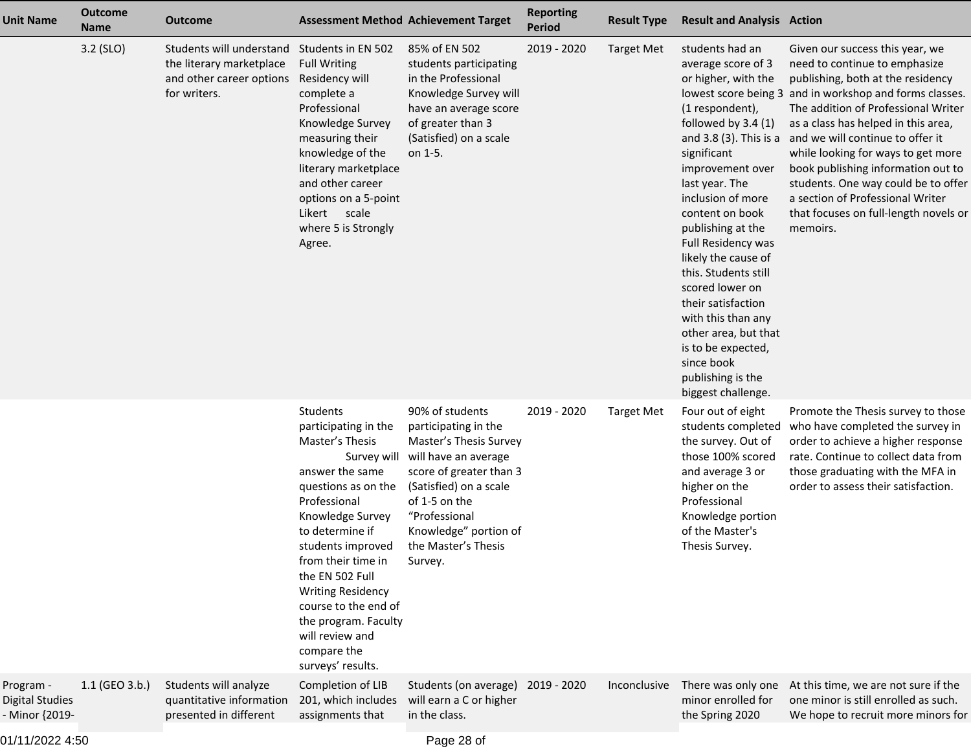| <b>Unit Name</b>                               | <b>Outcome</b><br><b>Name</b> | <b>Outcome</b>                                                                                   |                                                                                                                                                                                                                                                                                                                                                       | <b>Assessment Method Achievement Target</b>                                                                                                                                                                                                             | <b>Reporting</b><br><b>Period</b> | <b>Result Type</b> | <b>Result and Analysis Action</b>                                                                                                                                                                                                                                                                                                                                                                                                                                    |                                                                                                                                                                                                                                                                                                                                                                                                                                                                                                                       |
|------------------------------------------------|-------------------------------|--------------------------------------------------------------------------------------------------|-------------------------------------------------------------------------------------------------------------------------------------------------------------------------------------------------------------------------------------------------------------------------------------------------------------------------------------------------------|---------------------------------------------------------------------------------------------------------------------------------------------------------------------------------------------------------------------------------------------------------|-----------------------------------|--------------------|----------------------------------------------------------------------------------------------------------------------------------------------------------------------------------------------------------------------------------------------------------------------------------------------------------------------------------------------------------------------------------------------------------------------------------------------------------------------|-----------------------------------------------------------------------------------------------------------------------------------------------------------------------------------------------------------------------------------------------------------------------------------------------------------------------------------------------------------------------------------------------------------------------------------------------------------------------------------------------------------------------|
|                                                | 3.2 (SLO)                     | Students will understand<br>the literary marketplace<br>and other career options<br>for writers. | Students in EN 502<br><b>Full Writing</b><br>Residency will<br>complete a<br>Professional<br>Knowledge Survey<br>measuring their<br>knowledge of the<br>literary marketplace<br>and other career<br>options on a 5-point<br>Likert scale<br>where 5 is Strongly<br>Agree.                                                                             | 85% of EN 502<br>students participating<br>in the Professional<br>Knowledge Survey will<br>have an average score<br>of greater than 3<br>(Satisfied) on a scale<br>on 1-5.                                                                              | 2019 - 2020                       | <b>Target Met</b>  | students had an<br>average score of 3<br>or higher, with the<br>(1 respondent),<br>followed by $3.4(1)$<br>significant<br>improvement over<br>last year. The<br>inclusion of more<br>content on book<br>publishing at the<br>Full Residency was<br>likely the cause of<br>this. Students still<br>scored lower on<br>their satisfaction<br>with this than any<br>other area, but that<br>is to be expected,<br>since book<br>publishing is the<br>biggest challenge. | Given our success this year, we<br>need to continue to emphasize<br>publishing, both at the residency<br>lowest score being 3 and in workshop and forms classes.<br>The addition of Professional Writer<br>as a class has helped in this area,<br>and 3.8 (3). This is a and we will continue to offer it<br>while looking for ways to get more<br>book publishing information out to<br>students. One way could be to offer<br>a section of Professional Writer<br>that focuses on full-length novels or<br>memoirs. |
|                                                |                               |                                                                                                  | Students<br>participating in the<br>Master's Thesis<br>answer the same<br>questions as on the<br>Professional<br>Knowledge Survey<br>to determine if<br>students improved<br>from their time in<br>the EN 502 Full<br><b>Writing Residency</b><br>course to the end of<br>the program. Faculty<br>will review and<br>compare the<br>surveys' results. | 90% of students<br>participating in the<br>Master's Thesis Survey<br>Survey will will have an average<br>score of greater than 3<br>(Satisfied) on a scale<br>of 1-5 on the<br>"Professional<br>Knowledge" portion of<br>the Master's Thesis<br>Survey. | 2019 - 2020                       | <b>Target Met</b>  | Four out of eight<br>students completed<br>the survey. Out of<br>those 100% scored<br>and average 3 or<br>higher on the<br>Professional<br>Knowledge portion<br>of the Master's<br>Thesis Survey.                                                                                                                                                                                                                                                                    | Promote the Thesis survey to those<br>who have completed the survey in<br>order to achieve a higher response<br>rate. Continue to collect data from<br>those graduating with the MFA in<br>order to assess their satisfaction.                                                                                                                                                                                                                                                                                        |
| Program -<br>Digital Studies<br>- Minor {2019- | 1.1 (GEO 3.b.)                | Students will analyze<br>quantitative information<br>presented in different                      | Completion of LIB<br>201, which includes<br>assignments that                                                                                                                                                                                                                                                                                          | Students (on average)<br>will earn a C or higher<br>in the class.                                                                                                                                                                                       | 2019 - 2020                       | Inconclusive       | There was only one<br>minor enrolled for<br>the Spring 2020                                                                                                                                                                                                                                                                                                                                                                                                          | At this time, we are not sure if the<br>one minor is still enrolled as such.<br>We hope to recruit more minors for                                                                                                                                                                                                                                                                                                                                                                                                    |
|                                                |                               |                                                                                                  |                                                                                                                                                                                                                                                                                                                                                       |                                                                                                                                                                                                                                                         |                                   |                    |                                                                                                                                                                                                                                                                                                                                                                                                                                                                      |                                                                                                                                                                                                                                                                                                                                                                                                                                                                                                                       |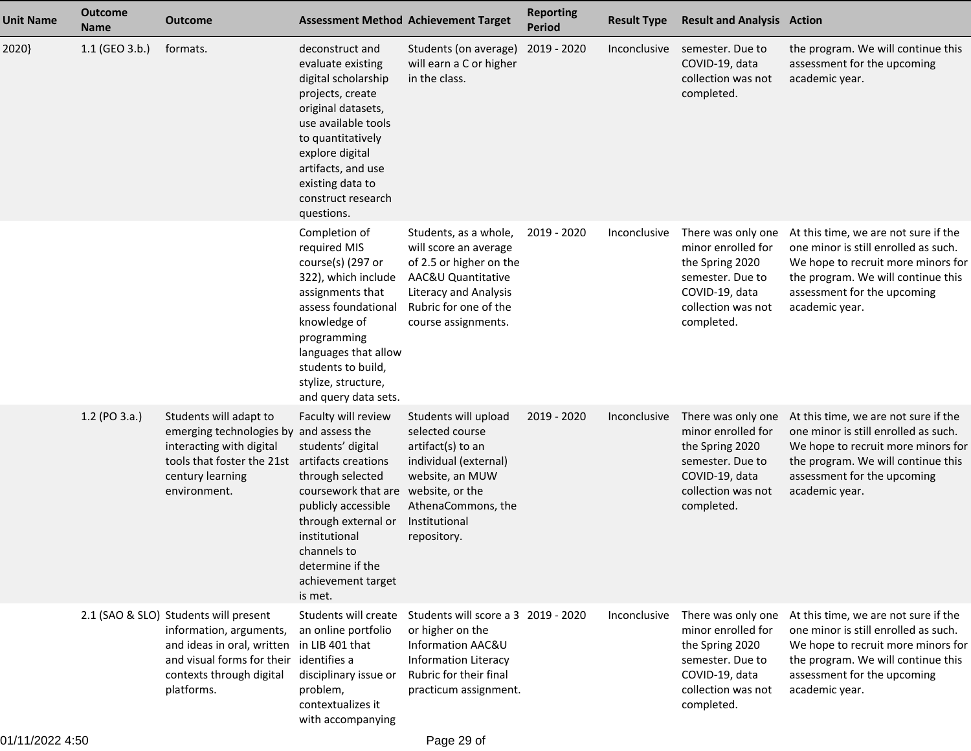| <b>Unit Name</b> | <b>Outcome</b><br><b>Name</b> | <b>Outcome</b>                                                                                                                                                         |                                                                                                                                                                                                                                                               | <b>Assessment Method Achievement Target</b>                                                                                                                                     | <b>Reporting</b><br><b>Period</b> | <b>Result Type</b> | <b>Result and Analysis Action</b>                                                                                                     |                                                                                                                                                                                                           |
|------------------|-------------------------------|------------------------------------------------------------------------------------------------------------------------------------------------------------------------|---------------------------------------------------------------------------------------------------------------------------------------------------------------------------------------------------------------------------------------------------------------|---------------------------------------------------------------------------------------------------------------------------------------------------------------------------------|-----------------------------------|--------------------|---------------------------------------------------------------------------------------------------------------------------------------|-----------------------------------------------------------------------------------------------------------------------------------------------------------------------------------------------------------|
| 2020}            | 1.1 (GEO 3.b.)                | formats.                                                                                                                                                               | deconstruct and<br>evaluate existing<br>digital scholarship<br>projects, create<br>original datasets,<br>use available tools<br>to quantitatively<br>explore digital<br>artifacts, and use<br>existing data to<br>construct research<br>questions.            | Students (on average)<br>will earn a C or higher<br>in the class.                                                                                                               | 2019 - 2020                       | Inconclusive       | semester. Due to<br>COVID-19, data<br>collection was not<br>completed.                                                                | the program. We will continue this<br>assessment for the upcoming<br>academic year.                                                                                                                       |
|                  |                               |                                                                                                                                                                        | Completion of<br>required MIS<br>course(s) (297 or<br>322), which include<br>assignments that<br>assess foundational<br>knowledge of<br>programming<br>languages that allow<br>students to build,<br>stylize, structure,<br>and query data sets.              | Students, as a whole,<br>will score an average<br>of 2.5 or higher on the<br>AAC&U Quantitative<br><b>Literacy and Analysis</b><br>Rubric for one of the<br>course assignments. | 2019 - 2020                       | Inconclusive       | There was only one<br>minor enrolled for<br>the Spring 2020<br>semester. Due to<br>COVID-19, data<br>collection was not<br>completed. | At this time, we are not sure if the<br>one minor is still enrolled as such.<br>We hope to recruit more minors for<br>the program. We will continue this<br>assessment for the upcoming<br>academic year. |
|                  | 1.2 (PO 3.a.)                 | Students will adapt to<br>emerging technologies by and assess the<br>interacting with digital<br>tools that foster the 21st<br>century learning<br>environment.        | Faculty will review<br>students' digital<br>artifacts creations<br>through selected<br>coursework that are website, or the<br>publicly accessible<br>through external or<br>institutional<br>channels to<br>determine if the<br>achievement target<br>is met. | Students will upload<br>selected course<br>artifact(s) to an<br>individual (external)<br>website, an MUW<br>AthenaCommons, the<br>Institutional<br>repository.                  | 2019 - 2020                       | Inconclusive       | There was only one<br>minor enrolled for<br>the Spring 2020<br>semester. Due to<br>COVID-19, data<br>collection was not<br>completed. | At this time, we are not sure if the<br>one minor is still enrolled as such.<br>We hope to recruit more minors for<br>the program. We will continue this<br>assessment for the upcoming<br>academic year. |
|                  |                               | 2.1 (SAO & SLO) Students will present<br>information, arguments,<br>and ideas in oral, written<br>and visual forms for their<br>contexts through digital<br>platforms. | Students will create<br>an online portfolio<br>in LIB 401 that<br>identifies a<br>disciplinary issue or<br>problem,<br>contextualizes it<br>with accompanying                                                                                                 | Students will score a 3 2019 - 2020<br>or higher on the<br>Information AAC&U<br><b>Information Literacy</b><br>Rubric for their final<br>practicum assignment.                  |                                   | Inconclusive       | There was only one<br>minor enrolled for<br>the Spring 2020<br>semester. Due to<br>COVID-19, data<br>collection was not<br>completed. | At this time, we are not sure if the<br>one minor is still enrolled as such.<br>We hope to recruit more minors for<br>the program. We will continue this<br>assessment for the upcoming<br>academic year. |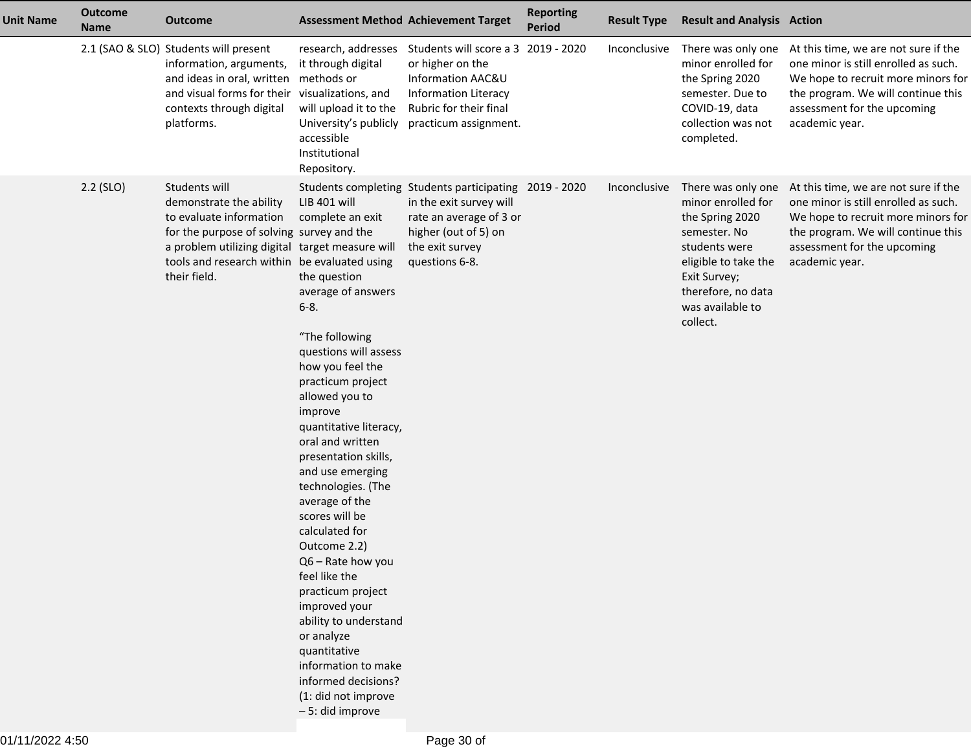| <b>Unit Name</b> | <b>Outcome</b><br><b>Name</b> | <b>Outcome</b>                                                                                                                                                                                                                      |                                                                                                                                                                                                                                                                                                                                                                                                                                                                                                                                                                                                                       | <b>Assessment Method Achievement Target</b>                                                                                                                               | <b>Reporting</b><br><b>Period</b> | <b>Result Type</b> | <b>Result and Analysis Action</b>                                                                                                                                                          |                                                                                                                                                                                                           |
|------------------|-------------------------------|-------------------------------------------------------------------------------------------------------------------------------------------------------------------------------------------------------------------------------------|-----------------------------------------------------------------------------------------------------------------------------------------------------------------------------------------------------------------------------------------------------------------------------------------------------------------------------------------------------------------------------------------------------------------------------------------------------------------------------------------------------------------------------------------------------------------------------------------------------------------------|---------------------------------------------------------------------------------------------------------------------------------------------------------------------------|-----------------------------------|--------------------|--------------------------------------------------------------------------------------------------------------------------------------------------------------------------------------------|-----------------------------------------------------------------------------------------------------------------------------------------------------------------------------------------------------------|
|                  |                               | 2.1 (SAO & SLO) Students will present<br>information, arguments,<br>and ideas in oral, written<br>and visual forms for their<br>contexts through digital<br>platforms.                                                              | research, addresses<br>it through digital<br>methods or<br>visualizations, and<br>will upload it to the<br>University's publicly<br>accessible<br>Institutional<br>Repository.                                                                                                                                                                                                                                                                                                                                                                                                                                        | Students will score a 3 2019 - 2020<br>or higher on the<br>Information AAC&U<br><b>Information Literacy</b><br>Rubric for their final<br>practicum assignment.            |                                   | Inconclusive       | There was only one<br>minor enrolled for<br>the Spring 2020<br>semester. Due to<br>COVID-19, data<br>collection was not<br>completed.                                                      | At this time, we are not sure if the<br>one minor is still enrolled as such.<br>We hope to recruit more minors for<br>the program. We will continue this<br>assessment for the upcoming<br>academic year. |
|                  | $2.2$ (SLO)                   | Students will<br>demonstrate the ability<br>to evaluate information<br>for the purpose of solving survey and the<br>a problem utilizing digital target measure will<br>tools and research within be evaluated using<br>their field. | LIB 401 will<br>complete an exit<br>the question<br>average of answers<br>$6 - 8.$<br>"The following<br>questions will assess<br>how you feel the<br>practicum project<br>allowed you to<br>improve<br>quantitative literacy,<br>oral and written<br>presentation skills,<br>and use emerging<br>technologies. (The<br>average of the<br>scores will be<br>calculated for<br>Outcome 2.2)<br>Q6 - Rate how you<br>feel like the<br>practicum project<br>improved your<br>ability to understand<br>or analyze<br>quantitative<br>information to make<br>informed decisions?<br>(1: did not improve<br>- 5: did improve | Students completing Students participating 2019 - 2020<br>in the exit survey will<br>rate an average of 3 or<br>higher (out of 5) on<br>the exit survey<br>questions 6-8. |                                   | Inconclusive       | There was only one<br>minor enrolled for<br>the Spring 2020<br>semester. No<br>students were<br>eligible to take the<br>Exit Survey;<br>therefore, no data<br>was available to<br>collect. | At this time, we are not sure if the<br>one minor is still enrolled as such.<br>We hope to recruit more minors for<br>the program. We will continue this<br>assessment for the upcoming<br>academic year. |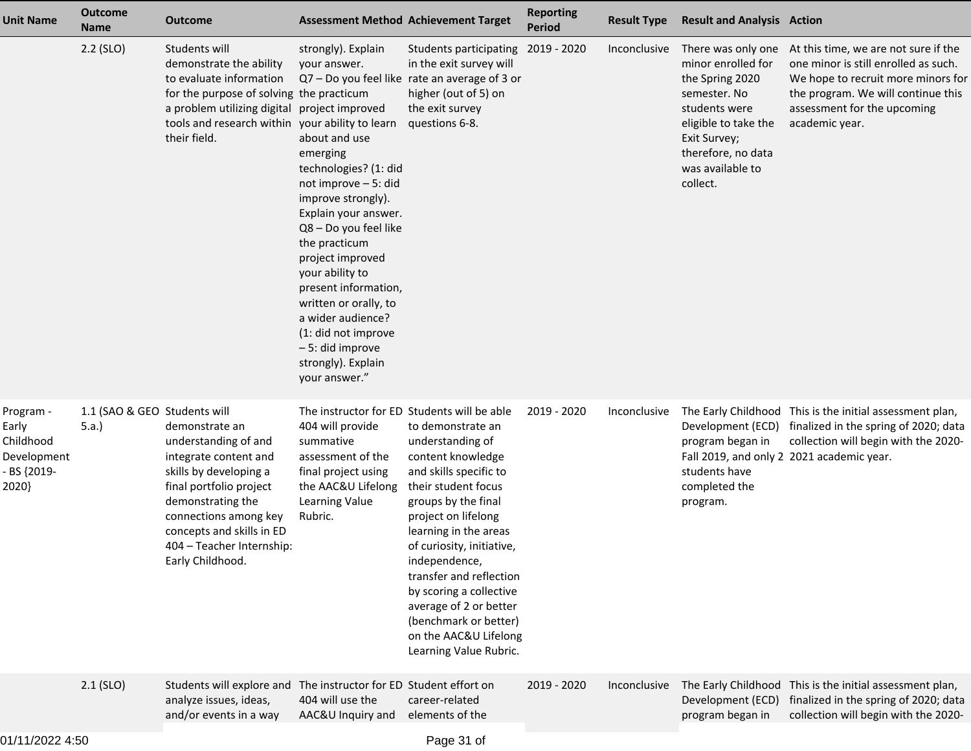| <b>Unit Name</b>                                                       | <b>Outcome</b><br><b>Name</b>        | <b>Outcome</b>                                                                                                                                                                                                                                   | <b>Assessment Method Achievement Target</b>                                                                                                                                                                                                                                                                                                                                                                                                         |                                                                                                                                                                                                                                                                                                                                                                                              | <b>Reporting</b><br><b>Period</b> | <b>Result Type</b> | <b>Result and Analysis Action</b>                                                                                                                                                          |                                                                                                                                                                                                           |
|------------------------------------------------------------------------|--------------------------------------|--------------------------------------------------------------------------------------------------------------------------------------------------------------------------------------------------------------------------------------------------|-----------------------------------------------------------------------------------------------------------------------------------------------------------------------------------------------------------------------------------------------------------------------------------------------------------------------------------------------------------------------------------------------------------------------------------------------------|----------------------------------------------------------------------------------------------------------------------------------------------------------------------------------------------------------------------------------------------------------------------------------------------------------------------------------------------------------------------------------------------|-----------------------------------|--------------------|--------------------------------------------------------------------------------------------------------------------------------------------------------------------------------------------|-----------------------------------------------------------------------------------------------------------------------------------------------------------------------------------------------------------|
|                                                                        | $2.2$ (SLO)                          | Students will<br>demonstrate the ability<br>to evaluate information<br>for the purpose of solving the practicum<br>a problem utilizing digital<br>tools and research within<br>their field.                                                      | strongly). Explain<br>your answer.<br>project improved<br>your ability to learn<br>about and use<br>emerging<br>technologies? (1: did<br>not improve - 5: did<br>improve strongly).<br>Explain your answer.<br>Q8 - Do you feel like<br>the practicum<br>project improved<br>your ability to<br>present information,<br>written or orally, to<br>a wider audience?<br>(1: did not improve<br>-5: did improve<br>strongly). Explain<br>your answer." | Students participating<br>in the exit survey will<br>Q7 - Do you feel like rate an average of 3 or<br>higher (out of 5) on<br>the exit survey<br>questions 6-8.                                                                                                                                                                                                                              | 2019 - 2020                       | Inconclusive       | There was only one<br>minor enrolled for<br>the Spring 2020<br>semester. No<br>students were<br>eligible to take the<br>Exit Survey;<br>therefore, no data<br>was available to<br>collect. | At this time, we are not sure if the<br>one minor is still enrolled as such.<br>We hope to recruit more minors for<br>the program. We will continue this<br>assessment for the upcoming<br>academic year. |
| Program -<br>Early<br>Childhood<br>Development<br>- BS {2019-<br>2020} | 1.1 (SAO & GEO Students will<br>5.a. | demonstrate an<br>understanding of and<br>integrate content and<br>skills by developing a<br>final portfolio project<br>demonstrating the<br>connections among key<br>concepts and skills in ED<br>404 - Teacher Internship:<br>Early Childhood. | The instructor for ED Students will be able<br>404 will provide<br>summative<br>assessment of the<br>final project using<br>the AAC&U Lifelong<br>Learning Value<br>Rubric.                                                                                                                                                                                                                                                                         | to demonstrate an<br>understanding of<br>content knowledge<br>and skills specific to<br>their student focus<br>groups by the final<br>project on lifelong<br>learning in the areas<br>of curiosity, initiative,<br>independence,<br>transfer and reflection<br>by scoring a collective<br>average of 2 or better<br>(benchmark or better)<br>on the AAC&U Lifelong<br>Learning Value Rubric. | 2019 - 2020                       | Inconclusive       | Development (ECD)<br>program began in<br>students have<br>completed the<br>program.                                                                                                        | The Early Childhood This is the initial assessment plan,<br>finalized in the spring of 2020; data<br>collection will begin with the 2020-<br>Fall 2019, and only 2 2021 academic year.                    |
|                                                                        | $2.1$ (SLO)                          | Students will explore and The instructor for ED Student effort on<br>analyze issues, ideas,<br>and/or events in a way                                                                                                                            | 404 will use the<br>AAC&U Inquiry and                                                                                                                                                                                                                                                                                                                                                                                                               | career-related<br>elements of the                                                                                                                                                                                                                                                                                                                                                            | 2019 - 2020                       | Inconclusive       | Development (ECD)<br>program began in                                                                                                                                                      | The Early Childhood This is the initial assessment plan,<br>finalized in the spring of 2020; data<br>collection will begin with the 2020-                                                                 |
|                                                                        |                                      |                                                                                                                                                                                                                                                  |                                                                                                                                                                                                                                                                                                                                                                                                                                                     |                                                                                                                                                                                                                                                                                                                                                                                              |                                   |                    |                                                                                                                                                                                            |                                                                                                                                                                                                           |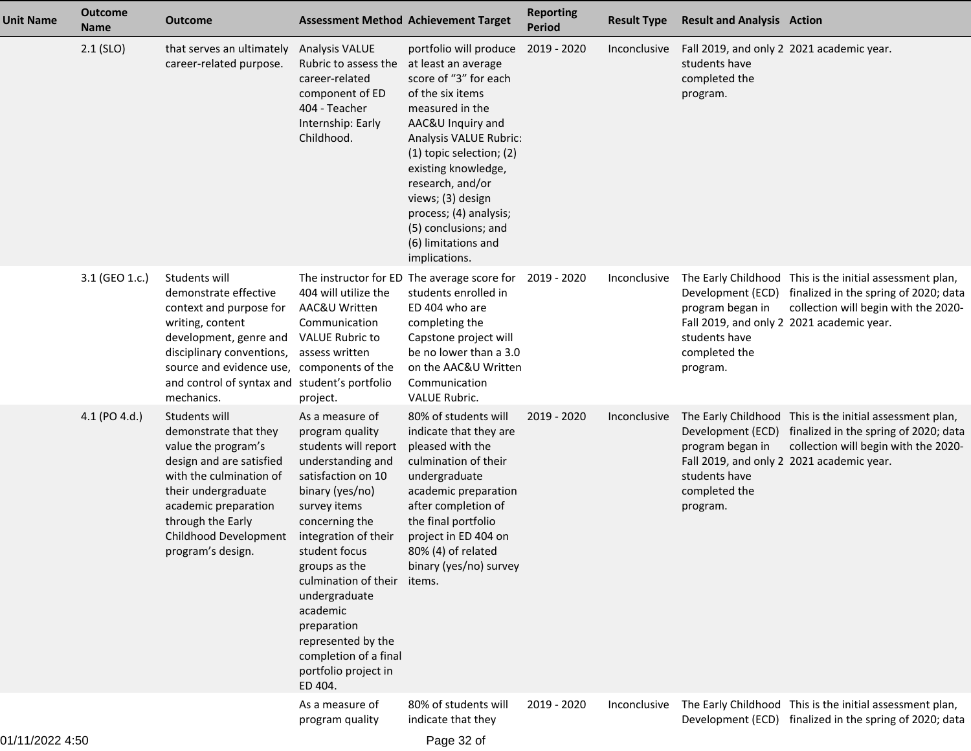| <b>Unit Name</b> | <b>Outcome</b><br><b>Name</b> | <b>Outcome</b>                                                                                                                                                                                                                                            |                                                                                                                                                                                                                                                                                                                                                                            | <b>Assessment Method Achievement Target</b>                                                                                                                                                                                                                                                                                                        | <b>Reporting</b><br><b>Period</b> | <b>Result Type</b> | <b>Result and Analysis Action</b>                                                                                                |                                                                                                                                           |
|------------------|-------------------------------|-----------------------------------------------------------------------------------------------------------------------------------------------------------------------------------------------------------------------------------------------------------|----------------------------------------------------------------------------------------------------------------------------------------------------------------------------------------------------------------------------------------------------------------------------------------------------------------------------------------------------------------------------|----------------------------------------------------------------------------------------------------------------------------------------------------------------------------------------------------------------------------------------------------------------------------------------------------------------------------------------------------|-----------------------------------|--------------------|----------------------------------------------------------------------------------------------------------------------------------|-------------------------------------------------------------------------------------------------------------------------------------------|
|                  | $2.1$ (SLO)                   | that serves an ultimately<br>career-related purpose.                                                                                                                                                                                                      | <b>Analysis VALUE</b><br>Rubric to assess the<br>career-related<br>component of ED<br>404 - Teacher<br>Internship: Early<br>Childhood.                                                                                                                                                                                                                                     | portfolio will produce<br>at least an average<br>score of "3" for each<br>of the six items<br>measured in the<br>AAC&U Inquiry and<br>Analysis VALUE Rubric:<br>(1) topic selection; (2)<br>existing knowledge,<br>research, and/or<br>views; (3) design<br>process; (4) analysis;<br>(5) conclusions; and<br>(6) limitations and<br>implications. | 2019 - 2020                       | Inconclusive       | Fall 2019, and only 2 2021 academic year.<br>students have<br>completed the<br>program.                                          |                                                                                                                                           |
|                  | 3.1 (GEO 1.c.)                | Students will<br>demonstrate effective<br>context and purpose for<br>writing, content<br>development, genre and<br>disciplinary conventions,<br>source and evidence use, components of the<br>and control of syntax and student's portfolio<br>mechanics. | 404 will utilize the<br>AAC&U Written<br>Communication<br><b>VALUE Rubric to</b><br>assess written<br>project.                                                                                                                                                                                                                                                             | The instructor for ED The average score for 2019 - 2020<br>students enrolled in<br>ED 404 who are<br>completing the<br>Capstone project will<br>be no lower than a 3.0<br>on the AAC&U Written<br>Communication<br><b>VALUE Rubric.</b>                                                                                                            |                                   | Inconclusive       | Development (ECD)<br>program began in<br>Fall 2019, and only 2 2021 academic year.<br>students have<br>completed the<br>program. | The Early Childhood This is the initial assessment plan,<br>finalized in the spring of 2020; data<br>collection will begin with the 2020- |
|                  | 4.1 (PO 4.d.)                 | Students will<br>demonstrate that they<br>value the program's<br>design and are satisfied<br>with the culmination of<br>their undergraduate<br>academic preparation<br>through the Early<br>Childhood Development<br>program's design.                    | As a measure of<br>program quality<br>students will report<br>understanding and<br>satisfaction on 10<br>binary (yes/no)<br>survey items<br>concerning the<br>integration of their<br>student focus<br>groups as the<br>culmination of their<br>undergraduate<br>academic<br>preparation<br>represented by the<br>completion of a final<br>portfolio project in<br>ED 404. | 80% of students will<br>indicate that they are<br>pleased with the<br>culmination of their<br>undergraduate<br>academic preparation<br>after completion of<br>the final portfolio<br>project in ED 404 on<br>80% (4) of related<br>binary (yes/no) survey<br>items.                                                                                | 2019 - 2020                       | Inconclusive       | Development (ECD)<br>program began in<br>Fall 2019, and only 2 2021 academic year.<br>students have<br>completed the<br>program. | The Early Childhood This is the initial assessment plan,<br>finalized in the spring of 2020; data<br>collection will begin with the 2020- |
|                  |                               |                                                                                                                                                                                                                                                           | As a measure of<br>program quality                                                                                                                                                                                                                                                                                                                                         | 80% of students will<br>indicate that they                                                                                                                                                                                                                                                                                                         | 2019 - 2020                       | Inconclusive       |                                                                                                                                  | The Early Childhood This is the initial assessment plan,<br>Development (ECD) finalized in the spring of 2020; data                       |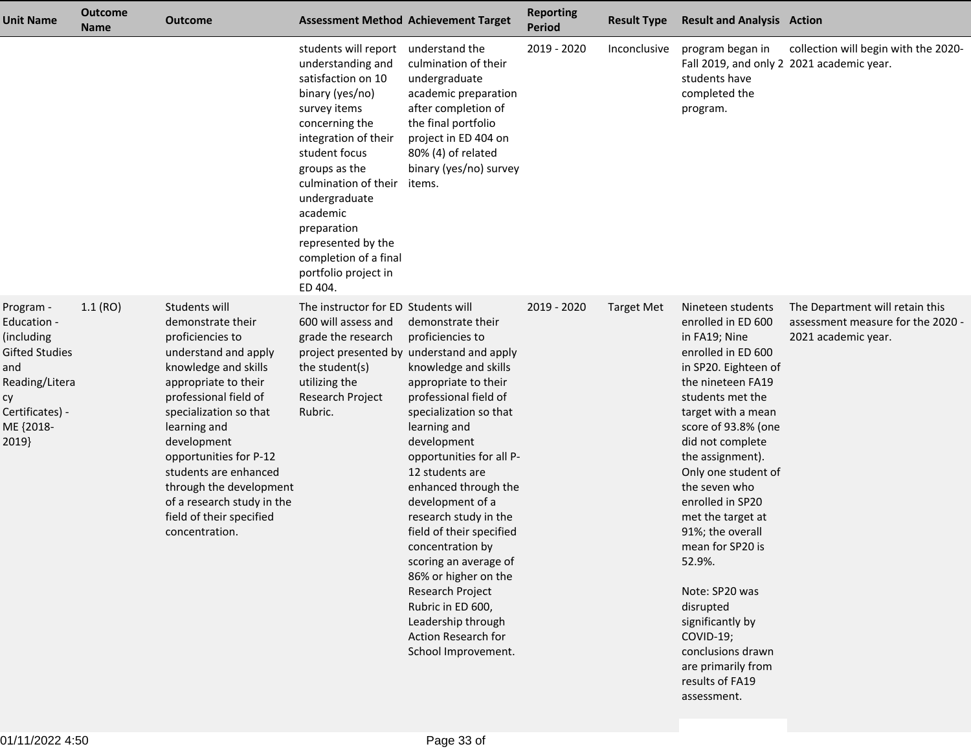| <b>Unit Name</b>                                                                                                                        | <b>Outcome</b><br><b>Name</b> | <b>Outcome</b>                                                                                                                                                                                                                                                                                                                                                             | <b>Assessment Method Achievement Target</b>                                                                                                                                                                                                                                                                                          |                                                                                                                                                                                                                                                                                                                                                                                                                                                                                                                                                        | <b>Reporting</b><br><b>Period</b> | <b>Result Type</b> | <b>Result and Analysis Action</b>                                                                                                                                                                                                                                                                                                                                                                                                                                                                                    |                                                                                             |
|-----------------------------------------------------------------------------------------------------------------------------------------|-------------------------------|----------------------------------------------------------------------------------------------------------------------------------------------------------------------------------------------------------------------------------------------------------------------------------------------------------------------------------------------------------------------------|--------------------------------------------------------------------------------------------------------------------------------------------------------------------------------------------------------------------------------------------------------------------------------------------------------------------------------------|--------------------------------------------------------------------------------------------------------------------------------------------------------------------------------------------------------------------------------------------------------------------------------------------------------------------------------------------------------------------------------------------------------------------------------------------------------------------------------------------------------------------------------------------------------|-----------------------------------|--------------------|----------------------------------------------------------------------------------------------------------------------------------------------------------------------------------------------------------------------------------------------------------------------------------------------------------------------------------------------------------------------------------------------------------------------------------------------------------------------------------------------------------------------|---------------------------------------------------------------------------------------------|
|                                                                                                                                         |                               |                                                                                                                                                                                                                                                                                                                                                                            | students will report<br>understanding and<br>satisfaction on 10<br>binary (yes/no)<br>survey items<br>concerning the<br>integration of their<br>student focus<br>groups as the<br>culmination of their<br>undergraduate<br>academic<br>preparation<br>represented by the<br>completion of a final<br>portfolio project in<br>ED 404. | understand the<br>culmination of their<br>undergraduate<br>academic preparation<br>after completion of<br>the final portfolio<br>project in ED 404 on<br>80% (4) of related<br>binary (yes/no) survey<br>items.                                                                                                                                                                                                                                                                                                                                        | 2019 - 2020                       | Inconclusive       | program began in<br>Fall 2019, and only 2 2021 academic year.<br>students have<br>completed the<br>program.                                                                                                                                                                                                                                                                                                                                                                                                          | collection will begin with the 2020-                                                        |
| Program -<br>Education -<br>(including<br><b>Gifted Studies</b><br>and<br>Reading/Litera<br>сy<br>Certificates) -<br>ME {2018-<br>2019} | 1.1(RO)                       | Students will<br>demonstrate their<br>proficiencies to<br>understand and apply<br>knowledge and skills<br>appropriate to their<br>professional field of<br>specialization so that<br>learning and<br>development<br>opportunities for P-12<br>students are enhanced<br>through the development<br>of a research study in the<br>field of their specified<br>concentration. | The instructor for ED Students will<br>600 will assess and<br>grade the research<br>the student(s)<br>utilizing the<br>Research Project<br>Rubric.                                                                                                                                                                                   | demonstrate their<br>proficiencies to<br>project presented by understand and apply<br>knowledge and skills<br>appropriate to their<br>professional field of<br>specialization so that<br>learning and<br>development<br>opportunities for all P-<br>12 students are<br>enhanced through the<br>development of a<br>research study in the<br>field of their specified<br>concentration by<br>scoring an average of<br>86% or higher on the<br>Research Project<br>Rubric in ED 600,<br>Leadership through<br>Action Research for<br>School Improvement. | 2019 - 2020                       | <b>Target Met</b>  | Nineteen students<br>enrolled in ED 600<br>in FA19; Nine<br>enrolled in ED 600<br>in SP20. Eighteen of<br>the nineteen FA19<br>students met the<br>target with a mean<br>score of 93.8% (one<br>did not complete<br>the assignment).<br>Only one student of<br>the seven who<br>enrolled in SP20<br>met the target at<br>91%; the overall<br>mean for SP20 is<br>52.9%.<br>Note: SP20 was<br>disrupted<br>significantly by<br>COVID-19;<br>conclusions drawn<br>are primarily from<br>results of FA19<br>assessment. | The Department will retain this<br>assessment measure for the 2020 -<br>2021 academic year. |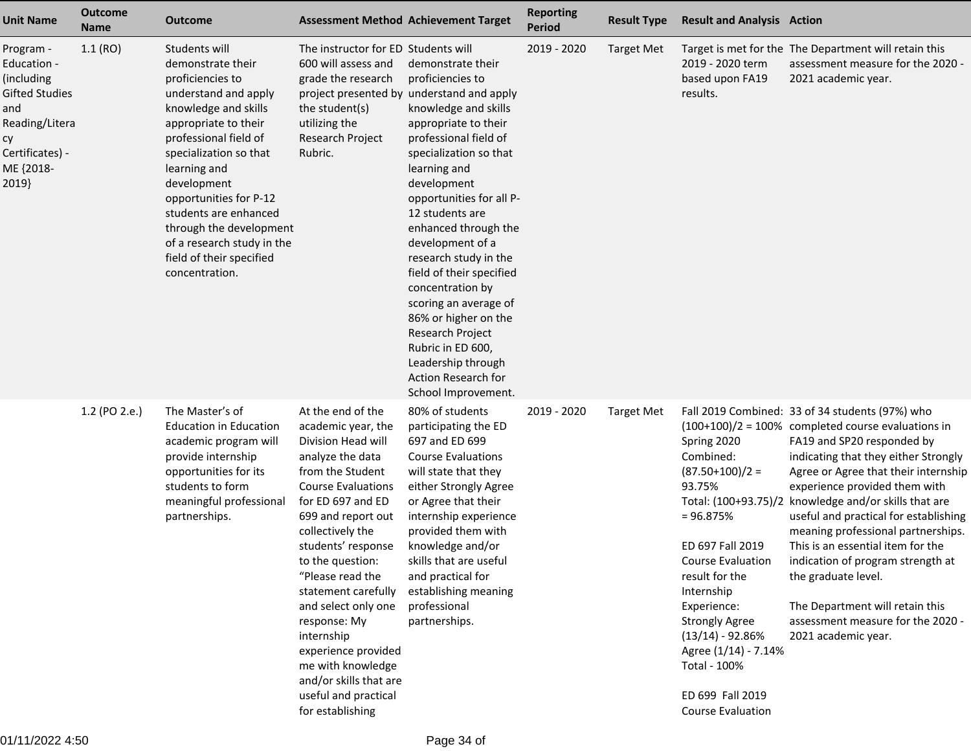| <b>Unit Name</b>                                                                                                                 | <b>Outcome</b><br><b>Name</b> | <b>Outcome</b>                                                                                                                                                                                                                                                                                                                                                             |                                                                                                                                                                                                                                                                                                                                                                                                                                                               | <b>Assessment Method Achievement Target</b>                                                                                                                                                                                                                                                                                                                                                                                                                                                                                                            | <b>Reporting</b><br><b>Period</b> | <b>Result Type</b> | <b>Result and Analysis Action</b>                                                                                                                                                                                                                                                              |                                                                                                                                                                                                                                                                                                                                                                                                                                                                                                                                                                                                 |
|----------------------------------------------------------------------------------------------------------------------------------|-------------------------------|----------------------------------------------------------------------------------------------------------------------------------------------------------------------------------------------------------------------------------------------------------------------------------------------------------------------------------------------------------------------------|---------------------------------------------------------------------------------------------------------------------------------------------------------------------------------------------------------------------------------------------------------------------------------------------------------------------------------------------------------------------------------------------------------------------------------------------------------------|--------------------------------------------------------------------------------------------------------------------------------------------------------------------------------------------------------------------------------------------------------------------------------------------------------------------------------------------------------------------------------------------------------------------------------------------------------------------------------------------------------------------------------------------------------|-----------------------------------|--------------------|------------------------------------------------------------------------------------------------------------------------------------------------------------------------------------------------------------------------------------------------------------------------------------------------|-------------------------------------------------------------------------------------------------------------------------------------------------------------------------------------------------------------------------------------------------------------------------------------------------------------------------------------------------------------------------------------------------------------------------------------------------------------------------------------------------------------------------------------------------------------------------------------------------|
| Program -<br>Education -<br>(including<br>Gifted Studies<br>and<br>Reading/Litera<br>су<br>Certificates) -<br>ME {2018-<br>2019} | 1.1(RO)                       | Students will<br>demonstrate their<br>proficiencies to<br>understand and apply<br>knowledge and skills<br>appropriate to their<br>professional field of<br>specialization so that<br>learning and<br>development<br>opportunities for P-12<br>students are enhanced<br>through the development<br>of a research study in the<br>field of their specified<br>concentration. | The instructor for ED Students will<br>600 will assess and<br>grade the research<br>the student(s)<br>utilizing the<br>Research Project<br>Rubric.                                                                                                                                                                                                                                                                                                            | demonstrate their<br>proficiencies to<br>project presented by understand and apply<br>knowledge and skills<br>appropriate to their<br>professional field of<br>specialization so that<br>learning and<br>development<br>opportunities for all P-<br>12 students are<br>enhanced through the<br>development of a<br>research study in the<br>field of their specified<br>concentration by<br>scoring an average of<br>86% or higher on the<br>Research Project<br>Rubric in ED 600,<br>Leadership through<br>Action Research for<br>School Improvement. | 2019 - 2020                       | <b>Target Met</b>  | 2019 - 2020 term<br>based upon FA19<br>results.                                                                                                                                                                                                                                                | Target is met for the The Department will retain this<br>assessment measure for the 2020 -<br>2021 academic year.                                                                                                                                                                                                                                                                                                                                                                                                                                                                               |
|                                                                                                                                  | 1.2 (PO 2.e.)                 | The Master's of<br><b>Education in Education</b><br>academic program will<br>provide internship<br>opportunities for its<br>students to form<br>meaningful professional<br>partnerships.                                                                                                                                                                                   | At the end of the<br>academic year, the<br>Division Head will<br>analyze the data<br>from the Student<br><b>Course Evaluations</b><br>for ED 697 and ED<br>699 and report out<br>collectively the<br>students' response<br>to the question:<br>"Please read the<br>statement carefully<br>and select only one<br>response: My<br>internship<br>experience provided<br>me with knowledge<br>and/or skills that are<br>useful and practical<br>for establishing | 80% of students<br>participating the ED<br>697 and ED 699<br><b>Course Evaluations</b><br>will state that they<br>either Strongly Agree<br>or Agree that their<br>internship experience<br>provided them with<br>knowledge and/or<br>skills that are useful<br>and practical for<br>establishing meaning<br>professional<br>partnerships.                                                                                                                                                                                                              | 2019 - 2020                       | <b>Target Met</b>  | Spring 2020<br>Combined:<br>$(87.50+100)/2 =$<br>93.75%<br>$= 96.875%$<br>ED 697 Fall 2019<br>Course Evaluation<br>result for the<br>Internship<br>Experience:<br><b>Strongly Agree</b><br>$(13/14) - 92.86%$<br>Agree (1/14) - 7.14%<br>Total - 100%<br>ED 699 Fall 2019<br>Course Evaluation | Fall 2019 Combined: 33 of 34 students (97%) who<br>$(100+100)/2 = 100\%$ completed course evaluations in<br>FA19 and SP20 responded by<br>indicating that they either Strongly<br>Agree or Agree that their internship<br>experience provided them with<br>Total: (100+93.75)/2 knowledge and/or skills that are<br>useful and practical for establishing<br>meaning professional partnerships.<br>This is an essential item for the<br>indication of program strength at<br>the graduate level.<br>The Department will retain this<br>assessment measure for the 2020 -<br>2021 academic year. |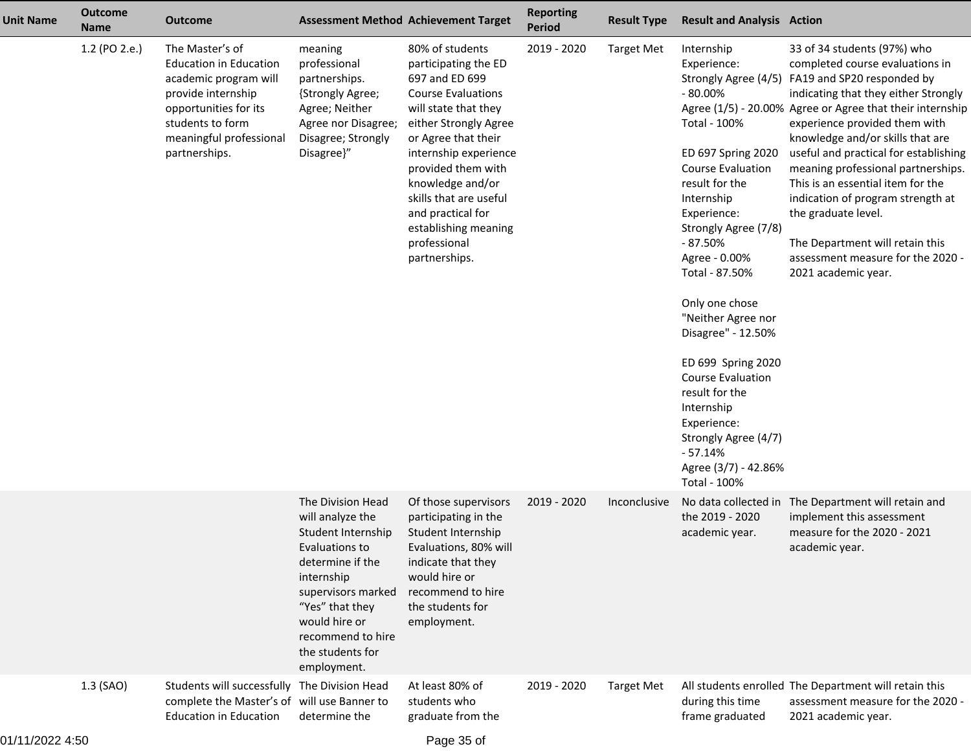| <b>Unit Name</b> | <b>Outcome</b><br><b>Name</b> | Outcome                                                                                                                                                                                  | <b>Assessment Method Achievement Target</b>                                                                                                                                                                                       |                                                                                                                                                                                                                                                                                                                                           | <b>Reporting</b><br><b>Period</b> | <b>Result Type</b> | <b>Result and Analysis Action</b>                                                                                                                                                                                                                                                                                                                                                                                                                                     |                                                                                                                                                                                                                                                                                                                                                                                                                                                                                                                                                                            |
|------------------|-------------------------------|------------------------------------------------------------------------------------------------------------------------------------------------------------------------------------------|-----------------------------------------------------------------------------------------------------------------------------------------------------------------------------------------------------------------------------------|-------------------------------------------------------------------------------------------------------------------------------------------------------------------------------------------------------------------------------------------------------------------------------------------------------------------------------------------|-----------------------------------|--------------------|-----------------------------------------------------------------------------------------------------------------------------------------------------------------------------------------------------------------------------------------------------------------------------------------------------------------------------------------------------------------------------------------------------------------------------------------------------------------------|----------------------------------------------------------------------------------------------------------------------------------------------------------------------------------------------------------------------------------------------------------------------------------------------------------------------------------------------------------------------------------------------------------------------------------------------------------------------------------------------------------------------------------------------------------------------------|
|                  | 1.2 (PO 2.e.)                 | The Master's of<br><b>Education in Education</b><br>academic program will<br>provide internship<br>opportunities for its<br>students to form<br>meaningful professional<br>partnerships. | meaning<br>professional<br>partnerships.<br>{Strongly Agree;<br>Agree; Neither<br>Agree nor Disagree;<br>Disagree; Strongly<br>Disagree}"                                                                                         | 80% of students<br>participating the ED<br>697 and ED 699<br><b>Course Evaluations</b><br>will state that they<br>either Strongly Agree<br>or Agree that their<br>internship experience<br>provided them with<br>knowledge and/or<br>skills that are useful<br>and practical for<br>establishing meaning<br>professional<br>partnerships. | 2019 - 2020                       | <b>Target Met</b>  | Internship<br>Experience:<br>$-80.00\%$<br>Total - 100%<br>ED 697 Spring 2020<br><b>Course Evaluation</b><br>result for the<br>Internship<br>Experience:<br>Strongly Agree (7/8)<br>$-87.50%$<br>Agree - 0.00%<br>Total - 87.50%<br>Only one chose<br>"Neither Agree nor<br>Disagree" - 12.50%<br>ED 699 Spring 2020<br>Course Evaluation<br>result for the<br>Internship<br>Experience:<br>Strongly Agree (4/7)<br>$-57.14%$<br>Agree (3/7) - 42.86%<br>Total - 100% | 33 of 34 students (97%) who<br>completed course evaluations in<br>Strongly Agree (4/5) FA19 and SP20 responded by<br>indicating that they either Strongly<br>Agree (1/5) - 20.00% Agree or Agree that their internship<br>experience provided them with<br>knowledge and/or skills that are<br>useful and practical for establishing<br>meaning professional partnerships.<br>This is an essential item for the<br>indication of program strength at<br>the graduate level.<br>The Department will retain this<br>assessment measure for the 2020 -<br>2021 academic year. |
|                  |                               |                                                                                                                                                                                          | The Division Head<br>will analyze the<br>Student Internship<br>Evaluations to<br>determine if the<br>internship<br>supervisors marked<br>"Yes" that they<br>would hire or<br>recommend to hire<br>the students for<br>employment. | Of those supervisors<br>participating in the<br>Student Internship<br>Evaluations, 80% will<br>indicate that they<br>would hire or<br>recommend to hire<br>the students for<br>employment.                                                                                                                                                | 2019 - 2020                       | Inconclusive       | the 2019 - 2020<br>academic year.                                                                                                                                                                                                                                                                                                                                                                                                                                     | No data collected in The Department will retain and<br>implement this assessment<br>measure for the 2020 - 2021<br>academic year.                                                                                                                                                                                                                                                                                                                                                                                                                                          |
|                  | $1.3$ (SAO)                   | Students will successfully<br>complete the Master's of will use Banner to<br><b>Education in Education</b>                                                                               | The Division Head<br>determine the                                                                                                                                                                                                | At least 80% of<br>students who<br>graduate from the                                                                                                                                                                                                                                                                                      | 2019 - 2020                       | <b>Target Met</b>  | during this time<br>frame graduated                                                                                                                                                                                                                                                                                                                                                                                                                                   | All students enrolled The Department will retain this<br>assessment measure for the 2020 -<br>2021 academic year.                                                                                                                                                                                                                                                                                                                                                                                                                                                          |
|                  |                               |                                                                                                                                                                                          |                                                                                                                                                                                                                                   |                                                                                                                                                                                                                                                                                                                                           |                                   |                    |                                                                                                                                                                                                                                                                                                                                                                                                                                                                       |                                                                                                                                                                                                                                                                                                                                                                                                                                                                                                                                                                            |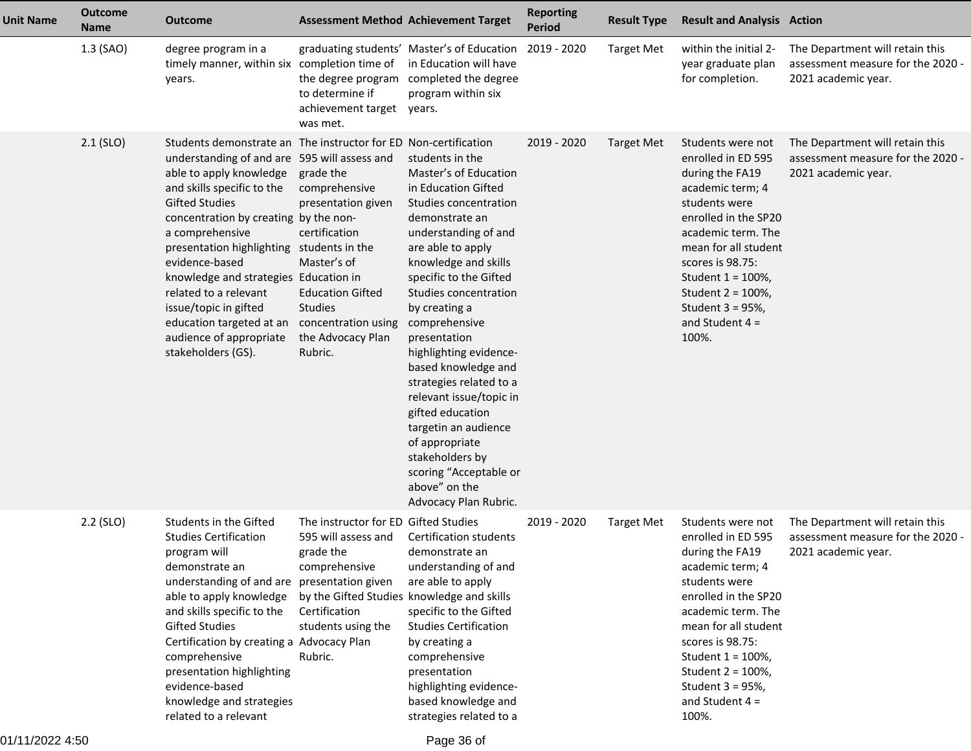| <b>Unit Name</b> | <b>Outcome</b><br><b>Name</b> | <b>Outcome</b>                                                                                                                                                                                                                                                                                                                                                                                                                                                                                       | <b>Assessment Method Achievement Target</b>                                                                                                                                               |                                                                                                                                                                                                                                                                                                                                                                                                                                                                                                                                                  | <b>Reporting</b><br><b>Period</b> | <b>Result Type</b> | <b>Result and Analysis Action</b>                                                                                                                                                                                                                                                     |                                                                                             |
|------------------|-------------------------------|------------------------------------------------------------------------------------------------------------------------------------------------------------------------------------------------------------------------------------------------------------------------------------------------------------------------------------------------------------------------------------------------------------------------------------------------------------------------------------------------------|-------------------------------------------------------------------------------------------------------------------------------------------------------------------------------------------|--------------------------------------------------------------------------------------------------------------------------------------------------------------------------------------------------------------------------------------------------------------------------------------------------------------------------------------------------------------------------------------------------------------------------------------------------------------------------------------------------------------------------------------------------|-----------------------------------|--------------------|---------------------------------------------------------------------------------------------------------------------------------------------------------------------------------------------------------------------------------------------------------------------------------------|---------------------------------------------------------------------------------------------|
|                  | 1.3 (SAO)                     | degree program in a<br>timely manner, within six completion time of<br>years.                                                                                                                                                                                                                                                                                                                                                                                                                        | to determine if<br>achievement target<br>was met.                                                                                                                                         | graduating students' Master's of Education<br>in Education will have<br>the degree program completed the degree<br>program within six<br>years.                                                                                                                                                                                                                                                                                                                                                                                                  | 2019 - 2020                       | <b>Target Met</b>  | within the initial 2-<br>year graduate plan<br>for completion.                                                                                                                                                                                                                        | The Department will retain this<br>assessment measure for the 2020 -<br>2021 academic year. |
|                  | $2.1$ (SLO)                   | Students demonstrate an The instructor for ED Non-certification<br>understanding of and are 595 will assess and<br>able to apply knowledge<br>and skills specific to the<br><b>Gifted Studies</b><br>concentration by creating by the non-<br>a comprehensive<br>presentation highlighting students in the<br>evidence-based<br>knowledge and strategies Education in<br>related to a relevant<br>issue/topic in gifted<br>education targeted at an<br>audience of appropriate<br>stakeholders (GS). | grade the<br>comprehensive<br>presentation given<br>certification<br>Master's of<br><b>Education Gifted</b><br><b>Studies</b><br>concentration using<br>the Advocacy Plan<br>Rubric.      | students in the<br>Master's of Education<br>in Education Gifted<br>Studies concentration<br>demonstrate an<br>understanding of and<br>are able to apply<br>knowledge and skills<br>specific to the Gifted<br>Studies concentration<br>by creating a<br>comprehensive<br>presentation<br>highlighting evidence-<br>based knowledge and<br>strategies related to a<br>relevant issue/topic in<br>gifted education<br>targetin an audience<br>of appropriate<br>stakeholders by<br>scoring "Acceptable or<br>above" on the<br>Advocacy Plan Rubric. | 2019 - 2020                       | <b>Target Met</b>  | Students were not<br>enrolled in ED 595<br>during the FA19<br>academic term; 4<br>students were<br>enrolled in the SP20<br>academic term. The<br>mean for all student<br>scores is 98.75:<br>Student 1 = 100%,<br>Student 2 = 100%,<br>Student 3 = 95%,<br>and Student $4 =$<br>100%. | The Department will retain this<br>assessment measure for the 2020 -<br>2021 academic year. |
|                  | $2.2$ (SLO)                   | Students in the Gifted<br><b>Studies Certification</b><br>program will<br>demonstrate an<br>understanding of and are presentation given<br>able to apply knowledge<br>and skills specific to the<br><b>Gifted Studies</b><br>Certification by creating a Advocacy Plan<br>comprehensive<br>presentation highlighting<br>evidence-based<br>knowledge and strategies<br>related to a relevant                                                                                                          | The instructor for ED Gifted Studies<br>595 will assess and<br>grade the<br>comprehensive<br>by the Gifted Studies knowledge and skills<br>Certification<br>students using the<br>Rubric. | <b>Certification students</b><br>demonstrate an<br>understanding of and<br>are able to apply<br>specific to the Gifted<br><b>Studies Certification</b><br>by creating a<br>comprehensive<br>presentation<br>highlighting evidence-<br>based knowledge and<br>strategies related to a                                                                                                                                                                                                                                                             | 2019 - 2020                       | <b>Target Met</b>  | Students were not<br>enrolled in ED 595<br>during the FA19<br>academic term; 4<br>students were<br>enrolled in the SP20<br>academic term. The<br>mean for all student<br>scores is 98.75:<br>Student 1 = 100%,<br>Student 2 = 100%,<br>Student 3 = 95%,<br>and Student $4 =$<br>100%. | The Department will retain this<br>assessment measure for the 2020 -<br>2021 academic year. |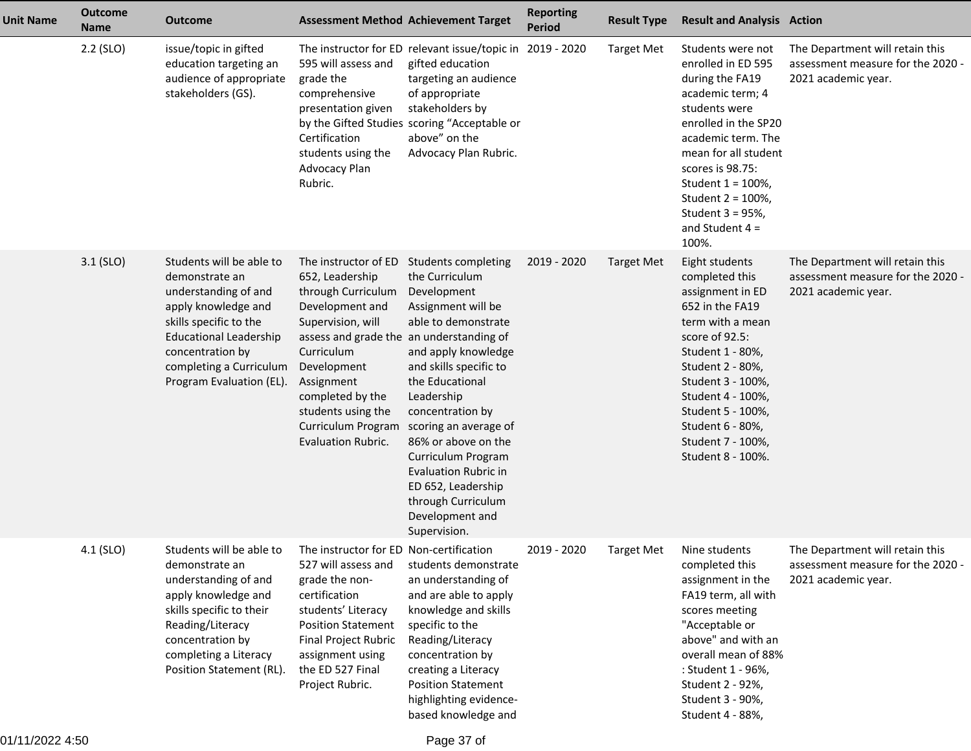| <b>Unit Name</b> | <b>Outcome</b><br><b>Name</b> | <b>Outcome</b>                                                                                                                                                                                                                  | <b>Assessment Method Achievement Target</b>                                                                                                                                                                                                                                               |                                                                                                                                                                                                                                                                                                                                                                                                    | <b>Reporting</b><br><b>Period</b> | <b>Result Type</b> | <b>Result and Analysis Action</b>                                                                                                                                                                                                                                                     |                                                                                             |
|------------------|-------------------------------|---------------------------------------------------------------------------------------------------------------------------------------------------------------------------------------------------------------------------------|-------------------------------------------------------------------------------------------------------------------------------------------------------------------------------------------------------------------------------------------------------------------------------------------|----------------------------------------------------------------------------------------------------------------------------------------------------------------------------------------------------------------------------------------------------------------------------------------------------------------------------------------------------------------------------------------------------|-----------------------------------|--------------------|---------------------------------------------------------------------------------------------------------------------------------------------------------------------------------------------------------------------------------------------------------------------------------------|---------------------------------------------------------------------------------------------|
|                  | $2.2$ (SLO)                   | issue/topic in gifted<br>education targeting an<br>audience of appropriate<br>stakeholders (GS).                                                                                                                                | 595 will assess and<br>grade the<br>comprehensive<br>presentation given<br>Certification<br>students using the<br>Advocacy Plan<br>Rubric.                                                                                                                                                | The instructor for ED relevant issue/topic in 2019 - 2020<br>gifted education<br>targeting an audience<br>of appropriate<br>stakeholders by<br>by the Gifted Studies scoring "Acceptable or<br>above" on the<br>Advocacy Plan Rubric.                                                                                                                                                              |                                   | <b>Target Met</b>  | Students were not<br>enrolled in ED 595<br>during the FA19<br>academic term; 4<br>students were<br>enrolled in the SP20<br>academic term. The<br>mean for all student<br>scores is 98.75:<br>Student 1 = 100%,<br>Student 2 = 100%,<br>Student 3 = 95%,<br>and Student $4 =$<br>100%. | The Department will retain this<br>assessment measure for the 2020 -<br>2021 academic year. |
|                  | $3.1$ (SLO)                   | Students will be able to<br>demonstrate an<br>understanding of and<br>apply knowledge and<br>skills specific to the<br><b>Educational Leadership</b><br>concentration by<br>completing a Curriculum<br>Program Evaluation (EL). | The instructor of ED<br>652, Leadership<br>through Curriculum<br>Development and<br>Supervision, will<br>assess and grade the an understanding of<br>Curriculum<br>Development<br>Assignment<br>completed by the<br>students using the<br>Curriculum Program<br><b>Evaluation Rubric.</b> | <b>Students completing</b><br>the Curriculum<br>Development<br>Assignment will be<br>able to demonstrate<br>and apply knowledge<br>and skills specific to<br>the Educational<br>Leadership<br>concentration by<br>scoring an average of<br>86% or above on the<br>Curriculum Program<br><b>Evaluation Rubric in</b><br>ED 652, Leadership<br>through Curriculum<br>Development and<br>Supervision. | 2019 - 2020                       | <b>Target Met</b>  | Eight students<br>completed this<br>assignment in ED<br>652 in the FA19<br>term with a mean<br>score of 92.5:<br>Student 1 - 80%,<br>Student 2 - 80%,<br>Student 3 - 100%,<br>Student 4 - 100%,<br>Student 5 - 100%,<br>Student 6 - 80%,<br>Student 7 - 100%,<br>Student 8 - 100%.    | The Department will retain this<br>assessment measure for the 2020 -<br>2021 academic year. |
|                  | 4.1 (SLO)                     | Students will be able to<br>demonstrate an<br>understanding of and<br>apply knowledge and<br>skills specific to their<br>Reading/Literacy<br>concentration by<br>completing a Literacy<br>Position Statement (RL).              | The instructor for ED Non-certification<br>527 will assess and<br>grade the non-<br>certification<br>students' Literacy<br><b>Position Statement</b><br>Final Project Rubric<br>assignment using<br>the ED 527 Final<br>Project Rubric.                                                   | students demonstrate<br>an understanding of<br>and are able to apply<br>knowledge and skills<br>specific to the<br>Reading/Literacy<br>concentration by<br>creating a Literacy<br><b>Position Statement</b><br>highlighting evidence-<br>based knowledge and                                                                                                                                       | 2019 - 2020                       | <b>Target Met</b>  | Nine students<br>completed this<br>assignment in the<br>FA19 term, all with<br>scores meeting<br>"Acceptable or<br>above" and with an<br>overall mean of 88%<br>: Student 1 - 96%,<br>Student 2 - 92%,<br>Student 3 - 90%,<br>Student 4 - 88%,                                        | The Department will retain this<br>assessment measure for the 2020 -<br>2021 academic year. |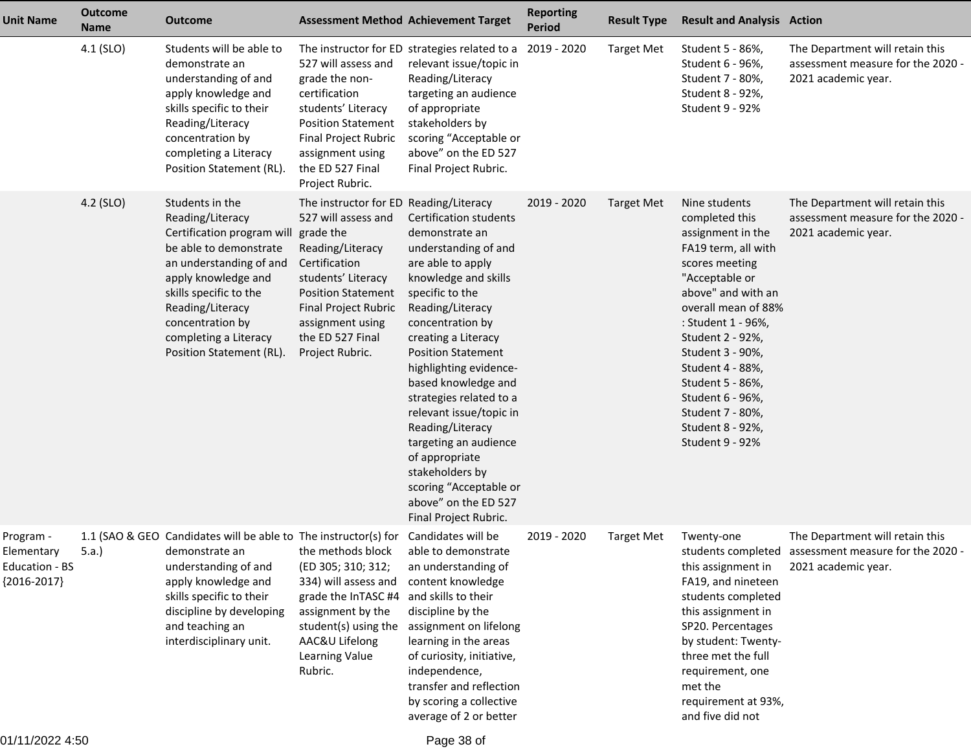| <b>Unit Name</b>                                           | <b>Outcome</b><br><b>Name</b> | <b>Outcome</b>                                                                                                                                                                                                                                                       | <b>Assessment Method Achievement Target</b>                                                                                                                                                                                                           |                                                                                                                                                                                                                                                                                                                                                                                                                                                                                                         | <b>Reporting</b><br><b>Period</b> | <b>Result Type</b> | <b>Result and Analysis Action</b>                                                                                                                                                                                                                                                                                                                 |                                                                                                                |
|------------------------------------------------------------|-------------------------------|----------------------------------------------------------------------------------------------------------------------------------------------------------------------------------------------------------------------------------------------------------------------|-------------------------------------------------------------------------------------------------------------------------------------------------------------------------------------------------------------------------------------------------------|---------------------------------------------------------------------------------------------------------------------------------------------------------------------------------------------------------------------------------------------------------------------------------------------------------------------------------------------------------------------------------------------------------------------------------------------------------------------------------------------------------|-----------------------------------|--------------------|---------------------------------------------------------------------------------------------------------------------------------------------------------------------------------------------------------------------------------------------------------------------------------------------------------------------------------------------------|----------------------------------------------------------------------------------------------------------------|
|                                                            | 4.1 (SLO)                     | Students will be able to<br>demonstrate an<br>understanding of and<br>apply knowledge and<br>skills specific to their<br>Reading/Literacy<br>concentration by<br>completing a Literacy<br>Position Statement (RL).                                                   | 527 will assess and<br>grade the non-<br>certification<br>students' Literacy<br><b>Position Statement</b><br>Final Project Rubric<br>assignment using<br>the ED 527 Final<br>Project Rubric.                                                          | The instructor for ED strategies related to a 2019 - 2020<br>relevant issue/topic in<br>Reading/Literacy<br>targeting an audience<br>of appropriate<br>stakeholders by<br>scoring "Acceptable or<br>above" on the ED 527<br>Final Project Rubric.                                                                                                                                                                                                                                                       |                                   | <b>Target Met</b>  | Student 5 - 86%,<br>Student 6 - 96%,<br>Student 7 - 80%,<br>Student 8 - 92%,<br>Student 9 - 92%                                                                                                                                                                                                                                                   | The Department will retain this<br>assessment measure for the 2020 -<br>2021 academic year.                    |
|                                                            | 4.2 (SLO)                     | Students in the<br>Reading/Literacy<br>Certification program will<br>be able to demonstrate<br>an understanding of and<br>apply knowledge and<br>skills specific to the<br>Reading/Literacy<br>concentration by<br>completing a Literacy<br>Position Statement (RL). | The instructor for ED Reading/Literacy<br>527 will assess and<br>grade the<br>Reading/Literacy<br>Certification<br>students' Literacy<br><b>Position Statement</b><br>Final Project Rubric<br>assignment using<br>the ED 527 Final<br>Project Rubric. | <b>Certification students</b><br>demonstrate an<br>understanding of and<br>are able to apply<br>knowledge and skills<br>specific to the<br>Reading/Literacy<br>concentration by<br>creating a Literacy<br><b>Position Statement</b><br>highlighting evidence-<br>based knowledge and<br>strategies related to a<br>relevant issue/topic in<br>Reading/Literacy<br>targeting an audience<br>of appropriate<br>stakeholders by<br>scoring "Acceptable or<br>above" on the ED 527<br>Final Project Rubric. | 2019 - 2020                       | <b>Target Met</b>  | Nine students<br>completed this<br>assignment in the<br>FA19 term, all with<br>scores meeting<br>"Acceptable or<br>above" and with an<br>overall mean of 88%<br>: Student 1 - 96%,<br>Student 2 - 92%,<br>Student 3 - 90%,<br>Student 4 - 88%,<br>Student 5 - 86%,<br>Student 6 - 96%,<br>Student 7 - 80%,<br>Student 8 - 92%,<br>Student 9 - 92% | The Department will retain this<br>assessment measure for the 2020 -<br>2021 academic year.                    |
| Program -<br>Elementary<br>Education - BS<br>${2016-2017}$ | 5.a.)                         | 1.1 (SAO & GEO Candidates will be able to The instructor(s) for<br>demonstrate an<br>understanding of and<br>apply knowledge and<br>skills specific to their<br>discipline by developing<br>and teaching an<br>interdisciplinary unit.                               | the methods block<br>(ED 305; 310; 312;<br>334) will assess and<br>grade the InTASC #4<br>assignment by the<br>student(s) using the<br>AAC&U Lifelong<br>Learning Value<br>Rubric.                                                                    | Candidates will be<br>able to demonstrate<br>an understanding of<br>content knowledge<br>and skills to their<br>discipline by the<br>assignment on lifelong<br>learning in the areas<br>of curiosity, initiative,<br>independence,<br>transfer and reflection<br>by scoring a collective<br>average of 2 or better                                                                                                                                                                                      | 2019 - 2020                       | <b>Target Met</b>  | Twenty-one<br>this assignment in<br>FA19, and nineteen<br>students completed<br>this assignment in<br>SP20. Percentages<br>by student: Twenty-<br>three met the full<br>requirement, one<br>met the<br>requirement at 93%,<br>and five did not                                                                                                    | The Department will retain this<br>students completed assessment measure for the 2020 -<br>2021 academic year. |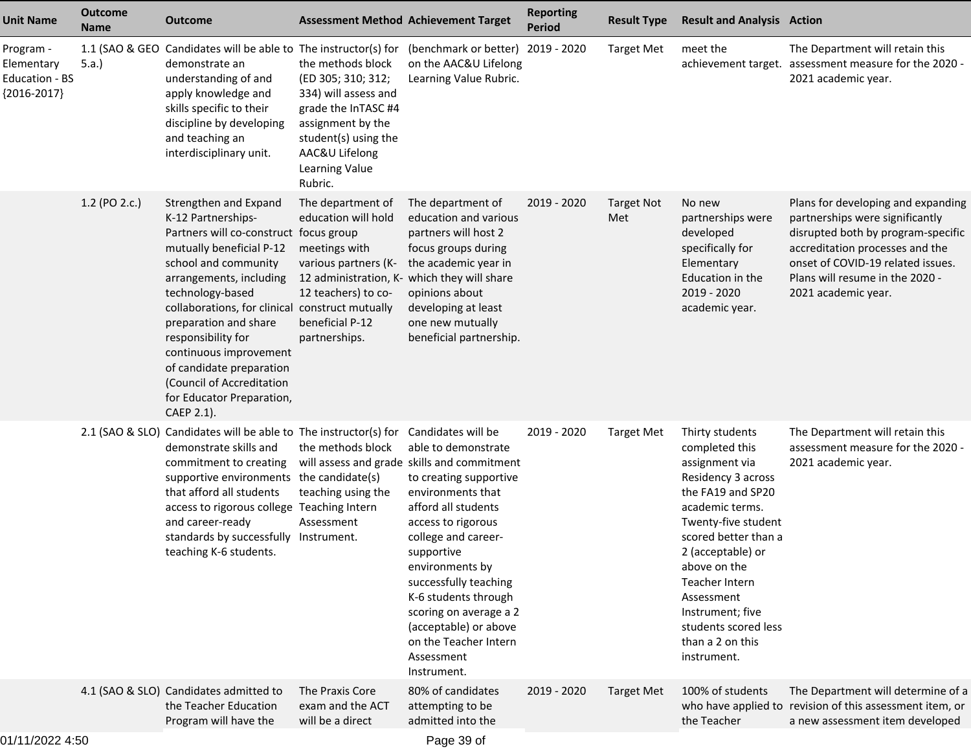| <b>Unit Name</b>                                           | <b>Outcome</b><br><b>Name</b> | <b>Outcome</b>                                                                                                                                                                                                                                                                                                                                                                                                           | <b>Assessment Method Achievement Target</b>                                                                                                                                        |                                                                                                                                                                                                                                                                                                                                                                                                        | <b>Reporting</b><br><b>Period</b> | <b>Result Type</b>       | <b>Result and Analysis Action</b>                                                                                                                                                                                                                                                                                    |                                                                                                                                                                                                                                               |
|------------------------------------------------------------|-------------------------------|--------------------------------------------------------------------------------------------------------------------------------------------------------------------------------------------------------------------------------------------------------------------------------------------------------------------------------------------------------------------------------------------------------------------------|------------------------------------------------------------------------------------------------------------------------------------------------------------------------------------|--------------------------------------------------------------------------------------------------------------------------------------------------------------------------------------------------------------------------------------------------------------------------------------------------------------------------------------------------------------------------------------------------------|-----------------------------------|--------------------------|----------------------------------------------------------------------------------------------------------------------------------------------------------------------------------------------------------------------------------------------------------------------------------------------------------------------|-----------------------------------------------------------------------------------------------------------------------------------------------------------------------------------------------------------------------------------------------|
| Program -<br>Elementary<br>Education - BS<br>${2016-2017}$ | 5.a.                          | 1.1 (SAO & GEO Candidates will be able to The instructor(s) for<br>demonstrate an<br>understanding of and<br>apply knowledge and<br>skills specific to their<br>discipline by developing<br>and teaching an<br>interdisciplinary unit.                                                                                                                                                                                   | the methods block<br>(ED 305; 310; 312;<br>334) will assess and<br>grade the InTASC #4<br>assignment by the<br>student(s) using the<br>AAC&U Lifelong<br>Learning Value<br>Rubric. | (benchmark or better) 2019 - 2020<br>on the AAC&U Lifelong<br>Learning Value Rubric.                                                                                                                                                                                                                                                                                                                   |                                   | <b>Target Met</b>        | meet the                                                                                                                                                                                                                                                                                                             | The Department will retain this<br>achievement target. assessment measure for the 2020 -<br>2021 academic year.                                                                                                                               |
|                                                            | 1.2 (PO 2.c.)                 | Strengthen and Expand<br>K-12 Partnerships-<br>Partners will co-construct focus group<br>mutually beneficial P-12<br>school and community<br>arrangements, including<br>technology-based<br>collaborations, for clinical construct mutually<br>preparation and share<br>responsibility for<br>continuous improvement<br>of candidate preparation<br>(Council of Accreditation<br>for Educator Preparation,<br>CAEP 2.1). | The department of<br>education will hold<br>meetings with<br>various partners (K-<br>12 teachers) to co-<br>beneficial P-12<br>partnerships.                                       | The department of<br>education and various<br>partners will host 2<br>focus groups during<br>the academic year in<br>12 administration, K- which they will share<br>opinions about<br>developing at least<br>one new mutually<br>beneficial partnership.                                                                                                                                               | 2019 - 2020                       | <b>Target Not</b><br>Met | No new<br>partnerships were<br>developed<br>specifically for<br>Elementary<br>Education in the<br>2019 - 2020<br>academic year.                                                                                                                                                                                      | Plans for developing and expanding<br>partnerships were significantly<br>disrupted both by program-specific<br>accreditation processes and the<br>onset of COVID-19 related issues.<br>Plans will resume in the 2020 -<br>2021 academic year. |
|                                                            |                               | 2.1 (SAO & SLO) Candidates will be able to The instructor(s) for<br>demonstrate skills and<br>commitment to creating<br>supportive environments the candidate(s)<br>that afford all students<br>access to rigorous college Teaching Intern<br>and career-ready<br>standards by successfully Instrument.<br>teaching K-6 students.                                                                                        | the methods block<br>teaching using the<br>Assessment                                                                                                                              | Candidates will be<br>able to demonstrate<br>will assess and grade skills and commitment<br>to creating supportive<br>environments that<br>afford all students<br>access to rigorous<br>college and career-<br>supportive<br>environments by<br>successfully teaching<br>K-6 students through<br>scoring on average a 2<br>(acceptable) or above<br>on the Teacher Intern<br>Assessment<br>Instrument. | 2019 - 2020                       | <b>Target Met</b>        | Thirty students<br>completed this<br>assignment via<br>Residency 3 across<br>the FA19 and SP20<br>academic terms.<br>Twenty-five student<br>scored better than a<br>2 (acceptable) or<br>above on the<br>Teacher Intern<br>Assessment<br>Instrument; five<br>students scored less<br>than a 2 on this<br>instrument. | The Department will retain this<br>assessment measure for the 2020 -<br>2021 academic year.                                                                                                                                                   |
|                                                            |                               | 4.1 (SAO & SLO) Candidates admitted to<br>the Teacher Education<br>Program will have the                                                                                                                                                                                                                                                                                                                                 | The Praxis Core<br>exam and the ACT<br>will be a direct                                                                                                                            | 80% of candidates<br>attempting to be<br>admitted into the                                                                                                                                                                                                                                                                                                                                             | 2019 - 2020                       | <b>Target Met</b>        | 100% of students<br>the Teacher                                                                                                                                                                                                                                                                                      | The Department will determine of a<br>who have applied to revision of this assessment item, or<br>a new assessment item developed                                                                                                             |
|                                                            |                               |                                                                                                                                                                                                                                                                                                                                                                                                                          |                                                                                                                                                                                    |                                                                                                                                                                                                                                                                                                                                                                                                        |                                   |                          |                                                                                                                                                                                                                                                                                                                      |                                                                                                                                                                                                                                               |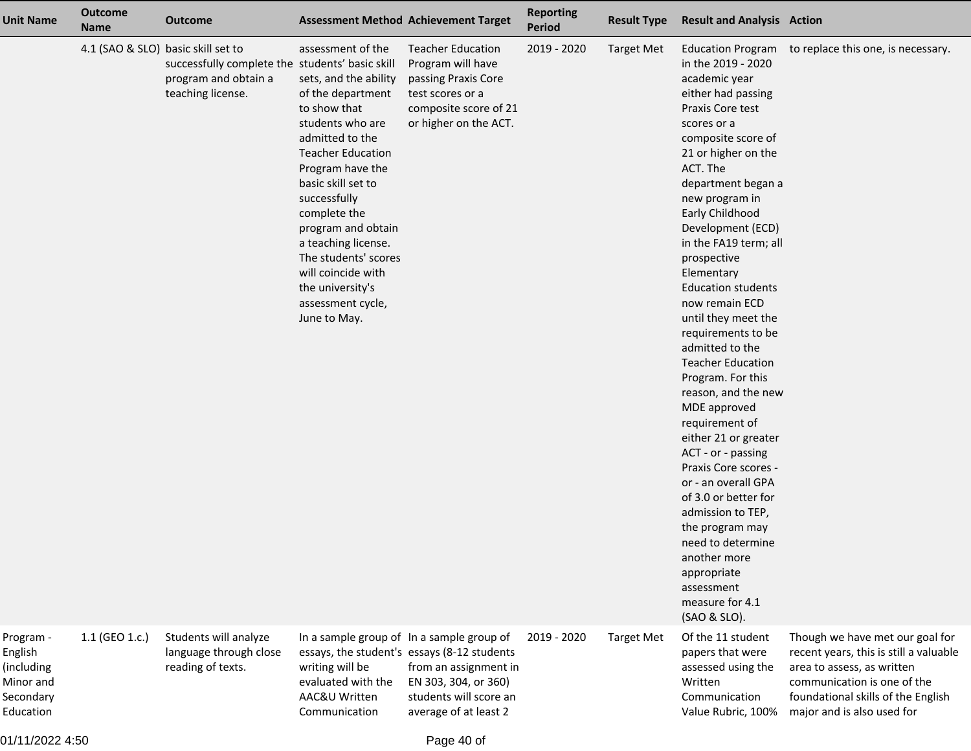| Unit Name                                                                 | <b>Outcome</b><br><b>Name</b>      | <b>Outcome</b>                                                                               |                                                                                                                                                                                                                                                                                                                                                                                  | <b>Assessment Method Achievement Target</b>                                                                                                     | <b>Reporting</b><br><b>Period</b> | <b>Result Type</b> | <b>Result and Analysis Action</b>                                                                                                                                                                                                                                                                                                                                                                                                                                                                                                                                                                                                                                                                                                                                                                                  |                                                                                                                                                                                                            |
|---------------------------------------------------------------------------|------------------------------------|----------------------------------------------------------------------------------------------|----------------------------------------------------------------------------------------------------------------------------------------------------------------------------------------------------------------------------------------------------------------------------------------------------------------------------------------------------------------------------------|-------------------------------------------------------------------------------------------------------------------------------------------------|-----------------------------------|--------------------|--------------------------------------------------------------------------------------------------------------------------------------------------------------------------------------------------------------------------------------------------------------------------------------------------------------------------------------------------------------------------------------------------------------------------------------------------------------------------------------------------------------------------------------------------------------------------------------------------------------------------------------------------------------------------------------------------------------------------------------------------------------------------------------------------------------------|------------------------------------------------------------------------------------------------------------------------------------------------------------------------------------------------------------|
|                                                                           | 4.1 (SAO & SLO) basic skill set to | successfully complete the students' basic skill<br>program and obtain a<br>teaching license. | assessment of the<br>sets, and the ability<br>of the department<br>to show that<br>students who are<br>admitted to the<br><b>Teacher Education</b><br>Program have the<br>basic skill set to<br>successfully<br>complete the<br>program and obtain<br>a teaching license.<br>The students' scores<br>will coincide with<br>the university's<br>assessment cycle,<br>June to May. | <b>Teacher Education</b><br>Program will have<br>passing Praxis Core<br>test scores or a<br>composite score of 21<br>or higher on the ACT.      | 2019 - 2020                       | <b>Target Met</b>  | <b>Education Program</b><br>in the 2019 - 2020<br>academic year<br>either had passing<br>Praxis Core test<br>scores or a<br>composite score of<br>21 or higher on the<br>ACT. The<br>department began a<br>new program in<br>Early Childhood<br>Development (ECD)<br>in the FA19 term; all<br>prospective<br>Elementary<br><b>Education students</b><br>now remain ECD<br>until they meet the<br>requirements to be<br>admitted to the<br><b>Teacher Education</b><br>Program. For this<br>reason, and the new<br>MDE approved<br>requirement of<br>either 21 or greater<br>ACT - or - passing<br>Praxis Core scores -<br>or - an overall GPA<br>of 3.0 or better for<br>admission to TEP,<br>the program may<br>need to determine<br>another more<br>appropriate<br>assessment<br>measure for 4.1<br>(SAO & SLO). | to replace this one, is necessary.                                                                                                                                                                         |
| Program -<br>English<br>(including<br>Minor and<br>Secondary<br>Education | 1.1 (GEO 1.c.)                     | Students will analyze<br>language through close<br>reading of texts.                         | In a sample group of In a sample group of<br>writing will be<br>evaluated with the<br>AAC&U Written<br>Communication                                                                                                                                                                                                                                                             | essays, the student's essays (8-12 students<br>from an assignment in<br>EN 303, 304, or 360)<br>students will score an<br>average of at least 2 | 2019 - 2020                       | <b>Target Met</b>  | Of the 11 student<br>papers that were<br>assessed using the<br>Written<br>Communication<br>Value Rubric, 100%                                                                                                                                                                                                                                                                                                                                                                                                                                                                                                                                                                                                                                                                                                      | Though we have met our goal for<br>recent years, this is still a valuable<br>area to assess, as written<br>communication is one of the<br>foundational skills of the English<br>major and is also used for |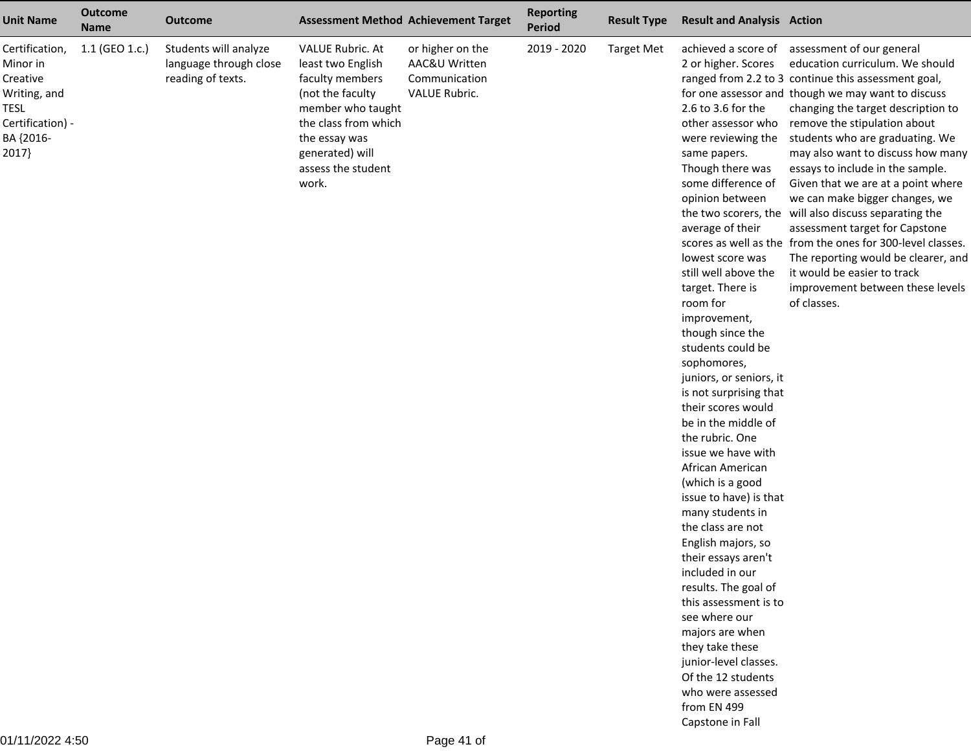| <b>Unit Name</b>                                                                                                | <b>Outcome</b><br><b>Name</b> | <b>Outcome</b>                                                       |                                                                                                                                                                                                     | <b>Assessment Method Achievement Target</b>                         | <b>Reporting</b><br><b>Period</b> | <b>Result Type</b> | <b>Result and Analysis Action</b>                                                                                                                                                                                                                                                                                                                                                                                                                                                                                                                                                                                                                                                                                                                                                                                                                                                                      |                                                                                                                                                                                                                                                                                                                                                                                                                                                                                                                                                                                                                                                                                                                       |
|-----------------------------------------------------------------------------------------------------------------|-------------------------------|----------------------------------------------------------------------|-----------------------------------------------------------------------------------------------------------------------------------------------------------------------------------------------------|---------------------------------------------------------------------|-----------------------------------|--------------------|--------------------------------------------------------------------------------------------------------------------------------------------------------------------------------------------------------------------------------------------------------------------------------------------------------------------------------------------------------------------------------------------------------------------------------------------------------------------------------------------------------------------------------------------------------------------------------------------------------------------------------------------------------------------------------------------------------------------------------------------------------------------------------------------------------------------------------------------------------------------------------------------------------|-----------------------------------------------------------------------------------------------------------------------------------------------------------------------------------------------------------------------------------------------------------------------------------------------------------------------------------------------------------------------------------------------------------------------------------------------------------------------------------------------------------------------------------------------------------------------------------------------------------------------------------------------------------------------------------------------------------------------|
| Certification,<br>Minor in<br>Creative<br>Writing, and<br><b>TESL</b><br>Certification) -<br>BA {2016-<br>2017} | 1.1 (GEO 1.c.)                | Students will analyze<br>language through close<br>reading of texts. | <b>VALUE Rubric. At</b><br>least two English<br>faculty members<br>(not the faculty<br>member who taught<br>the class from which<br>the essay was<br>generated) will<br>assess the student<br>work. | or higher on the<br>AAC&U Written<br>Communication<br>VALUE Rubric. | 2019 - 2020                       | <b>Target Met</b>  | achieved a score of<br>2 or higher. Scores<br>2.6 to 3.6 for the<br>other assessor who<br>were reviewing the<br>same papers.<br>Though there was<br>some difference of<br>opinion between<br>average of their<br>lowest score was<br>still well above the<br>target. There is<br>room for<br>improvement,<br>though since the<br>students could be<br>sophomores,<br>juniors, or seniors, it<br>is not surprising that<br>their scores would<br>be in the middle of<br>the rubric. One<br>issue we have with<br>African American<br>(which is a good<br>issue to have) is that<br>many students in<br>the class are not<br>English majors, so<br>their essays aren't<br>included in our<br>results. The goal of<br>this assessment is to<br>see where our<br>majors are when<br>they take these<br>junior-level classes.<br>Of the 12 students<br>who were assessed<br>from EN 499<br>Capstone in Fall | assessment of our general<br>education curriculum. We should<br>ranged from 2.2 to 3 continue this assessment goal,<br>for one assessor and though we may want to discuss<br>changing the target description to<br>remove the stipulation about<br>students who are graduating. We<br>may also want to discuss how many<br>essays to include in the sample.<br>Given that we are at a point where<br>we can make bigger changes, we<br>the two scorers, the will also discuss separating the<br>assessment target for Capstone<br>scores as well as the from the ones for 300-level classes.<br>The reporting would be clearer, and<br>it would be easier to track<br>improvement between these levels<br>of classes. |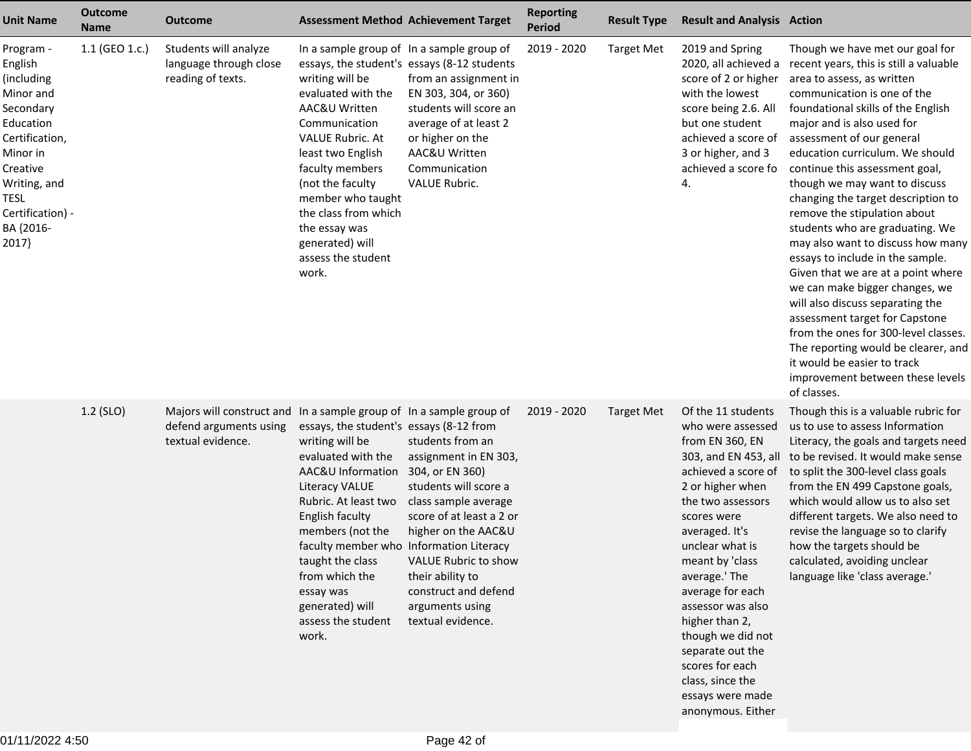| <b>Unit Name</b>                                                                                                                                                                             | <b>Outcome</b><br><b>Name</b> | <b>Outcome</b>                                                                                                     |                                                                                                                                                                                                                                                                                                                                               | <b>Assessment Method Achievement Target</b>                                                                                                                                                                                                                                  | <b>Reporting</b><br><b>Period</b> | <b>Result Type</b> | <b>Result and Analysis Action</b>                                                                                                                                                                                                                                                                                                                                                                                              |                                                                                                                                                                                                                                                                                                                                                                                                                                                                                                                                                                                                                                                                                                                                                                                                                                                |
|----------------------------------------------------------------------------------------------------------------------------------------------------------------------------------------------|-------------------------------|--------------------------------------------------------------------------------------------------------------------|-----------------------------------------------------------------------------------------------------------------------------------------------------------------------------------------------------------------------------------------------------------------------------------------------------------------------------------------------|------------------------------------------------------------------------------------------------------------------------------------------------------------------------------------------------------------------------------------------------------------------------------|-----------------------------------|--------------------|--------------------------------------------------------------------------------------------------------------------------------------------------------------------------------------------------------------------------------------------------------------------------------------------------------------------------------------------------------------------------------------------------------------------------------|------------------------------------------------------------------------------------------------------------------------------------------------------------------------------------------------------------------------------------------------------------------------------------------------------------------------------------------------------------------------------------------------------------------------------------------------------------------------------------------------------------------------------------------------------------------------------------------------------------------------------------------------------------------------------------------------------------------------------------------------------------------------------------------------------------------------------------------------|
| Program -<br>English<br>(including<br>Minor and<br>Secondary<br>Education<br>Certification,<br>Minor in<br>Creative<br>Writing, and<br><b>TESL</b><br>Certification) -<br>BA {2016-<br>2017} | 1.1 (GEO 1.c.)                | Students will analyze<br>language through close<br>reading of texts.                                               | In a sample group of In a sample group of<br>writing will be<br>evaluated with the<br>AAC&U Written<br>Communication<br><b>VALUE Rubric. At</b><br>least two English<br>faculty members<br>(not the faculty<br>member who taught<br>the class from which<br>the essay was<br>generated) will<br>assess the student<br>work.                   | essays, the student's essays (8-12 students<br>from an assignment in<br>EN 303, 304, or 360)<br>students will score an<br>average of at least 2<br>or higher on the<br>AAC&U Written<br>Communication<br><b>VALUE Rubric.</b>                                                | 2019 - 2020                       | <b>Target Met</b>  | 2019 and Spring<br>2020, all achieved a<br>score of 2 or higher<br>with the lowest<br>score being 2.6. All<br>but one student<br>achieved a score of<br>3 or higher, and 3<br>achieved a score fo<br>4.                                                                                                                                                                                                                        | Though we have met our goal for<br>recent years, this is still a valuable<br>area to assess, as written<br>communication is one of the<br>foundational skills of the English<br>major and is also used for<br>assessment of our general<br>education curriculum. We should<br>continue this assessment goal,<br>though we may want to discuss<br>changing the target description to<br>remove the stipulation about<br>students who are graduating. We<br>may also want to discuss how many<br>essays to include in the sample.<br>Given that we are at a point where<br>we can make bigger changes, we<br>will also discuss separating the<br>assessment target for Capstone<br>from the ones for 300-level classes.<br>The reporting would be clearer, and<br>it would be easier to track<br>improvement between these levels<br>of classes. |
|                                                                                                                                                                                              | 1.2 (SLO)                     | Majors will construct and In a sample group of In a sample group of<br>defend arguments using<br>textual evidence. | essays, the student's essays (8-12 from<br>writing will be<br>evaluated with the<br>AAC&U Information<br><b>Literacy VALUE</b><br>Rubric. At least two<br>English faculty<br>members (not the<br>faculty member who Information Literacy<br>taught the class<br>from which the<br>essay was<br>generated) will<br>assess the student<br>work. | students from an<br>assignment in EN 303,<br>304, or EN 360)<br>students will score a<br>class sample average<br>score of at least a 2 or<br>higher on the AAC&U<br>VALUE Rubric to show<br>their ability to<br>construct and defend<br>arguments using<br>textual evidence. | 2019 - 2020                       | Target Met         | Of the 11 students<br>who were assessed<br>from EN 360, EN<br>303, and EN 453, all<br>achieved a score of<br>2 or higher when<br>the two assessors<br>scores were<br>averaged. It's<br>unclear what is<br>meant by 'class<br>average.' The<br>average for each<br>assessor was also<br>higher than 2,<br>though we did not<br>separate out the<br>scores for each<br>class, since the<br>essays were made<br>anonymous. Either | Though this is a valuable rubric for<br>us to use to assess Information<br>Literacy, the goals and targets need<br>to be revised. It would make sense<br>to split the 300-level class goals<br>from the EN 499 Capstone goals,<br>which would allow us to also set<br>different targets. We also need to<br>revise the language so to clarify<br>how the targets should be<br>calculated, avoiding unclear<br>language like 'class average.'                                                                                                                                                                                                                                                                                                                                                                                                   |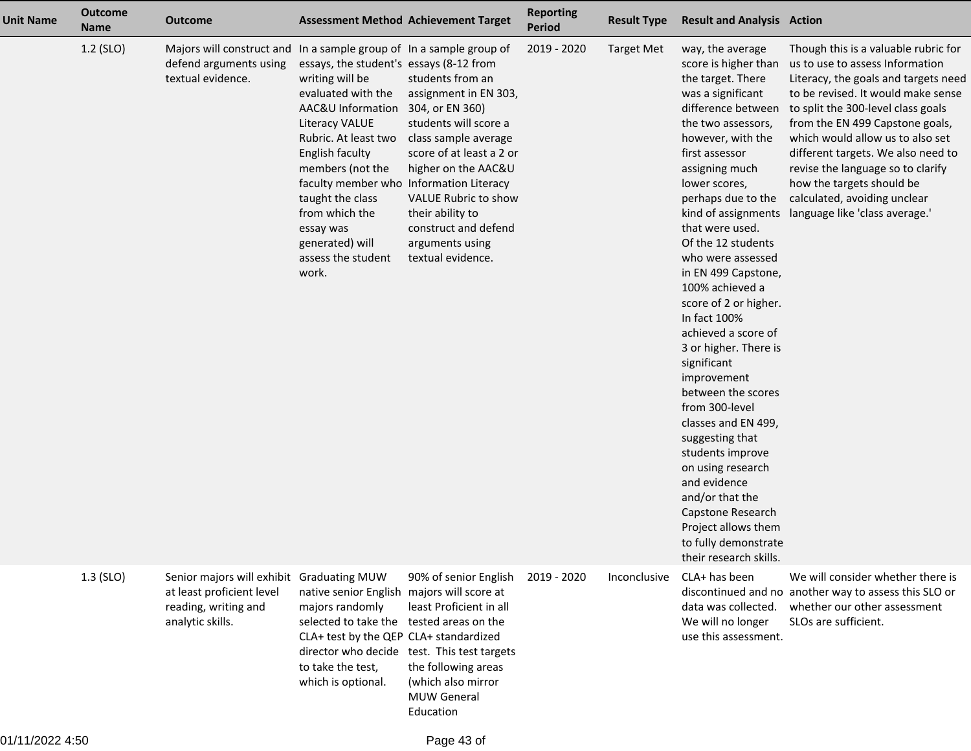| <b>Unit Name</b> | <b>Outcome</b><br><b>Name</b> | <b>Outcome</b>                                                                                                     | <b>Assessment Method Achievement Target</b>                                                                                                                                                                                                                                                                                                                   |                                                                                                                                                                                                                                                           | <b>Reporting</b><br><b>Period</b> | <b>Result Type</b> | <b>Result and Analysis Action</b>                                                                                                                                                                                                                                                                                                                                                                                                                                                                                                                                                                                                                                                                                                                |                                                                                                                                                                                                                                                                                                                                                                                                                                              |
|------------------|-------------------------------|--------------------------------------------------------------------------------------------------------------------|---------------------------------------------------------------------------------------------------------------------------------------------------------------------------------------------------------------------------------------------------------------------------------------------------------------------------------------------------------------|-----------------------------------------------------------------------------------------------------------------------------------------------------------------------------------------------------------------------------------------------------------|-----------------------------------|--------------------|--------------------------------------------------------------------------------------------------------------------------------------------------------------------------------------------------------------------------------------------------------------------------------------------------------------------------------------------------------------------------------------------------------------------------------------------------------------------------------------------------------------------------------------------------------------------------------------------------------------------------------------------------------------------------------------------------------------------------------------------------|----------------------------------------------------------------------------------------------------------------------------------------------------------------------------------------------------------------------------------------------------------------------------------------------------------------------------------------------------------------------------------------------------------------------------------------------|
|                  | $1.2$ (SLO)                   | Majors will construct and In a sample group of In a sample group of<br>defend arguments using<br>textual evidence. | essays, the student's essays (8-12 from<br>writing will be<br>evaluated with the<br>AAC&U Information 304, or EN 360)<br><b>Literacy VALUE</b><br>Rubric. At least two<br>English faculty<br>members (not the<br>faculty member who Information Literacy<br>taught the class<br>from which the<br>essay was<br>generated) will<br>assess the student<br>work. | students from an<br>assignment in EN 303,<br>students will score a<br>class sample average<br>score of at least a 2 or<br>higher on the AAC&U<br>VALUE Rubric to show<br>their ability to<br>construct and defend<br>arguments using<br>textual evidence. | 2019 - 2020                       | <b>Target Met</b>  | way, the average<br>score is higher than<br>the target. There<br>was a significant<br>difference between<br>the two assessors,<br>however, with the<br>first assessor<br>assigning much<br>lower scores,<br>perhaps due to the<br>kind of assignments<br>that were used.<br>Of the 12 students<br>who were assessed<br>in EN 499 Capstone,<br>100% achieved a<br>score of 2 or higher.<br>In fact 100%<br>achieved a score of<br>3 or higher. There is<br>significant<br>improvement<br>between the scores<br>from 300-level<br>classes and EN 499,<br>suggesting that<br>students improve<br>on using research<br>and evidence<br>and/or that the<br>Capstone Research<br>Project allows them<br>to fully demonstrate<br>their research skills. | Though this is a valuable rubric for<br>us to use to assess Information<br>Literacy, the goals and targets need<br>to be revised. It would make sense<br>to split the 300-level class goals<br>from the EN 499 Capstone goals,<br>which would allow us to also set<br>different targets. We also need to<br>revise the language so to clarify<br>how the targets should be<br>calculated, avoiding unclear<br>language like 'class average.' |
|                  | $1.3$ (SLO)                   | Senior majors will exhibit<br>at least proficient level<br>reading, writing and<br>analytic skills.                | <b>Graduating MUW</b><br>native senior English majors will score at<br>majors randomly<br>selected to take the tested areas on the<br>CLA+ test by the QEP CLA+ standardized<br>to take the test,<br>which is optional.                                                                                                                                       | 90% of senior English<br>least Proficient in all<br>director who decide test. This test targets<br>the following areas<br>(which also mirror<br><b>MUW General</b><br>Education                                                                           | 2019 - 2020                       | Inconclusive       | CLA+ has been<br>data was collected.<br>We will no longer<br>use this assessment.                                                                                                                                                                                                                                                                                                                                                                                                                                                                                                                                                                                                                                                                | We will consider whether there is<br>discontinued and no another way to assess this SLO or<br>whether our other assessment<br>SLOs are sufficient.                                                                                                                                                                                                                                                                                           |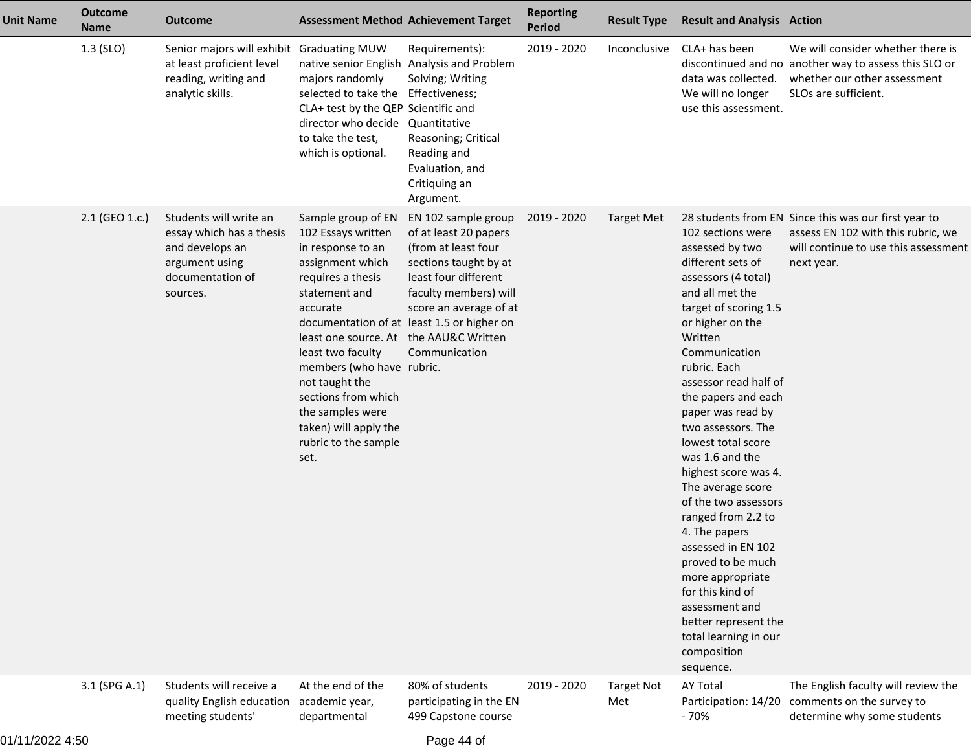| <b>Unit Name</b> | <b>Outcome</b><br><b>Name</b> | <b>Outcome</b>                                                                                                          | <b>Assessment Method Achievement Target</b>                                                                                                                                                                                                                                                                                                           |                                                                                                                                                                                                                                        | <b>Reporting</b><br><b>Period</b> | <b>Result Type</b>       | <b>Result and Analysis Action</b>                                                                                                                                                                                                                                                                                                                                                                                                                                                                                                                                                                                              |                                                                                                                                                    |
|------------------|-------------------------------|-------------------------------------------------------------------------------------------------------------------------|-------------------------------------------------------------------------------------------------------------------------------------------------------------------------------------------------------------------------------------------------------------------------------------------------------------------------------------------------------|----------------------------------------------------------------------------------------------------------------------------------------------------------------------------------------------------------------------------------------|-----------------------------------|--------------------------|--------------------------------------------------------------------------------------------------------------------------------------------------------------------------------------------------------------------------------------------------------------------------------------------------------------------------------------------------------------------------------------------------------------------------------------------------------------------------------------------------------------------------------------------------------------------------------------------------------------------------------|----------------------------------------------------------------------------------------------------------------------------------------------------|
|                  | $1.3$ (SLO)                   | Senior majors will exhibit Graduating MUW<br>at least proficient level<br>reading, writing and<br>analytic skills.      | majors randomly<br>selected to take the Effectiveness;<br>CLA+ test by the QEP Scientific and<br>director who decide<br>to take the test,<br>which is optional.                                                                                                                                                                                       | Requirements):<br>native senior English Analysis and Problem<br>Solving; Writing<br>Quantitative<br>Reasoning; Critical<br>Reading and<br>Evaluation, and<br>Critiquing an<br>Argument.                                                | 2019 - 2020                       | Inconclusive             | CLA+ has been<br>data was collected.<br>We will no longer<br>use this assessment.                                                                                                                                                                                                                                                                                                                                                                                                                                                                                                                                              | We will consider whether there is<br>discontinued and no another way to assess this SLO or<br>whether our other assessment<br>SLOs are sufficient. |
|                  | 2.1 (GEO 1.c.)                | Students will write an<br>essay which has a thesis<br>and develops an<br>argument using<br>documentation of<br>sources. | Sample group of EN<br>102 Essays written<br>in response to an<br>assignment which<br>requires a thesis<br>statement and<br>accurate<br>least one source. At the AAU&C Written<br>least two faculty<br>members (who have rubric.<br>not taught the<br>sections from which<br>the samples were<br>taken) will apply the<br>rubric to the sample<br>set. | EN 102 sample group<br>of at least 20 papers<br>(from at least four<br>sections taught by at<br>least four different<br>faculty members) will<br>score an average of at<br>documentation of at least 1.5 or higher on<br>Communication | 2019 - 2020                       | Target Met               | 102 sections were<br>assessed by two<br>different sets of<br>assessors (4 total)<br>and all met the<br>target of scoring 1.5<br>or higher on the<br>Written<br>Communication<br>rubric. Each<br>assessor read half of<br>the papers and each<br>paper was read by<br>two assessors. The<br>lowest total score<br>was 1.6 and the<br>highest score was 4.<br>The average score<br>of the two assessors<br>ranged from 2.2 to<br>4. The papers<br>assessed in EN 102<br>proved to be much<br>more appropriate<br>for this kind of<br>assessment and<br>better represent the<br>total learning in our<br>composition<br>sequence. | 28 students from EN Since this was our first year to<br>assess EN 102 with this rubric, we<br>will continue to use this assessment<br>next year.   |
|                  | 3.1 (SPG A.1)                 | Students will receive a<br>quality English education<br>meeting students'                                               | At the end of the<br>academic year,<br>departmental                                                                                                                                                                                                                                                                                                   | 80% of students<br>participating in the EN<br>499 Capstone course                                                                                                                                                                      | 2019 - 2020                       | <b>Target Not</b><br>Met | <b>AY Total</b><br>Participation: 14/20<br>$-70%$                                                                                                                                                                                                                                                                                                                                                                                                                                                                                                                                                                              | The English faculty will review the<br>comments on the survey to<br>determine why some students                                                    |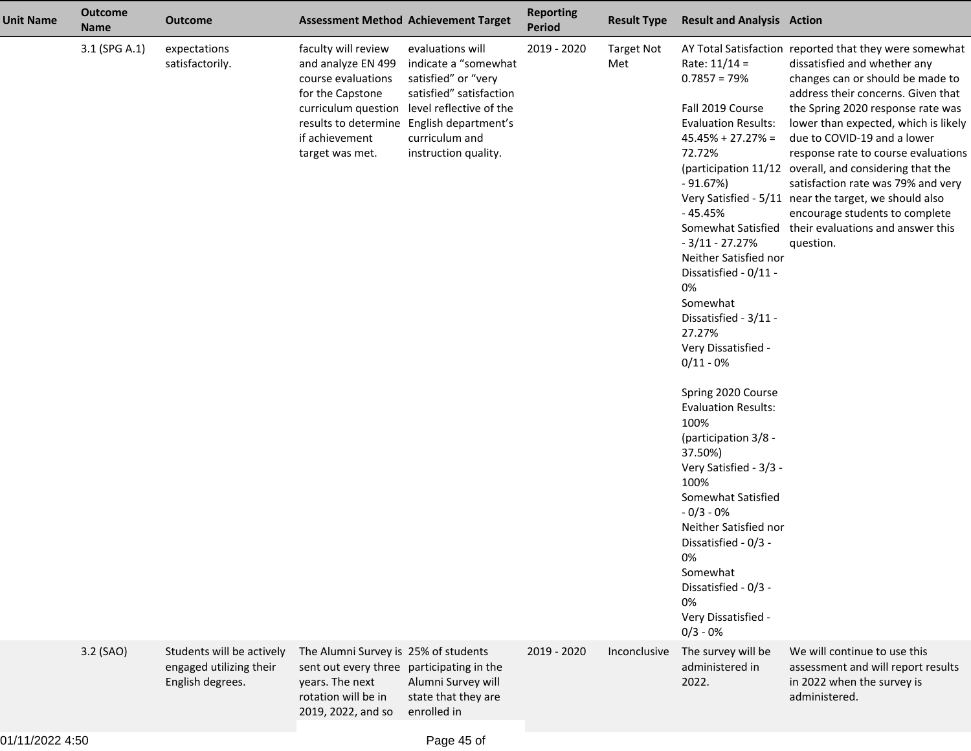| <b>Unit Name</b> | <b>Outcome</b><br><b>Name</b> | <b>Outcome</b>                                                           | <b>Assessment Method Achievement Target</b>                                                                                                       |                                                                                                                                                                                                                                  | <b>Reporting</b><br>Period | <b>Result Type</b>       | <b>Result and Analysis Action</b>                                                                                                                                                                                                                                                                                                                                                                                                                                                                                                                                                                                            |                                                                                                                                                                                                                                                                                                                                                                                                                                                                                                                                                                                     |
|------------------|-------------------------------|--------------------------------------------------------------------------|---------------------------------------------------------------------------------------------------------------------------------------------------|----------------------------------------------------------------------------------------------------------------------------------------------------------------------------------------------------------------------------------|----------------------------|--------------------------|------------------------------------------------------------------------------------------------------------------------------------------------------------------------------------------------------------------------------------------------------------------------------------------------------------------------------------------------------------------------------------------------------------------------------------------------------------------------------------------------------------------------------------------------------------------------------------------------------------------------------|-------------------------------------------------------------------------------------------------------------------------------------------------------------------------------------------------------------------------------------------------------------------------------------------------------------------------------------------------------------------------------------------------------------------------------------------------------------------------------------------------------------------------------------------------------------------------------------|
|                  | 3.1 (SPG A.1)                 | expectations<br>satisfactorily.                                          | faculty will review<br>and analyze EN 499<br>course evaluations<br>for the Capstone<br>if achievement<br>target was met.                          | evaluations will<br>indicate a "somewhat<br>satisfied" or "very<br>satisfied" satisfaction<br>curriculum question level reflective of the<br>results to determine English department's<br>curriculum and<br>instruction quality. | 2019 - 2020                | <b>Target Not</b><br>Met | Rate: $11/14 =$<br>$0.7857 = 79%$<br>Fall 2019 Course<br><b>Evaluation Results:</b><br>$45.45\% + 27.27\% =$<br>72.72%<br>$-91.67%$<br>- 45.45%<br>$-3/11 - 27.27%$<br>Neither Satisfied nor<br>Dissatisfied - 0/11 -<br>0%<br>Somewhat<br>Dissatisfied - 3/11 -<br>27.27%<br>Very Dissatisfied -<br>$0/11 - 0%$<br>Spring 2020 Course<br><b>Evaluation Results:</b><br>100%<br>(participation 3/8 -<br>37.50%)<br>Very Satisfied - 3/3 -<br>100%<br>Somewhat Satisfied<br>$-0/3 - 0%$<br>Neither Satisfied nor<br>Dissatisfied - 0/3 -<br>0%<br>Somewhat<br>Dissatisfied - 0/3 -<br>0%<br>Very Dissatisfied -<br>$0/3 - 0%$ | AY Total Satisfaction reported that they were somewhat<br>dissatisfied and whether any<br>changes can or should be made to<br>address their concerns. Given that<br>the Spring 2020 response rate was<br>lower than expected, which is likely<br>due to COVID-19 and a lower<br>response rate to course evaluations<br>(participation 11/12 overall, and considering that the<br>satisfaction rate was 79% and very<br>Very Satisfied - 5/11 near the target, we should also<br>encourage students to complete<br>Somewhat Satisfied their evaluations and answer this<br>question. |
|                  | 3.2 (SAO)                     | Students will be actively<br>engaged utilizing their<br>English degrees. | The Alumni Survey is 25% of students<br>sent out every three participating in the<br>years. The next<br>rotation will be in<br>2019, 2022, and so | Alumni Survey will<br>state that they are<br>enrolled in                                                                                                                                                                         | 2019 - 2020                | Inconclusive             | The survey will be<br>administered in<br>2022.                                                                                                                                                                                                                                                                                                                                                                                                                                                                                                                                                                               | We will continue to use this<br>assessment and will report results<br>in 2022 when the survey is<br>administered.                                                                                                                                                                                                                                                                                                                                                                                                                                                                   |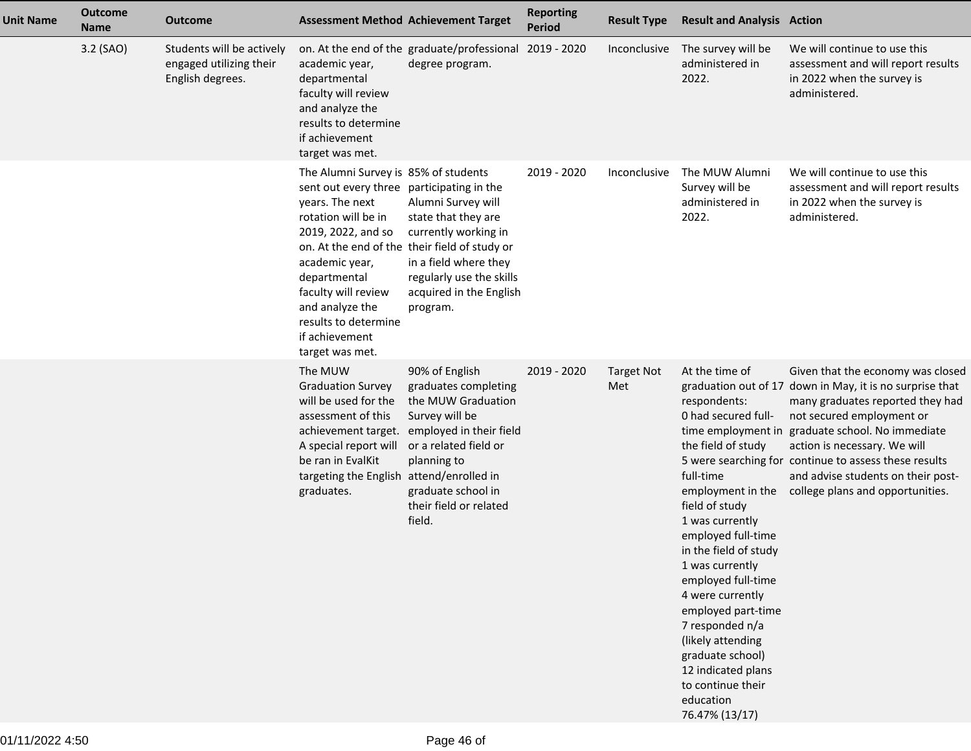| <b>Unit Name</b> | <b>Outcome</b><br><b>Name</b> | <b>Outcome</b>                                                           | <b>Assessment Method Achievement Target</b>                                                                                                                                                                                                                                                |                                                                                                                                                                                                                                 | <b>Reporting</b><br><b>Period</b> | <b>Result Type</b>       | <b>Result and Analysis Action</b>                                                                                                                                                                                                                                                                                                                                                                                          |                                                                                                                                                                                                                                                                                                                                                                                       |
|------------------|-------------------------------|--------------------------------------------------------------------------|--------------------------------------------------------------------------------------------------------------------------------------------------------------------------------------------------------------------------------------------------------------------------------------------|---------------------------------------------------------------------------------------------------------------------------------------------------------------------------------------------------------------------------------|-----------------------------------|--------------------------|----------------------------------------------------------------------------------------------------------------------------------------------------------------------------------------------------------------------------------------------------------------------------------------------------------------------------------------------------------------------------------------------------------------------------|---------------------------------------------------------------------------------------------------------------------------------------------------------------------------------------------------------------------------------------------------------------------------------------------------------------------------------------------------------------------------------------|
|                  | 3.2 (SAO)                     | Students will be actively<br>engaged utilizing their<br>English degrees. | academic year,<br>departmental<br>faculty will review<br>and analyze the<br>results to determine<br>if achievement<br>target was met.                                                                                                                                                      | on. At the end of the graduate/professional<br>degree program.                                                                                                                                                                  | 2019 - 2020                       | Inconclusive             | The survey will be<br>administered in<br>2022.                                                                                                                                                                                                                                                                                                                                                                             | We will continue to use this<br>assessment and will report results<br>in 2022 when the survey is<br>administered.                                                                                                                                                                                                                                                                     |
|                  |                               |                                                                          | The Alumni Survey is 85% of students<br>sent out every three participating in the<br>years. The next<br>rotation will be in<br>2019, 2022, and so<br>academic year,<br>departmental<br>faculty will review<br>and analyze the<br>results to determine<br>if achievement<br>target was met. | Alumni Survey will<br>state that they are<br>currently working in<br>on. At the end of the their field of study or<br>in a field where they<br>regularly use the skills<br>acquired in the English<br>program.                  | 2019 - 2020                       | Inconclusive             | The MUW Alumni<br>Survey will be<br>administered in<br>2022.                                                                                                                                                                                                                                                                                                                                                               | We will continue to use this<br>assessment and will report results<br>in 2022 when the survey is<br>administered.                                                                                                                                                                                                                                                                     |
|                  |                               |                                                                          | The MUW<br><b>Graduation Survey</b><br>will be used for the<br>assessment of this<br>A special report will<br>be ran in EvalKit<br>targeting the English attend/enrolled in<br>graduates.                                                                                                  | 90% of English<br>graduates completing<br>the MUW Graduation<br>Survey will be<br>achievement target. employed in their field<br>or a related field or<br>planning to<br>graduate school in<br>their field or related<br>field. | 2019 - 2020                       | <b>Target Not</b><br>Met | At the time of<br>respondents:<br>0 had secured full-<br>the field of study<br>full-time<br>employment in the<br>field of study<br>1 was currently<br>employed full-time<br>in the field of study<br>1 was currently<br>employed full-time<br>4 were currently<br>employed part-time<br>7 responded n/a<br>(likely attending<br>graduate school)<br>12 indicated plans<br>to continue their<br>education<br>76.47% (13/17) | Given that the economy was closed<br>graduation out of 17 down in May, it is no surprise that<br>many graduates reported they had<br>not secured employment or<br>time employment in graduate school. No immediate<br>action is necessary. We will<br>5 were searching for continue to assess these results<br>and advise students on their post-<br>college plans and opportunities. |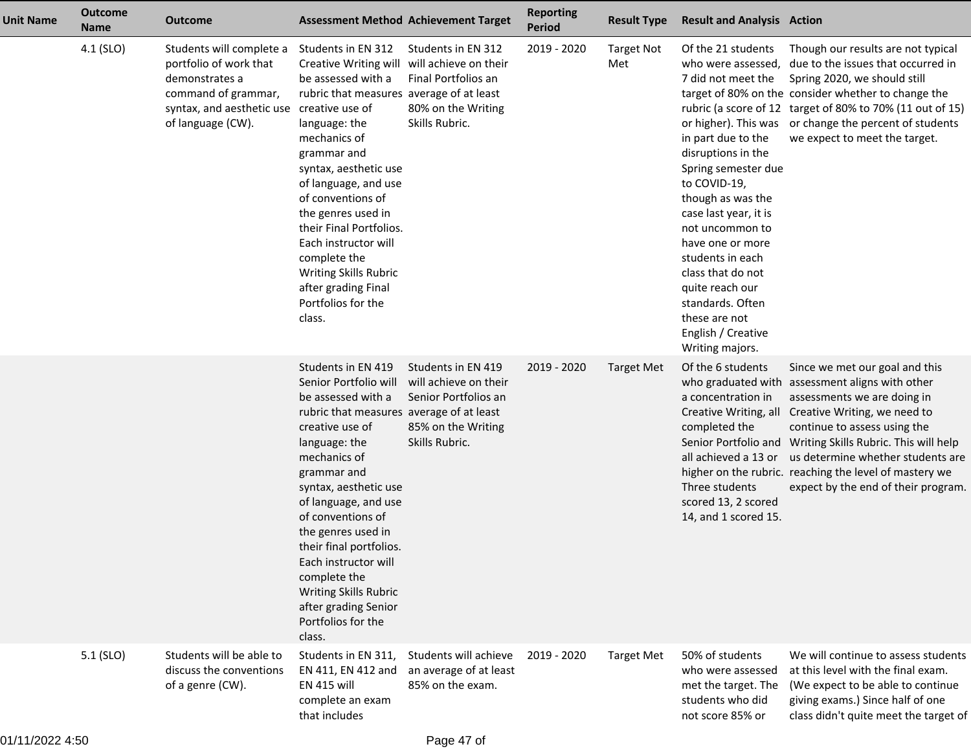| <b>Unit Name</b> | <b>Outcome</b><br><b>Name</b> | <b>Outcome</b>                                                                                                                                | <b>Assessment Method Achievement Target</b>                                                                                                                                                                                                                                                                                                                                                                                      |                                                                                                             | <b>Reporting</b><br><b>Period</b> | <b>Result Type</b>       | <b>Result and Analysis Action</b>                                                                                                                                                                                                                                                                                                                                                                        |                                                                                                                                                                                                                                                                                                                                                                   |
|------------------|-------------------------------|-----------------------------------------------------------------------------------------------------------------------------------------------|----------------------------------------------------------------------------------------------------------------------------------------------------------------------------------------------------------------------------------------------------------------------------------------------------------------------------------------------------------------------------------------------------------------------------------|-------------------------------------------------------------------------------------------------------------|-----------------------------------|--------------------------|----------------------------------------------------------------------------------------------------------------------------------------------------------------------------------------------------------------------------------------------------------------------------------------------------------------------------------------------------------------------------------------------------------|-------------------------------------------------------------------------------------------------------------------------------------------------------------------------------------------------------------------------------------------------------------------------------------------------------------------------------------------------------------------|
|                  | 4.1 (SLO)                     | Students will complete a<br>portfolio of work that<br>demonstrates a<br>command of grammar,<br>syntax, and aesthetic use<br>of language (CW). | Students in EN 312<br>Creative Writing will<br>be assessed with a<br>rubric that measures average of at least<br>creative use of<br>language: the<br>mechanics of<br>grammar and<br>syntax, aesthetic use<br>of language, and use<br>of conventions of<br>the genres used in<br>their Final Portfolios.<br>Each instructor will<br>complete the<br>Writing Skills Rubric<br>after grading Final<br>Portfolios for the<br>class.  | Students in EN 312<br>will achieve on their<br>Final Portfolios an<br>80% on the Writing<br>Skills Rubric.  | 2019 - 2020                       | <b>Target Not</b><br>Met | Of the 21 students<br>who were assessed,<br>7 did not meet the<br>or higher). This was<br>in part due to the<br>disruptions in the<br>Spring semester due<br>to COVID-19,<br>though as was the<br>case last year, it is<br>not uncommon to<br>have one or more<br>students in each<br>class that do not<br>quite reach our<br>standards. Often<br>these are not<br>English / Creative<br>Writing majors. | Though our results are not typical<br>due to the issues that occurred in<br>Spring 2020, we should still<br>target of 80% on the consider whether to change the<br>rubric (a score of 12 target of 80% to 70% (11 out of 15)<br>or change the percent of students<br>we expect to meet the target.                                                                |
|                  |                               |                                                                                                                                               | Students in EN 419<br>Senior Portfolio will<br>be assessed with a<br>rubric that measures average of at least<br>creative use of<br>language: the<br>mechanics of<br>grammar and<br>syntax, aesthetic use<br>of language, and use<br>of conventions of<br>the genres used in<br>their final portfolios.<br>Each instructor will<br>complete the<br>Writing Skills Rubric<br>after grading Senior<br>Portfolios for the<br>class. | Students in EN 419<br>will achieve on their<br>Senior Portfolios an<br>85% on the Writing<br>Skills Rubric. | 2019 - 2020                       | <b>Target Met</b>        | Of the 6 students<br>who graduated with<br>a concentration in<br>Creative Writing, all<br>completed the<br>all achieved a 13 or<br>Three students<br>scored 13, 2 scored<br>14, and 1 scored 15.                                                                                                                                                                                                         | Since we met our goal and this<br>assessment aligns with other<br>assessments we are doing in<br>Creative Writing, we need to<br>continue to assess using the<br>Senior Portfolio and Writing Skills Rubric. This will help<br>us determine whether students are<br>higher on the rubric. reaching the level of mastery we<br>expect by the end of their program. |
|                  | $5.1$ (SLO)                   | Students will be able to<br>discuss the conventions<br>of a genre (CW).                                                                       | Students in EN 311,<br>EN 411, EN 412 and<br><b>EN 415 will</b><br>complete an exam<br>that includes                                                                                                                                                                                                                                                                                                                             | Students will achieve<br>an average of at least<br>85% on the exam.                                         | 2019 - 2020                       | <b>Target Met</b>        | 50% of students<br>who were assessed<br>met the target. The<br>students who did<br>not score 85% or                                                                                                                                                                                                                                                                                                      | We will continue to assess students<br>at this level with the final exam.<br>(We expect to be able to continue<br>giving exams.) Since half of one<br>class didn't quite meet the target of                                                                                                                                                                       |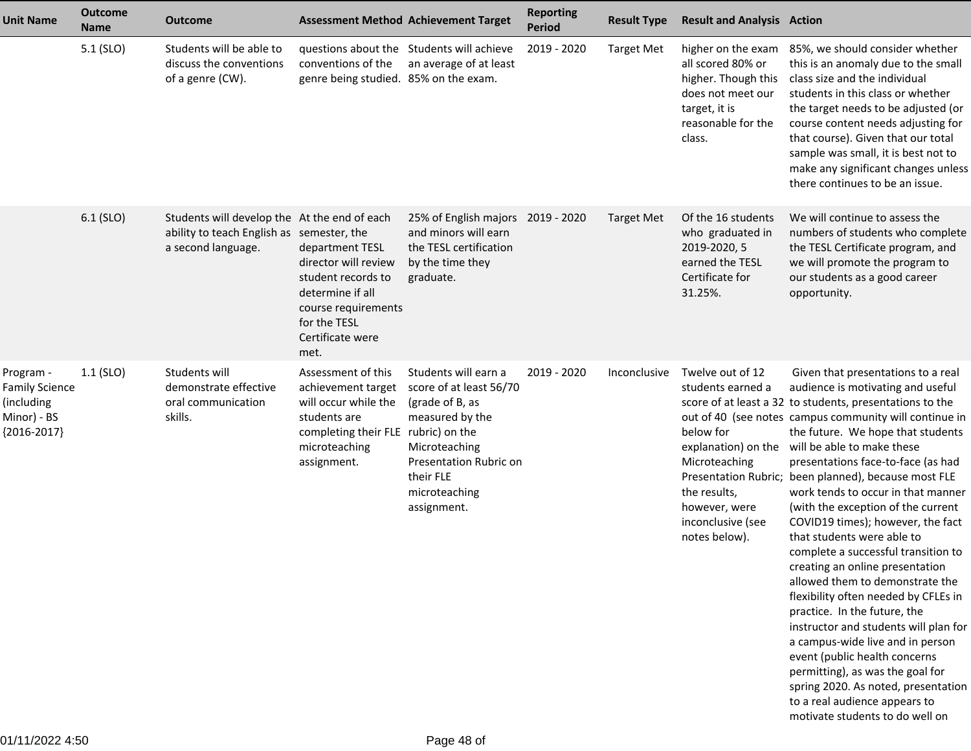| <b>Unit Name</b>                                                                 | <b>Outcome</b><br><b>Name</b> | <b>Outcome</b>                                                                                                  |                                                                                                                                                         | <b>Assessment Method Achievement Target</b>                                                                                                                                   | <b>Reporting</b><br><b>Period</b> | <b>Result Type</b> | <b>Result and Analysis Action</b>                                                                                                          |                                                                                                                                                                                                                                                                                                                                                                                                                                                                                                                                                                                                                                                                                                                                                                                                                                                                                                                                                                                     |
|----------------------------------------------------------------------------------|-------------------------------|-----------------------------------------------------------------------------------------------------------------|---------------------------------------------------------------------------------------------------------------------------------------------------------|-------------------------------------------------------------------------------------------------------------------------------------------------------------------------------|-----------------------------------|--------------------|--------------------------------------------------------------------------------------------------------------------------------------------|-------------------------------------------------------------------------------------------------------------------------------------------------------------------------------------------------------------------------------------------------------------------------------------------------------------------------------------------------------------------------------------------------------------------------------------------------------------------------------------------------------------------------------------------------------------------------------------------------------------------------------------------------------------------------------------------------------------------------------------------------------------------------------------------------------------------------------------------------------------------------------------------------------------------------------------------------------------------------------------|
|                                                                                  | 5.1 (SLO)                     | Students will be able to<br>discuss the conventions<br>of a genre (CW).                                         | conventions of the<br>genre being studied. 85% on the exam.                                                                                             | questions about the Students will achieve<br>an average of at least                                                                                                           | 2019 - 2020                       | <b>Target Met</b>  | higher on the exam<br>all scored 80% or<br>higher. Though this<br>does not meet our<br>target, it is<br>reasonable for the<br>class.       | 85%, we should consider whether<br>this is an anomaly due to the small<br>class size and the individual<br>students in this class or whether<br>the target needs to be adjusted (or<br>course content needs adjusting for<br>that course). Given that our total<br>sample was small, it is best not to<br>make any significant changes unless<br>there continues to be an issue.                                                                                                                                                                                                                                                                                                                                                                                                                                                                                                                                                                                                    |
|                                                                                  | $6.1$ (SLO)                   | Students will develop the At the end of each<br>ability to teach English as semester, the<br>a second language. | department TESL<br>director will review<br>student records to<br>determine if all<br>course requirements<br>for the TESL<br>Certificate were<br>met.    | 25% of English majors 2019 - 2020<br>and minors will earn<br>the TESL certification<br>by the time they<br>graduate.                                                          |                                   | <b>Target Met</b>  | Of the 16 students<br>who graduated in<br>2019-2020, 5<br>earned the TESL<br>Certificate for<br>31.25%.                                    | We will continue to assess the<br>numbers of students who complete<br>the TESL Certificate program, and<br>we will promote the program to<br>our students as a good career<br>opportunity.                                                                                                                                                                                                                                                                                                                                                                                                                                                                                                                                                                                                                                                                                                                                                                                          |
| Program -<br><b>Family Science</b><br>(including<br>Minor) - BS<br>${2016-2017}$ | $1.1$ (SLO)                   | Students will<br>demonstrate effective<br>oral communication<br>skills.                                         | Assessment of this<br>achievement target<br>will occur while the<br>students are<br>completing their FLE rubric) on the<br>microteaching<br>assignment. | Students will earn a<br>score of at least 56/70<br>(grade of B, as<br>measured by the<br>Microteaching<br>Presentation Rubric on<br>their FLE<br>microteaching<br>assignment. | 2019 - 2020                       | Inconclusive       | Twelve out of 12<br>students earned a<br>below for<br>Microteaching<br>the results,<br>however, were<br>inconclusive (see<br>notes below). | Given that presentations to a real<br>audience is motivating and useful<br>score of at least a 32 to students, presentations to the<br>out of 40 (see notes campus community will continue in<br>the future. We hope that students<br>explanation) on the will be able to make these<br>presentations face-to-face (as had<br>Presentation Rubric; been planned), because most FLE<br>work tends to occur in that manner<br>(with the exception of the current<br>COVID19 times); however, the fact<br>that students were able to<br>complete a successful transition to<br>creating an online presentation<br>allowed them to demonstrate the<br>flexibility often needed by CFLEs in<br>practice. In the future, the<br>instructor and students will plan for<br>a campus-wide live and in person<br>event (public health concerns<br>permitting), as was the goal for<br>spring 2020. As noted, presentation<br>to a real audience appears to<br>motivate students to do well on |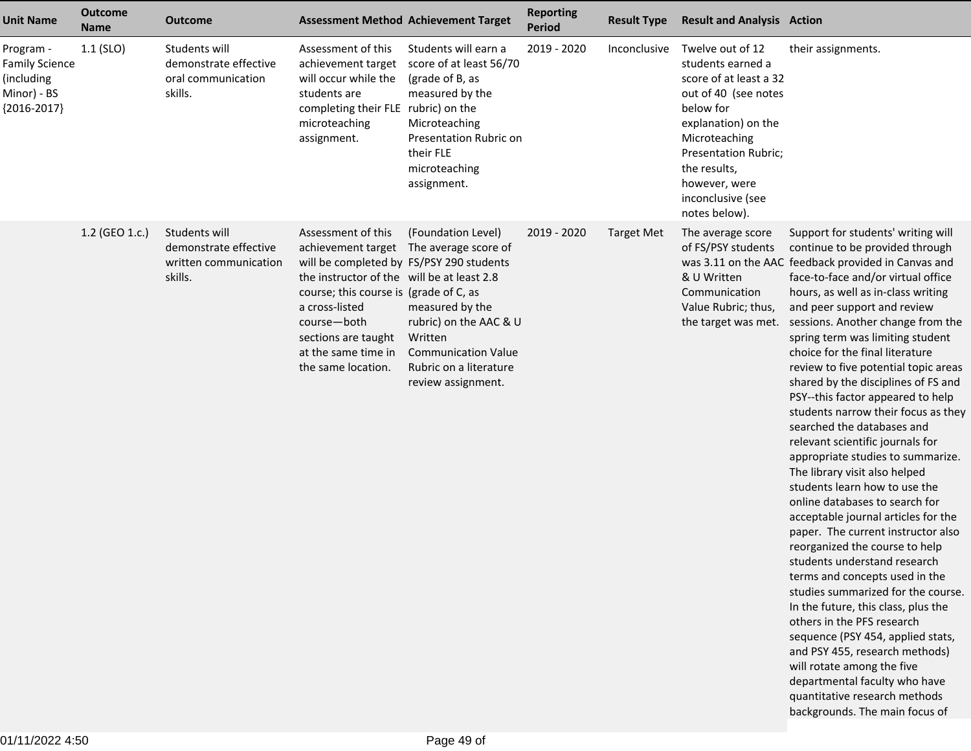| <b>Unit Name</b>                                                                 | <b>Outcome</b><br><b>Name</b> | <b>Outcome</b>                                                             |                                                                                                                                                                                                                                                                                   | <b>Assessment Method Achievement Target</b>                                                                                                                                      | <b>Reporting</b><br>Period | <b>Result Type</b> | <b>Result and Analysis Action</b>                                                                                                                                                                                                           |                                                                                                                                                                                                                                                                                                                                                                                                                                                                                                                                                                                                                                                                                                                                                                                                                                                                                                                                                                                                                                                                                                                                                                                                                  |
|----------------------------------------------------------------------------------|-------------------------------|----------------------------------------------------------------------------|-----------------------------------------------------------------------------------------------------------------------------------------------------------------------------------------------------------------------------------------------------------------------------------|----------------------------------------------------------------------------------------------------------------------------------------------------------------------------------|----------------------------|--------------------|---------------------------------------------------------------------------------------------------------------------------------------------------------------------------------------------------------------------------------------------|------------------------------------------------------------------------------------------------------------------------------------------------------------------------------------------------------------------------------------------------------------------------------------------------------------------------------------------------------------------------------------------------------------------------------------------------------------------------------------------------------------------------------------------------------------------------------------------------------------------------------------------------------------------------------------------------------------------------------------------------------------------------------------------------------------------------------------------------------------------------------------------------------------------------------------------------------------------------------------------------------------------------------------------------------------------------------------------------------------------------------------------------------------------------------------------------------------------|
| Program -<br><b>Family Science</b><br>(including<br>Minor) - BS<br>${2016-2017}$ | $1.1$ (SLO)                   | Students will<br>demonstrate effective<br>oral communication<br>skills.    | Assessment of this<br>achievement target<br>will occur while the<br>students are<br>completing their FLE rubric) on the<br>microteaching<br>assignment.                                                                                                                           | Students will earn a<br>score of at least 56/70<br>(grade of B, as<br>measured by the<br>Microteaching<br>Presentation Rubric on<br>their FLE<br>microteaching<br>assignment.    | 2019 - 2020                | Inconclusive       | Twelve out of 12<br>students earned a<br>score of at least a 32<br>out of 40 (see notes<br>below for<br>explanation) on the<br>Microteaching<br>Presentation Rubric;<br>the results,<br>however, were<br>inconclusive (see<br>notes below). | their assignments.                                                                                                                                                                                                                                                                                                                                                                                                                                                                                                                                                                                                                                                                                                                                                                                                                                                                                                                                                                                                                                                                                                                                                                                               |
|                                                                                  | 1.2 (GEO 1.c.)                | Students will<br>demonstrate effective<br>written communication<br>skills. | Assessment of this<br>achievement target<br>will be completed by FS/PSY 290 students<br>the instructor of the will be at least 2.8<br>course; this course is (grade of C, as<br>a cross-listed<br>course-both<br>sections are taught<br>at the same time in<br>the same location. | (Foundation Level)<br>The average score of<br>measured by the<br>rubric) on the AAC & U<br>Written<br><b>Communication Value</b><br>Rubric on a literature<br>review assignment. | 2019 - 2020                | <b>Target Met</b>  | The average score<br>of FS/PSY students<br>& U Written<br>Communication<br>Value Rubric; thus,                                                                                                                                              | Support for students' writing will<br>continue to be provided through<br>was 3.11 on the AAC feedback provided in Canvas and<br>face-to-face and/or virtual office<br>hours, as well as in-class writing<br>and peer support and review<br>the target was met. sessions. Another change from the<br>spring term was limiting student<br>choice for the final literature<br>review to five potential topic areas<br>shared by the disciplines of FS and<br>PSY--this factor appeared to help<br>students narrow their focus as they<br>searched the databases and<br>relevant scientific journals for<br>appropriate studies to summarize.<br>The library visit also helped<br>students learn how to use the<br>online databases to search for<br>acceptable journal articles for the<br>paper. The current instructor also<br>reorganized the course to help<br>students understand research<br>terms and concepts used in the<br>studies summarized for the course.<br>In the future, this class, plus the<br>others in the PFS research<br>sequence (PSY 454, applied stats,<br>and PSY 455, research methods)<br>will rotate among the five<br>departmental faculty who have<br>quantitative research methods |

backgrounds. The main focus of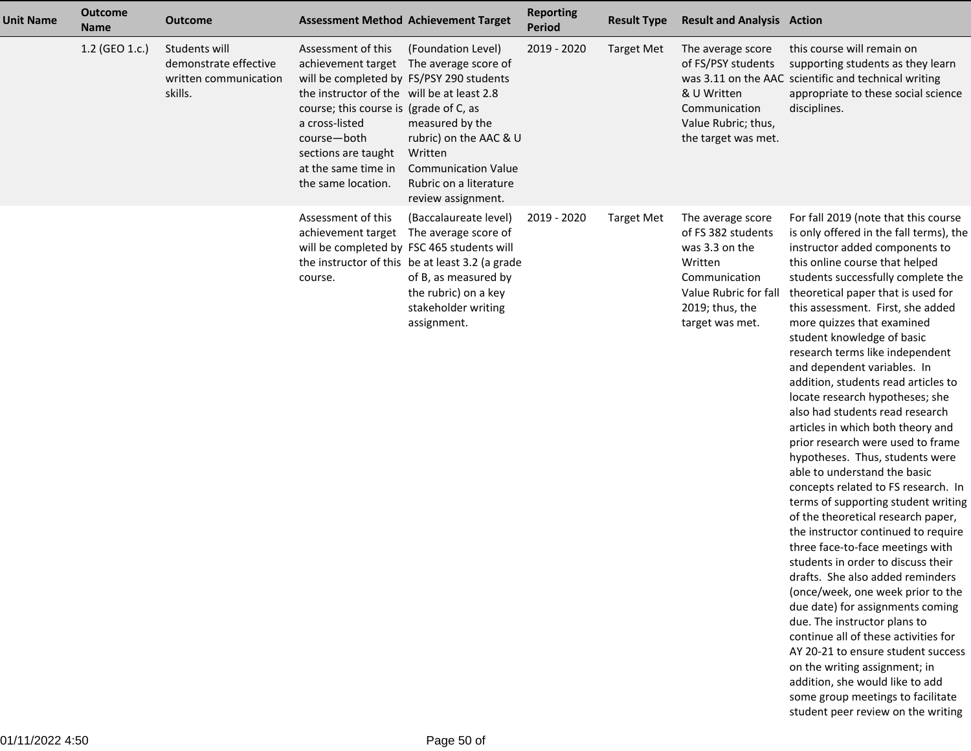| <b>Unit Name</b> | <b>Outcome</b><br><b>Name</b> | <b>Outcome</b>                                                             |                                                                                                                                                                                                                                                             | <b>Assessment Method Achievement Target</b>                                                                                                                                                                                          | <b>Reporting</b><br><b>Period</b> | <b>Result Type</b> | <b>Result and Analysis Action</b>                                                                                                                    |                                                                                                                                                                                                                                                                                                                                                                                                                                                                                                                                                                                                                                                                                                                                                                                                                                                                                                                                                                                                                                                                                                                                                                                                                                                                             |
|------------------|-------------------------------|----------------------------------------------------------------------------|-------------------------------------------------------------------------------------------------------------------------------------------------------------------------------------------------------------------------------------------------------------|--------------------------------------------------------------------------------------------------------------------------------------------------------------------------------------------------------------------------------------|-----------------------------------|--------------------|------------------------------------------------------------------------------------------------------------------------------------------------------|-----------------------------------------------------------------------------------------------------------------------------------------------------------------------------------------------------------------------------------------------------------------------------------------------------------------------------------------------------------------------------------------------------------------------------------------------------------------------------------------------------------------------------------------------------------------------------------------------------------------------------------------------------------------------------------------------------------------------------------------------------------------------------------------------------------------------------------------------------------------------------------------------------------------------------------------------------------------------------------------------------------------------------------------------------------------------------------------------------------------------------------------------------------------------------------------------------------------------------------------------------------------------------|
|                  | 1.2 (GEO 1.c.)                | Students will<br>demonstrate effective<br>written communication<br>skills. | Assessment of this<br>will be completed by FS/PSY 290 students<br>the instructor of the will be at least 2.8<br>course; this course is (grade of C, as<br>a cross-listed<br>course-both<br>sections are taught<br>at the same time in<br>the same location. | (Foundation Level)<br>achievement target The average score of<br>measured by the<br>rubric) on the AAC & U<br>Written<br><b>Communication Value</b><br>Rubric on a literature<br>review assignment.                                  | 2019 - 2020                       | <b>Target Met</b>  | The average score<br>of FS/PSY students<br>& U Written<br>Communication<br>Value Rubric; thus,<br>the target was met.                                | this course will remain on<br>supporting students as they learn<br>was 3.11 on the AAC scientific and technical writing<br>appropriate to these social science<br>disciplines.                                                                                                                                                                                                                                                                                                                                                                                                                                                                                                                                                                                                                                                                                                                                                                                                                                                                                                                                                                                                                                                                                              |
|                  |                               |                                                                            | Assessment of this<br>achievement target<br>course.                                                                                                                                                                                                         | (Baccalaureate level)<br>The average score of<br>will be completed by FSC 465 students will<br>the instructor of this be at least 3.2 (a grade<br>of B, as measured by<br>the rubric) on a key<br>stakeholder writing<br>assignment. | 2019 - 2020                       | <b>Target Met</b>  | The average score<br>of FS 382 students<br>was 3.3 on the<br>Written<br>Communication<br>Value Rubric for fall<br>2019; thus, the<br>target was met. | For fall 2019 (note that this course<br>is only offered in the fall terms), the<br>instructor added components to<br>this online course that helped<br>students successfully complete the<br>theoretical paper that is used for<br>this assessment. First, she added<br>more quizzes that examined<br>student knowledge of basic<br>research terms like independent<br>and dependent variables. In<br>addition, students read articles to<br>locate research hypotheses; she<br>also had students read research<br>articles in which both theory and<br>prior research were used to frame<br>hypotheses. Thus, students were<br>able to understand the basic<br>concepts related to FS research. In<br>terms of supporting student writing<br>of the theoretical research paper,<br>the instructor continued to require<br>three face-to-face meetings with<br>students in order to discuss their<br>drafts. She also added reminders<br>(once/week, one week prior to the<br>due date) for assignments coming<br>due. The instructor plans to<br>continue all of these activities for<br>AY 20-21 to ensure student success<br>on the writing assignment; in<br>addition, she would like to add<br>some group meetings to facilitate<br>student peer review on the writing |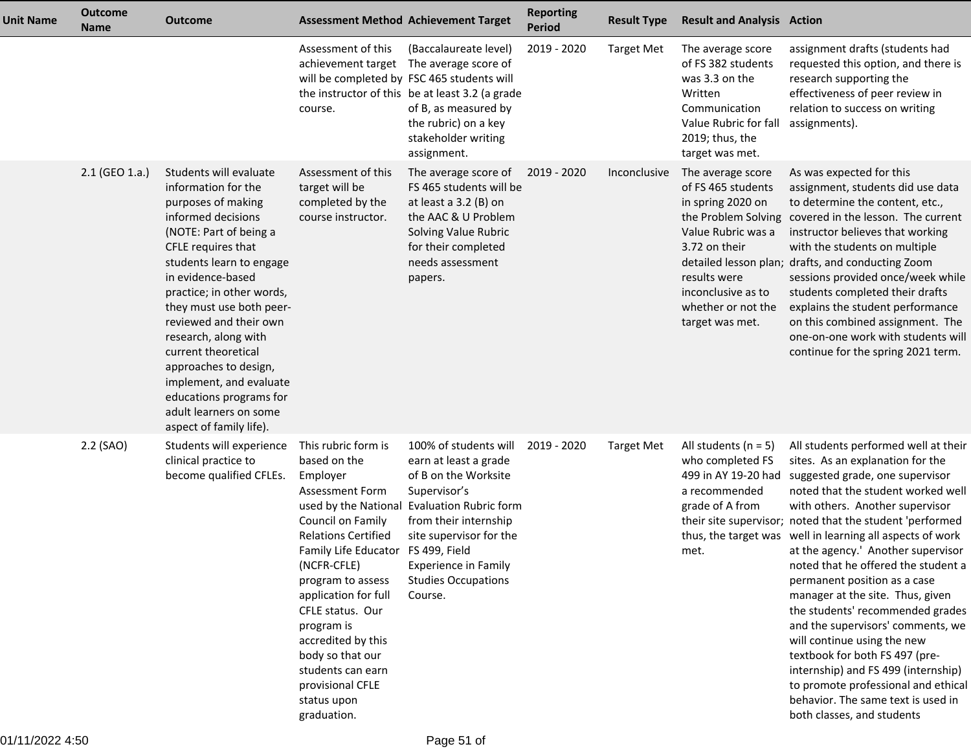| <b>Unit Name</b> | <b>Outcome</b><br><b>Name</b> | <b>Outcome</b>                                                                                                                                                                                                                                                                                                                                                                                                                                                   | <b>Assessment Method Achievement Target</b>                                                                                                                                                                                                                                                                                                                                       |                                                                                                                                                                                                                                                                   | <b>Reporting</b><br><b>Period</b> | <b>Result Type</b> | <b>Result and Analysis Action</b>                                                                                                                                                  |                                                                                                                                                                                                                                                                                                                                                                                                                                                                                                                                                                                                                                                                                                                                                            |
|------------------|-------------------------------|------------------------------------------------------------------------------------------------------------------------------------------------------------------------------------------------------------------------------------------------------------------------------------------------------------------------------------------------------------------------------------------------------------------------------------------------------------------|-----------------------------------------------------------------------------------------------------------------------------------------------------------------------------------------------------------------------------------------------------------------------------------------------------------------------------------------------------------------------------------|-------------------------------------------------------------------------------------------------------------------------------------------------------------------------------------------------------------------------------------------------------------------|-----------------------------------|--------------------|------------------------------------------------------------------------------------------------------------------------------------------------------------------------------------|------------------------------------------------------------------------------------------------------------------------------------------------------------------------------------------------------------------------------------------------------------------------------------------------------------------------------------------------------------------------------------------------------------------------------------------------------------------------------------------------------------------------------------------------------------------------------------------------------------------------------------------------------------------------------------------------------------------------------------------------------------|
|                  |                               |                                                                                                                                                                                                                                                                                                                                                                                                                                                                  | Assessment of this<br>course.                                                                                                                                                                                                                                                                                                                                                     | (Baccalaureate level)<br>achievement target The average score of<br>will be completed by FSC 465 students will<br>the instructor of this be at least 3.2 (a grade<br>of B, as measured by<br>the rubric) on a key<br>stakeholder writing<br>assignment.           | 2019 - 2020                       | <b>Target Met</b>  | The average score<br>of FS 382 students<br>was 3.3 on the<br>Written<br>Communication<br>Value Rubric for fall<br>2019; thus, the<br>target was met.                               | assignment drafts (students had<br>requested this option, and there is<br>research supporting the<br>effectiveness of peer review in<br>relation to success on writing<br>assignments).                                                                                                                                                                                                                                                                                                                                                                                                                                                                                                                                                                    |
|                  | 2.1 (GEO 1.a.)                | Students will evaluate<br>information for the<br>purposes of making<br>informed decisions<br>(NOTE: Part of being a<br>CFLE requires that<br>students learn to engage<br>in evidence-based<br>practice; in other words,<br>they must use both peer-<br>reviewed and their own<br>research, along with<br>current theoretical<br>approaches to design,<br>implement, and evaluate<br>educations programs for<br>adult learners on some<br>aspect of family life). | Assessment of this<br>target will be<br>completed by the<br>course instructor.                                                                                                                                                                                                                                                                                                    | The average score of<br>FS 465 students will be<br>at least a 3.2 (B) on<br>the AAC & U Problem<br>Solving Value Rubric<br>for their completed<br>needs assessment<br>papers.                                                                                     | 2019 - 2020                       | Inconclusive       | The average score<br>of FS 465 students<br>in spring 2020 on<br>Value Rubric was a<br>3.72 on their<br>results were<br>inconclusive as to<br>whether or not the<br>target was met. | As was expected for this<br>assignment, students did use data<br>to determine the content, etc.,<br>the Problem Solving covered in the lesson. The current<br>instructor believes that working<br>with the students on multiple<br>detailed lesson plan; drafts, and conducting Zoom<br>sessions provided once/week while<br>students completed their drafts<br>explains the student performance<br>on this combined assignment. The<br>one-on-one work with students will<br>continue for the spring 2021 term.                                                                                                                                                                                                                                           |
|                  | 2.2 (SAO)                     | Students will experience<br>clinical practice to<br>become qualified CFLEs.                                                                                                                                                                                                                                                                                                                                                                                      | This rubric form is<br>based on the<br>Employer<br><b>Assessment Form</b><br>Council on Family<br><b>Relations Certified</b><br>Family Life Educator FS 499, Field<br>(NCFR-CFLE)<br>program to assess<br>application for full<br>CFLE status. Our<br>program is<br>accredited by this<br>body so that our<br>students can earn<br>provisional CFLE<br>status upon<br>graduation. | 100% of students will<br>earn at least a grade<br>of B on the Worksite<br>Supervisor's<br>used by the National Evaluation Rubric form<br>from their internship<br>site supervisor for the<br><b>Experience in Family</b><br><b>Studies Occupations</b><br>Course. | 2019 - 2020                       | <b>Target Met</b>  | All students ( $n = 5$ )<br>who completed FS<br>499 in AY 19-20 had<br>a recommended<br>grade of A from<br>met.                                                                    | All students performed well at their<br>sites. As an explanation for the<br>suggested grade, one supervisor<br>noted that the student worked well<br>with others. Another supervisor<br>their site supervisor; noted that the student 'performed<br>thus, the target was well in learning all aspects of work<br>at the agency.' Another supervisor<br>noted that he offered the student a<br>permanent position as a case<br>manager at the site. Thus, given<br>the students' recommended grades<br>and the supervisors' comments, we<br>will continue using the new<br>textbook for both FS 497 (pre-<br>internship) and FS 499 (internship)<br>to promote professional and ethical<br>behavior. The same text is used in<br>both classes, and students |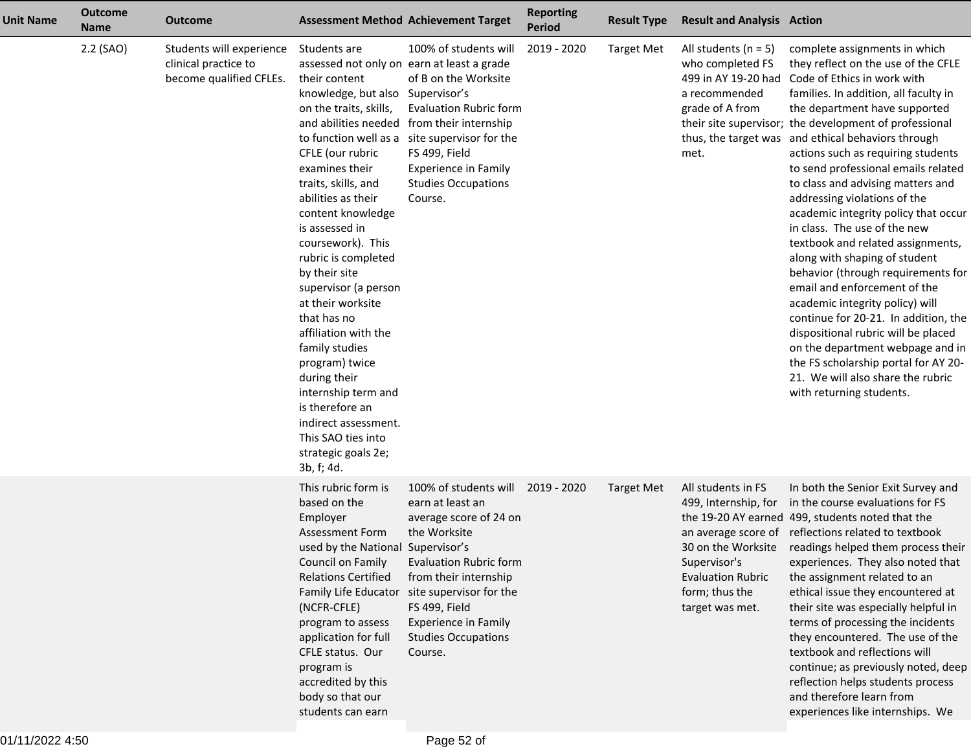| <b>Unit Name</b> | <b>Outcome</b><br><b>Name</b> | <b>Outcome</b>                                                              |                                                                                                                                                                                                                                                                                                                                                                                                                                                                                                                                                                                  | <b>Assessment Method Achievement Target</b>                                                                                                                                                                                                                                                    | <b>Reporting</b><br><b>Period</b> | <b>Result Type</b> | <b>Result and Analysis Action</b>                                                                                           |                                                                                                                                                                                                                                                                                                                                                                                                                                                                                                                                                                                                                                                                                                                                                                                                                                                                                                                                    |
|------------------|-------------------------------|-----------------------------------------------------------------------------|----------------------------------------------------------------------------------------------------------------------------------------------------------------------------------------------------------------------------------------------------------------------------------------------------------------------------------------------------------------------------------------------------------------------------------------------------------------------------------------------------------------------------------------------------------------------------------|------------------------------------------------------------------------------------------------------------------------------------------------------------------------------------------------------------------------------------------------------------------------------------------------|-----------------------------------|--------------------|-----------------------------------------------------------------------------------------------------------------------------|------------------------------------------------------------------------------------------------------------------------------------------------------------------------------------------------------------------------------------------------------------------------------------------------------------------------------------------------------------------------------------------------------------------------------------------------------------------------------------------------------------------------------------------------------------------------------------------------------------------------------------------------------------------------------------------------------------------------------------------------------------------------------------------------------------------------------------------------------------------------------------------------------------------------------------|
|                  | 2.2 (SAO)                     | Students will experience<br>clinical practice to<br>become qualified CFLEs. | Students are<br>their content<br>knowledge, but also Supervisor's<br>on the traits, skills,<br>to function well as a<br>CFLE (our rubric<br>examines their<br>traits, skills, and<br>abilities as their<br>content knowledge<br>is assessed in<br>coursework). This<br>rubric is completed<br>by their site<br>supervisor (a person<br>at their worksite<br>that has no<br>affiliation with the<br>family studies<br>program) twice<br>during their<br>internship term and<br>is therefore an<br>indirect assessment.<br>This SAO ties into<br>strategic goals 2e;<br>3b, f; 4d. | 100% of students will<br>assessed not only on earn at least a grade<br>of B on the Worksite<br><b>Evaluation Rubric form</b><br>and abilities needed from their internship<br>site supervisor for the<br>FS 499, Field<br><b>Experience in Family</b><br><b>Studies Occupations</b><br>Course. | 2019 - 2020                       | <b>Target Met</b>  | All students ( $n = 5$ )<br>who completed FS<br>499 in AY 19-20 had<br>a recommended<br>grade of A from<br>met.             | complete assignments in which<br>they reflect on the use of the CFLE<br>Code of Ethics in work with<br>families. In addition, all faculty in<br>the department have supported<br>their site supervisor; the development of professional<br>thus, the target was and ethical behaviors through<br>actions such as requiring students<br>to send professional emails related<br>to class and advising matters and<br>addressing violations of the<br>academic integrity policy that occur<br>in class. The use of the new<br>textbook and related assignments,<br>along with shaping of student<br>behavior (through requirements for<br>email and enforcement of the<br>academic integrity policy) will<br>continue for 20-21. In addition, the<br>dispositional rubric will be placed<br>on the department webpage and in<br>the FS scholarship portal for AY 20-<br>21. We will also share the rubric<br>with returning students. |
|                  |                               |                                                                             | This rubric form is<br>based on the<br>Employer<br><b>Assessment Form</b><br>used by the National Supervisor's<br>Council on Family<br><b>Relations Certified</b><br>(NCFR-CFLE)<br>program to assess<br>application for full<br>CFLE status. Our<br>program is<br>accredited by this<br>body so that our<br>students can earn                                                                                                                                                                                                                                                   | 100% of students will<br>earn at least an<br>average score of 24 on<br>the Worksite<br><b>Evaluation Rubric form</b><br>from their internship<br>Family Life Educator site supervisor for the<br>FS 499, Field<br><b>Experience in Family</b><br><b>Studies Occupations</b><br>Course.         | 2019 - 2020                       | <b>Target Met</b>  | All students in FS<br>499, Internship, for<br>Supervisor's<br><b>Evaluation Rubric</b><br>form; thus the<br>target was met. | In both the Senior Exit Survey and<br>in the course evaluations for FS<br>the 19-20 AY earned 499, students noted that the<br>an average score of reflections related to textbook<br>30 on the Worksite readings helped them process their<br>experiences. They also noted that<br>the assignment related to an<br>ethical issue they encountered at<br>their site was especially helpful in<br>terms of processing the incidents<br>they encountered. The use of the<br>textbook and reflections will<br>continue; as previously noted, deep<br>reflection helps students process<br>and therefore learn from<br>experiences like internships. We                                                                                                                                                                                                                                                                                 |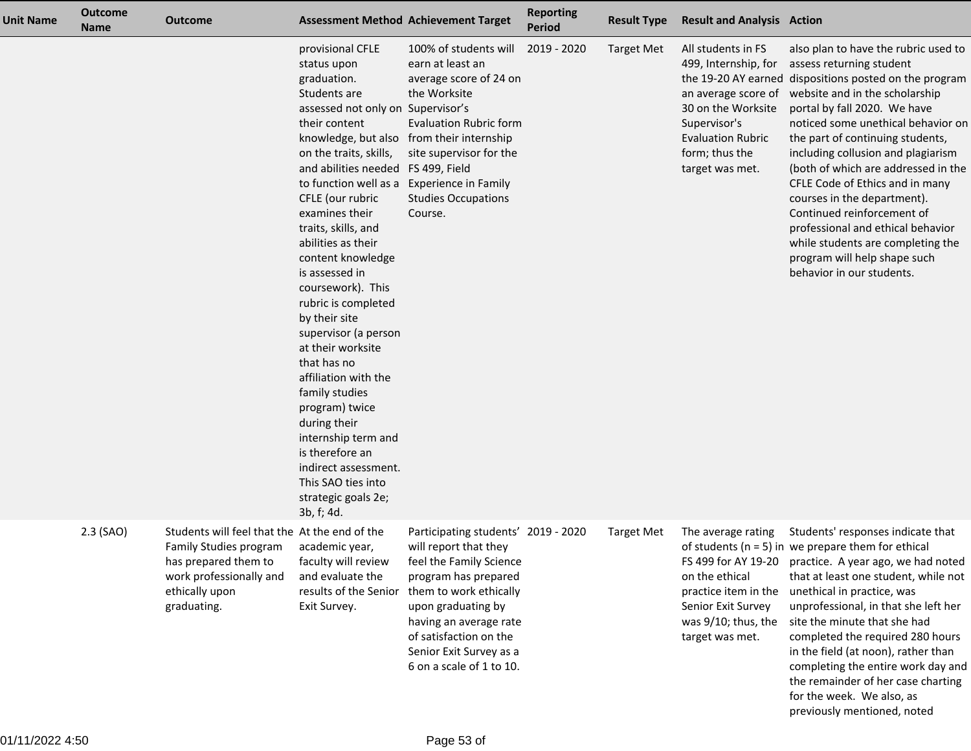| <b>Unit Name</b> | <b>Outcome</b><br><b>Name</b> | <b>Outcome</b>                                                                                                                                                     |                                                                                                                                                                                                                                                                                                                                                                                                                                                                                                                                                                                                                                                                           | <b>Assessment Method Achievement Target</b>                                                                                                                                                                                                                                | <b>Reporting</b><br><b>Period</b> | <b>Result Type</b> | <b>Result and Analysis Action</b>                                                                                               |                                                                                                                                                                                                                                                                                                                                                                                                                                                                                                                                                                                                                                     |
|------------------|-------------------------------|--------------------------------------------------------------------------------------------------------------------------------------------------------------------|---------------------------------------------------------------------------------------------------------------------------------------------------------------------------------------------------------------------------------------------------------------------------------------------------------------------------------------------------------------------------------------------------------------------------------------------------------------------------------------------------------------------------------------------------------------------------------------------------------------------------------------------------------------------------|----------------------------------------------------------------------------------------------------------------------------------------------------------------------------------------------------------------------------------------------------------------------------|-----------------------------------|--------------------|---------------------------------------------------------------------------------------------------------------------------------|-------------------------------------------------------------------------------------------------------------------------------------------------------------------------------------------------------------------------------------------------------------------------------------------------------------------------------------------------------------------------------------------------------------------------------------------------------------------------------------------------------------------------------------------------------------------------------------------------------------------------------------|
|                  |                               |                                                                                                                                                                    | provisional CFLE<br>status upon<br>graduation.<br>Students are<br>assessed not only on Supervisor's<br>their content<br>on the traits, skills,<br>and abilities needed FS 499, Field<br>to function well as a<br>CFLE (our rubric<br>examines their<br>traits, skills, and<br>abilities as their<br>content knowledge<br>is assessed in<br>coursework). This<br>rubric is completed<br>by their site<br>supervisor (a person<br>at their worksite<br>that has no<br>affiliation with the<br>family studies<br>program) twice<br>during their<br>internship term and<br>is therefore an<br>indirect assessment.<br>This SAO ties into<br>strategic goals 2e;<br>3b, f; 4d. | 100% of students will<br>earn at least an<br>average score of 24 on<br>the Worksite<br><b>Evaluation Rubric form</b><br>knowledge, but also from their internship<br>site supervisor for the<br><b>Experience in Family</b><br><b>Studies Occupations</b><br>Course.       | 2019 - 2020                       | <b>Target Met</b>  | All students in FS<br>30 on the Worksite<br>Supervisor's<br><b>Evaluation Rubric</b><br>form; thus the<br>target was met.       | also plan to have the rubric used to<br>499, Internship, for assess returning student<br>the 19-20 AY earned dispositions posted on the program<br>an average score of website and in the scholarship<br>portal by fall 2020. We have<br>noticed some unethical behavior on<br>the part of continuing students,<br>including collusion and plagiarism<br>(both of which are addressed in the<br>CFLE Code of Ethics and in many<br>courses in the department).<br>Continued reinforcement of<br>professional and ethical behavior<br>while students are completing the<br>program will help shape such<br>behavior in our students. |
|                  | 2.3 (SAO)                     | Students will feel that the At the end of the<br><b>Family Studies program</b><br>has prepared them to<br>work professionally and<br>ethically upon<br>graduating. | academic year,<br>faculty will review<br>and evaluate the<br>results of the Senior<br>Exit Survey.                                                                                                                                                                                                                                                                                                                                                                                                                                                                                                                                                                        | Participating students' 2019 - 2020<br>will report that they<br>feel the Family Science<br>program has prepared<br>them to work ethically<br>upon graduating by<br>having an average rate<br>of satisfaction on the<br>Senior Exit Survey as a<br>6 on a scale of 1 to 10. |                                   | <b>Target Met</b>  | The average rating<br>on the ethical<br>practice item in the<br>Senior Exit Survey<br>was $9/10$ ; thus, the<br>target was met. | Students' responses indicate that<br>of students ( $n = 5$ ) in we prepare them for ethical<br>FS 499 for AY 19-20 practice. A year ago, we had noted<br>that at least one student, while not<br>unethical in practice, was<br>unprofessional, in that she left her<br>site the minute that she had<br>completed the required 280 hours<br>in the field (at noon), rather than<br>completing the entire work day and<br>the remainder of her case charting<br>for the week. We also, as<br>previously mentioned, noted                                                                                                              |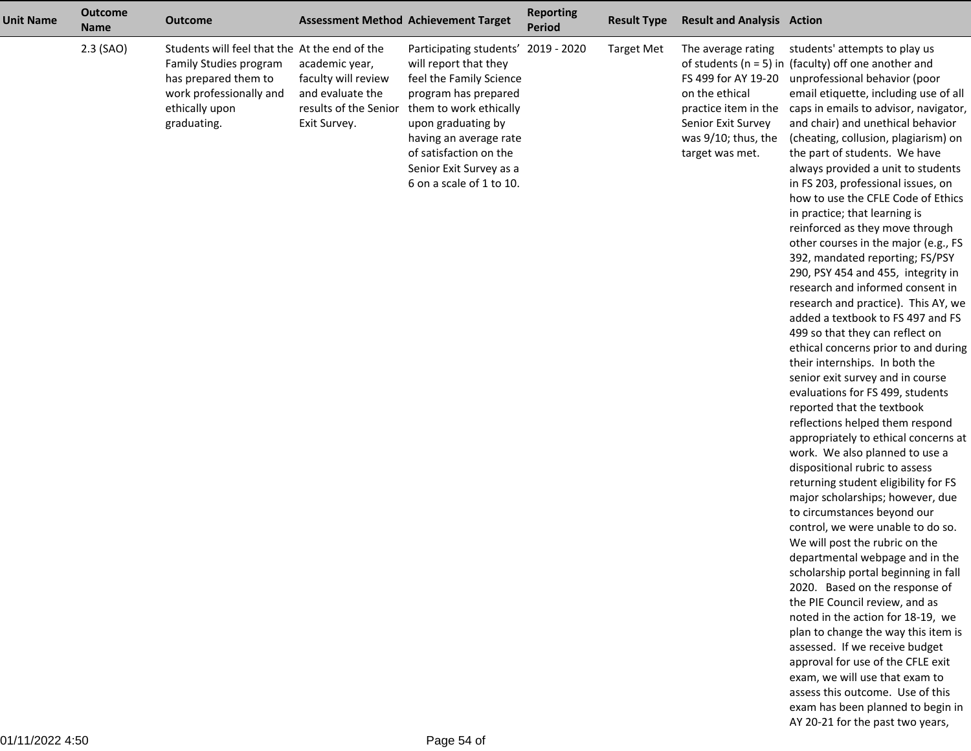| <b>Unit Name</b> | <b>Outcome</b><br><b>Name</b> | Outcome                                                                                                                                                     |                                                                                                    | <b>Assessment Method Achievement Target</b>                                                                                                                                                                                                                                | <b>Reporting</b><br><b>Period</b> | <b>Result Type</b> | <b>Result and Analysis Action</b>                                                                                                                   |                                                                                                                                                                                                                                                                                                                                                                                                                                                                                                                                                                                                                                                                                                                                                                                                                                                                                                                                                                                                                                                                                                                                                                                                                                                                                                                                                                                                                                                                                                                                                                                                                                                                                                                                                        |
|------------------|-------------------------------|-------------------------------------------------------------------------------------------------------------------------------------------------------------|----------------------------------------------------------------------------------------------------|----------------------------------------------------------------------------------------------------------------------------------------------------------------------------------------------------------------------------------------------------------------------------|-----------------------------------|--------------------|-----------------------------------------------------------------------------------------------------------------------------------------------------|--------------------------------------------------------------------------------------------------------------------------------------------------------------------------------------------------------------------------------------------------------------------------------------------------------------------------------------------------------------------------------------------------------------------------------------------------------------------------------------------------------------------------------------------------------------------------------------------------------------------------------------------------------------------------------------------------------------------------------------------------------------------------------------------------------------------------------------------------------------------------------------------------------------------------------------------------------------------------------------------------------------------------------------------------------------------------------------------------------------------------------------------------------------------------------------------------------------------------------------------------------------------------------------------------------------------------------------------------------------------------------------------------------------------------------------------------------------------------------------------------------------------------------------------------------------------------------------------------------------------------------------------------------------------------------------------------------------------------------------------------------|
|                  | $2.3$ (SAO)                   | Students will feel that the At the end of the<br>Family Studies program<br>has prepared them to<br>work professionally and<br>ethically upon<br>graduating. | academic year,<br>faculty will review<br>and evaluate the<br>results of the Senior<br>Exit Survey. | Participating students' 2019 - 2020<br>will report that they<br>feel the Family Science<br>program has prepared<br>them to work ethically<br>upon graduating by<br>having an average rate<br>of satisfaction on the<br>Senior Exit Survey as a<br>6 on a scale of 1 to 10. |                                   | <b>Target Met</b>  | The average rating<br>FS 499 for AY 19-20<br>on the ethical<br>practice item in the<br>Senior Exit Survey<br>was 9/10; thus, the<br>target was met. | students' attempts to play us<br>of students ( $n = 5$ ) in (faculty) off one another and<br>unprofessional behavior (poor<br>email etiquette, including use of all<br>caps in emails to advisor, navigator,<br>and chair) and unethical behavior<br>(cheating, collusion, plagiarism) on<br>the part of students. We have<br>always provided a unit to students<br>in FS 203, professional issues, on<br>how to use the CFLE Code of Ethics<br>in practice; that learning is<br>reinforced as they move through<br>other courses in the major (e.g., FS<br>392, mandated reporting; FS/PSY<br>290, PSY 454 and 455, integrity in<br>research and informed consent in<br>research and practice). This AY, we<br>added a textbook to FS 497 and FS<br>499 so that they can reflect on<br>ethical concerns prior to and during<br>their internships. In both the<br>senior exit survey and in course<br>evaluations for FS 499, students<br>reported that the textbook<br>reflections helped them respond<br>appropriately to ethical concerns at<br>work. We also planned to use a<br>dispositional rubric to assess<br>returning student eligibility for FS<br>major scholarships; however, due<br>to circumstances beyond our<br>control, we were unable to do so.<br>We will post the rubric on the<br>departmental webpage and in the<br>scholarship portal beginning in fall<br>2020. Based on the response of<br>the PIE Council review, and as<br>noted in the action for 18-19, we<br>plan to change the way this item is<br>assessed. If we receive budget<br>approval for use of the CFLE exit<br>exam, we will use that exam to<br>assess this outcome. Use of this<br>exam has been planned to begin in<br>AY 20-21 for the past two years, |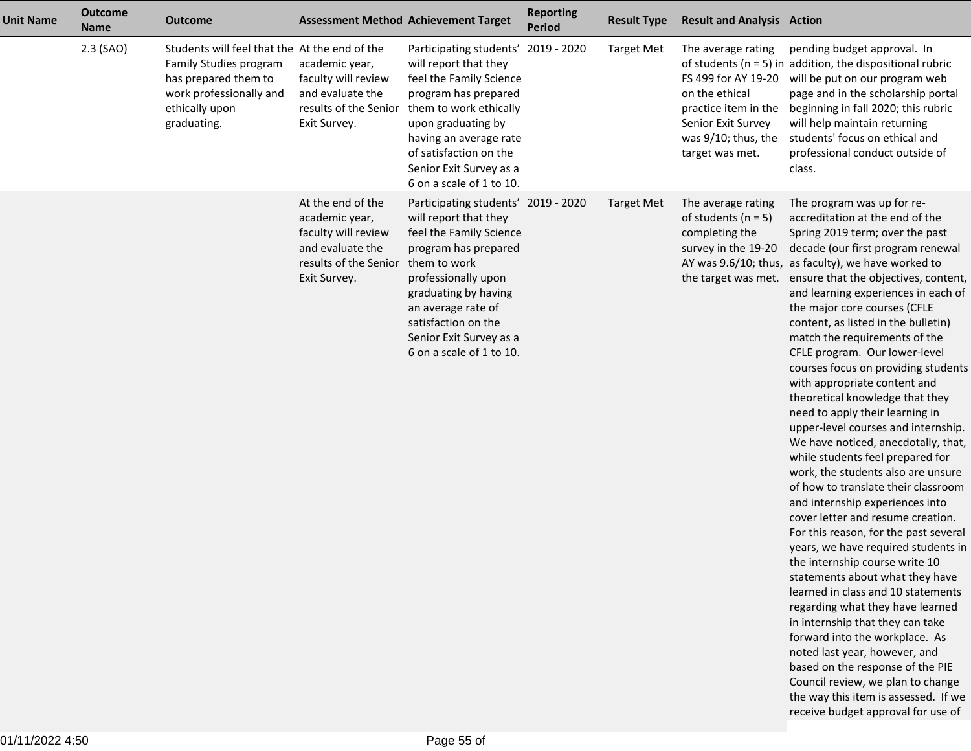| <b>Unit Name</b> | <b>Outcome</b><br><b>Name</b> | <b>Outcome</b>                                                                                                                                              |                                                                                                                         | <b>Assessment Method Achievement Target</b>                                                                                                                                                                                                                                        | <b>Reporting</b><br><b>Period</b> | <b>Result Type</b> | <b>Result and Analysis Action</b>                                                                                                                   |                                                                                                                                                                                                                                                                                                                                                                                                                                                                                                                                                                                                                                                                                                                                                                                                                                                                                                                                                                                                                                                                                                                                                                                                                                                                                                                                       |
|------------------|-------------------------------|-------------------------------------------------------------------------------------------------------------------------------------------------------------|-------------------------------------------------------------------------------------------------------------------------|------------------------------------------------------------------------------------------------------------------------------------------------------------------------------------------------------------------------------------------------------------------------------------|-----------------------------------|--------------------|-----------------------------------------------------------------------------------------------------------------------------------------------------|---------------------------------------------------------------------------------------------------------------------------------------------------------------------------------------------------------------------------------------------------------------------------------------------------------------------------------------------------------------------------------------------------------------------------------------------------------------------------------------------------------------------------------------------------------------------------------------------------------------------------------------------------------------------------------------------------------------------------------------------------------------------------------------------------------------------------------------------------------------------------------------------------------------------------------------------------------------------------------------------------------------------------------------------------------------------------------------------------------------------------------------------------------------------------------------------------------------------------------------------------------------------------------------------------------------------------------------|
|                  | $2.3$ (SAO)                   | Students will feel that the At the end of the<br>Family Studies program<br>has prepared them to<br>work professionally and<br>ethically upon<br>graduating. | academic year,<br>faculty will review<br>and evaluate the<br>results of the Senior<br>Exit Survey.                      | Participating students' 2019 - 2020<br>will report that they<br>feel the Family Science<br>program has prepared<br>them to work ethically<br>upon graduating by<br>having an average rate<br>of satisfaction on the<br>Senior Exit Survey as a<br>6 on a scale of 1 to 10.         |                                   | <b>Target Met</b>  | The average rating<br>FS 499 for AY 19-20<br>on the ethical<br>practice item in the<br>Senior Exit Survey<br>was 9/10; thus, the<br>target was met. | pending budget approval. In<br>of students ( $n = 5$ ) in addition, the dispositional rubric<br>will be put on our program web<br>page and in the scholarship portal<br>beginning in fall 2020; this rubric<br>will help maintain returning<br>students' focus on ethical and<br>professional conduct outside of<br>class.                                                                                                                                                                                                                                                                                                                                                                                                                                                                                                                                                                                                                                                                                                                                                                                                                                                                                                                                                                                                            |
|                  |                               |                                                                                                                                                             | At the end of the<br>academic year,<br>faculty will review<br>and evaluate the<br>results of the Senior<br>Exit Survey. | Participating students' 2019 - 2020<br>will report that they<br>feel the Family Science<br>program has prepared<br>them to work<br>professionally upon<br>graduating by having<br>an average rate of<br>satisfaction on the<br>Senior Exit Survey as a<br>6 on a scale of 1 to 10. |                                   | <b>Target Met</b>  | The average rating<br>of students ( $n = 5$ )<br>completing the<br>survey in the 19-20<br>the target was met.                                       | The program was up for re-<br>accreditation at the end of the<br>Spring 2019 term; over the past<br>decade (our first program renewal<br>AY was 9.6/10; thus, as faculty), we have worked to<br>ensure that the objectives, content,<br>and learning experiences in each of<br>the major core courses (CFLE<br>content, as listed in the bulletin)<br>match the requirements of the<br>CFLE program. Our lower-level<br>courses focus on providing students<br>with appropriate content and<br>theoretical knowledge that they<br>need to apply their learning in<br>upper-level courses and internship.<br>We have noticed, anecdotally, that,<br>while students feel prepared for<br>work, the students also are unsure<br>of how to translate their classroom<br>and internship experiences into<br>cover letter and resume creation.<br>For this reason, for the past several<br>years, we have required students in<br>the internship course write 10<br>statements about what they have<br>learned in class and 10 statements<br>regarding what they have learned<br>in internship that they can take<br>forward into the workplace. As<br>noted last year, however, and<br>based on the response of the PIE<br>Council review, we plan to change<br>the way this item is assessed. If we<br>receive budget approval for use of |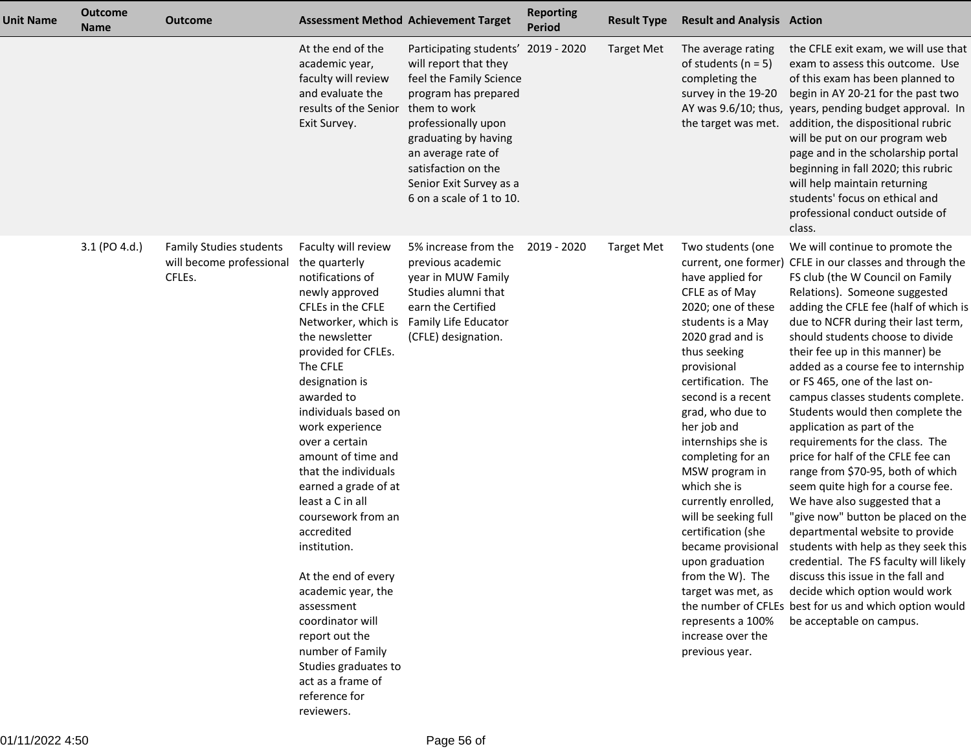| <b>Unit Name</b> | <b>Outcome</b><br><b>Name</b> | <b>Outcome</b>                                                       |                                                                                                                                                                                                                                                                                                                                                                                                                                                                                                                                                                                                                         | <b>Assessment Method Achievement Target</b>                                                                                                                                                                                                                                        | <b>Reporting</b><br><b>Period</b> | <b>Result Type</b> | <b>Result and Analysis Action</b>                                                                                                                                                                                                                                                                                                                                                                                                                                                                                                     |                                                                                                                                                                                                                                                                                                                                                                                                                                                                                                                                                                                                                                                                                                                                                                                                                                                                                                                                                                                                                      |
|------------------|-------------------------------|----------------------------------------------------------------------|-------------------------------------------------------------------------------------------------------------------------------------------------------------------------------------------------------------------------------------------------------------------------------------------------------------------------------------------------------------------------------------------------------------------------------------------------------------------------------------------------------------------------------------------------------------------------------------------------------------------------|------------------------------------------------------------------------------------------------------------------------------------------------------------------------------------------------------------------------------------------------------------------------------------|-----------------------------------|--------------------|---------------------------------------------------------------------------------------------------------------------------------------------------------------------------------------------------------------------------------------------------------------------------------------------------------------------------------------------------------------------------------------------------------------------------------------------------------------------------------------------------------------------------------------|----------------------------------------------------------------------------------------------------------------------------------------------------------------------------------------------------------------------------------------------------------------------------------------------------------------------------------------------------------------------------------------------------------------------------------------------------------------------------------------------------------------------------------------------------------------------------------------------------------------------------------------------------------------------------------------------------------------------------------------------------------------------------------------------------------------------------------------------------------------------------------------------------------------------------------------------------------------------------------------------------------------------|
|                  |                               |                                                                      | At the end of the<br>academic year,<br>faculty will review<br>and evaluate the<br>results of the Senior<br>Exit Survey.                                                                                                                                                                                                                                                                                                                                                                                                                                                                                                 | Participating students' 2019 - 2020<br>will report that they<br>feel the Family Science<br>program has prepared<br>them to work<br>professionally upon<br>graduating by having<br>an average rate of<br>satisfaction on the<br>Senior Exit Survey as a<br>6 on a scale of 1 to 10. |                                   | <b>Target Met</b>  | The average rating<br>of students ( $n = 5$ )<br>completing the<br>survey in the 19-20<br>the target was met.                                                                                                                                                                                                                                                                                                                                                                                                                         | the CFLE exit exam, we will use that<br>exam to assess this outcome. Use<br>of this exam has been planned to<br>begin in AY 20-21 for the past two<br>AY was 9.6/10; thus, years, pending budget approval. In<br>addition, the dispositional rubric<br>will be put on our program web<br>page and in the scholarship portal<br>beginning in fall 2020; this rubric<br>will help maintain returning<br>students' focus on ethical and<br>professional conduct outside of<br>class.                                                                                                                                                                                                                                                                                                                                                                                                                                                                                                                                    |
|                  | 3.1 (PO 4.d.)                 | <b>Family Studies students</b><br>will become professional<br>CFLEs. | Faculty will review<br>the quarterly<br>notifications of<br>newly approved<br>CFLEs in the CFLE<br>Networker, which is<br>the newsletter<br>provided for CFLEs.<br>The CFLE<br>designation is<br>awarded to<br>individuals based on<br>work experience<br>over a certain<br>amount of time and<br>that the individuals<br>earned a grade of at<br>least a C in all<br>coursework from an<br>accredited<br>institution.<br>At the end of every<br>academic year, the<br>assessment<br>coordinator will<br>report out the<br>number of Family<br>Studies graduates to<br>act as a frame of<br>reference for<br>reviewers. | 5% increase from the<br>previous academic<br>year in MUW Family<br>Studies alumni that<br>earn the Certified<br>Family Life Educator<br>(CFLE) designation.                                                                                                                        | 2019 - 2020                       | <b>Target Met</b>  | Two students (one<br>have applied for<br>CFLE as of May<br>2020; one of these<br>students is a May<br>2020 grad and is<br>thus seeking<br>provisional<br>certification. The<br>second is a recent<br>grad, who due to<br>her job and<br>internships she is<br>completing for an<br>MSW program in<br>which she is<br>currently enrolled,<br>will be seeking full<br>certification (she<br>became provisional<br>upon graduation<br>from the W). The<br>target was met, as<br>represents a 100%<br>increase over the<br>previous year. | We will continue to promote the<br>current, one former) CFLE in our classes and through the<br>FS club (the W Council on Family<br>Relations). Someone suggested<br>adding the CFLE fee (half of which is<br>due to NCFR during their last term,<br>should students choose to divide<br>their fee up in this manner) be<br>added as a course fee to internship<br>or FS 465, one of the last on-<br>campus classes students complete.<br>Students would then complete the<br>application as part of the<br>requirements for the class. The<br>price for half of the CFLE fee can<br>range from \$70-95, both of which<br>seem quite high for a course fee.<br>We have also suggested that a<br>"give now" button be placed on the<br>departmental website to provide<br>students with help as they seek this<br>credential. The FS faculty will likely<br>discuss this issue in the fall and<br>decide which option would work<br>the number of CFLEs best for us and which option would<br>be acceptable on campus. |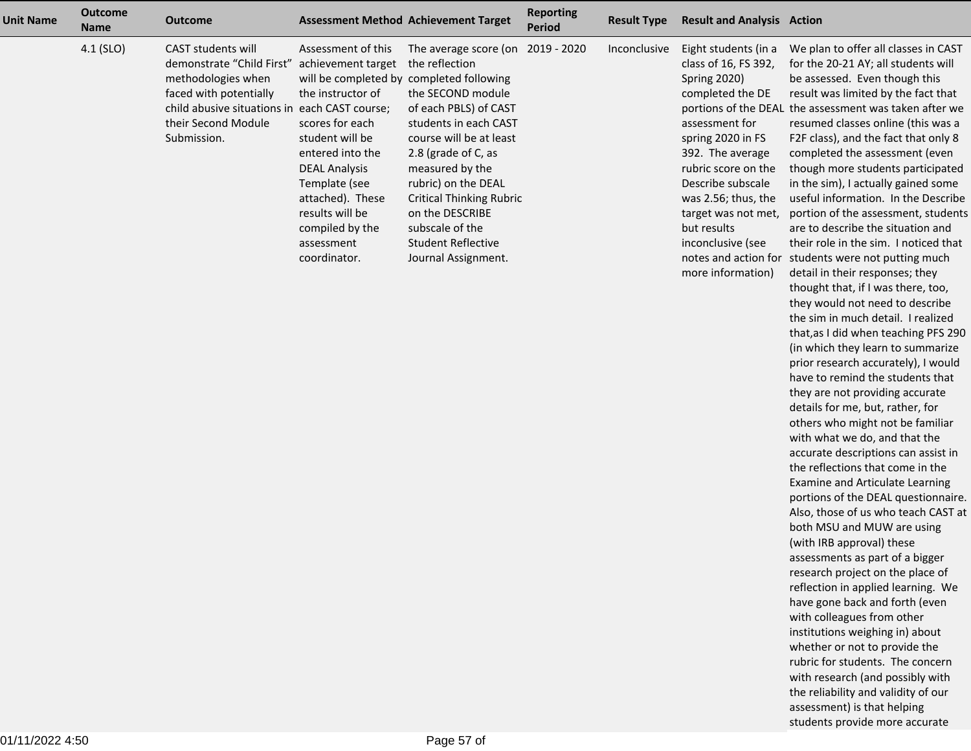| <b>Unit Name</b> | <b>Outcome</b><br><b>Name</b> | <b>Outcome</b>              |                      | <b>Assessment Method Achievement Target</b> | <b>Reporting</b><br><b>Period</b> | <b>Result Type</b> | <b>Result and Analysis Action</b> |                                                        |
|------------------|-------------------------------|-----------------------------|----------------------|---------------------------------------------|-----------------------------------|--------------------|-----------------------------------|--------------------------------------------------------|
|                  | $4.1$ (SLO)                   | <b>CAST students will</b>   | Assessment of this   | The average score (on                       | 2019 - 2020                       | Inconclusive       | Eight students (in a              | We plan to offer all classes in CAST                   |
|                  |                               | demonstrate "Child First"   | achievement target   | the reflection                              |                                   |                    | class of 16, FS 392,              | for the 20-21 AY; all students will                    |
|                  |                               | methodologies when          |                      | will be completed by completed following    |                                   |                    | <b>Spring 2020)</b>               | be assessed. Even though this                          |
|                  |                               | faced with potentially      | the instructor of    | the SECOND module                           |                                   |                    | completed the DE                  | result was limited by the fact that                    |
|                  |                               | child abusive situations in | each CAST course;    | of each PBLS) of CAST                       |                                   |                    |                                   | portions of the DEAL the assessment was taken after we |
|                  |                               | their Second Module         | scores for each      | students in each CAST                       |                                   |                    | assessment for                    | resumed classes online (this was a                     |
|                  |                               | Submission.                 | student will be      | course will be at least                     |                                   |                    | spring 2020 in FS                 | F2F class), and the fact that only 8                   |
|                  |                               |                             | entered into the     | 2.8 (grade of C, as                         |                                   |                    | 392. The average                  | completed the assessment (even                         |
|                  |                               |                             | <b>DEAL Analysis</b> | measured by the                             |                                   |                    | rubric score on the               | though more students participated                      |
|                  |                               |                             | Template (see        | rubric) on the DEAL                         |                                   |                    | Describe subscale                 | in the sim), I actually gained some                    |
|                  |                               |                             | attached). These     | <b>Critical Thinking Rubric</b>             |                                   |                    | was 2.56; thus, the               | useful information. In the Describe                    |
|                  |                               |                             | results will be      | on the DESCRIBE                             |                                   |                    | target was not met,               | portion of the assessment, students                    |
|                  |                               |                             | compiled by the      | subscale of the                             |                                   |                    | but results                       | are to describe the situation and                      |
|                  |                               |                             | assessment           | <b>Student Reflective</b>                   |                                   |                    | inconclusive (see                 | their role in the sim. I noticed that                  |
|                  |                               |                             | coordinator.         | Journal Assignment.                         |                                   |                    | notes and action for              | students were not putting much                         |
|                  |                               |                             |                      |                                             |                                   |                    | more information)                 | detail in their responses; they                        |

 thought that, if I was there, too,they would not need to describe the sim in much detail. I realized that,as I did when teaching PFS 290 (in which they learn to summarize prior research accurately), I would have to remind the students thatthey are not providing accuratedetails for me, but, rather, for others who might not be familiarwith what we do, and that the accurate descriptions can assist inthe reflections that come in the Examine and Articulate Learning portions of the DEAL questionnaire.Also, those of us who teach CAST atboth MSU and MUW are using(with IRB approval) these assessments as part of a bigger research project on the place of reflection in applied learning. Wehave gone back and forth (evenwith colleagues from other institutions weighing in) about whether or not to provide the rubric for students. The concern with research (and possibly with the reliability and validity of ourassessment) is that helpingstudents provide more accurate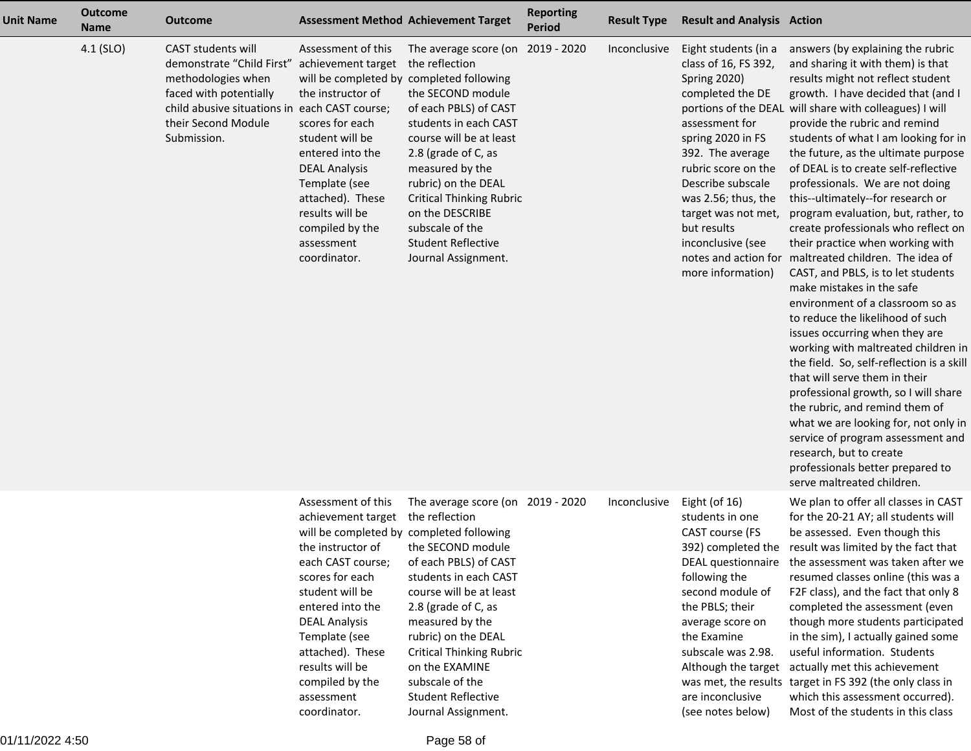| <b>Unit Name</b> | <b>Outcome</b><br><b>Name</b> | <b>Outcome</b>                                                                                                                                                                                | <b>Assessment Method Achievement Target</b>                                                                                                                                                                                                                                                                               |                                                                                                                                                                                                                                                                                                                                                    | <b>Reporting</b><br><b>Period</b> | <b>Result Type</b> | <b>Result and Analysis Action</b>                                                                                                                                                                                                                                                                     |                                                                                                                                                                                                                                                                                                                                                                                                                                                                                                                                                                                                                                                                                                                                                                                                                                                                                                                                                                                                                                                                                                                                                                               |
|------------------|-------------------------------|-----------------------------------------------------------------------------------------------------------------------------------------------------------------------------------------------|---------------------------------------------------------------------------------------------------------------------------------------------------------------------------------------------------------------------------------------------------------------------------------------------------------------------------|----------------------------------------------------------------------------------------------------------------------------------------------------------------------------------------------------------------------------------------------------------------------------------------------------------------------------------------------------|-----------------------------------|--------------------|-------------------------------------------------------------------------------------------------------------------------------------------------------------------------------------------------------------------------------------------------------------------------------------------------------|-------------------------------------------------------------------------------------------------------------------------------------------------------------------------------------------------------------------------------------------------------------------------------------------------------------------------------------------------------------------------------------------------------------------------------------------------------------------------------------------------------------------------------------------------------------------------------------------------------------------------------------------------------------------------------------------------------------------------------------------------------------------------------------------------------------------------------------------------------------------------------------------------------------------------------------------------------------------------------------------------------------------------------------------------------------------------------------------------------------------------------------------------------------------------------|
|                  | 4.1 (SLO)                     | <b>CAST students will</b><br>demonstrate "Child First"<br>methodologies when<br>faced with potentially<br>child abusive situations in each CAST course;<br>their Second Module<br>Submission. | Assessment of this<br>achievement target<br>will be completed by completed following<br>the instructor of<br>scores for each<br>student will be<br>entered into the<br><b>DEAL Analysis</b><br>Template (see<br>attached). These<br>results will be<br>compiled by the<br>assessment<br>coordinator.                      | The average score (on<br>the reflection<br>the SECOND module<br>of each PBLS) of CAST<br>students in each CAST<br>course will be at least<br>2.8 (grade of C, as<br>measured by the<br>rubric) on the DEAL<br><b>Critical Thinking Rubric</b><br>on the DESCRIBE<br>subscale of the<br><b>Student Reflective</b><br>Journal Assignment.            | 2019 - 2020                       | Inconclusive       | Eight students (in a<br>class of 16, FS 392,<br><b>Spring 2020)</b><br>completed the DE<br>assessment for<br>spring 2020 in FS<br>392. The average<br>rubric score on the<br>Describe subscale<br>was 2.56; thus, the<br>target was not met,<br>but results<br>inconclusive (see<br>more information) | answers (by explaining the rubric<br>and sharing it with them) is that<br>results might not reflect student<br>growth. I have decided that (and I<br>portions of the DEAL will share with colleagues) I will<br>provide the rubric and remind<br>students of what I am looking for in<br>the future, as the ultimate purpose<br>of DEAL is to create self-reflective<br>professionals. We are not doing<br>this--ultimately--for research or<br>program evaluation, but, rather, to<br>create professionals who reflect on<br>their practice when working with<br>notes and action for maltreated children. The idea of<br>CAST, and PBLS, is to let students<br>make mistakes in the safe<br>environment of a classroom so as<br>to reduce the likelihood of such<br>issues occurring when they are<br>working with maltreated children in<br>the field. So, self-reflection is a skill<br>that will serve them in their<br>professional growth, so I will share<br>the rubric, and remind them of<br>what we are looking for, not only in<br>service of program assessment and<br>research, but to create<br>professionals better prepared to<br>serve maltreated children. |
|                  |                               |                                                                                                                                                                                               | Assessment of this<br>achievement target<br>will be completed by completed following<br>the instructor of<br>each CAST course;<br>scores for each<br>student will be<br>entered into the<br><b>DEAL Analysis</b><br>Template (see<br>attached). These<br>results will be<br>compiled by the<br>assessment<br>coordinator. | The average score (on 2019 - 2020<br>the reflection<br>the SECOND module<br>of each PBLS) of CAST<br>students in each CAST<br>course will be at least<br>2.8 (grade of C, as<br>measured by the<br>rubric) on the DEAL<br><b>Critical Thinking Rubric</b><br>on the EXAMINE<br>subscale of the<br><b>Student Reflective</b><br>Journal Assignment. |                                   | Inconclusive       | Eight (of 16)<br>students in one<br>CAST course (FS<br>392) completed the<br>DEAL questionnaire<br>following the<br>second module of<br>the PBLS; their<br>average score on<br>the Examine<br>subscale was 2.98.<br>Although the target<br>are inconclusive<br>(see notes below)                      | We plan to offer all classes in CAST<br>for the 20-21 AY; all students will<br>be assessed. Even though this<br>result was limited by the fact that<br>the assessment was taken after we<br>resumed classes online (this was a<br>F2F class), and the fact that only 8<br>completed the assessment (even<br>though more students participated<br>in the sim), I actually gained some<br>useful information. Students<br>actually met this achievement<br>was met, the results target in FS 392 (the only class in<br>which this assessment occurred).<br>Most of the students in this class                                                                                                                                                                                                                                                                                                                                                                                                                                                                                                                                                                                   |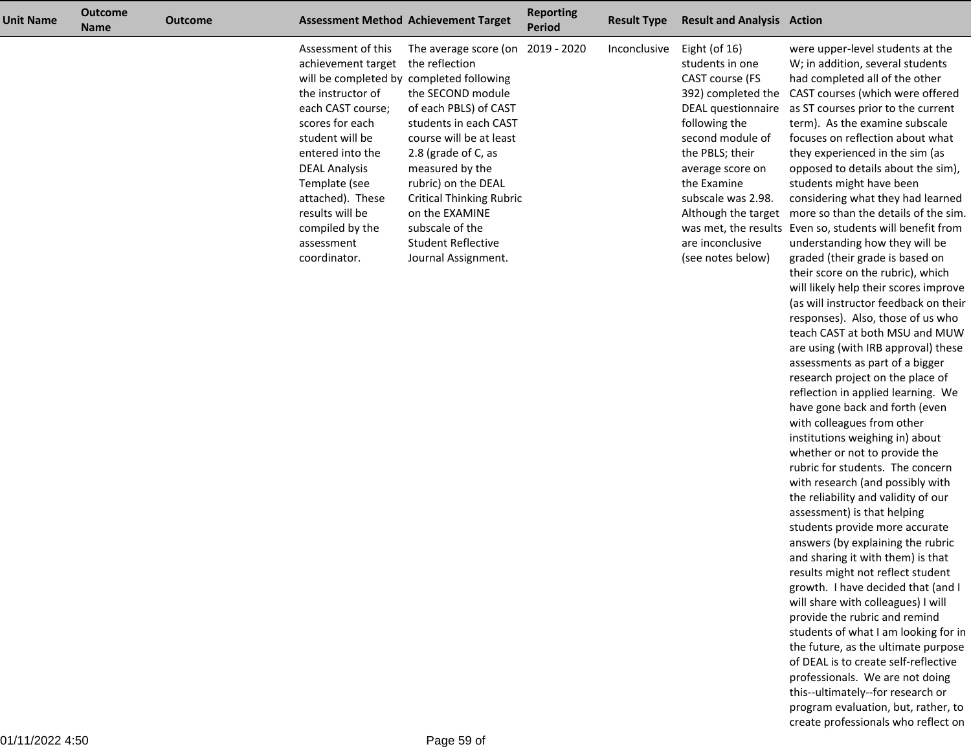| <b>Unit Name</b> | <b>Outcome</b><br><b>Name</b> | <b>Outcome</b> |                                                                                                                                                                                                                                                                               | <b>Assessment Method Achievement Target</b>                                                                                                                                                                                                                                                                                                                                        | <b>Reporting</b><br><b>Period</b> | <b>Result Type</b> | <b>Result and Analysis Action</b>                                                                                                                                                                                                                                                   |                                                                                                                                                                                                                                                                                                                                                                                                                                                                                                                                                                                                                |
|------------------|-------------------------------|----------------|-------------------------------------------------------------------------------------------------------------------------------------------------------------------------------------------------------------------------------------------------------------------------------|------------------------------------------------------------------------------------------------------------------------------------------------------------------------------------------------------------------------------------------------------------------------------------------------------------------------------------------------------------------------------------|-----------------------------------|--------------------|-------------------------------------------------------------------------------------------------------------------------------------------------------------------------------------------------------------------------------------------------------------------------------------|----------------------------------------------------------------------------------------------------------------------------------------------------------------------------------------------------------------------------------------------------------------------------------------------------------------------------------------------------------------------------------------------------------------------------------------------------------------------------------------------------------------------------------------------------------------------------------------------------------------|
|                  |                               |                | Assessment of this<br>achievement target<br>the instructor of<br>each CAST course;<br>scores for each<br>student will be<br>entered into the<br><b>DEAL Analysis</b><br>Template (see<br>attached). These<br>results will be<br>compiled by the<br>assessment<br>coordinator. | The average score (on<br>the reflection<br>will be completed by completed following<br>the SECOND module<br>of each PBLS) of CAST<br>students in each CAST<br>course will be at least<br>2.8 (grade of C, as<br>measured by the<br>rubric) on the DEAL<br><b>Critical Thinking Rubric</b><br>on the EXAMINE<br>subscale of the<br><b>Student Reflective</b><br>Journal Assignment. | 2019 - 2020                       | Inconclusive       | Eight (of $16$ )<br>students in one<br>CAST course (FS<br>392) completed the<br>DEAL questionnaire<br>following the<br>second module of<br>the PBLS; their<br>average score on<br>the Examine<br>subscale was 2.98.<br>Although the target<br>are inconclusive<br>(see notes below) | were upper-level students at the<br>W; in addition, several students<br>had completed all of the other<br>CAST courses (which were offered<br>as ST courses prior to the current<br>term). As the examine subscale<br>focuses on reflection about what<br>they experienced in the sim (as<br>opposed to details about the sim),<br>students might have been<br>considering what they had learned<br>more so than the details of the sim.<br>was met, the results Even so, students will benefit from<br>understanding how they will be<br>graded (their grade is based on<br>their score on the rubric), which |
|                  |                               |                |                                                                                                                                                                                                                                                                               |                                                                                                                                                                                                                                                                                                                                                                                    |                                   |                    |                                                                                                                                                                                                                                                                                     |                                                                                                                                                                                                                                                                                                                                                                                                                                                                                                                                                                                                                |

 will likely help their scores improve (as will instructor feedback on theirresponses). Also, those of us who teach CAST at both MSU and MUW are using (with IRB approval) theseassessments as part of a bigger research project on the place of reflection in applied learning. Wehave gone back and forth (evenwith colleagues from other institutions weighing in) aboutwhether or not to provide the rubric for students. The concern with research (and possibly with the reliability and validity of ourassessment) is that helping students provide more accurate answers (by explaining the rubric and sharing it with them) is that results might not reflect student growth. I have decided that (and Iwill share with colleagues) I willprovide the rubric and remind students of what I am looking for in the future, as the ultimate purposeof DEAL is to create self-reflective professionals. We are not doing this--ultimately--for research or program evaluation, but, rather, tocreate professionals who reflect on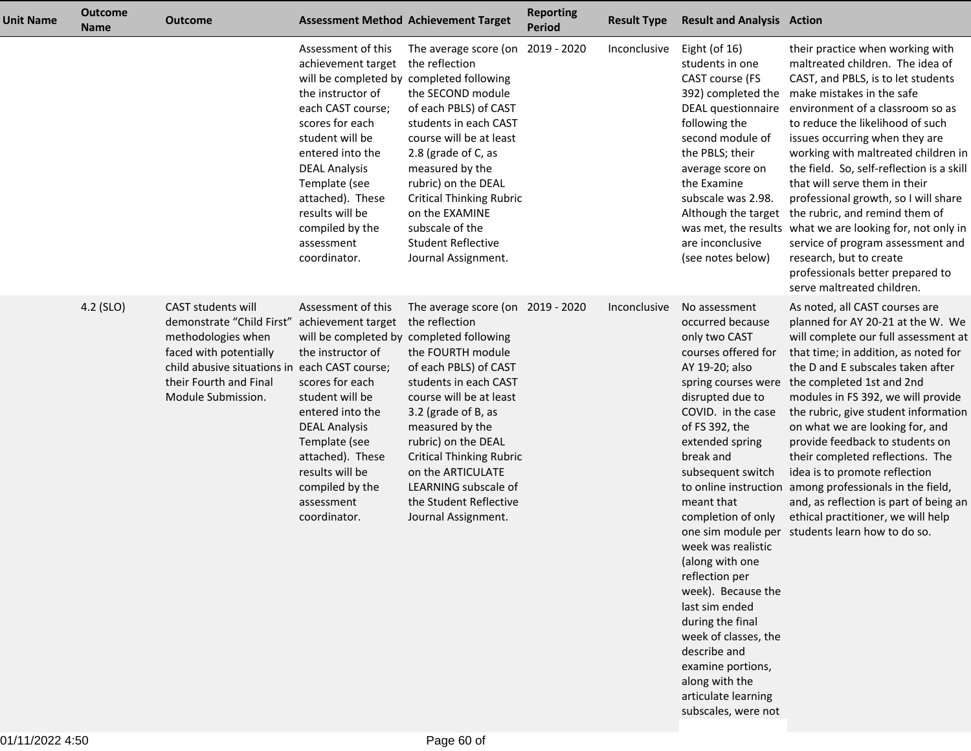| <b>Unit Name</b> | <b>Outcome</b><br><b>Name</b> | <b>Outcome</b>                                                                                                                                                                 |                                                                                                                                                                                                                                                                                                                           | <b>Assessment Method Achievement Target</b>                                                                                                                                                                                                                                                                                                             | <b>Reporting</b><br><b>Period</b> | <b>Result Type</b> | <b>Result and Analysis Action</b>                                                                                                                                                                                                                                                                                                                                                                                                                                                                                                                                          |                                                                                                                                                                                                                                                                                                                                                                                                                                                                                                                                                                                                                                                 |
|------------------|-------------------------------|--------------------------------------------------------------------------------------------------------------------------------------------------------------------------------|---------------------------------------------------------------------------------------------------------------------------------------------------------------------------------------------------------------------------------------------------------------------------------------------------------------------------|---------------------------------------------------------------------------------------------------------------------------------------------------------------------------------------------------------------------------------------------------------------------------------------------------------------------------------------------------------|-----------------------------------|--------------------|----------------------------------------------------------------------------------------------------------------------------------------------------------------------------------------------------------------------------------------------------------------------------------------------------------------------------------------------------------------------------------------------------------------------------------------------------------------------------------------------------------------------------------------------------------------------------|-------------------------------------------------------------------------------------------------------------------------------------------------------------------------------------------------------------------------------------------------------------------------------------------------------------------------------------------------------------------------------------------------------------------------------------------------------------------------------------------------------------------------------------------------------------------------------------------------------------------------------------------------|
|                  |                               |                                                                                                                                                                                | Assessment of this<br>achievement target<br>will be completed by completed following<br>the instructor of<br>each CAST course;<br>scores for each<br>student will be<br>entered into the<br><b>DEAL Analysis</b><br>Template (see<br>attached). These<br>results will be<br>compiled by the<br>assessment<br>coordinator. | The average score (on 2019 - 2020<br>the reflection<br>the SECOND module<br>of each PBLS) of CAST<br>students in each CAST<br>course will be at least<br>2.8 (grade of C, as<br>measured by the<br>rubric) on the DEAL<br><b>Critical Thinking Rubric</b><br>on the EXAMINE<br>subscale of the<br><b>Student Reflective</b><br>Journal Assignment.      |                                   | Inconclusive       | Eight (of 16)<br>students in one<br>CAST course (FS<br>392) completed the<br>DEAL questionnaire<br>following the<br>second module of<br>the PBLS; their<br>average score on<br>the Examine<br>subscale was 2.98.<br>Although the target<br>are inconclusive<br>(see notes below)                                                                                                                                                                                                                                                                                           | their practice when working with<br>maltreated children. The idea of<br>CAST, and PBLS, is to let students<br>make mistakes in the safe<br>environment of a classroom so as<br>to reduce the likelihood of such<br>issues occurring when they are<br>working with maltreated children in<br>the field. So, self-reflection is a skill<br>that will serve them in their<br>professional growth, so I will share<br>the rubric, and remind them of<br>was met, the results what we are looking for, not only in<br>service of program assessment and<br>research, but to create<br>professionals better prepared to<br>serve maltreated children. |
|                  | 4.2 (SLO)                     | CAST students will<br>demonstrate "Child First"<br>methodologies when<br>faced with potentially<br>child abusive situations in<br>their Fourth and Final<br>Module Submission. | Assessment of this<br>achievement target<br>will be completed by completed following<br>the instructor of<br>each CAST course;<br>scores for each<br>student will be<br>entered into the<br><b>DEAL Analysis</b><br>Template (see<br>attached). These<br>results will be<br>compiled by the<br>assessment<br>coordinator. | The average score (on 2019 - 2020<br>the reflection<br>the FOURTH module<br>of each PBLS) of CAST<br>students in each CAST<br>course will be at least<br>3.2 (grade of B, as<br>measured by the<br>rubric) on the DEAL<br><b>Critical Thinking Rubric</b><br>on the ARTICULATE<br>LEARNING subscale of<br>the Student Reflective<br>Journal Assignment. |                                   | Inconclusive       | No assessment<br>occurred because<br>only two CAST<br>courses offered for<br>AY 19-20; also<br>spring courses were<br>disrupted due to<br>COVID. in the case<br>of FS 392, the<br>extended spring<br>break and<br>subsequent switch<br>to online instruction<br>meant that<br>completion of only<br>one sim module per<br>week was realistic<br>(along with one<br>reflection per<br>week). Because the<br>last sim ended<br>during the final<br>week of classes, the<br>describe and<br>examine portions,<br>along with the<br>articulate learning<br>subscales, were not | As noted, all CAST courses are<br>planned for AY 20-21 at the W. We<br>will complete our full assessment at<br>that time; in addition, as noted for<br>the D and E subscales taken after<br>the completed 1st and 2nd<br>modules in FS 392, we will provide<br>the rubric, give student information<br>on what we are looking for, and<br>provide feedback to students on<br>their completed reflections. The<br>idea is to promote reflection<br>among professionals in the field,<br>and, as reflection is part of being an<br>ethical practitioner, we will help<br>students learn how to do so.                                             |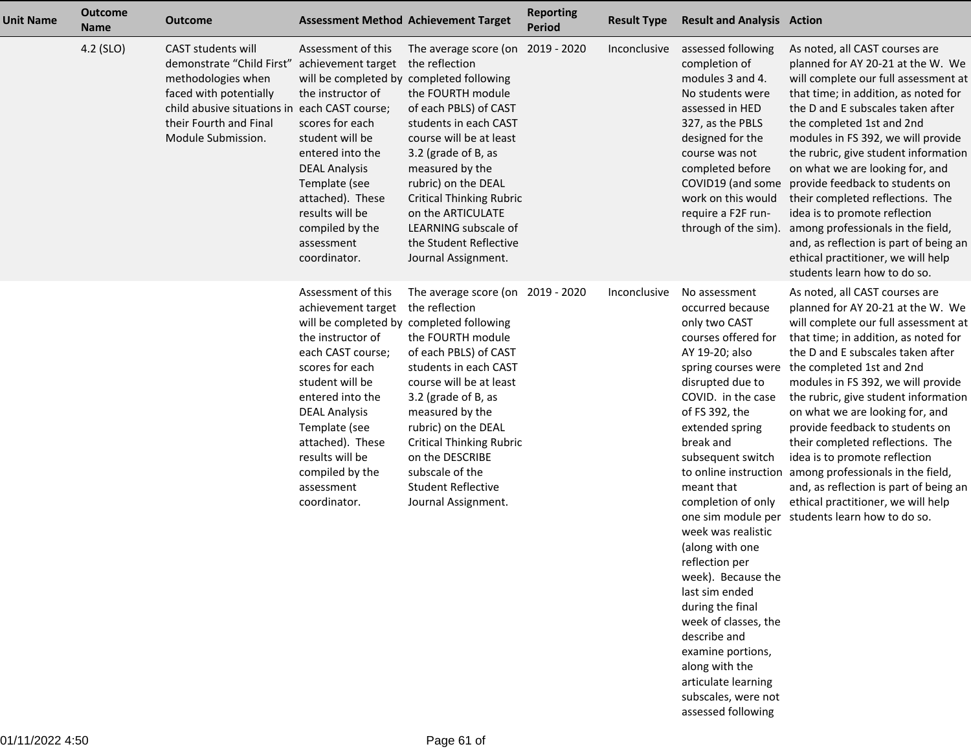| <b>Unit Name</b> | <b>Outcome</b><br><b>Name</b> | <b>Outcome</b>                                                                                                                                                                                          | <b>Assessment Method Achievement Target</b>                                                                                                                                                                                                                                                                               |                                                                                                                                                                                                                                                                                                                                                         | <b>Reporting</b><br><b>Period</b> | <b>Result Type</b> | <b>Result and Analysis Action</b>                                                                                                                                                                                                                                                                                                                                                                                                                                                 |                                                                                                                                                                                                                                                                                                                                                                                                                                                                                                                                                                                                                           |
|------------------|-------------------------------|---------------------------------------------------------------------------------------------------------------------------------------------------------------------------------------------------------|---------------------------------------------------------------------------------------------------------------------------------------------------------------------------------------------------------------------------------------------------------------------------------------------------------------------------|---------------------------------------------------------------------------------------------------------------------------------------------------------------------------------------------------------------------------------------------------------------------------------------------------------------------------------------------------------|-----------------------------------|--------------------|-----------------------------------------------------------------------------------------------------------------------------------------------------------------------------------------------------------------------------------------------------------------------------------------------------------------------------------------------------------------------------------------------------------------------------------------------------------------------------------|---------------------------------------------------------------------------------------------------------------------------------------------------------------------------------------------------------------------------------------------------------------------------------------------------------------------------------------------------------------------------------------------------------------------------------------------------------------------------------------------------------------------------------------------------------------------------------------------------------------------------|
|                  | 4.2 (SLO)                     | <b>CAST students will</b><br>demonstrate "Child First"<br>methodologies when<br>faced with potentially<br>child abusive situations in each CAST course;<br>their Fourth and Final<br>Module Submission. | Assessment of this<br>achievement target<br>will be completed by completed following<br>the instructor of<br>scores for each<br>student will be<br>entered into the<br><b>DEAL Analysis</b><br>Template (see<br>attached). These<br>results will be<br>compiled by the<br>assessment<br>coordinator.                      | The average score (on 2019 - 2020<br>the reflection<br>the FOURTH module<br>of each PBLS) of CAST<br>students in each CAST<br>course will be at least<br>3.2 (grade of B, as<br>measured by the<br>rubric) on the DEAL<br><b>Critical Thinking Rubric</b><br>on the ARTICULATE<br>LEARNING subscale of<br>the Student Reflective<br>Journal Assignment. |                                   | Inconclusive       | assessed following<br>completion of<br>modules 3 and 4.<br>No students were<br>assessed in HED<br>327, as the PBLS<br>designed for the<br>course was not<br>completed before<br>COVID19 (and some<br>work on this would<br>require a F2F run-<br>through of the sim).                                                                                                                                                                                                             | As noted, all CAST courses are<br>planned for AY 20-21 at the W. We<br>will complete our full assessment at<br>that time; in addition, as noted for<br>the D and E subscales taken after<br>the completed 1st and 2nd<br>modules in FS 392, we will provide<br>the rubric, give student information<br>on what we are looking for, and<br>provide feedback to students on<br>their completed reflections. The<br>idea is to promote reflection<br>among professionals in the field,<br>and, as reflection is part of being an<br>ethical practitioner, we will help<br>students learn how to do so.                       |
|                  |                               |                                                                                                                                                                                                         | Assessment of this<br>achievement target<br>will be completed by completed following<br>the instructor of<br>each CAST course;<br>scores for each<br>student will be<br>entered into the<br><b>DEAL Analysis</b><br>Template (see<br>attached). These<br>results will be<br>compiled by the<br>assessment<br>coordinator. | The average score (on 2019 - 2020<br>the reflection<br>the FOURTH module<br>of each PBLS) of CAST<br>students in each CAST<br>course will be at least<br>3.2 (grade of B, as<br>measured by the<br>rubric) on the DEAL<br><b>Critical Thinking Rubric</b><br>on the DESCRIBE<br>subscale of the<br><b>Student Reflective</b><br>Journal Assignment.     |                                   | Inconclusive       | No assessment<br>occurred because<br>only two CAST<br>courses offered for<br>AY 19-20; also<br>spring courses were<br>disrupted due to<br>COVID. in the case<br>of FS 392, the<br>extended spring<br>break and<br>subsequent switch<br>meant that<br>completion of only<br>one sim module per<br>week was realistic<br>(along with one<br>reflection per<br>week). Because the<br>last sim ended<br>during the final<br>week of classes, the<br>describe and<br>examine portions, | As noted, all CAST courses are<br>planned for AY 20-21 at the W. We<br>will complete our full assessment at<br>that time; in addition, as noted for<br>the D and E subscales taken after<br>the completed 1st and 2nd<br>modules in FS 392, we will provide<br>the rubric, give student information<br>on what we are looking for, and<br>provide feedback to students on<br>their completed reflections. The<br>idea is to promote reflection<br>to online instruction among professionals in the field,<br>and, as reflection is part of being an<br>ethical practitioner, we will help<br>students learn how to do so. |

along with the articulate learning subscales, were notassessed following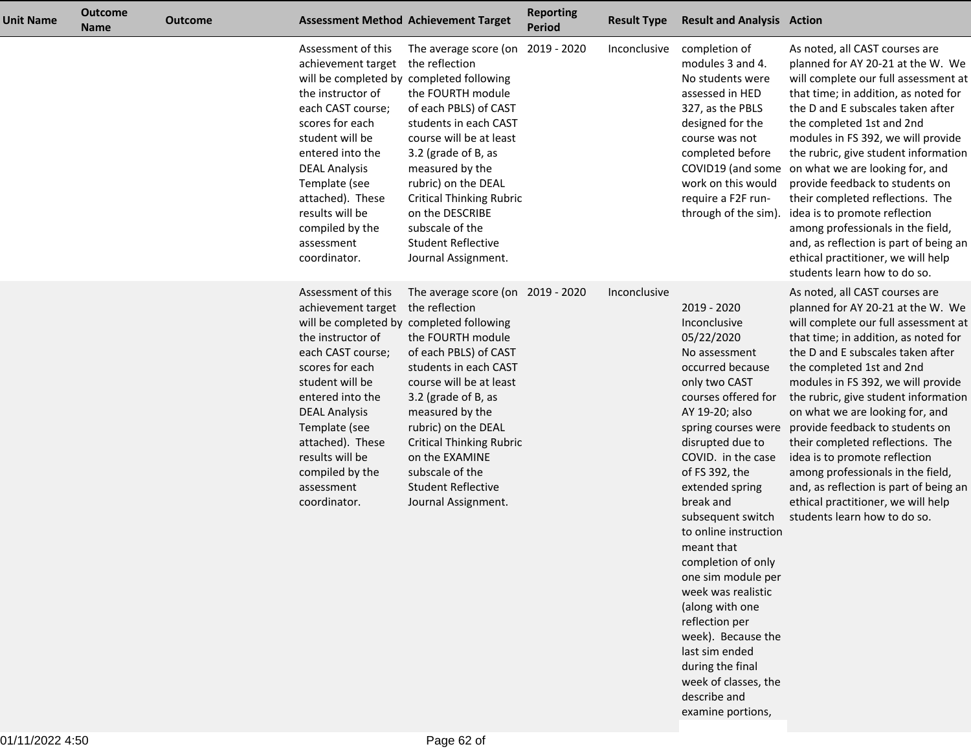| <b>Unit Name</b> | <b>Outcome</b><br><b>Name</b> | <b>Outcome</b> |                                                                                                                                                                                                                                                                                                                           | <b>Assessment Method Achievement Target</b>                                                                                                                                                                                                                                                                                                         | <b>Reporting</b><br><b>Period</b> | <b>Result Type</b> | <b>Result and Analysis Action</b>                                                                                                                                                                                                                                                                                                                                                                                                                                                                                  |                                                                                                                                                                                                                                                                                                                                                                                                                                                                                                                                                                                                     |
|------------------|-------------------------------|----------------|---------------------------------------------------------------------------------------------------------------------------------------------------------------------------------------------------------------------------------------------------------------------------------------------------------------------------|-----------------------------------------------------------------------------------------------------------------------------------------------------------------------------------------------------------------------------------------------------------------------------------------------------------------------------------------------------|-----------------------------------|--------------------|--------------------------------------------------------------------------------------------------------------------------------------------------------------------------------------------------------------------------------------------------------------------------------------------------------------------------------------------------------------------------------------------------------------------------------------------------------------------------------------------------------------------|-----------------------------------------------------------------------------------------------------------------------------------------------------------------------------------------------------------------------------------------------------------------------------------------------------------------------------------------------------------------------------------------------------------------------------------------------------------------------------------------------------------------------------------------------------------------------------------------------------|
|                  |                               |                | Assessment of this<br>achievement target<br>will be completed by completed following<br>the instructor of<br>each CAST course;<br>scores for each<br>student will be<br>entered into the<br><b>DEAL Analysis</b><br>Template (see<br>attached). These<br>results will be<br>compiled by the<br>assessment<br>coordinator. | The average score (on 2019 - 2020<br>the reflection<br>the FOURTH module<br>of each PBLS) of CAST<br>students in each CAST<br>course will be at least<br>3.2 (grade of B, as<br>measured by the<br>rubric) on the DEAL<br><b>Critical Thinking Rubric</b><br>on the DESCRIBE<br>subscale of the<br><b>Student Reflective</b><br>Journal Assignment. |                                   | Inconclusive       | completion of<br>modules 3 and 4.<br>No students were<br>assessed in HED<br>327, as the PBLS<br>designed for the<br>course was not<br>completed before<br>COVID19 (and some<br>work on this would<br>require a F2F run-<br>through of the sim).                                                                                                                                                                                                                                                                    | As noted, all CAST courses are<br>planned for AY 20-21 at the W. We<br>will complete our full assessment at<br>that time; in addition, as noted for<br>the D and E subscales taken after<br>the completed 1st and 2nd<br>modules in FS 392, we will provide<br>the rubric, give student information<br>on what we are looking for, and<br>provide feedback to students on<br>their completed reflections. The<br>idea is to promote reflection<br>among professionals in the field,<br>and, as reflection is part of being an<br>ethical practitioner, we will help<br>students learn how to do so. |
|                  |                               |                | Assessment of this<br>achievement target<br>will be completed by completed following<br>the instructor of<br>each CAST course;<br>scores for each<br>student will be<br>entered into the<br><b>DEAL Analysis</b><br>Template (see<br>attached). These<br>results will be<br>compiled by the<br>assessment<br>coordinator. | The average score (on 2019 - 2020<br>the reflection<br>the FOURTH module<br>of each PBLS) of CAST<br>students in each CAST<br>course will be at least<br>3.2 (grade of B, as<br>measured by the<br>rubric) on the DEAL<br><b>Critical Thinking Rubric</b><br>on the EXAMINE<br>subscale of the<br><b>Student Reflective</b><br>Journal Assignment.  |                                   | Inconclusive       | 2019 - 2020<br>Inconclusive<br>05/22/2020<br>No assessment<br>occurred because<br>only two CAST<br>courses offered for<br>AY 19-20; also<br>spring courses were<br>disrupted due to<br>COVID. in the case<br>of FS 392, the<br>extended spring<br>break and<br>subsequent switch<br>to online instruction<br>meant that<br>completion of only<br>one sim module per<br>week was realistic<br>(along with one<br>reflection per<br>week). Because the<br>last sim ended<br>during the final<br>week of classes, the | As noted, all CAST courses are<br>planned for AY 20-21 at the W. We<br>will complete our full assessment at<br>that time; in addition, as noted for<br>the D and E subscales taken after<br>the completed 1st and 2nd<br>modules in FS 392, we will provide<br>the rubric, give student information<br>on what we are looking for, and<br>provide feedback to students on<br>their completed reflections. The<br>idea is to promote reflection<br>among professionals in the field,<br>and, as reflection is part of being an<br>ethical practitioner, we will help<br>students learn how to do so. |

describe andexamine portions,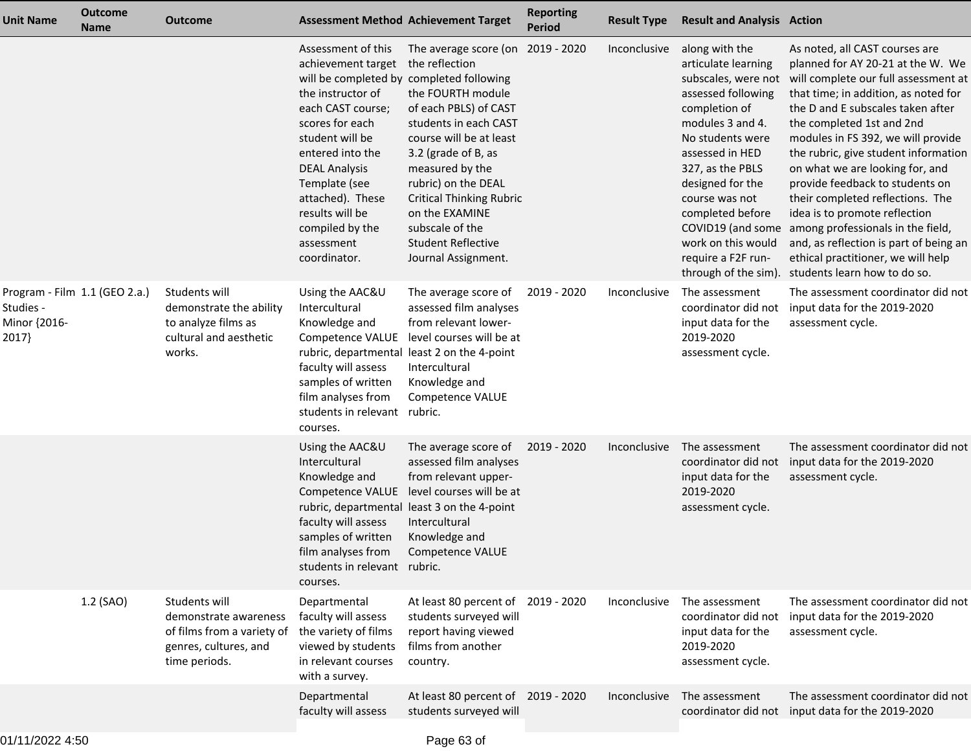| <b>Unit Name</b>                   | <b>Outcome</b><br><b>Name</b> | <b>Outcome</b>                                                                                                 | <b>Assessment Method Achievement Target</b>                                                                                                                                                                                                                                                                               |                                                                                                                                                                                                                                                                                                                                                    | <b>Reporting</b><br><b>Period</b> | <b>Result Type</b> | <b>Result and Analysis Action</b>                                                                                                                                                                                                                                                                                                     |                                                                                                                                                                                                                                                                                                                                                                                                                                                                                                                                                                                                     |
|------------------------------------|-------------------------------|----------------------------------------------------------------------------------------------------------------|---------------------------------------------------------------------------------------------------------------------------------------------------------------------------------------------------------------------------------------------------------------------------------------------------------------------------|----------------------------------------------------------------------------------------------------------------------------------------------------------------------------------------------------------------------------------------------------------------------------------------------------------------------------------------------------|-----------------------------------|--------------------|---------------------------------------------------------------------------------------------------------------------------------------------------------------------------------------------------------------------------------------------------------------------------------------------------------------------------------------|-----------------------------------------------------------------------------------------------------------------------------------------------------------------------------------------------------------------------------------------------------------------------------------------------------------------------------------------------------------------------------------------------------------------------------------------------------------------------------------------------------------------------------------------------------------------------------------------------------|
|                                    |                               |                                                                                                                | Assessment of this<br>achievement target<br>will be completed by completed following<br>the instructor of<br>each CAST course;<br>scores for each<br>student will be<br>entered into the<br><b>DEAL Analysis</b><br>Template (see<br>attached). These<br>results will be<br>compiled by the<br>assessment<br>coordinator. | The average score (on 2019 - 2020<br>the reflection<br>the FOURTH module<br>of each PBLS) of CAST<br>students in each CAST<br>course will be at least<br>3.2 (grade of B, as<br>measured by the<br>rubric) on the DEAL<br><b>Critical Thinking Rubric</b><br>on the EXAMINE<br>subscale of the<br><b>Student Reflective</b><br>Journal Assignment. |                                   | Inconclusive       | along with the<br>articulate learning<br>subscales, were not<br>assessed following<br>completion of<br>modules 3 and 4.<br>No students were<br>assessed in HED<br>327, as the PBLS<br>designed for the<br>course was not<br>completed before<br>COVID19 (and some<br>work on this would<br>require a F2F run-<br>through of the sim). | As noted, all CAST courses are<br>planned for AY 20-21 at the W. We<br>will complete our full assessment at<br>that time; in addition, as noted for<br>the D and E subscales taken after<br>the completed 1st and 2nd<br>modules in FS 392, we will provide<br>the rubric, give student information<br>on what we are looking for, and<br>provide feedback to students on<br>their completed reflections. The<br>idea is to promote reflection<br>among professionals in the field,<br>and, as reflection is part of being an<br>ethical practitioner, we will help<br>students learn how to do so. |
| Studies -<br>Minor {2016-<br>2017} | Program - Film 1.1 (GEO 2.a.) | Students will<br>demonstrate the ability<br>to analyze films as<br>cultural and aesthetic<br>works.            | Using the AAC&U<br>Intercultural<br>Knowledge and<br>Competence VALUE<br>faculty will assess<br>samples of written<br>film analyses from<br>students in relevant rubric.<br>courses.                                                                                                                                      | The average score of<br>assessed film analyses<br>from relevant lower-<br>level courses will be at<br>rubric, departmental least 2 on the 4-point<br>Intercultural<br>Knowledge and<br>Competence VALUE                                                                                                                                            | 2019 - 2020                       | Inconclusive       | The assessment<br>coordinator did not<br>input data for the<br>2019-2020<br>assessment cycle.                                                                                                                                                                                                                                         | The assessment coordinator did not<br>input data for the 2019-2020<br>assessment cycle.                                                                                                                                                                                                                                                                                                                                                                                                                                                                                                             |
|                                    |                               |                                                                                                                | Using the AAC&U<br>Intercultural<br>Knowledge and<br>Competence VALUE<br>faculty will assess<br>samples of written<br>film analyses from<br>students in relevant rubric.<br>courses.                                                                                                                                      | The average score of<br>assessed film analyses<br>from relevant upper-<br>level courses will be at<br>rubric, departmental least 3 on the 4-point<br>Intercultural<br>Knowledge and<br>Competence VALUE                                                                                                                                            | 2019 - 2020                       | Inconclusive       | The assessment<br>coordinator did not<br>input data for the<br>2019-2020<br>assessment cycle.                                                                                                                                                                                                                                         | The assessment coordinator did not<br>input data for the 2019-2020<br>assessment cycle.                                                                                                                                                                                                                                                                                                                                                                                                                                                                                                             |
|                                    | 1.2 (SAO)                     | Students will<br>demonstrate awareness<br>of films from a variety of<br>genres, cultures, and<br>time periods. | Departmental<br>faculty will assess<br>the variety of films<br>viewed by students<br>in relevant courses<br>with a survey.                                                                                                                                                                                                | At least 80 percent of 2019 - 2020<br>students surveyed will<br>report having viewed<br>films from another<br>country.                                                                                                                                                                                                                             |                                   | Inconclusive       | The assessment<br>coordinator did not<br>input data for the<br>2019-2020<br>assessment cycle.                                                                                                                                                                                                                                         | The assessment coordinator did not<br>input data for the 2019-2020<br>assessment cycle.                                                                                                                                                                                                                                                                                                                                                                                                                                                                                                             |
|                                    |                               |                                                                                                                | Departmental<br>faculty will assess                                                                                                                                                                                                                                                                                       | At least 80 percent of 2019 - 2020<br>students surveyed will                                                                                                                                                                                                                                                                                       |                                   | Inconclusive       | The assessment                                                                                                                                                                                                                                                                                                                        | The assessment coordinator did not<br>coordinator did not input data for the 2019-2020                                                                                                                                                                                                                                                                                                                                                                                                                                                                                                              |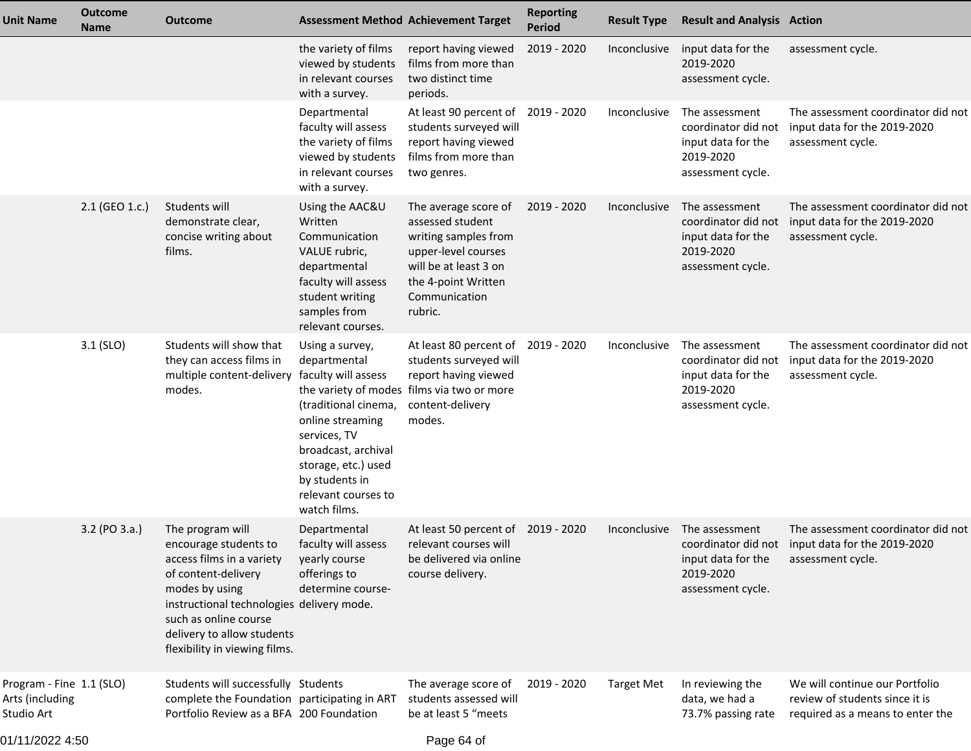| Unit Name                                                 | <b>Outcome</b><br><b>Name</b> | <b>Outcome</b>                                                                                                                                                                                                                                       |                                                                                                                                                                                                                           | <b>Assessment Method Achievement Target</b>                                                                                                                         | <b>Reporting</b><br><b>Period</b> | <b>Result Type</b>  | <b>Result and Analysis Action</b>                                                             |                                                                                                             |
|-----------------------------------------------------------|-------------------------------|------------------------------------------------------------------------------------------------------------------------------------------------------------------------------------------------------------------------------------------------------|---------------------------------------------------------------------------------------------------------------------------------------------------------------------------------------------------------------------------|---------------------------------------------------------------------------------------------------------------------------------------------------------------------|-----------------------------------|---------------------|-----------------------------------------------------------------------------------------------|-------------------------------------------------------------------------------------------------------------|
|                                                           |                               |                                                                                                                                                                                                                                                      | the variety of films<br>viewed by students<br>in relevant courses<br>with a survey.                                                                                                                                       | report having viewed<br>films from more than<br>two distinct time<br>periods.                                                                                       | 2019 - 2020                       | Inconclusive        | input data for the<br>2019-2020<br>assessment cycle.                                          | assessment cycle.                                                                                           |
|                                                           |                               |                                                                                                                                                                                                                                                      | Departmental<br>faculty will assess<br>the variety of films<br>viewed by students<br>in relevant courses<br>with a survey.                                                                                                | At least 90 percent of<br>students surveyed will<br>report having viewed<br>films from more than<br>two genres.                                                     | 2019 - 2020                       | Inconclusive        | The assessment<br>coordinator did not<br>input data for the<br>2019-2020<br>assessment cycle. | The assessment coordinator did not<br>input data for the 2019-2020<br>assessment cycle.                     |
|                                                           | 2.1 (GEO 1.c.)                | Students will<br>demonstrate clear,<br>concise writing about<br>films.                                                                                                                                                                               | Using the AAC&U<br>Written<br>Communication<br>VALUE rubric,<br>departmental<br>faculty will assess<br>student writing<br>samples from<br>relevant courses.                                                               | The average score of<br>assessed student<br>writing samples from<br>upper-level courses<br>will be at least 3 on<br>the 4-point Written<br>Communication<br>rubric. | 2019 - 2020                       | Inconclusive        | The assessment<br>coordinator did not<br>input data for the<br>2019-2020<br>assessment cycle. | The assessment coordinator did not<br>input data for the 2019-2020<br>assessment cycle.                     |
|                                                           | $3.1$ (SLO)                   | Students will show that<br>they can access films in<br>multiple content-delivery<br>modes.                                                                                                                                                           | Using a survey,<br>departmental<br>faculty will assess<br>(traditional cinema,<br>online streaming<br>services, TV<br>broadcast, archival<br>storage, etc.) used<br>by students in<br>relevant courses to<br>watch films. | At least 80 percent of<br>students surveyed will<br>report having viewed<br>the variety of modes films via two or more<br>content-delivery<br>modes.                | 2019 - 2020                       | Inconclusive        | The assessment<br>coordinator did not<br>input data for the<br>2019-2020<br>assessment cycle. | The assessment coordinator did not<br>input data for the 2019-2020<br>assessment cycle.                     |
|                                                           | 3.2 (PO 3.a.)                 | The program will<br>encourage students to<br>access films in a variety<br>of content-delivery<br>modes by using<br>instructional technologies delivery mode.<br>such as online course<br>delivery to allow students<br>flexibility in viewing films. | Departmental<br>faculty will assess<br>yearly course<br>offerings to<br>determine course-                                                                                                                                 | At least 50 percent of<br>relevant courses will<br>be delivered via online<br>course delivery.                                                                      | 2019 - 2020                       | <i>Inconclusive</i> | The assessment<br>input data for the<br>2019-2020<br>assessment cycle.                        | The assessment coordinator did not<br>coordinator did not input data for the 2019-2020<br>assessment cycle. |
| Program - Fine 1.1 (SLO)<br>Arts (including<br>Studio Art |                               | Students will successfully Students<br>complete the Foundation participating in ART<br>Portfolio Review as a BFA 200 Foundation                                                                                                                      |                                                                                                                                                                                                                           | The average score of<br>students assessed will<br>be at least 5 "meets                                                                                              | 2019 - 2020                       | <b>Target Met</b>   | In reviewing the<br>data, we had a<br>73.7% passing rate                                      | We will continue our Portfolio<br>review of students since it is<br>required as a means to enter the        |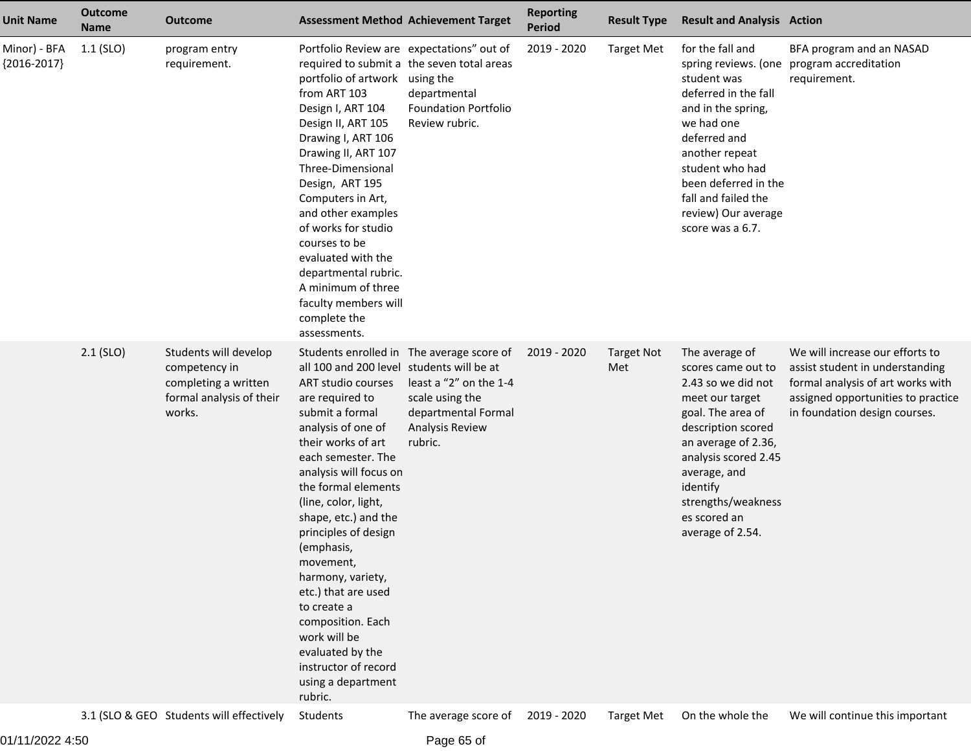| <b>Unit Name</b>              | <b>Outcome</b><br><b>Name</b> | Outcome                                                                                              | <b>Assessment Method Achievement Target</b>                                                                                                                                                                                                                                                                                                                                                                                                                                                              |                                                                                                                                             | <b>Reporting</b><br><b>Period</b> | <b>Result Type</b>       | <b>Result and Analysis Action</b>                                                                                                                                                                                                                             |                                                                                                                                                                                |
|-------------------------------|-------------------------------|------------------------------------------------------------------------------------------------------|----------------------------------------------------------------------------------------------------------------------------------------------------------------------------------------------------------------------------------------------------------------------------------------------------------------------------------------------------------------------------------------------------------------------------------------------------------------------------------------------------------|---------------------------------------------------------------------------------------------------------------------------------------------|-----------------------------------|--------------------------|---------------------------------------------------------------------------------------------------------------------------------------------------------------------------------------------------------------------------------------------------------------|--------------------------------------------------------------------------------------------------------------------------------------------------------------------------------|
| Minor) - BFA<br>${2016-2017}$ | $1.1$ (SLO)                   | program entry<br>requirement.                                                                        | Portfolio Review are expectations" out of<br>portfolio of artwork using the<br>from ART 103<br>Design I, ART 104<br>Design II, ART 105<br>Drawing I, ART 106<br>Drawing II, ART 107<br>Three-Dimensional<br>Design, ART 195<br>Computers in Art,<br>and other examples<br>of works for studio<br>courses to be<br>evaluated with the<br>departmental rubric.<br>A minimum of three<br>faculty members will<br>complete the<br>assessments.                                                               | required to submit a the seven total areas<br>departmental<br><b>Foundation Portfolio</b><br>Review rubric.                                 | 2019 - 2020                       | <b>Target Met</b>        | for the fall and<br>student was<br>deferred in the fall<br>and in the spring,<br>we had one<br>deferred and<br>another repeat<br>student who had<br>been deferred in the<br>fall and failed the<br>review) Our average<br>score was a 6.7.                    | BFA program and an NASAD<br>spring reviews. (one program accreditation<br>requirement.                                                                                         |
|                               | $2.1$ (SLO)                   | Students will develop<br>competency in<br>completing a written<br>formal analysis of their<br>works. | all 100 and 200 level students will be at<br>ART studio courses<br>are required to<br>submit a formal<br>analysis of one of<br>their works of art<br>each semester. The<br>analysis will focus on<br>the formal elements<br>(line, color, light,<br>shape, etc.) and the<br>principles of design<br>(emphasis,<br>movement,<br>harmony, variety,<br>etc.) that are used<br>to create a<br>composition. Each<br>work will be<br>evaluated by the<br>instructor of record<br>using a department<br>rubric. | Students enrolled in The average score of<br>least a "2" on the 1-4<br>scale using the<br>departmental Formal<br>Analysis Review<br>rubric. | 2019 - 2020                       | <b>Target Not</b><br>Met | The average of<br>scores came out to<br>2.43 so we did not<br>meet our target<br>goal. The area of<br>description scored<br>an average of 2.36,<br>analysis scored 2.45<br>average, and<br>identify<br>strengths/weakness<br>es scored an<br>average of 2.54. | We will increase our efforts to<br>assist student in understanding<br>formal analysis of art works with<br>assigned opportunities to practice<br>in foundation design courses. |
|                               |                               | 3.1 (SLO & GEO Students will effectively                                                             | Students                                                                                                                                                                                                                                                                                                                                                                                                                                                                                                 | The average score of                                                                                                                        | 2019 - 2020                       | <b>Target Met</b>        | On the whole the                                                                                                                                                                                                                                              | We will continue this important                                                                                                                                                |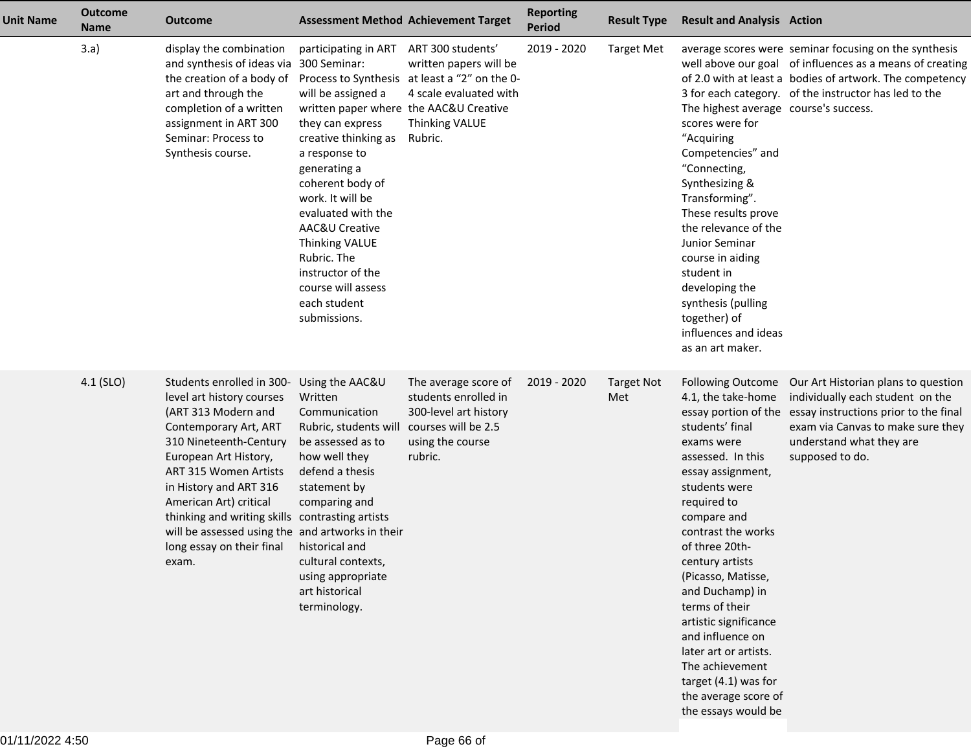| Unit Name | <b>Outcome</b><br><b>Name</b> | <b>Outcome</b>                                                                                                                                                                                                                                                                                                                                                                                             | <b>Assessment Method Achievement Target</b>                                                                                                                                                                                                                                                                                                                          |                                                                                                                                                            | <b>Reporting</b><br><b>Period</b> | <b>Result Type</b>       | <b>Result and Analysis Action</b>                                                                                                                                                                                                                                                                                                                                                                                                    |                                                                                                                                                                                                                                             |
|-----------|-------------------------------|------------------------------------------------------------------------------------------------------------------------------------------------------------------------------------------------------------------------------------------------------------------------------------------------------------------------------------------------------------------------------------------------------------|----------------------------------------------------------------------------------------------------------------------------------------------------------------------------------------------------------------------------------------------------------------------------------------------------------------------------------------------------------------------|------------------------------------------------------------------------------------------------------------------------------------------------------------|-----------------------------------|--------------------------|--------------------------------------------------------------------------------------------------------------------------------------------------------------------------------------------------------------------------------------------------------------------------------------------------------------------------------------------------------------------------------------------------------------------------------------|---------------------------------------------------------------------------------------------------------------------------------------------------------------------------------------------------------------------------------------------|
|           | 3.a)                          | display the combination<br>and synthesis of ideas via 300 Seminar:<br>the creation of a body of<br>art and through the<br>completion of a written<br>assignment in ART 300<br>Seminar: Process to<br>Synthesis course.                                                                                                                                                                                     | participating in ART<br>will be assigned a<br>written paper where the AAC&U Creative<br>they can express<br>creative thinking as<br>a response to<br>generating a<br>coherent body of<br>work. It will be<br>evaluated with the<br>AAC&U Creative<br><b>Thinking VALUE</b><br>Rubric. The<br>instructor of the<br>course will assess<br>each student<br>submissions. | ART 300 students'<br>written papers will be<br>Process to Synthesis at least a "2" on the 0-<br>4 scale evaluated with<br><b>Thinking VALUE</b><br>Rubric. | 2019 - 2020                       | <b>Target Met</b>        | The highest average course's success.<br>scores were for<br>"Acquiring<br>Competencies" and<br>"Connecting,<br>Synthesizing &<br>Transforming".<br>These results prove<br>the relevance of the<br>Junior Seminar<br>course in aiding<br>student in<br>developing the<br>synthesis (pulling<br>together) of<br>influences and ideas<br>as an art maker.                                                                               | average scores were seminar focusing on the synthesis<br>well above our goal of influences as a means of creating<br>of 2.0 with at least a bodies of artwork. The competency<br>3 for each category. of the instructor has led to the      |
|           | $4.1$ (SLO)                   | Students enrolled in 300- Using the AAC&U<br>level art history courses<br>(ART 313 Modern and<br>Contemporary Art, ART<br>310 Nineteenth-Century<br>European Art History,<br><b>ART 315 Women Artists</b><br>in History and ART 316<br>American Art) critical<br>thinking and writing skills contrasting artists<br>will be assessed using the and artworks in their<br>long essay on their final<br>exam. | Written<br>Communication<br>Rubric, students will<br>be assessed as to<br>how well they<br>defend a thesis<br>statement by<br>comparing and<br>historical and<br>cultural contexts,<br>using appropriate<br>art historical<br>terminology.                                                                                                                           | The average score of<br>students enrolled in<br>300-level art history<br>courses will be 2.5<br>using the course<br>rubric.                                | 2019 - 2020                       | <b>Target Not</b><br>Met | 4.1, the take-home<br>students' final<br>exams were<br>assessed. In this<br>essay assignment,<br>students were<br>required to<br>compare and<br>contrast the works<br>of three 20th-<br>century artists<br>(Picasso, Matisse,<br>and Duchamp) in<br>terms of their<br>artistic significance<br>and influence on<br>later art or artists.<br>The achievement<br>target $(4.1)$ was for<br>the average score of<br>the essays would be | Following Outcome Our Art Historian plans to question<br>individually each student on the<br>essay portion of the essay instructions prior to the final<br>exam via Canvas to make sure they<br>understand what they are<br>supposed to do. |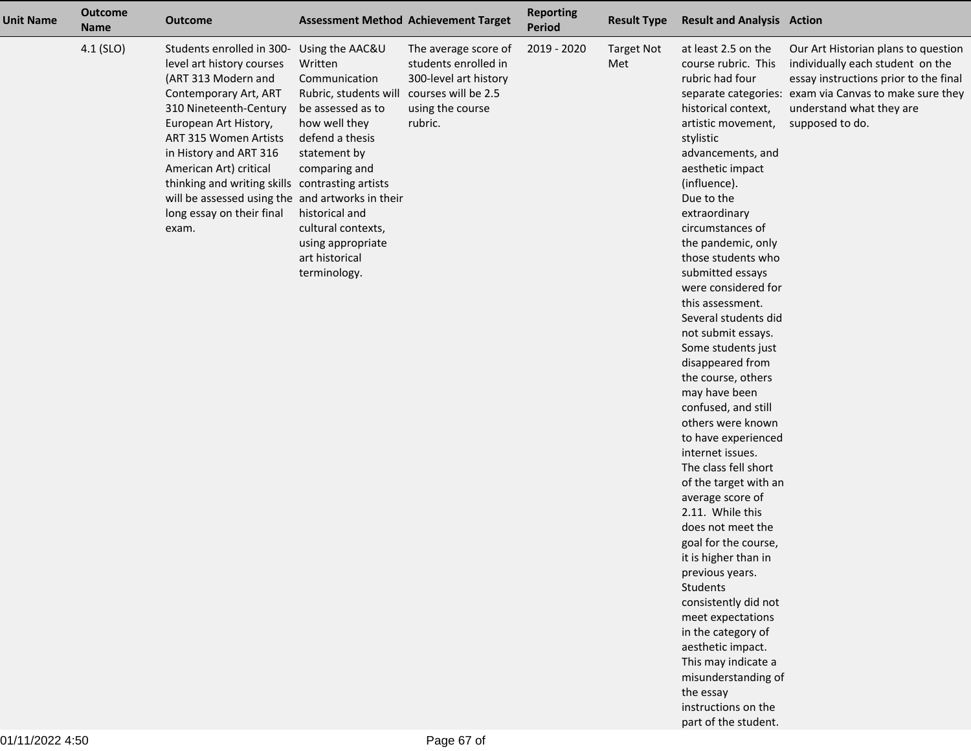| <b>Unit Name</b> | <b>Outcome</b><br><b>Name</b> | <b>Outcome</b>                                                                                                                                                                                                                                                                                                                                                                                             | <b>Assessment Method Achievement Target</b>                                                                                                                                                                                                |                                                                                                                             | <b>Reporting</b><br><b>Period</b> | <b>Result Type</b>       | <b>Result and Analysis Action</b>                                                                                                                                                                                                                                                                                                                                                                                                                                                                                                                                                                                                                                                                                                                                                                                                                                                                                                           |                                                                                                                                                                                                                           |
|------------------|-------------------------------|------------------------------------------------------------------------------------------------------------------------------------------------------------------------------------------------------------------------------------------------------------------------------------------------------------------------------------------------------------------------------------------------------------|--------------------------------------------------------------------------------------------------------------------------------------------------------------------------------------------------------------------------------------------|-----------------------------------------------------------------------------------------------------------------------------|-----------------------------------|--------------------------|---------------------------------------------------------------------------------------------------------------------------------------------------------------------------------------------------------------------------------------------------------------------------------------------------------------------------------------------------------------------------------------------------------------------------------------------------------------------------------------------------------------------------------------------------------------------------------------------------------------------------------------------------------------------------------------------------------------------------------------------------------------------------------------------------------------------------------------------------------------------------------------------------------------------------------------------|---------------------------------------------------------------------------------------------------------------------------------------------------------------------------------------------------------------------------|
|                  | 4.1 (SLO)                     | Students enrolled in 300- Using the AAC&U<br>level art history courses<br>(ART 313 Modern and<br>Contemporary Art, ART<br>310 Nineteenth-Century<br>European Art History,<br><b>ART 315 Women Artists</b><br>in History and ART 316<br>American Art) critical<br>thinking and writing skills contrasting artists<br>will be assessed using the and artworks in their<br>long essay on their final<br>exam. | Written<br>Communication<br>Rubric, students will<br>be assessed as to<br>how well they<br>defend a thesis<br>statement by<br>comparing and<br>historical and<br>cultural contexts,<br>using appropriate<br>art historical<br>terminology. | The average score of<br>students enrolled in<br>300-level art history<br>courses will be 2.5<br>using the course<br>rubric. | 2019 - 2020                       | <b>Target Not</b><br>Met | at least 2.5 on the<br>course rubric. This<br>rubric had four<br>historical context,<br>artistic movement,<br>stylistic<br>advancements, and<br>aesthetic impact<br>(influence).<br>Due to the<br>extraordinary<br>circumstances of<br>the pandemic, only<br>those students who<br>submitted essays<br>were considered for<br>this assessment.<br>Several students did<br>not submit essays.<br>Some students just<br>disappeared from<br>the course, others<br>may have been<br>confused, and still<br>others were known<br>to have experienced<br>internet issues.<br>The class fell short<br>of the target with an<br>average score of<br>2.11. While this<br>does not meet the<br>goal for the course,<br>it is higher than in<br>previous years.<br>Students<br>consistently did not<br>meet expectations<br>in the category of<br>aesthetic impact.<br>This may indicate a<br>misunderstanding of<br>the essay<br>instructions on the | Our Art Historian plans to question<br>individually each student on the<br>essay instructions prior to the final<br>separate categories: exam via Canvas to make sure they<br>understand what they are<br>supposed to do. |

part of the student.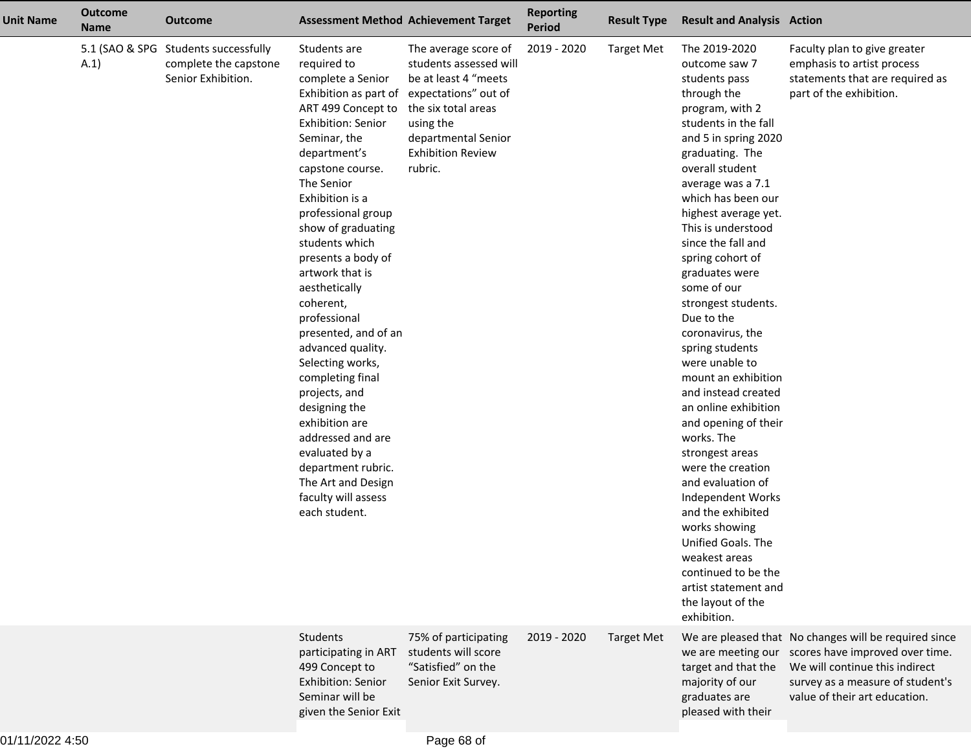| <b>Unit Name</b> | <b>Outcome</b><br><b>Name</b> | <b>Outcome</b>                                                                      |                                                                                                                                                                                                                                                                                                                                                                                                                                                                                                                                                                                                                                     | <b>Assessment Method Achievement Target</b>                                                                                                                                                      | <b>Reporting</b><br><b>Period</b> | <b>Result Type</b> | <b>Result and Analysis Action</b>                                                                                                                                                                                                                                                                                                                                                                                                                                                                                                                                                                                                                                                                                                                                                                       |                                                                                                                                                                                                 |
|------------------|-------------------------------|-------------------------------------------------------------------------------------|-------------------------------------------------------------------------------------------------------------------------------------------------------------------------------------------------------------------------------------------------------------------------------------------------------------------------------------------------------------------------------------------------------------------------------------------------------------------------------------------------------------------------------------------------------------------------------------------------------------------------------------|--------------------------------------------------------------------------------------------------------------------------------------------------------------------------------------------------|-----------------------------------|--------------------|---------------------------------------------------------------------------------------------------------------------------------------------------------------------------------------------------------------------------------------------------------------------------------------------------------------------------------------------------------------------------------------------------------------------------------------------------------------------------------------------------------------------------------------------------------------------------------------------------------------------------------------------------------------------------------------------------------------------------------------------------------------------------------------------------------|-------------------------------------------------------------------------------------------------------------------------------------------------------------------------------------------------|
|                  | A.1)                          | 5.1 (SAO & SPG Students successfully<br>complete the capstone<br>Senior Exhibition. | Students are<br>required to<br>complete a Senior<br>Exhibition as part of<br>ART 499 Concept to<br>Exhibition: Senior<br>Seminar, the<br>department's<br>capstone course.<br>The Senior<br>Exhibition is a<br>professional group<br>show of graduating<br>students which<br>presents a body of<br>artwork that is<br>aesthetically<br>coherent,<br>professional<br>presented, and of an<br>advanced quality.<br>Selecting works,<br>completing final<br>projects, and<br>designing the<br>exhibition are<br>addressed and are<br>evaluated by a<br>department rubric.<br>The Art and Design<br>faculty will assess<br>each student. | The average score of<br>students assessed will<br>be at least 4 "meets<br>expectations" out of<br>the six total areas<br>using the<br>departmental Senior<br><b>Exhibition Review</b><br>rubric. | 2019 - 2020                       | <b>Target Met</b>  | The 2019-2020<br>outcome saw 7<br>students pass<br>through the<br>program, with 2<br>students in the fall<br>and 5 in spring 2020<br>graduating. The<br>overall student<br>average was a 7.1<br>which has been our<br>highest average yet.<br>This is understood<br>since the fall and<br>spring cohort of<br>graduates were<br>some of our<br>strongest students.<br>Due to the<br>coronavirus, the<br>spring students<br>were unable to<br>mount an exhibition<br>and instead created<br>an online exhibition<br>and opening of their<br>works. The<br>strongest areas<br>were the creation<br>and evaluation of<br>Independent Works<br>and the exhibited<br>works showing<br>Unified Goals. The<br>weakest areas<br>continued to be the<br>artist statement and<br>the layout of the<br>exhibition. | Faculty plan to give greater<br>emphasis to artist process<br>statements that are required as<br>part of the exhibition.                                                                        |
|                  |                               |                                                                                     | <b>Students</b><br>participating in ART<br>499 Concept to<br>Exhibition: Senior<br>Seminar will be<br>given the Senior Exit                                                                                                                                                                                                                                                                                                                                                                                                                                                                                                         | 75% of participating<br>students will score<br>"Satisfied" on the<br>Senior Exit Survey.                                                                                                         | 2019 - 2020                       | <b>Target Met</b>  | we are meeting our<br>target and that the<br>majority of our<br>graduates are<br>pleased with their                                                                                                                                                                                                                                                                                                                                                                                                                                                                                                                                                                                                                                                                                                     | We are pleased that No changes will be required since<br>scores have improved over time.<br>We will continue this indirect<br>survey as a measure of student's<br>value of their art education. |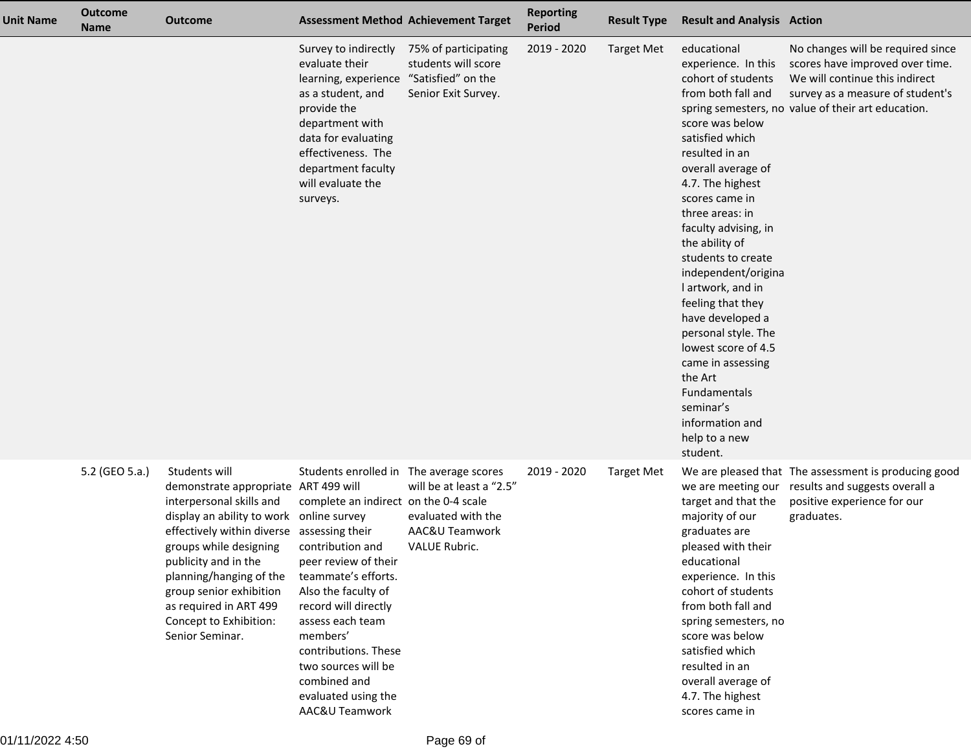| <b>Unit Name</b> | <b>Outcome</b><br><b>Name</b> | <b>Outcome</b>                                                                                                                                                                                                                                                                                                                               |                                                                                                                                                                                                                                                                                                                                                             | <b>Assessment Method Achievement Target</b>                                       | <b>Reporting</b><br>Period | <b>Result Type</b> | <b>Result and Analysis Action</b>                                                                                                                                                                                                                                                                                                                                                                                                                                                                                                     |                                                                                                                                                                                                  |
|------------------|-------------------------------|----------------------------------------------------------------------------------------------------------------------------------------------------------------------------------------------------------------------------------------------------------------------------------------------------------------------------------------------|-------------------------------------------------------------------------------------------------------------------------------------------------------------------------------------------------------------------------------------------------------------------------------------------------------------------------------------------------------------|-----------------------------------------------------------------------------------|----------------------------|--------------------|---------------------------------------------------------------------------------------------------------------------------------------------------------------------------------------------------------------------------------------------------------------------------------------------------------------------------------------------------------------------------------------------------------------------------------------------------------------------------------------------------------------------------------------|--------------------------------------------------------------------------------------------------------------------------------------------------------------------------------------------------|
|                  |                               |                                                                                                                                                                                                                                                                                                                                              | Survey to indirectly<br>evaluate their<br>learning, experience "Satisfied" on the<br>as a student, and<br>provide the<br>department with<br>data for evaluating<br>effectiveness. The<br>department faculty<br>will evaluate the<br>surveys.                                                                                                                | 75% of participating<br>students will score<br>Senior Exit Survey.                | 2019 - 2020                | <b>Target Met</b>  | educational<br>experience. In this<br>cohort of students<br>from both fall and<br>score was below<br>satisfied which<br>resulted in an<br>overall average of<br>4.7. The highest<br>scores came in<br>three areas: in<br>faculty advising, in<br>the ability of<br>students to create<br>independent/origina<br>I artwork, and in<br>feeling that they<br>have developed a<br>personal style. The<br>lowest score of 4.5<br>came in assessing<br>the Art<br>Fundamentals<br>seminar's<br>information and<br>help to a new<br>student. | No changes will be required since<br>scores have improved over time.<br>We will continue this indirect<br>survey as a measure of student's<br>spring semesters, no value of their art education. |
|                  | 5.2 (GEO 5.a.)                | Students will<br>demonstrate appropriate ART 499 will<br>interpersonal skills and<br>display an ability to work<br>effectively within diverse assessing their<br>groups while designing<br>publicity and in the<br>planning/hanging of the<br>group senior exhibition<br>as required in ART 499<br>Concept to Exhibition:<br>Senior Seminar. | Students enrolled in The average scores<br>complete an indirect on the 0-4 scale<br>online survey<br>contribution and<br>peer review of their<br>teammate's efforts.<br>Also the faculty of<br>record will directly<br>assess each team<br>members'<br>contributions. These<br>two sources will be<br>combined and<br>evaluated using the<br>AAC&U Teamwork | will be at least a "2.5"<br>evaluated with the<br>AAC&U Teamwork<br>VALUE Rubric. | 2019 - 2020                | Target Met         | target and that the<br>majority of our<br>graduates are<br>pleased with their<br>educational<br>experience. In this<br>cohort of students<br>from both fall and<br>spring semesters, no<br>score was below<br>satisfied which<br>resulted in an<br>overall average of<br>4.7. The highest<br>scores came in                                                                                                                                                                                                                           | We are pleased that The assessment is producing good<br>we are meeting our results and suggests overall a<br>positive experience for our<br>graduates.                                           |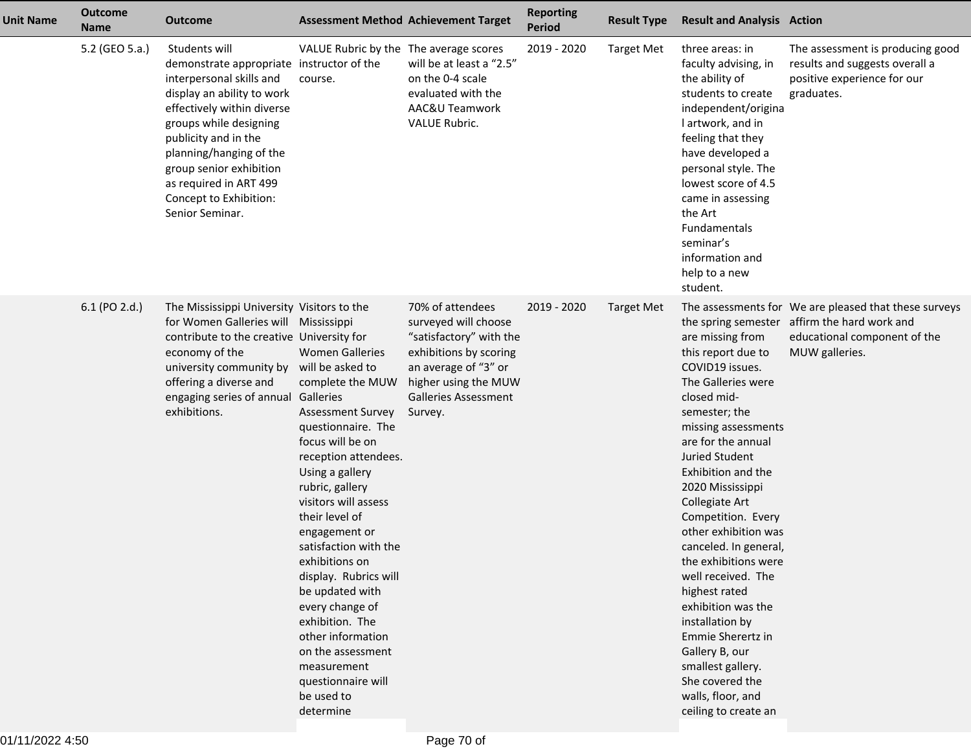| <b>Unit Name</b> | <b>Outcome</b><br><b>Name</b> | <b>Outcome</b>                                                                                                                                                                                                                                                                                                                    | <b>Assessment Method Achievement Target</b>                                                                                                                                                                                                                                                                                                                                                                                                                                                                         |                                                                                                                                                                                         | <b>Reporting</b><br><b>Period</b> | <b>Result Type</b> | <b>Result and Analysis Action</b>                                                                                                                                                                                                                                                                                                                                                                                                                                                                                                                            |                                                                                                                                                         |
|------------------|-------------------------------|-----------------------------------------------------------------------------------------------------------------------------------------------------------------------------------------------------------------------------------------------------------------------------------------------------------------------------------|---------------------------------------------------------------------------------------------------------------------------------------------------------------------------------------------------------------------------------------------------------------------------------------------------------------------------------------------------------------------------------------------------------------------------------------------------------------------------------------------------------------------|-----------------------------------------------------------------------------------------------------------------------------------------------------------------------------------------|-----------------------------------|--------------------|--------------------------------------------------------------------------------------------------------------------------------------------------------------------------------------------------------------------------------------------------------------------------------------------------------------------------------------------------------------------------------------------------------------------------------------------------------------------------------------------------------------------------------------------------------------|---------------------------------------------------------------------------------------------------------------------------------------------------------|
|                  | 5.2 (GEO 5.a.)                | Students will<br>demonstrate appropriate instructor of the<br>interpersonal skills and<br>display an ability to work<br>effectively within diverse<br>groups while designing<br>publicity and in the<br>planning/hanging of the<br>group senior exhibition<br>as required in ART 499<br>Concept to Exhibition:<br>Senior Seminar. | VALUE Rubric by the The average scores<br>course.                                                                                                                                                                                                                                                                                                                                                                                                                                                                   | will be at least a "2.5"<br>on the 0-4 scale<br>evaluated with the<br>AAC&U Teamwork<br>VALUE Rubric.                                                                                   | 2019 - 2020                       | <b>Target Met</b>  | three areas: in<br>faculty advising, in<br>the ability of<br>students to create<br>independent/origina<br>I artwork, and in<br>feeling that they<br>have developed a<br>personal style. The<br>lowest score of 4.5<br>came in assessing<br>the Art<br>Fundamentals<br>seminar's<br>information and<br>help to a new<br>student.                                                                                                                                                                                                                              | The assessment is producing good<br>results and suggests overall a<br>positive experience for our<br>graduates.                                         |
|                  | 6.1 (PO 2.d.)                 | The Mississippi University Visitors to the<br>for Women Galleries will<br>contribute to the creative University for<br>economy of the<br>university community by<br>offering a diverse and<br>engaging series of annual Galleries<br>exhibitions.                                                                                 | Mississippi<br><b>Women Galleries</b><br>will be asked to<br>complete the MUW<br><b>Assessment Survey</b><br>questionnaire. The<br>focus will be on<br>reception attendees.<br>Using a gallery<br>rubric, gallery<br>visitors will assess<br>their level of<br>engagement or<br>satisfaction with the<br>exhibitions on<br>display. Rubrics will<br>be updated with<br>every change of<br>exhibition. The<br>other information<br>on the assessment<br>measurement<br>questionnaire will<br>be used to<br>determine | 70% of attendees<br>surveyed will choose<br>"satisfactory" with the<br>exhibitions by scoring<br>an average of "3" or<br>higher using the MUW<br><b>Galleries Assessment</b><br>Survey. | 2019 - 2020                       | <b>Target Met</b>  | are missing from<br>this report due to<br>COVID19 issues.<br>The Galleries were<br>closed mid-<br>semester; the<br>missing assessments<br>are for the annual<br><b>Juried Student</b><br>Exhibition and the<br>2020 Mississippi<br>Collegiate Art<br>Competition. Every<br>other exhibition was<br>canceled. In general,<br>the exhibitions were<br>well received. The<br>highest rated<br>exhibition was the<br>installation by<br>Emmie Sherertz in<br>Gallery B, our<br>smallest gallery.<br>She covered the<br>walls, floor, and<br>ceiling to create an | The assessments for We are pleased that these surveys<br>the spring semester affirm the hard work and<br>educational component of the<br>MUW galleries. |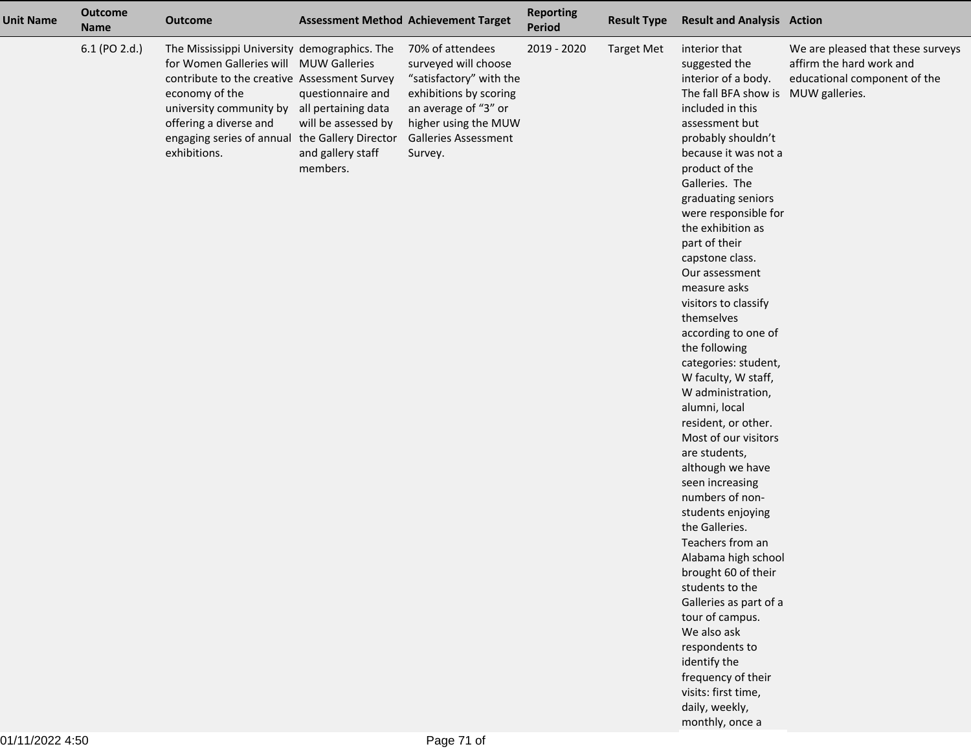| <b>Unit Name</b> | <b>Outcome</b><br><b>Name</b> | <b>Outcome</b>                                                                                                                                                                                                                                                                                      |                                                                           | <b>Assessment Method Achievement Target</b>                                                                                                                                             | <b>Reporting</b><br><b>Period</b> | <b>Result Type</b> | <b>Result and Analysis Action</b>                                                                                                                                                                                                                                                                                                                                                                                                                                                                                                                                                                                                                                                                                                                                                                                                                                                                                                                                      |                                                                                               |
|------------------|-------------------------------|-----------------------------------------------------------------------------------------------------------------------------------------------------------------------------------------------------------------------------------------------------------------------------------------------------|---------------------------------------------------------------------------|-----------------------------------------------------------------------------------------------------------------------------------------------------------------------------------------|-----------------------------------|--------------------|------------------------------------------------------------------------------------------------------------------------------------------------------------------------------------------------------------------------------------------------------------------------------------------------------------------------------------------------------------------------------------------------------------------------------------------------------------------------------------------------------------------------------------------------------------------------------------------------------------------------------------------------------------------------------------------------------------------------------------------------------------------------------------------------------------------------------------------------------------------------------------------------------------------------------------------------------------------------|-----------------------------------------------------------------------------------------------|
|                  | 6.1 (PO 2.d.)                 | The Mississippi University demographics. The<br>for Women Galleries will MUW Galleries<br>contribute to the creative Assessment Survey<br>economy of the<br>university community by all pertaining data<br>offering a diverse and<br>engaging series of annual the Gallery Director<br>exhibitions. | questionnaire and<br>will be assessed by<br>and gallery staff<br>members. | 70% of attendees<br>surveyed will choose<br>"satisfactory" with the<br>exhibitions by scoring<br>an average of "3" or<br>higher using the MUW<br><b>Galleries Assessment</b><br>Survey. | 2019 - 2020                       | <b>Target Met</b>  | interior that<br>suggested the<br>interior of a body.<br>The fall BFA show is MUW galleries.<br>included in this<br>assessment but<br>probably shouldn't<br>because it was not a<br>product of the<br>Galleries. The<br>graduating seniors<br>were responsible for<br>the exhibition as<br>part of their<br>capstone class.<br>Our assessment<br>measure asks<br>visitors to classify<br>themselves<br>according to one of<br>the following<br>categories: student,<br>W faculty, W staff,<br>W administration,<br>alumni, local<br>resident, or other.<br>Most of our visitors<br>are students,<br>although we have<br>seen increasing<br>numbers of non-<br>students enjoying<br>the Galleries.<br>Teachers from an<br>Alabama high school<br>brought 60 of their<br>students to the<br>Galleries as part of a<br>tour of campus.<br>We also ask<br>respondents to<br>identify the<br>frequency of their<br>visits: first time,<br>daily, weekly,<br>monthly, once a | We are pleased that these surveys<br>affirm the hard work and<br>educational component of the |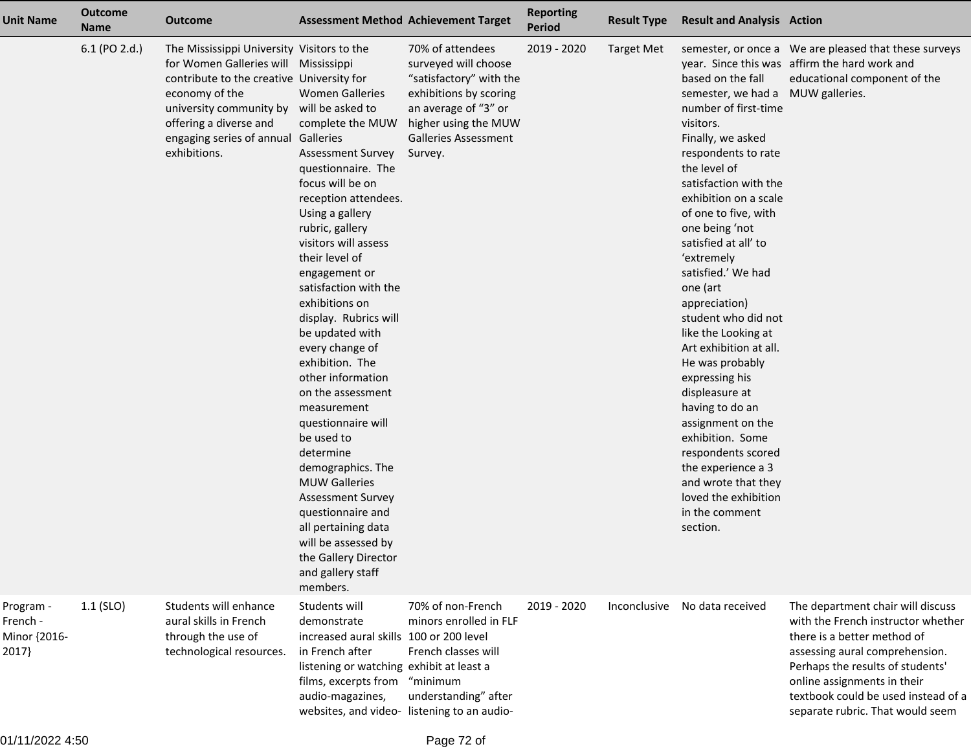| <b>Unit Name</b>                               | <b>Outcome</b><br><b>Name</b> | <b>Outcome</b>                                                                                                                                                                                                                                                                 | <b>Assessment Method Achievement Target</b>                                                                                                                                                                                                                                                                                                                                                                                                                                                                                                                                                                                                                                           |                                                                                                                                                                                         | <b>Reporting</b><br><b>Period</b> | <b>Result Type</b> | <b>Result and Analysis Action</b>                                                                                                                                                                                                                                                                                                                                                                                                                                                                                                                                                                                                                                |                                                                                                                                                                                                                                                                                        |
|------------------------------------------------|-------------------------------|--------------------------------------------------------------------------------------------------------------------------------------------------------------------------------------------------------------------------------------------------------------------------------|---------------------------------------------------------------------------------------------------------------------------------------------------------------------------------------------------------------------------------------------------------------------------------------------------------------------------------------------------------------------------------------------------------------------------------------------------------------------------------------------------------------------------------------------------------------------------------------------------------------------------------------------------------------------------------------|-----------------------------------------------------------------------------------------------------------------------------------------------------------------------------------------|-----------------------------------|--------------------|------------------------------------------------------------------------------------------------------------------------------------------------------------------------------------------------------------------------------------------------------------------------------------------------------------------------------------------------------------------------------------------------------------------------------------------------------------------------------------------------------------------------------------------------------------------------------------------------------------------------------------------------------------------|----------------------------------------------------------------------------------------------------------------------------------------------------------------------------------------------------------------------------------------------------------------------------------------|
|                                                | 6.1 (PO 2.d.)                 | The Mississippi University Visitors to the<br>for Women Galleries will Mississippi<br>contribute to the creative University for<br>economy of the<br>university community by will be asked to<br>offering a diverse and<br>engaging series of annual Galleries<br>exhibitions. | <b>Women Galleries</b><br>complete the MUW<br><b>Assessment Survey</b><br>questionnaire. The<br>focus will be on<br>reception attendees.<br>Using a gallery<br>rubric, gallery<br>visitors will assess<br>their level of<br>engagement or<br>satisfaction with the<br>exhibitions on<br>display. Rubrics will<br>be updated with<br>every change of<br>exhibition. The<br>other information<br>on the assessment<br>measurement<br>questionnaire will<br>be used to<br>determine<br>demographics. The<br><b>MUW Galleries</b><br><b>Assessment Survey</b><br>questionnaire and<br>all pertaining data<br>will be assessed by<br>the Gallery Director<br>and gallery staff<br>members. | 70% of attendees<br>surveyed will choose<br>"satisfactory" with the<br>exhibitions by scoring<br>an average of "3" or<br>higher using the MUW<br><b>Galleries Assessment</b><br>Survey. | 2019 - 2020                       | <b>Target Met</b>  | based on the fall<br>semester, we had a MUW galleries.<br>number of first-time<br>visitors.<br>Finally, we asked<br>respondents to rate<br>the level of<br>satisfaction with the<br>exhibition on a scale<br>of one to five, with<br>one being 'not<br>satisfied at all' to<br>'extremely<br>satisfied.' We had<br>one (art<br>appreciation)<br>student who did not<br>like the Looking at<br>Art exhibition at all.<br>He was probably<br>expressing his<br>displeasure at<br>having to do an<br>assignment on the<br>exhibition. Some<br>respondents scored<br>the experience a 3<br>and wrote that they<br>loved the exhibition<br>in the comment<br>section. | semester, or once a We are pleased that these surveys<br>year. Since this was affirm the hard work and<br>educational component of the                                                                                                                                                 |
| Program -<br>French -<br>Minor {2016-<br>2017} | $1.1$ (SLO)                   | Students will enhance<br>aural skills in French<br>through the use of<br>technological resources.                                                                                                                                                                              | Students will<br>demonstrate<br>increased aural skills 100 or 200 level<br>in French after<br>listening or watching exhibit at least a<br>films, excerpts from<br>audio-magazines,                                                                                                                                                                                                                                                                                                                                                                                                                                                                                                    | 70% of non-French<br>minors enrolled in FLF<br>French classes will<br>"minimum<br>understanding" after<br>websites, and video-listening to an audio-                                    | 2019 - 2020                       | Inconclusive       | No data received                                                                                                                                                                                                                                                                                                                                                                                                                                                                                                                                                                                                                                                 | The department chair will discuss<br>with the French instructor whether<br>there is a better method of<br>assessing aural comprehension.<br>Perhaps the results of students'<br>online assignments in their<br>textbook could be used instead of a<br>separate rubric. That would seem |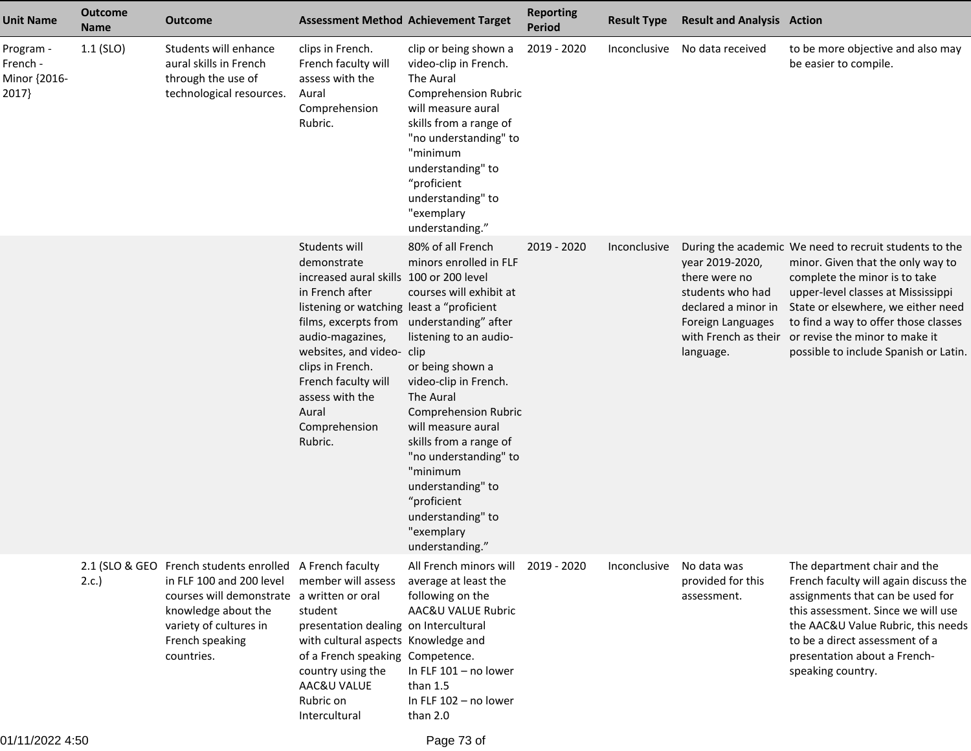| <b>Unit Name</b>                               | <b>Outcome</b><br><b>Name</b> | <b>Outcome</b>                                                                                                                                                                                     | <b>Assessment Method Achievement Target</b>                                                                                                                                                                                                                                                                                              |                                                                                                                                                                                                                                                                                                                                                                          | <b>Reporting</b><br><b>Period</b> | <b>Result Type</b> | <b>Result and Analysis Action</b>                                                                                                     |                                                                                                                                                                                                                                                                                                                             |
|------------------------------------------------|-------------------------------|----------------------------------------------------------------------------------------------------------------------------------------------------------------------------------------------------|------------------------------------------------------------------------------------------------------------------------------------------------------------------------------------------------------------------------------------------------------------------------------------------------------------------------------------------|--------------------------------------------------------------------------------------------------------------------------------------------------------------------------------------------------------------------------------------------------------------------------------------------------------------------------------------------------------------------------|-----------------------------------|--------------------|---------------------------------------------------------------------------------------------------------------------------------------|-----------------------------------------------------------------------------------------------------------------------------------------------------------------------------------------------------------------------------------------------------------------------------------------------------------------------------|
| Program -<br>French -<br>Minor {2016-<br>2017} | $1.1$ (SLO)                   | Students will enhance<br>aural skills in French<br>through the use of<br>technological resources.                                                                                                  | clips in French.<br>French faculty will<br>assess with the<br>Aural<br>Comprehension<br>Rubric.                                                                                                                                                                                                                                          | clip or being shown a<br>video-clip in French.<br>The Aural<br><b>Comprehension Rubric</b><br>will measure aural<br>skills from a range of<br>"no understanding" to<br>"minimum<br>understanding" to<br>"proficient<br>understanding" to<br>"exemplary<br>understanding."                                                                                                | 2019 - 2020                       | Inconclusive       | No data received                                                                                                                      | to be more objective and also may<br>be easier to compile.                                                                                                                                                                                                                                                                  |
|                                                |                               |                                                                                                                                                                                                    | Students will<br>demonstrate<br>increased aural skills 100 or 200 level<br>in French after<br>listening or watching least a "proficient<br>films, excerpts from understanding" after<br>audio-magazines,<br>websites, and video- clip<br>clips in French.<br>French faculty will<br>assess with the<br>Aural<br>Comprehension<br>Rubric. | 80% of all French<br>minors enrolled in FLF<br>courses will exhibit at<br>listening to an audio-<br>or being shown a<br>video-clip in French.<br>The Aural<br><b>Comprehension Rubric</b><br>will measure aural<br>skills from a range of<br>"no understanding" to<br>"minimum<br>understanding" to<br>"proficient<br>understanding" to<br>"exemplary<br>understanding." | 2019 - 2020                       | Inconclusive       | year 2019-2020,<br>there were no<br>students who had<br>declared a minor in<br>Foreign Languages<br>with French as their<br>language. | During the academic We need to recruit students to the<br>minor. Given that the only way to<br>complete the minor is to take<br>upper-level classes at Mississippi<br>State or elsewhere, we either need<br>to find a way to offer those classes<br>or revise the minor to make it<br>possible to include Spanish or Latin. |
|                                                | 2.c.                          | 2.1 (SLO & GEO French students enrolled A French faculty<br>in FLF 100 and 200 level<br>courses will demonstrate<br>knowledge about the<br>variety of cultures in<br>French speaking<br>countries. | member will assess<br>a written or oral<br>student<br>presentation dealing on Intercultural<br>with cultural aspects Knowledge and<br>of a French speaking Competence.<br>country using the<br>AAC&U VALUE<br>Rubric on<br>Intercultural                                                                                                 | All French minors will<br>average at least the<br>following on the<br>AAC&U VALUE Rubric<br>In FLF 101 - no lower<br>than 1.5<br>In FLF 102 - no lower<br>than 2.0                                                                                                                                                                                                       | 2019 - 2020                       | Inconclusive       | No data was<br>provided for this<br>assessment.                                                                                       | The department chair and the<br>French faculty will again discuss the<br>assignments that can be used for<br>this assessment. Since we will use<br>the AAC&U Value Rubric, this needs<br>to be a direct assessment of a<br>presentation about a French-<br>speaking country.                                                |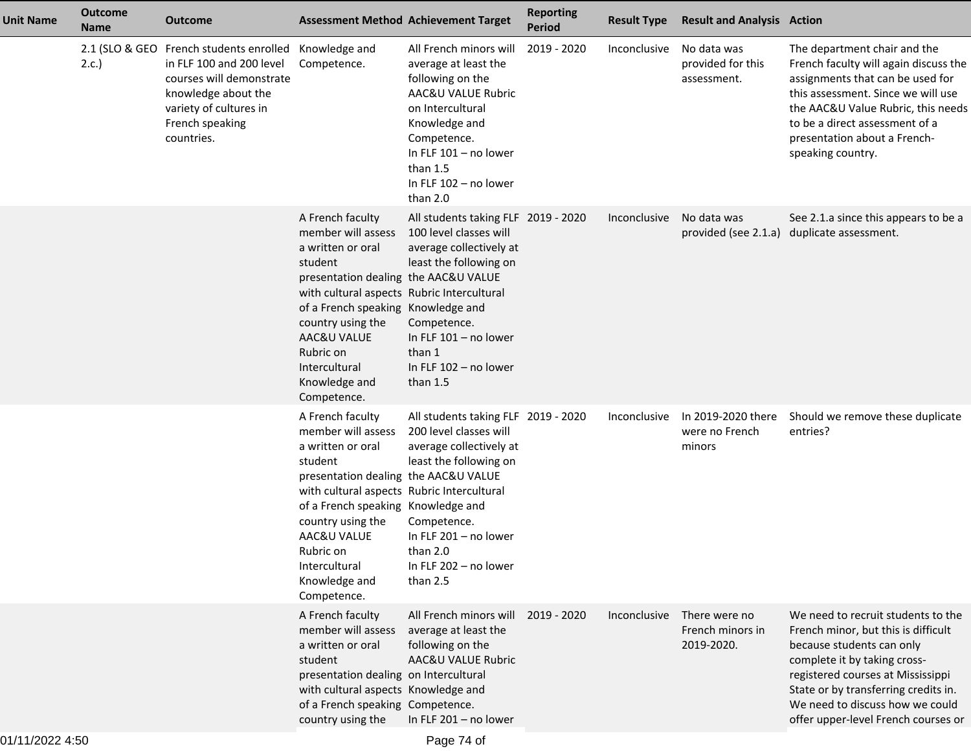| <b>Unit Name</b> | <b>Outcome</b><br><b>Name</b> | <b>Outcome</b>                                                                                                                                                                    |                                                                                                                                                                                                                                                                                                      | <b>Assessment Method Achievement Target</b>                                                                                                                                                                              | <b>Reporting</b><br><b>Period</b> | <b>Result Type</b> | <b>Result and Analysis Action</b>               |                                                                                                                                                                                                                                                                                               |
|------------------|-------------------------------|-----------------------------------------------------------------------------------------------------------------------------------------------------------------------------------|------------------------------------------------------------------------------------------------------------------------------------------------------------------------------------------------------------------------------------------------------------------------------------------------------|--------------------------------------------------------------------------------------------------------------------------------------------------------------------------------------------------------------------------|-----------------------------------|--------------------|-------------------------------------------------|-----------------------------------------------------------------------------------------------------------------------------------------------------------------------------------------------------------------------------------------------------------------------------------------------|
|                  | 2.c.                          | 2.1 (SLO & GEO French students enrolled<br>in FLF 100 and 200 level<br>courses will demonstrate<br>knowledge about the<br>variety of cultures in<br>French speaking<br>countries. | Knowledge and<br>Competence.                                                                                                                                                                                                                                                                         | All French minors will<br>average at least the<br>following on the<br>AAC&U VALUE Rubric<br>on Intercultural<br>Knowledge and<br>Competence.<br>In FLF 101 - no lower<br>than $1.5$<br>In FLF 102 - no lower<br>than 2.0 | 2019 - 2020                       | Inconclusive       | No data was<br>provided for this<br>assessment. | The department chair and the<br>French faculty will again discuss the<br>assignments that can be used for<br>this assessment. Since we will use<br>the AAC&U Value Rubric, this needs<br>to be a direct assessment of a<br>presentation about a French-<br>speaking country.                  |
|                  |                               |                                                                                                                                                                                   | A French faculty<br>member will assess<br>a written or oral<br>student<br>presentation dealing the AAC&U VALUE<br>with cultural aspects Rubric Intercultural<br>of a French speaking Knowledge and<br>country using the<br>AAC&U VALUE<br>Rubric on<br>Intercultural<br>Knowledge and<br>Competence. | All students taking FLF 2019 - 2020<br>100 level classes will<br>average collectively at<br>least the following on<br>Competence.<br>In FLF 101 - no lower<br>than 1<br>In FLF 102 - no lower<br>than $1.5$              |                                   | Inconclusive       | No data was                                     | See 2.1.a since this appears to be a<br>provided (see 2.1.a) duplicate assessment.                                                                                                                                                                                                            |
|                  |                               |                                                                                                                                                                                   | A French faculty<br>member will assess<br>a written or oral<br>student<br>presentation dealing the AAC&U VALUE<br>with cultural aspects Rubric Intercultural<br>of a French speaking Knowledge and<br>country using the<br>AAC&U VALUE<br>Rubric on<br>Intercultural<br>Knowledge and<br>Competence. | All students taking FLF 2019 - 2020<br>200 level classes will<br>average collectively at<br>least the following on<br>Competence.<br>In FLF 201 - no lower<br>than 2.0<br>In FLF 202 - no lower<br>than 2.5              |                                   | Inconclusive       | In 2019-2020 there<br>were no French<br>minors  | Should we remove these duplicate<br>entries?                                                                                                                                                                                                                                                  |
|                  |                               |                                                                                                                                                                                   | A French faculty<br>member will assess<br>a written or oral<br>student<br>presentation dealing on Intercultural<br>with cultural aspects Knowledge and<br>of a French speaking Competence.<br>country using the                                                                                      | All French minors will 2019 - 2020<br>average at least the<br>following on the<br>AAC&U VALUE Rubric<br>In FLF 201 - no lower                                                                                            |                                   | Inconclusive       | There were no<br>French minors in<br>2019-2020. | We need to recruit students to the<br>French minor, but this is difficult<br>because students can only<br>complete it by taking cross-<br>registered courses at Mississippi<br>State or by transferring credits in.<br>We need to discuss how we could<br>offer upper-level French courses or |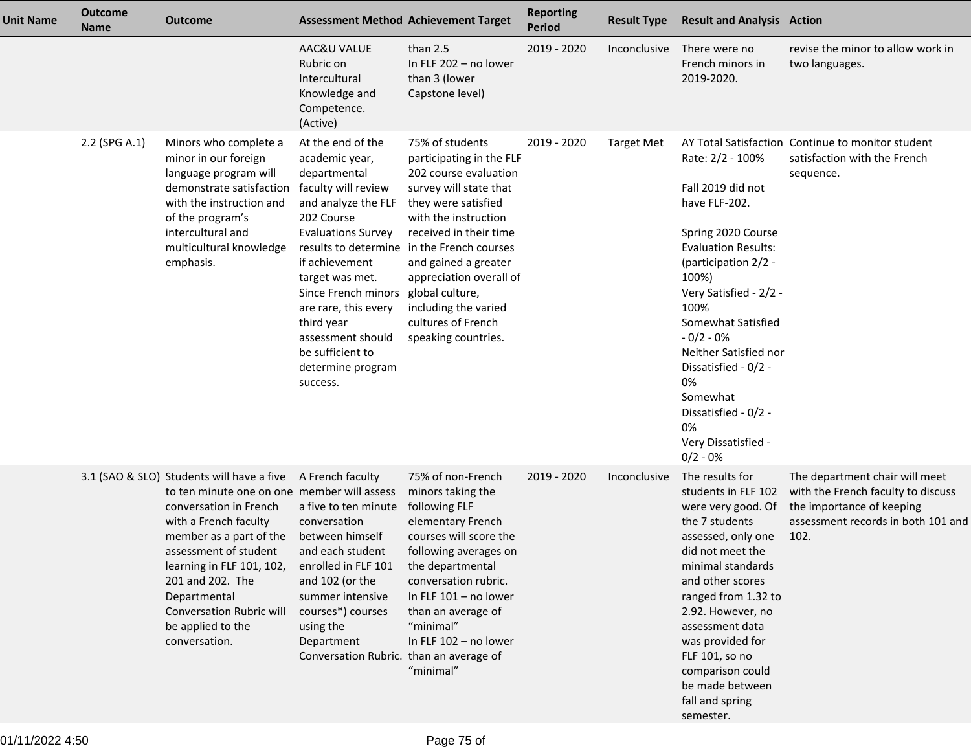| <b>Unit Name</b> | <b>Outcome</b><br><b>Name</b> | <b>Outcome</b>                                                                                                                                                                                                                                                                                                                                             |                                                                                                                                                                                                                                                                                                                                                  | <b>Assessment Method Achievement Target</b>                                                                                                                                                                                                                                                                                                 | <b>Reporting</b><br><b>Period</b> | <b>Result Type</b> | <b>Result and Analysis Action</b>                                                                                                                                                                                                                                                                                                                        |                                                                                                                                                 |
|------------------|-------------------------------|------------------------------------------------------------------------------------------------------------------------------------------------------------------------------------------------------------------------------------------------------------------------------------------------------------------------------------------------------------|--------------------------------------------------------------------------------------------------------------------------------------------------------------------------------------------------------------------------------------------------------------------------------------------------------------------------------------------------|---------------------------------------------------------------------------------------------------------------------------------------------------------------------------------------------------------------------------------------------------------------------------------------------------------------------------------------------|-----------------------------------|--------------------|----------------------------------------------------------------------------------------------------------------------------------------------------------------------------------------------------------------------------------------------------------------------------------------------------------------------------------------------------------|-------------------------------------------------------------------------------------------------------------------------------------------------|
|                  |                               |                                                                                                                                                                                                                                                                                                                                                            | AAC&U VALUE<br>Rubric on<br>Intercultural<br>Knowledge and<br>Competence.<br>(Active)                                                                                                                                                                                                                                                            | than $2.5$<br>In FLF 202 - no lower<br>than 3 (lower<br>Capstone level)                                                                                                                                                                                                                                                                     | 2019 - 2020                       | Inconclusive       | There were no<br>French minors in<br>2019-2020.                                                                                                                                                                                                                                                                                                          | revise the minor to allow work in<br>two languages.                                                                                             |
|                  | 2.2 (SPG A.1)                 | Minors who complete a<br>minor in our foreign<br>language program will<br>demonstrate satisfaction<br>with the instruction and<br>of the program's<br>intercultural and<br>multicultural knowledge<br>emphasis.                                                                                                                                            | At the end of the<br>academic year,<br>departmental<br>faculty will review<br>and analyze the FLF<br>202 Course<br><b>Evaluations Survey</b><br>results to determine<br>if achievement<br>target was met.<br>Since French minors<br>are rare, this every<br>third year<br>assessment should<br>be sufficient to<br>determine program<br>success. | 75% of students<br>participating in the FLF<br>202 course evaluation<br>survey will state that<br>they were satisfied<br>with the instruction<br>received in their time<br>in the French courses<br>and gained a greater<br>appreciation overall of<br>global culture,<br>including the varied<br>cultures of French<br>speaking countries. | 2019 - 2020                       | <b>Target Met</b>  | Rate: 2/2 - 100%<br>Fall 2019 did not<br>have FLF-202.<br>Spring 2020 Course<br><b>Evaluation Results:</b><br>(participation 2/2 -<br>100%)<br>Very Satisfied - 2/2 -<br>100%<br>Somewhat Satisfied<br>$-0/2 - 0%$<br>Neither Satisfied nor<br>Dissatisfied - 0/2 -<br>0%<br>Somewhat<br>Dissatisfied - 0/2 -<br>0%<br>Very Dissatisfied -<br>$0/2 - 0%$ | AY Total Satisfaction Continue to monitor student<br>satisfaction with the French<br>sequence.                                                  |
|                  |                               | 3.1 (SAO & SLO) Students will have a five A French faculty<br>to ten minute one on one member will assess<br>conversation in French<br>with a French faculty<br>member as a part of the<br>assessment of student<br>learning in FLF 101, 102,<br>201 and 202. The<br>Departmental<br><b>Conversation Rubric will</b><br>be applied to the<br>conversation. | a five to ten minute<br>conversation<br>between himself<br>and each student<br>enrolled in FLF 101<br>and 102 (or the<br>summer intensive<br>courses*) courses<br>using the<br>Department<br>Conversation Rubric. than an average of                                                                                                             | 75% of non-French<br>minors taking the<br>following FLF<br>elementary French<br>courses will score the<br>following averages on<br>the departmental<br>conversation rubric.<br>In FLF $101 - no$ lower<br>than an average of<br>"minimal"<br>In FLF 102 - no lower<br>"minimal"                                                             | 2019 - 2020                       | Inconclusive       | The results for<br>students in FLF 102<br>were very good. Of<br>the 7 students<br>assessed, only one<br>did not meet the<br>minimal standards<br>and other scores<br>ranged from 1.32 to<br>2.92. However, no<br>assessment data<br>was provided for<br>FLF 101, so no<br>comparison could<br>be made between<br>fall and spring<br>semester.            | The department chair will meet<br>with the French faculty to discuss<br>the importance of keeping<br>assessment records in both 101 and<br>102. |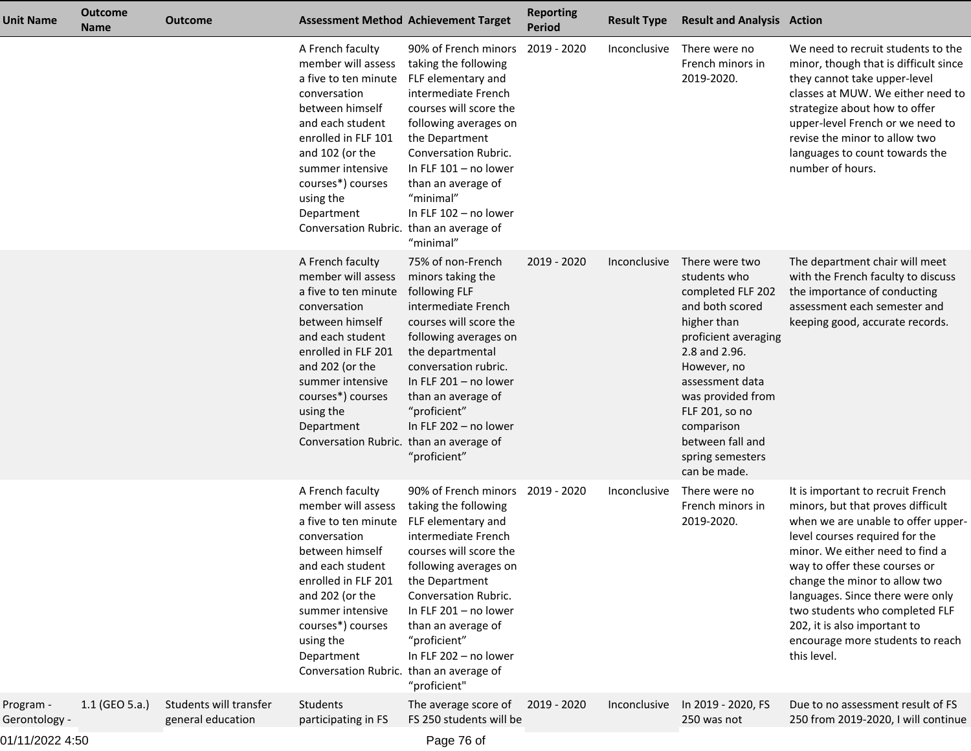| Unit Name                  | <b>Outcome</b><br><b>Name</b> | <b>Outcome</b>                              |                                                                                                                                                                                                                                                                                | <b>Assessment Method Achievement Target</b>                                                                                                                                                                                                                                                    | <b>Reporting</b><br><b>Period</b> | <b>Result Type</b> | <b>Result and Analysis Action</b>                                                                                                                                                                                                                                             |                                                                                                                                                                                                                                                                                                                                                                                                              |
|----------------------------|-------------------------------|---------------------------------------------|--------------------------------------------------------------------------------------------------------------------------------------------------------------------------------------------------------------------------------------------------------------------------------|------------------------------------------------------------------------------------------------------------------------------------------------------------------------------------------------------------------------------------------------------------------------------------------------|-----------------------------------|--------------------|-------------------------------------------------------------------------------------------------------------------------------------------------------------------------------------------------------------------------------------------------------------------------------|--------------------------------------------------------------------------------------------------------------------------------------------------------------------------------------------------------------------------------------------------------------------------------------------------------------------------------------------------------------------------------------------------------------|
|                            |                               |                                             | A French faculty<br>member will assess<br>a five to ten minute<br>conversation<br>between himself<br>and each student<br>enrolled in FLF 101<br>and 102 (or the<br>summer intensive<br>courses*) courses<br>using the<br>Department<br>Conversation Rubric. than an average of | 90% of French minors<br>taking the following<br>FLF elementary and<br>intermediate French<br>courses will score the<br>following averages on<br>the Department<br>Conversation Rubric.<br>In FLF 101 - no lower<br>than an average of<br>"minimal"<br>In FLF 102 - no lower<br>"minimal"       | 2019 - 2020                       | Inconclusive       | There were no<br>French minors in<br>2019-2020.                                                                                                                                                                                                                               | We need to recruit students to the<br>minor, though that is difficult since<br>they cannot take upper-level<br>classes at MUW. We either need to<br>strategize about how to offer<br>upper-level French or we need to<br>revise the minor to allow two<br>languages to count towards the<br>number of hours.                                                                                                 |
|                            |                               |                                             | A French faculty<br>member will assess<br>a five to ten minute<br>conversation<br>between himself<br>and each student<br>enrolled in FLF 201<br>and 202 (or the<br>summer intensive<br>courses*) courses<br>using the<br>Department<br>Conversation Rubric. than an average of | 75% of non-French<br>minors taking the<br>following FLF<br>intermediate French<br>courses will score the<br>following averages on<br>the departmental<br>conversation rubric.<br>In FLF $201 - no$ lower<br>than an average of<br>"proficient"<br>In FLF 202 - no lower<br>"proficient"        | 2019 - 2020                       | Inconclusive       | There were two<br>students who<br>completed FLF 202<br>and both scored<br>higher than<br>proficient averaging<br>2.8 and 2.96.<br>However, no<br>assessment data<br>was provided from<br>FLF 201, so no<br>comparison<br>between fall and<br>spring semesters<br>can be made. | The department chair will meet<br>with the French faculty to discuss<br>the importance of conducting<br>assessment each semester and<br>keeping good, accurate records.                                                                                                                                                                                                                                      |
|                            |                               |                                             | A French faculty<br>member will assess<br>a five to ten minute<br>conversation<br>between himself<br>and each student<br>enrolled in FLF 201<br>and 202 (or the<br>summer intensive<br>courses*) courses<br>using the<br>Department<br>Conversation Rubric. than an average of | 90% of French minors<br>taking the following<br>FLF elementary and<br>intermediate French<br>courses will score the<br>following averages on<br>the Department<br>Conversation Rubric.<br>In FLF 201 - no lower<br>than an average of<br>"proficient"<br>In FLF 202 - no lower<br>"proficient" | 2019 - 2020                       | Inconclusive       | There were no<br>French minors in<br>2019-2020.                                                                                                                                                                                                                               | It is important to recruit French<br>minors, but that proves difficult<br>when we are unable to offer upper-<br>level courses required for the<br>minor. We either need to find a<br>way to offer these courses or<br>change the minor to allow two<br>languages. Since there were only<br>two students who completed FLF<br>202, it is also important to<br>encourage more students to reach<br>this level. |
| Program -<br>Gerontology - | 1.1 (GEO 5.a.)                | Students will transfer<br>general education | Students<br>participating in FS                                                                                                                                                                                                                                                | The average score of<br>FS 250 students will be                                                                                                                                                                                                                                                | 2019 - 2020                       | Inconclusive       | In 2019 - 2020, FS<br>250 was not                                                                                                                                                                                                                                             | Due to no assessment result of FS<br>250 from 2019-2020, I will continue                                                                                                                                                                                                                                                                                                                                     |

01/11/2022 4:50

Page 76 of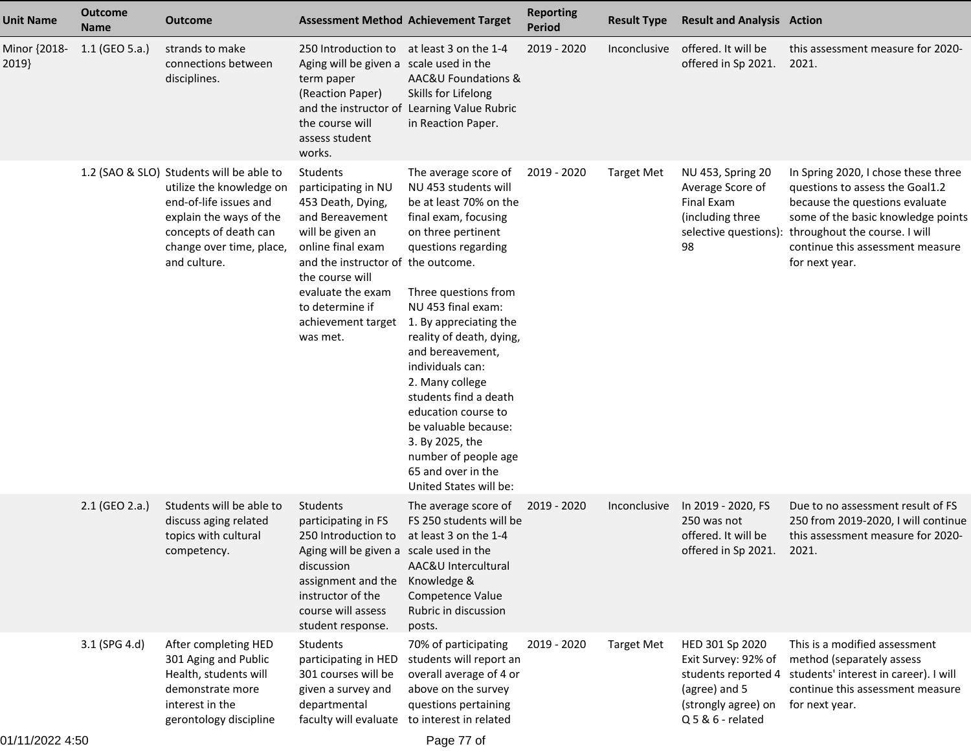| <b>Unit Name</b>      | <b>Outcome</b><br><b>Name</b> | <b>Outcome</b>                                                                                                                                                                                 | <b>Assessment Method Achievement Target</b>                                                                                                                                                                                   |                                                                                                                                                                                                                                                                                                                                                                                                                                                                                                  | <b>Reporting</b><br><b>Period</b> | <b>Result Type</b> | <b>Result and Analysis Action</b>                                                                                          |                                                                                                                                                                                                                                       |
|-----------------------|-------------------------------|------------------------------------------------------------------------------------------------------------------------------------------------------------------------------------------------|-------------------------------------------------------------------------------------------------------------------------------------------------------------------------------------------------------------------------------|--------------------------------------------------------------------------------------------------------------------------------------------------------------------------------------------------------------------------------------------------------------------------------------------------------------------------------------------------------------------------------------------------------------------------------------------------------------------------------------------------|-----------------------------------|--------------------|----------------------------------------------------------------------------------------------------------------------------|---------------------------------------------------------------------------------------------------------------------------------------------------------------------------------------------------------------------------------------|
| Minor {2018-<br>2019} | 1.1 (GEO 5.a.)                | strands to make<br>connections between<br>disciplines.                                                                                                                                         | 250 Introduction to at least 3 on the 1-4<br>Aging will be given a scale used in the<br>term paper<br>(Reaction Paper)<br>the course will<br>assess student<br>works.                                                         | AAC&U Foundations &<br>Skills for Lifelong<br>and the instructor of Learning Value Rubric<br>in Reaction Paper.                                                                                                                                                                                                                                                                                                                                                                                  | 2019 - 2020                       |                    | Inconclusive offered. It will be<br>offered in Sp 2021.                                                                    | this assessment measure for 2020-<br>2021.                                                                                                                                                                                            |
|                       |                               | 1.2 (SAO & SLO) Students will be able to<br>utilize the knowledge on<br>end-of-life issues and<br>explain the ways of the<br>concepts of death can<br>change over time, place,<br>and culture. | Students<br>participating in NU<br>453 Death, Dying,<br>and Bereavement<br>will be given an<br>online final exam<br>and the instructor of the outcome.<br>the course will<br>evaluate the exam<br>to determine if<br>was met. | The average score of<br>NU 453 students will<br>be at least 70% on the<br>final exam, focusing<br>on three pertinent<br>questions regarding<br>Three questions from<br>NU 453 final exam:<br>achievement target 1. By appreciating the<br>reality of death, dying,<br>and bereavement,<br>individuals can:<br>2. Many college<br>students find a death<br>education course to<br>be valuable because:<br>3. By 2025, the<br>number of people age<br>65 and over in the<br>United States will be: | 2019 - 2020                       | <b>Target Met</b>  | NU 453, Spring 20<br>Average Score of<br>Final Exam<br>(including three<br>selective questions):<br>98                     | In Spring 2020, I chose these three<br>questions to assess the Goal1.2<br>because the questions evaluate<br>some of the basic knowledge points<br>throughout the course. I will<br>continue this assessment measure<br>for next year. |
|                       | 2.1 (GEO 2.a.)                | Students will be able to<br>discuss aging related<br>topics with cultural<br>competency.                                                                                                       | Students<br>participating in FS<br>250 Introduction to<br>Aging will be given a scale used in the<br>discussion<br>assignment and the<br>instructor of the<br>course will assess<br>student response.                         | The average score of<br>FS 250 students will be<br>at least 3 on the 1-4<br>AAC&U Intercultural<br>Knowledge &<br>Competence Value<br>Rubric in discussion<br>posts.                                                                                                                                                                                                                                                                                                                             | 2019 - 2020                       | Inconclusive       | In 2019 - 2020, FS<br>250 was not<br>offered. It will be<br>offered in Sp 2021.                                            | Due to no assessment result of FS<br>250 from 2019-2020, I will continue<br>this assessment measure for 2020-<br>2021.                                                                                                                |
|                       | 3.1 (SPG 4.d)                 | After completing HED<br>301 Aging and Public<br>Health, students will<br>demonstrate more<br>interest in the<br>gerontology discipline                                                         | Students<br>participating in HED<br>301 courses will be<br>given a survey and<br>departmental<br>faculty will evaluate to interest in related                                                                                 | 70% of participating<br>students will report an<br>overall average of 4 or<br>above on the survey<br>questions pertaining                                                                                                                                                                                                                                                                                                                                                                        | 2019 - 2020                       | <b>Target Met</b>  | HED 301 Sp 2020<br>Exit Survey: 92% of<br>students reported 4<br>(agree) and 5<br>(strongly agree) on<br>Q 5 & 6 - related | This is a modified assessment<br>method (separately assess<br>students' interest in career). I will<br>continue this assessment measure<br>for next year.                                                                             |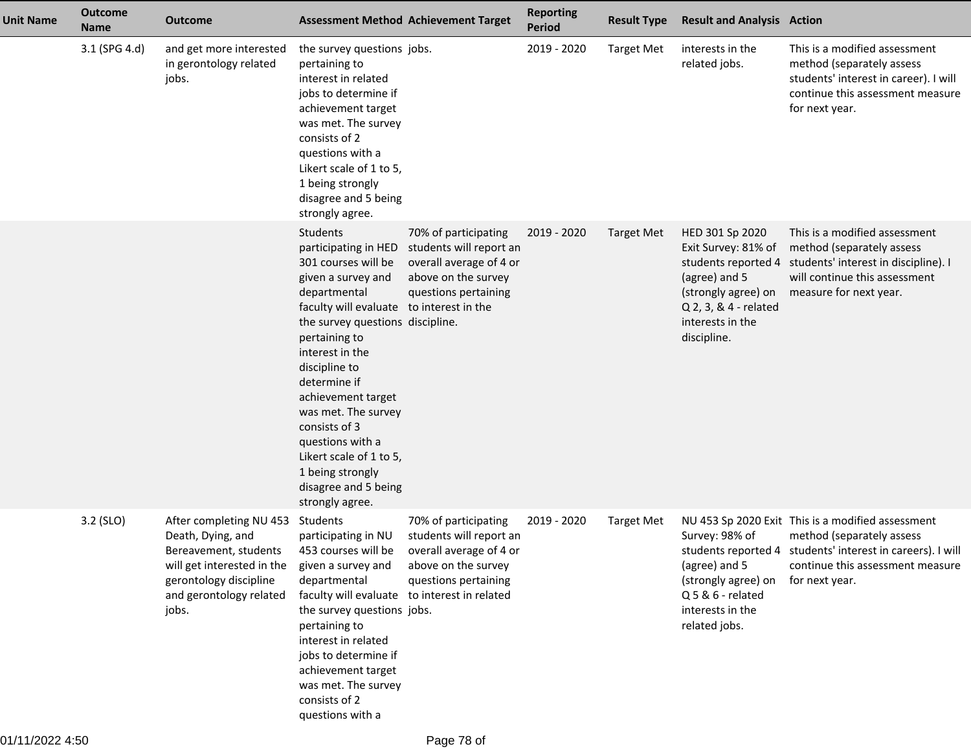| <b>Unit Name</b> | <b>Outcome</b><br><b>Name</b> | <b>Outcome</b>                                                                                                                                                    |                                                                                                                                                                                                                                                                                                                                                                                                                                       | <b>Assessment Method Achievement Target</b>                                                                               | <b>Reporting</b><br>Period | <b>Result Type</b> | <b>Result and Analysis Action</b>                                                                                                          |                                                                                                                                                                                                    |
|------------------|-------------------------------|-------------------------------------------------------------------------------------------------------------------------------------------------------------------|---------------------------------------------------------------------------------------------------------------------------------------------------------------------------------------------------------------------------------------------------------------------------------------------------------------------------------------------------------------------------------------------------------------------------------------|---------------------------------------------------------------------------------------------------------------------------|----------------------------|--------------------|--------------------------------------------------------------------------------------------------------------------------------------------|----------------------------------------------------------------------------------------------------------------------------------------------------------------------------------------------------|
|                  | 3.1 (SPG 4.d)                 | and get more interested<br>in gerontology related<br>jobs.                                                                                                        | the survey questions jobs.<br>pertaining to<br>interest in related<br>jobs to determine if<br>achievement target<br>was met. The survey<br>consists of 2<br>questions with a<br>Likert scale of 1 to 5,<br>1 being strongly<br>disagree and 5 being<br>strongly agree.                                                                                                                                                                |                                                                                                                           | 2019 - 2020                | <b>Target Met</b>  | interests in the<br>related jobs.                                                                                                          | This is a modified assessment<br>method (separately assess<br>students' interest in career). I will<br>continue this assessment measure<br>for next year.                                          |
|                  |                               |                                                                                                                                                                   | <b>Students</b><br>participating in HED<br>301 courses will be<br>given a survey and<br>departmental<br>faculty will evaluate to interest in the<br>the survey questions discipline.<br>pertaining to<br>interest in the<br>discipline to<br>determine if<br>achievement target<br>was met. The survey<br>consists of 3<br>questions with a<br>Likert scale of 1 to 5,<br>1 being strongly<br>disagree and 5 being<br>strongly agree. | 70% of participating<br>students will report an<br>overall average of 4 or<br>above on the survey<br>questions pertaining | 2019 - 2020                | <b>Target Met</b>  | HED 301 Sp 2020<br>Exit Survey: 81% of<br>(agree) and 5<br>(strongly agree) on<br>Q 2, 3, & 4 - related<br>interests in the<br>discipline. | This is a modified assessment<br>method (separately assess<br>students reported 4 students' interest in discipline). I<br>will continue this assessment<br>measure for next year.                  |
|                  | 3.2 (SLO)                     | After completing NU 453<br>Death, Dying, and<br>Bereavement, students<br>will get interested in the<br>gerontology discipline<br>and gerontology related<br>jobs. | Students<br>participating in NU<br>453 courses will be<br>given a survey and<br>departmental<br>faculty will evaluate to interest in related<br>the survey questions jobs.<br>pertaining to<br>interest in related<br>jobs to determine if<br>achievement target<br>was met. The survey<br>consists of 2<br>questions with a                                                                                                          | 70% of participating<br>students will report an<br>overall average of 4 or<br>above on the survey<br>questions pertaining | 2019 - 2020                | <b>Target Met</b>  | Survey: 98% of<br>(agree) and 5<br>(strongly agree) on<br>Q 5 & 6 - related<br>interests in the<br>related jobs.                           | NU 453 Sp 2020 Exit This is a modified assessment<br>method (separately assess<br>students reported 4 students' interest in careers). I will<br>continue this assessment measure<br>for next year. |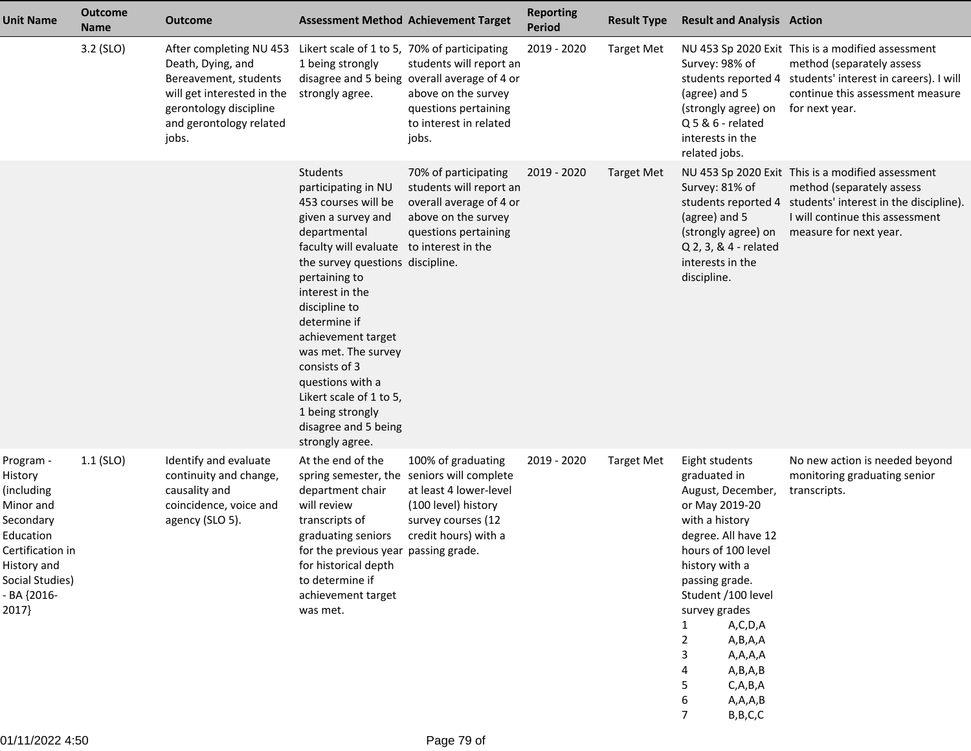| <b>Unit Name</b>                                                                                                                                         | <b>Outcome</b><br><b>Name</b> | <b>Outcome</b>                                                                                                                                                    | <b>Assessment Method Achievement Target</b>                                                                                                                                                                                                                                                                                                                                                                                          |                                                                                                                                                                 | <b>Reporting</b><br><b>Period</b> | <b>Result Type</b> | <b>Result and Analysis Action</b>                                                                                                                                                                                                                                                                                                        |                                                                                                                                                                                                           |
|----------------------------------------------------------------------------------------------------------------------------------------------------------|-------------------------------|-------------------------------------------------------------------------------------------------------------------------------------------------------------------|--------------------------------------------------------------------------------------------------------------------------------------------------------------------------------------------------------------------------------------------------------------------------------------------------------------------------------------------------------------------------------------------------------------------------------------|-----------------------------------------------------------------------------------------------------------------------------------------------------------------|-----------------------------------|--------------------|------------------------------------------------------------------------------------------------------------------------------------------------------------------------------------------------------------------------------------------------------------------------------------------------------------------------------------------|-----------------------------------------------------------------------------------------------------------------------------------------------------------------------------------------------------------|
|                                                                                                                                                          | 3.2 (SLO)                     | After completing NU 453<br>Death, Dying, and<br>Bereavement, students<br>will get interested in the<br>gerontology discipline<br>and gerontology related<br>jobs. | Likert scale of 1 to 5, 70% of participating<br>1 being strongly<br>strongly agree.                                                                                                                                                                                                                                                                                                                                                  | students will report an<br>disagree and 5 being overall average of 4 or<br>above on the survey<br>questions pertaining<br>to interest in related<br>jobs.       | 2019 - 2020                       | <b>Target Met</b>  | Survey: 98% of<br>(agree) and 5<br>(strongly agree) on<br>$Q$ 5 & 6 - related<br>interests in the<br>related jobs.                                                                                                                                                                                                                       | NU 453 Sp 2020 Exit This is a modified assessment<br>method (separately assess<br>students reported 4 students' interest in careers). I will<br>continue this assessment measure<br>for next year.        |
|                                                                                                                                                          |                               |                                                                                                                                                                   | <b>Students</b><br>participating in NU<br>453 courses will be<br>given a survey and<br>departmental<br>faculty will evaluate to interest in the<br>the survey questions discipline.<br>pertaining to<br>interest in the<br>discipline to<br>determine if<br>achievement target<br>was met. The survey<br>consists of 3<br>questions with a<br>Likert scale of 1 to 5,<br>1 being strongly<br>disagree and 5 being<br>strongly agree. | 70% of participating<br>students will report an<br>overall average of 4 or<br>above on the survey<br>questions pertaining                                       | 2019 - 2020                       | <b>Target Met</b>  | Survey: 81% of<br>(agree) and 5<br>(strongly agree) on<br>Q 2, 3, & 4 - related<br>interests in the<br>discipline.                                                                                                                                                                                                                       | NU 453 Sp 2020 Exit This is a modified assessment<br>method (separately assess<br>students reported 4 students' interest in the discipline).<br>I will continue this assessment<br>measure for next year. |
| Program -<br>History<br>(including)<br>Minor and<br>Secondary<br>Education<br>Certification in<br>History and<br>Social Studies)<br>- BA {2016-<br>2017} | $1.1$ (SLO)                   | Identify and evaluate<br>continuity and change,<br>causality and<br>coincidence, voice and<br>agency (SLO 5).                                                     | At the end of the<br>department chair<br>will review<br>transcripts of<br>graduating seniors<br>for the previous year passing grade.<br>for historical depth<br>to determine if<br>achievement target<br>was met.                                                                                                                                                                                                                    | 100% of graduating<br>spring semester, the seniors will complete<br>at least 4 lower-level<br>(100 level) history<br>survey courses (12<br>credit hours) with a | 2019 - 2020                       | <b>Target Met</b>  | Eight students<br>graduated in<br>August, December,<br>or May 2019-20<br>with a history<br>degree. All have 12<br>hours of 100 level<br>history with a<br>passing grade.<br>Student /100 level<br>survey grades<br>A,C,D,A<br>1<br>A,B,A,A<br>2<br>A,A,A,A<br>3<br>A,B,A,B<br>4<br>C, A, B, A<br>5<br>A, A, A, B<br>6<br>B, B, C, C<br>7 | No new action is needed beyond<br>monitoring graduating senior<br>transcripts.                                                                                                                            |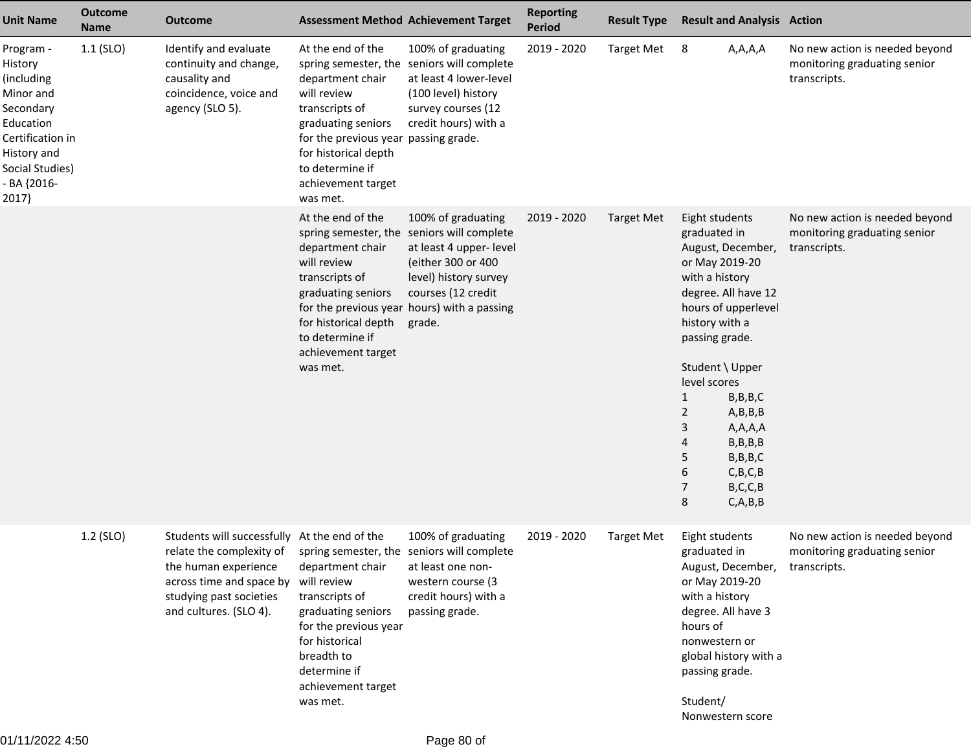| <b>Unit Name</b>                                                                                                                                        | <b>Outcome</b><br><b>Name</b> | <b>Outcome</b>                                                                                                                                                                                                               |                                                                                                                                                                                                                   | <b>Assessment Method Achievement Target</b>                                                                                                                                                          | <b>Reporting</b><br><b>Period</b> | <b>Result Type</b> | <b>Result and Analysis Action</b>                                                                                                                                                                                                                                                                                                                                 |                                                                                |
|---------------------------------------------------------------------------------------------------------------------------------------------------------|-------------------------------|------------------------------------------------------------------------------------------------------------------------------------------------------------------------------------------------------------------------------|-------------------------------------------------------------------------------------------------------------------------------------------------------------------------------------------------------------------|------------------------------------------------------------------------------------------------------------------------------------------------------------------------------------------------------|-----------------------------------|--------------------|-------------------------------------------------------------------------------------------------------------------------------------------------------------------------------------------------------------------------------------------------------------------------------------------------------------------------------------------------------------------|--------------------------------------------------------------------------------|
| Program -<br>History<br>(including<br>Minor and<br>Secondary<br>Education<br>Certification in<br>History and<br>Social Studies)<br>- BA {2016-<br>2017} | $1.1$ (SLO)                   | Identify and evaluate<br>continuity and change,<br>causality and<br>coincidence, voice and<br>agency (SLO 5).                                                                                                                | At the end of the<br>department chair<br>will review<br>transcripts of<br>graduating seniors<br>for the previous year passing grade.<br>for historical depth<br>to determine if<br>achievement target<br>was met. | 100% of graduating<br>spring semester, the seniors will complete<br>at least 4 lower-level<br>(100 level) history<br>survey courses (12<br>credit hours) with a                                      | 2019 - 2020                       | <b>Target Met</b>  | A,A,A,A<br>8                                                                                                                                                                                                                                                                                                                                                      | No new action is needed beyond<br>monitoring graduating senior<br>transcripts. |
|                                                                                                                                                         |                               |                                                                                                                                                                                                                              | At the end of the<br>spring semester, the<br>department chair<br>will review<br>transcripts of<br>graduating seniors<br>for historical depth<br>to determine if<br>achievement target<br>was met.                 | 100% of graduating<br>seniors will complete<br>at least 4 upper- level<br>(either 300 or 400<br>level) history survey<br>courses (12 credit<br>for the previous year hours) with a passing<br>grade. | 2019 - 2020                       | <b>Target Met</b>  | Eight students<br>graduated in<br>August, December,<br>or May 2019-20<br>with a history<br>degree. All have 12<br>hours of upperlevel<br>history with a<br>passing grade.<br>Student \ Upper<br>level scores<br>1<br>B, B, B, C<br>2<br>A,B,B,B<br>3<br>A, A, A, A<br>B, B, B, B<br>4<br>5<br>B, B, B, C<br>6<br>C, B, C, B<br>7<br>B, C, C, B<br>8<br>C, A, B, B | No new action is needed beyond<br>monitoring graduating senior<br>transcripts. |
|                                                                                                                                                         | 1.2 (SLO)                     | Students will successfully At the end of the<br>relate the complexity of spring semester, the seniors will complete<br>the human experience<br>across time and space by<br>studying past societies<br>and cultures. (SLO 4). | department chair<br>will review<br>transcripts of<br>graduating seniors<br>for the previous year<br>for historical<br>breadth to<br>determine if<br>achievement target<br>was met.                                | 100% of graduating<br>at least one non-<br>western course (3<br>credit hours) with a<br>passing grade.                                                                                               | 2019 - 2020                       | <b>Target Met</b>  | Eight students<br>graduated in<br>August, December, transcripts.<br>or May 2019-20<br>with a history<br>degree. All have 3<br>hours of<br>nonwestern or<br>global history with a<br>passing grade.<br>Student/<br>Nonwestern score                                                                                                                                | No new action is needed beyond<br>monitoring graduating senior                 |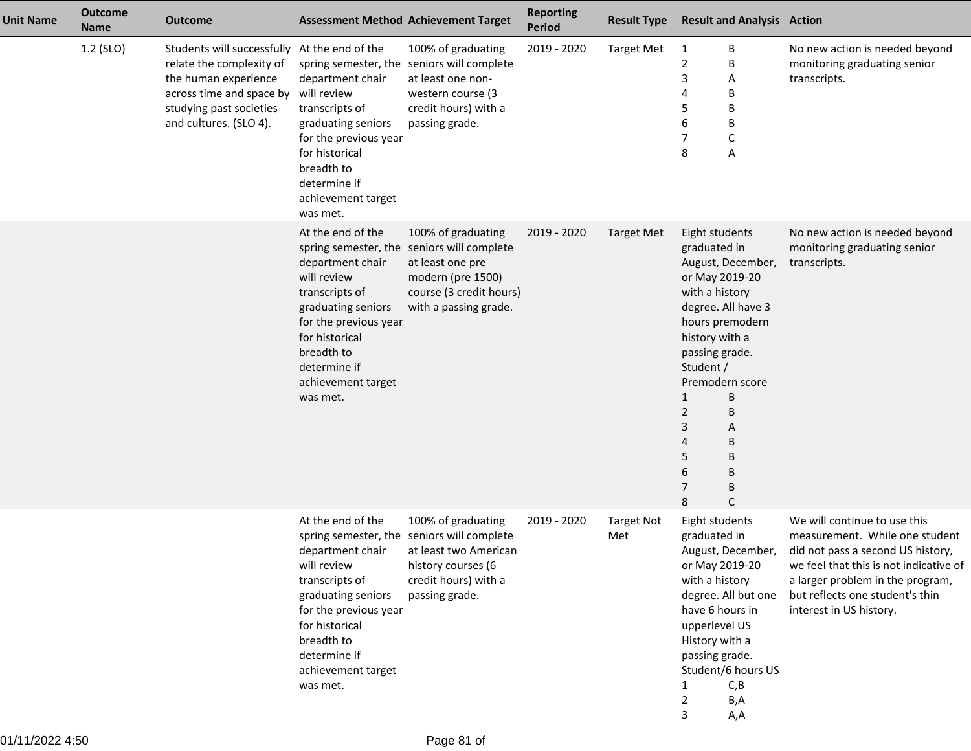| <b>Unit Name</b> | <b>Outcome</b><br><b>Name</b> | <b>Outcome</b>                                                                                                                                                                    |                                                                                                                                                                                                                                 | <b>Assessment Method Achievement Target</b>                                                                                                               | <b>Reporting</b><br><b>Period</b> | <b>Result Type</b>       | <b>Result and Analysis Action</b>                                                                                                                                                                                                                                                                       |                                                                                                                                                                                                                                                 |
|------------------|-------------------------------|-----------------------------------------------------------------------------------------------------------------------------------------------------------------------------------|---------------------------------------------------------------------------------------------------------------------------------------------------------------------------------------------------------------------------------|-----------------------------------------------------------------------------------------------------------------------------------------------------------|-----------------------------------|--------------------------|---------------------------------------------------------------------------------------------------------------------------------------------------------------------------------------------------------------------------------------------------------------------------------------------------------|-------------------------------------------------------------------------------------------------------------------------------------------------------------------------------------------------------------------------------------------------|
|                  | 1.2 (SLO)                     | Students will successfully At the end of the<br>relate the complexity of<br>the human experience<br>across time and space by<br>studying past societies<br>and cultures. (SLO 4). | spring semester, the<br>department chair<br>will review<br>transcripts of<br>graduating seniors<br>for the previous year<br>for historical<br>breadth to<br>determine if<br>achievement target<br>was met.                      | 100% of graduating<br>seniors will complete<br>at least one non-<br>western course (3<br>credit hours) with a<br>passing grade.                           | 2019 - 2020                       | <b>Target Met</b>        | В<br>1<br>$\overline{2}$<br>В<br>3<br>Α<br>В<br>4<br>В<br>5<br>6<br>B<br>$\mathsf{C}$<br>7<br>8<br>Α                                                                                                                                                                                                    | No new action is needed beyond<br>monitoring graduating senior<br>transcripts.                                                                                                                                                                  |
|                  |                               |                                                                                                                                                                                   | At the end of the<br>spring semester, the<br>department chair<br>will review<br>transcripts of<br>graduating seniors<br>for the previous year<br>for historical<br>breadth to<br>determine if<br>achievement target<br>was met. | 100% of graduating<br>seniors will complete<br>at least one pre<br>modern (pre 1500)<br>course (3 credit hours)<br>with a passing grade.                  | 2019 - 2020                       | <b>Target Met</b>        | Eight students<br>graduated in<br>August, December,<br>or May 2019-20<br>with a history<br>degree. All have 3<br>hours premodern<br>history with a<br>passing grade.<br>Student /<br>Premodern score<br>B<br>1<br>$\overline{2}$<br>B<br>3<br>A<br>B<br>4<br>5<br>B<br>6<br>$\sf B$<br>7<br>B<br>8<br>C | No new action is needed beyond<br>monitoring graduating senior<br>transcripts.                                                                                                                                                                  |
|                  |                               |                                                                                                                                                                                   | At the end of the<br>department chair<br>will review<br>transcripts of<br>graduating seniors<br>for the previous year<br>for historical<br>breadth to<br>determine if<br>achievement target<br>was met.                         | 100% of graduating<br>spring semester, the seniors will complete<br>at least two American<br>history courses (6<br>credit hours) with a<br>passing grade. | 2019 - 2020                       | <b>Target Not</b><br>Met | Eight students<br>graduated in<br>August, December,<br>or May 2019-20<br>with a history<br>degree. All but one<br>have 6 hours in<br>upperlevel US<br>History with a<br>passing grade.<br>Student/6 hours US<br>$\mathbf{1}$<br>C,B<br>2<br>B,A<br>3<br>A,A                                             | We will continue to use this<br>measurement. While one student<br>did not pass a second US history,<br>we feel that this is not indicative of<br>a larger problem in the program,<br>but reflects one student's thin<br>interest in US history. |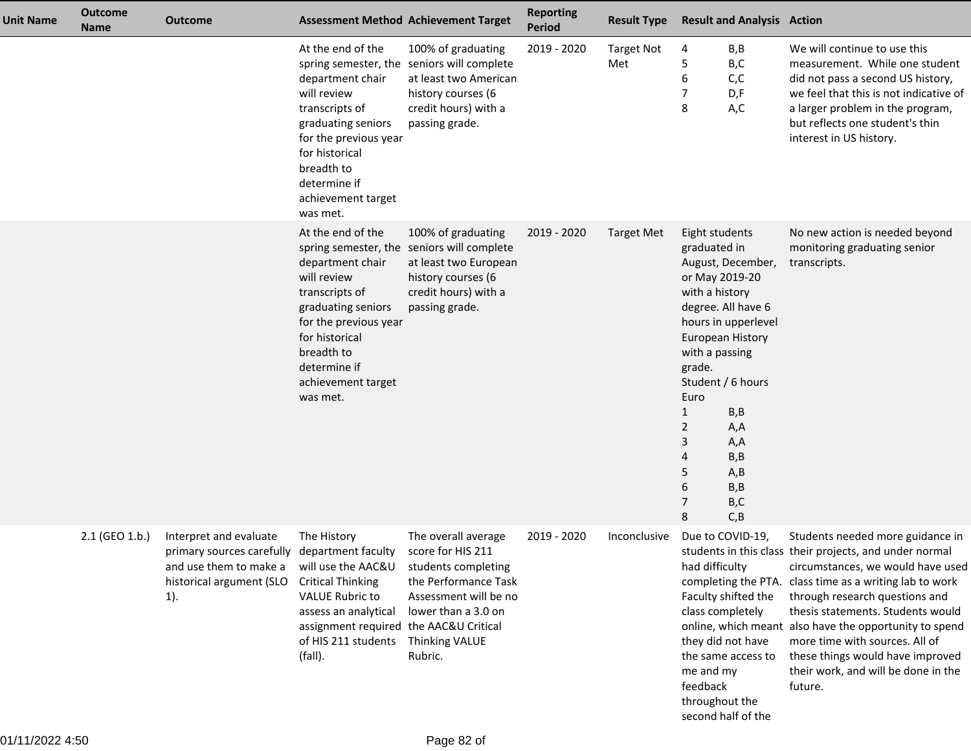| <b>Unit Name</b> | <b>Outcome</b><br><b>Name</b> | <b>Outcome</b>                                                                                                                         |                                                                                                                                                                                                         | <b>Assessment Method Achievement Target</b>                                                                                                                                 | <b>Reporting</b><br><b>Period</b> | <b>Result Type</b>       | <b>Result and Analysis Action</b>                                                                                                                                                                                                                                                                                                       |                                                                                                                                                                                                                                                                                                                                                                                                                                  |
|------------------|-------------------------------|----------------------------------------------------------------------------------------------------------------------------------------|---------------------------------------------------------------------------------------------------------------------------------------------------------------------------------------------------------|-----------------------------------------------------------------------------------------------------------------------------------------------------------------------------|-----------------------------------|--------------------------|-----------------------------------------------------------------------------------------------------------------------------------------------------------------------------------------------------------------------------------------------------------------------------------------------------------------------------------------|----------------------------------------------------------------------------------------------------------------------------------------------------------------------------------------------------------------------------------------------------------------------------------------------------------------------------------------------------------------------------------------------------------------------------------|
|                  |                               |                                                                                                                                        | At the end of the<br>department chair<br>will review<br>transcripts of<br>graduating seniors<br>for the previous year<br>for historical<br>breadth to<br>determine if<br>achievement target<br>was met. | 100% of graduating<br>spring semester, the seniors will complete<br>at least two American<br>history courses (6<br>credit hours) with a<br>passing grade.                   | 2019 - 2020                       | <b>Target Not</b><br>Met | B,B<br>4<br>B,C<br>5<br>C, C<br>6<br>7<br>D,F<br>8<br>A,C                                                                                                                                                                                                                                                                               | We will continue to use this<br>measurement. While one student<br>did not pass a second US history,<br>we feel that this is not indicative of<br>a larger problem in the program,<br>but reflects one student's thin<br>interest in US history.                                                                                                                                                                                  |
|                  |                               |                                                                                                                                        | At the end of the<br>department chair<br>will review<br>transcripts of<br>graduating seniors<br>for the previous year<br>for historical<br>breadth to<br>determine if<br>achievement target<br>was met. | 100% of graduating<br>spring semester, the seniors will complete<br>at least two European<br>history courses (6<br>credit hours) with a<br>passing grade.                   | 2019 - 2020                       | Target Met               | Eight students<br>graduated in<br>August, December,<br>or May 2019-20<br>with a history<br>degree. All have 6<br>hours in upperlevel<br><b>European History</b><br>with a passing<br>grade.<br>Student / 6 hours<br>Euro<br>$\mathbf{1}$<br>B, B<br>2<br>A,A<br>3<br>A,A<br>B,B<br>4<br>A, B<br>5<br>B, B<br>6<br>B,C<br>7<br>C, B<br>8 | No new action is needed beyond<br>monitoring graduating senior<br>transcripts.                                                                                                                                                                                                                                                                                                                                                   |
|                  | $2.1$ (GEO 1.b.)              | Interpret and evaluate<br>primary sources carefully department faculty<br>and use them to make a<br>historical argument (SLO<br>$1$ ). | The History<br>will use the AAC&U<br><b>Critical Thinking</b><br><b>VALUE Rubric to</b><br>assess an analytical<br>assignment required the AAC&U Critical<br>of HIS 211 students<br>(fall).             | The overall average<br>score for HIS 211<br>students completing<br>the Performance Task<br>Assessment will be no<br>lower than a 3.0 on<br><b>Thinking VALUE</b><br>Rubric. | 2019 - 2020                       | Inconclusive             | Due to COVID-19,<br>had difficulty<br>completing the PTA.<br>Faculty shifted the<br>class completely<br>they did not have<br>the same access to<br>me and my<br>feedback<br>throughout the<br>second half of the                                                                                                                        | Students needed more guidance in<br>students in this class their projects, and under normal<br>circumstances, we would have used<br>class time as a writing lab to work<br>through research questions and<br>thesis statements. Students would<br>online, which meant also have the opportunity to spend<br>more time with sources. All of<br>these things would have improved<br>their work, and will be done in the<br>future. |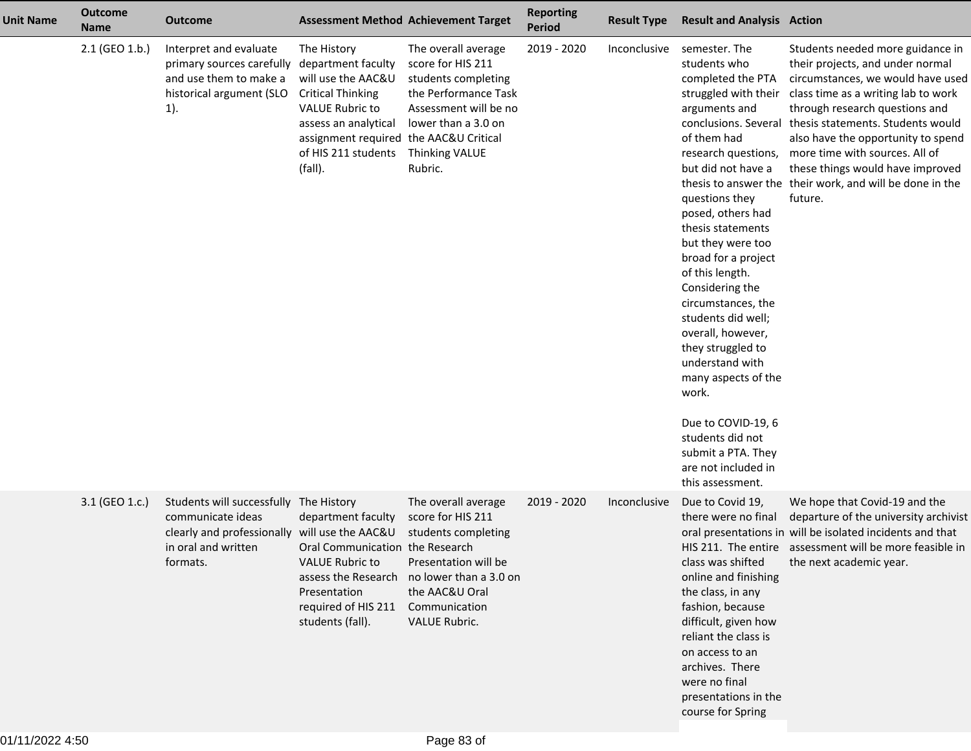| <b>Unit Name</b> | <b>Outcome</b><br><b>Name</b> | <b>Outcome</b>                                                                                                                      |                                                                                                                                                                                                                   | <b>Assessment Method Achievement Target</b>                                                                                                                                               | <b>Reporting</b><br><b>Period</b> | <b>Result Type</b> | <b>Result and Analysis Action</b>                                                                                                                                                                                                                                                                                                                                                                                                                                                                                                                                                 |                                                                                                                                                                                                                                                                                                                                                                                                            |
|------------------|-------------------------------|-------------------------------------------------------------------------------------------------------------------------------------|-------------------------------------------------------------------------------------------------------------------------------------------------------------------------------------------------------------------|-------------------------------------------------------------------------------------------------------------------------------------------------------------------------------------------|-----------------------------------|--------------------|-----------------------------------------------------------------------------------------------------------------------------------------------------------------------------------------------------------------------------------------------------------------------------------------------------------------------------------------------------------------------------------------------------------------------------------------------------------------------------------------------------------------------------------------------------------------------------------|------------------------------------------------------------------------------------------------------------------------------------------------------------------------------------------------------------------------------------------------------------------------------------------------------------------------------------------------------------------------------------------------------------|
|                  | 2.1 (GEO 1.b.)                | Interpret and evaluate<br>primary sources carefully<br>and use them to make a<br>historical argument (SLO<br>$1$ ).                 | The History<br>department faculty<br>will use the AAC&U<br><b>Critical Thinking</b><br><b>VALUE Rubric to</b><br>assess an analytical<br>assignment required the AAC&U Critical<br>of HIS 211 students<br>(fall). | The overall average<br>score for HIS 211<br>students completing<br>the Performance Task<br>Assessment will be no<br>lower than a 3.0 on<br><b>Thinking VALUE</b><br>Rubric.               | 2019 - 2020                       | Inconclusive       | semester. The<br>students who<br>completed the PTA<br>struggled with their<br>arguments and<br>conclusions. Several<br>of them had<br>research questions,<br>but did not have a<br>questions they<br>posed, others had<br>thesis statements<br>but they were too<br>broad for a project<br>of this length.<br>Considering the<br>circumstances, the<br>students did well;<br>overall, however,<br>they struggled to<br>understand with<br>many aspects of the<br>work.<br>Due to COVID-19, 6<br>students did not<br>submit a PTA. They<br>are not included in<br>this assessment. | Students needed more guidance in<br>their projects, and under normal<br>circumstances, we would have used<br>class time as a writing lab to work<br>through research questions and<br>thesis statements. Students would<br>also have the opportunity to spend<br>more time with sources. All of<br>these things would have improved<br>thesis to answer the their work, and will be done in the<br>future. |
|                  | 3.1 (GEO 1.c.)                | Students will successfully<br>communicate ideas<br>clearly and professionally will use the AAC&U<br>in oral and written<br>formats. | The History<br>department faculty<br>Oral Communication the Research<br><b>VALUE Rubric to</b><br>Presentation<br>required of HIS 211<br>students (fall).                                                         | The overall average<br>score for HIS 211<br>students completing<br>Presentation will be<br>assess the Research no lower than a 3.0 on<br>the AAC&U Oral<br>Communication<br>VALUE Rubric. | 2019 - 2020                       | Inconclusive       | Due to Covid 19,<br>there were no final<br>class was shifted<br>online and finishing<br>the class, in any<br>fashion, because<br>difficult, given how<br>reliant the class is<br>on access to an<br>archives. There<br>were no final<br>presentations in the<br>course for Spring                                                                                                                                                                                                                                                                                                 | We hope that Covid-19 and the<br>departure of the university archivist<br>oral presentations in will be isolated incidents and that<br>HIS 211. The entire assessment will be more feasible in<br>the next academic year.                                                                                                                                                                                  |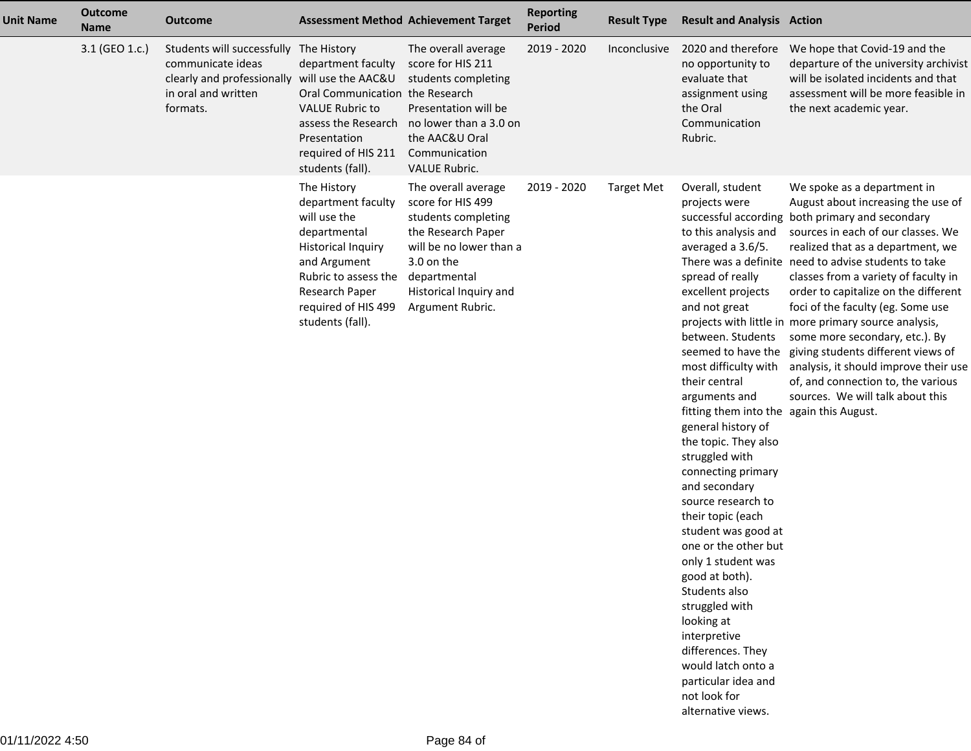| <b>Unit Name</b> | <b>Outcome</b><br><b>Name</b> | <b>Outcome</b>                                                                                                                                  |                                                                                                                                                                                                     | <b>Assessment Method Achievement Target</b>                                                                                                                                                  | <b>Reporting</b><br><b>Period</b> | <b>Result Type</b> | <b>Result and Analysis Action</b>                                                                                                                                                                                                                                                                                                                                                                                                                                                                                                                                                                                                                                                      |                                                                                                                                                                                                                                                                                                                                                                                                                                                                                                                                                                                                                                                     |
|------------------|-------------------------------|-------------------------------------------------------------------------------------------------------------------------------------------------|-----------------------------------------------------------------------------------------------------------------------------------------------------------------------------------------------------|----------------------------------------------------------------------------------------------------------------------------------------------------------------------------------------------|-----------------------------------|--------------------|----------------------------------------------------------------------------------------------------------------------------------------------------------------------------------------------------------------------------------------------------------------------------------------------------------------------------------------------------------------------------------------------------------------------------------------------------------------------------------------------------------------------------------------------------------------------------------------------------------------------------------------------------------------------------------------|-----------------------------------------------------------------------------------------------------------------------------------------------------------------------------------------------------------------------------------------------------------------------------------------------------------------------------------------------------------------------------------------------------------------------------------------------------------------------------------------------------------------------------------------------------------------------------------------------------------------------------------------------------|
|                  | 3.1 (GEO 1.c.)                | Students will successfully The History<br>communicate ideas<br>clearly and professionally will use the AAC&U<br>in oral and written<br>formats. | department faculty<br><b>Oral Communication</b><br><b>VALUE Rubric to</b><br>assess the Research<br>Presentation<br>required of HIS 211<br>students (fall).                                         | The overall average<br>score for HIS 211<br>students completing<br>the Research<br>Presentation will be<br>no lower than a 3.0 on<br>the AAC&U Oral<br>Communication<br><b>VALUE Rubric.</b> | 2019 - 2020                       | Inconclusive       | 2020 and therefore<br>no opportunity to<br>evaluate that<br>assignment using<br>the Oral<br>Communication<br>Rubric.                                                                                                                                                                                                                                                                                                                                                                                                                                                                                                                                                                   | We hope that Covid-19 and the<br>departure of the university archivist<br>will be isolated incidents and that<br>assessment will be more feasible in<br>the next academic year.                                                                                                                                                                                                                                                                                                                                                                                                                                                                     |
|                  |                               |                                                                                                                                                 | The History<br>department faculty<br>will use the<br>departmental<br><b>Historical Inquiry</b><br>and Argument<br>Rubric to assess the<br>Research Paper<br>required of HIS 499<br>students (fall). | The overall average<br>score for HIS 499<br>students completing<br>the Research Paper<br>will be no lower than a<br>3.0 on the<br>departmental<br>Historical Inquiry and<br>Argument Rubric. | 2019 - 2020                       | <b>Target Met</b>  | Overall, student<br>projects were<br>to this analysis and<br>averaged a 3.6/5.<br>spread of really<br>excellent projects<br>and not great<br>between. Students<br>most difficulty with<br>their central<br>arguments and<br>fitting them into the again this August.<br>general history of<br>the topic. They also<br>struggled with<br>connecting primary<br>and secondary<br>source research to<br>their topic (each<br>student was good at<br>one or the other but<br>only 1 student was<br>good at both).<br>Students also<br>struggled with<br>looking at<br>interpretive<br>differences. They<br>would latch onto a<br>particular idea and<br>not look for<br>alternative views. | We spoke as a department in<br>August about increasing the use of<br>successful according both primary and secondary<br>sources in each of our classes. We<br>realized that as a department, we<br>There was a definite need to advise students to take<br>classes from a variety of faculty in<br>order to capitalize on the different<br>foci of the faculty (eg. Some use<br>projects with little in more primary source analysis,<br>some more secondary, etc.). By<br>seemed to have the giving students different views of<br>analysis, it should improve their use<br>of, and connection to, the various<br>sources. We will talk about this |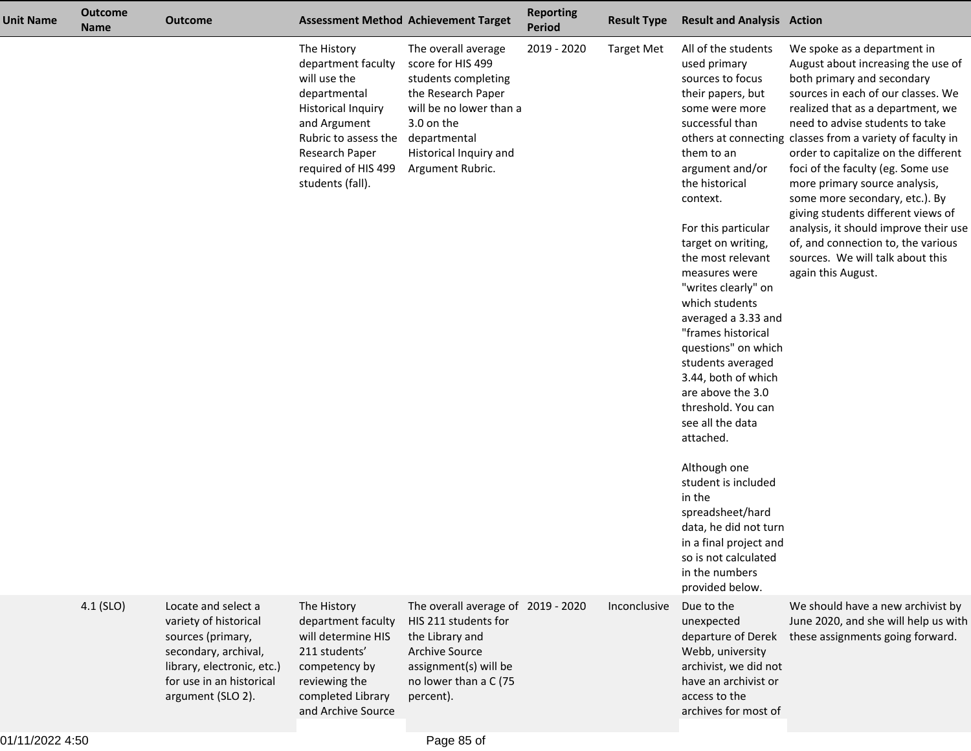| <b>Unit Name</b> | <b>Outcome</b><br><b>Name</b> | <b>Outcome</b>                                                                                                                                                           | <b>Assessment Method Achievement Target</b>                                                                                                                                                         |                                                                                                                                                                                              | <b>Reporting</b><br><b>Period</b> | <b>Result Type</b> | <b>Result and Analysis Action</b>                                                                                                                                                                                                                                                                                                                                                                                                                                                                                                                                                                                                                                                             |                                                                                                                                                                                                                                                                                                                                                                                                                                                                                                                                                                                                           |
|------------------|-------------------------------|--------------------------------------------------------------------------------------------------------------------------------------------------------------------------|-----------------------------------------------------------------------------------------------------------------------------------------------------------------------------------------------------|----------------------------------------------------------------------------------------------------------------------------------------------------------------------------------------------|-----------------------------------|--------------------|-----------------------------------------------------------------------------------------------------------------------------------------------------------------------------------------------------------------------------------------------------------------------------------------------------------------------------------------------------------------------------------------------------------------------------------------------------------------------------------------------------------------------------------------------------------------------------------------------------------------------------------------------------------------------------------------------|-----------------------------------------------------------------------------------------------------------------------------------------------------------------------------------------------------------------------------------------------------------------------------------------------------------------------------------------------------------------------------------------------------------------------------------------------------------------------------------------------------------------------------------------------------------------------------------------------------------|
|                  |                               |                                                                                                                                                                          | The History<br>department faculty<br>will use the<br>departmental<br><b>Historical Inquiry</b><br>and Argument<br>Rubric to assess the<br>Research Paper<br>required of HIS 499<br>students (fall). | The overall average<br>score for HIS 499<br>students completing<br>the Research Paper<br>will be no lower than a<br>3.0 on the<br>departmental<br>Historical Inquiry and<br>Argument Rubric. | 2019 - 2020                       | <b>Target Met</b>  | All of the students<br>used primary<br>sources to focus<br>their papers, but<br>some were more<br>successful than<br>them to an<br>argument and/or<br>the historical<br>context.<br>For this particular<br>target on writing,<br>the most relevant<br>measures were<br>"writes clearly" on<br>which students<br>averaged a 3.33 and<br>"frames historical<br>questions" on which<br>students averaged<br>3.44, both of which<br>are above the 3.0<br>threshold. You can<br>see all the data<br>attached.<br>Although one<br>student is included<br>in the<br>spreadsheet/hard<br>data, he did not turn<br>in a final project and<br>so is not calculated<br>in the numbers<br>provided below. | We spoke as a department in<br>August about increasing the use of<br>both primary and secondary<br>sources in each of our classes. We<br>realized that as a department, we<br>need to advise students to take<br>others at connecting classes from a variety of faculty in<br>order to capitalize on the different<br>foci of the faculty (eg. Some use<br>more primary source analysis,<br>some more secondary, etc.). By<br>giving students different views of<br>analysis, it should improve their use<br>of, and connection to, the various<br>sources. We will talk about this<br>again this August. |
|                  | $4.1$ (SLO)                   | Locate and select a<br>variety of historical<br>sources (primary,<br>secondary, archival,<br>library, electronic, etc.)<br>for use in an historical<br>argument (SLO 2). | The History<br>department faculty<br>will determine HIS<br>211 students'<br>competency by<br>reviewing the<br>completed Library<br>and Archive Source                                               | The overall average of 2019 - 2020<br>HIS 211 students for<br>the Library and<br><b>Archive Source</b><br>assignment(s) will be<br>no lower than a C (75<br>percent).                        |                                   | Inconclusive       | Due to the<br>unexpected<br>departure of Derek<br>Webb, university<br>archivist, we did not<br>have an archivist or<br>access to the<br>archives for most of                                                                                                                                                                                                                                                                                                                                                                                                                                                                                                                                  | We should have a new archivist by<br>June 2020, and she will help us with<br>these assignments going forward.                                                                                                                                                                                                                                                                                                                                                                                                                                                                                             |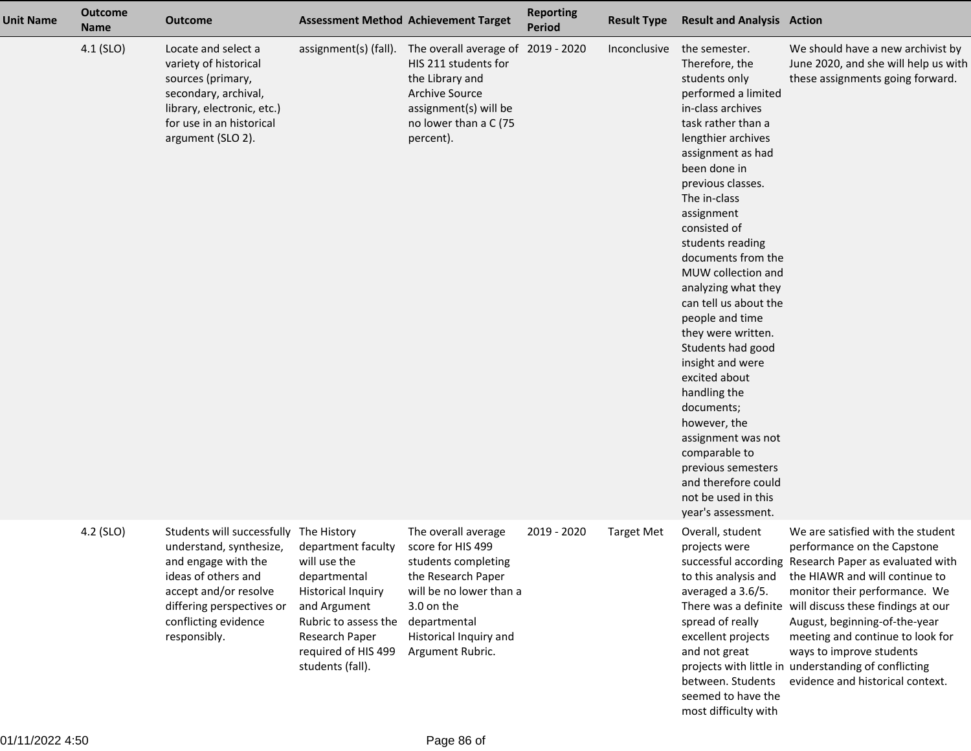| <b>Unit Name</b> | <b>Outcome</b><br><b>Name</b> | <b>Outcome</b>                                                                                                                                                                                                |                                                                                                                                                                                      | <b>Assessment Method Achievement Target</b>                                                                                                                                                  | <b>Reporting</b><br><b>Period</b> | <b>Result Type</b> | <b>Result and Analysis Action</b>                                                                                                                                                                                                                                                                                                                                                                                                                                                                                                                                                                                                                  |                                                                                                                                                                                                                                                                                                                                                                                                                                                      |
|------------------|-------------------------------|---------------------------------------------------------------------------------------------------------------------------------------------------------------------------------------------------------------|--------------------------------------------------------------------------------------------------------------------------------------------------------------------------------------|----------------------------------------------------------------------------------------------------------------------------------------------------------------------------------------------|-----------------------------------|--------------------|----------------------------------------------------------------------------------------------------------------------------------------------------------------------------------------------------------------------------------------------------------------------------------------------------------------------------------------------------------------------------------------------------------------------------------------------------------------------------------------------------------------------------------------------------------------------------------------------------------------------------------------------------|------------------------------------------------------------------------------------------------------------------------------------------------------------------------------------------------------------------------------------------------------------------------------------------------------------------------------------------------------------------------------------------------------------------------------------------------------|
|                  | $4.1$ (SLO)                   | Locate and select a<br>variety of historical<br>sources (primary,<br>secondary, archival,<br>library, electronic, etc.)<br>for use in an historical<br>argument (SLO 2).                                      | assignment(s) (fall).                                                                                                                                                                | The overall average of<br>HIS 211 students for<br>the Library and<br><b>Archive Source</b><br>assignment(s) will be<br>no lower than a C (75<br>percent).                                    | 2019 - 2020                       | Inconclusive       | the semester.<br>Therefore, the<br>students only<br>performed a limited<br>in-class archives<br>task rather than a<br>lengthier archives<br>assignment as had<br>been done in<br>previous classes.<br>The in-class<br>assignment<br>consisted of<br>students reading<br>documents from the<br>MUW collection and<br>analyzing what they<br>can tell us about the<br>people and time<br>they were written.<br>Students had good<br>insight and were<br>excited about<br>handling the<br>documents;<br>however, the<br>assignment was not<br>comparable to<br>previous semesters<br>and therefore could<br>not be used in this<br>year's assessment. | We should have a new archivist by<br>June 2020, and she will help us with<br>these assignments going forward.                                                                                                                                                                                                                                                                                                                                        |
|                  | 4.2 (SLO)                     | Students will successfully The History<br>understand, synthesize,<br>and engage with the<br>ideas of others and<br>accept and/or resolve<br>differing perspectives or<br>conflicting evidence<br>responsibly. | department faculty<br>will use the<br>departmental<br><b>Historical Inquiry</b><br>and Argument<br>Rubric to assess the<br>Research Paper<br>required of HIS 499<br>students (fall). | The overall average<br>score for HIS 499<br>students completing<br>the Research Paper<br>will be no lower than a<br>3.0 on the<br>departmental<br>Historical Inquiry and<br>Argument Rubric. | 2019 - 2020                       | <b>Target Met</b>  | Overall, student<br>projects were<br>to this analysis and<br>averaged a 3.6/5.<br>spread of really<br>excellent projects<br>and not great<br>between. Students<br>seemed to have the<br>most difficulty with                                                                                                                                                                                                                                                                                                                                                                                                                                       | We are satisfied with the student<br>performance on the Capstone<br>successful according Research Paper as evaluated with<br>the HIAWR and will continue to<br>monitor their performance. We<br>There was a definite will discuss these findings at our<br>August, beginning-of-the-year<br>meeting and continue to look for<br>ways to improve students<br>projects with little in understanding of conflicting<br>evidence and historical context. |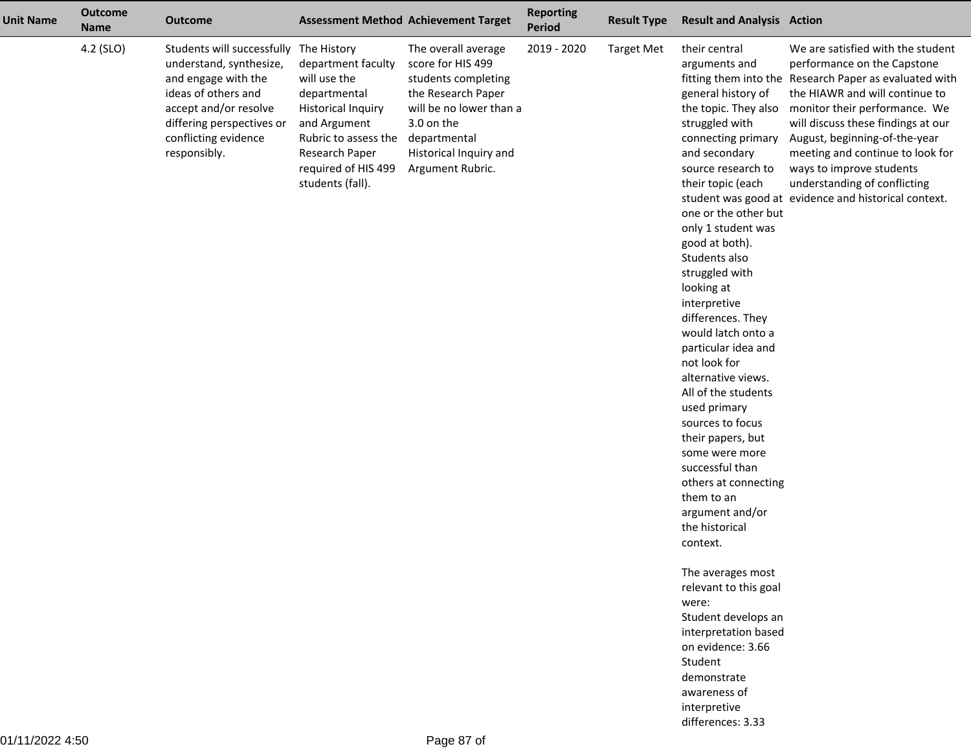| <b>Unit Name</b> | <b>Outcome</b><br><b>Name</b> | <b>Outcome</b>                                                                                                                                                                                    |                                                                                                                                                                                                     | <b>Assessment Method Achievement Target</b>                                                                                                                                                  | <b>Reporting</b><br><b>Period</b> | <b>Result Type</b> | <b>Result and Analysis Action</b>                                                                                                                                                                                                                                                                                                                                                                                                                                                                                                                                                                                                                                                            |                                                                                                                                                                                                                                                                                                                                                                                                                              |
|------------------|-------------------------------|---------------------------------------------------------------------------------------------------------------------------------------------------------------------------------------------------|-----------------------------------------------------------------------------------------------------------------------------------------------------------------------------------------------------|----------------------------------------------------------------------------------------------------------------------------------------------------------------------------------------------|-----------------------------------|--------------------|----------------------------------------------------------------------------------------------------------------------------------------------------------------------------------------------------------------------------------------------------------------------------------------------------------------------------------------------------------------------------------------------------------------------------------------------------------------------------------------------------------------------------------------------------------------------------------------------------------------------------------------------------------------------------------------------|------------------------------------------------------------------------------------------------------------------------------------------------------------------------------------------------------------------------------------------------------------------------------------------------------------------------------------------------------------------------------------------------------------------------------|
|                  | 4.2 (SLO)                     | Students will successfully<br>understand, synthesize,<br>and engage with the<br>ideas of others and<br>accept and/or resolve<br>differing perspectives or<br>conflicting evidence<br>responsibly. | The History<br>department faculty<br>will use the<br>departmental<br><b>Historical Inquiry</b><br>and Argument<br>Rubric to assess the<br>Research Paper<br>required of HIS 499<br>students (fall). | The overall average<br>score for HIS 499<br>students completing<br>the Research Paper<br>will be no lower than a<br>3.0 on the<br>departmental<br>Historical Inquiry and<br>Argument Rubric. | 2019 - 2020                       | <b>Target Met</b>  | their central<br>arguments and<br>general history of<br>the topic. They also<br>struggled with<br>connecting primary<br>and secondary<br>source research to<br>their topic (each<br>one or the other but<br>only 1 student was<br>good at both).<br>Students also<br>struggled with<br>looking at<br>interpretive<br>differences. They<br>would latch onto a<br>particular idea and<br>not look for<br>alternative views.<br>All of the students<br>used primary<br>sources to focus<br>their papers, but<br>some were more<br>successful than<br>others at connecting<br>them to an<br>argument and/or<br>the historical<br>context.<br>The averages most<br>relevant to this goal<br>were: | We are satisfied with the student<br>performance on the Capstone<br>fitting them into the Research Paper as evaluated with<br>the HIAWR and will continue to<br>monitor their performance. We<br>will discuss these findings at our<br>August, beginning-of-the-year<br>meeting and continue to look for<br>ways to improve students<br>understanding of conflicting<br>student was good at evidence and historical context. |
|                  |                               |                                                                                                                                                                                                   |                                                                                                                                                                                                     |                                                                                                                                                                                              |                                   |                    | Student develops an<br>interpretation based                                                                                                                                                                                                                                                                                                                                                                                                                                                                                                                                                                                                                                                  |                                                                                                                                                                                                                                                                                                                                                                                                                              |
|                  |                               |                                                                                                                                                                                                   |                                                                                                                                                                                                     |                                                                                                                                                                                              |                                   |                    | on evidence: 3.66<br>Student                                                                                                                                                                                                                                                                                                                                                                                                                                                                                                                                                                                                                                                                 |                                                                                                                                                                                                                                                                                                                                                                                                                              |
|                  |                               |                                                                                                                                                                                                   |                                                                                                                                                                                                     |                                                                                                                                                                                              |                                   |                    | demonstrate                                                                                                                                                                                                                                                                                                                                                                                                                                                                                                                                                                                                                                                                                  |                                                                                                                                                                                                                                                                                                                                                                                                                              |
|                  |                               |                                                                                                                                                                                                   |                                                                                                                                                                                                     |                                                                                                                                                                                              |                                   |                    | awareness of                                                                                                                                                                                                                                                                                                                                                                                                                                                                                                                                                                                                                                                                                 |                                                                                                                                                                                                                                                                                                                                                                                                                              |
|                  |                               |                                                                                                                                                                                                   |                                                                                                                                                                                                     |                                                                                                                                                                                              |                                   |                    | interpretive                                                                                                                                                                                                                                                                                                                                                                                                                                                                                                                                                                                                                                                                                 |                                                                                                                                                                                                                                                                                                                                                                                                                              |
|                  |                               |                                                                                                                                                                                                   |                                                                                                                                                                                                     |                                                                                                                                                                                              |                                   |                    | differences: 3.33                                                                                                                                                                                                                                                                                                                                                                                                                                                                                                                                                                                                                                                                            |                                                                                                                                                                                                                                                                                                                                                                                                                              |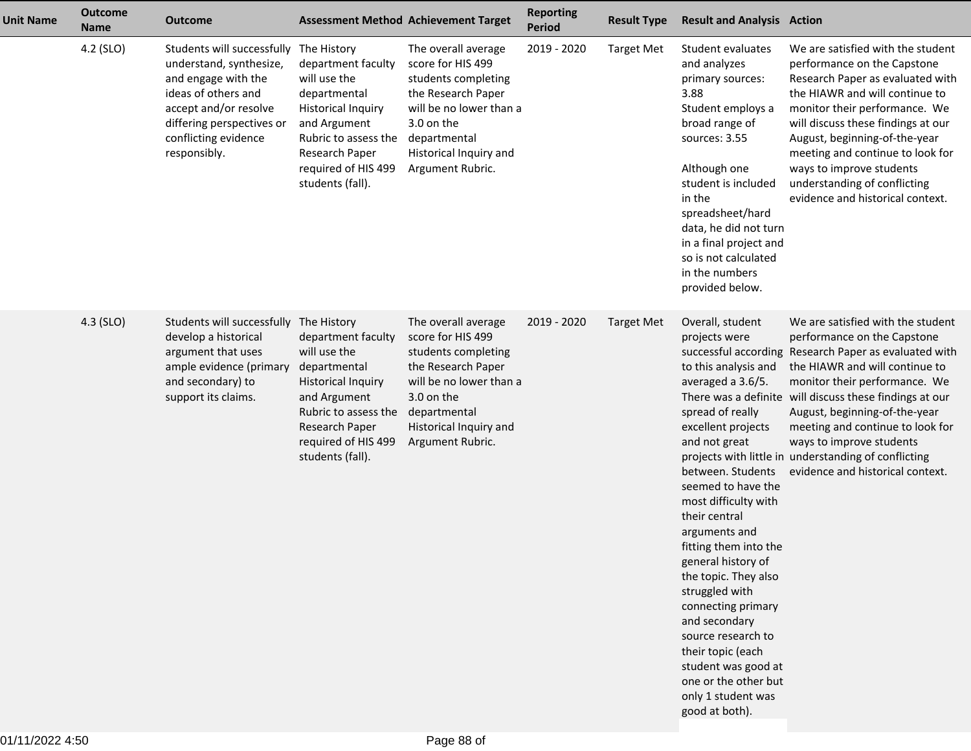| <b>Unit Name</b> | <b>Outcome</b><br><b>Name</b> | <b>Outcome</b>                                                                                                                                                                                                |                                                                                                                                                                                                     | <b>Assessment Method Achievement Target</b>                                                                                                                                                  | <b>Reporting</b><br><b>Period</b> | <b>Result Type</b> | <b>Result and Analysis Action</b>                                                                                                                                                                                                                                                                                                                                                                                                                                                                                                                                                           |                                                                                                                                                                                                                                                                                                                                                                                    |
|------------------|-------------------------------|---------------------------------------------------------------------------------------------------------------------------------------------------------------------------------------------------------------|-----------------------------------------------------------------------------------------------------------------------------------------------------------------------------------------------------|----------------------------------------------------------------------------------------------------------------------------------------------------------------------------------------------|-----------------------------------|--------------------|---------------------------------------------------------------------------------------------------------------------------------------------------------------------------------------------------------------------------------------------------------------------------------------------------------------------------------------------------------------------------------------------------------------------------------------------------------------------------------------------------------------------------------------------------------------------------------------------|------------------------------------------------------------------------------------------------------------------------------------------------------------------------------------------------------------------------------------------------------------------------------------------------------------------------------------------------------------------------------------|
|                  | 4.2 (SLO)                     | Students will successfully The History<br>understand, synthesize,<br>and engage with the<br>ideas of others and<br>accept and/or resolve<br>differing perspectives or<br>conflicting evidence<br>responsibly. | department faculty<br>will use the<br>departmental<br><b>Historical Inquiry</b><br>and Argument<br>Rubric to assess the<br>Research Paper<br>required of HIS 499<br>students (fall).                | The overall average<br>score for HIS 499<br>students completing<br>the Research Paper<br>will be no lower than a<br>3.0 on the<br>departmental<br>Historical Inquiry and<br>Argument Rubric. | 2019 - 2020                       | <b>Target Met</b>  | Student evaluates<br>and analyzes<br>primary sources:<br>3.88<br>Student employs a<br>broad range of<br>sources: 3.55<br>Although one<br>student is included<br>in the<br>spreadsheet/hard<br>data, he did not turn<br>in a final project and<br>so is not calculated<br>in the numbers<br>provided below.                                                                                                                                                                                                                                                                                  | We are satisfied with the student<br>performance on the Capstone<br>Research Paper as evaluated with<br>the HIAWR and will continue to<br>monitor their performance. We<br>will discuss these findings at our<br>August, beginning-of-the-year<br>meeting and continue to look for<br>ways to improve students<br>understanding of conflicting<br>evidence and historical context. |
|                  | 4.3 (SLO)                     | Students will successfully<br>develop a historical<br>argument that uses<br>ample evidence (primary<br>and secondary) to<br>support its claims.                                                               | The History<br>department faculty<br>will use the<br>departmental<br><b>Historical Inquiry</b><br>and Argument<br>Rubric to assess the<br>Research Paper<br>required of HIS 499<br>students (fall). | The overall average<br>score for HIS 499<br>students completing<br>the Research Paper<br>will be no lower than a<br>3.0 on the<br>departmental<br>Historical Inquiry and<br>Argument Rubric. | 2019 - 2020                       | <b>Target Met</b>  | Overall, student<br>projects were<br>successful according<br>to this analysis and<br>averaged a 3.6/5.<br>There was a definite<br>spread of really<br>excellent projects<br>and not great<br>projects with little in<br>between. Students<br>seemed to have the<br>most difficulty with<br>their central<br>arguments and<br>fitting them into the<br>general history of<br>the topic. They also<br>struggled with<br>connecting primary<br>and secondary<br>source research to<br>their topic (each<br>student was good at<br>one or the other but<br>only 1 student was<br>good at both). | We are satisfied with the student<br>performance on the Capstone<br>Research Paper as evaluated with<br>the HIAWR and will continue to<br>monitor their performance. We<br>will discuss these findings at our<br>August, beginning-of-the-year<br>meeting and continue to look for<br>ways to improve students<br>understanding of conflicting<br>evidence and historical context. |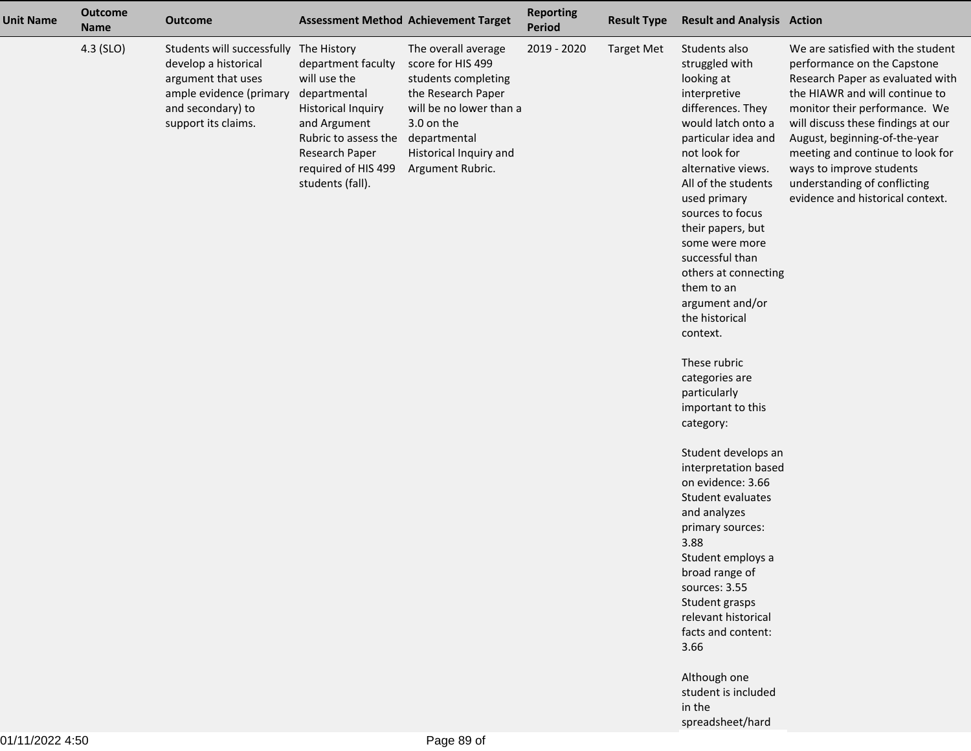| <b>Unit Name</b> | <b>Outcome</b><br><b>Name</b> | <b>Outcome</b>                                                                                                                                  |                                                                                                                                                                                                     | <b>Assessment Method Achievement Target</b>                                                                                                                                                  | <b>Reporting</b><br>Period | <b>Result Type</b> | <b>Result and Analysis Action</b>                                                                                                                                                                                                                                                                                                                                                                                                                                                                                                                                                                                                                                                                                                                                                          |                                                                                                                                                                                                                                                                                                                                                                                    |
|------------------|-------------------------------|-------------------------------------------------------------------------------------------------------------------------------------------------|-----------------------------------------------------------------------------------------------------------------------------------------------------------------------------------------------------|----------------------------------------------------------------------------------------------------------------------------------------------------------------------------------------------|----------------------------|--------------------|--------------------------------------------------------------------------------------------------------------------------------------------------------------------------------------------------------------------------------------------------------------------------------------------------------------------------------------------------------------------------------------------------------------------------------------------------------------------------------------------------------------------------------------------------------------------------------------------------------------------------------------------------------------------------------------------------------------------------------------------------------------------------------------------|------------------------------------------------------------------------------------------------------------------------------------------------------------------------------------------------------------------------------------------------------------------------------------------------------------------------------------------------------------------------------------|
|                  | 4.3 (SLO)                     | Students will successfully<br>develop a historical<br>argument that uses<br>ample evidence (primary<br>and secondary) to<br>support its claims. | The History<br>department faculty<br>will use the<br>departmental<br><b>Historical Inquiry</b><br>and Argument<br>Rubric to assess the<br>Research Paper<br>required of HIS 499<br>students (fall). | The overall average<br>score for HIS 499<br>students completing<br>the Research Paper<br>will be no lower than a<br>3.0 on the<br>departmental<br>Historical Inquiry and<br>Argument Rubric. | 2019 - 2020                | <b>Target Met</b>  | Students also<br>struggled with<br>looking at<br>interpretive<br>differences. They<br>would latch onto a<br>particular idea and<br>not look for<br>alternative views.<br>All of the students<br>used primary<br>sources to focus<br>their papers, but<br>some were more<br>successful than<br>others at connecting<br>them to an<br>argument and/or<br>the historical<br>context.<br>These rubric<br>categories are<br>particularly<br>important to this<br>category:<br>Student develops an<br>interpretation based<br>on evidence: 3.66<br>Student evaluates<br>and analyzes<br>primary sources:<br>3.88<br>Student employs a<br>broad range of<br>sources: 3.55<br>Student grasps<br>relevant historical<br>facts and content:<br>3.66<br>Although one<br>student is included<br>in the | We are satisfied with the student<br>performance on the Capstone<br>Research Paper as evaluated with<br>the HIAWR and will continue to<br>monitor their performance. We<br>will discuss these findings at our<br>August, beginning-of-the-year<br>meeting and continue to look for<br>ways to improve students<br>understanding of conflicting<br>evidence and historical context. |
|                  |                               |                                                                                                                                                 |                                                                                                                                                                                                     |                                                                                                                                                                                              |                            |                    | spreadsheet/hard                                                                                                                                                                                                                                                                                                                                                                                                                                                                                                                                                                                                                                                                                                                                                                           |                                                                                                                                                                                                                                                                                                                                                                                    |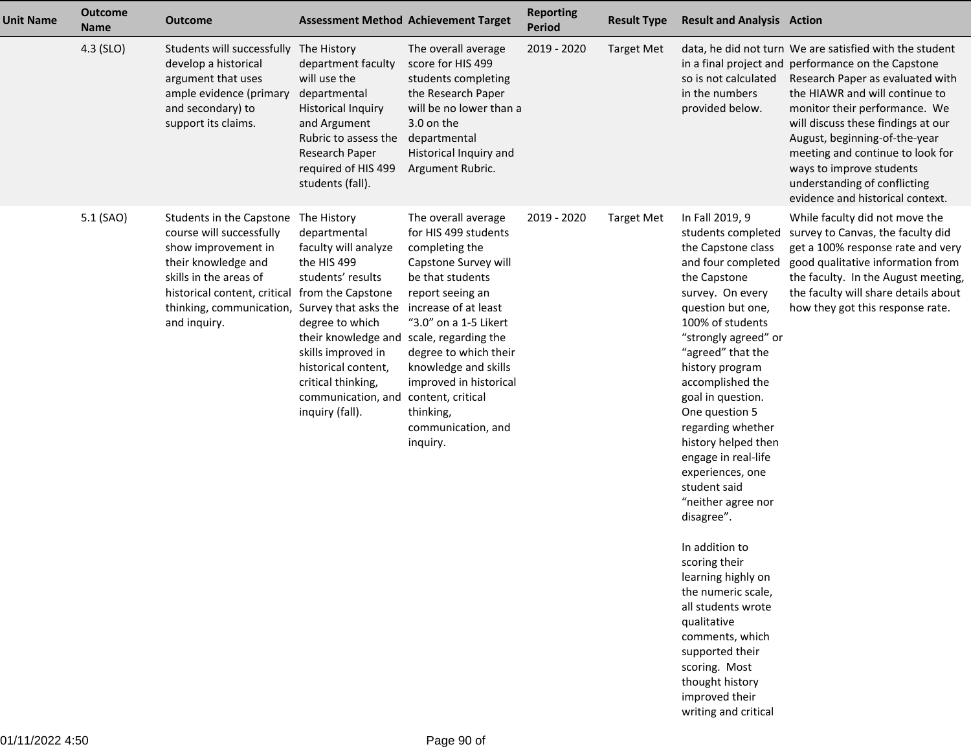| Students will successfully | The History                                                                                                                                                                                                                                                                                       |                                                                                                                                                                                                                                                                                                                                                                                                                                                                |                                                                                                                                                                                                                                                                                                                                                                                                                                                                                                                                                                       |                   |                   |                                                                                                                                                                                                                                                                                                                                                                                                                                                                                                                                                                                                                                                                                                                                           |
|----------------------------|---------------------------------------------------------------------------------------------------------------------------------------------------------------------------------------------------------------------------------------------------------------------------------------------------|----------------------------------------------------------------------------------------------------------------------------------------------------------------------------------------------------------------------------------------------------------------------------------------------------------------------------------------------------------------------------------------------------------------------------------------------------------------|-----------------------------------------------------------------------------------------------------------------------------------------------------------------------------------------------------------------------------------------------------------------------------------------------------------------------------------------------------------------------------------------------------------------------------------------------------------------------------------------------------------------------------------------------------------------------|-------------------|-------------------|-------------------------------------------------------------------------------------------------------------------------------------------------------------------------------------------------------------------------------------------------------------------------------------------------------------------------------------------------------------------------------------------------------------------------------------------------------------------------------------------------------------------------------------------------------------------------------------------------------------------------------------------------------------------------------------------------------------------------------------------|
|                            |                                                                                                                                                                                                                                                                                                   | The overall average                                                                                                                                                                                                                                                                                                                                                                                                                                            | 2019 - 2020                                                                                                                                                                                                                                                                                                                                                                                                                                                                                                                                                           | <b>Target Met</b> |                   | data, he did not turn We are satisfied with the student<br>in a final project and performance on the Capstone<br>Research Paper as evaluated with<br>the HIAWR and will continue to<br>monitor their performance. We<br>will discuss these findings at our<br>August, beginning-of-the-year<br>meeting and continue to look for<br>ways to improve students<br>understanding of conflicting<br>evidence and historical context.                                                                                                                                                                                                                                                                                                           |
|                            |                                                                                                                                                                                                                                                                                                   |                                                                                                                                                                                                                                                                                                                                                                                                                                                                |                                                                                                                                                                                                                                                                                                                                                                                                                                                                                                                                                                       |                   |                   | While faculty did not move the<br>survey to Canvas, the faculty did<br>get a 100% response rate and very<br>good qualitative information from<br>the faculty. In the August meeting,<br>the faculty will share details about<br>how they got this response rate.                                                                                                                                                                                                                                                                                                                                                                                                                                                                          |
|                            | develop a historical<br>argument that uses<br>ample evidence (primary<br>and secondary) to<br>support its claims.<br>Students in the Capstone<br>course will successfully<br>show improvement in<br>their knowledge and<br>skills in the areas of<br>historical content, critical<br>and inquiry. | department faculty<br>will use the<br>departmental<br><b>Historical Inquiry</b><br>and Argument<br>Rubric to assess the<br>Research Paper<br>required of HIS 499<br>students (fall).<br>The History<br>departmental<br>faculty will analyze<br>the HIS 499<br>students' results<br>from the Capstone<br>thinking, communication, Survey that asks the<br>degree to which<br>skills improved in<br>historical content,<br>critical thinking,<br>inquiry (fall). | score for HIS 499<br>students completing<br>the Research Paper<br>will be no lower than a<br>3.0 on the<br>departmental<br>Historical Inquiry and<br>Argument Rubric.<br>The overall average<br>for HIS 499 students<br>completing the<br>Capstone Survey will<br>be that students<br>report seeing an<br>increase of at least<br>"3.0" on a 1-5 Likert<br>their knowledge and scale, regarding the<br>degree to which their<br>knowledge and skills<br>improved in historical<br>communication, and content, critical<br>thinking,<br>communication, and<br>inquiry. | 2019 - 2020       | <b>Target Met</b> | so is not calculated<br>in the numbers<br>provided below.<br>In Fall 2019, 9<br>students completed<br>the Capstone class<br>and four completed<br>the Capstone<br>survey. On every<br>question but one,<br>100% of students<br>"strongly agreed" or<br>"agreed" that the<br>history program<br>accomplished the<br>goal in question.<br>One question 5<br>regarding whether<br>history helped then<br>engage in real-life<br>experiences, one<br>student said<br>"neither agree nor<br>disagree".<br>In addition to<br>scoring their<br>learning highly on<br>the numeric scale,<br>all students wrote<br>qualitative<br>comments, which<br>supported their<br>scoring. Most<br>thought history<br>improved their<br>writing and critical |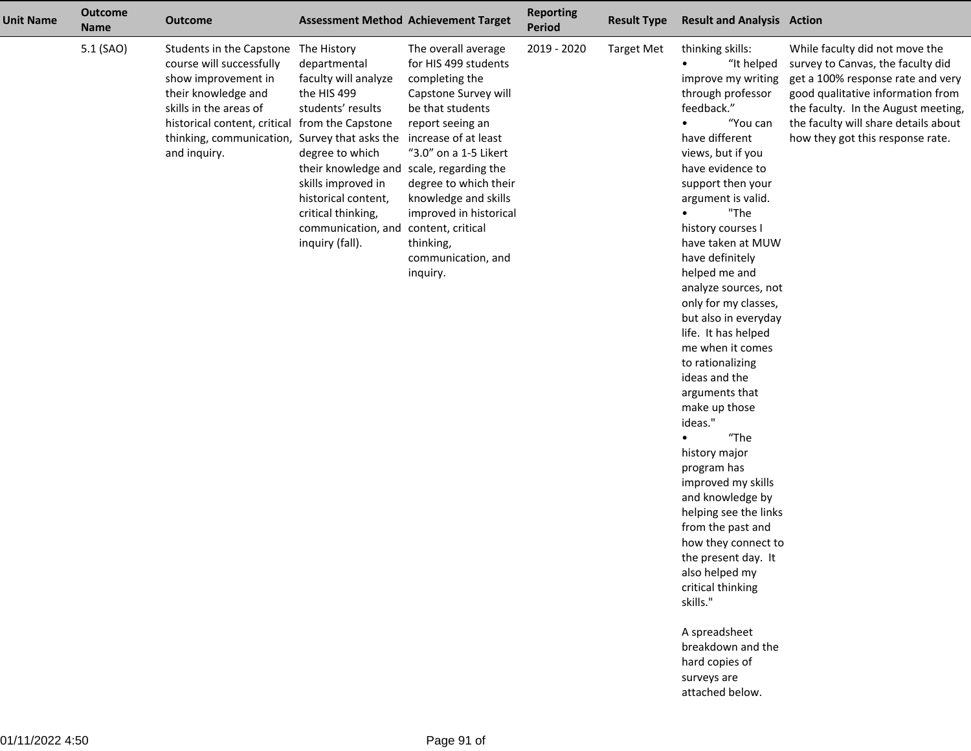| <b>Unit Name</b> | <b>Outcome</b><br><b>Name</b> | <b>Outcome</b>                                                                                                                                                                                                                                              |                                                                                                                                                                                                                                | <b>Assessment Method Achievement Target</b>                                                                                                                                                                                                                                                                                                           | <b>Reporting</b><br><b>Period</b> | <b>Result Type</b> | <b>Result and Analysis Action</b>                                                                                                                                                                                                                                                                                                                                                                                                                                                                                                                                                                                                                                                                                                                                                                                                |                                                                                                                                                                                                                                                                  |
|------------------|-------------------------------|-------------------------------------------------------------------------------------------------------------------------------------------------------------------------------------------------------------------------------------------------------------|--------------------------------------------------------------------------------------------------------------------------------------------------------------------------------------------------------------------------------|-------------------------------------------------------------------------------------------------------------------------------------------------------------------------------------------------------------------------------------------------------------------------------------------------------------------------------------------------------|-----------------------------------|--------------------|----------------------------------------------------------------------------------------------------------------------------------------------------------------------------------------------------------------------------------------------------------------------------------------------------------------------------------------------------------------------------------------------------------------------------------------------------------------------------------------------------------------------------------------------------------------------------------------------------------------------------------------------------------------------------------------------------------------------------------------------------------------------------------------------------------------------------------|------------------------------------------------------------------------------------------------------------------------------------------------------------------------------------------------------------------------------------------------------------------|
|                  | 5.1 (SAO)                     | Students in the Capstone The History<br>course will successfully<br>show improvement in<br>their knowledge and<br>skills in the areas of<br>historical content, critical from the Capstone<br>thinking, communication, Survey that asks the<br>and inquiry. | departmental<br>faculty will analyze<br>the HIS 499<br>students' results<br>degree to which<br>their knowledge and<br>skills improved in<br>historical content,<br>critical thinking,<br>communication, and<br>inquiry (fall). | The overall average<br>for HIS 499 students<br>completing the<br>Capstone Survey will<br>be that students<br>report seeing an<br>increase of at least<br>"3.0" on a 1-5 Likert<br>scale, regarding the<br>degree to which their<br>knowledge and skills<br>improved in historical<br>content, critical<br>thinking,<br>communication, and<br>inquiry. | 2019 - 2020                       | <b>Target Met</b>  | thinking skills:<br>"It helped<br>improve my writing<br>through professor<br>feedback."<br>"You can<br>have different<br>views, but if you<br>have evidence to<br>support then your<br>argument is valid.<br>"The<br>history courses I<br>have taken at MUW<br>have definitely<br>helped me and<br>analyze sources, not<br>only for my classes,<br>but also in everyday<br>life. It has helped<br>me when it comes<br>to rationalizing<br>ideas and the<br>arguments that<br>make up those<br>ideas."<br>"The<br>history major<br>program has<br>improved my skills<br>and knowledge by<br>helping see the links<br>from the past and<br>how they connect to<br>the present day. It<br>also helped my<br>critical thinking<br>skills."<br>A spreadsheet<br>breakdown and the<br>hard copies of<br>surveys are<br>attached below. | While faculty did not move the<br>survey to Canvas, the faculty did<br>get a 100% response rate and very<br>good qualitative information from<br>the faculty. In the August meeting,<br>the faculty will share details about<br>how they got this response rate. |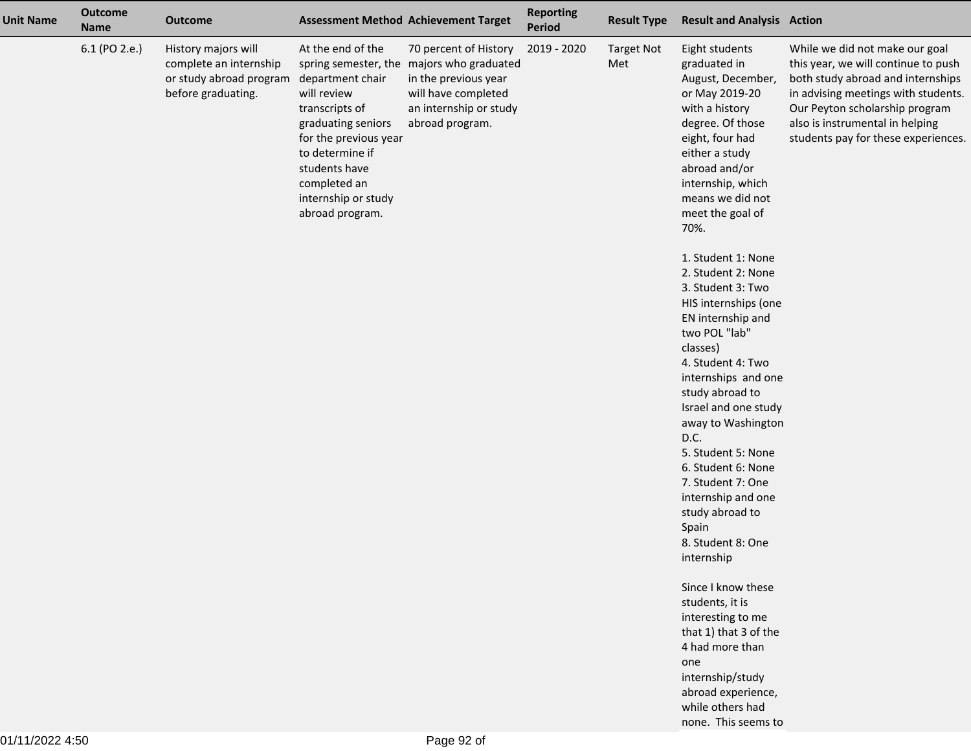| <b>Unit Name</b> | <b>Outcome</b><br><b>Name</b> | <b>Outcome</b>                                                                                 |                                                                                                                                                                                                                     | <b>Assessment Method Achievement Target</b>                                                                                                                    | <b>Reporting</b><br>Period | <b>Result Type</b>       | <b>Result and Analysis Action</b>                                                                                                                                                                                                      |                                                                                                                                                                                                                                                               |
|------------------|-------------------------------|------------------------------------------------------------------------------------------------|---------------------------------------------------------------------------------------------------------------------------------------------------------------------------------------------------------------------|----------------------------------------------------------------------------------------------------------------------------------------------------------------|----------------------------|--------------------------|----------------------------------------------------------------------------------------------------------------------------------------------------------------------------------------------------------------------------------------|---------------------------------------------------------------------------------------------------------------------------------------------------------------------------------------------------------------------------------------------------------------|
|                  | 6.1 (PO 2.e.)                 | History majors will<br>complete an internship<br>or study abroad program<br>before graduating. | At the end of the<br>department chair<br>will review<br>transcripts of<br>graduating seniors<br>for the previous year<br>to determine if<br>students have<br>completed an<br>internship or study<br>abroad program. | 70 percent of History<br>spring semester, the majors who graduated<br>in the previous year<br>will have completed<br>an internship or study<br>abroad program. | 2019 - 2020                | <b>Target Not</b><br>Met | Eight students<br>graduated in<br>August, December,<br>or May 2019-20<br>with a history<br>degree. Of those<br>eight, four had<br>either a study<br>abroad and/or<br>internship, which<br>means we did not<br>meet the goal of<br>70%. | While we did not make our goal<br>this year, we will continue to push<br>both study abroad and internships<br>in advising meetings with students.<br>Our Peyton scholarship program<br>also is instrumental in helping<br>students pay for these experiences. |
|                  |                               |                                                                                                |                                                                                                                                                                                                                     |                                                                                                                                                                |                            |                          | 1. Student 1: None<br>2. Student 2: None<br>3. Student 3: Two<br>HIS internships (one<br>EN internship and<br>two POL "lab"<br>classes)<br>4. Student 4: Two<br>internships and one<br>study abroad to<br>Israel and one study         |                                                                                                                                                                                                                                                               |
|                  |                               |                                                                                                |                                                                                                                                                                                                                     |                                                                                                                                                                |                            |                          | away to Washington<br>D.C.<br>5. Student 5: None<br>6. Student 6: None<br>7. Student 7: One<br>internship and one<br>study abroad to<br>Spain<br>8. Student 8: One<br>internship                                                       |                                                                                                                                                                                                                                                               |
|                  |                               |                                                                                                |                                                                                                                                                                                                                     |                                                                                                                                                                |                            |                          | Since I know these<br>students, it is<br>interesting to me<br>that 1) that 3 of the<br>4 had more than<br>one<br>internship/study<br>abroad experience,<br>while others had<br>none. This seems to                                     |                                                                                                                                                                                                                                                               |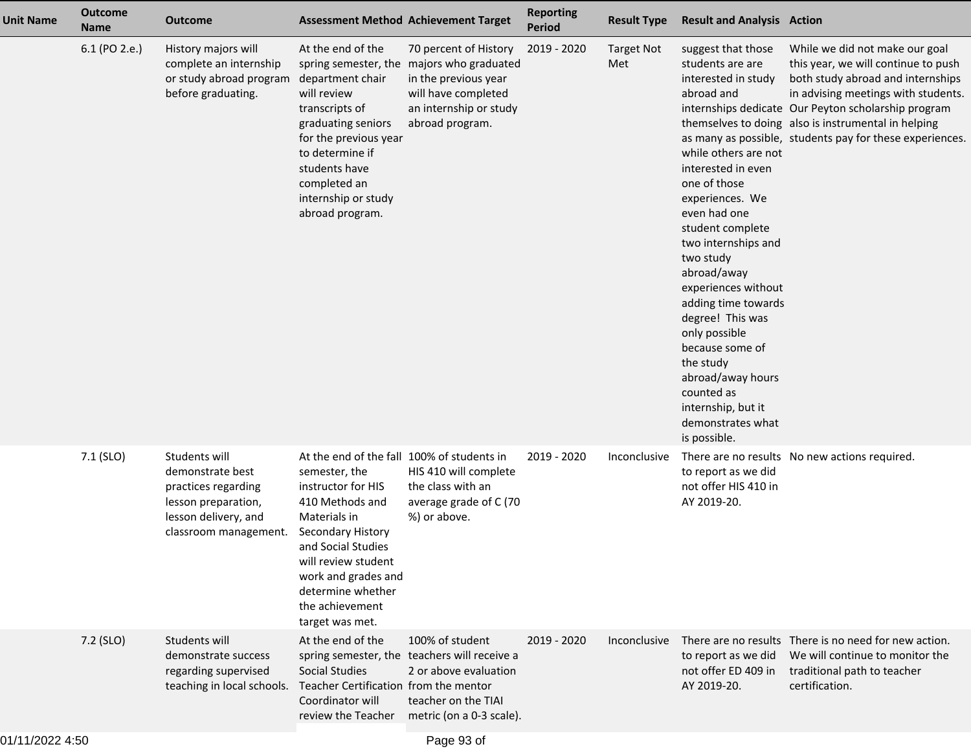| <b>Unit Name</b> | <b>Outcome</b><br><b>Name</b> | <b>Outcome</b>                                                                                                                   |                                                                                                                                                                                                                                                                          | <b>Assessment Method Achievement Target</b>                                                                                                                    | <b>Reporting</b><br><b>Period</b> | <b>Result Type</b>       | <b>Result and Analysis Action</b>                                                                                                                                                                                                                                                                                                                                                                                                                                    |                                                                                                                                                                                                                                                                                                                             |
|------------------|-------------------------------|----------------------------------------------------------------------------------------------------------------------------------|--------------------------------------------------------------------------------------------------------------------------------------------------------------------------------------------------------------------------------------------------------------------------|----------------------------------------------------------------------------------------------------------------------------------------------------------------|-----------------------------------|--------------------------|----------------------------------------------------------------------------------------------------------------------------------------------------------------------------------------------------------------------------------------------------------------------------------------------------------------------------------------------------------------------------------------------------------------------------------------------------------------------|-----------------------------------------------------------------------------------------------------------------------------------------------------------------------------------------------------------------------------------------------------------------------------------------------------------------------------|
|                  | 6.1 (PO 2.e.)                 | History majors will<br>complete an internship<br>or study abroad program<br>before graduating.                                   | At the end of the<br>department chair<br>will review<br>transcripts of<br>graduating seniors<br>for the previous year<br>to determine if<br>students have<br>completed an<br>internship or study<br>abroad program.                                                      | 70 percent of History<br>spring semester, the majors who graduated<br>in the previous year<br>will have completed<br>an internship or study<br>abroad program. | 2019 - 2020                       | <b>Target Not</b><br>Met | suggest that those<br>students are are<br>interested in study<br>abroad and<br>while others are not<br>interested in even<br>one of those<br>experiences. We<br>even had one<br>student complete<br>two internships and<br>two study<br>abroad/away<br>experiences without<br>adding time towards<br>degree! This was<br>only possible<br>because some of<br>the study<br>abroad/away hours<br>counted as<br>internship, but it<br>demonstrates what<br>is possible. | While we did not make our goal<br>this year, we will continue to push<br>both study abroad and internships<br>in advising meetings with students.<br>internships dedicate Our Peyton scholarship program<br>themselves to doing also is instrumental in helping<br>as many as possible, students pay for these experiences. |
|                  | 7.1 (SLO)                     | Students will<br>demonstrate best<br>practices regarding<br>lesson preparation,<br>lesson delivery, and<br>classroom management. | At the end of the fall 100% of students in<br>semester, the<br>instructor for HIS<br>410 Methods and<br>Materials in<br>Secondary History<br>and Social Studies<br>will review student<br>work and grades and<br>determine whether<br>the achievement<br>target was met. | HIS 410 will complete<br>the class with an<br>average grade of C (70<br>%) or above.                                                                           | 2019 - 2020                       | Inconclusive             | to report as we did<br>not offer HIS 410 in<br>AY 2019-20.                                                                                                                                                                                                                                                                                                                                                                                                           | There are no results No new actions required.                                                                                                                                                                                                                                                                               |
|                  | 7.2 (SLO)                     | Students will<br>demonstrate success<br>regarding supervised<br>teaching in local schools. Teacher Certification from the mentor | At the end of the<br><b>Social Studies</b><br>Coordinator will                                                                                                                                                                                                           | 100% of student<br>spring semester, the teachers will receive a<br>2 or above evaluation<br>teacher on the TIAI<br>review the Teacher metric (on a 0-3 scale). | 2019 - 2020                       | Inconclusive             | to report as we did<br>not offer ED 409 in<br>AY 2019-20.                                                                                                                                                                                                                                                                                                                                                                                                            | There are no results There is no need for new action.<br>We will continue to monitor the<br>traditional path to teacher<br>certification.                                                                                                                                                                                   |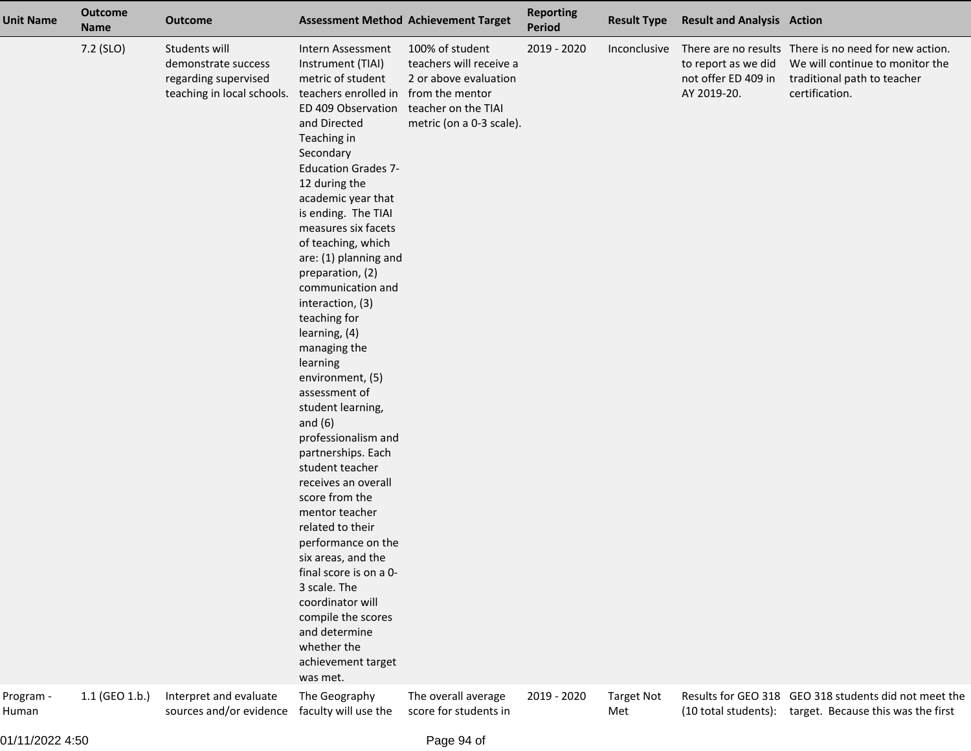| <b>Unit Name</b> | <b>Outcome</b><br><b>Name</b> | <b>Outcome</b>                                                                                                       |                                                                                                                                                                                                                                                                                                                                                                                                                                                                                                                                                                                                                                                                                                                                                                                                                                                                                            | <b>Assessment Method Achievement Target</b>                                                                                                                      | <b>Reporting</b><br><b>Period</b> | <b>Result Type</b>                | <b>Result and Analysis Action</b>                         |                                                                                                                                                                                                    |
|------------------|-------------------------------|----------------------------------------------------------------------------------------------------------------------|--------------------------------------------------------------------------------------------------------------------------------------------------------------------------------------------------------------------------------------------------------------------------------------------------------------------------------------------------------------------------------------------------------------------------------------------------------------------------------------------------------------------------------------------------------------------------------------------------------------------------------------------------------------------------------------------------------------------------------------------------------------------------------------------------------------------------------------------------------------------------------------------|------------------------------------------------------------------------------------------------------------------------------------------------------------------|-----------------------------------|-----------------------------------|-----------------------------------------------------------|----------------------------------------------------------------------------------------------------------------------------------------------------------------------------------------------------|
| Program -        | 7.2 (SLO)<br>1.1 (GEO 1.b.)   | Students will<br>demonstrate success<br>regarding supervised<br>teaching in local schools.<br>Interpret and evaluate | Intern Assessment<br>Instrument (TIAI)<br>metric of student<br>teachers enrolled in<br>ED 409 Observation<br>and Directed<br>Teaching in<br>Secondary<br><b>Education Grades 7-</b><br>12 during the<br>academic year that<br>is ending. The TIAI<br>measures six facets<br>of teaching, which<br>are: (1) planning and<br>preparation, (2)<br>communication and<br>interaction, (3)<br>teaching for<br>learning, (4)<br>managing the<br>learning<br>environment, (5)<br>assessment of<br>student learning,<br>and $(6)$<br>professionalism and<br>partnerships. Each<br>student teacher<br>receives an overall<br>score from the<br>mentor teacher<br>related to their<br>performance on the<br>six areas, and the<br>final score is on a 0-<br>3 scale. The<br>coordinator will<br>compile the scores<br>and determine<br>whether the<br>achievement target<br>was met.<br>The Geography | 100% of student<br>teachers will receive a<br>2 or above evaluation<br>from the mentor<br>teacher on the TIAI<br>metric (on a 0-3 scale).<br>The overall average | 2019 - 2020<br>2019 - 2020        | Inconclusive<br><b>Target Not</b> | to report as we did<br>not offer ED 409 in<br>AY 2019-20. | There are no results There is no need for new action.<br>We will continue to monitor the<br>traditional path to teacher<br>certification.<br>Results for GEO 318 GEO 318 students did not meet the |
| Human            |                               | sources and/or evidence                                                                                              | faculty will use the                                                                                                                                                                                                                                                                                                                                                                                                                                                                                                                                                                                                                                                                                                                                                                                                                                                                       | score for students in                                                                                                                                            |                                   | Met                               |                                                           | (10 total students): target. Because this was the first                                                                                                                                            |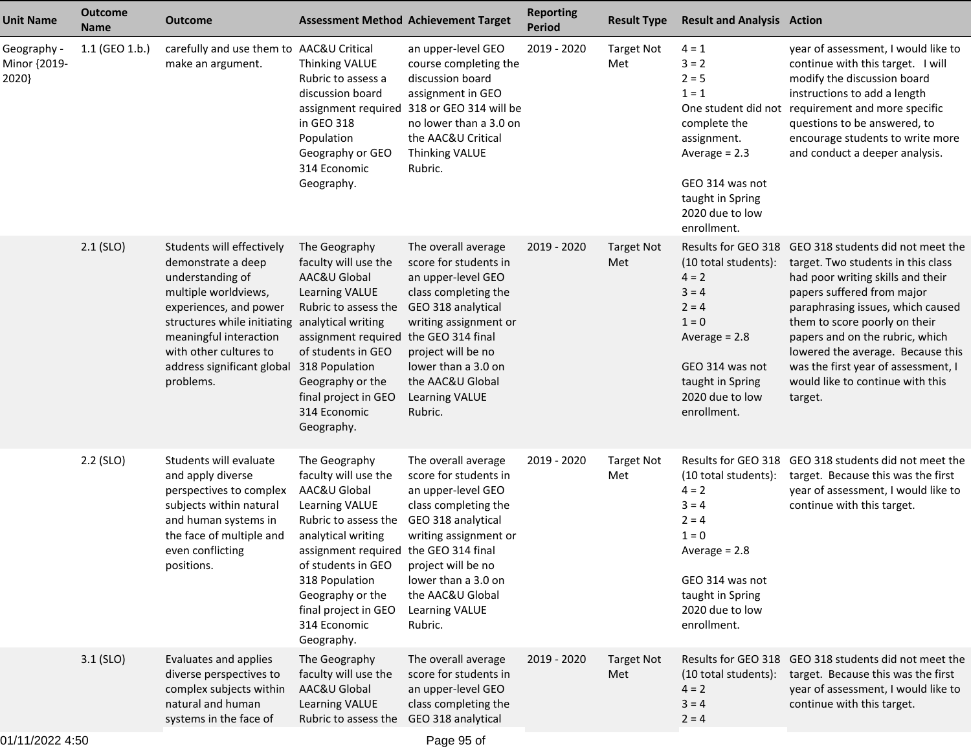| <b>Unit Name</b>                     | <b>Outcome</b><br><b>Name</b> | <b>Outcome</b>                                                                                                                                                                                                                                                         |                                                                                                                                                                                                                                                                                  | <b>Assessment Method Achievement Target</b>                                                                                                                                                                                                                  | <b>Reporting</b><br><b>Period</b> | <b>Result Type</b>       | <b>Result and Analysis Action</b>                                                                                                                                   |                                                                                                                                                                                                                                                                                                                                                                                                    |
|--------------------------------------|-------------------------------|------------------------------------------------------------------------------------------------------------------------------------------------------------------------------------------------------------------------------------------------------------------------|----------------------------------------------------------------------------------------------------------------------------------------------------------------------------------------------------------------------------------------------------------------------------------|--------------------------------------------------------------------------------------------------------------------------------------------------------------------------------------------------------------------------------------------------------------|-----------------------------------|--------------------------|---------------------------------------------------------------------------------------------------------------------------------------------------------------------|----------------------------------------------------------------------------------------------------------------------------------------------------------------------------------------------------------------------------------------------------------------------------------------------------------------------------------------------------------------------------------------------------|
| Geography -<br>Minor {2019-<br>2020} | 1.1 (GEO 1.b.)                | carefully and use them to AAC&U Critical<br>make an argument.                                                                                                                                                                                                          | Thinking VALUE<br>Rubric to assess a<br>discussion board<br>assignment required<br>in GEO 318<br>Population<br>Geography or GEO<br>314 Economic<br>Geography.                                                                                                                    | an upper-level GEO<br>course completing the<br>discussion board<br>assignment in GEO<br>318 or GEO 314 will be<br>no lower than a 3.0 on<br>the AAC&U Critical<br>Thinking VALUE<br>Rubric.                                                                  | 2019 - 2020                       | <b>Target Not</b><br>Met | $4 = 1$<br>$3 = 2$<br>$2 = 5$<br>$1 = 1$<br>complete the<br>assignment.<br>Average $= 2.3$<br>GEO 314 was not<br>taught in Spring<br>2020 due to low<br>enrollment. | year of assessment, I would like to<br>continue with this target. I will<br>modify the discussion board<br>instructions to add a length<br>One student did not requirement and more specific<br>questions to be answered, to<br>encourage students to write more<br>and conduct a deeper analysis.                                                                                                 |
|                                      | $2.1$ (SLO)                   | Students will effectively<br>demonstrate a deep<br>understanding of<br>multiple worldviews,<br>experiences, and power<br>structures while initiating analytical writing<br>meaningful interaction<br>with other cultures to<br>address significant global<br>problems. | The Geography<br>faculty will use the<br>AAC&U Global<br>Learning VALUE<br>Rubric to assess the<br>assignment required<br>of students in GEO<br>318 Population<br>Geography or the<br>final project in GEO<br>314 Economic<br>Geography.                                         | The overall average<br>score for students in<br>an upper-level GEO<br>class completing the<br>GEO 318 analytical<br>writing assignment or<br>the GEO 314 final<br>project will be no<br>lower than a 3.0 on<br>the AAC&U Global<br>Learning VALUE<br>Rubric. | 2019 - 2020                       | <b>Target Not</b><br>Met | (10 total students):<br>$4 = 2$<br>$3 = 4$<br>$2 = 4$<br>$1 = 0$<br>Average $= 2.8$<br>GEO 314 was not<br>taught in Spring<br>2020 due to low<br>enrollment.        | Results for GEO 318 GEO 318 students did not meet the<br>target. Two students in this class<br>had poor writing skills and their<br>papers suffered from major<br>paraphrasing issues, which caused<br>them to score poorly on their<br>papers and on the rubric, which<br>lowered the average. Because this<br>was the first year of assessment, I<br>would like to continue with this<br>target. |
|                                      | $2.2$ (SLO)                   | Students will evaluate<br>and apply diverse<br>perspectives to complex<br>subjects within natural<br>and human systems in<br>the face of multiple and<br>even conflicting<br>positions.                                                                                | The Geography<br>faculty will use the<br>AAC&U Global<br>Learning VALUE<br>Rubric to assess the<br>analytical writing<br>assignment required the GEO 314 final<br>of students in GEO<br>318 Population<br>Geography or the<br>final project in GEO<br>314 Economic<br>Geography. | The overall average<br>score for students in<br>an upper-level GEO<br>class completing the<br>GEO 318 analytical<br>writing assignment or<br>project will be no<br>lower than a 3.0 on<br>the AAC&U Global<br>Learning VALUE<br>Rubric.                      | 2019 - 2020                       | <b>Target Not</b><br>Met | (10 total students):<br>$4 = 2$<br>$3 = 4$<br>$2 = 4$<br>$1 = 0$<br>Average $= 2.8$<br>GEO 314 was not<br>taught in Spring<br>2020 due to low<br>enrollment.        | Results for GEO 318 GEO 318 students did not meet the<br>target. Because this was the first<br>year of assessment, I would like to<br>continue with this target.                                                                                                                                                                                                                                   |
|                                      | $3.1$ (SLO)                   | Evaluates and applies<br>diverse perspectives to<br>complex subjects within<br>natural and human<br>systems in the face of                                                                                                                                             | The Geography<br>faculty will use the<br>AAC&U Global<br>Learning VALUE<br>Rubric to assess the                                                                                                                                                                                  | The overall average<br>score for students in<br>an upper-level GEO<br>class completing the<br>GEO 318 analytical                                                                                                                                             | 2019 - 2020                       | <b>Target Not</b><br>Met | (10 total students):<br>$4 = 2$<br>$3 = 4$<br>$2 = 4$                                                                                                               | Results for GEO 318 GEO 318 students did not meet the<br>target. Because this was the first<br>year of assessment, I would like to<br>continue with this target.                                                                                                                                                                                                                                   |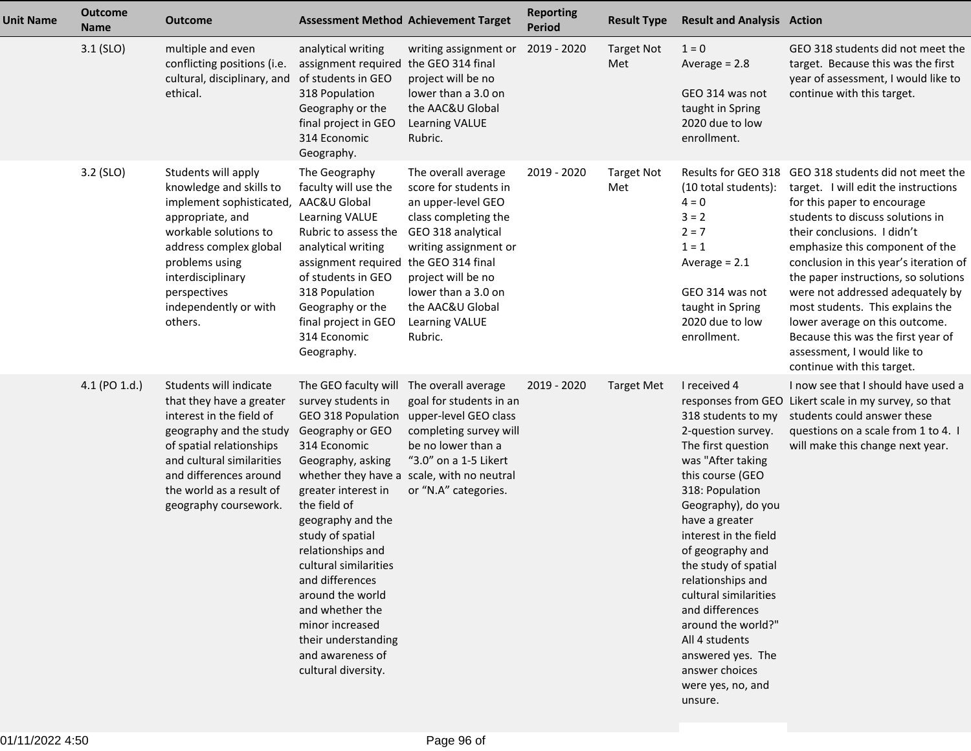| <b>Unit Name</b> | <b>Outcome</b><br><b>Name</b> | <b>Outcome</b>                                                                                                                                                                                                                                            |                                                                                                                                                                                                                                                                                                                                                                                                        | <b>Assessment Method Achievement Target</b>                                                                                                                                                                                             | <b>Reporting</b><br><b>Period</b> | <b>Result Type</b>       | <b>Result and Analysis Action</b>                                                                                                                                                                                                                                                                                                                                                                                                       |                                                                                                                                                                                                                                                                                                                                                                                                                                                                                                                                   |
|------------------|-------------------------------|-----------------------------------------------------------------------------------------------------------------------------------------------------------------------------------------------------------------------------------------------------------|--------------------------------------------------------------------------------------------------------------------------------------------------------------------------------------------------------------------------------------------------------------------------------------------------------------------------------------------------------------------------------------------------------|-----------------------------------------------------------------------------------------------------------------------------------------------------------------------------------------------------------------------------------------|-----------------------------------|--------------------------|-----------------------------------------------------------------------------------------------------------------------------------------------------------------------------------------------------------------------------------------------------------------------------------------------------------------------------------------------------------------------------------------------------------------------------------------|-----------------------------------------------------------------------------------------------------------------------------------------------------------------------------------------------------------------------------------------------------------------------------------------------------------------------------------------------------------------------------------------------------------------------------------------------------------------------------------------------------------------------------------|
|                  | $3.1$ (SLO)                   | multiple and even<br>conflicting positions (i.e.<br>cultural, disciplinary, and of students in GEO<br>ethical.                                                                                                                                            | analytical writing<br>assignment required<br>318 Population<br>Geography or the<br>final project in GEO<br>314 Economic<br>Geography.                                                                                                                                                                                                                                                                  | writing assignment or<br>the GEO 314 final<br>project will be no<br>lower than a 3.0 on<br>the AAC&U Global<br><b>Learning VALUE</b><br>Rubric.                                                                                         | 2019 - 2020                       | <b>Target Not</b><br>Met | $1 = 0$<br>Average $= 2.8$<br>GEO 314 was not<br>taught in Spring<br>2020 due to low<br>enrollment.                                                                                                                                                                                                                                                                                                                                     | GEO 318 students did not meet the<br>target. Because this was the first<br>year of assessment, I would like to<br>continue with this target.                                                                                                                                                                                                                                                                                                                                                                                      |
|                  | 3.2 (SLO)                     | Students will apply<br>knowledge and skills to<br>implement sophisticated, AAC&U Global<br>appropriate, and<br>workable solutions to<br>address complex global<br>problems using<br>interdisciplinary<br>perspectives<br>independently or with<br>others. | The Geography<br>faculty will use the<br>Learning VALUE<br>Rubric to assess the<br>analytical writing<br>assignment required the GEO 314 final<br>of students in GEO<br>318 Population<br>Geography or the<br>final project in GEO<br>314 Economic<br>Geography.                                                                                                                                       | The overall average<br>score for students in<br>an upper-level GEO<br>class completing the<br>GEO 318 analytical<br>writing assignment or<br>project will be no<br>lower than a 3.0 on<br>the AAC&U Global<br>Learning VALUE<br>Rubric. | 2019 - 2020                       | <b>Target Not</b><br>Met | (10 total students):<br>$4 = 0$<br>$3 = 2$<br>$2 = 7$<br>$1 = 1$<br>Average $= 2.1$<br>GEO 314 was not<br>taught in Spring<br>2020 due to low<br>enrollment.                                                                                                                                                                                                                                                                            | Results for GEO 318 GEO 318 students did not meet the<br>target. I will edit the instructions<br>for this paper to encourage<br>students to discuss solutions in<br>their conclusions. I didn't<br>emphasize this component of the<br>conclusion in this year's iteration of<br>the paper instructions, so solutions<br>were not addressed adequately by<br>most students. This explains the<br>lower average on this outcome.<br>Because this was the first year of<br>assessment, I would like to<br>continue with this target. |
|                  | 4.1 (PO 1.d.)                 | Students will indicate<br>that they have a greater<br>interest in the field of<br>geography and the study<br>of spatial relationships<br>and cultural similarities<br>and differences around<br>the world as a result of<br>geography coursework.         | The GEO faculty will<br>survey students in<br>GEO 318 Population<br>Geography or GEO<br>314 Economic<br>Geography, asking<br>greater interest in<br>the field of<br>geography and the<br>study of spatial<br>relationships and<br>cultural similarities<br>and differences<br>around the world<br>and whether the<br>minor increased<br>their understanding<br>and awareness of<br>cultural diversity. | The overall average<br>goal for students in an<br>upper-level GEO class<br>completing survey will<br>be no lower than a<br>"3.0" on a 1-5 Likert<br>whether they have a scale, with no neutral<br>or "N.A" categories.                  | 2019 - 2020                       | <b>Target Met</b>        | I received 4<br>318 students to my<br>2-question survey.<br>The first question<br>was "After taking<br>this course (GEO<br>318: Population<br>Geography), do you<br>have a greater<br>interest in the field<br>of geography and<br>the study of spatial<br>relationships and<br>cultural similarities<br>and differences<br>around the world?"<br>All 4 students<br>answered yes. The<br>answer choices<br>were yes, no, and<br>unsure. | I now see that I should have used a<br>responses from GEO Likert scale in my survey, so that<br>students could answer these<br>questions on a scale from 1 to 4. I<br>will make this change next year.                                                                                                                                                                                                                                                                                                                            |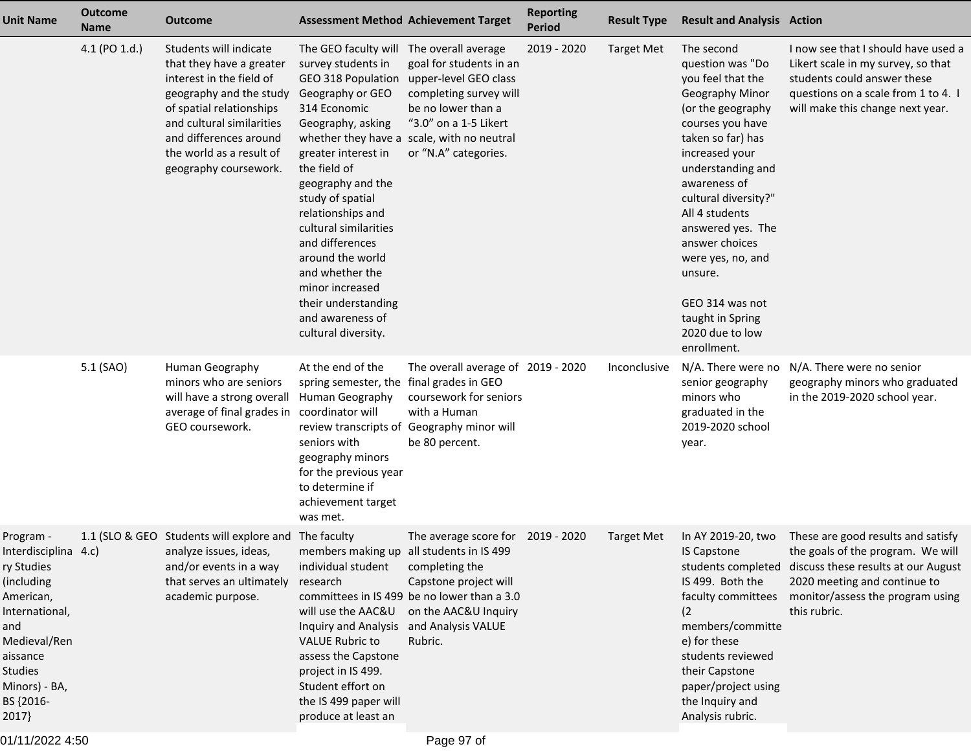| <b>Unit Name</b>                                                                                                                                                                  | <b>Outcome</b><br><b>Name</b> | <b>Outcome</b>                                                                                                                                                                                                                                    | <b>Assessment Method Achievement Target</b>                                                                                                                                                                                                                                                                                                                                                            |                                                                                                                                                                                                                        | <b>Reporting</b><br><b>Period</b> | <b>Result Type</b> | <b>Result and Analysis Action</b>                                                                                                                                                                                                                                                                                                                                                     |                                                                                                                                                                                                                       |
|-----------------------------------------------------------------------------------------------------------------------------------------------------------------------------------|-------------------------------|---------------------------------------------------------------------------------------------------------------------------------------------------------------------------------------------------------------------------------------------------|--------------------------------------------------------------------------------------------------------------------------------------------------------------------------------------------------------------------------------------------------------------------------------------------------------------------------------------------------------------------------------------------------------|------------------------------------------------------------------------------------------------------------------------------------------------------------------------------------------------------------------------|-----------------------------------|--------------------|---------------------------------------------------------------------------------------------------------------------------------------------------------------------------------------------------------------------------------------------------------------------------------------------------------------------------------------------------------------------------------------|-----------------------------------------------------------------------------------------------------------------------------------------------------------------------------------------------------------------------|
|                                                                                                                                                                                   | 4.1 (PO 1.d.)                 | Students will indicate<br>that they have a greater<br>interest in the field of<br>geography and the study<br>of spatial relationships<br>and cultural similarities<br>and differences around<br>the world as a result of<br>geography coursework. | The GEO faculty will<br>survey students in<br>GEO 318 Population<br>Geography or GEO<br>314 Economic<br>Geography, asking<br>greater interest in<br>the field of<br>geography and the<br>study of spatial<br>relationships and<br>cultural similarities<br>and differences<br>around the world<br>and whether the<br>minor increased<br>their understanding<br>and awareness of<br>cultural diversity. | The overall average<br>goal for students in an<br>upper-level GEO class<br>completing survey will<br>be no lower than a<br>"3.0" on a 1-5 Likert<br>whether they have a scale, with no neutral<br>or "N.A" categories. | 2019 - 2020                       | <b>Target Met</b>  | The second<br>question was "Do<br>you feel that the<br>Geography Minor<br>(or the geography<br>courses you have<br>taken so far) has<br>increased your<br>understanding and<br>awareness of<br>cultural diversity?"<br>All 4 students<br>answered yes. The<br>answer choices<br>were yes, no, and<br>unsure.<br>GEO 314 was not<br>taught in Spring<br>2020 due to low<br>enrollment. | I now see that I should have used a<br>Likert scale in my survey, so that<br>students could answer these<br>questions on a scale from 1 to 4. I<br>will make this change next year.                                   |
|                                                                                                                                                                                   | 5.1 (SAO)                     | Human Geography<br>minors who are seniors<br>will have a strong overall<br>average of final grades in<br>GEO coursework.                                                                                                                          | At the end of the<br>spring semester, the<br>Human Geography<br>coordinator will<br>seniors with<br>geography minors<br>for the previous year<br>to determine if<br>achievement target<br>was met.                                                                                                                                                                                                     | The overall average of 2019 - 2020<br>final grades in GEO<br>coursework for seniors<br>with a Human<br>review transcripts of Geography minor will<br>be 80 percent.                                                    |                                   | Inconclusive       | N/A. There were no<br>senior geography<br>minors who<br>graduated in the<br>2019-2020 school<br>year.                                                                                                                                                                                                                                                                                 | N/A. There were no senior<br>geography minors who graduated<br>in the 2019-2020 school year.                                                                                                                          |
| Program -<br>Interdisciplina 4.c)<br>ry Studies<br>(including<br>American,<br>International,<br>and<br>Medieval/Ren<br>aissance<br>Studies<br>Minors) - BA,<br>BS {2016-<br>2017} |                               | 1.1 (SLO & GEO Students will explore and The faculty<br>analyze issues, ideas,<br>and/or events in a way<br>that serves an ultimately<br>academic purpose.                                                                                        | members making up all students in IS 499<br>individual student<br>research<br>will use the AAC&U<br>Inquiry and Analysis and Analysis VALUE<br><b>VALUE Rubric to</b><br>assess the Capstone<br>project in IS 499.<br>Student effort on<br>the IS 499 paper will<br>produce at least an                                                                                                                | The average score for 2019 - 2020<br>completing the<br>Capstone project will<br>committees in IS 499 be no lower than a 3.0<br>on the AAC&U Inquiry<br>Rubric.                                                         |                                   | <b>Target Met</b>  | In AY 2019-20, two<br><b>IS Capstone</b><br>IS 499. Both the<br>faculty committees<br>(2<br>members/committe<br>e) for these<br>students reviewed<br>their Capstone<br>paper/project using<br>the Inquiry and<br>Analysis rubric.                                                                                                                                                     | These are good results and satisfy<br>the goals of the program. We will<br>students completed discuss these results at our August<br>2020 meeting and continue to<br>monitor/assess the program using<br>this rubric. |

01/11/2022 4:50

Page 97 of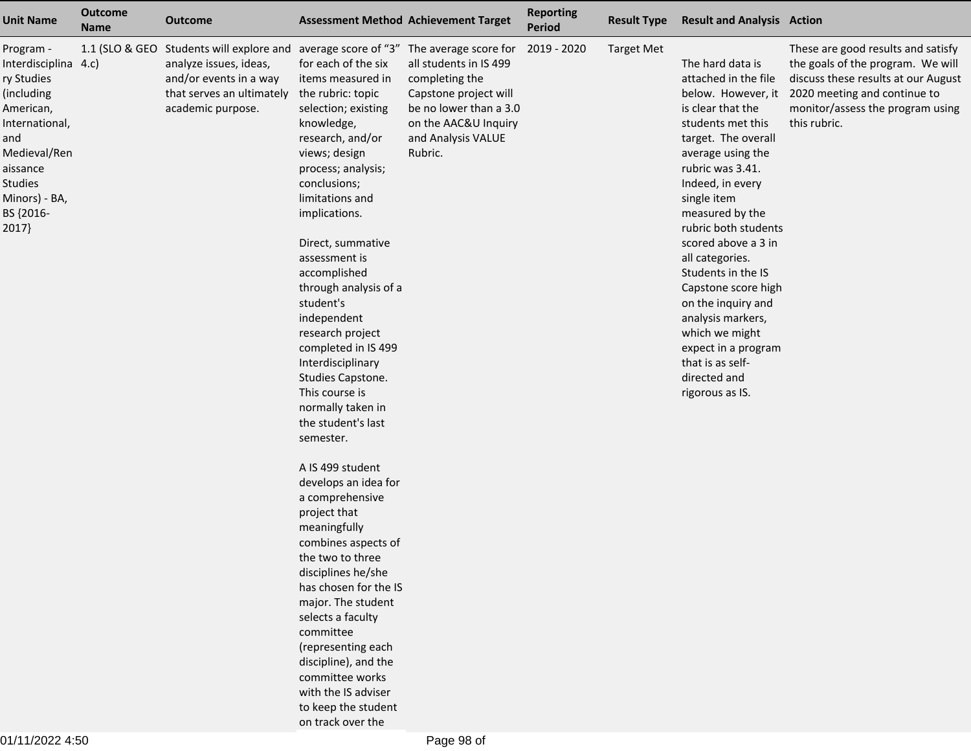| <b>Unit Name</b>                                                                                                                                                                         | <b>Outcome</b><br><b>Name</b> | <b>Outcome</b>                                                                                                                                                             |                                                                                                                                                                                                                                                                                                                                                                                                                                                                                                                 | <b>Assessment Method Achievement Target</b>                                                                                                          | <b>Reporting</b><br><b>Period</b> | <b>Result Type</b> | <b>Result and Analysis Action</b>                                                                                                                                                                                                                                                                                                                                                                                                                                  |                                                                                                                                                                                                                       |
|------------------------------------------------------------------------------------------------------------------------------------------------------------------------------------------|-------------------------------|----------------------------------------------------------------------------------------------------------------------------------------------------------------------------|-----------------------------------------------------------------------------------------------------------------------------------------------------------------------------------------------------------------------------------------------------------------------------------------------------------------------------------------------------------------------------------------------------------------------------------------------------------------------------------------------------------------|------------------------------------------------------------------------------------------------------------------------------------------------------|-----------------------------------|--------------------|--------------------------------------------------------------------------------------------------------------------------------------------------------------------------------------------------------------------------------------------------------------------------------------------------------------------------------------------------------------------------------------------------------------------------------------------------------------------|-----------------------------------------------------------------------------------------------------------------------------------------------------------------------------------------------------------------------|
| Program -<br>Interdisciplina 4.c)<br>ry Studies<br>(including<br>American,<br>International,<br>and<br>Medieval/Ren<br>aissance<br><b>Studies</b><br>Minors) - BA,<br>BS {2016-<br>2017} | 1.1 (SLO & GEO                | Students will explore and average score of "3" The average score for<br>analyze issues, ideas,<br>and/or events in a way<br>that serves an ultimately<br>academic purpose. | for each of the six<br>items measured in<br>the rubric: topic<br>selection; existing<br>knowledge,<br>research, and/or<br>views; design<br>process; analysis;<br>conclusions;<br>limitations and<br>implications.<br>Direct, summative<br>assessment is<br>accomplished<br>through analysis of a<br>student's<br>independent<br>research project<br>completed in IS 499<br>Interdisciplinary<br>Studies Capstone.<br>This course is<br>normally taken in<br>the student's last<br>semester.<br>A IS 499 student | all students in IS 499<br>completing the<br>Capstone project will<br>be no lower than a 3.0<br>on the AAC&U Inquiry<br>and Analysis VALUE<br>Rubric. | 2019 - 2020                       | <b>Target Met</b>  | The hard data is<br>attached in the file<br>is clear that the<br>students met this<br>target. The overall<br>average using the<br>rubric was 3.41.<br>Indeed, in every<br>single item<br>measured by the<br>rubric both students<br>scored above a 3 in<br>all categories.<br>Students in the IS<br>Capstone score high<br>on the inquiry and<br>analysis markers,<br>which we might<br>expect in a program<br>that is as self-<br>directed and<br>rigorous as IS. | These are good results and satisfy<br>the goals of the program. We will<br>discuss these results at our August<br>below. However, it 2020 meeting and continue to<br>monitor/assess the program using<br>this rubric. |
|                                                                                                                                                                                          |                               |                                                                                                                                                                            | develops an idea for<br>a comprehensive<br>project that<br>meaningfully<br>combines aspects of                                                                                                                                                                                                                                                                                                                                                                                                                  |                                                                                                                                                      |                                   |                    |                                                                                                                                                                                                                                                                                                                                                                                                                                                                    |                                                                                                                                                                                                                       |
|                                                                                                                                                                                          |                               |                                                                                                                                                                            | the two to three<br>disciplines he/she<br>has chosen for the IS<br>major. The student<br>selects a faculty<br>committee<br>(representing each<br>discipline), and the                                                                                                                                                                                                                                                                                                                                           |                                                                                                                                                      |                                   |                    |                                                                                                                                                                                                                                                                                                                                                                                                                                                                    |                                                                                                                                                                                                                       |
|                                                                                                                                                                                          |                               |                                                                                                                                                                            | committee works<br>with the IS adviser<br>to keep the student<br>on track over the                                                                                                                                                                                                                                                                                                                                                                                                                              |                                                                                                                                                      |                                   |                    |                                                                                                                                                                                                                                                                                                                                                                                                                                                                    |                                                                                                                                                                                                                       |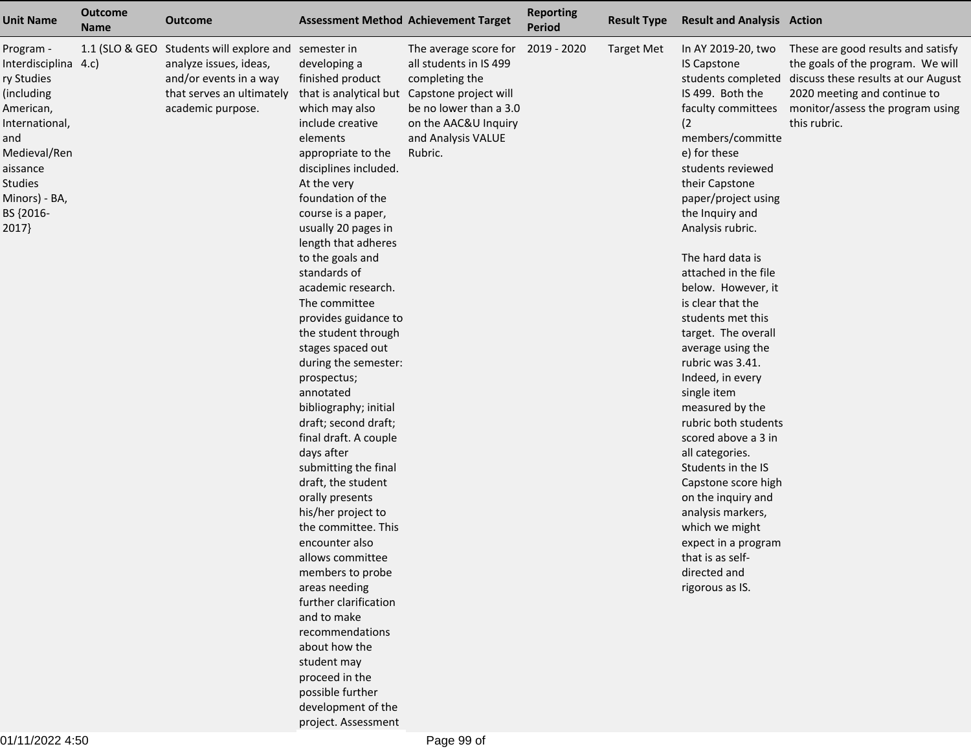| <b>Unit Name</b>                                                                                                                                                                         | <b>Outcome</b><br><b>Name</b> | Outcome                                                                                                                                                    |                                                                                                                                                                                                                                                                                                                                                                                                                                                                                                                                                                                                                                                                                                                                                                                                                                                                                                                                       | <b>Assessment Method Achievement Target</b>                                                                                                                                   | <b>Reporting</b><br><b>Period</b> | <b>Result Type</b> | <b>Result and Analysis Action</b>                                                                                                                                                                                                                                                                                                                                                                                                                                                                                                                                                                                                                                                                                                                    |                                                                                                                                                                                                    |
|------------------------------------------------------------------------------------------------------------------------------------------------------------------------------------------|-------------------------------|------------------------------------------------------------------------------------------------------------------------------------------------------------|---------------------------------------------------------------------------------------------------------------------------------------------------------------------------------------------------------------------------------------------------------------------------------------------------------------------------------------------------------------------------------------------------------------------------------------------------------------------------------------------------------------------------------------------------------------------------------------------------------------------------------------------------------------------------------------------------------------------------------------------------------------------------------------------------------------------------------------------------------------------------------------------------------------------------------------|-------------------------------------------------------------------------------------------------------------------------------------------------------------------------------|-----------------------------------|--------------------|------------------------------------------------------------------------------------------------------------------------------------------------------------------------------------------------------------------------------------------------------------------------------------------------------------------------------------------------------------------------------------------------------------------------------------------------------------------------------------------------------------------------------------------------------------------------------------------------------------------------------------------------------------------------------------------------------------------------------------------------------|----------------------------------------------------------------------------------------------------------------------------------------------------------------------------------------------------|
| Program -<br>Interdisciplina 4.c)<br>ry Studies<br>(including<br>American,<br>International,<br>and<br>Medieval/Ren<br>aissance<br><b>Studies</b><br>Minors) - BA,<br>BS {2016-<br>2017} |                               | 1.1 (SLO & GEO Students will explore and semester in<br>analyze issues, ideas,<br>and/or events in a way<br>that serves an ultimately<br>academic purpose. | developing a<br>finished product<br>that is analytical but<br>which may also<br>include creative<br>elements<br>appropriate to the<br>disciplines included.<br>At the very<br>foundation of the<br>course is a paper,<br>usually 20 pages in<br>length that adheres<br>to the goals and<br>standards of<br>academic research.<br>The committee<br>provides guidance to<br>the student through<br>stages spaced out<br>during the semester:<br>prospectus;<br>annotated<br>bibliography; initial<br>draft; second draft;<br>final draft. A couple<br>days after<br>submitting the final<br>draft, the student<br>orally presents<br>his/her project to<br>the committee. This<br>encounter also<br>allows committee<br>members to probe<br>areas needing<br>further clarification<br>and to make<br>recommendations<br>about how the<br>student may<br>proceed in the<br>possible further<br>development of the<br>project. Assessment | The average score for<br>all students in IS 499<br>completing the<br>Capstone project will<br>be no lower than a 3.0<br>on the AAC&U Inquiry<br>and Analysis VALUE<br>Rubric. | 2019 - 2020                       | <b>Target Met</b>  | In AY 2019-20, two<br><b>IS Capstone</b><br>students completed<br>IS 499. Both the<br>faculty committees<br>(2)<br>members/committe<br>e) for these<br>students reviewed<br>their Capstone<br>paper/project using<br>the Inquiry and<br>Analysis rubric.<br>The hard data is<br>attached in the file<br>below. However, it<br>is clear that the<br>students met this<br>target. The overall<br>average using the<br>rubric was 3.41.<br>Indeed, in every<br>single item<br>measured by the<br>rubric both students<br>scored above a 3 in<br>all categories.<br>Students in the IS<br>Capstone score high<br>on the inquiry and<br>analysis markers,<br>which we might<br>expect in a program<br>that is as self-<br>directed and<br>rigorous as IS. | These are good results and satisfy<br>the goals of the program. We will<br>discuss these results at our August<br>2020 meeting and continue to<br>monitor/assess the program using<br>this rubric. |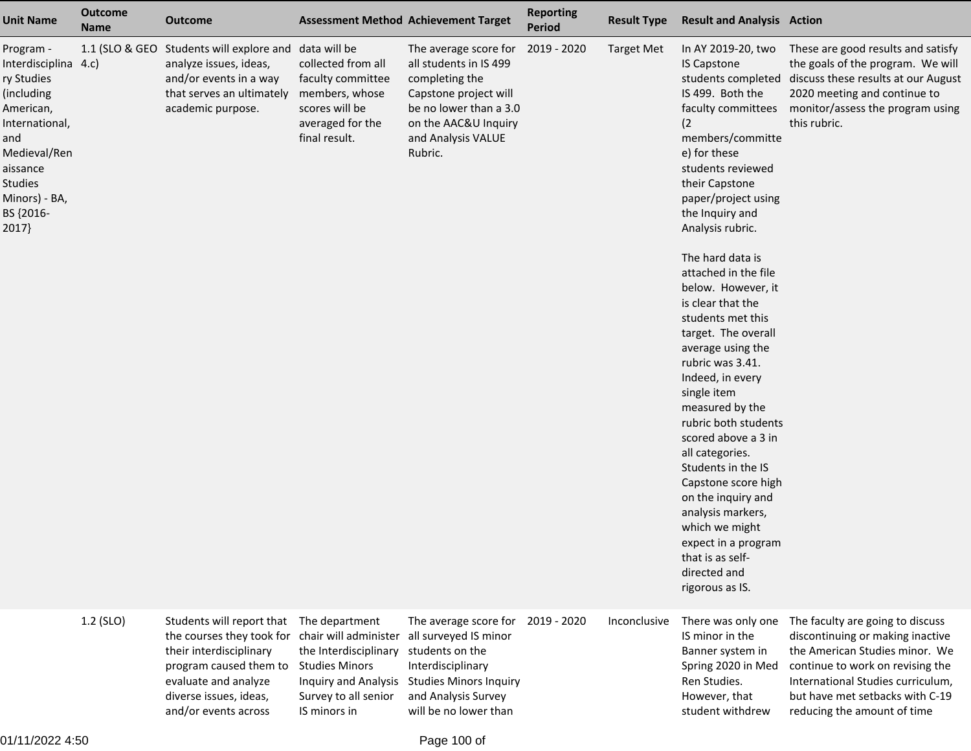| <b>Unit Name</b>                                                                                                                                                                        | <b>Outcome</b><br><b>Name</b> | <b>Outcome</b>                                                                                                                                                | <b>Assessment Method Achievement Target</b>                                                                                               |                                                                                                                                                                               | <b>Reporting</b><br><b>Period</b> | <b>Result Type</b> | <b>Result and Analysis Action</b>                                                                                                                                                                                                                                                                                                                                                                                                                                                                                                                                                                                                                                                                                                                    |                                                                                                                                                                                                                    |
|-----------------------------------------------------------------------------------------------------------------------------------------------------------------------------------------|-------------------------------|---------------------------------------------------------------------------------------------------------------------------------------------------------------|-------------------------------------------------------------------------------------------------------------------------------------------|-------------------------------------------------------------------------------------------------------------------------------------------------------------------------------|-----------------------------------|--------------------|------------------------------------------------------------------------------------------------------------------------------------------------------------------------------------------------------------------------------------------------------------------------------------------------------------------------------------------------------------------------------------------------------------------------------------------------------------------------------------------------------------------------------------------------------------------------------------------------------------------------------------------------------------------------------------------------------------------------------------------------------|--------------------------------------------------------------------------------------------------------------------------------------------------------------------------------------------------------------------|
| Program -<br>Interdisciplina 4.c)<br>ry Studies<br>(including<br>American,<br>International,<br>and<br>Medieval/Ren<br>aissance<br><b>Studies</b><br>Minors) - BA,<br>BS {2016-<br>2017 | 1.1 (SLO & GEO                | Students will explore and data will be<br>analyze issues, ideas,<br>and/or events in a way<br>that serves an ultimately<br>academic purpose.                  | collected from all<br>faculty committee<br>members, whose<br>scores will be<br>averaged for the<br>final result.                          | The average score for<br>all students in IS 499<br>completing the<br>Capstone project will<br>be no lower than a 3.0<br>on the AAC&U Inquiry<br>and Analysis VALUE<br>Rubric. | 2019 - 2020                       | <b>Target Met</b>  | In AY 2019-20, two<br><b>IS Capstone</b><br>students completed<br>IS 499. Both the<br>faculty committees<br>(2)<br>members/committe<br>e) for these<br>students reviewed<br>their Capstone<br>paper/project using<br>the Inquiry and<br>Analysis rubric.<br>The hard data is<br>attached in the file<br>below. However, it<br>is clear that the<br>students met this<br>target. The overall<br>average using the<br>rubric was 3.41.<br>Indeed, in every<br>single item<br>measured by the<br>rubric both students<br>scored above a 3 in<br>all categories.<br>Students in the IS<br>Capstone score high<br>on the inquiry and<br>analysis markers,<br>which we might<br>expect in a program<br>that is as self-<br>directed and<br>rigorous as IS. | These are good results and satisfy<br>the goals of the program. We will<br>discuss these results at our August<br>2020 meeting and continue to<br>monitor/assess the program using<br>this rubric.                 |
|                                                                                                                                                                                         | $1.2$ (SLO)                   | Students will report that<br>the courses they took for<br>their interdisciplinary<br>program caused them to<br>evaluate and analyze<br>diverse issues, ideas, | The department<br>chair will administer<br>the Interdisciplinary<br><b>Studies Minors</b><br>Inquiry and Analysis<br>Survey to all senior | The average score for<br>all surveyed IS minor<br>students on the<br>Interdisciplinary<br><b>Studies Minors Inquiry</b><br>and Analysis Survey                                | 2019 - 2020                       | Inconclusive       | There was only one<br>IS minor in the<br>Banner system in<br>Spring 2020 in Med<br>Ren Studies.<br>However, that                                                                                                                                                                                                                                                                                                                                                                                                                                                                                                                                                                                                                                     | The faculty are going to discuss<br>discontinuing or making inactive<br>the American Studies minor. We<br>continue to work on revising the<br>International Studies curriculum,<br>but have met setbacks with C-19 |

and/or events across

IS minors in

will be no lower than

student withdrew

reducing the amount of time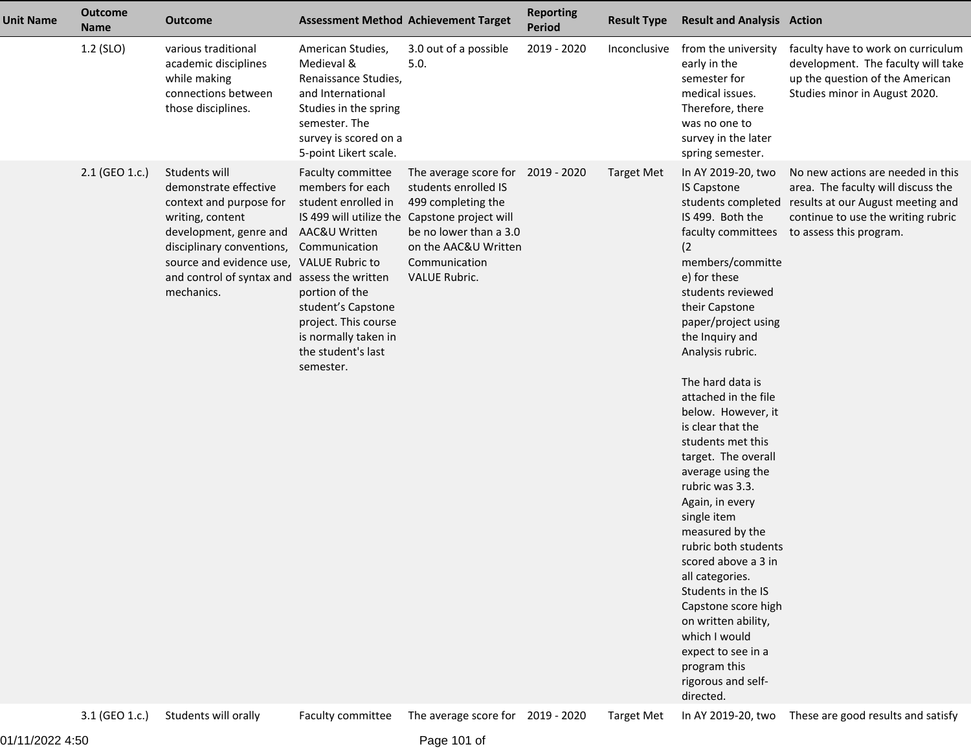| <b>Unit Name</b> | <b>Outcome</b><br><b>Name</b> | <b>Outcome</b>                                                                                                                                                                                                                         |                                                                                                                                                                                                                                                     | <b>Assessment Method Achievement Target</b>                                                                                                                                                                          | <b>Reporting</b><br><b>Period</b> | <b>Result Type</b> | <b>Result and Analysis Action</b>                                                                                                                                                                                                                                                                                                                                                                                                                                                                                                                                                                                                                                                                  |                                                                                                                                                                                                  |
|------------------|-------------------------------|----------------------------------------------------------------------------------------------------------------------------------------------------------------------------------------------------------------------------------------|-----------------------------------------------------------------------------------------------------------------------------------------------------------------------------------------------------------------------------------------------------|----------------------------------------------------------------------------------------------------------------------------------------------------------------------------------------------------------------------|-----------------------------------|--------------------|----------------------------------------------------------------------------------------------------------------------------------------------------------------------------------------------------------------------------------------------------------------------------------------------------------------------------------------------------------------------------------------------------------------------------------------------------------------------------------------------------------------------------------------------------------------------------------------------------------------------------------------------------------------------------------------------------|--------------------------------------------------------------------------------------------------------------------------------------------------------------------------------------------------|
|                  | 1.2 (SLO)                     | various traditional<br>academic disciplines<br>while making<br>connections between<br>those disciplines.                                                                                                                               | American Studies,<br>Medieval &<br>Renaissance Studies,<br>and International<br>Studies in the spring<br>semester. The<br>survey is scored on a<br>5-point Likert scale.                                                                            | 3.0 out of a possible<br>5.0.                                                                                                                                                                                        | 2019 - 2020                       | Inconclusive       | from the university<br>early in the<br>semester for<br>medical issues.<br>Therefore, there<br>was no one to<br>survey in the later<br>spring semester.                                                                                                                                                                                                                                                                                                                                                                                                                                                                                                                                             | faculty have to work on curriculum<br>development. The faculty will take<br>up the question of the American<br>Studies minor in August 2020.                                                     |
|                  | 2.1 (GEO 1.c.)                | Students will<br>demonstrate effective<br>context and purpose for<br>writing, content<br>development, genre and<br>disciplinary conventions,<br>source and evidence use,<br>and control of syntax and assess the written<br>mechanics. | Faculty committee<br>members for each<br>student enrolled in<br>AAC&U Written<br>Communication<br><b>VALUE Rubric to</b><br>portion of the<br>student's Capstone<br>project. This course<br>is normally taken in<br>the student's last<br>semester. | The average score for 2019 - 2020<br>students enrolled IS<br>499 completing the<br>IS 499 will utilize the Capstone project will<br>be no lower than a 3.0<br>on the AAC&U Written<br>Communication<br>VALUE Rubric. |                                   | <b>Target Met</b>  | In AY 2019-20, two<br><b>IS Capstone</b><br>IS 499. Both the<br>faculty committees<br>(2)<br>members/committe<br>e) for these<br>students reviewed<br>their Capstone<br>paper/project using<br>the Inquiry and<br>Analysis rubric.<br>The hard data is<br>attached in the file<br>below. However, it<br>is clear that the<br>students met this<br>target. The overall<br>average using the<br>rubric was 3.3.<br>Again, in every<br>single item<br>measured by the<br>rubric both students<br>scored above a 3 in<br>all categories.<br>Students in the IS<br>Capstone score high<br>on written ability,<br>which I would<br>expect to see in a<br>program this<br>rigorous and self-<br>directed. | No new actions are needed in this<br>area. The faculty will discuss the<br>students completed results at our August meeting and<br>continue to use the writing rubric<br>to assess this program. |
|                  | 3.1 (GEO 1.c.)                | Students will orally                                                                                                                                                                                                                   | Faculty committee                                                                                                                                                                                                                                   | The average score for 2019 - 2020                                                                                                                                                                                    |                                   | <b>Target Met</b>  |                                                                                                                                                                                                                                                                                                                                                                                                                                                                                                                                                                                                                                                                                                    | In AY 2019-20, two These are good results and satisfy                                                                                                                                            |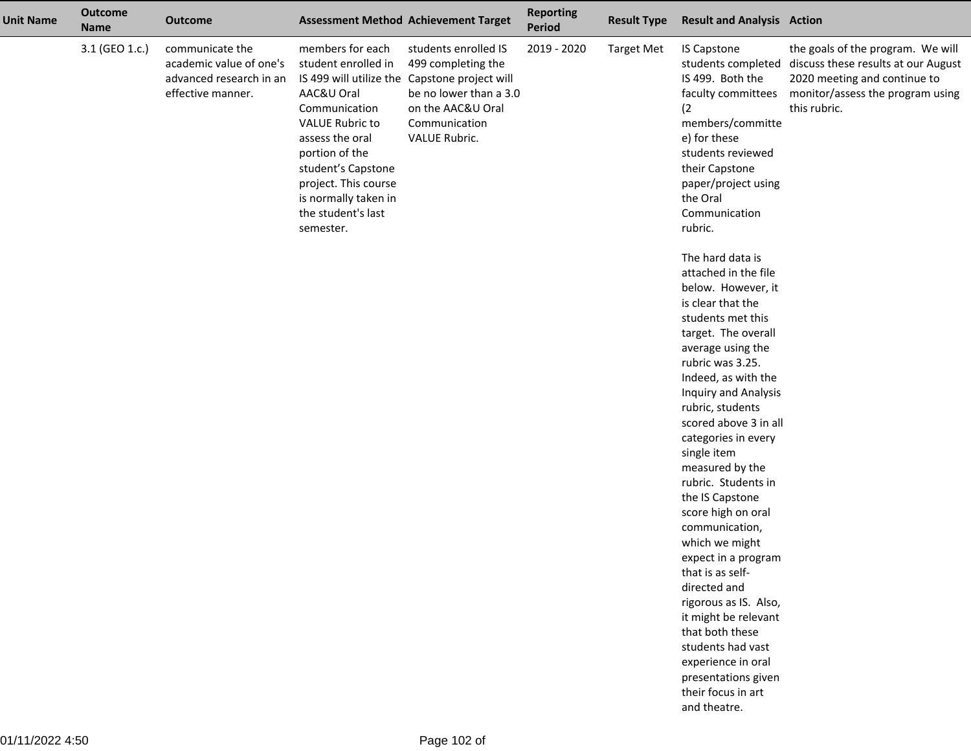| <b>Unit Name</b> | <b>Outcome</b><br><b>Name</b> | <b>Outcome</b>                                                                             |                                                                                                                                                                                                                                                                           | <b>Assessment Method Achievement Target</b>                                                                                                          | <b>Reporting</b><br>Period | <b>Result Type</b> | <b>Result and Analysis Action</b>                                                                                                                                                                                                                                                                                                                                                                                                        |                                                                                                                                                              |
|------------------|-------------------------------|--------------------------------------------------------------------------------------------|---------------------------------------------------------------------------------------------------------------------------------------------------------------------------------------------------------------------------------------------------------------------------|------------------------------------------------------------------------------------------------------------------------------------------------------|----------------------------|--------------------|------------------------------------------------------------------------------------------------------------------------------------------------------------------------------------------------------------------------------------------------------------------------------------------------------------------------------------------------------------------------------------------------------------------------------------------|--------------------------------------------------------------------------------------------------------------------------------------------------------------|
|                  | 3.1 (GEO 1.c.)                | communicate the<br>academic value of one's<br>advanced research in an<br>effective manner. | members for each<br>student enrolled in<br>IS 499 will utilize the<br>AAC&U Oral<br>Communication<br><b>VALUE Rubric to</b><br>assess the oral<br>portion of the<br>student's Capstone<br>project. This course<br>is normally taken in<br>the student's last<br>semester. | students enrolled IS<br>499 completing the<br>Capstone project will<br>be no lower than a 3.0<br>on the AAC&U Oral<br>Communication<br>VALUE Rubric. | 2019 - 2020                | <b>Target Met</b>  | <b>IS Capstone</b><br>students completed<br>IS 499. Both the<br>faculty committees<br>(2)<br>members/committe<br>e) for these<br>students reviewed<br>their Capstone<br>paper/project using<br>the Oral<br>Communication<br>rubric.                                                                                                                                                                                                      | the goals of the program. We will<br>discuss these results at our August<br>2020 meeting and continue to<br>monitor/assess the program using<br>this rubric. |
|                  |                               |                                                                                            |                                                                                                                                                                                                                                                                           |                                                                                                                                                      |                            |                    | The hard data is<br>attached in the file<br>below. However, it<br>is clear that the<br>students met this<br>target. The overall<br>average using the<br>rubric was 3.25.<br>Indeed, as with the<br><b>Inquiry and Analysis</b><br>rubric, students<br>scored above 3 in all<br>categories in every<br>single item<br>measured by the<br>rubric. Students in<br>the IS Capstone<br>score high on oral<br>communication,<br>which we might |                                                                                                                                                              |
|                  |                               |                                                                                            |                                                                                                                                                                                                                                                                           |                                                                                                                                                      |                            |                    | expect in a program<br>that is as self-<br>directed and<br>rigorous as IS. Also,<br>it might be relevant<br>that both these<br>students had vast<br>experience in oral<br>presentations given<br>their focus in art<br>and theatre.                                                                                                                                                                                                      |                                                                                                                                                              |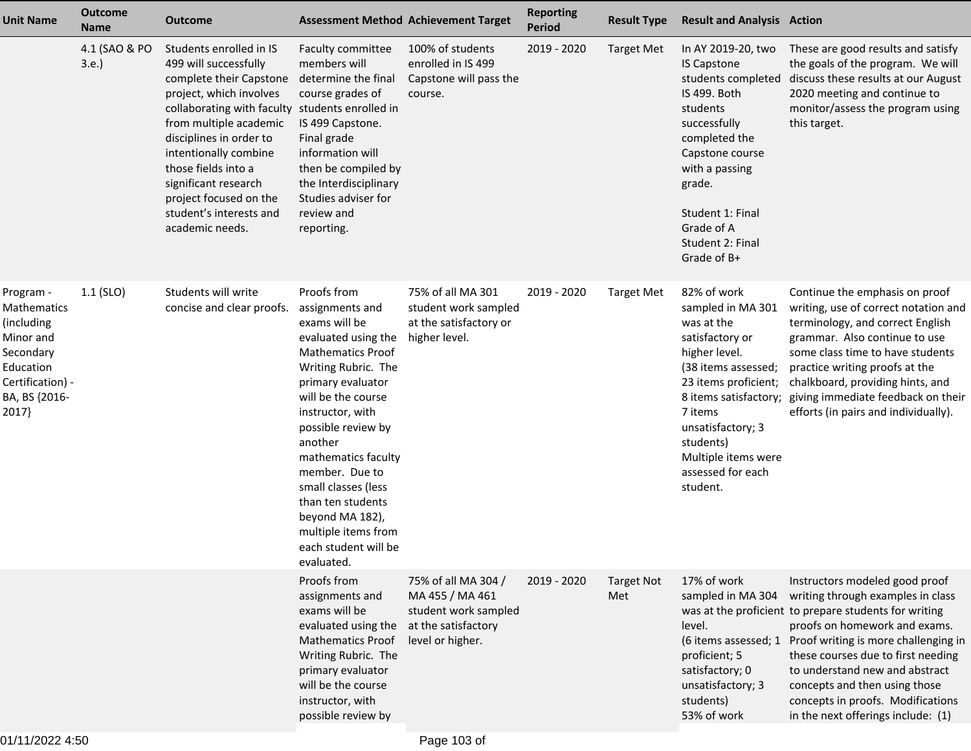| <b>Unit Name</b>                                                                                                            | <b>Outcome</b><br><b>Name</b> | <b>Outcome</b>                                                                                                                                                                                                                                                                                                                                                 | <b>Assessment Method Achievement Target</b>                                                                                                                                                                                                                                                                                                                                                    |                                                                                                           | <b>Reporting</b><br><b>Period</b> | <b>Result Type</b>       | <b>Result and Analysis Action</b>                                                                                                                                                                                                                               |                                                                                                                                                                                                                                                                                                                                                                                           |
|-----------------------------------------------------------------------------------------------------------------------------|-------------------------------|----------------------------------------------------------------------------------------------------------------------------------------------------------------------------------------------------------------------------------------------------------------------------------------------------------------------------------------------------------------|------------------------------------------------------------------------------------------------------------------------------------------------------------------------------------------------------------------------------------------------------------------------------------------------------------------------------------------------------------------------------------------------|-----------------------------------------------------------------------------------------------------------|-----------------------------------|--------------------------|-----------------------------------------------------------------------------------------------------------------------------------------------------------------------------------------------------------------------------------------------------------------|-------------------------------------------------------------------------------------------------------------------------------------------------------------------------------------------------------------------------------------------------------------------------------------------------------------------------------------------------------------------------------------------|
|                                                                                                                             | 4.1 (SAO & PO<br>3.e.         | Students enrolled in IS<br>499 will successfully<br>complete their Capstone<br>project, which involves<br>collaborating with faculty students enrolled in<br>from multiple academic<br>disciplines in order to<br>intentionally combine<br>those fields into a<br>significant research<br>project focused on the<br>student's interests and<br>academic needs. | Faculty committee<br>members will<br>determine the final<br>course grades of<br>IS 499 Capstone.<br>Final grade<br>information will<br>then be compiled by<br>the Interdisciplinary<br>Studies adviser for<br>review and<br>reporting.                                                                                                                                                         | 100% of students<br>enrolled in IS 499<br>Capstone will pass the<br>course.                               | 2019 - 2020                       | <b>Target Met</b>        | In AY 2019-20, two<br><b>IS Capstone</b><br>students completed<br>IS 499. Both<br>students<br>successfully<br>completed the<br>Capstone course<br>with a passing<br>grade.<br>Student 1: Final<br>Grade of A<br>Student 2: Final<br>Grade of B+                 | These are good results and satisfy<br>the goals of the program. We will<br>discuss these results at our August<br>2020 meeting and continue to<br>monitor/assess the program using<br>this target.                                                                                                                                                                                        |
| Program -<br>Mathematics<br>(including<br>Minor and<br>Secondary<br>Education<br>Certification) -<br>BA, BS {2016-<br>2017} | $1.1$ (SLO)                   | Students will write<br>concise and clear proofs.                                                                                                                                                                                                                                                                                                               | Proofs from<br>assignments and<br>exams will be<br>evaluated using the<br><b>Mathematics Proof</b><br>Writing Rubric. The<br>primary evaluator<br>will be the course<br>instructor, with<br>possible review by<br>another<br>mathematics faculty<br>member. Due to<br>small classes (less<br>than ten students<br>beyond MA 182),<br>multiple items from<br>each student will be<br>evaluated. | 75% of all MA 301<br>student work sampled<br>at the satisfactory or<br>higher level.                      | 2019 - 2020                       | <b>Target Met</b>        | 82% of work<br>sampled in MA 301<br>was at the<br>satisfactory or<br>higher level.<br>(38 items assessed;<br>23 items proficient;<br>8 items satisfactory;<br>7 items<br>unsatisfactory; 3<br>students)<br>Multiple items were<br>assessed for each<br>student. | Continue the emphasis on proof<br>writing, use of correct notation and<br>terminology, and correct English<br>grammar. Also continue to use<br>some class time to have students<br>practice writing proofs at the<br>chalkboard, providing hints, and<br>giving immediate feedback on their<br>efforts (in pairs and individually).                                                       |
|                                                                                                                             |                               |                                                                                                                                                                                                                                                                                                                                                                | Proofs from<br>assignments and<br>exams will be<br>evaluated using the<br><b>Mathematics Proof</b><br>Writing Rubric. The<br>primary evaluator<br>will be the course<br>instructor, with<br>possible review by                                                                                                                                                                                 | 75% of all MA 304 /<br>MA 455 / MA 461<br>student work sampled<br>at the satisfactory<br>level or higher. | 2019 - 2020                       | <b>Target Not</b><br>Met | 17% of work<br>sampled in MA 304<br>level.<br>(6 items assessed; 1<br>proficient; 5<br>satisfactory; 0<br>unsatisfactory; 3<br>students)<br>53% of work                                                                                                         | Instructors modeled good proof<br>writing through examples in class<br>was at the proficient to prepare students for writing<br>proofs on homework and exams.<br>Proof writing is more challenging in<br>these courses due to first needing<br>to understand new and abstract<br>concepts and then using those<br>concepts in proofs. Modifications<br>in the next offerings include: (1) |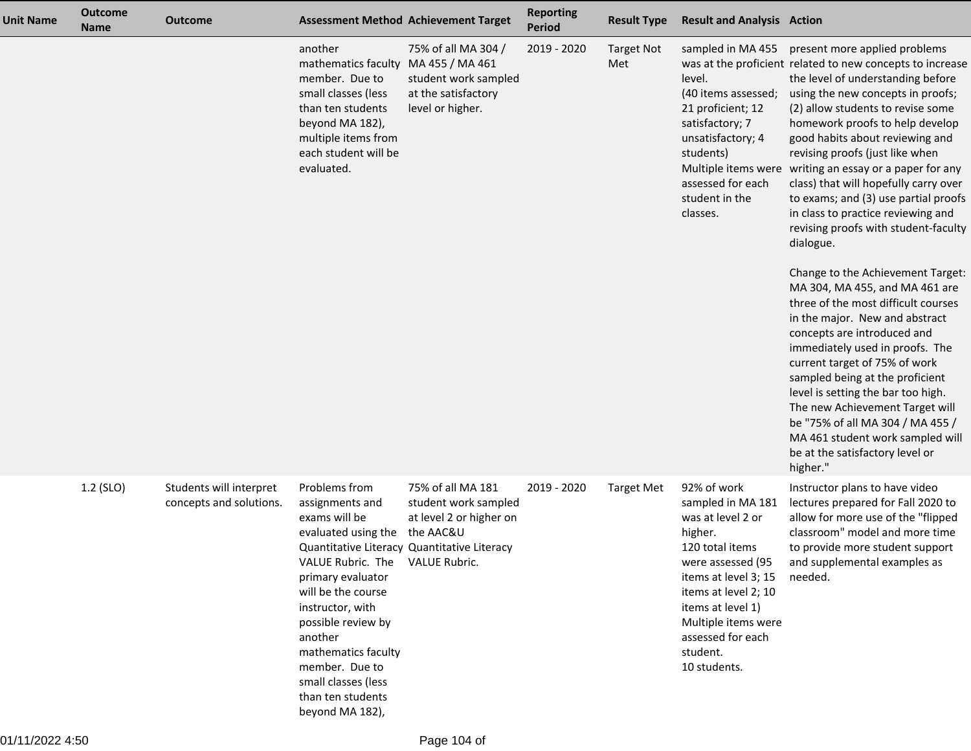| <b>Unit Name</b> | <b>Outcome</b><br><b>Name</b> | <b>Outcome</b>                                     | <b>Assessment Method Achievement Target</b>                                                                                                                                                                                                                                                                                                                                  |                                                                                        | <b>Reporting</b><br><b>Period</b> | <b>Result Type</b>       | <b>Result and Analysis Action</b>                                                                                                                                                                                                                     |                                                                                                                                                                                                                                                                                                                                                                                                                                                                                                                                                                                                                                                                                                                                                                                                                                                                                                                                                                                                                                                 |
|------------------|-------------------------------|----------------------------------------------------|------------------------------------------------------------------------------------------------------------------------------------------------------------------------------------------------------------------------------------------------------------------------------------------------------------------------------------------------------------------------------|----------------------------------------------------------------------------------------|-----------------------------------|--------------------------|-------------------------------------------------------------------------------------------------------------------------------------------------------------------------------------------------------------------------------------------------------|-------------------------------------------------------------------------------------------------------------------------------------------------------------------------------------------------------------------------------------------------------------------------------------------------------------------------------------------------------------------------------------------------------------------------------------------------------------------------------------------------------------------------------------------------------------------------------------------------------------------------------------------------------------------------------------------------------------------------------------------------------------------------------------------------------------------------------------------------------------------------------------------------------------------------------------------------------------------------------------------------------------------------------------------------|
|                  |                               |                                                    | another<br>mathematics faculty MA 455 / MA 461<br>member. Due to<br>small classes (less<br>than ten students<br>beyond MA 182),<br>multiple items from<br>each student will be<br>evaluated.                                                                                                                                                                                 | 75% of all MA 304 /<br>student work sampled<br>at the satisfactory<br>level or higher. | 2019 - 2020                       | <b>Target Not</b><br>Met | sampled in MA 455<br>level.<br>(40 items assessed;<br>21 proficient; 12<br>satisfactory; 7<br>unsatisfactory; 4<br>students)<br>assessed for each<br>student in the<br>classes.                                                                       | present more applied problems<br>was at the proficient related to new concepts to increase<br>the level of understanding before<br>using the new concepts in proofs;<br>(2) allow students to revise some<br>homework proofs to help develop<br>good habits about reviewing and<br>revising proofs (just like when<br>Multiple items were writing an essay or a paper for any<br>class) that will hopefully carry over<br>to exams; and (3) use partial proofs<br>in class to practice reviewing and<br>revising proofs with student-faculty<br>dialogue.<br>Change to the Achievement Target:<br>MA 304, MA 455, and MA 461 are<br>three of the most difficult courses<br>in the major. New and abstract<br>concepts are introduced and<br>immediately used in proofs. The<br>current target of 75% of work<br>sampled being at the proficient<br>level is setting the bar too high.<br>The new Achievement Target will<br>be "75% of all MA 304 / MA 455 /<br>MA 461 student work sampled will<br>be at the satisfactory level or<br>higher." |
|                  | 1.2 (SLO)                     | Students will interpret<br>concepts and solutions. | Problems from<br>assignments and<br>exams will be<br>evaluated using the the AAC&U<br>Quantitative Literacy Quantitative Literacy<br>VALUE Rubric. The VALUE Rubric.<br>primary evaluator<br>will be the course<br>instructor, with<br>possible review by<br>another<br>mathematics faculty<br>member. Due to<br>small classes (less<br>than ten students<br>beyond MA 182), | 75% of all MA 181<br>student work sampled<br>at level 2 or higher on                   | 2019 - 2020                       | <b>Target Met</b>        | 92% of work<br>sampled in MA 181<br>was at level 2 or<br>higher.<br>120 total items<br>were assessed (95<br>items at level 3; 15<br>items at level 2; 10<br>items at level 1)<br>Multiple items were<br>assessed for each<br>student.<br>10 students. | Instructor plans to have video<br>lectures prepared for Fall 2020 to<br>allow for more use of the "flipped<br>classroom" model and more time<br>to provide more student support<br>and supplemental examples as<br>needed.                                                                                                                                                                                                                                                                                                                                                                                                                                                                                                                                                                                                                                                                                                                                                                                                                      |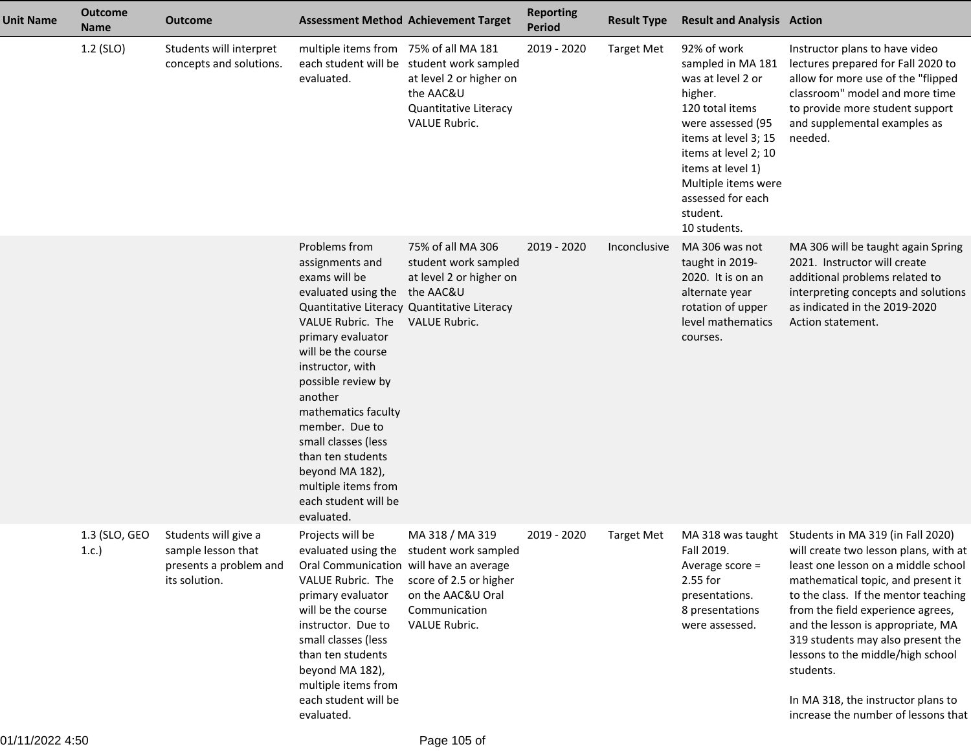| <b>Unit Name</b> | <b>Outcome</b><br><b>Name</b> | <b>Outcome</b>                                                                        |                                                                                                                                                                                                                                                                                                                                                                              | <b>Assessment Method Achievement Target</b>                                                                                                  | <b>Reporting</b><br><b>Period</b> | <b>Result Type</b> | <b>Result and Analysis Action</b>                                                                                                                                                                                                                     |                                                                                                                                                                                                                                                                                                                                                                                                                                               |
|------------------|-------------------------------|---------------------------------------------------------------------------------------|------------------------------------------------------------------------------------------------------------------------------------------------------------------------------------------------------------------------------------------------------------------------------------------------------------------------------------------------------------------------------|----------------------------------------------------------------------------------------------------------------------------------------------|-----------------------------------|--------------------|-------------------------------------------------------------------------------------------------------------------------------------------------------------------------------------------------------------------------------------------------------|-----------------------------------------------------------------------------------------------------------------------------------------------------------------------------------------------------------------------------------------------------------------------------------------------------------------------------------------------------------------------------------------------------------------------------------------------|
|                  | 1.2 (SLO)                     | Students will interpret<br>concepts and solutions.                                    | multiple items from 75% of all MA 181<br>evaluated.                                                                                                                                                                                                                                                                                                                          | each student will be student work sampled<br>at level 2 or higher on<br>the AAC&U<br>Quantitative Literacy<br><b>VALUE Rubric.</b>           | 2019 - 2020                       | <b>Target Met</b>  | 92% of work<br>sampled in MA 181<br>was at level 2 or<br>higher.<br>120 total items<br>were assessed (95<br>items at level 3; 15<br>items at level 2; 10<br>items at level 1)<br>Multiple items were<br>assessed for each<br>student.<br>10 students. | Instructor plans to have video<br>lectures prepared for Fall 2020 to<br>allow for more use of the "flipped<br>classroom" model and more time<br>to provide more student support<br>and supplemental examples as<br>needed.                                                                                                                                                                                                                    |
|                  |                               |                                                                                       | Problems from<br>assignments and<br>exams will be<br>evaluated using the the AAC&U<br>VALUE Rubric. The<br>primary evaluator<br>will be the course<br>instructor, with<br>possible review by<br>another<br>mathematics faculty<br>member. Due to<br>small classes (less<br>than ten students<br>beyond MA 182),<br>multiple items from<br>each student will be<br>evaluated. | 75% of all MA 306<br>student work sampled<br>at level 2 or higher on<br>Quantitative Literacy Quantitative Literacy<br><b>VALUE Rubric.</b>  | 2019 - 2020                       | Inconclusive       | MA 306 was not<br>taught in 2019-<br>2020. It is on an<br>alternate year<br>rotation of upper<br>level mathematics<br>courses.                                                                                                                        | MA 306 will be taught again Spring<br>2021. Instructor will create<br>additional problems related to<br>interpreting concepts and solutions<br>as indicated in the 2019-2020<br>Action statement.                                                                                                                                                                                                                                             |
|                  | 1.3 (SLO, GEO<br>1.c.         | Students will give a<br>sample lesson that<br>presents a problem and<br>its solution. | Projects will be<br>Oral Communication will have an average<br>VALUE Rubric. The<br>primary evaluator<br>will be the course<br>instructor. Due to<br>small classes (less<br>than ten students<br>beyond MA 182),<br>multiple items from<br>each student will be<br>evaluated.                                                                                                | MA 318 / MA 319<br>evaluated using the student work sampled<br>score of 2.5 or higher<br>on the AAC&U Oral<br>Communication<br>VALUE Rubric. | 2019 - 2020                       | <b>Target Met</b>  | MA 318 was taught<br>Fall 2019.<br>Average score =<br>2.55 for<br>presentations.<br>8 presentations<br>were assessed.                                                                                                                                 | Students in MA 319 (in Fall 2020)<br>will create two lesson plans, with at<br>least one lesson on a middle school<br>mathematical topic, and present it<br>to the class. If the mentor teaching<br>from the field experience agrees,<br>and the lesson is appropriate, MA<br>319 students may also present the<br>lessons to the middle/high school<br>students.<br>In MA 318, the instructor plans to<br>increase the number of lessons that |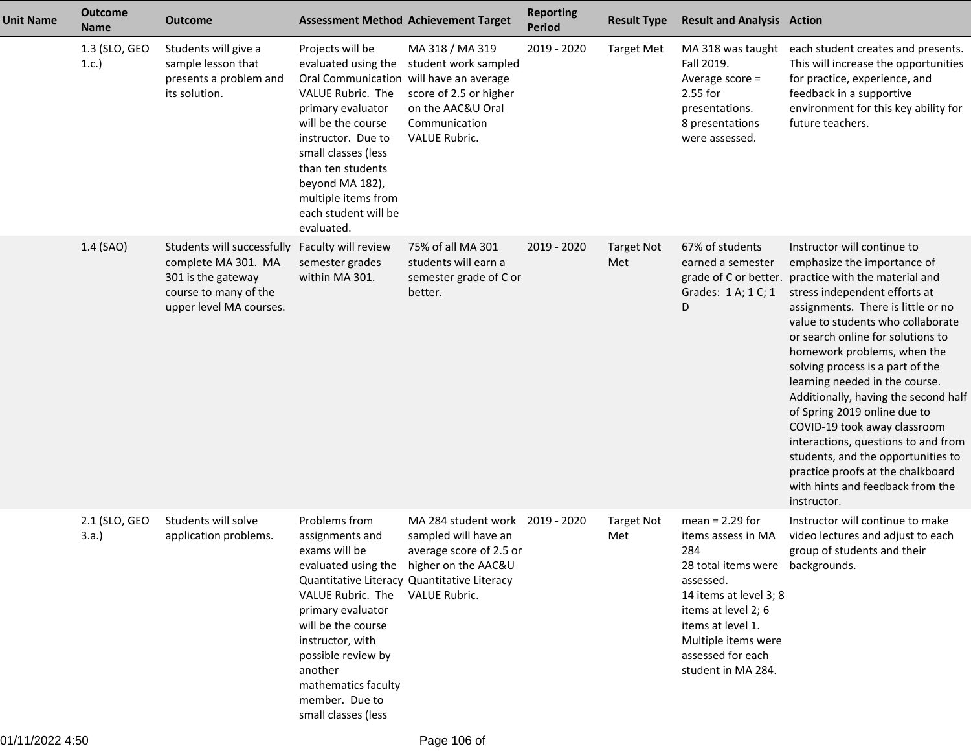| <b>Unit Name</b> | <b>Outcome</b><br><b>Name</b> | <b>Outcome</b>                                                                                                              |                                                                                                                                                                                                                                                                                                      | <b>Assessment Method Achievement Target</b>                                                                                                                                  | <b>Reporting</b><br><b>Period</b> | <b>Result Type</b>       | <b>Result and Analysis Action</b>                                                                                                                                                                                                       |                                                                                                                                                                                                                                                                                                                                                                                                                                                                                                                                                                                                                                 |
|------------------|-------------------------------|-----------------------------------------------------------------------------------------------------------------------------|------------------------------------------------------------------------------------------------------------------------------------------------------------------------------------------------------------------------------------------------------------------------------------------------------|------------------------------------------------------------------------------------------------------------------------------------------------------------------------------|-----------------------------------|--------------------------|-----------------------------------------------------------------------------------------------------------------------------------------------------------------------------------------------------------------------------------------|---------------------------------------------------------------------------------------------------------------------------------------------------------------------------------------------------------------------------------------------------------------------------------------------------------------------------------------------------------------------------------------------------------------------------------------------------------------------------------------------------------------------------------------------------------------------------------------------------------------------------------|
|                  | 1.3 (SLO, GEO<br>1.c.         | Students will give a<br>sample lesson that<br>presents a problem and<br>its solution.                                       | Projects will be<br>evaluated using the<br>Oral Communication will have an average<br>VALUE Rubric. The<br>primary evaluator<br>will be the course<br>instructor. Due to<br>small classes (less<br>than ten students<br>beyond MA 182),<br>multiple items from<br>each student will be<br>evaluated. | MA 318 / MA 319<br>student work sampled<br>score of 2.5 or higher<br>on the AAC&U Oral<br>Communication<br>VALUE Rubric.                                                     | 2019 - 2020                       | <b>Target Met</b>        | MA 318 was taught<br>Fall 2019.<br>Average score =<br>2.55 for<br>presentations.<br>8 presentations<br>were assessed.                                                                                                                   | each student creates and presents.<br>This will increase the opportunities<br>for practice, experience, and<br>feedback in a supportive<br>environment for this key ability for<br>future teachers.                                                                                                                                                                                                                                                                                                                                                                                                                             |
|                  | 1.4 (SAO)                     | Students will successfully<br>complete MA 301. MA<br>301 is the gateway<br>course to many of the<br>upper level MA courses. | Faculty will review<br>semester grades<br>within MA 301.                                                                                                                                                                                                                                             | 75% of all MA 301<br>students will earn a<br>semester grade of C or<br>better.                                                                                               | 2019 - 2020                       | <b>Target Not</b><br>Met | 67% of students<br>earned a semester<br>grade of C or better.<br>Grades: 1 A; 1 C; 1<br>D                                                                                                                                               | Instructor will continue to<br>emphasize the importance of<br>practice with the material and<br>stress independent efforts at<br>assignments. There is little or no<br>value to students who collaborate<br>or search online for solutions to<br>homework problems, when the<br>solving process is a part of the<br>learning needed in the course.<br>Additionally, having the second half<br>of Spring 2019 online due to<br>COVID-19 took away classroom<br>interactions, questions to and from<br>students, and the opportunities to<br>practice proofs at the chalkboard<br>with hints and feedback from the<br>instructor. |
|                  | 2.1 (SLO, GEO<br>3.a.         | Students will solve<br>application problems.                                                                                | Problems from<br>assignments and<br>exams will be<br>VALUE Rubric. The VALUE Rubric.<br>primary evaluator<br>will be the course<br>instructor, with<br>possible review by<br>another<br>mathematics faculty<br>member. Due to<br>small classes (less                                                 | MA 284 student work 2019 - 2020<br>sampled will have an<br>average score of 2.5 or<br>evaluated using the higher on the AAC&U<br>Quantitative Literacy Quantitative Literacy |                                   | <b>Target Not</b><br>Met | $mean = 2.29$ for<br>items assess in MA<br>284<br>28 total items were backgrounds.<br>assessed.<br>14 items at level 3; 8<br>items at level 2; 6<br>items at level 1.<br>Multiple items were<br>assessed for each<br>student in MA 284. | Instructor will continue to make<br>video lectures and adjust to each<br>group of students and their                                                                                                                                                                                                                                                                                                                                                                                                                                                                                                                            |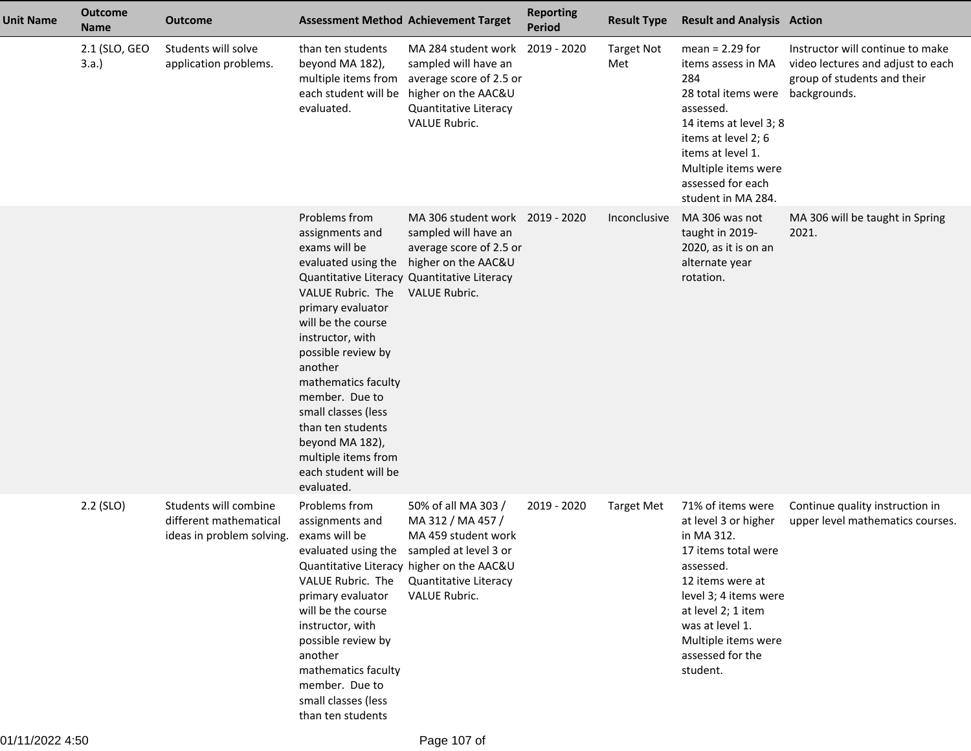| <b>Unit Name</b> | <b>Outcome</b><br><b>Name</b> | <b>Outcome</b>                                                               | <b>Assessment Method Achievement Target</b>                                                                                                                                                                                                                                                                                                                                                                       |                                                                                                                                                                                 | <b>Reporting</b><br><b>Period</b> | <b>Result Type</b>       | <b>Result and Analysis Action</b>                                                                                                                                                                                                        |                                                                                                                      |
|------------------|-------------------------------|------------------------------------------------------------------------------|-------------------------------------------------------------------------------------------------------------------------------------------------------------------------------------------------------------------------------------------------------------------------------------------------------------------------------------------------------------------------------------------------------------------|---------------------------------------------------------------------------------------------------------------------------------------------------------------------------------|-----------------------------------|--------------------------|------------------------------------------------------------------------------------------------------------------------------------------------------------------------------------------------------------------------------------------|----------------------------------------------------------------------------------------------------------------------|
|                  | 2.1 (SLO, GEO<br>3.a.         | Students will solve<br>application problems.                                 | than ten students<br>beyond MA 182),<br>multiple items from<br>each student will be<br>evaluated.                                                                                                                                                                                                                                                                                                                 | MA 284 student work 2019 - 2020<br>sampled will have an<br>average score of 2.5 or<br>higher on the AAC&U<br>Quantitative Literacy<br>VALUE Rubric.                             |                                   | <b>Target Not</b><br>Met | $mean = 2.29$ for<br>items assess in MA<br>284<br>28 total items were<br>assessed.<br>14 items at level 3; 8<br>items at level 2; 6<br>items at level 1.<br>Multiple items were<br>assessed for each<br>student in MA 284.               | Instructor will continue to make<br>video lectures and adjust to each<br>group of students and their<br>backgrounds. |
|                  |                               |                                                                              | Problems from<br>assignments and<br>exams will be<br>evaluated using the<br>Quantitative Literacy Quantitative Literacy<br>VALUE Rubric. The<br>primary evaluator<br>will be the course<br>instructor, with<br>possible review by<br>another<br>mathematics faculty<br>member. Due to<br>small classes (less<br>than ten students<br>beyond MA 182),<br>multiple items from<br>each student will be<br>evaluated. | MA 306 student work 2019 - 2020<br>sampled will have an<br>average score of 2.5 or<br>higher on the AAC&U<br><b>VALUE Rubric.</b>                                               |                                   | Inconclusive             | MA 306 was not<br>taught in 2019-<br>2020, as it is on an<br>alternate year<br>rotation.                                                                                                                                                 | MA 306 will be taught in Spring<br>2021.                                                                             |
|                  | 2.2 (SLO)                     | Students will combine<br>different mathematical<br>ideas in problem solving. | Problems from<br>assignments and<br>exams will be<br>evaluated using the<br>VALUE Rubric. The<br>primary evaluator<br>will be the course<br>instructor, with<br>possible review by<br>another<br>mathematics faculty<br>member. Due to<br>small classes (less<br>than ten students                                                                                                                                | 50% of all MA 303 /<br>MA 312 / MA 457 /<br>MA 459 student work<br>sampled at level 3 or<br>Quantitative Literacy higher on the AAC&U<br>Quantitative Literacy<br>VALUE Rubric. | 2019 - 2020                       | <b>Target Met</b>        | 71% of items were<br>at level 3 or higher<br>in MA 312.<br>17 items total were<br>assessed.<br>12 items were at<br>level 3; 4 items were<br>at level 2; 1 item<br>was at level 1.<br>Multiple items were<br>assessed for the<br>student. | Continue quality instruction in<br>upper level mathematics courses.                                                  |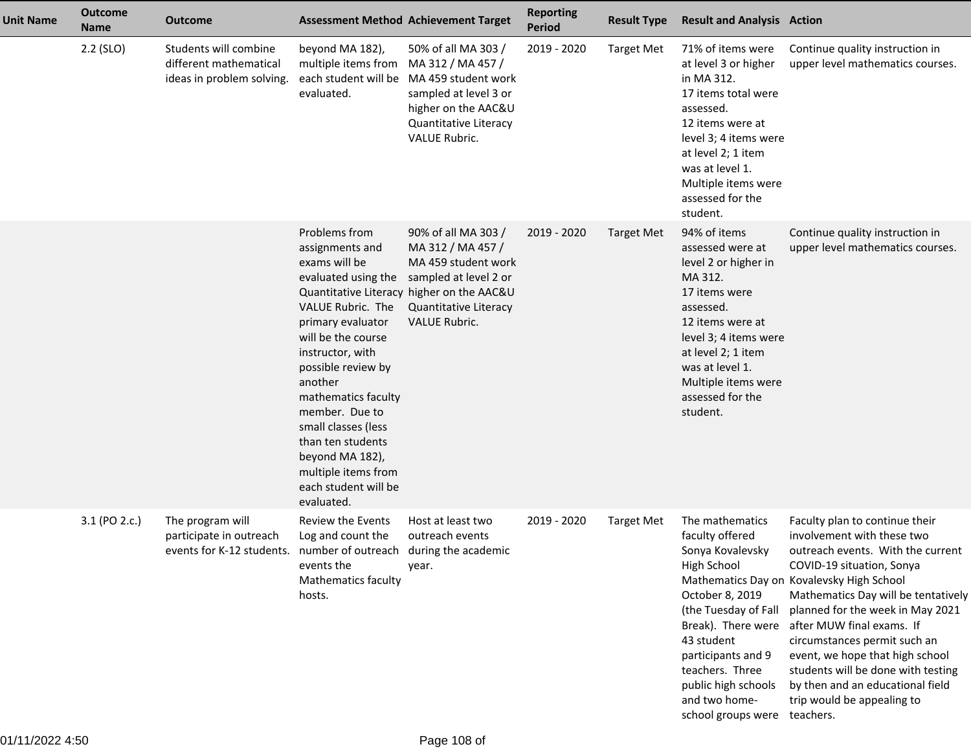| <b>Unit Name</b> | <b>Outcome</b><br><b>Name</b> | <b>Outcome</b>                                                               |                                                                                                                                                                                                                                                                                                                                             | <b>Assessment Method Achievement Target</b>                                                                                                                                                                       | <b>Reporting</b><br><b>Period</b> | <b>Result Type</b> | <b>Result and Analysis Action</b>                                                                                                                                                                                                                           |                                                                                                                                                                                                                                                                                                                                                                                                                                                                             |
|------------------|-------------------------------|------------------------------------------------------------------------------|---------------------------------------------------------------------------------------------------------------------------------------------------------------------------------------------------------------------------------------------------------------------------------------------------------------------------------------------|-------------------------------------------------------------------------------------------------------------------------------------------------------------------------------------------------------------------|-----------------------------------|--------------------|-------------------------------------------------------------------------------------------------------------------------------------------------------------------------------------------------------------------------------------------------------------|-----------------------------------------------------------------------------------------------------------------------------------------------------------------------------------------------------------------------------------------------------------------------------------------------------------------------------------------------------------------------------------------------------------------------------------------------------------------------------|
|                  | $2.2$ (SLO)                   | Students will combine<br>different mathematical<br>ideas in problem solving. | beyond MA 182),<br>multiple items from MA 312 / MA 457 /<br>evaluated.                                                                                                                                                                                                                                                                      | 50% of all MA 303 /<br>each student will be MA 459 student work<br>sampled at level 3 or<br>higher on the AAC&U<br>Quantitative Literacy<br><b>VALUE Rubric.</b>                                                  | 2019 - 2020                       | <b>Target Met</b>  | 71% of items were<br>at level 3 or higher<br>in MA 312.<br>17 items total were<br>assessed.<br>12 items were at<br>level 3; 4 items were<br>at level 2; 1 item<br>was at level 1.<br>Multiple items were<br>assessed for the<br>student.                    | Continue quality instruction in<br>upper level mathematics courses.                                                                                                                                                                                                                                                                                                                                                                                                         |
|                  |                               |                                                                              | Problems from<br>assignments and<br>exams will be<br>VALUE Rubric. The<br>primary evaluator<br>will be the course<br>instructor, with<br>possible review by<br>another<br>mathematics faculty<br>member. Due to<br>small classes (less<br>than ten students<br>beyond MA 182),<br>multiple items from<br>each student will be<br>evaluated. | 90% of all MA 303 /<br>MA 312 / MA 457 /<br>MA 459 student work<br>evaluated using the sampled at level 2 or<br>Quantitative Literacy higher on the AAC&U<br><b>Quantitative Literacy</b><br><b>VALUE Rubric.</b> | 2019 - 2020                       | <b>Target Met</b>  | 94% of items<br>assessed were at<br>level 2 or higher in<br>MA 312.<br>17 items were<br>assessed.<br>12 items were at<br>level 3; 4 items were<br>at level 2; 1 item<br>was at level 1.<br>Multiple items were<br>assessed for the<br>student.              | Continue quality instruction in<br>upper level mathematics courses.                                                                                                                                                                                                                                                                                                                                                                                                         |
|                  | 3.1 (PO 2.c.)                 | The program will<br>participate in outreach<br>events for K-12 students.     | <b>Review the Events</b><br>Log and count the<br>number of outreach during the academic<br>events the<br>Mathematics faculty<br>hosts.                                                                                                                                                                                                      | Host at least two<br>outreach events<br>year.                                                                                                                                                                     | 2019 - 2020                       | <b>Target Met</b>  | The mathematics<br>faculty offered<br>Sonya Kovalevsky<br>High School<br>October 8, 2019<br>(the Tuesday of Fall<br>Break). There were<br>43 student<br>participants and 9<br>teachers. Three<br>public high schools<br>and two home-<br>school groups were | Faculty plan to continue their<br>involvement with these two<br>outreach events. With the current<br>COVID-19 situation, Sonya<br>Mathematics Day on Kovalevsky High School<br>Mathematics Day will be tentatively<br>planned for the week in May 2021<br>after MUW final exams. If<br>circumstances permit such an<br>event, we hope that high school<br>students will be done with testing<br>by then and an educational field<br>trip would be appealing to<br>teachers. |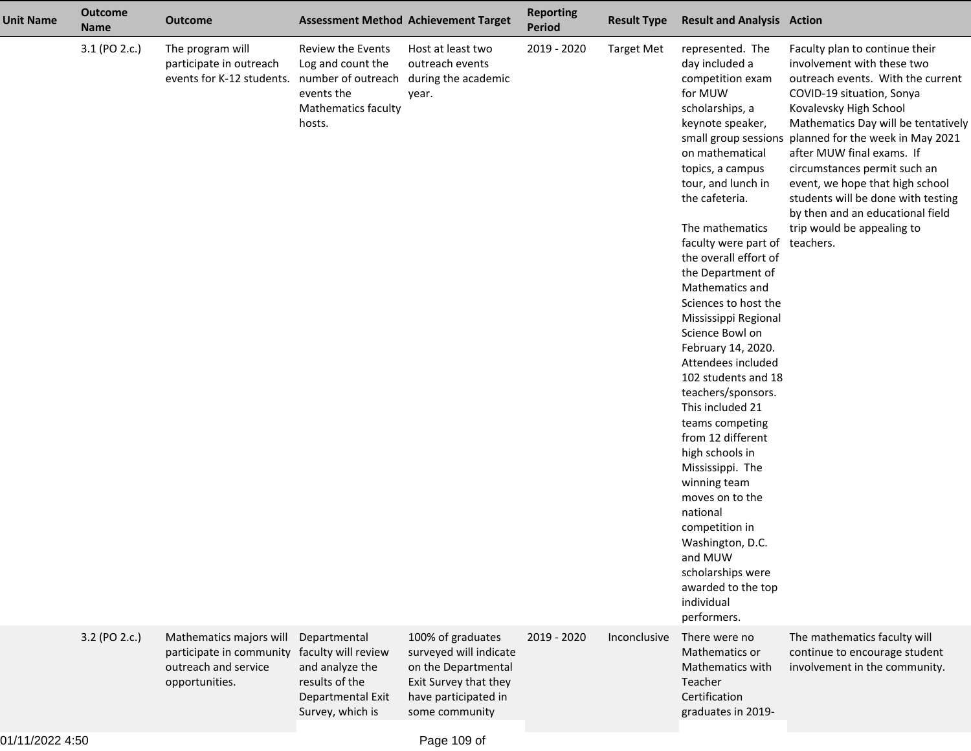| <b>Unit Name</b> | <b>Outcome</b><br><b>Name</b> | <b>Outcome</b>                                                                                | <b>Assessment Method Achievement Target</b>                                                                                            |                                                                                                                                       | <b>Reporting</b><br><b>Period</b> | <b>Result Type</b> | <b>Result and Analysis Action</b>                                                                                                                                                                                                                                                                                                                                                                                                                                                                                                                                                                                                                                                                                                                                            |                                                                                                                                                                                                                                                                                                                                                                                                                                             |
|------------------|-------------------------------|-----------------------------------------------------------------------------------------------|----------------------------------------------------------------------------------------------------------------------------------------|---------------------------------------------------------------------------------------------------------------------------------------|-----------------------------------|--------------------|------------------------------------------------------------------------------------------------------------------------------------------------------------------------------------------------------------------------------------------------------------------------------------------------------------------------------------------------------------------------------------------------------------------------------------------------------------------------------------------------------------------------------------------------------------------------------------------------------------------------------------------------------------------------------------------------------------------------------------------------------------------------------|---------------------------------------------------------------------------------------------------------------------------------------------------------------------------------------------------------------------------------------------------------------------------------------------------------------------------------------------------------------------------------------------------------------------------------------------|
|                  | 3.1 (PO 2.c.)                 | The program will<br>participate in outreach<br>events for K-12 students.                      | Review the Events<br>Log and count the<br>number of outreach during the academic<br>events the<br><b>Mathematics faculty</b><br>hosts. | Host at least two<br>outreach events<br>year.                                                                                         | 2019 - 2020                       | <b>Target Met</b>  | represented. The<br>day included a<br>competition exam<br>for MUW<br>scholarships, a<br>keynote speaker,<br>small group sessions<br>on mathematical<br>topics, a campus<br>tour, and lunch in<br>the cafeteria.<br>The mathematics<br>faculty were part of teachers.<br>the overall effort of<br>the Department of<br>Mathematics and<br>Sciences to host the<br>Mississippi Regional<br>Science Bowl on<br>February 14, 2020.<br>Attendees included<br>102 students and 18<br>teachers/sponsors.<br>This included 21<br>teams competing<br>from 12 different<br>high schools in<br>Mississippi. The<br>winning team<br>moves on to the<br>national<br>competition in<br>Washington, D.C.<br>and MUW<br>scholarships were<br>awarded to the top<br>individual<br>performers. | Faculty plan to continue their<br>involvement with these two<br>outreach events. With the current<br>COVID-19 situation, Sonya<br>Kovalevsky High School<br>Mathematics Day will be tentatively<br>planned for the week in May 2021<br>after MUW final exams. If<br>circumstances permit such an<br>event, we hope that high school<br>students will be done with testing<br>by then and an educational field<br>trip would be appealing to |
|                  | 3.2 (PO 2.c.)                 | Mathematics majors will<br>participate in community<br>outreach and service<br>opportunities. | Departmental<br>faculty will review<br>and analyze the<br>results of the<br>Departmental Exit<br>Survey, which is                      | 100% of graduates<br>surveyed will indicate<br>on the Departmental<br>Exit Survey that they<br>have participated in<br>some community | 2019 - 2020                       | Inconclusive       | There were no<br>Mathematics or<br>Mathematics with<br>Teacher<br>Certification<br>graduates in 2019-                                                                                                                                                                                                                                                                                                                                                                                                                                                                                                                                                                                                                                                                        | The mathematics faculty will<br>continue to encourage student<br>involvement in the community.                                                                                                                                                                                                                                                                                                                                              |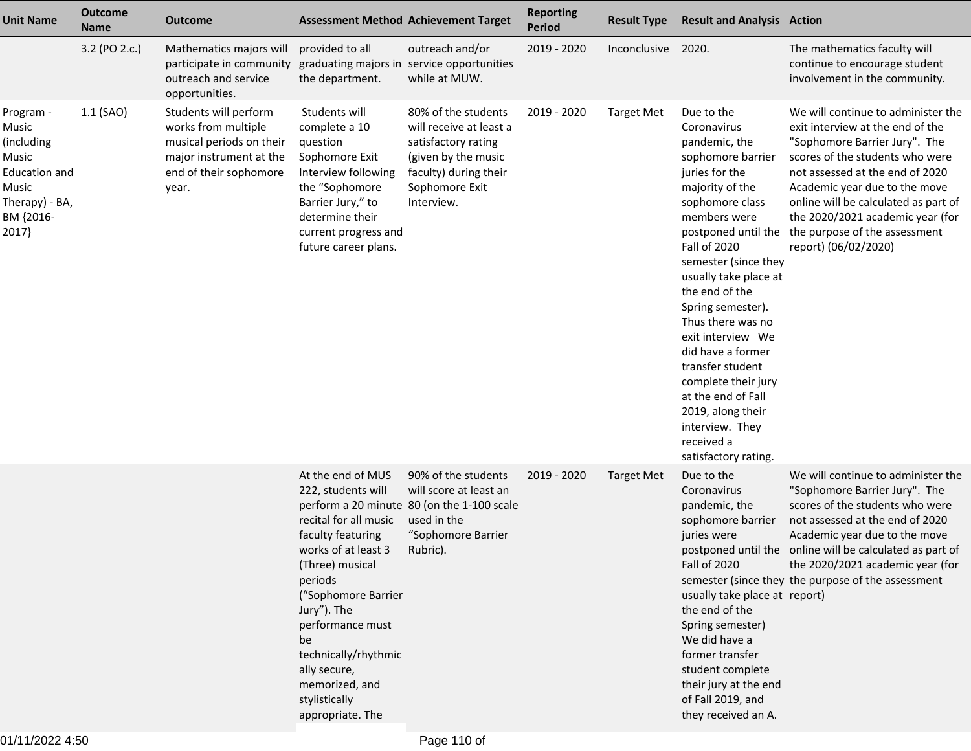| <b>Unit Name</b>                                                                                                    | <b>Outcome</b><br><b>Name</b> | <b>Outcome</b>                                                                                                                         |                                                                                                                                                                                                                                                                                                           | <b>Assessment Method Achievement Target</b>                                                                                                           | <b>Reporting</b><br><b>Period</b> | <b>Result Type</b> | <b>Result and Analysis Action</b>                                                                                                                                                                                                                                                                                                                                                                                                                                                           |                                                                                                                                                                                                                                                                                                                                                     |
|---------------------------------------------------------------------------------------------------------------------|-------------------------------|----------------------------------------------------------------------------------------------------------------------------------------|-----------------------------------------------------------------------------------------------------------------------------------------------------------------------------------------------------------------------------------------------------------------------------------------------------------|-------------------------------------------------------------------------------------------------------------------------------------------------------|-----------------------------------|--------------------|---------------------------------------------------------------------------------------------------------------------------------------------------------------------------------------------------------------------------------------------------------------------------------------------------------------------------------------------------------------------------------------------------------------------------------------------------------------------------------------------|-----------------------------------------------------------------------------------------------------------------------------------------------------------------------------------------------------------------------------------------------------------------------------------------------------------------------------------------------------|
|                                                                                                                     | 3.2 (PO 2.c.)                 | Mathematics majors will<br>participate in community<br>outreach and service<br>opportunities.                                          | provided to all<br>the department.                                                                                                                                                                                                                                                                        | outreach and/or<br>graduating majors in service opportunities<br>while at MUW.                                                                        | 2019 - 2020                       | Inconclusive       | 2020.                                                                                                                                                                                                                                                                                                                                                                                                                                                                                       | The mathematics faculty will<br>continue to encourage student<br>involvement in the community.                                                                                                                                                                                                                                                      |
| Program -<br>Music<br>(including)<br>Music<br><b>Education and</b><br>Music<br>Therapy) - BA,<br>BM {2016-<br>2017} | $1.1$ (SAO)                   | Students will perform<br>works from multiple<br>musical periods on their<br>major instrument at the<br>end of their sophomore<br>year. | Students will<br>complete a 10<br>question<br>Sophomore Exit<br>Interview following<br>the "Sophomore<br>Barrier Jury," to<br>determine their<br>current progress and<br>future career plans.                                                                                                             | 80% of the students<br>will receive at least a<br>satisfactory rating<br>(given by the music<br>faculty) during their<br>Sophomore Exit<br>Interview. | 2019 - 2020                       | <b>Target Met</b>  | Due to the<br>Coronavirus<br>pandemic, the<br>sophomore barrier<br>juries for the<br>majority of the<br>sophomore class<br>members were<br>postponed until the<br><b>Fall of 2020</b><br>semester (since they<br>usually take place at<br>the end of the<br>Spring semester).<br>Thus there was no<br>exit interview We<br>did have a former<br>transfer student<br>complete their jury<br>at the end of Fall<br>2019, along their<br>interview. They<br>received a<br>satisfactory rating. | We will continue to administer the<br>exit interview at the end of the<br>"Sophomore Barrier Jury". The<br>scores of the students who were<br>not assessed at the end of 2020<br>Academic year due to the move<br>online will be calculated as part of<br>the 2020/2021 academic year (for<br>the purpose of the assessment<br>report) (06/02/2020) |
|                                                                                                                     |                               |                                                                                                                                        | At the end of MUS<br>222, students will<br>recital for all music<br>faculty featuring<br>works of at least 3<br>(Three) musical<br>periods<br>("Sophomore Barrier<br>Jury"). The<br>performance must<br>be<br>technically/rhythmic<br>ally secure,<br>memorized, and<br>stylistically<br>appropriate. The | 90% of the students<br>will score at least an<br>perform a 20 minute 80 (on the 1-100 scale<br>used in the<br>"Sophomore Barrier<br>Rubric).          | 2019 - 2020                       | <b>Target Met</b>  | Due to the<br>Coronavirus<br>pandemic, the<br>sophomore barrier<br>juries were<br>Fall of 2020<br>usually take place at report)<br>the end of the<br>Spring semester)<br>We did have a<br>former transfer<br>student complete<br>their jury at the end<br>of Fall 2019, and<br>they received an A.                                                                                                                                                                                          | We will continue to administer the<br>"Sophomore Barrier Jury". The<br>scores of the students who were<br>not assessed at the end of 2020<br>Academic year due to the move<br>postponed until the online will be calculated as part of<br>the 2020/2021 academic year (for<br>semester (since they the purpose of the assessment                    |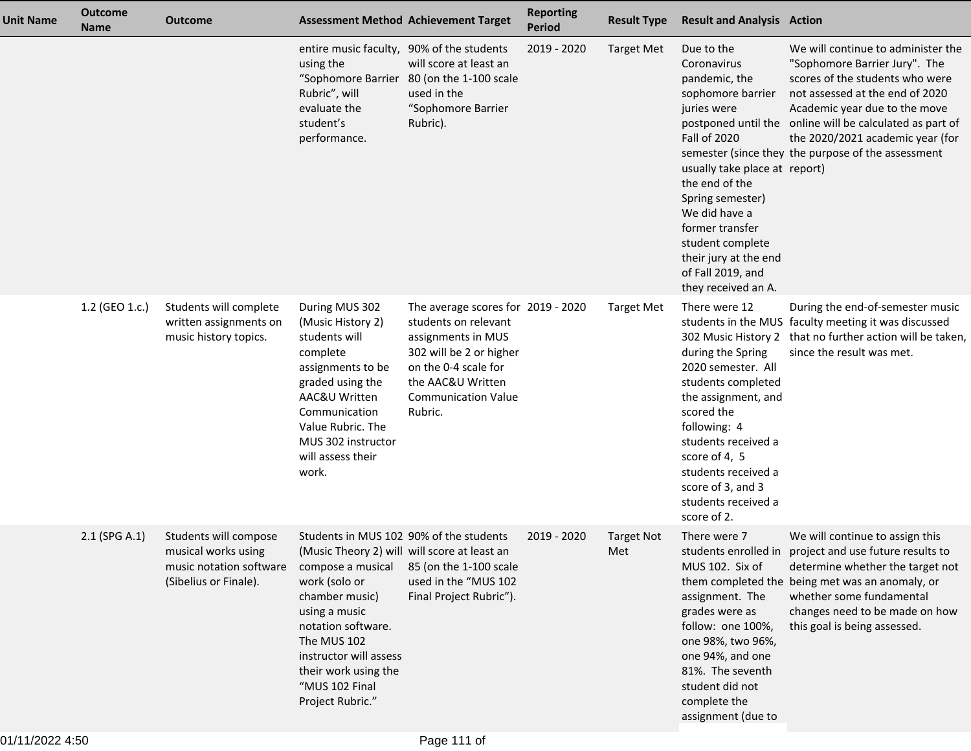| <b>Unit Name</b> | <b>Outcome</b><br><b>Name</b> | <b>Outcome</b>                                                                                   |                                                                                                                                                                                                                                                                                               | <b>Assessment Method Achievement Target</b>                                                                                                                                                       | <b>Reporting</b><br><b>Period</b> | <b>Result Type</b>       | <b>Result and Analysis Action</b>                                                                                                                                                                                                                                                                         |                                                                                                                                                                                                                                                                                                                                  |
|------------------|-------------------------------|--------------------------------------------------------------------------------------------------|-----------------------------------------------------------------------------------------------------------------------------------------------------------------------------------------------------------------------------------------------------------------------------------------------|---------------------------------------------------------------------------------------------------------------------------------------------------------------------------------------------------|-----------------------------------|--------------------------|-----------------------------------------------------------------------------------------------------------------------------------------------------------------------------------------------------------------------------------------------------------------------------------------------------------|----------------------------------------------------------------------------------------------------------------------------------------------------------------------------------------------------------------------------------------------------------------------------------------------------------------------------------|
|                  |                               |                                                                                                  | entire music faculty, 90% of the students<br>using the<br>Rubric", will<br>evaluate the<br>student's<br>performance.                                                                                                                                                                          | will score at least an<br>"Sophomore Barrier 80 (on the 1-100 scale<br>used in the<br>"Sophomore Barrier<br>Rubric).                                                                              | 2019 - 2020                       | <b>Target Met</b>        | Due to the<br>Coronavirus<br>pandemic, the<br>sophomore barrier<br>juries were<br><b>Fall of 2020</b><br>usually take place at report)<br>the end of the<br>Spring semester)<br>We did have a<br>former transfer<br>student complete<br>their jury at the end<br>of Fall 2019, and<br>they received an A. | We will continue to administer the<br>"Sophomore Barrier Jury". The<br>scores of the students who were<br>not assessed at the end of 2020<br>Academic year due to the move<br>postponed until the online will be calculated as part of<br>the 2020/2021 academic year (for<br>semester (since they the purpose of the assessment |
|                  | 1.2 (GEO 1.c.)                | Students will complete<br>written assignments on<br>music history topics.                        | During MUS 302<br>(Music History 2)<br>students will<br>complete<br>assignments to be<br>graded using the<br>AAC&U Written<br>Communication<br>Value Rubric. The<br>MUS 302 instructor<br>will assess their<br>work.                                                                          | The average scores for 2019 - 2020<br>students on relevant<br>assignments in MUS<br>302 will be 2 or higher<br>on the 0-4 scale for<br>the AAC&U Written<br><b>Communication Value</b><br>Rubric. |                                   | <b>Target Met</b>        | There were 12<br>during the Spring<br>2020 semester. All<br>students completed<br>the assignment, and<br>scored the<br>following: 4<br>students received a<br>score of 4, 5<br>students received a<br>score of 3, and 3<br>students received a<br>score of 2.                                             | During the end-of-semester music<br>students in the MUS faculty meeting it was discussed<br>302 Music History 2 that no further action will be taken,<br>since the result was met.                                                                                                                                               |
|                  | 2.1 (SPG A.1)                 | Students will compose<br>musical works using<br>music notation software<br>(Sibelius or Finale). | Students in MUS 102 90% of the students<br>(Music Theory 2) will will score at least an<br>compose a musical<br>work (solo or<br>chamber music)<br>using a music<br>notation software.<br>The MUS 102<br>instructor will assess<br>their work using the<br>"MUS 102 Final<br>Project Rubric." | 85 (on the 1-100 scale<br>used in the "MUS 102<br>Final Project Rubric").                                                                                                                         | 2019 - 2020                       | <b>Target Not</b><br>Met | There were 7<br>MUS 102. Six of<br>assignment. The<br>grades were as<br>follow: one 100%,<br>one 98%, two 96%,<br>one 94%, and one<br>81%. The seventh<br>student did not<br>complete the<br>assignment (due to                                                                                           | We will continue to assign this<br>students enrolled in project and use future results to<br>determine whether the target not<br>them completed the being met was an anomaly, or<br>whether some fundamental<br>changes need to be made on how<br>this goal is being assessed.                                                   |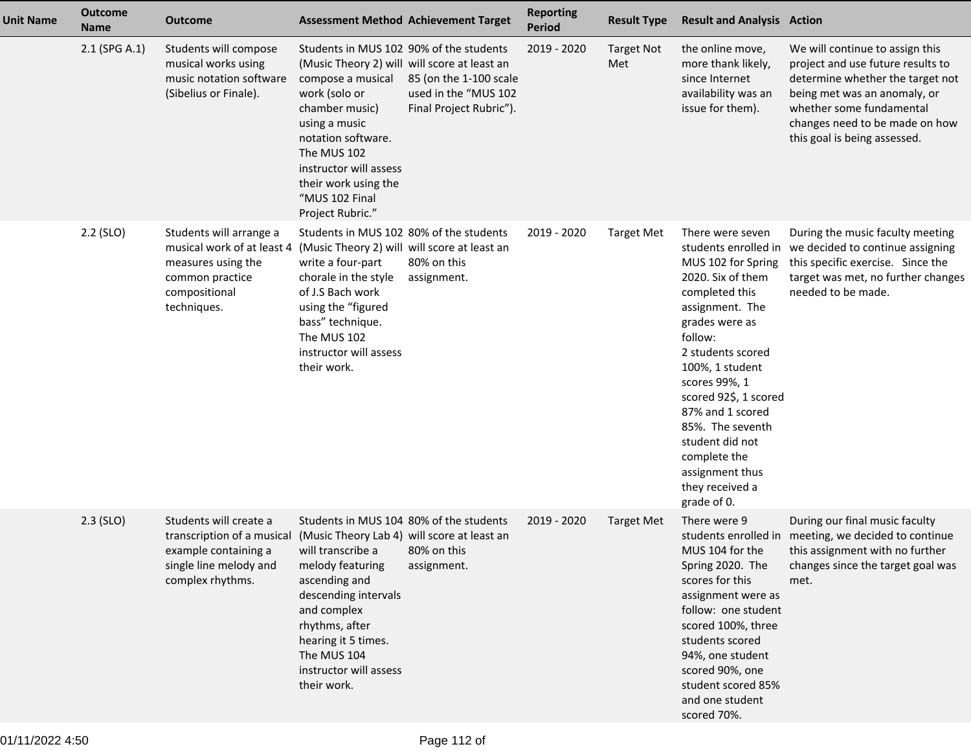| <b>Unit Name</b> | <b>Outcome</b><br><b>Name</b> | <b>Outcome</b>                                                                                                                 |                                                                                                                                                                                                                                                                                                      | <b>Assessment Method Achievement Target</b>                               | <b>Reporting</b><br>Period | <b>Result Type</b>       | <b>Result and Analysis Action</b>                                                                                                                                                                                                                                                                                                               |                                                                                                                                                                                                                                        |
|------------------|-------------------------------|--------------------------------------------------------------------------------------------------------------------------------|------------------------------------------------------------------------------------------------------------------------------------------------------------------------------------------------------------------------------------------------------------------------------------------------------|---------------------------------------------------------------------------|----------------------------|--------------------------|-------------------------------------------------------------------------------------------------------------------------------------------------------------------------------------------------------------------------------------------------------------------------------------------------------------------------------------------------|----------------------------------------------------------------------------------------------------------------------------------------------------------------------------------------------------------------------------------------|
|                  | 2.1 (SPG A.1)                 | Students will compose<br>musical works using<br>music notation software<br>(Sibelius or Finale).                               | Students in MUS 102 90% of the students<br>(Music Theory 2) will will score at least an<br>compose a musical<br>work (solo or<br>chamber music)<br>using a music<br>notation software.<br>The MUS 102<br>instructor will assess<br>their work using the<br>"MUS 102 Final<br>Project Rubric."        | 85 (on the 1-100 scale<br>used in the "MUS 102<br>Final Project Rubric"). | 2019 - 2020                | <b>Target Not</b><br>Met | the online move,<br>more thank likely,<br>since Internet<br>availability was an<br>issue for them).                                                                                                                                                                                                                                             | We will continue to assign this<br>project and use future results to<br>determine whether the target not<br>being met was an anomaly, or<br>whether some fundamental<br>changes need to be made on how<br>this goal is being assessed. |
|                  | 2.2 (SLO)                     | Students will arrange a<br>musical work of at least 4<br>measures using the<br>common practice<br>compositional<br>techniques. | Students in MUS 102 80% of the students<br>(Music Theory 2) will will score at least an<br>write a four-part<br>chorale in the style<br>of J.S Bach work<br>using the "figured<br>bass" technique.<br>The MUS 102<br>instructor will assess<br>their work.                                           | 80% on this<br>assignment.                                                | 2019 - 2020                | <b>Target Met</b>        | There were seven<br>MUS 102 for Spring<br>2020. Six of them<br>completed this<br>assignment. The<br>grades were as<br>follow:<br>2 students scored<br>100%, 1 student<br>scores 99%, 1<br>scored 92\$, 1 scored<br>87% and 1 scored<br>85%. The seventh<br>student did not<br>complete the<br>assignment thus<br>they received a<br>grade of 0. | During the music faculty meeting<br>students enrolled in we decided to continue assigning<br>this specific exercise. Since the<br>target was met, no further changes<br>needed to be made.                                             |
|                  | $2.3$ (SLO)                   | Students will create a<br>transcription of a musical<br>example containing a<br>single line melody and<br>complex rhythms.     | Students in MUS 104 80% of the students<br>(Music Theory Lab 4) will score at least an<br>will transcribe a 80% on this<br>melody featuring<br>ascending and<br>descending intervals<br>and complex<br>rhythms, after<br>hearing it 5 times.<br>The MUS 104<br>instructor will assess<br>their work. | assignment.                                                               | 2019 - 2020                | <b>Target Met</b>        | There were 9<br>MUS 104 for the<br>Spring 2020. The<br>scores for this<br>assignment were as<br>follow: one student<br>scored 100%, three<br>students scored<br>94%, one student<br>scored 90%, one<br>student scored 85%<br>and one student<br>scored 70%.                                                                                     | During our final music faculty<br>students enrolled in meeting, we decided to continue<br>this assignment with no further<br>changes since the target goal was<br>met.                                                                 |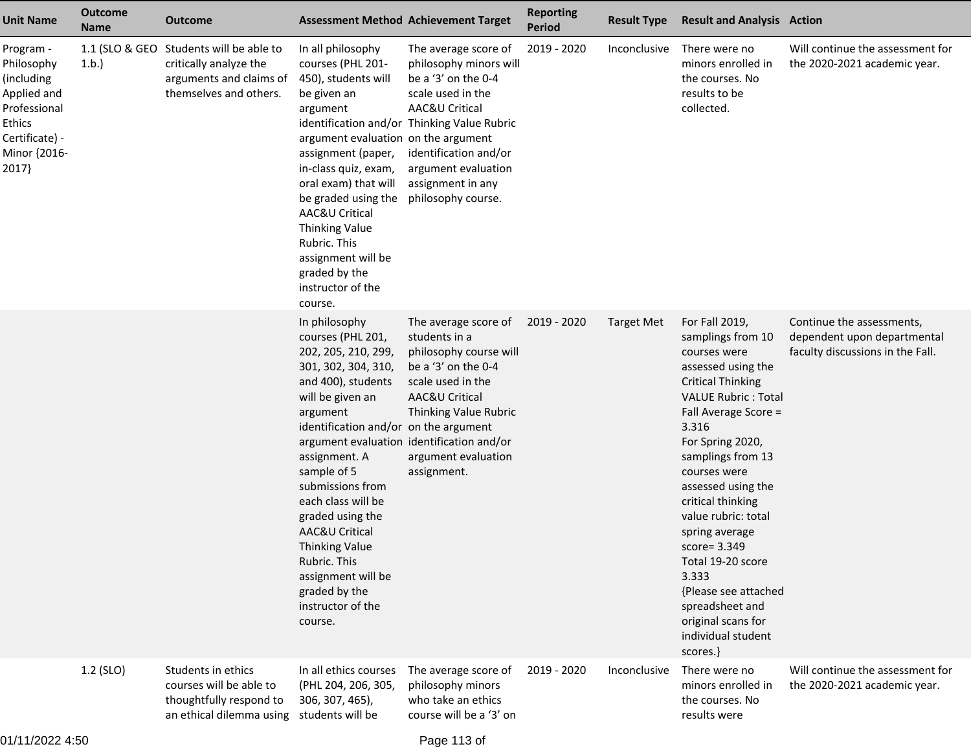| <b>Unit Name</b>                                                                                                          | <b>Outcome</b><br><b>Name</b> | <b>Outcome</b>                                                                                                         | <b>Assessment Method Achievement Target</b>                                                                                                                                                                                                                                                                                                                                                                                                                  |                                                                                                                                                                                                                                                        | <b>Reporting</b><br><b>Period</b> | <b>Result Type</b> | <b>Result and Analysis Action</b>                                                                                                                                                                                                                                                                                                                                                                                                                                     |                                                                                              |
|---------------------------------------------------------------------------------------------------------------------------|-------------------------------|------------------------------------------------------------------------------------------------------------------------|--------------------------------------------------------------------------------------------------------------------------------------------------------------------------------------------------------------------------------------------------------------------------------------------------------------------------------------------------------------------------------------------------------------------------------------------------------------|--------------------------------------------------------------------------------------------------------------------------------------------------------------------------------------------------------------------------------------------------------|-----------------------------------|--------------------|-----------------------------------------------------------------------------------------------------------------------------------------------------------------------------------------------------------------------------------------------------------------------------------------------------------------------------------------------------------------------------------------------------------------------------------------------------------------------|----------------------------------------------------------------------------------------------|
| Program -<br>Philosophy<br>(including<br>Applied and<br>Professional<br>Ethics<br>Certificate) -<br>Minor {2016-<br>2017} | 1.b.                          | 1.1 (SLO & GEO Students will be able to<br>critically analyze the<br>arguments and claims of<br>themselves and others. | In all philosophy<br>courses (PHL 201-<br>450), students will<br>be given an<br>argument<br>argument evaluation on the argument<br>assignment (paper,<br>in-class quiz, exam,<br>oral exam) that will<br>be graded using the<br>AAC&U Critical<br><b>Thinking Value</b><br>Rubric. This<br>assignment will be<br>graded by the<br>instructor of the<br>course.                                                                                               | The average score of<br>philosophy minors will<br>be a '3' on the 0-4<br>scale used in the<br>AAC&U Critical<br>identification and/or Thinking Value Rubric<br>identification and/or<br>argument evaluation<br>assignment in any<br>philosophy course. | 2019 - 2020                       | Inconclusive       | There were no<br>minors enrolled in<br>the courses. No<br>results to be<br>collected.                                                                                                                                                                                                                                                                                                                                                                                 | Will continue the assessment for<br>the 2020-2021 academic year.                             |
|                                                                                                                           |                               |                                                                                                                        | In philosophy<br>courses (PHL 201,<br>202, 205, 210, 299,<br>301, 302, 304, 310,<br>and 400), students<br>will be given an<br>argument<br>identification and/or on the argument<br>argument evaluation identification and/or<br>assignment. A<br>sample of 5<br>submissions from<br>each class will be<br>graded using the<br>AAC&U Critical<br><b>Thinking Value</b><br>Rubric. This<br>assignment will be<br>graded by the<br>instructor of the<br>course. | The average score of<br>students in a<br>philosophy course will<br>be a '3' on the 0-4<br>scale used in the<br>AAC&U Critical<br>Thinking Value Rubric<br>argument evaluation<br>assignment.                                                           | 2019 - 2020                       | <b>Target Met</b>  | For Fall 2019,<br>samplings from 10<br>courses were<br>assessed using the<br><b>Critical Thinking</b><br><b>VALUE Rubric: Total</b><br>Fall Average Score =<br>3.316<br>For Spring 2020,<br>samplings from 13<br>courses were<br>assessed using the<br>critical thinking<br>value rubric: total<br>spring average<br>$score = 3.349$<br>Total 19-20 score<br>3.333<br>{Please see attached<br>spreadsheet and<br>original scans for<br>individual student<br>scores.} | Continue the assessments,<br>dependent upon departmental<br>faculty discussions in the Fall. |
|                                                                                                                           | 1.2 (SLO)                     | Students in ethics<br>courses will be able to<br>thoughtfully respond to<br>an ethical dilemma using students will be  | In all ethics courses<br>(PHL 204, 206, 305,<br>306, 307, 465),                                                                                                                                                                                                                                                                                                                                                                                              | The average score of<br>philosophy minors<br>who take an ethics<br>course will be a '3' on                                                                                                                                                             | 2019 - 2020                       | Inconclusive       | There were no<br>minors enrolled in<br>the courses. No<br>results were                                                                                                                                                                                                                                                                                                                                                                                                | Will continue the assessment for<br>the 2020-2021 academic year.                             |

01/11/2022 4:50

Page 113 of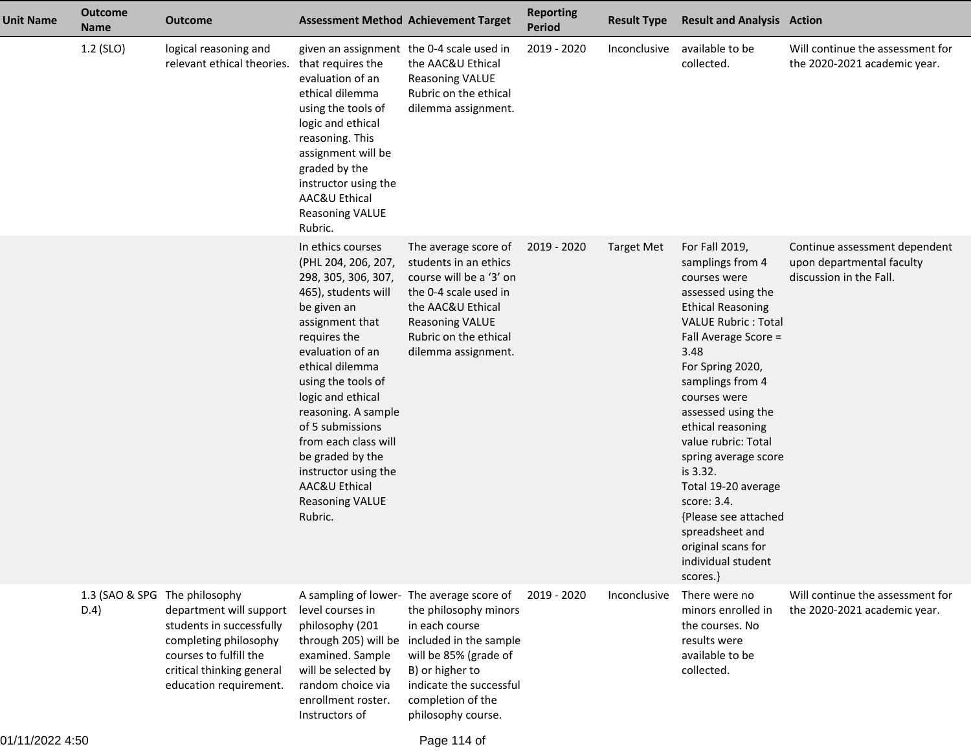| <b>Unit Name</b> | <b>Outcome</b><br><b>Name</b>         | <b>Outcome</b>                                                                                                                                                | <b>Assessment Method Achievement Target</b>                                                                                                                                                                                                                                                                                                                                                     |                                                                                                                                                                                                             | <b>Reporting</b><br><b>Period</b> | <b>Result Type</b> | <b>Result and Analysis Action</b>                                                                                                                                                                                                                                                                                                                                                                                                                                         |                                                                                       |
|------------------|---------------------------------------|---------------------------------------------------------------------------------------------------------------------------------------------------------------|-------------------------------------------------------------------------------------------------------------------------------------------------------------------------------------------------------------------------------------------------------------------------------------------------------------------------------------------------------------------------------------------------|-------------------------------------------------------------------------------------------------------------------------------------------------------------------------------------------------------------|-----------------------------------|--------------------|---------------------------------------------------------------------------------------------------------------------------------------------------------------------------------------------------------------------------------------------------------------------------------------------------------------------------------------------------------------------------------------------------------------------------------------------------------------------------|---------------------------------------------------------------------------------------|
|                  | 1.2 (SLO)                             | logical reasoning and<br>relevant ethical theories. that requires the                                                                                         | given an assignment the 0-4 scale used in<br>evaluation of an<br>ethical dilemma<br>using the tools of<br>logic and ethical<br>reasoning. This<br>assignment will be<br>graded by the<br>instructor using the<br>AAC&U Ethical<br><b>Reasoning VALUE</b><br>Rubric.                                                                                                                             | the AAC&U Ethical<br><b>Reasoning VALUE</b><br>Rubric on the ethical<br>dilemma assignment.                                                                                                                 | 2019 - 2020                       | Inconclusive       | available to be<br>collected.                                                                                                                                                                                                                                                                                                                                                                                                                                             | Will continue the assessment for<br>the 2020-2021 academic year.                      |
|                  |                                       |                                                                                                                                                               | In ethics courses<br>(PHL 204, 206, 207,<br>298, 305, 306, 307,<br>465), students will<br>be given an<br>assignment that<br>requires the<br>evaluation of an<br>ethical dilemma<br>using the tools of<br>logic and ethical<br>reasoning. A sample<br>of 5 submissions<br>from each class will<br>be graded by the<br>instructor using the<br>AAC&U Ethical<br><b>Reasoning VALUE</b><br>Rubric. | The average score of<br>students in an ethics<br>course will be a '3' on<br>the 0-4 scale used in<br>the AAC&U Ethical<br><b>Reasoning VALUE</b><br>Rubric on the ethical<br>dilemma assignment.            | 2019 - 2020                       | <b>Target Met</b>  | For Fall 2019,<br>samplings from 4<br>courses were<br>assessed using the<br><b>Ethical Reasoning</b><br><b>VALUE Rubric: Total</b><br>Fall Average Score =<br>3.48<br>For Spring 2020,<br>samplings from 4<br>courses were<br>assessed using the<br>ethical reasoning<br>value rubric: Total<br>spring average score<br>is 3.32.<br>Total 19-20 average<br>score: 3.4.<br>{Please see attached<br>spreadsheet and<br>original scans for<br>individual student<br>scores.} | Continue assessment dependent<br>upon departmental faculty<br>discussion in the Fall. |
|                  | 1.3 (SAO & SPG The philosophy<br>D.4) | department will support<br>students in successfully<br>completing philosophy<br>courses to fulfill the<br>critical thinking general<br>education requirement. | A sampling of lower-<br>level courses in<br>philosophy (201<br>through 205) will be<br>examined. Sample<br>will be selected by<br>random choice via<br>enrollment roster.<br>Instructors of                                                                                                                                                                                                     | The average score of<br>the philosophy minors<br>in each course<br>included in the sample<br>will be 85% (grade of<br>B) or higher to<br>indicate the successful<br>completion of the<br>philosophy course. | 2019 - 2020                       | Inconclusive       | There were no<br>minors enrolled in<br>the courses. No<br>results were<br>available to be<br>collected.                                                                                                                                                                                                                                                                                                                                                                   | Will continue the assessment for<br>the 2020-2021 academic year.                      |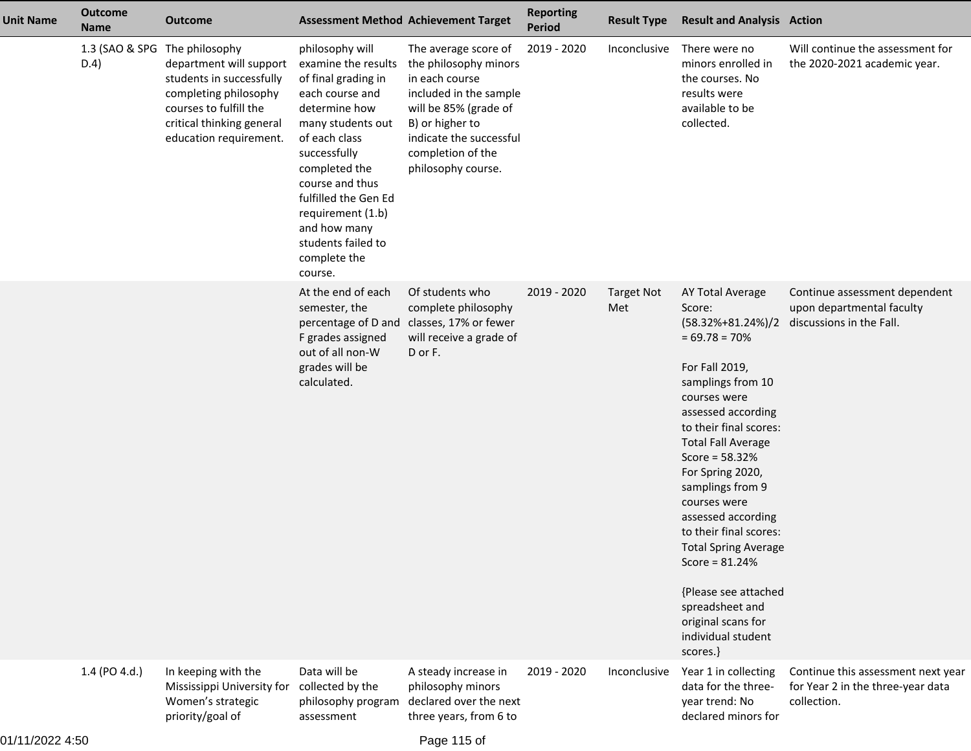| <b>Unit Name</b> | <b>Outcome</b><br><b>Name</b>         | Outcome                                                                                                                                                       | <b>Assessment Method Achievement Target</b>                                                                                                                                                                                                                                                               |                                                                                                                                                                                                             | <b>Reporting</b><br><b>Period</b> | <b>Result Type</b>       | <b>Result and Analysis Action</b>                                                                                                                                                                                                                                                                                                                                                                                                                                   |                                                                                                          |
|------------------|---------------------------------------|---------------------------------------------------------------------------------------------------------------------------------------------------------------|-----------------------------------------------------------------------------------------------------------------------------------------------------------------------------------------------------------------------------------------------------------------------------------------------------------|-------------------------------------------------------------------------------------------------------------------------------------------------------------------------------------------------------------|-----------------------------------|--------------------------|---------------------------------------------------------------------------------------------------------------------------------------------------------------------------------------------------------------------------------------------------------------------------------------------------------------------------------------------------------------------------------------------------------------------------------------------------------------------|----------------------------------------------------------------------------------------------------------|
|                  | 1.3 (SAO & SPG The philosophy<br>D.4) | department will support<br>students in successfully<br>completing philosophy<br>courses to fulfill the<br>critical thinking general<br>education requirement. | philosophy will<br>examine the results<br>of final grading in<br>each course and<br>determine how<br>many students out<br>of each class<br>successfully<br>completed the<br>course and thus<br>fulfilled the Gen Ed<br>requirement (1.b)<br>and how many<br>students failed to<br>complete the<br>course. | The average score of<br>the philosophy minors<br>in each course<br>included in the sample<br>will be 85% (grade of<br>B) or higher to<br>indicate the successful<br>completion of the<br>philosophy course. | 2019 - 2020                       | Inconclusive             | There were no<br>minors enrolled in<br>the courses. No<br>results were<br>available to be<br>collected.                                                                                                                                                                                                                                                                                                                                                             | Will continue the assessment for<br>the 2020-2021 academic year.                                         |
|                  |                                       |                                                                                                                                                               | At the end of each<br>semester, the<br>percentage of D and<br>F grades assigned<br>out of all non-W<br>grades will be<br>calculated.                                                                                                                                                                      | Of students who<br>complete philosophy<br>classes, 17% or fewer<br>will receive a grade of<br>D or F.                                                                                                       | 2019 - 2020                       | <b>Target Not</b><br>Met | AY Total Average<br>Score:<br>$= 69.78 = 70%$<br>For Fall 2019,<br>samplings from 10<br>courses were<br>assessed according<br>to their final scores:<br><b>Total Fall Average</b><br>Score = $58.32%$<br>For Spring 2020,<br>samplings from 9<br>courses were<br>assessed according<br>to their final scores:<br><b>Total Spring Average</b><br>Score = $81.24%$<br>{Please see attached<br>spreadsheet and<br>original scans for<br>individual student<br>scores.} | Continue assessment dependent<br>upon departmental faculty<br>(58.32%+81.24%)/2 discussions in the Fall. |
|                  | 1.4 (PO 4.d.)                         | In keeping with the<br>Mississippi University for<br>Women's strategic<br>priority/goal of                                                                    | Data will be<br>collected by the<br>philosophy program<br>assessment                                                                                                                                                                                                                                      | A steady increase in<br>philosophy minors<br>declared over the next<br>three years, from 6 to                                                                                                               | 2019 - 2020                       | Inconclusive             | Year 1 in collecting<br>data for the three-<br>year trend: No<br>declared minors for                                                                                                                                                                                                                                                                                                                                                                                | Continue this assessment next year<br>for Year 2 in the three-year data<br>collection.                   |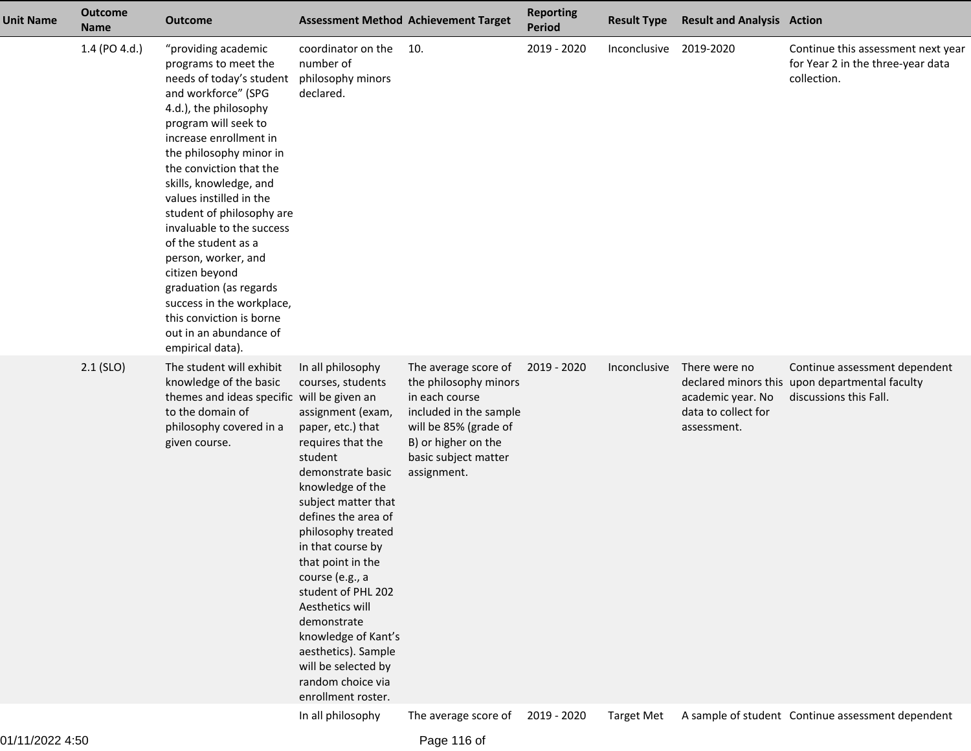| <b>Unit Name</b> | <b>Outcome</b><br><b>Name</b> | <b>Outcome</b>                                                                                                                                                                                                                                                                                                                                                                                                                                                                                                                                  | <b>Assessment Method Achievement Target</b>                                                                                                                                                                                                                                                                                                                                                                                                                        |                                                                                                                                                                                  | <b>Reporting</b><br><b>Period</b> | <b>Result Type</b>     | <b>Result and Analysis Action</b>                                        |                                                                                                           |
|------------------|-------------------------------|-------------------------------------------------------------------------------------------------------------------------------------------------------------------------------------------------------------------------------------------------------------------------------------------------------------------------------------------------------------------------------------------------------------------------------------------------------------------------------------------------------------------------------------------------|--------------------------------------------------------------------------------------------------------------------------------------------------------------------------------------------------------------------------------------------------------------------------------------------------------------------------------------------------------------------------------------------------------------------------------------------------------------------|----------------------------------------------------------------------------------------------------------------------------------------------------------------------------------|-----------------------------------|------------------------|--------------------------------------------------------------------------|-----------------------------------------------------------------------------------------------------------|
|                  | 1.4 (PO 4.d.)                 | "providing academic<br>programs to meet the<br>needs of today's student<br>and workforce" (SPG<br>4.d.), the philosophy<br>program will seek to<br>increase enrollment in<br>the philosophy minor in<br>the conviction that the<br>skills, knowledge, and<br>values instilled in the<br>student of philosophy are<br>invaluable to the success<br>of the student as a<br>person, worker, and<br>citizen beyond<br>graduation (as regards<br>success in the workplace,<br>this conviction is borne<br>out in an abundance of<br>empirical data). | coordinator on the<br>number of<br>philosophy minors<br>declared.                                                                                                                                                                                                                                                                                                                                                                                                  | 10.                                                                                                                                                                              | 2019 - 2020                       | Inconclusive 2019-2020 |                                                                          | Continue this assessment next year<br>for Year 2 in the three-year data<br>collection.                    |
|                  | $2.1$ (SLO)                   | The student will exhibit<br>knowledge of the basic<br>themes and ideas specific will be given an<br>to the domain of<br>philosophy covered in a<br>given course.                                                                                                                                                                                                                                                                                                                                                                                | In all philosophy<br>courses, students<br>assignment (exam,<br>paper, etc.) that<br>requires that the<br>student<br>demonstrate basic<br>knowledge of the<br>subject matter that<br>defines the area of<br>philosophy treated<br>in that course by<br>that point in the<br>course (e.g., a<br>student of PHL 202<br>Aesthetics will<br>demonstrate<br>knowledge of Kant's<br>aesthetics). Sample<br>will be selected by<br>random choice via<br>enrollment roster. | The average score of<br>the philosophy minors<br>in each course<br>included in the sample<br>will be 85% (grade of<br>B) or higher on the<br>basic subject matter<br>assignment. | 2019 - 2020                       | Inconclusive           | There were no<br>academic year. No<br>data to collect for<br>assessment. | Continue assessment dependent<br>declared minors this upon departmental faculty<br>discussions this Fall. |
|                  |                               |                                                                                                                                                                                                                                                                                                                                                                                                                                                                                                                                                 | In all philosophy                                                                                                                                                                                                                                                                                                                                                                                                                                                  | The average score of                                                                                                                                                             | 2019 - 2020                       | <b>Target Met</b>      |                                                                          | A sample of student Continue assessment dependent                                                         |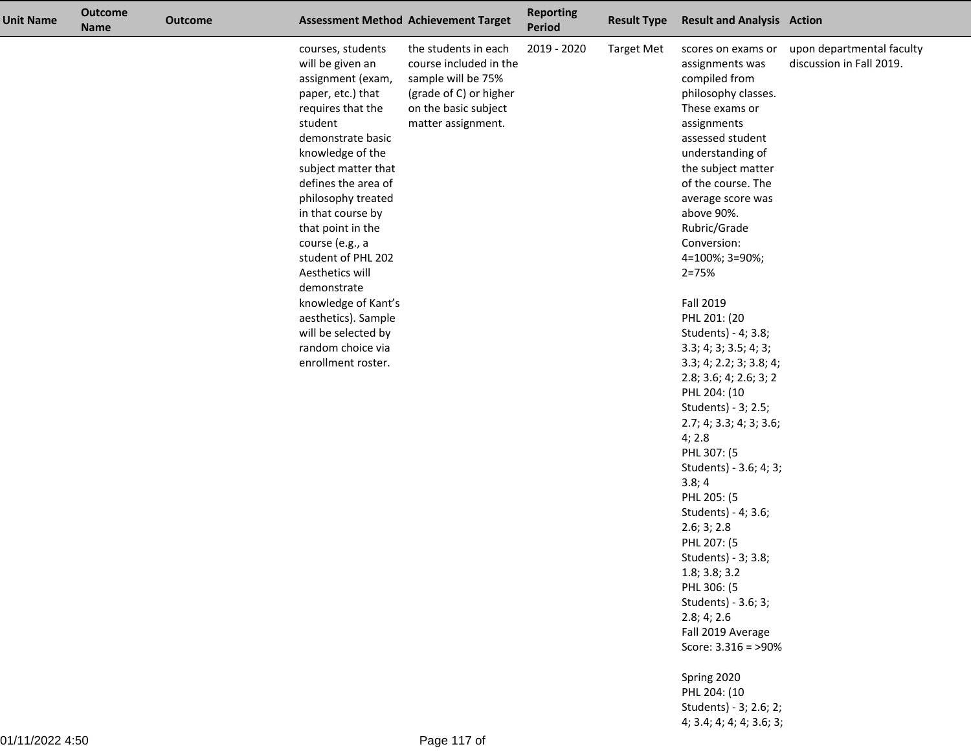| <b>Unit Name</b> | <b>Outcome</b><br><b>Name</b> | <b>Outcome</b> |                                                                                                                                                                                                                                                                                                                                                                                                                                                                   | <b>Assessment Method Achievement Target</b>                                                                                                  | <b>Reporting</b><br><b>Period</b> | <b>Result Type</b> | <b>Result and Analysis Action</b>                                                                                                                                                                                                                                                                                                                                                                                                                                                                                                                                                                                                                                                                                                                                                                                 |                                                       |
|------------------|-------------------------------|----------------|-------------------------------------------------------------------------------------------------------------------------------------------------------------------------------------------------------------------------------------------------------------------------------------------------------------------------------------------------------------------------------------------------------------------------------------------------------------------|----------------------------------------------------------------------------------------------------------------------------------------------|-----------------------------------|--------------------|-------------------------------------------------------------------------------------------------------------------------------------------------------------------------------------------------------------------------------------------------------------------------------------------------------------------------------------------------------------------------------------------------------------------------------------------------------------------------------------------------------------------------------------------------------------------------------------------------------------------------------------------------------------------------------------------------------------------------------------------------------------------------------------------------------------------|-------------------------------------------------------|
|                  |                               |                | courses, students<br>will be given an<br>assignment (exam,<br>paper, etc.) that<br>requires that the<br>student<br>demonstrate basic<br>knowledge of the<br>subject matter that<br>defines the area of<br>philosophy treated<br>in that course by<br>that point in the<br>course (e.g., a<br>student of PHL 202<br>Aesthetics will<br>demonstrate<br>knowledge of Kant's<br>aesthetics). Sample<br>will be selected by<br>random choice via<br>enrollment roster. | the students in each<br>course included in the<br>sample will be 75%<br>(grade of C) or higher<br>on the basic subject<br>matter assignment. | 2019 - 2020                       | <b>Target Met</b>  | scores on exams or<br>assignments was<br>compiled from<br>philosophy classes.<br>These exams or<br>assignments<br>assessed student<br>understanding of<br>the subject matter<br>of the course. The<br>average score was<br>above 90%.<br>Rubric/Grade<br>Conversion:<br>4=100%; 3=90%;<br>$2 = 75%$<br>Fall 2019<br>PHL 201: (20<br>Students) - 4; 3.8;<br>3.3; 4; 3; 3.5; 4; 3;<br>3.3; 4; 2.2; 3; 3.8; 4;<br>2.8; 3.6; 4; 2.6; 3; 2<br>PHL 204: (10<br>Students) - 3; 2.5;<br>2.7; 4; 3.3; 4; 3; 3.6;<br>4; 2.8<br>PHL 307: (5<br>Students) - 3.6; 4; 3;<br>3.8;4<br>PHL 205: (5<br>Students) - 4; 3.6;<br>2.6; 3; 2.8<br>PHL 207: (5<br>Students) - 3; 3.8;<br>1.8; 3.8; 3.2<br>PHL 306: (5<br>Students) - 3.6; 3;<br>2.8; 4; 2.6<br>Fall 2019 Average<br>Score: $3.316 = 90\%$<br>Spring 2020<br>PHL 204: (10 | upon departmental faculty<br>discussion in Fall 2019. |
|                  |                               |                |                                                                                                                                                                                                                                                                                                                                                                                                                                                                   |                                                                                                                                              |                                   |                    | Students) - 3; 2.6; 2;                                                                                                                                                                                                                                                                                                                                                                                                                                                                                                                                                                                                                                                                                                                                                                                            |                                                       |

4; 3.4; 4; 4; 4; 3.6; 3;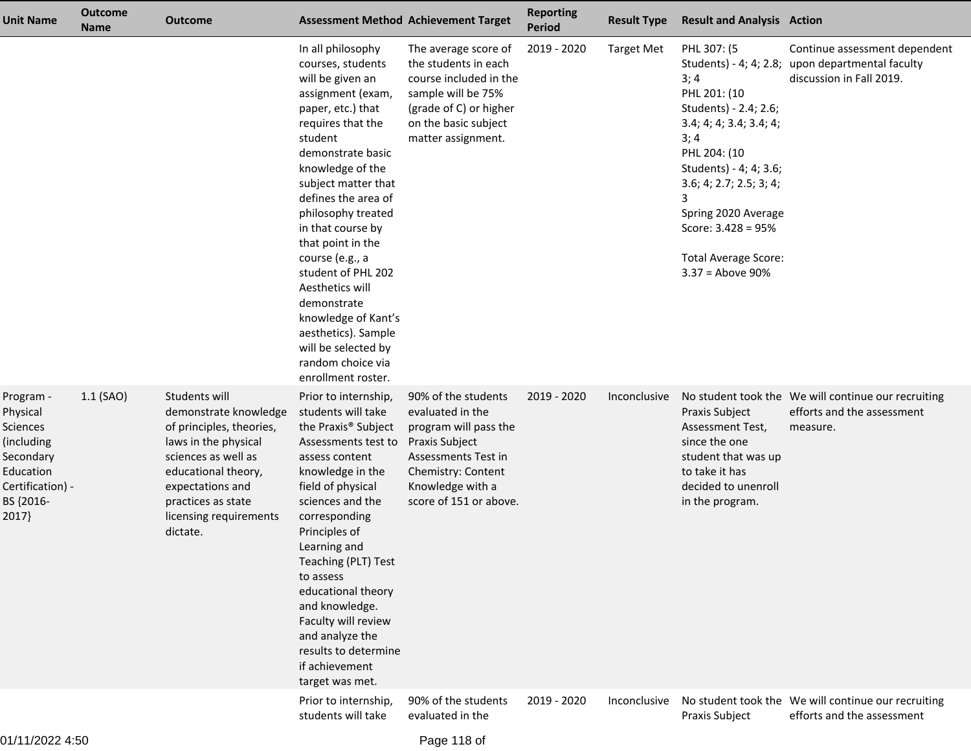| Unit Name                                                                                                           | <b>Outcome</b><br><b>Name</b> | <b>Outcome</b>                                                                                                                                                                                                           | <b>Assessment Method Achievement Target</b>                                                                                                                                                                                                                                                                                                                                                                                                                                            |                                                                                                                                                                               | <b>Reporting</b><br><b>Period</b> | <b>Result Type</b> | <b>Result and Analysis Action</b>                                                                                                                                                                                                                                                                      |                                                                                               |
|---------------------------------------------------------------------------------------------------------------------|-------------------------------|--------------------------------------------------------------------------------------------------------------------------------------------------------------------------------------------------------------------------|----------------------------------------------------------------------------------------------------------------------------------------------------------------------------------------------------------------------------------------------------------------------------------------------------------------------------------------------------------------------------------------------------------------------------------------------------------------------------------------|-------------------------------------------------------------------------------------------------------------------------------------------------------------------------------|-----------------------------------|--------------------|--------------------------------------------------------------------------------------------------------------------------------------------------------------------------------------------------------------------------------------------------------------------------------------------------------|-----------------------------------------------------------------------------------------------|
|                                                                                                                     |                               |                                                                                                                                                                                                                          | In all philosophy<br>courses, students<br>will be given an<br>assignment (exam,<br>paper, etc.) that<br>requires that the<br>student<br>demonstrate basic<br>knowledge of the<br>subject matter that<br>defines the area of<br>philosophy treated<br>in that course by<br>that point in the<br>course (e.g., a<br>student of PHL 202<br>Aesthetics will<br>demonstrate<br>knowledge of Kant's<br>aesthetics). Sample<br>will be selected by<br>random choice via<br>enrollment roster. | The average score of<br>the students in each<br>course included in the<br>sample will be 75%<br>(grade of C) or higher<br>on the basic subject<br>matter assignment.          | 2019 - 2020                       | <b>Target Met</b>  | PHL 307: (5<br>Students) - 4; 4; 2.8;<br>3; 4<br>PHL 201: (10<br>Students) - 2.4; 2.6;<br>3.4; 4; 4; 3.4; 3.4; 4;<br>3;4<br>PHL 204: (10<br>Students) - 4; 4; 3.6;<br>3.6; 4; 2.7; 2.5; 3; 4;<br>3<br>Spring 2020 Average<br>Score: $3.428 = 95%$<br><b>Total Average Score:</b><br>$3.37 =$ Above 90% | Continue assessment dependent<br>upon departmental faculty<br>discussion in Fall 2019.        |
| Program -<br>Physical<br>Sciences<br>(including<br>Secondary<br>Education<br>Certification) -<br>BS {2016-<br>2017} | $1.1$ (SAO)                   | Students will<br>demonstrate knowledge<br>of principles, theories,<br>laws in the physical<br>sciences as well as<br>educational theory,<br>expectations and<br>practices as state<br>licensing requirements<br>dictate. | Prior to internship,<br>students will take<br>the Praxis <sup>®</sup> Subject<br>Assessments test to<br>assess content<br>knowledge in the<br>field of physical<br>sciences and the<br>corresponding<br>Principles of<br>Learning and<br>Teaching (PLT) Test<br>to assess<br>educational theory<br>and knowledge.<br>Faculty will review<br>and analyze the<br>results to determine<br>if achievement<br>target was met.                                                               | 90% of the students<br>evaluated in the<br>program will pass the<br>Praxis Subject<br>Assessments Test in<br>Chemistry: Content<br>Knowledge with a<br>score of 151 or above. | 2019 - 2020                       | Inconclusive       | Praxis Subject<br>Assessment Test,<br>since the one<br>student that was up<br>to take it has<br>decided to unenroll<br>in the program.                                                                                                                                                                 | No student took the We will continue our recruiting<br>efforts and the assessment<br>measure. |
| 11.10000                                                                                                            |                               |                                                                                                                                                                                                                          | Prior to internship,<br>students will take                                                                                                                                                                                                                                                                                                                                                                                                                                             | 90% of the students<br>evaluated in the                                                                                                                                       | 2019 - 2020                       | Inconclusive       | Praxis Subject                                                                                                                                                                                                                                                                                         | No student took the We will continue our recruiting<br>efforts and the assessment             |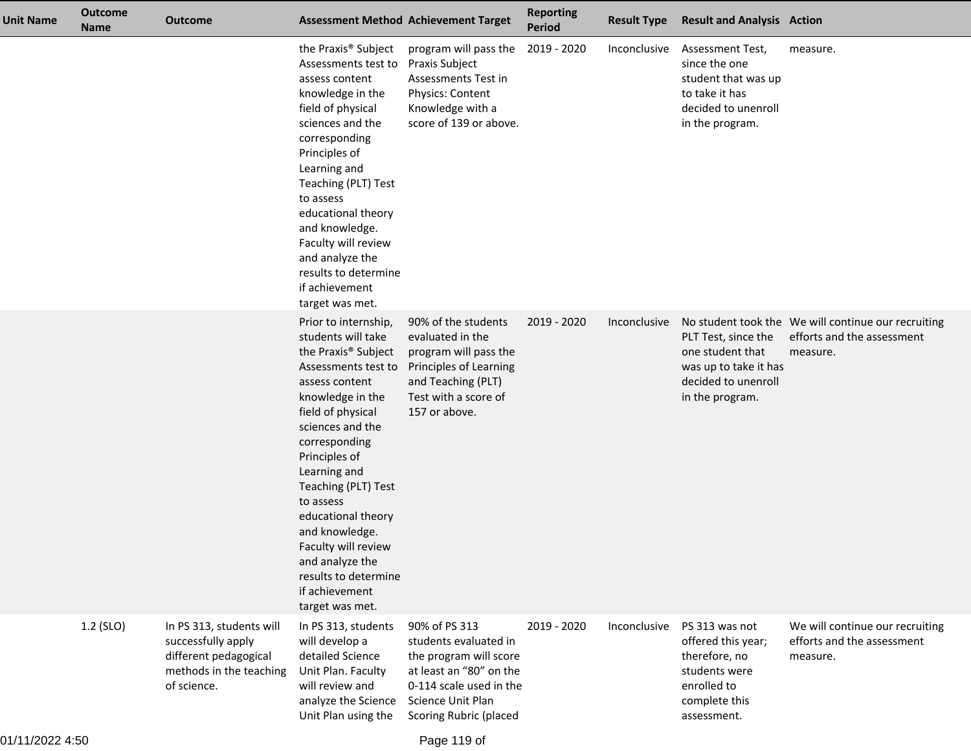| <b>Unit Name</b> | <b>Outcome</b><br><b>Name</b> | <b>Outcome</b>                                                                                                    |                                                                                                                                                                                                                                                                                                                                                                                                                          | <b>Assessment Method Achievement Target</b>                                                                                                                           | <b>Reporting</b><br>Period | <b>Result Type</b> | <b>Result and Analysis Action</b>                                                                                     |                                                                                               |
|------------------|-------------------------------|-------------------------------------------------------------------------------------------------------------------|--------------------------------------------------------------------------------------------------------------------------------------------------------------------------------------------------------------------------------------------------------------------------------------------------------------------------------------------------------------------------------------------------------------------------|-----------------------------------------------------------------------------------------------------------------------------------------------------------------------|----------------------------|--------------------|-----------------------------------------------------------------------------------------------------------------------|-----------------------------------------------------------------------------------------------|
|                  |                               |                                                                                                                   | the Praxis <sup>®</sup> Subject<br>Assessments test to<br>assess content<br>knowledge in the<br>field of physical<br>sciences and the<br>corresponding<br>Principles of<br>Learning and<br>Teaching (PLT) Test<br>to assess<br>educational theory<br>and knowledge.<br>Faculty will review<br>and analyze the<br>results to determine<br>if achievement<br>target was met.                                               | program will pass the<br>Praxis Subject<br>Assessments Test in<br>Physics: Content<br>Knowledge with a<br>score of 139 or above.                                      | 2019 - 2020                | Inconclusive       | Assessment Test,<br>since the one<br>student that was up<br>to take it has<br>decided to unenroll<br>in the program.  | measure.                                                                                      |
|                  |                               |                                                                                                                   | Prior to internship,<br>students will take<br>the Praxis <sup>®</sup> Subject<br>Assessments test to<br>assess content<br>knowledge in the<br>field of physical<br>sciences and the<br>corresponding<br>Principles of<br>Learning and<br>Teaching (PLT) Test<br>to assess<br>educational theory<br>and knowledge.<br>Faculty will review<br>and analyze the<br>results to determine<br>if achievement<br>target was met. | 90% of the students<br>evaluated in the<br>program will pass the<br>Principles of Learning<br>and Teaching (PLT)<br>Test with a score of<br>157 or above.             | 2019 - 2020                | Inconclusive       | PLT Test, since the<br>one student that<br>was up to take it has<br>decided to unenroll<br>in the program.            | No student took the We will continue our recruiting<br>efforts and the assessment<br>measure. |
|                  | 1.2 (SLO)                     | In PS 313, students will<br>successfully apply<br>different pedagogical<br>methods in the teaching<br>of science. | In PS 313, students<br>will develop a<br>detailed Science<br>Unit Plan. Faculty<br>will review and<br>analyze the Science<br>Unit Plan using the                                                                                                                                                                                                                                                                         | 90% of PS 313<br>students evaluated in<br>the program will score<br>at least an "80" on the<br>0-114 scale used in the<br>Science Unit Plan<br>Scoring Rubric (placed | 2019 - 2020                | Inconclusive       | PS 313 was not<br>offered this year;<br>therefore, no<br>students were<br>enrolled to<br>complete this<br>assessment. | We will continue our recruiting<br>efforts and the assessment<br>measure.                     |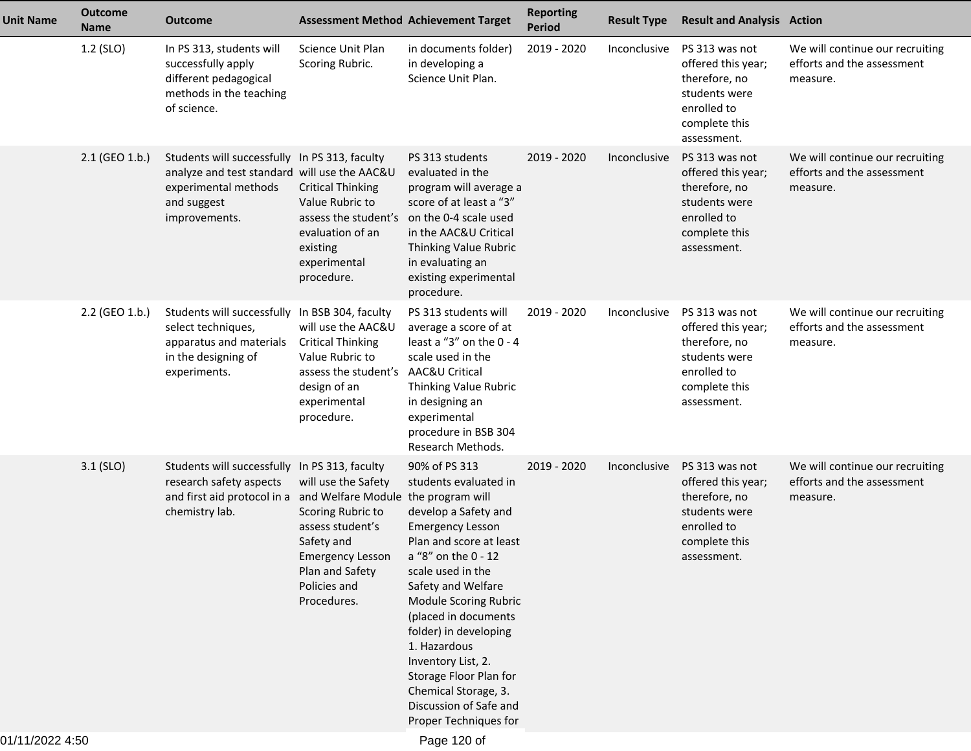| <b>Unit Name</b> | <b>Outcome</b><br><b>Name</b> | <b>Outcome</b>                                                                                                                                                |                                                                                                                                                         | <b>Assessment Method Achievement Target</b>                                                                                                                                                                                                                                                                                                                                                                 | <b>Reporting</b><br>Period | <b>Result Type</b>  | <b>Result and Analysis Action</b>                                                                                     |                                                                           |
|------------------|-------------------------------|---------------------------------------------------------------------------------------------------------------------------------------------------------------|---------------------------------------------------------------------------------------------------------------------------------------------------------|-------------------------------------------------------------------------------------------------------------------------------------------------------------------------------------------------------------------------------------------------------------------------------------------------------------------------------------------------------------------------------------------------------------|----------------------------|---------------------|-----------------------------------------------------------------------------------------------------------------------|---------------------------------------------------------------------------|
|                  | 1.2 (SLO)                     | In PS 313, students will<br>successfully apply<br>different pedagogical<br>methods in the teaching<br>of science.                                             | Science Unit Plan<br>Scoring Rubric.                                                                                                                    | in documents folder)<br>in developing a<br>Science Unit Plan.                                                                                                                                                                                                                                                                                                                                               | 2019 - 2020                | Inconclusive        | PS 313 was not<br>offered this year;<br>therefore, no<br>students were<br>enrolled to<br>complete this<br>assessment. | We will continue our recruiting<br>efforts and the assessment<br>measure. |
|                  | 2.1 (GEO 1.b.)                | Students will successfully In PS 313, faculty<br>analyze and test standard will use the AAC&U<br>experimental methods<br>and suggest<br>improvements.         | <b>Critical Thinking</b><br>Value Rubric to<br>assess the student's<br>evaluation of an<br>existing<br>experimental<br>procedure.                       | PS 313 students<br>evaluated in the<br>program will average a<br>score of at least a "3"<br>on the 0-4 scale used<br>in the AAC&U Critical<br>Thinking Value Rubric<br>in evaluating an<br>existing experimental<br>procedure.                                                                                                                                                                              | 2019 - 2020                | Inconclusive        | PS 313 was not<br>offered this year;<br>therefore, no<br>students were<br>enrolled to<br>complete this<br>assessment. | We will continue our recruiting<br>efforts and the assessment<br>measure. |
|                  | 2.2 (GEO 1.b.)                | Students will successfully In BSB 304, faculty<br>select techniques,<br>apparatus and materials<br>in the designing of<br>experiments.                        | will use the AAC&U<br><b>Critical Thinking</b><br>Value Rubric to<br>assess the student's<br>design of an<br>experimental<br>procedure.                 | PS 313 students will<br>average a score of at<br>least a "3" on the $0 - 4$<br>scale used in the<br>AAC&U Critical<br>Thinking Value Rubric<br>in designing an<br>experimental<br>procedure in BSB 304<br>Research Methods.                                                                                                                                                                                 | 2019 - 2020                | <b>Inconclusive</b> | PS 313 was not<br>offered this year;<br>therefore, no<br>students were<br>enrolled to<br>complete this<br>assessment. | We will continue our recruiting<br>efforts and the assessment<br>measure. |
|                  | $3.1$ (SLO)                   | Students will successfully In PS 313, faculty<br>research safety aspects<br>and first aid protocol in a and Welfare Module the program will<br>chemistry lab. | will use the Safety<br>Scoring Rubric to<br>assess student's<br>Safety and<br><b>Emergency Lesson</b><br>Plan and Safety<br>Policies and<br>Procedures. | 90% of PS 313<br>students evaluated in<br>develop a Safety and<br><b>Emergency Lesson</b><br>Plan and score at least<br>a "8" on the 0 - 12<br>scale used in the<br>Safety and Welfare<br>Module Scoring Rubric<br>(placed in documents<br>folder) in developing<br>1. Hazardous<br>Inventory List, 2.<br>Storage Floor Plan for<br>Chemical Storage, 3.<br>Discussion of Safe and<br>Proper Techniques for | 2019 - 2020                | Inconclusive        | PS 313 was not<br>offered this year;<br>therefore, no<br>students were<br>enrolled to<br>complete this<br>assessment. | We will continue our recruiting<br>efforts and the assessment<br>measure. |
| 0.1/11/00001150  |                               |                                                                                                                                                               |                                                                                                                                                         | $DaoA20$ of                                                                                                                                                                                                                                                                                                                                                                                                 |                            |                     |                                                                                                                       |                                                                           |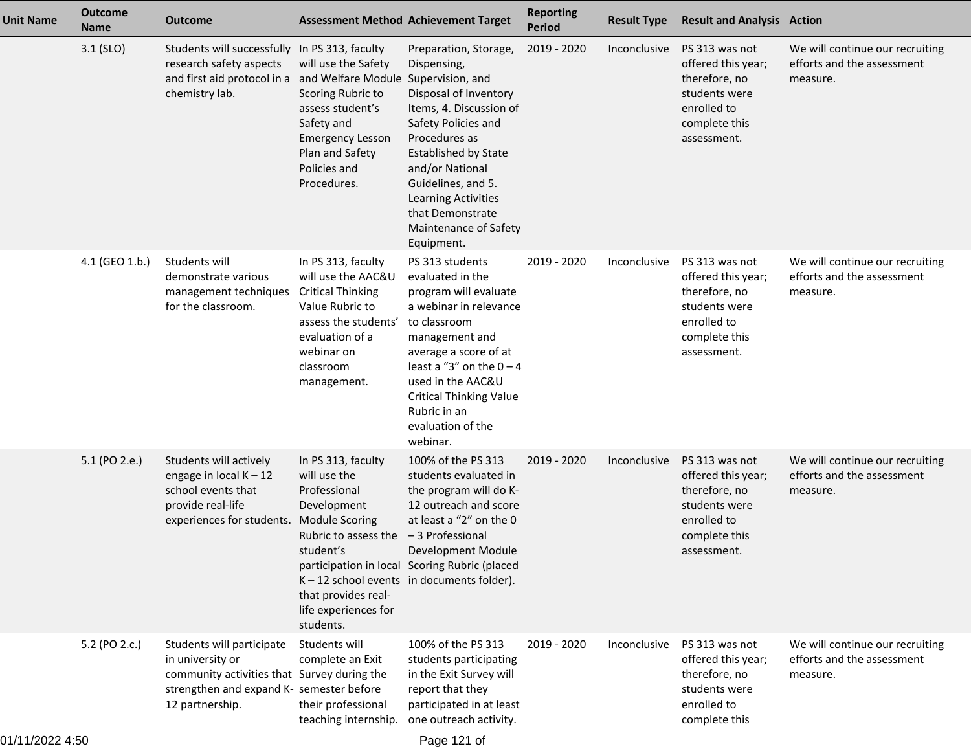| <b>Unit Name</b> | <b>Outcome</b><br><b>Name</b> | <b>Outcome</b>                                                                                                                                                | <b>Assessment Method Achievement Target</b>                                                                                                                                  |                                                                                                                                                                                                                                                                                            | <b>Reporting</b><br><b>Period</b> | <b>Result Type</b> | <b>Result and Analysis Action</b>                                                                                     |                                                                           |
|------------------|-------------------------------|---------------------------------------------------------------------------------------------------------------------------------------------------------------|------------------------------------------------------------------------------------------------------------------------------------------------------------------------------|--------------------------------------------------------------------------------------------------------------------------------------------------------------------------------------------------------------------------------------------------------------------------------------------|-----------------------------------|--------------------|-----------------------------------------------------------------------------------------------------------------------|---------------------------------------------------------------------------|
|                  | $3.1$ (SLO)                   | Students will successfully In PS 313, faculty<br>research safety aspects<br>and first aid protocol in a and Welfare Module Supervision, and<br>chemistry lab. | will use the Safety<br>Scoring Rubric to<br>assess student's<br>Safety and<br><b>Emergency Lesson</b><br>Plan and Safety<br>Policies and<br>Procedures.                      | Preparation, Storage,<br>Dispensing,<br>Disposal of Inventory<br>Items, 4. Discussion of<br>Safety Policies and<br>Procedures as<br><b>Established by State</b><br>and/or National<br>Guidelines, and 5.<br>Learning Activities<br>that Demonstrate<br>Maintenance of Safety<br>Equipment. | 2019 - 2020                       | Inconclusive       | PS 313 was not<br>offered this year;<br>therefore, no<br>students were<br>enrolled to<br>complete this<br>assessment. | We will continue our recruiting<br>efforts and the assessment<br>measure. |
|                  | 4.1 (GEO 1.b.)                | Students will<br>demonstrate various<br>management techniques<br>for the classroom.                                                                           | In PS 313, faculty<br>will use the AAC&U<br><b>Critical Thinking</b><br>Value Rubric to<br>assess the students'<br>evaluation of a<br>webinar on<br>classroom<br>management. | PS 313 students<br>evaluated in the<br>program will evaluate<br>a webinar in relevance<br>to classroom<br>management and<br>average a score of at<br>least a "3" on the $0 - 4$<br>used in the AAC&U<br><b>Critical Thinking Value</b><br>Rubric in an<br>evaluation of the<br>webinar.    | 2019 - 2020                       | Inconclusive       | PS 313 was not<br>offered this year;<br>therefore, no<br>students were<br>enrolled to<br>complete this<br>assessment. | We will continue our recruiting<br>efforts and the assessment<br>measure. |
|                  | 5.1 (PO 2.e.)                 | Students will actively<br>engage in local $K - 12$<br>school events that<br>provide real-life<br>experiences for students. Module Scoring                     | In PS 313, faculty<br>will use the<br>Professional<br>Development<br>Rubric to assess the<br>student's<br>that provides real-<br>life experiences for<br>students.           | 100% of the PS 313<br>students evaluated in<br>the program will do K-<br>12 outreach and score<br>at least a "2" on the 0<br>-3 Professional<br>Development Module<br>participation in local Scoring Rubric (placed<br>$K - 12$ school events in documents folder).                        | 2019 - 2020                       | Inconclusive       | PS 313 was not<br>offered this year;<br>therefore, no<br>students were<br>enrolled to<br>complete this<br>assessment. | We will continue our recruiting<br>efforts and the assessment<br>measure. |
|                  | 5.2 (PO 2.c.)                 | Students will participate<br>in university or<br>community activities that Survey during the<br>strengthen and expand K- semester before<br>12 partnership.   | Students will<br>complete an Exit<br>their professional<br>teaching internship.                                                                                              | 100% of the PS 313<br>students participating<br>in the Exit Survey will<br>report that they<br>participated in at least<br>one outreach activity.                                                                                                                                          | 2019 - 2020                       | Inconclusive       | PS 313 was not<br>offered this year;<br>therefore, no<br>students were<br>enrolled to<br>complete this                | We will continue our recruiting<br>efforts and the assessment<br>measure. |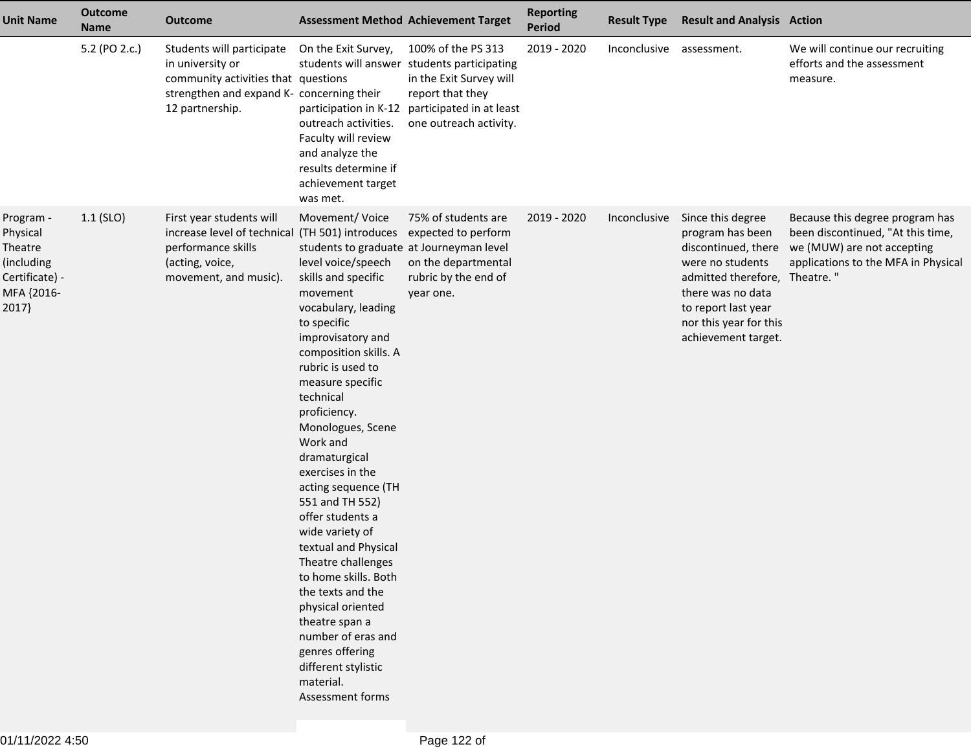| <b>Unit Name</b>                                                                        | <b>Outcome</b><br><b>Name</b> | <b>Outcome</b>                                                                                                                                       |                                                                                                                                                                                                                                                                                                                                                                                                                                                                                                                                                                                                                                                                         | <b>Assessment Method Achievement Target</b>                                                                                                                            | <b>Reporting</b><br><b>Period</b> | <b>Result Type</b> | <b>Result and Analysis Action</b>                                                                                                                                                                              |                                                                                                                                           |
|-----------------------------------------------------------------------------------------|-------------------------------|------------------------------------------------------------------------------------------------------------------------------------------------------|-------------------------------------------------------------------------------------------------------------------------------------------------------------------------------------------------------------------------------------------------------------------------------------------------------------------------------------------------------------------------------------------------------------------------------------------------------------------------------------------------------------------------------------------------------------------------------------------------------------------------------------------------------------------------|------------------------------------------------------------------------------------------------------------------------------------------------------------------------|-----------------------------------|--------------------|----------------------------------------------------------------------------------------------------------------------------------------------------------------------------------------------------------------|-------------------------------------------------------------------------------------------------------------------------------------------|
|                                                                                         | 5.2 (PO 2.c.)                 | Students will participate<br>in university or<br>community activities that questions<br>strengthen and expand K- concerning their<br>12 partnership. | On the Exit Survey,<br>participation in K-12<br>outreach activities.<br>Faculty will review<br>and analyze the<br>results determine if<br>achievement target<br>was met.                                                                                                                                                                                                                                                                                                                                                                                                                                                                                                | 100% of the PS 313<br>students will answer students participating<br>in the Exit Survey will<br>report that they<br>participated in at least<br>one outreach activity. | 2019 - 2020                       | Inconclusive       | assessment.                                                                                                                                                                                                    | We will continue our recruiting<br>efforts and the assessment<br>measure.                                                                 |
| Program -<br>Physical<br>Theatre<br>(including<br>Certificate) -<br>MFA {2016-<br>2017} | $1.1$ (SLO)                   | First year students will<br>increase level of technical (TH 501) introduces<br>performance skills<br>(acting, voice,<br>movement, and music).        | Movement/Voice<br>students to graduate at Journeyman level<br>level voice/speech<br>skills and specific<br>movement<br>vocabulary, leading<br>to specific<br>improvisatory and<br>composition skills. A<br>rubric is used to<br>measure specific<br>technical<br>proficiency.<br>Monologues, Scene<br>Work and<br>dramaturgical<br>exercises in the<br>acting sequence (TH<br>551 and TH 552)<br>offer students a<br>wide variety of<br>textual and Physical<br>Theatre challenges<br>to home skills. Both<br>the texts and the<br>physical oriented<br>theatre span a<br>number of eras and<br>genres offering<br>different stylistic<br>material.<br>Assessment forms | 75% of students are<br>expected to perform<br>on the departmental<br>rubric by the end of<br>year one.                                                                 | 2019 - 2020                       | Inconclusive       | Since this degree<br>program has been<br>discontinued, there<br>were no students<br>admitted therefore, Theatre."<br>there was no data<br>to report last year<br>nor this year for this<br>achievement target. | Because this degree program has<br>been discontinued, "At this time,<br>we (MUW) are not accepting<br>applications to the MFA in Physical |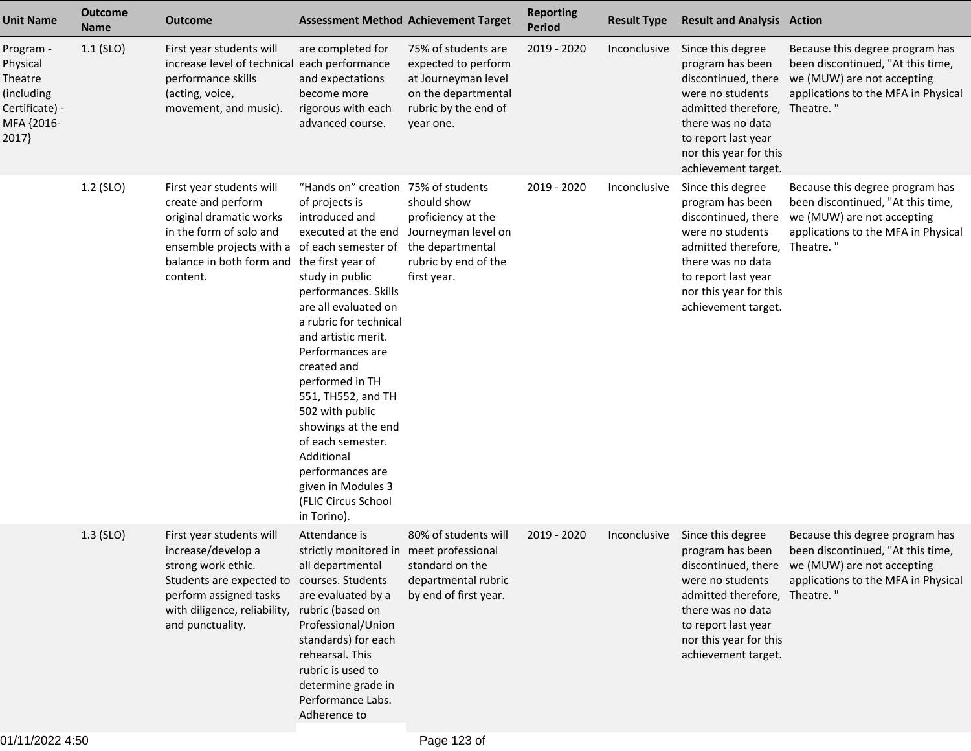| <b>Unit Name</b>                                                                        | <b>Outcome</b><br><b>Name</b> | <b>Outcome</b>                                                                                                                                                                                   |                                                                                                                                                                                                                                                                                                                                                                                                                                                                                  | <b>Assessment Method Achievement Target</b>                                                                                   | <b>Reporting</b><br>Period | <b>Result Type</b> | <b>Result and Analysis Action</b>                                                                                                                                                                              |                                                                                                                                                               |
|-----------------------------------------------------------------------------------------|-------------------------------|--------------------------------------------------------------------------------------------------------------------------------------------------------------------------------------------------|----------------------------------------------------------------------------------------------------------------------------------------------------------------------------------------------------------------------------------------------------------------------------------------------------------------------------------------------------------------------------------------------------------------------------------------------------------------------------------|-------------------------------------------------------------------------------------------------------------------------------|----------------------------|--------------------|----------------------------------------------------------------------------------------------------------------------------------------------------------------------------------------------------------------|---------------------------------------------------------------------------------------------------------------------------------------------------------------|
| Program -<br>Physical<br>Theatre<br>(including<br>Certificate) -<br>MFA {2016-<br>2017} | $1.1$ (SLO)                   | First year students will<br>increase level of technical each performance<br>performance skills<br>(acting, voice,<br>movement, and music).                                                       | are completed for<br>and expectations<br>become more<br>rigorous with each<br>advanced course.                                                                                                                                                                                                                                                                                                                                                                                   | 75% of students are<br>expected to perform<br>at Journeyman level<br>on the departmental<br>rubric by the end of<br>year one. | 2019 - 2020                | Inconclusive       | Since this degree<br>program has been<br>discontinued, there<br>were no students<br>admitted therefore, Theatre."<br>there was no data<br>to report last year<br>nor this year for this<br>achievement target. | Because this degree program has<br>been discontinued, "At this time,<br>we (MUW) are not accepting<br>applications to the MFA in Physical                     |
|                                                                                         | 1.2 (SLO)                     | First year students will<br>create and perform<br>original dramatic works<br>in the form of solo and<br>ensemble projects with a of each semester of<br>balance in both form and<br>content.     | "Hands on" creation 75% of students<br>of projects is<br>introduced and<br>executed at the end<br>the first year of<br>study in public<br>performances. Skills<br>are all evaluated on<br>a rubric for technical<br>and artistic merit.<br>Performances are<br>created and<br>performed in TH<br>551, TH552, and TH<br>502 with public<br>showings at the end<br>of each semester.<br>Additional<br>performances are<br>given in Modules 3<br>(FLIC Circus School<br>in Torino). | should show<br>proficiency at the<br>Journeyman level on<br>the departmental<br>rubric by end of the<br>first year.           | 2019 - 2020                | Inconclusive       | Since this degree<br>program has been<br>discontinued, there<br>were no students<br>admitted therefore,<br>there was no data<br>to report last year<br>nor this year for this<br>achievement target.           | Because this degree program has<br>been discontinued, "At this time,<br>we (MUW) are not accepting<br>applications to the MFA in Physical<br>Theatre."        |
|                                                                                         | $1.3$ (SLO)                   | First year students will<br>increase/develop a<br>strong work ethic.<br>Students are expected to courses. Students<br>perform assigned tasks<br>with diligence, reliability,<br>and punctuality. | Attendance is<br>strictly monitored in meet professional<br>all departmental<br>are evaluated by a<br>rubric (based on<br>Professional/Union<br>standards) for each<br>rehearsal. This<br>rubric is used to<br>determine grade in<br>Performance Labs.<br>Adherence to                                                                                                                                                                                                           | 80% of students will<br>standard on the<br>departmental rubric<br>by end of first year.                                       | 2019 - 2020                | Inconclusive       | Since this degree<br>program has been<br>were no students<br>admitted therefore, Theatre."<br>there was no data<br>to report last year<br>nor this year for this<br>achievement target.                        | Because this degree program has<br>been discontinued, "At this time,<br>discontinued, there we (MUW) are not accepting<br>applications to the MFA in Physical |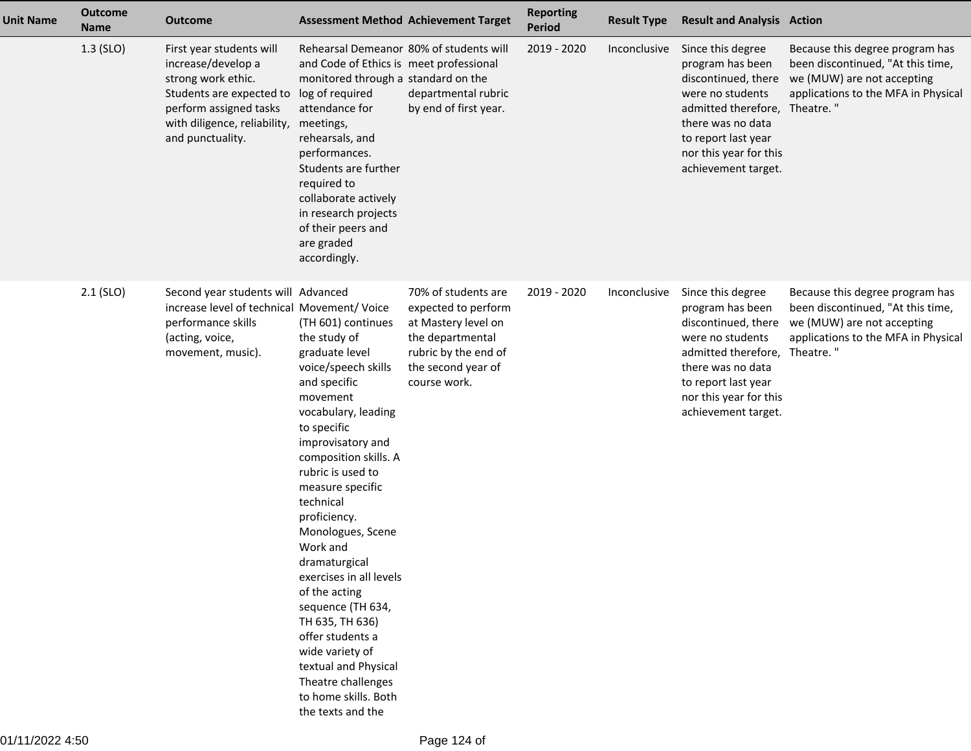| <b>Unit Name</b> | <b>Outcome</b><br><b>Name</b> | <b>Outcome</b>                                                                                                                                                                 |                                                                                                                                                                                                                                                                                                                                                                                                                                                                                                                                           | <b>Assessment Method Achievement Target</b>                                                                                                         | <b>Reporting</b><br><b>Period</b> | <b>Result Type</b> | <b>Result and Analysis Action</b>                                                                                                                                                                    |                                                                                                                                                        |
|------------------|-------------------------------|--------------------------------------------------------------------------------------------------------------------------------------------------------------------------------|-------------------------------------------------------------------------------------------------------------------------------------------------------------------------------------------------------------------------------------------------------------------------------------------------------------------------------------------------------------------------------------------------------------------------------------------------------------------------------------------------------------------------------------------|-----------------------------------------------------------------------------------------------------------------------------------------------------|-----------------------------------|--------------------|------------------------------------------------------------------------------------------------------------------------------------------------------------------------------------------------------|--------------------------------------------------------------------------------------------------------------------------------------------------------|
|                  | $1.3$ (SLO)                   | First year students will<br>increase/develop a<br>strong work ethic.<br>Students are expected to<br>perform assigned tasks<br>with diligence, reliability,<br>and punctuality. | Rehearsal Demeanor 80% of students will<br>and Code of Ethics is meet professional<br>monitored through a standard on the<br>log of required<br>attendance for<br>meetings,<br>rehearsals, and<br>performances.<br>Students are further<br>required to<br>collaborate actively<br>in research projects<br>of their peers and<br>are graded<br>accordingly.                                                                                                                                                                                | departmental rubric<br>by end of first year.                                                                                                        | 2019 - 2020                       | Inconclusive       | Since this degree<br>program has been<br>discontinued, there<br>were no students<br>admitted therefore,<br>there was no data<br>to report last year<br>nor this year for this<br>achievement target. | Because this degree program has<br>been discontinued, "At this time,<br>we (MUW) are not accepting<br>applications to the MFA in Physical<br>Theatre." |
|                  | $2.1$ (SLO)                   | Second year students will Advanced<br>increase level of technical Movement/ Voice<br>performance skills<br>(acting, voice,<br>movement, music).                                | (TH 601) continues<br>the study of<br>graduate level<br>voice/speech skills<br>and specific<br>movement<br>vocabulary, leading<br>to specific<br>improvisatory and<br>composition skills. A<br>rubric is used to<br>measure specific<br>technical<br>proficiency.<br>Monologues, Scene<br>Work and<br>dramaturgical<br>exercises in all levels<br>of the acting<br>sequence (TH 634,<br>TH 635, TH 636)<br>offer students a<br>wide variety of<br>textual and Physical<br>Theatre challenges<br>to home skills. Both<br>the texts and the | 70% of students are<br>expected to perform<br>at Mastery level on<br>the departmental<br>rubric by the end of<br>the second year of<br>course work. | 2019 - 2020                       | Inconclusive       | Since this degree<br>program has been<br>discontinued, there<br>were no students<br>admitted therefore,<br>there was no data<br>to report last year<br>nor this year for this<br>achievement target. | Because this degree program has<br>been discontinued, "At this time,<br>we (MUW) are not accepting<br>applications to the MFA in Physical<br>Theatre." |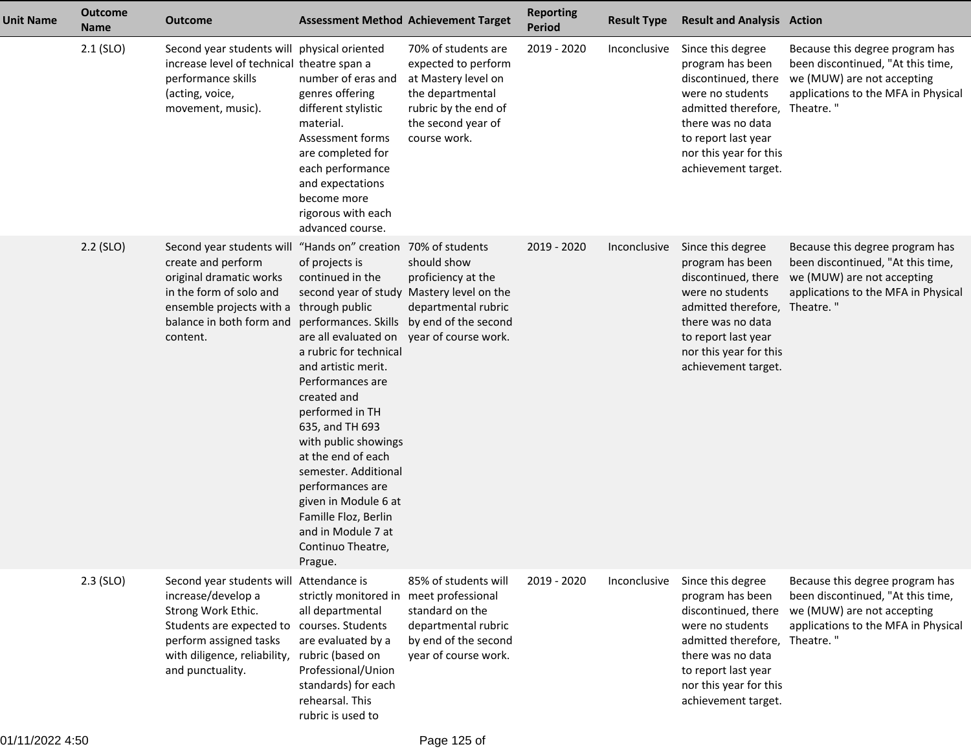| <b>Unit Name</b> | <b>Outcome</b><br><b>Name</b> | <b>Outcome</b>                                                                                                                                                                                               |                                                                                                                                                                                                                                                                                                                                                                                                                                                                                | <b>Assessment Method Achievement Target</b>                                                                                                         | <b>Reporting</b><br><b>Period</b> | <b>Result Type</b> | <b>Result and Analysis Action</b>                                                                                                                                                                              |                                                                                                                                                        |
|------------------|-------------------------------|--------------------------------------------------------------------------------------------------------------------------------------------------------------------------------------------------------------|--------------------------------------------------------------------------------------------------------------------------------------------------------------------------------------------------------------------------------------------------------------------------------------------------------------------------------------------------------------------------------------------------------------------------------------------------------------------------------|-----------------------------------------------------------------------------------------------------------------------------------------------------|-----------------------------------|--------------------|----------------------------------------------------------------------------------------------------------------------------------------------------------------------------------------------------------------|--------------------------------------------------------------------------------------------------------------------------------------------------------|
|                  | $2.1$ (SLO)                   | Second year students will physical oriented<br>increase level of technical theatre span a<br>performance skills<br>(acting, voice,<br>movement, music).                                                      | number of eras and<br>genres offering<br>different stylistic<br>material.<br>Assessment forms<br>are completed for<br>each performance<br>and expectations<br>become more<br>rigorous with each<br>advanced course.                                                                                                                                                                                                                                                            | 70% of students are<br>expected to perform<br>at Mastery level on<br>the departmental<br>rubric by the end of<br>the second year of<br>course work. | 2019 - 2020                       | Inconclusive       | Since this degree<br>program has been<br>discontinued, there<br>were no students<br>admitted therefore,<br>there was no data<br>to report last year<br>nor this year for this<br>achievement target.           | Because this degree program has<br>been discontinued, "At this time,<br>we (MUW) are not accepting<br>applications to the MFA in Physical<br>Theatre." |
|                  | $2.2$ (SLO)                   | Second year students will "Hands on" creation<br>create and perform<br>original dramatic works<br>in the form of solo and<br>ensemble projects with a through public<br>balance in both form and<br>content. | of projects is<br>continued in the<br>second year of study Mastery level on the<br>performances. Skills by end of the second<br>are all evaluated on<br>a rubric for technical<br>and artistic merit.<br>Performances are<br>created and<br>performed in TH<br>635, and TH 693<br>with public showings<br>at the end of each<br>semester. Additional<br>performances are<br>given in Module 6 at<br>Famille Floz, Berlin<br>and in Module 7 at<br>Continuo Theatre,<br>Prague. | 70% of students<br>should show<br>proficiency at the<br>departmental rubric<br>year of course work.                                                 | 2019 - 2020                       | Inconclusive       | Since this degree<br>program has been<br>discontinued, there<br>were no students<br>admitted therefore,<br>there was no data<br>to report last year<br>nor this year for this<br>achievement target.           | Because this degree program has<br>been discontinued, "At this time,<br>we (MUW) are not accepting<br>applications to the MFA in Physical<br>Theatre." |
|                  | $2.3$ (SLO)                   | Second year students will Attendance is<br>increase/develop a<br>Strong Work Ethic.<br>Students are expected to<br>perform assigned tasks<br>with diligence, reliability,<br>and punctuality.                | strictly monitored in<br>all departmental<br>courses. Students<br>are evaluated by a<br>rubric (based on<br>Professional/Union<br>standards) for each<br>rehearsal. This<br>rubric is used to                                                                                                                                                                                                                                                                                  | 85% of students will<br>meet professional<br>standard on the<br>departmental rubric<br>by end of the second<br>year of course work.                 | 2019 - 2020                       | Inconclusive       | Since this degree<br>program has been<br>discontinued, there<br>were no students<br>admitted therefore, Theatre."<br>there was no data<br>to report last year<br>nor this year for this<br>achievement target. | Because this degree program has<br>been discontinued, "At this time,<br>we (MUW) are not accepting<br>applications to the MFA in Physical              |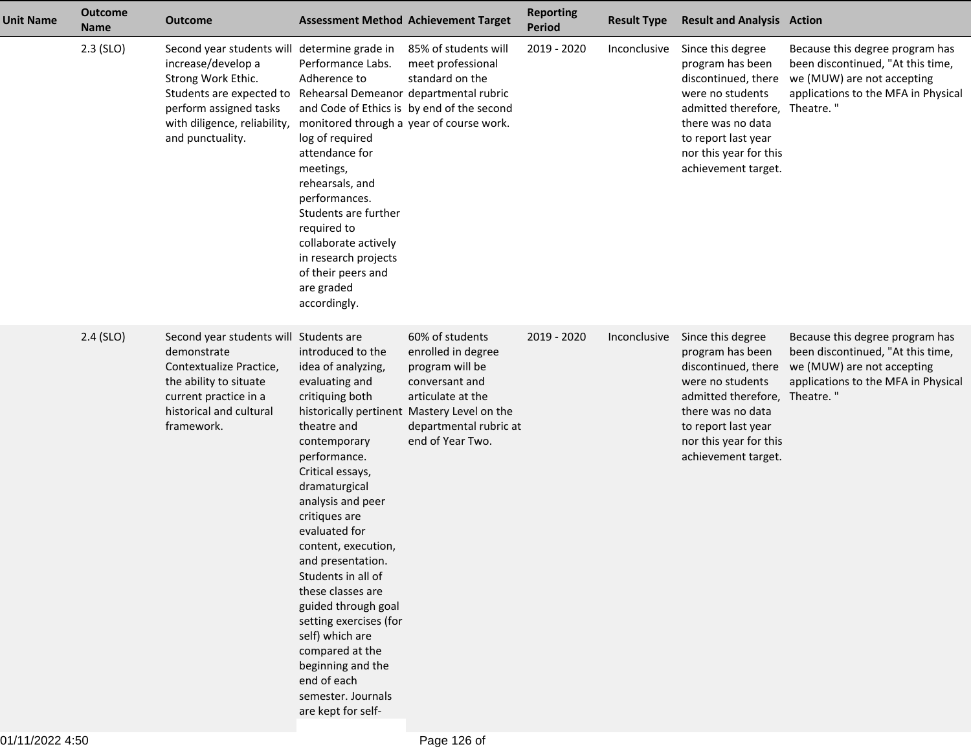| <b>Unit Name</b> | <b>Outcome</b><br><b>Name</b> | <b>Outcome</b>                                                                                                                                                                                                                            |                                                                                                                                                                                                                                                                                                                                                                                                                                                                                       | <b>Assessment Method Achievement Target</b>                                                                                                                                                  | <b>Reporting</b><br>Period | <b>Result Type</b> | <b>Result and Analysis Action</b>                                                                                                                                                                              |                                                                                                                                                        |
|------------------|-------------------------------|-------------------------------------------------------------------------------------------------------------------------------------------------------------------------------------------------------------------------------------------|---------------------------------------------------------------------------------------------------------------------------------------------------------------------------------------------------------------------------------------------------------------------------------------------------------------------------------------------------------------------------------------------------------------------------------------------------------------------------------------|----------------------------------------------------------------------------------------------------------------------------------------------------------------------------------------------|----------------------------|--------------------|----------------------------------------------------------------------------------------------------------------------------------------------------------------------------------------------------------------|--------------------------------------------------------------------------------------------------------------------------------------------------------|
|                  | $2.3$ (SLO)                   | Second year students will determine grade in<br>increase/develop a<br>Strong Work Ethic.<br>Students are expected to Rehearsal Demeanor departmental rubric<br>perform assigned tasks<br>with diligence, reliability,<br>and punctuality. | Performance Labs.<br>Adherence to<br>monitored through a year of course work.<br>log of required<br>attendance for<br>meetings,<br>rehearsals, and<br>performances.<br>Students are further<br>required to<br>collaborate actively<br>in research projects<br>of their peers and<br>are graded<br>accordingly.                                                                                                                                                                        | 85% of students will<br>meet professional<br>standard on the<br>and Code of Ethics is by end of the second                                                                                   | 2019 - 2020                | Inconclusive       | Since this degree<br>program has been<br>discontinued, there<br>were no students<br>admitted therefore,<br>there was no data<br>to report last year<br>nor this year for this<br>achievement target.           | Because this degree program has<br>been discontinued, "At this time,<br>we (MUW) are not accepting<br>applications to the MFA in Physical<br>Theatre." |
|                  | $2.4$ (SLO)                   | Second year students will Students are<br>demonstrate<br>Contextualize Practice,<br>the ability to situate<br>current practice in a<br>historical and cultural<br>framework.                                                              | introduced to the<br>idea of analyzing,<br>evaluating and<br>critiquing both<br>theatre and<br>contemporary<br>performance.<br>Critical essays,<br>dramaturgical<br>analysis and peer<br>critiques are<br>evaluated for<br>content, execution,<br>and presentation.<br>Students in all of<br>these classes are<br>guided through goal<br>setting exercises (for<br>self) which are<br>compared at the<br>beginning and the<br>end of each<br>semester. Journals<br>are kept for self- | 60% of students<br>enrolled in degree<br>program will be<br>conversant and<br>articulate at the<br>historically pertinent Mastery Level on the<br>departmental rubric at<br>end of Year Two. | 2019 - 2020                | Inconclusive       | Since this degree<br>program has been<br>discontinued, there<br>were no students<br>admitted therefore, Theatre."<br>there was no data<br>to report last year<br>nor this year for this<br>achievement target. | Because this degree program has<br>been discontinued, "At this time,<br>we (MUW) are not accepting<br>applications to the MFA in Physical              |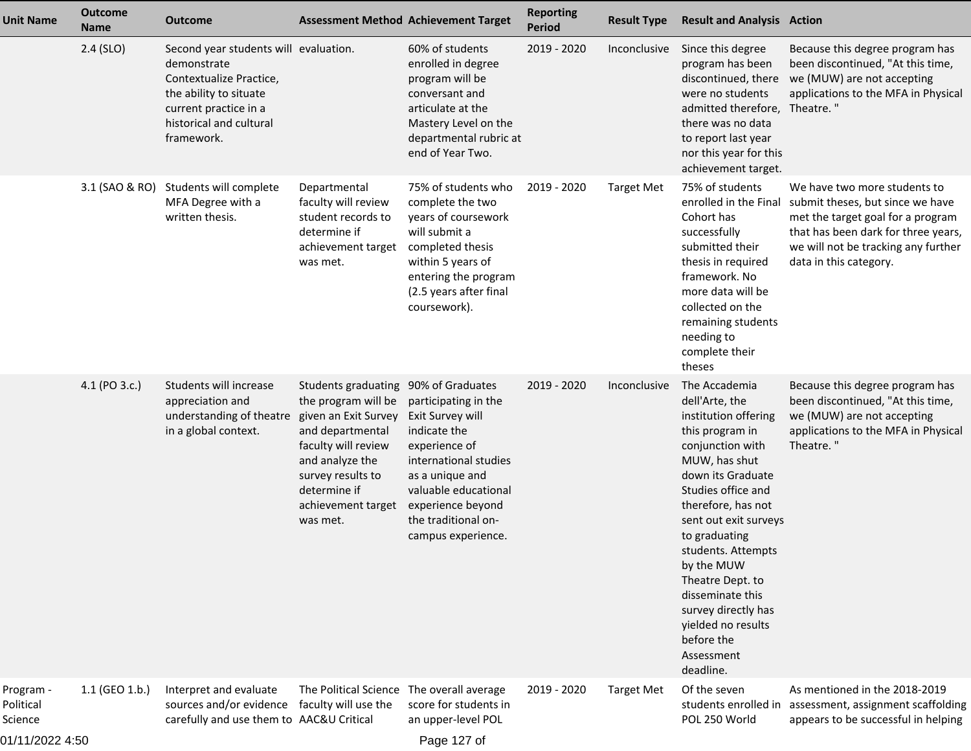| <b>Unit Name</b>                                     | <b>Outcome</b><br><b>Name</b> | <b>Outcome</b>                                                                                                                                                              |                                                                                                                                                                                                                          | <b>Assessment Method Achievement Target</b>                                                                                                                                                                     | <b>Reporting</b><br><b>Period</b> | <b>Result Type</b> | <b>Result and Analysis Action</b>                                                                                                                                                                                                                                                                                                                                                            |                                                                                                                                                                                                               |
|------------------------------------------------------|-------------------------------|-----------------------------------------------------------------------------------------------------------------------------------------------------------------------------|--------------------------------------------------------------------------------------------------------------------------------------------------------------------------------------------------------------------------|-----------------------------------------------------------------------------------------------------------------------------------------------------------------------------------------------------------------|-----------------------------------|--------------------|----------------------------------------------------------------------------------------------------------------------------------------------------------------------------------------------------------------------------------------------------------------------------------------------------------------------------------------------------------------------------------------------|---------------------------------------------------------------------------------------------------------------------------------------------------------------------------------------------------------------|
|                                                      | $2.4$ (SLO)                   | Second year students will evaluation.<br>demonstrate<br>Contextualize Practice,<br>the ability to situate<br>current practice in a<br>historical and cultural<br>framework. |                                                                                                                                                                                                                          | 60% of students<br>enrolled in degree<br>program will be<br>conversant and<br>articulate at the<br>Mastery Level on the<br>departmental rubric at<br>end of Year Two.                                           | 2019 - 2020                       | Inconclusive       | Since this degree<br>program has been<br>discontinued, there<br>were no students<br>admitted therefore, Theatre."<br>there was no data<br>to report last year<br>nor this year for this<br>achievement target.                                                                                                                                                                               | Because this degree program has<br>been discontinued, "At this time,<br>we (MUW) are not accepting<br>applications to the MFA in Physical                                                                     |
|                                                      | 3.1 (SAO & RO)                | Students will complete<br>MFA Degree with a<br>written thesis.                                                                                                              | Departmental<br>faculty will review<br>student records to<br>determine if<br>achievement target<br>was met.                                                                                                              | 75% of students who<br>complete the two<br>years of coursework<br>will submit a<br>completed thesis<br>within 5 years of<br>entering the program<br>(2.5 years after final<br>coursework).                      | 2019 - 2020                       | <b>Target Met</b>  | 75% of students<br>enrolled in the Final<br>Cohort has<br>successfully<br>submitted their<br>thesis in required<br>framework. No<br>more data will be<br>collected on the<br>remaining students<br>needing to<br>complete their<br>theses                                                                                                                                                    | We have two more students to<br>submit theses, but since we have<br>met the target goal for a program<br>that has been dark for three years,<br>we will not be tracking any further<br>data in this category. |
|                                                      | 4.1 (PO 3.c.)                 | Students will increase<br>appreciation and<br>understanding of theatre<br>in a global context.                                                                              | Students graduating 90% of Graduates<br>the program will be<br>given an Exit Survey<br>and departmental<br>faculty will review<br>and analyze the<br>survey results to<br>determine if<br>achievement target<br>was met. | participating in the<br>Exit Survey will<br>indicate the<br>experience of<br>international studies<br>as a unique and<br>valuable educational<br>experience beyond<br>the traditional on-<br>campus experience. | 2019 - 2020                       | Inconclusive       | The Accademia<br>dell'Arte, the<br>institution offering<br>this program in<br>conjunction with<br>MUW, has shut<br>down its Graduate<br>Studies office and<br>therefore, has not<br>sent out exit surveys<br>to graduating<br>students. Attempts<br>by the MUW<br>Theatre Dept. to<br>disseminate this<br>survey directly has<br>yielded no results<br>before the<br>Assessment<br>deadline. | Because this degree program has<br>been discontinued, "At this time,<br>we (MUW) are not accepting<br>applications to the MFA in Physical<br>Theatre."                                                        |
| Program -<br>Political<br>Science<br>01/11/2022 4:50 | $1.1$ (GEO 1.b.)              | Interpret and evaluate<br>sources and/or evidence faculty will use the<br>carefully and use them to AAC&U Critical                                                          | The Political Science The overall average                                                                                                                                                                                | score for students in<br>an upper-level POL<br>Page 127 of                                                                                                                                                      | 2019 - 2020                       | <b>Target Met</b>  | Of the seven<br>POL 250 World                                                                                                                                                                                                                                                                                                                                                                | As mentioned in the 2018-2019<br>students enrolled in assessment, assignment scaffolding<br>appears to be successful in helping                                                                               |

Page 127 of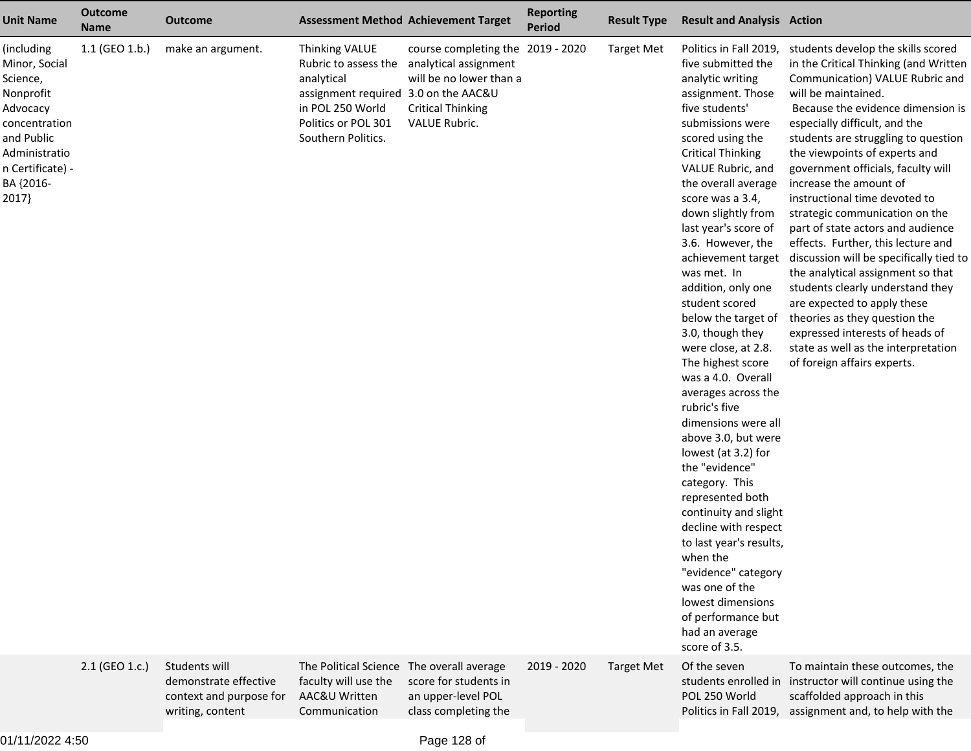| <b>Unit Name</b>                                                                                                                                           | <b>Outcome</b><br><b>Name</b> | Outcome                                                                               |                                                                                                                                                               | <b>Assessment Method Achievement Target</b>                                                                                        | <b>Reporting</b><br><b>Period</b> | <b>Result Type</b> | <b>Result and Analysis Action</b>                                                                                                                                                                                                                                                                                                                                                                                                                                                                                                                                                                                                                                                                                                                                                                                                                                                            |                                                                                                                                                                                                                                                                                                                                                                                                                                                                                                                                                                                                                                                                                                                                                                                                |
|------------------------------------------------------------------------------------------------------------------------------------------------------------|-------------------------------|---------------------------------------------------------------------------------------|---------------------------------------------------------------------------------------------------------------------------------------------------------------|------------------------------------------------------------------------------------------------------------------------------------|-----------------------------------|--------------------|----------------------------------------------------------------------------------------------------------------------------------------------------------------------------------------------------------------------------------------------------------------------------------------------------------------------------------------------------------------------------------------------------------------------------------------------------------------------------------------------------------------------------------------------------------------------------------------------------------------------------------------------------------------------------------------------------------------------------------------------------------------------------------------------------------------------------------------------------------------------------------------------|------------------------------------------------------------------------------------------------------------------------------------------------------------------------------------------------------------------------------------------------------------------------------------------------------------------------------------------------------------------------------------------------------------------------------------------------------------------------------------------------------------------------------------------------------------------------------------------------------------------------------------------------------------------------------------------------------------------------------------------------------------------------------------------------|
| (including<br>Minor, Social<br>Science,<br>Nonprofit<br>Advocacy<br>concentration<br>and Public<br>Administratio<br>n Certificate) -<br>BA {2016-<br>2017} | $1.1$ (GEO 1.b.)              | make an argument.                                                                     | Thinking VALUE<br>Rubric to assess the<br>analytical<br>assignment required 3.0 on the AAC&U<br>in POL 250 World<br>Politics or POL 301<br>Southern Politics. | course completing the 2019 - 2020<br>analytical assignment<br>will be no lower than a<br><b>Critical Thinking</b><br>VALUE Rubric. |                                   | <b>Target Met</b>  | Politics in Fall 2019,<br>five submitted the<br>analytic writing<br>assignment. Those<br>five students'<br>submissions were<br>scored using the<br><b>Critical Thinking</b><br>VALUE Rubric, and<br>the overall average<br>score was a 3.4,<br>down slightly from<br>last year's score of<br>3.6. However, the<br>achievement target<br>was met. In<br>addition, only one<br>student scored<br>below the target of<br>3.0, though they<br>were close, at 2.8.<br>The highest score<br>was a 4.0. Overall<br>averages across the<br>rubric's five<br>dimensions were all<br>above 3.0, but were<br>lowest (at 3.2) for<br>the "evidence"<br>category. This<br>represented both<br>continuity and slight<br>decline with respect<br>to last year's results,<br>when the<br>"evidence" category<br>was one of the<br>lowest dimensions<br>of performance but<br>had an average<br>score of 3.5. | students develop the skills scored<br>in the Critical Thinking (and Written<br>Communication) VALUE Rubric and<br>will be maintained.<br>Because the evidence dimension is<br>especially difficult, and the<br>students are struggling to question<br>the viewpoints of experts and<br>government officials, faculty will<br>increase the amount of<br>instructional time devoted to<br>strategic communication on the<br>part of state actors and audience<br>effects. Further, this lecture and<br>discussion will be specifically tied to<br>the analytical assignment so that<br>students clearly understand they<br>are expected to apply these<br>theories as they question the<br>expressed interests of heads of<br>state as well as the interpretation<br>of foreign affairs experts. |
|                                                                                                                                                            | 2.1 (GEO 1.c.)                | Students will<br>demonstrate effective<br>context and purpose for<br>writing, content | The Political Science The overall average<br>faculty will use the<br>AAC&U Written<br>Communication                                                           | score for students in<br>an upper-level POL<br>class completing the                                                                | 2019 - 2020                       | <b>Target Met</b>  | Of the seven<br>students enrolled in<br>POL 250 World<br>Politics in Fall 2019,                                                                                                                                                                                                                                                                                                                                                                                                                                                                                                                                                                                                                                                                                                                                                                                                              | To maintain these outcomes, the<br>instructor will continue using the<br>scaffolded approach in this<br>assignment and, to help with the                                                                                                                                                                                                                                                                                                                                                                                                                                                                                                                                                                                                                                                       |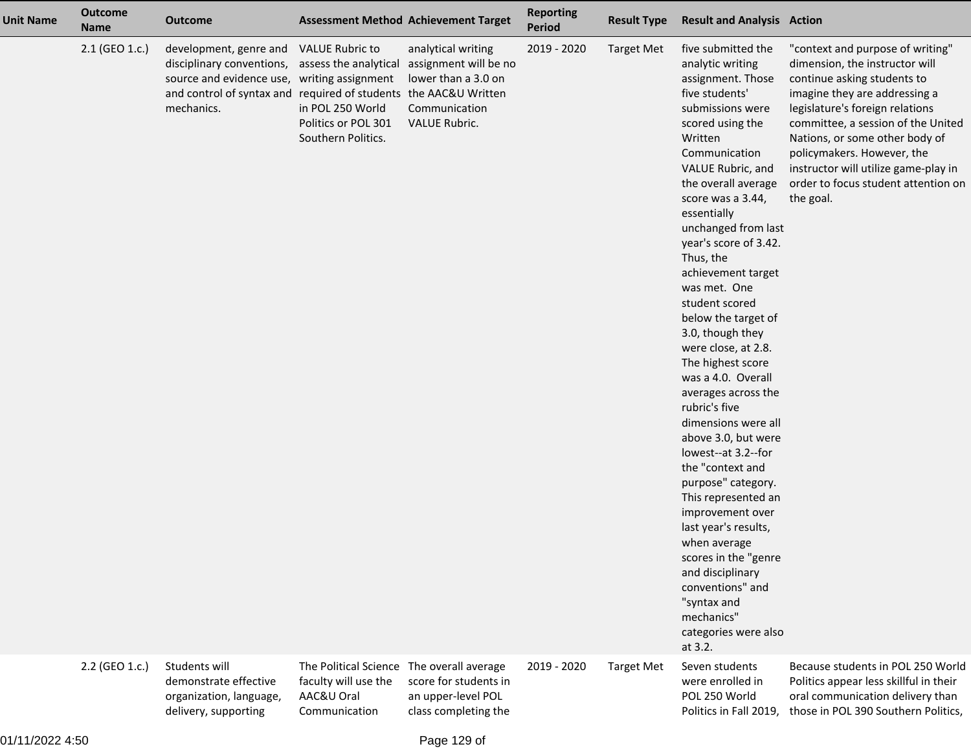| <b>Unit Name</b> | <b>Outcome</b><br><b>Name</b> | <b>Outcome</b>                                                                                                                                                                       |                                                                                                                  | <b>Assessment Method Achievement Target</b>                                                          | <b>Reporting</b><br>Period | <b>Result Type</b> | <b>Result and Analysis Action</b>                                                                                                                                                                                                                                                                                                                                                                                                                                                                                                                                                                                                                                                                                                                                                                                                             |                                                                                                                                                                                                                                                                                                                                                                         |
|------------------|-------------------------------|--------------------------------------------------------------------------------------------------------------------------------------------------------------------------------------|------------------------------------------------------------------------------------------------------------------|------------------------------------------------------------------------------------------------------|----------------------------|--------------------|-----------------------------------------------------------------------------------------------------------------------------------------------------------------------------------------------------------------------------------------------------------------------------------------------------------------------------------------------------------------------------------------------------------------------------------------------------------------------------------------------------------------------------------------------------------------------------------------------------------------------------------------------------------------------------------------------------------------------------------------------------------------------------------------------------------------------------------------------|-------------------------------------------------------------------------------------------------------------------------------------------------------------------------------------------------------------------------------------------------------------------------------------------------------------------------------------------------------------------------|
|                  | 2.1 (GEO 1.c.)                | development, genre and<br>disciplinary conventions,<br>source and evidence use, writing assignment<br>and control of syntax and required of students the AAC&U Written<br>mechanics. | <b>VALUE Rubric to</b><br>assess the analytical<br>in POL 250 World<br>Politics or POL 301<br>Southern Politics. | analytical writing<br>assignment will be no<br>lower than a 3.0 on<br>Communication<br>VALUE Rubric. | 2019 - 2020                | <b>Target Met</b>  | five submitted the<br>analytic writing<br>assignment. Those<br>five students'<br>submissions were<br>scored using the<br>Written<br>Communication<br>VALUE Rubric, and<br>the overall average<br>score was a 3.44,<br>essentially<br>unchanged from last<br>year's score of 3.42.<br>Thus, the<br>achievement target<br>was met. One<br>student scored<br>below the target of<br>3.0, though they<br>were close, at 2.8.<br>The highest score<br>was a 4.0. Overall<br>averages across the<br>rubric's five<br>dimensions were all<br>above 3.0, but were<br>lowest--at 3.2--for<br>the "context and<br>purpose" category.<br>This represented an<br>improvement over<br>last year's results,<br>when average<br>scores in the "genre<br>and disciplinary<br>conventions" and<br>"syntax and<br>mechanics"<br>categories were also<br>at 3.2. | "context and purpose of writing"<br>dimension, the instructor will<br>continue asking students to<br>imagine they are addressing a<br>legislature's foreign relations<br>committee, a session of the United<br>Nations, or some other body of<br>policymakers. However, the<br>instructor will utilize game-play in<br>order to focus student attention on<br>the goal. |
|                  | 2.2 (GEO 1.c.)                | Students will<br>demonstrate effective<br>organization, language,<br>delivery, supporting                                                                                            | The Political Science<br>faculty will use the<br>AAC&U Oral<br>Communication                                     | The overall average<br>score for students in<br>an upper-level POL<br>class completing the           | 2019 - 2020                | <b>Target Met</b>  | Seven students<br>were enrolled in<br>POL 250 World<br>Politics in Fall 2019,                                                                                                                                                                                                                                                                                                                                                                                                                                                                                                                                                                                                                                                                                                                                                                 | Because students in POL 250 World<br>Politics appear less skillful in their<br>oral communication delivery than<br>those in POL 390 Southern Politics,                                                                                                                                                                                                                  |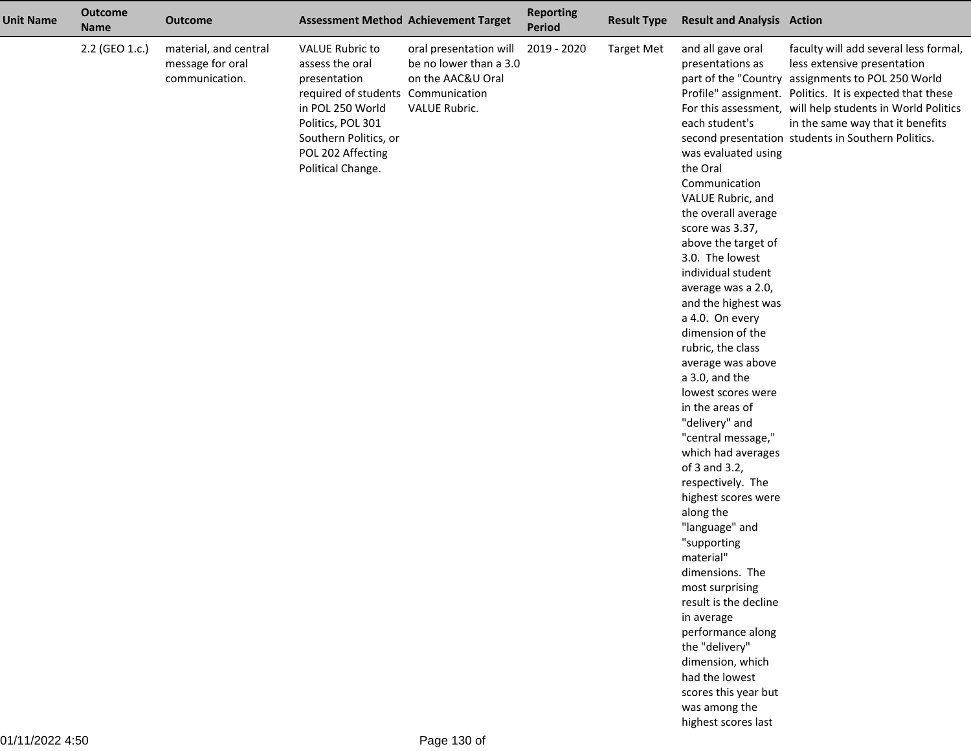| <b>Unit Name</b> | <b>Outcome</b><br><b>Name</b> | <b>Outcome</b>                                              |                                                                                                                                                                                                             | <b>Assessment Method Achievement Target</b>                                            | <b>Reporting</b><br><b>Period</b> | <b>Result Type</b> | <b>Result and Analysis Action</b>                                                                                                                                                                                                                                                                                                                                                                                                                                                                                                                                                                                                                                                                                                                                                                                                                   |                                                                                                                                                                                                                                                                                                                                              |
|------------------|-------------------------------|-------------------------------------------------------------|-------------------------------------------------------------------------------------------------------------------------------------------------------------------------------------------------------------|----------------------------------------------------------------------------------------|-----------------------------------|--------------------|-----------------------------------------------------------------------------------------------------------------------------------------------------------------------------------------------------------------------------------------------------------------------------------------------------------------------------------------------------------------------------------------------------------------------------------------------------------------------------------------------------------------------------------------------------------------------------------------------------------------------------------------------------------------------------------------------------------------------------------------------------------------------------------------------------------------------------------------------------|----------------------------------------------------------------------------------------------------------------------------------------------------------------------------------------------------------------------------------------------------------------------------------------------------------------------------------------------|
|                  | 2.2 (GEO 1.c.)                | material, and central<br>message for oral<br>communication. | <b>VALUE Rubric to</b><br>assess the oral<br>presentation<br>required of students Communication<br>in POL 250 World<br>Politics, POL 301<br>Southern Politics, or<br>POL 202 Affecting<br>Political Change. | oral presentation will<br>be no lower than a 3.0<br>on the AAC&U Oral<br>VALUE Rubric. | 2019 - 2020                       | <b>Target Met</b>  | and all gave oral<br>presentations as<br>each student's<br>was evaluated using<br>the Oral<br>Communication<br>VALUE Rubric, and<br>the overall average<br>score was 3.37,<br>above the target of<br>3.0. The lowest<br>individual student<br>average was a 2.0,<br>and the highest was<br>a 4.0. On every<br>dimension of the<br>rubric, the class<br>average was above<br>a 3.0, and the<br>lowest scores were<br>in the areas of<br>"delivery" and<br>"central message,"<br>which had averages<br>of 3 and 3.2,<br>respectively. The<br>highest scores were<br>along the<br>"language" and<br>"supporting<br>material'<br>dimensions. The<br>most surprising<br>result is the decline<br>in average<br>performance along<br>the "delivery"<br>dimension, which<br>had the lowest<br>scores this year but<br>was among the<br>highest scores last | faculty will add several less formal,<br>less extensive presentation<br>part of the "Country assignments to POL 250 World<br>Profile" assignment. Politics. It is expected that these<br>For this assessment, will help students in World Politics<br>in the same way that it benefits<br>second presentation students in Southern Politics. |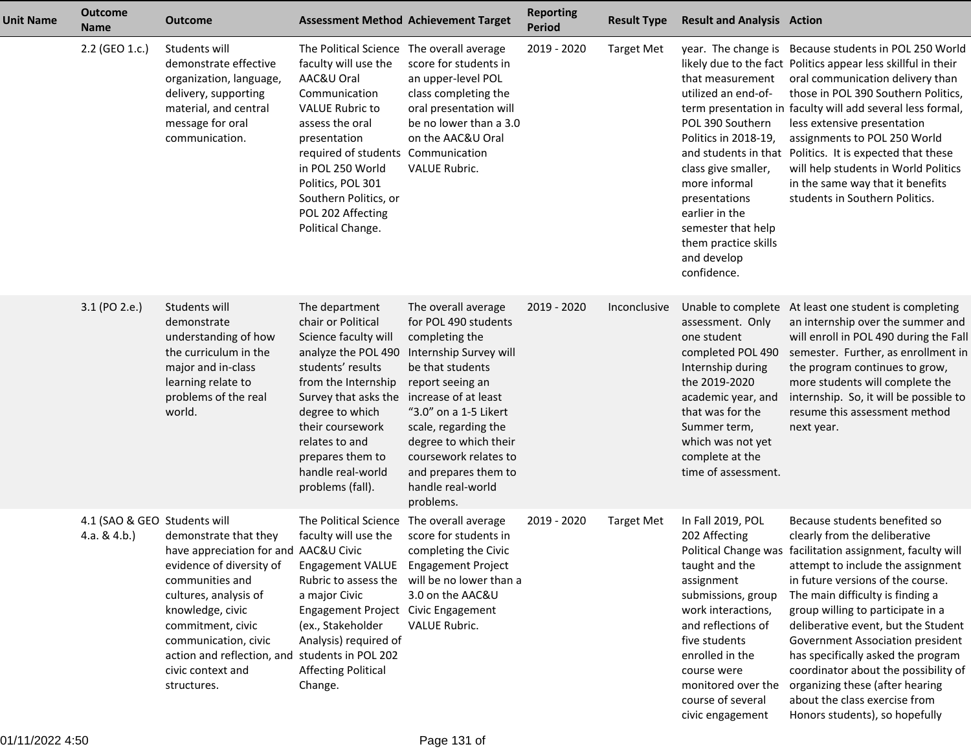| <b>Unit Name</b> | <b>Outcome</b><br><b>Name</b>                 | <b>Outcome</b>                                                                                                                                                                                                                                                                                |                                                                                                                                                                                                                                                                                                                 | <b>Assessment Method Achievement Target</b>                                                                                                                                                                                                                                                  | <b>Reporting</b><br><b>Period</b> | <b>Result Type</b> | <b>Result and Analysis Action</b>                                                                                                                                                                                                                      |                                                                                                                                                                                                                                                                                                                                                                                                                                                                                                                                                |
|------------------|-----------------------------------------------|-----------------------------------------------------------------------------------------------------------------------------------------------------------------------------------------------------------------------------------------------------------------------------------------------|-----------------------------------------------------------------------------------------------------------------------------------------------------------------------------------------------------------------------------------------------------------------------------------------------------------------|----------------------------------------------------------------------------------------------------------------------------------------------------------------------------------------------------------------------------------------------------------------------------------------------|-----------------------------------|--------------------|--------------------------------------------------------------------------------------------------------------------------------------------------------------------------------------------------------------------------------------------------------|------------------------------------------------------------------------------------------------------------------------------------------------------------------------------------------------------------------------------------------------------------------------------------------------------------------------------------------------------------------------------------------------------------------------------------------------------------------------------------------------------------------------------------------------|
|                  | 2.2 (GEO 1.c.)                                | Students will<br>demonstrate effective<br>organization, language,<br>delivery, supporting<br>material, and central<br>message for oral<br>communication.                                                                                                                                      | The Political Science The overall average<br>faculty will use the<br>AAC&U Oral<br>Communication<br><b>VALUE Rubric to</b><br>assess the oral<br>presentation<br>required of students Communication<br>in POL 250 World<br>Politics, POL 301<br>Southern Politics, or<br>POL 202 Affecting<br>Political Change. | score for students in<br>an upper-level POL<br>class completing the<br>oral presentation will<br>be no lower than a 3.0<br>on the AAC&U Oral<br><b>VALUE Rubric.</b>                                                                                                                         | 2019 - 2020                       | <b>Target Met</b>  | that measurement<br>utilized an end-of-<br>POL 390 Southern<br>Politics in 2018-19,<br>class give smaller,<br>more informal<br>presentations<br>earlier in the<br>semester that help<br>them practice skills<br>and develop<br>confidence.             | year. The change is Because students in POL 250 World<br>likely due to the fact Politics appear less skillful in their<br>oral communication delivery than<br>those in POL 390 Southern Politics,<br>term presentation in faculty will add several less formal,<br>less extensive presentation<br>assignments to POL 250 World<br>and students in that Politics. It is expected that these<br>will help students in World Politics<br>in the same way that it benefits<br>students in Southern Politics.                                       |
|                  | 3.1 (PO 2.e.)                                 | Students will<br>demonstrate<br>understanding of how<br>the curriculum in the<br>major and in-class<br>learning relate to<br>problems of the real<br>world.                                                                                                                                   | The department<br>chair or Political<br>Science faculty will<br>analyze the POL 490<br>students' results<br>from the Internship<br>Survey that asks the increase of at least<br>degree to which<br>their coursework<br>relates to and<br>prepares them to<br>handle real-world<br>problems (fall).              | The overall average<br>for POL 490 students<br>completing the<br>Internship Survey will<br>be that students<br>report seeing an<br>"3.0" on a 1-5 Likert<br>scale, regarding the<br>degree to which their<br>coursework relates to<br>and prepares them to<br>handle real-world<br>problems. | 2019 - 2020                       | Inconclusive       | assessment. Only<br>one student<br>completed POL 490<br>Internship during<br>the 2019-2020<br>academic year, and<br>that was for the<br>Summer term,<br>which was not yet<br>complete at the<br>time of assessment.                                    | Unable to complete At least one student is completing<br>an internship over the summer and<br>will enroll in POL 490 during the Fal<br>semester. Further, as enrollment in<br>the program continues to grow,<br>more students will complete the<br>internship. So, it will be possible to<br>resume this assessment method<br>next year.                                                                                                                                                                                                       |
|                  | 4.1 (SAO & GEO Students will<br>4.a. $& 4.b.$ | demonstrate that they<br>have appreciation for and AAC&U Civic<br>evidence of diversity of<br>communities and<br>cultures, analysis of<br>knowledge, civic<br>commitment, civic<br>communication, civic<br>action and reflection, and students in POL 202<br>civic context and<br>structures. | The Political Science<br>faculty will use the<br>Engagement VALUE Engagement Project<br>Rubric to assess the<br>a major Civic<br>Engagement Project Civic Engagement<br>(ex., Stakeholder<br>Analysis) required of<br><b>Affecting Political</b><br>Change.                                                     | The overall average<br>score for students in<br>completing the Civic<br>will be no lower than a<br>3.0 on the AAC&U<br>VALUE Rubric.                                                                                                                                                         | 2019 - 2020                       | <b>Target Met</b>  | In Fall 2019, POL<br>202 Affecting<br>taught and the<br>assignment<br>submissions, group<br>work interactions,<br>and reflections of<br>five students<br>enrolled in the<br>course were<br>monitored over the<br>course of several<br>civic engagement | Because students benefited so<br>clearly from the deliberative<br>Political Change was facilitation assignment, faculty will<br>attempt to include the assignment<br>in future versions of the course.<br>The main difficulty is finding a<br>group willing to participate in a<br>deliberative event, but the Student<br>Government Association president<br>has specifically asked the program<br>coordinator about the possibility of<br>organizing these (after hearing<br>about the class exercise from<br>Honors students), so hopefully |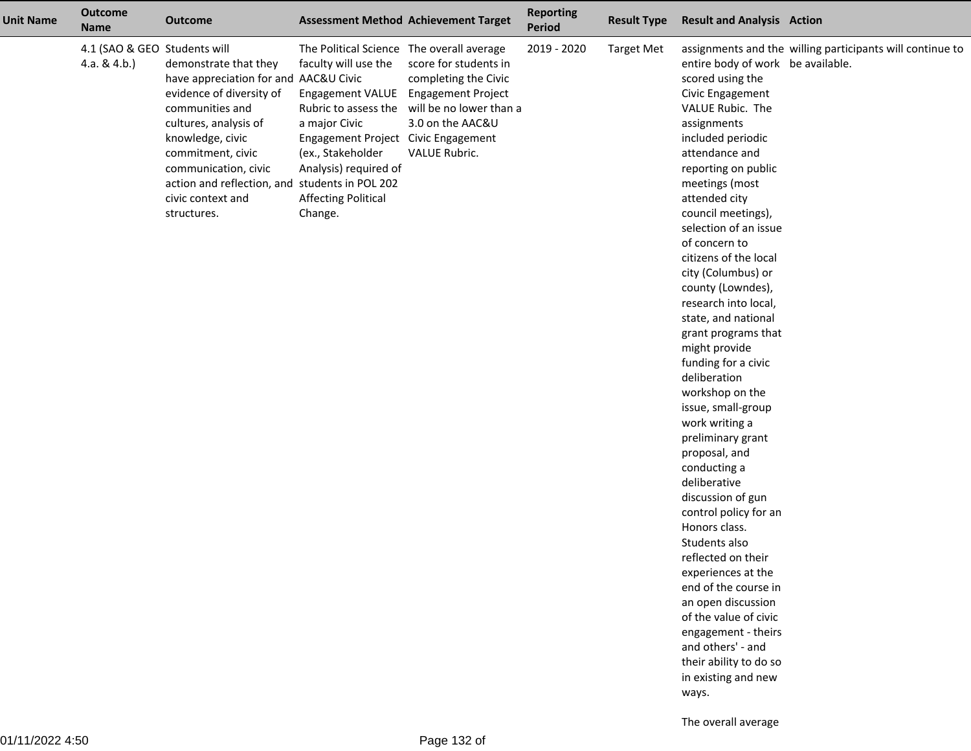| <b>Unit Name</b> | <b>Outcome</b><br><b>Name</b>                   | <b>Outcome</b>                                                                                                                                                                                                                                                                                |                                                                                                                                                                                                                                                         | <b>Assessment Method Achievement Target</b>                                                                                        | <b>Reporting</b><br><b>Period</b> | <b>Result Type</b> | <b>Result and Analysis Action</b>                                                                                                                                                                                                                                                                                                                                                                                                                                                                                                                                                                                                                                                                                                                                                                                                                                                                                         |                                                           |
|------------------|-------------------------------------------------|-----------------------------------------------------------------------------------------------------------------------------------------------------------------------------------------------------------------------------------------------------------------------------------------------|---------------------------------------------------------------------------------------------------------------------------------------------------------------------------------------------------------------------------------------------------------|------------------------------------------------------------------------------------------------------------------------------------|-----------------------------------|--------------------|---------------------------------------------------------------------------------------------------------------------------------------------------------------------------------------------------------------------------------------------------------------------------------------------------------------------------------------------------------------------------------------------------------------------------------------------------------------------------------------------------------------------------------------------------------------------------------------------------------------------------------------------------------------------------------------------------------------------------------------------------------------------------------------------------------------------------------------------------------------------------------------------------------------------------|-----------------------------------------------------------|
|                  | 4.1 (SAO & GEO Students will<br>4.a. & $4.b.$ ) | demonstrate that they<br>have appreciation for and AAC&U Civic<br>evidence of diversity of<br>communities and<br>cultures, analysis of<br>knowledge, civic<br>commitment, civic<br>communication, civic<br>action and reflection, and students in POL 202<br>civic context and<br>structures. | The Political Science The overall average<br>faculty will use the<br>Engagement VALUE Engagement Project<br>a major Civic<br>Engagement Project Civic Engagement<br>(ex., Stakeholder<br>Analysis) required of<br><b>Affecting Political</b><br>Change. | score for students in<br>completing the Civic<br>Rubric to assess the will be no lower than a<br>3.0 on the AAC&U<br>VALUE Rubric. | 2019 - 2020                       | <b>Target Met</b>  | entire body of work be available.<br>scored using the<br>Civic Engagement<br>VALUE Rubic. The<br>assignments<br>included periodic<br>attendance and<br>reporting on public<br>meetings (most<br>attended city<br>council meetings),<br>selection of an issue<br>of concern to<br>citizens of the local<br>city (Columbus) or<br>county (Lowndes),<br>research into local,<br>state, and national<br>grant programs that<br>might provide<br>funding for a civic<br>deliberation<br>workshop on the<br>issue, small-group<br>work writing a<br>preliminary grant<br>proposal, and<br>conducting a<br>deliberative<br>discussion of gun<br>control policy for an<br>Honors class.<br>Students also<br>reflected on their<br>experiences at the<br>end of the course in<br>an open discussion<br>of the value of civic<br>engagement - theirs<br>and others' - and<br>their ability to do so<br>in existing and new<br>ways. | assignments and the willing participants will continue to |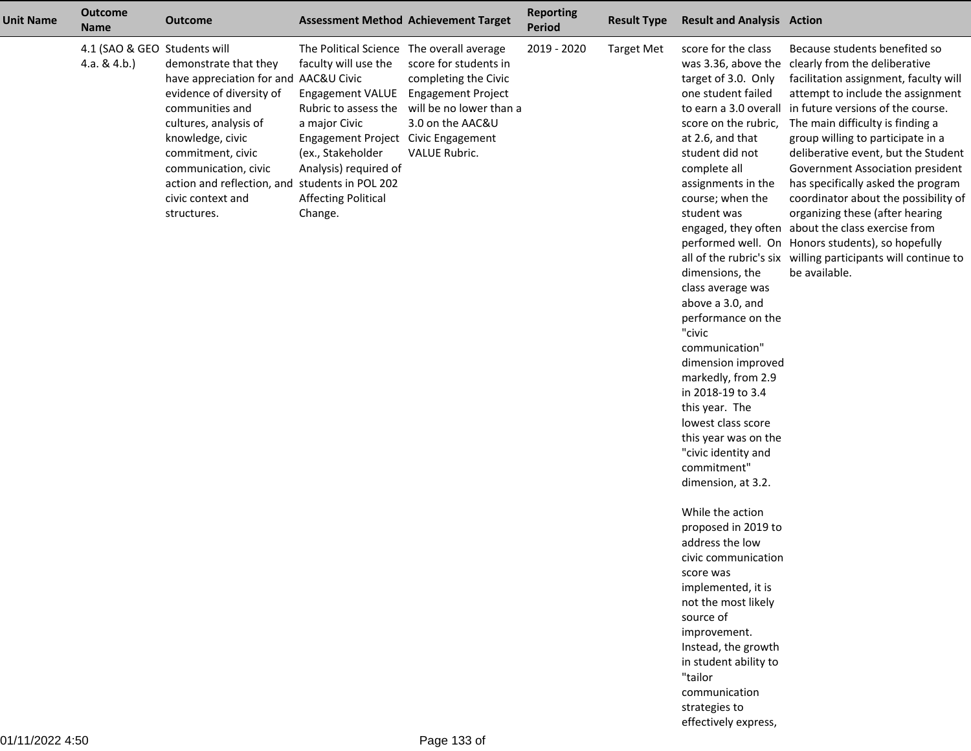| <b>Unit Name</b> | <b>Outcome</b><br><b>Name</b>                 | <b>Outcome</b>                                                                                                                                                                                                                                                                                |                                                                                                                                                                                                                                                                     | <b>Assessment Method Achievement Target</b>                                                                                                | <b>Reporting</b><br>Period | <b>Result Type</b> | <b>Result and Analysis Action</b>                                                                                                                                                                                                                                                                                                                                                                                                                                                                                                                                                                                                                                                                                                                                                                                    |                                                                                                                                                                                                                                                                                                                                                                                                                                                                                                                                                                                                                                                                                              |
|------------------|-----------------------------------------------|-----------------------------------------------------------------------------------------------------------------------------------------------------------------------------------------------------------------------------------------------------------------------------------------------|---------------------------------------------------------------------------------------------------------------------------------------------------------------------------------------------------------------------------------------------------------------------|--------------------------------------------------------------------------------------------------------------------------------------------|----------------------------|--------------------|----------------------------------------------------------------------------------------------------------------------------------------------------------------------------------------------------------------------------------------------------------------------------------------------------------------------------------------------------------------------------------------------------------------------------------------------------------------------------------------------------------------------------------------------------------------------------------------------------------------------------------------------------------------------------------------------------------------------------------------------------------------------------------------------------------------------|----------------------------------------------------------------------------------------------------------------------------------------------------------------------------------------------------------------------------------------------------------------------------------------------------------------------------------------------------------------------------------------------------------------------------------------------------------------------------------------------------------------------------------------------------------------------------------------------------------------------------------------------------------------------------------------------|
|                  | 4.1 (SAO & GEO Students will<br>4.a. $& 4.b.$ | demonstrate that they<br>have appreciation for and AAC&U Civic<br>evidence of diversity of<br>communities and<br>cultures, analysis of<br>knowledge, civic<br>commitment, civic<br>communication, civic<br>action and reflection, and students in POL 202<br>civic context and<br>structures. | The Political Science The overall average<br>faculty will use the<br><b>Engagement VALUE</b><br>Rubric to assess the<br>a major Civic<br>Engagement Project Civic Engagement<br>(ex., Stakeholder<br>Analysis) required of<br><b>Affecting Political</b><br>Change. | score for students in<br>completing the Civic<br><b>Engagement Project</b><br>will be no lower than a<br>3.0 on the AAC&U<br>VALUE Rubric. | 2019 - 2020                | <b>Target Met</b>  | score for the class<br>target of 3.0. Only<br>one student failed<br>score on the rubric,<br>at 2.6, and that<br>student did not<br>complete all<br>assignments in the<br>course; when the<br>student was<br>dimensions, the<br>class average was<br>above a 3.0, and<br>performance on the<br>"civic<br>communication"<br>dimension improved<br>markedly, from 2.9<br>in 2018-19 to 3.4<br>this year. The<br>lowest class score<br>this year was on the<br>"civic identity and<br>commitment"<br>dimension, at 3.2.<br>While the action<br>proposed in 2019 to<br>address the low<br>civic communication<br>score was<br>implemented, it is<br>not the most likely<br>source of<br>improvement.<br>Instead, the growth<br>in student ability to<br>"tailor<br>communication<br>strategies to<br>effectively express, | Because students benefited so<br>was 3.36, above the clearly from the deliberative<br>facilitation assignment, faculty will<br>attempt to include the assignment<br>to earn a 3.0 overall in future versions of the course.<br>The main difficulty is finding a<br>group willing to participate in a<br>deliberative event, but the Student<br>Government Association president<br>has specifically asked the program<br>coordinator about the possibility of<br>organizing these (after hearing<br>engaged, they often about the class exercise from<br>performed well. On Honors students), so hopefully<br>all of the rubric's six willing participants will continue to<br>be available. |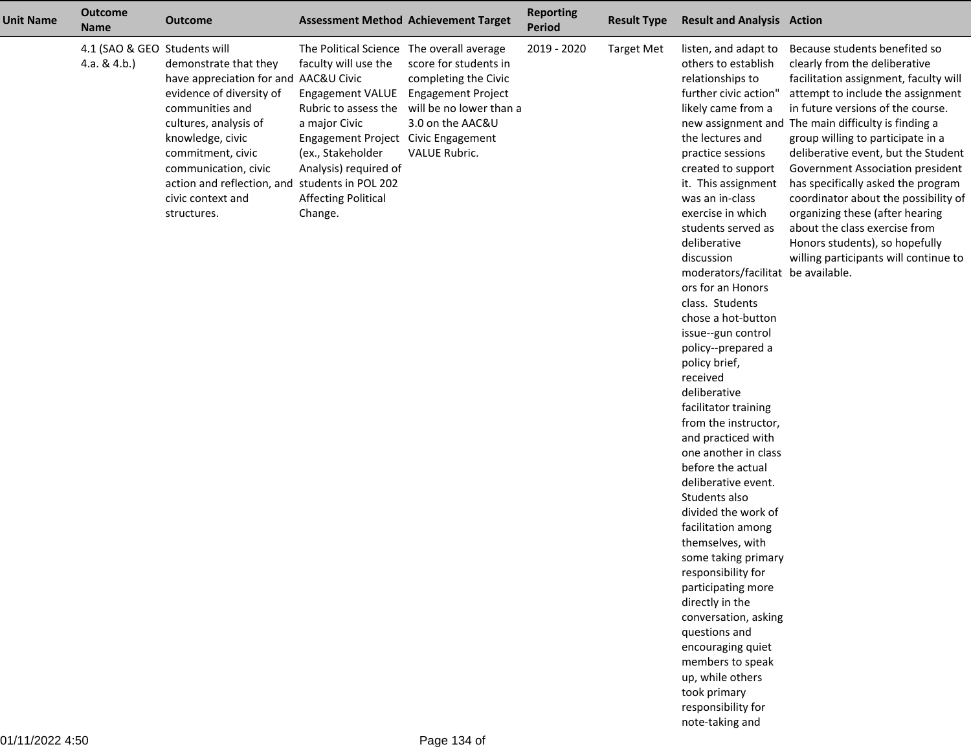| <b>Unit Name</b> | <b>Outcome</b><br><b>Name</b>                 | <b>Outcome</b>                                                                                                                                                                                                                                                                                |                                                                                                                                                                                                                                                                                 | <b>Assessment Method Achievement Target</b>                                                                   | <b>Reporting</b><br><b>Period</b> | <b>Result Type</b> | <b>Result and Analysis Action</b>                                                                                                                                                                                                                                                                                                                                                                                                                                                                                                                                                                                                                                                                                                                                                                                                                                                                                                                                              |                                                                                                                                                                                                                                                                                                                                                                                                                                                                                                                                                                                       |
|------------------|-----------------------------------------------|-----------------------------------------------------------------------------------------------------------------------------------------------------------------------------------------------------------------------------------------------------------------------------------------------|---------------------------------------------------------------------------------------------------------------------------------------------------------------------------------------------------------------------------------------------------------------------------------|---------------------------------------------------------------------------------------------------------------|-----------------------------------|--------------------|--------------------------------------------------------------------------------------------------------------------------------------------------------------------------------------------------------------------------------------------------------------------------------------------------------------------------------------------------------------------------------------------------------------------------------------------------------------------------------------------------------------------------------------------------------------------------------------------------------------------------------------------------------------------------------------------------------------------------------------------------------------------------------------------------------------------------------------------------------------------------------------------------------------------------------------------------------------------------------|---------------------------------------------------------------------------------------------------------------------------------------------------------------------------------------------------------------------------------------------------------------------------------------------------------------------------------------------------------------------------------------------------------------------------------------------------------------------------------------------------------------------------------------------------------------------------------------|
|                  | 4.1 (SAO & GEO Students will<br>4.a. & $4.b.$ | demonstrate that they<br>have appreciation for and AAC&U Civic<br>evidence of diversity of<br>communities and<br>cultures, analysis of<br>knowledge, civic<br>commitment, civic<br>communication, civic<br>action and reflection, and students in POL 202<br>civic context and<br>structures. | The Political Science The overall average<br>faculty will use the<br>Engagement VALUE Engagement Project<br>Rubric to assess the<br>a major Civic<br>Engagement Project Civic Engagement<br>(ex., Stakeholder<br>Analysis) required of<br><b>Affecting Political</b><br>Change. | score for students in<br>completing the Civic<br>will be no lower than a<br>3.0 on the AAC&U<br>VALUE Rubric. | 2019 - 2020                       | <b>Target Met</b>  | listen, and adapt to<br>others to establish<br>relationships to<br>further civic action"<br>likely came from a<br>the lectures and<br>practice sessions<br>created to support<br>it. This assignment<br>was an in-class<br>exercise in which<br>students served as<br>deliberative<br>discussion<br>moderators/facilitat be available.<br>ors for an Honors<br>class. Students<br>chose a hot-button<br>issue--gun control<br>policy--prepared a<br>policy brief,<br>received<br>deliberative<br>facilitator training<br>from the instructor,<br>and practiced with<br>one another in class<br>before the actual<br>deliberative event.<br>Students also<br>divided the work of<br>facilitation among<br>themselves, with<br>some taking primary<br>responsibility for<br>participating more<br>directly in the<br>conversation, asking<br>questions and<br>encouraging quiet<br>members to speak<br>up, while others<br>took primary<br>responsibility for<br>note-taking and | Because students benefited so<br>clearly from the deliberative<br>facilitation assignment, faculty will<br>attempt to include the assignment<br>in future versions of the course.<br>new assignment and The main difficulty is finding a<br>group willing to participate in a<br>deliberative event, but the Student<br>Government Association president<br>has specifically asked the program<br>coordinator about the possibility of<br>organizing these (after hearing<br>about the class exercise from<br>Honors students), so hopefully<br>willing participants will continue to |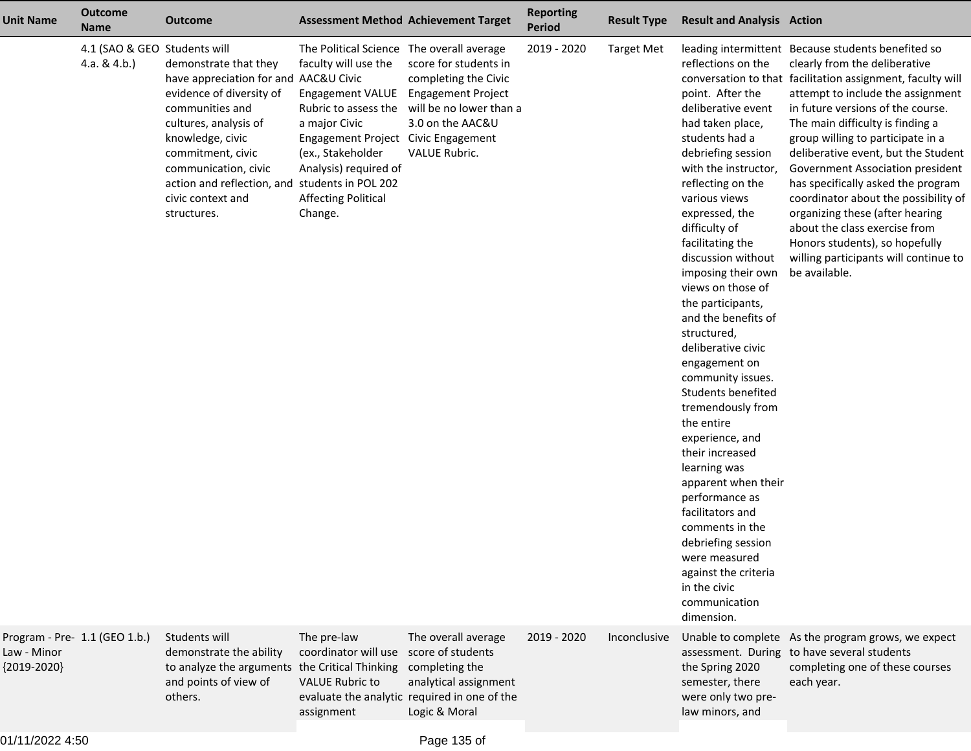| <b>Unit Name</b>             | <b>Outcome</b><br><b>Name</b>                   | <b>Outcome</b>                                                                                                                                                                                                                                                                                |                                                                                                                                                                                                                                                                                 | <b>Assessment Method Achievement Target</b>                                                                                     | <b>Reporting</b><br><b>Period</b> | <b>Result Type</b> | <b>Result and Analysis Action</b>                                                                                                                                                                                                                                                                                                                                                                                                                                                                                                                                                                                                                                                                                                                  |                                                                                                                                                                                                                                                                                                                                                                                                                                                                                                                                                                                                                               |
|------------------------------|-------------------------------------------------|-----------------------------------------------------------------------------------------------------------------------------------------------------------------------------------------------------------------------------------------------------------------------------------------------|---------------------------------------------------------------------------------------------------------------------------------------------------------------------------------------------------------------------------------------------------------------------------------|---------------------------------------------------------------------------------------------------------------------------------|-----------------------------------|--------------------|----------------------------------------------------------------------------------------------------------------------------------------------------------------------------------------------------------------------------------------------------------------------------------------------------------------------------------------------------------------------------------------------------------------------------------------------------------------------------------------------------------------------------------------------------------------------------------------------------------------------------------------------------------------------------------------------------------------------------------------------------|-------------------------------------------------------------------------------------------------------------------------------------------------------------------------------------------------------------------------------------------------------------------------------------------------------------------------------------------------------------------------------------------------------------------------------------------------------------------------------------------------------------------------------------------------------------------------------------------------------------------------------|
|                              | 4.1 (SAO & GEO Students will<br>4.a. & $4.b.$ ) | demonstrate that they<br>have appreciation for and AAC&U Civic<br>evidence of diversity of<br>communities and<br>cultures, analysis of<br>knowledge, civic<br>commitment, civic<br>communication, civic<br>action and reflection, and students in POL 202<br>civic context and<br>structures. | The Political Science The overall average<br>faculty will use the<br>Engagement VALUE Engagement Project<br>Rubric to assess the<br>a major Civic<br>Engagement Project Civic Engagement<br>(ex., Stakeholder<br>Analysis) required of<br><b>Affecting Political</b><br>Change. | score for students in<br>completing the Civic<br>will be no lower than a<br>3.0 on the AAC&U<br><b>VALUE Rubric.</b>            | 2019 - 2020                       | Target Met         | reflections on the<br>point. After the<br>deliberative event<br>had taken place,<br>students had a<br>debriefing session<br>with the instructor,<br>reflecting on the<br>various views<br>expressed, the<br>difficulty of<br>facilitating the<br>discussion without<br>imposing their own<br>views on those of<br>the participants,<br>and the benefits of<br>structured,<br>deliberative civic<br>engagement on<br>community issues.<br>Students benefited<br>tremendously from<br>the entire<br>experience, and<br>their increased<br>learning was<br>apparent when their<br>performance as<br>facilitators and<br>comments in the<br>debriefing session<br>were measured<br>against the criteria<br>in the civic<br>communication<br>dimension. | leading intermittent Because students benefited so<br>clearly from the deliberative<br>conversation to that facilitation assignment, faculty will<br>attempt to include the assignment<br>in future versions of the course.<br>The main difficulty is finding a<br>group willing to participate in a<br>deliberative event, but the Student<br>Government Association president<br>has specifically asked the program<br>coordinator about the possibility of<br>organizing these (after hearing<br>about the class exercise from<br>Honors students), so hopefully<br>willing participants will continue to<br>be available. |
| Law - Minor<br>${2019-2020}$ | Program - Pre- 1.1 (GEO 1.b.)                   | Students will<br>demonstrate the ability<br>to analyze the arguments the Critical Thinking<br>and points of view of<br>others.                                                                                                                                                                | The pre-law<br>coordinator will use score of students<br><b>VALUE Rubric to</b><br>assignment                                                                                                                                                                                   | The overall average<br>completing the<br>analytical assignment<br>evaluate the analytic required in one of the<br>Logic & Moral | 2019 - 2020                       | Inconclusive       | the Spring 2020<br>semester, there<br>were only two pre-<br>law minors, and                                                                                                                                                                                                                                                                                                                                                                                                                                                                                                                                                                                                                                                                        | Unable to complete As the program grows, we expect<br>assessment. During to have several students<br>completing one of these courses<br>each year.                                                                                                                                                                                                                                                                                                                                                                                                                                                                            |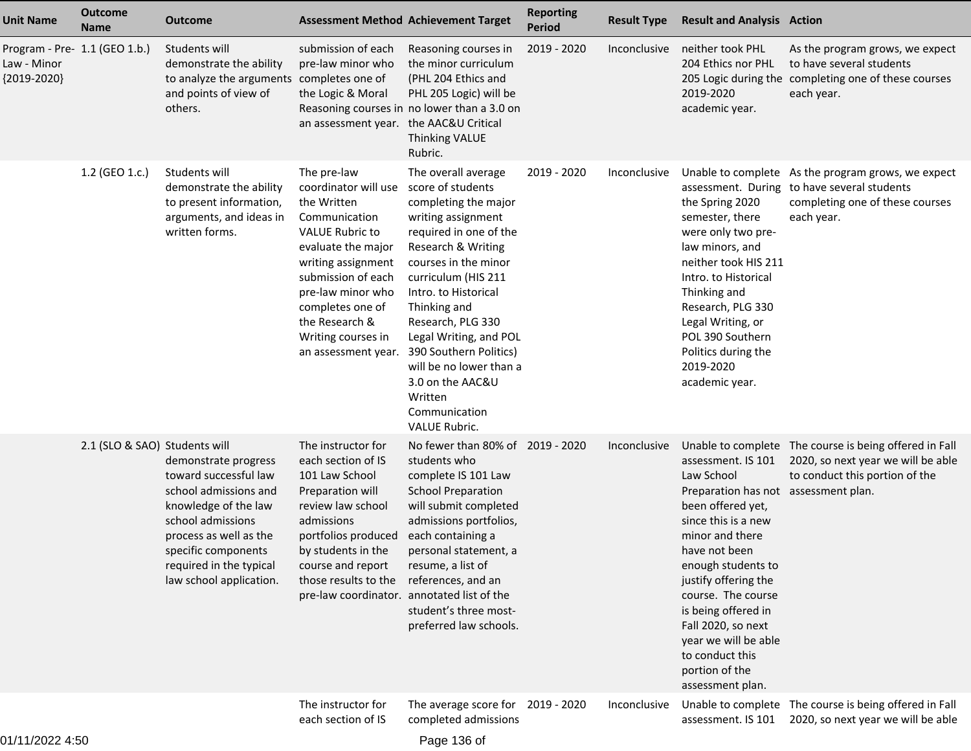| <b>Unit Name</b>                                              | <b>Outcome</b><br><b>Name</b> | <b>Outcome</b>                                                                                                                                                                                                             | <b>Assessment Method Achievement Target</b>                                                                                                                                                                                                                             |                                                                                                                                                                                                                                                                                                                                                                                                           | <b>Reporting</b><br><b>Period</b> | <b>Result Type</b> | <b>Result and Analysis Action</b>                                                                                                                                                                                                                                                                                                                          |                                                                                                                                                    |
|---------------------------------------------------------------|-------------------------------|----------------------------------------------------------------------------------------------------------------------------------------------------------------------------------------------------------------------------|-------------------------------------------------------------------------------------------------------------------------------------------------------------------------------------------------------------------------------------------------------------------------|-----------------------------------------------------------------------------------------------------------------------------------------------------------------------------------------------------------------------------------------------------------------------------------------------------------------------------------------------------------------------------------------------------------|-----------------------------------|--------------------|------------------------------------------------------------------------------------------------------------------------------------------------------------------------------------------------------------------------------------------------------------------------------------------------------------------------------------------------------------|----------------------------------------------------------------------------------------------------------------------------------------------------|
| Program - Pre- 1.1 (GEO 1.b.)<br>Law - Minor<br>${2019-2020}$ |                               | Students will<br>demonstrate the ability<br>to analyze the arguments completes one of<br>and points of view of<br>others.                                                                                                  | submission of each<br>pre-law minor who<br>the Logic & Moral<br>an assessment year. the AAC&U Critical                                                                                                                                                                  | Reasoning courses in<br>the minor curriculum<br>(PHL 204 Ethics and<br>PHL 205 Logic) will be<br>Reasoning courses in no lower than a 3.0 on<br><b>Thinking VALUE</b><br>Rubric.                                                                                                                                                                                                                          | 2019 - 2020                       | Inconclusive       | neither took PHL<br>204 Ethics nor PHL<br>2019-2020<br>academic year.                                                                                                                                                                                                                                                                                      | As the program grows, we expect<br>to have several students<br>205 Logic during the completing one of these courses<br>each year.                  |
|                                                               | 1.2 (GEO 1.c.)                | Students will<br>demonstrate the ability<br>to present information,<br>arguments, and ideas in<br>written forms.                                                                                                           | The pre-law<br>coordinator will use<br>the Written<br>Communication<br><b>VALUE Rubric to</b><br>evaluate the major<br>writing assignment<br>submission of each<br>pre-law minor who<br>completes one of<br>the Research &<br>Writing courses in<br>an assessment year. | The overall average<br>score of students<br>completing the major<br>writing assignment<br>required in one of the<br>Research & Writing<br>courses in the minor<br>curriculum (HIS 211<br>Intro. to Historical<br>Thinking and<br>Research, PLG 330<br>Legal Writing, and POL<br>390 Southern Politics)<br>will be no lower than a<br>3.0 on the AAC&U<br>Written<br>Communication<br><b>VALUE Rubric.</b> | 2019 - 2020                       | Inconclusive       | the Spring 2020<br>semester, there<br>were only two pre-<br>law minors, and<br>neither took HIS 211<br>Intro. to Historical<br>Thinking and<br>Research, PLG 330<br>Legal Writing, or<br>POL 390 Southern<br>Politics during the<br>2019-2020<br>academic year.                                                                                            | Unable to complete As the program grows, we expect<br>assessment. During to have several students<br>completing one of these courses<br>each year. |
|                                                               | 2.1 (SLO & SAO) Students will | demonstrate progress<br>toward successful law<br>school admissions and<br>knowledge of the law<br>school admissions<br>process as well as the<br>specific components<br>required in the typical<br>law school application. | The instructor for<br>each section of IS<br>101 Law School<br>Preparation will<br>review law school<br>admissions<br>portfolios produced<br>by students in the<br>course and report<br>those results to the<br>pre-law coordinator. annotated list of the               | No fewer than 80% of 2019 - 2020<br>students who<br>complete IS 101 Law<br><b>School Preparation</b><br>will submit completed<br>admissions portfolios,<br>each containing a<br>personal statement, a<br>resume, a list of<br>references, and an<br>student's three most-<br>preferred law schools.                                                                                                       |                                   | Inconclusive       | assessment. IS 101<br>Law School<br>Preparation has not assessment plan.<br>been offered yet,<br>since this is a new<br>minor and there<br>have not been<br>enough students to<br>justify offering the<br>course. The course<br>is being offered in<br>Fall 2020, so next<br>year we will be able<br>to conduct this<br>portion of the<br>assessment plan. | Unable to complete The course is being offered in Fall<br>2020, so next year we will be able<br>to conduct this portion of the                     |
|                                                               |                               |                                                                                                                                                                                                                            | The instructor for<br>each section of IS                                                                                                                                                                                                                                | The average score for 2019 - 2020<br>completed admissions                                                                                                                                                                                                                                                                                                                                                 |                                   | Inconclusive       |                                                                                                                                                                                                                                                                                                                                                            | Unable to complete The course is being offered in Fall<br>assessment. IS 101 2020, so next year we will be able                                    |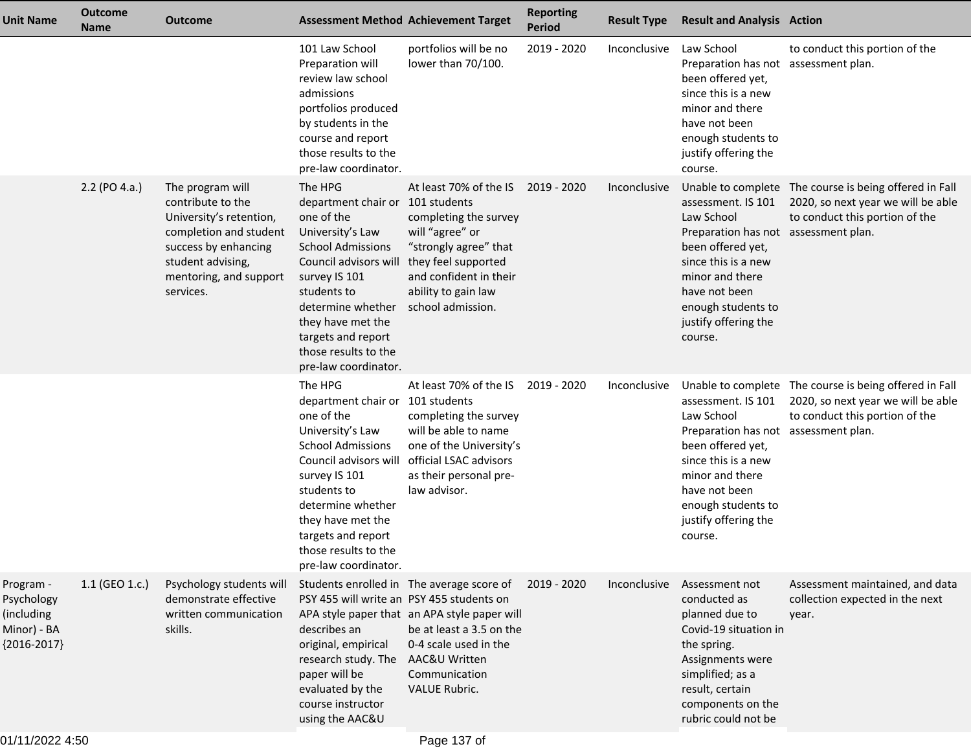| <b>Unit Name</b>                                                      | <b>Outcome</b><br><b>Name</b> | <b>Outcome</b>                                                                                                                                                                 |                                                                                                                                                                                                                                                                                    | <b>Assessment Method Achievement Target</b>                                                                                                                                                       | <b>Reporting</b><br><b>Period</b> | <b>Result Type</b> | <b>Result and Analysis Action</b>                                                                                                                                                                                 |                                                                                                                                |
|-----------------------------------------------------------------------|-------------------------------|--------------------------------------------------------------------------------------------------------------------------------------------------------------------------------|------------------------------------------------------------------------------------------------------------------------------------------------------------------------------------------------------------------------------------------------------------------------------------|---------------------------------------------------------------------------------------------------------------------------------------------------------------------------------------------------|-----------------------------------|--------------------|-------------------------------------------------------------------------------------------------------------------------------------------------------------------------------------------------------------------|--------------------------------------------------------------------------------------------------------------------------------|
|                                                                       |                               |                                                                                                                                                                                | 101 Law School<br>Preparation will<br>review law school<br>admissions<br>portfolios produced<br>by students in the<br>course and report<br>those results to the<br>pre-law coordinator.                                                                                            | portfolios will be no<br>lower than 70/100.                                                                                                                                                       | 2019 - 2020                       | Inconclusive       | Law School<br>Preparation has not assessment plan.<br>been offered yet,<br>since this is a new<br>minor and there<br>have not been<br>enough students to<br>justify offering the<br>course.                       | to conduct this portion of the                                                                                                 |
|                                                                       | $2.2$ (PO 4.a.)               | The program will<br>contribute to the<br>University's retention,<br>completion and student<br>success by enhancing<br>student advising,<br>mentoring, and support<br>services. | The HPG<br>department chair or 101 students<br>one of the<br>University's Law<br><b>School Admissions</b><br>Council advisors will<br>survey IS 101<br>students to<br>determine whether<br>they have met the<br>targets and report<br>those results to the<br>pre-law coordinator. | At least 70% of the IS<br>completing the survey<br>will "agree" or<br>"strongly agree" that<br>they feel supported<br>and confident in their<br>ability to gain law<br>school admission.          | 2019 - 2020                       | Inconclusive       | assessment. IS 101<br>Law School<br>Preparation has not assessment plan.<br>been offered yet,<br>since this is a new<br>minor and there<br>have not been<br>enough students to<br>justify offering the<br>course. | Unable to complete The course is being offered in Fall<br>2020, so next year we will be able<br>to conduct this portion of the |
|                                                                       |                               |                                                                                                                                                                                | The HPG<br>department chair or 101 students<br>one of the<br>University's Law<br><b>School Admissions</b><br>Council advisors will<br>survey IS 101<br>students to<br>determine whether<br>they have met the<br>targets and report<br>those results to the<br>pre-law coordinator. | At least 70% of the IS<br>completing the survey<br>will be able to name<br>one of the University's<br>official LSAC advisors<br>as their personal pre-<br>law advisor.                            | 2019 - 2020                       | Inconclusive       | assessment. IS 101<br>Law School<br>Preparation has not assessment plan.<br>been offered yet,<br>since this is a new<br>minor and there<br>have not been<br>enough students to<br>justify offering the<br>course. | Unable to complete The course is being offered in Fall<br>2020, so next year we will be able<br>to conduct this portion of the |
| Program -<br>Psychology<br>(including<br>Minor) - BA<br>${2016-2017}$ | $1.1$ (GEO 1.c.)              | Psychology students will<br>demonstrate effective<br>written communication<br>skills.                                                                                          | PSY 455 will write an PSY 455 students on<br>describes an<br>original, empirical<br>research study. The<br>paper will be<br>evaluated by the<br>course instructor<br>using the AAC&U                                                                                               | Students enrolled in The average score of<br>APA style paper that an APA style paper will<br>be at least a 3.5 on the<br>0-4 scale used in the<br>AAC&U Written<br>Communication<br>VALUE Rubric. | 2019 - 2020                       | Inconclusive       | Assessment not<br>conducted as<br>planned due to<br>Covid-19 situation in<br>the spring.<br>Assignments were<br>simplified; as a<br>result, certain<br>components on the<br>rubric could not be                   | Assessment maintained, and data<br>collection expected in the next<br>year.                                                    |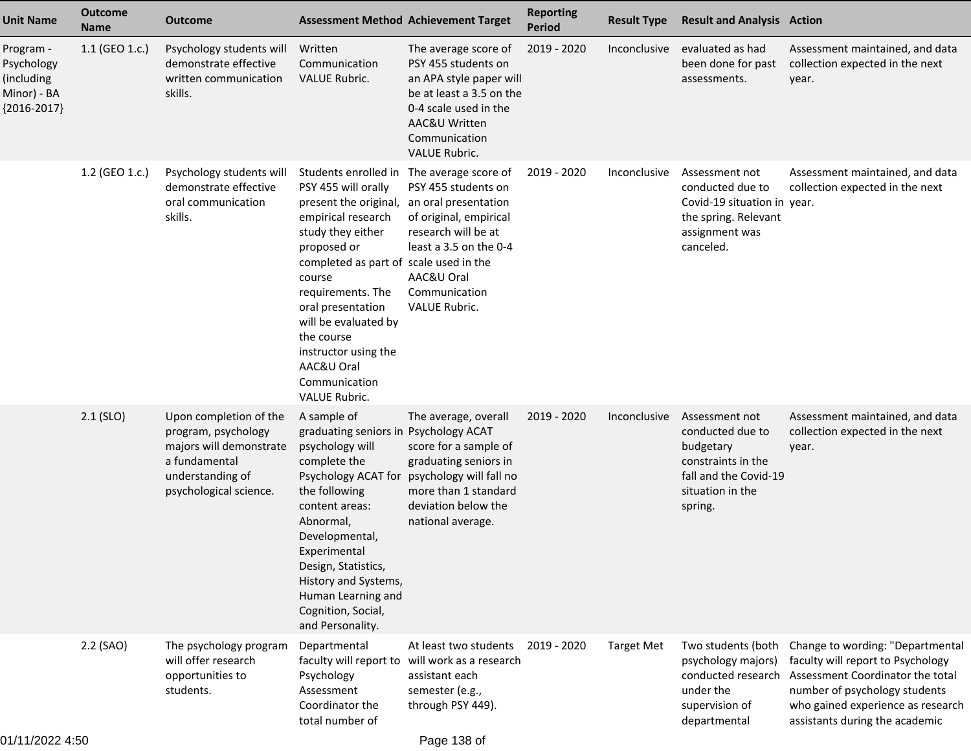| <b>Unit Name</b>                                                      | <b>Outcome</b><br><b>Name</b> | <b>Outcome</b>                                                                                                                          | <b>Assessment Method Achievement Target</b>                                                                                                                                                                                                                                                                                                       |                                                                                                                                                                                                | <b>Reporting</b><br><b>Period</b> | <b>Result Type</b> | <b>Result and Analysis Action</b>                                                                                             |                                                                                                                                                                                                                                      |
|-----------------------------------------------------------------------|-------------------------------|-----------------------------------------------------------------------------------------------------------------------------------------|---------------------------------------------------------------------------------------------------------------------------------------------------------------------------------------------------------------------------------------------------------------------------------------------------------------------------------------------------|------------------------------------------------------------------------------------------------------------------------------------------------------------------------------------------------|-----------------------------------|--------------------|-------------------------------------------------------------------------------------------------------------------------------|--------------------------------------------------------------------------------------------------------------------------------------------------------------------------------------------------------------------------------------|
| Program -<br>Psychology<br>(including<br>Minor) - BA<br>${2016-2017}$ | 1.1 (GEO 1.c.)                | Psychology students will<br>demonstrate effective<br>written communication<br>skills.                                                   | Written<br>Communication<br><b>VALUE Rubric.</b>                                                                                                                                                                                                                                                                                                  | The average score of<br>PSY 455 students on<br>an APA style paper will<br>be at least a 3.5 on the<br>0-4 scale used in the<br>AAC&U Written<br>Communication<br><b>VALUE Rubric.</b>          | 2019 - 2020                       | Inconclusive       | evaluated as had<br>been done for past<br>assessments.                                                                        | Assessment maintained, and data<br>collection expected in the next<br>year.                                                                                                                                                          |
|                                                                       | 1.2 (GEO 1.c.)                | Psychology students will<br>demonstrate effective<br>oral communication<br>skills.                                                      | Students enrolled in<br>PSY 455 will orally<br>present the original,<br>empirical research<br>study they either<br>proposed or<br>completed as part of scale used in the<br>course<br>requirements. The<br>oral presentation<br>will be evaluated by<br>the course<br>instructor using the<br>AAC&U Oral<br>Communication<br><b>VALUE Rubric.</b> | The average score of<br>PSY 455 students on<br>an oral presentation<br>of original, empirical<br>research will be at<br>least a 3.5 on the 0-4<br>AAC&U Oral<br>Communication<br>VALUE Rubric. | 2019 - 2020                       | Inconclusive       | Assessment not<br>conducted due to<br>Covid-19 situation in year.<br>the spring. Relevant<br>assignment was<br>canceled.      | Assessment maintained, and data<br>collection expected in the next                                                                                                                                                                   |
|                                                                       | $2.1$ (SLO)                   | Upon completion of the<br>program, psychology<br>majors will demonstrate<br>a fundamental<br>understanding of<br>psychological science. | A sample of<br>graduating seniors in Psychology ACAT<br>psychology will<br>complete the<br>Psychology ACAT for<br>the following<br>content areas:<br>Abnormal,<br>Developmental,<br>Experimental<br>Design, Statistics,<br>History and Systems,<br>Human Learning and<br>Cognition, Social,<br>and Personality.                                   | The average, overall<br>score for a sample of<br>graduating seniors in<br>psychology will fall no<br>more than 1 standard<br>deviation below the<br>national average.                          | 2019 - 2020                       | Inconclusive       | Assessment not<br>conducted due to<br>budgetary<br>constraints in the<br>fall and the Covid-19<br>situation in the<br>spring. | Assessment maintained, and data<br>collection expected in the next<br>year.                                                                                                                                                          |
|                                                                       | 2.2 (SAO)                     | The psychology program<br>will offer research<br>opportunities to<br>students.                                                          | Departmental<br>Psychology<br>Assessment<br>Coordinator the<br>total number of                                                                                                                                                                                                                                                                    | At least two students<br>faculty will report to will work as a research<br>assistant each<br>semester (e.g.,<br>through PSY 449).                                                              | 2019 - 2020                       | <b>Target Met</b>  | Two students (both<br>psychology majors)<br>under the<br>supervision of<br>departmental                                       | Change to wording: "Departmental<br>faculty will report to Psychology<br>conducted research Assessment Coordinator the total<br>number of psychology students<br>who gained experience as research<br>assistants during the academic |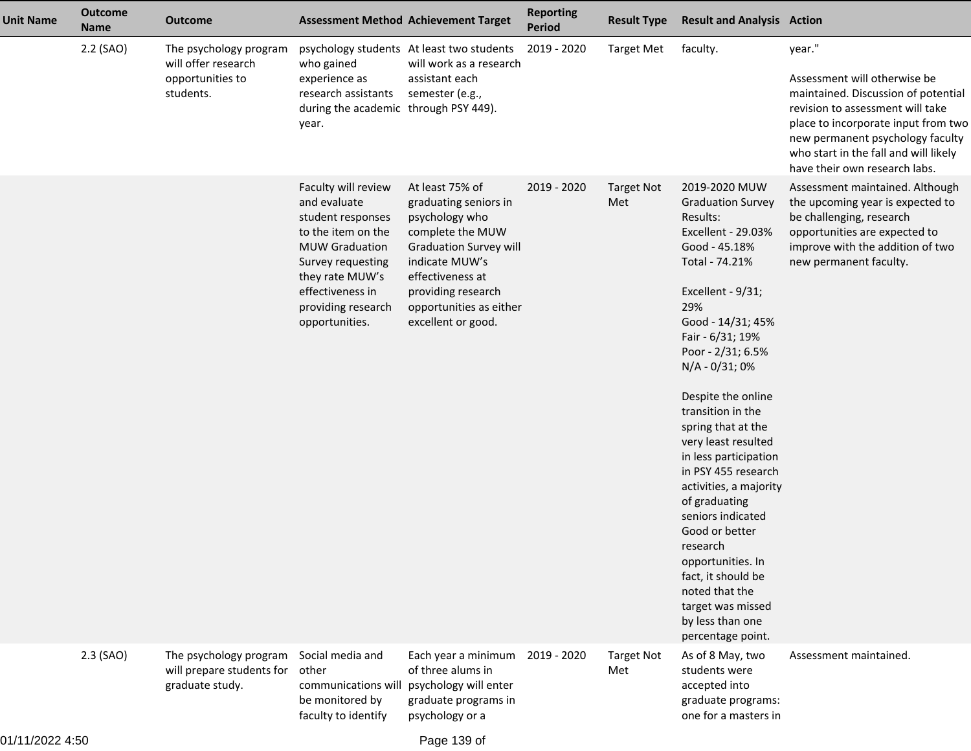| <b>Unit Name</b> | <b>Outcome</b><br><b>Name</b> | <b>Outcome</b>                                                                 | <b>Assessment Method Achievement Target</b>                                                                                                                                                                 |                                                                                                                                                                                                                              | <b>Reporting</b><br><b>Period</b> | <b>Result Type</b>       | <b>Result and Analysis Action</b>                                                                                                                                                                                                                                                                                                                                                                                                                                                                                                                                                           |                                                                                                                                                                                                                                                                        |
|------------------|-------------------------------|--------------------------------------------------------------------------------|-------------------------------------------------------------------------------------------------------------------------------------------------------------------------------------------------------------|------------------------------------------------------------------------------------------------------------------------------------------------------------------------------------------------------------------------------|-----------------------------------|--------------------------|---------------------------------------------------------------------------------------------------------------------------------------------------------------------------------------------------------------------------------------------------------------------------------------------------------------------------------------------------------------------------------------------------------------------------------------------------------------------------------------------------------------------------------------------------------------------------------------------|------------------------------------------------------------------------------------------------------------------------------------------------------------------------------------------------------------------------------------------------------------------------|
|                  | 2.2 (SAO)                     | The psychology program<br>will offer research<br>opportunities to<br>students. | who gained<br>experience as<br>research assistants<br>during the academic through PSY 449).<br>year.                                                                                                        | psychology students At least two students<br>will work as a research<br>assistant each<br>semester (e.g.,                                                                                                                    | 2019 - 2020                       | <b>Target Met</b>        | faculty.                                                                                                                                                                                                                                                                                                                                                                                                                                                                                                                                                                                    | year."<br>Assessment will otherwise be<br>maintained. Discussion of potential<br>revision to assessment will take<br>place to incorporate input from two<br>new permanent psychology faculty<br>who start in the fall and will likely<br>have their own research labs. |
|                  |                               |                                                                                | Faculty will review<br>and evaluate<br>student responses<br>to the item on the<br><b>MUW Graduation</b><br>Survey requesting<br>they rate MUW's<br>effectiveness in<br>providing research<br>opportunities. | At least 75% of<br>graduating seniors in<br>psychology who<br>complete the MUW<br><b>Graduation Survey will</b><br>indicate MUW's<br>effectiveness at<br>providing research<br>opportunities as either<br>excellent or good. | 2019 - 2020                       | <b>Target Not</b><br>Met | 2019-2020 MUW<br><b>Graduation Survey</b><br>Results:<br>Excellent - 29.03%<br>Good - 45.18%<br>Total - 74.21%<br>Excellent - 9/31;<br>29%<br>Good - 14/31; 45%<br>Fair - 6/31; 19%<br>Poor - 2/31; 6.5%<br>N/A - 0/31; 0%<br>Despite the online<br>transition in the<br>spring that at the<br>very least resulted<br>in less participation<br>in PSY 455 research<br>activities, a majority<br>of graduating<br>seniors indicated<br>Good or better<br>research<br>opportunities. In<br>fact, it should be<br>noted that the<br>target was missed<br>by less than one<br>percentage point. | Assessment maintained. Although<br>the upcoming year is expected to<br>be challenging, research<br>opportunities are expected to<br>improve with the addition of two<br>new permanent faculty.                                                                         |
|                  | 2.3 (SAO)                     | The psychology program<br>will prepare students for<br>graduate study.         | Social media and<br>other<br>be monitored by<br>faculty to identify                                                                                                                                         | Each year a minimum<br>of three alums in<br>communications will psychology will enter<br>graduate programs in<br>psychology or a                                                                                             | 2019 - 2020                       | <b>Target Not</b><br>Met | As of 8 May, two<br>students were<br>accepted into<br>graduate programs:<br>one for a masters in                                                                                                                                                                                                                                                                                                                                                                                                                                                                                            | Assessment maintained.                                                                                                                                                                                                                                                 |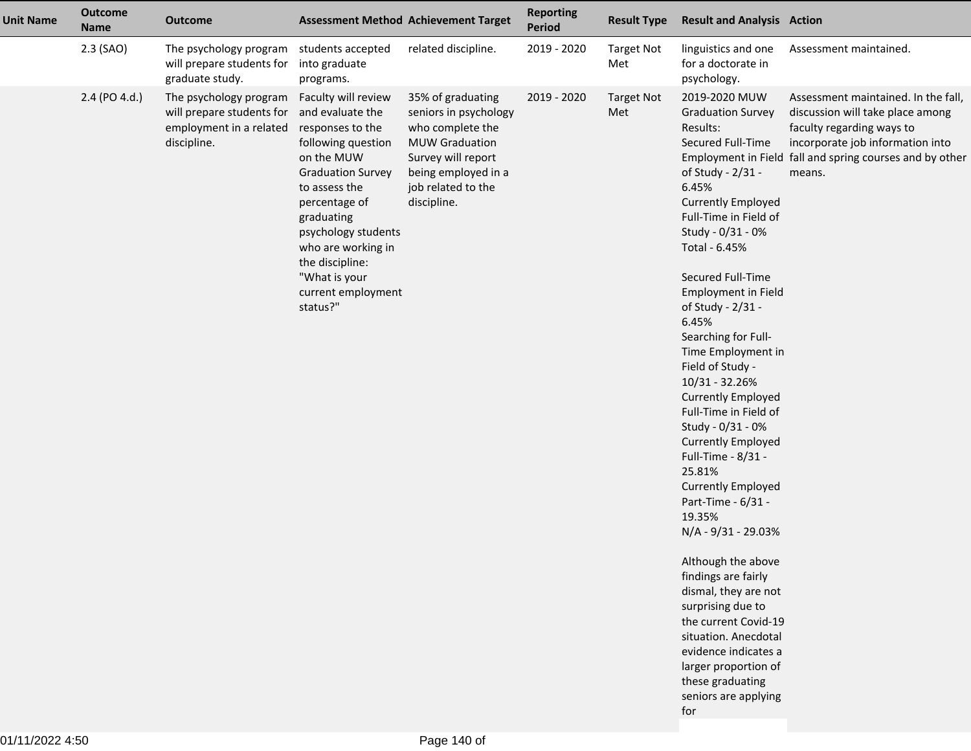| <b>Unit Name</b> | <b>Outcome</b><br><b>Name</b> | <b>Outcome</b>                                                                                |                                                                                                                                                                                                                                                                                                | <b>Assessment Method Achievement Target</b>                                                                                                                               | <b>Reporting</b><br><b>Period</b> | <b>Result Type</b>       | <b>Result and Analysis Action</b>                                                                                                                                                                                                                                                                                                                                                                                                                                                                                                                                                                                                                                                                                                                                                                                                                 |                                                                                                                                                                                                                |
|------------------|-------------------------------|-----------------------------------------------------------------------------------------------|------------------------------------------------------------------------------------------------------------------------------------------------------------------------------------------------------------------------------------------------------------------------------------------------|---------------------------------------------------------------------------------------------------------------------------------------------------------------------------|-----------------------------------|--------------------------|---------------------------------------------------------------------------------------------------------------------------------------------------------------------------------------------------------------------------------------------------------------------------------------------------------------------------------------------------------------------------------------------------------------------------------------------------------------------------------------------------------------------------------------------------------------------------------------------------------------------------------------------------------------------------------------------------------------------------------------------------------------------------------------------------------------------------------------------------|----------------------------------------------------------------------------------------------------------------------------------------------------------------------------------------------------------------|
|                  | $2.3$ (SAO)                   | The psychology program<br>will prepare students for<br>graduate study.                        | students accepted<br>into graduate<br>programs.                                                                                                                                                                                                                                                | related discipline.                                                                                                                                                       | 2019 - 2020                       | <b>Target Not</b><br>Met | linguistics and one<br>for a doctorate in<br>psychology.                                                                                                                                                                                                                                                                                                                                                                                                                                                                                                                                                                                                                                                                                                                                                                                          | Assessment maintained.                                                                                                                                                                                         |
|                  | 2.4 (PO 4.d.)                 | The psychology program<br>will prepare students for<br>employment in a related<br>discipline. | Faculty will review<br>and evaluate the<br>responses to the<br>following question<br>on the MUW<br><b>Graduation Survey</b><br>to assess the<br>percentage of<br>graduating<br>psychology students<br>who are working in<br>the discipline:<br>"What is your<br>current employment<br>status?" | 35% of graduating<br>seniors in psychology<br>who complete the<br><b>MUW Graduation</b><br>Survey will report<br>being employed in a<br>job related to the<br>discipline. | 2019 - 2020                       | <b>Target Not</b><br>Met | 2019-2020 MUW<br><b>Graduation Survey</b><br>Results:<br>Secured Full-Time<br>of Study - 2/31 -<br>6.45%<br><b>Currently Employed</b><br>Full-Time in Field of<br>Study - 0/31 - 0%<br>Total - 6.45%<br>Secured Full-Time<br><b>Employment in Field</b><br>of Study - 2/31 -<br>6.45%<br>Searching for Full-<br>Time Employment in<br>Field of Study -<br>10/31 - 32.26%<br><b>Currently Employed</b><br>Full-Time in Field of<br>Study - 0/31 - 0%<br><b>Currently Employed</b><br>Full-Time - 8/31 -<br>25.81%<br><b>Currently Employed</b><br>Part-Time - 6/31 -<br>19.35%<br>N/A - 9/31 - 29.03%<br>Although the above<br>findings are fairly<br>dismal, they are not<br>surprising due to<br>the current Covid-19<br>situation. Anecdotal<br>evidence indicates a<br>larger proportion of<br>these graduating<br>seniors are applying<br>for | Assessment maintained. In the fall,<br>discussion will take place among<br>faculty regarding ways to<br>incorporate job information into<br>Employment in Field fall and spring courses and by other<br>means. |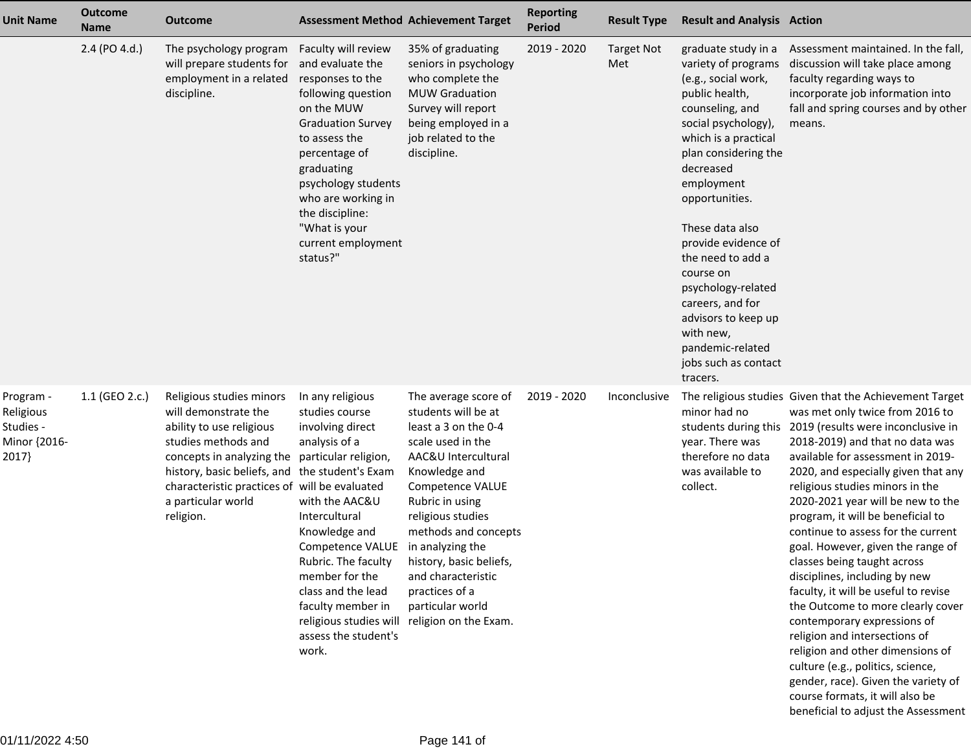| <b>Unit Name</b>                                             | <b>Outcome</b><br><b>Name</b> | <b>Outcome</b>                                                                                                                                                                                                                                      |                                                                                                                                                                                                                                                                                                                                                               | <b>Assessment Method Achievement Target</b>                                                                                                                                                                                                                                                                                          | <b>Reporting</b><br><b>Period</b> | <b>Result Type</b>       | <b>Result and Analysis Action</b>                                                                                                                                                                                                                                                                                                                                                                                                            |                                                                                                                                                                                                                                                                                                                                                                                                                                                                                                                                                                                                                                                                                                                                                                                                                                                                     |
|--------------------------------------------------------------|-------------------------------|-----------------------------------------------------------------------------------------------------------------------------------------------------------------------------------------------------------------------------------------------------|---------------------------------------------------------------------------------------------------------------------------------------------------------------------------------------------------------------------------------------------------------------------------------------------------------------------------------------------------------------|--------------------------------------------------------------------------------------------------------------------------------------------------------------------------------------------------------------------------------------------------------------------------------------------------------------------------------------|-----------------------------------|--------------------------|----------------------------------------------------------------------------------------------------------------------------------------------------------------------------------------------------------------------------------------------------------------------------------------------------------------------------------------------------------------------------------------------------------------------------------------------|---------------------------------------------------------------------------------------------------------------------------------------------------------------------------------------------------------------------------------------------------------------------------------------------------------------------------------------------------------------------------------------------------------------------------------------------------------------------------------------------------------------------------------------------------------------------------------------------------------------------------------------------------------------------------------------------------------------------------------------------------------------------------------------------------------------------------------------------------------------------|
|                                                              | 2.4 (PO 4.d.)                 | The psychology program<br>will prepare students for<br>employment in a related<br>discipline.                                                                                                                                                       | Faculty will review<br>and evaluate the<br>responses to the<br>following question<br>on the MUW<br><b>Graduation Survey</b><br>to assess the<br>percentage of<br>graduating<br>psychology students<br>who are working in<br>the discipline:<br>"What is your<br>current employment<br>status?"                                                                | 35% of graduating<br>seniors in psychology<br>who complete the<br><b>MUW Graduation</b><br>Survey will report<br>being employed in a<br>job related to the<br>discipline.                                                                                                                                                            | 2019 - 2020                       | <b>Target Not</b><br>Met | graduate study in a<br>variety of programs<br>(e.g., social work,<br>public health,<br>counseling, and<br>social psychology),<br>which is a practical<br>plan considering the<br>decreased<br>employment<br>opportunities.<br>These data also<br>provide evidence of<br>the need to add a<br>course on<br>psychology-related<br>careers, and for<br>advisors to keep up<br>with new,<br>pandemic-related<br>jobs such as contact<br>tracers. | Assessment maintained. In the fall,<br>discussion will take place among<br>faculty regarding ways to<br>incorporate job information into<br>fall and spring courses and by other<br>means.                                                                                                                                                                                                                                                                                                                                                                                                                                                                                                                                                                                                                                                                          |
| Program -<br>Religious<br>Studies -<br>Minor {2016-<br>2017} | 1.1 (GEO 2.c.)                | Religious studies minors<br>will demonstrate the<br>ability to use religious<br>studies methods and<br>concepts in analyzing the<br>history, basic beliefs, and<br>characteristic practices of will be evaluated<br>a particular world<br>religion. | In any religious<br>studies course<br>involving direct<br>analysis of a<br>particular religion,<br>the student's Exam<br>with the AAC&U<br>Intercultural<br>Knowledge and<br>Competence VALUE in analyzing the<br>Rubric. The faculty<br>member for the<br>class and the lead<br>faculty member in<br>religious studies will<br>assess the student's<br>work. | The average score of<br>students will be at<br>least a 3 on the 0-4<br>scale used in the<br>AAC&U Intercultural<br>Knowledge and<br>Competence VALUE<br>Rubric in using<br>religious studies<br>methods and concepts<br>history, basic beliefs,<br>and characteristic<br>practices of a<br>particular world<br>religion on the Exam. | 2019 - 2020                       | Inconclusive             | minor had no<br>year. There was<br>therefore no data<br>was available to<br>collect.                                                                                                                                                                                                                                                                                                                                                         | The religious studies Given that the Achievement Target<br>was met only twice from 2016 to<br>students during this 2019 (results were inconclusive in<br>2018-2019) and that no data was<br>available for assessment in 2019-<br>2020, and especially given that any<br>religious studies minors in the<br>2020-2021 year will be new to the<br>program, it will be beneficial to<br>continue to assess for the current<br>goal. However, given the range of<br>classes being taught across<br>disciplines, including by new<br>faculty, it will be useful to revise<br>the Outcome to more clearly cover<br>contemporary expressions of<br>religion and intersections of<br>religion and other dimensions of<br>culture (e.g., politics, science,<br>gender, race). Given the variety of<br>course formats, it will also be<br>beneficial to adjust the Assessment |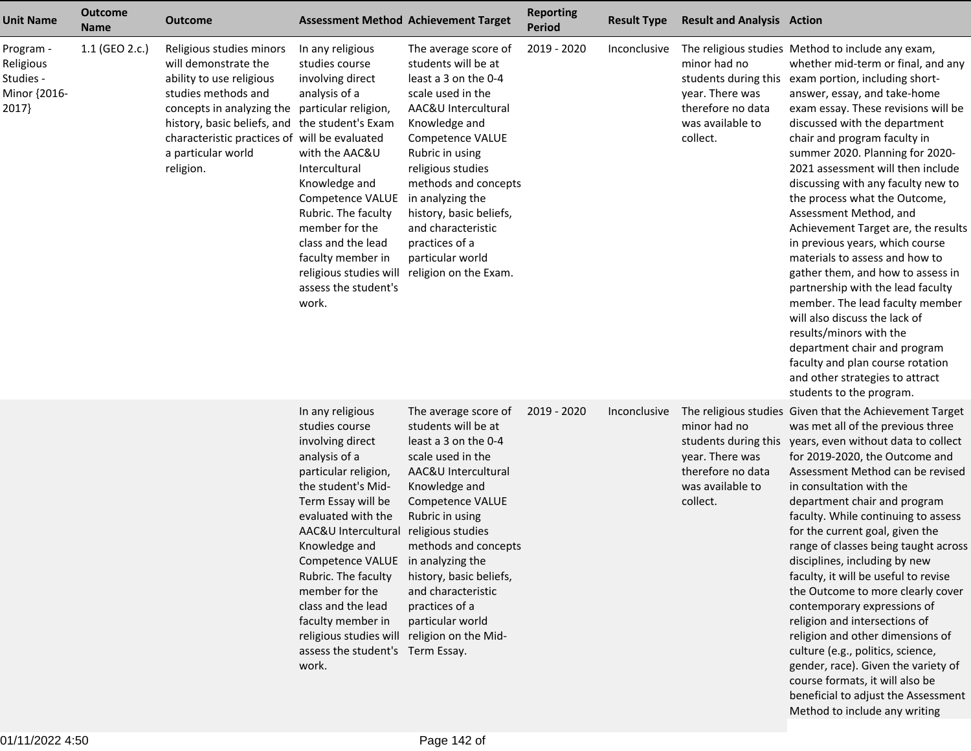| <b>Unit Name</b>                                             | <b>Outcome</b><br><b>Name</b> | <b>Outcome</b>                                                                                                                                                                                                                                                         |                                                                                                                                                                                                                                                                                                                                                                                                                                | <b>Assessment Method Achievement Target</b>                                                                                                                                                                                                                                                                                                              | <b>Reporting</b><br><b>Period</b> | <b>Result Type</b> | <b>Result and Analysis Action</b>                                                    |                                                                                                                                                                                                                                                                                                                                                                                                                                                                                                                                                                                                                                                                                                                                                                                                                                                                                         |
|--------------------------------------------------------------|-------------------------------|------------------------------------------------------------------------------------------------------------------------------------------------------------------------------------------------------------------------------------------------------------------------|--------------------------------------------------------------------------------------------------------------------------------------------------------------------------------------------------------------------------------------------------------------------------------------------------------------------------------------------------------------------------------------------------------------------------------|----------------------------------------------------------------------------------------------------------------------------------------------------------------------------------------------------------------------------------------------------------------------------------------------------------------------------------------------------------|-----------------------------------|--------------------|--------------------------------------------------------------------------------------|-----------------------------------------------------------------------------------------------------------------------------------------------------------------------------------------------------------------------------------------------------------------------------------------------------------------------------------------------------------------------------------------------------------------------------------------------------------------------------------------------------------------------------------------------------------------------------------------------------------------------------------------------------------------------------------------------------------------------------------------------------------------------------------------------------------------------------------------------------------------------------------------|
| Program -<br>Religious<br>Studies -<br>Minor {2016-<br>2017} | 1.1 (GEO 2.c.)                | Religious studies minors<br>will demonstrate the<br>ability to use religious<br>studies methods and<br>concepts in analyzing the<br>history, basic beliefs, and the student's Exam<br>characteristic practices of will be evaluated<br>a particular world<br>religion. | In any religious<br>studies course<br>involving direct<br>analysis of a<br>particular religion,<br>with the AAC&U<br>Intercultural<br>Knowledge and<br>Competence VALUE<br>Rubric. The faculty<br>member for the<br>class and the lead<br>faculty member in<br>religious studies will<br>assess the student's<br>work.                                                                                                         | The average score of<br>students will be at<br>least a 3 on the 0-4<br>scale used in the<br>AAC&U Intercultural<br>Knowledge and<br>Competence VALUE<br>Rubric in using<br>religious studies<br>methods and concepts<br>in analyzing the<br>history, basic beliefs,<br>and characteristic<br>practices of a<br>particular world<br>religion on the Exam. | 2019 - 2020                       | Inconclusive       | minor had no<br>year. There was<br>therefore no data<br>was available to<br>collect. | The religious studies Method to include any exam,<br>whether mid-term or final, and any<br>students during this exam portion, including short-<br>answer, essay, and take-home<br>exam essay. These revisions will be<br>discussed with the department<br>chair and program faculty in<br>summer 2020. Planning for 2020-<br>2021 assessment will then include<br>discussing with any faculty new to<br>the process what the Outcome,<br>Assessment Method, and<br>Achievement Target are, the results<br>in previous years, which course<br>materials to assess and how to<br>gather them, and how to assess in<br>partnership with the lead faculty<br>member. The lead faculty member<br>will also discuss the lack of<br>results/minors with the<br>department chair and program<br>faculty and plan course rotation<br>and other strategies to attract<br>students to the program. |
|                                                              |                               |                                                                                                                                                                                                                                                                        | In any religious<br>studies course<br>involving direct<br>analysis of a<br>particular religion,<br>the student's Mid-<br>Term Essay will be<br>evaluated with the<br>AAC&U Intercultural<br>Knowledge and<br>Competence VALUE in analyzing the<br>Rubric. The faculty<br>member for the<br>class and the lead<br>faculty member in<br>religious studies will religion on the Mid-<br>assess the student's Term Essay.<br>work. | The average score of<br>students will be at<br>least a 3 on the 0-4<br>scale used in the<br>AAC&U Intercultural<br>Knowledge and<br><b>Competence VALUE</b><br>Rubric in using<br>religious studies<br>methods and concepts<br>history, basic beliefs,<br>and characteristic<br>practices of a<br>particular world                                       | 2019 - 2020                       | Inconclusive       | minor had no<br>year. There was<br>therefore no data<br>was available to<br>collect. | The religious studies Given that the Achievement Target<br>was met all of the previous three<br>students during this years, even without data to collect<br>for 2019-2020, the Outcome and<br>Assessment Method can be revised<br>in consultation with the<br>department chair and program<br>faculty. While continuing to assess<br>for the current goal, given the<br>range of classes being taught across<br>disciplines, including by new<br>faculty, it will be useful to revise<br>the Outcome to more clearly cover<br>contemporary expressions of<br>religion and intersections of<br>religion and other dimensions of<br>culture (e.g., politics, science,<br>gender, race). Given the variety of<br>course formats, it will also be<br>beneficial to adjust the Assessment<br>Method to include any writing                                                                   |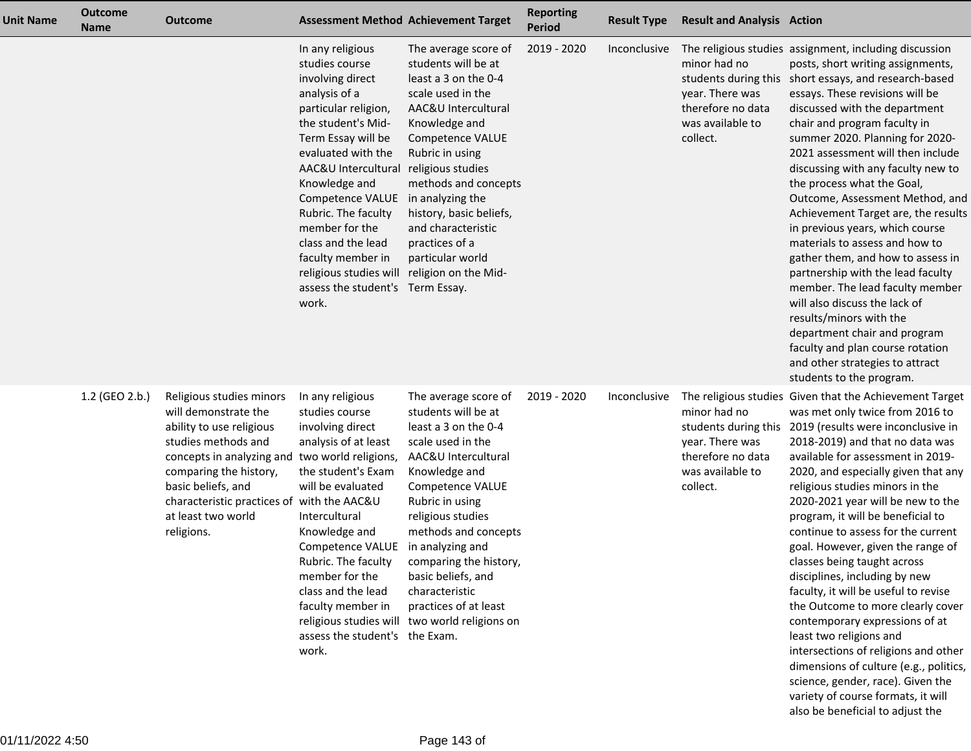| <b>Unit Name</b> | <b>Outcome</b><br><b>Name</b> | <b>Outcome</b>                                                                                                                                                                                                                                                                          | <b>Assessment Method Achievement Target</b>                                                                                                                                                                                                                                                                                                                                                                                                      |                                                                                                                                                                                                                                                                                                                                                                                      | <b>Reporting</b><br><b>Period</b> | <b>Result Type</b> | <b>Result and Analysis Action</b>                                                                            |                                                                                                                                                                                                                                                                                                                                                                                                                                                                                                                                                                                                                                                                                                                                                                                                                                                                 |
|------------------|-------------------------------|-----------------------------------------------------------------------------------------------------------------------------------------------------------------------------------------------------------------------------------------------------------------------------------------|--------------------------------------------------------------------------------------------------------------------------------------------------------------------------------------------------------------------------------------------------------------------------------------------------------------------------------------------------------------------------------------------------------------------------------------------------|--------------------------------------------------------------------------------------------------------------------------------------------------------------------------------------------------------------------------------------------------------------------------------------------------------------------------------------------------------------------------------------|-----------------------------------|--------------------|--------------------------------------------------------------------------------------------------------------|-----------------------------------------------------------------------------------------------------------------------------------------------------------------------------------------------------------------------------------------------------------------------------------------------------------------------------------------------------------------------------------------------------------------------------------------------------------------------------------------------------------------------------------------------------------------------------------------------------------------------------------------------------------------------------------------------------------------------------------------------------------------------------------------------------------------------------------------------------------------|
|                  |                               |                                                                                                                                                                                                                                                                                         | In any religious<br>studies course<br>involving direct<br>analysis of a<br>particular religion,<br>the student's Mid-<br>Term Essay will be<br>evaluated with the<br>AAC&U Intercultural religious studies<br>Knowledge and<br>Competence VALUE in analyzing the<br>Rubric. The faculty<br>member for the<br>class and the lead<br>faculty member in<br>religious studies will religion on the Mid-<br>assess the student's Term Essay.<br>work. | The average score of<br>students will be at<br>least a 3 on the 0-4<br>scale used in the<br>AAC&U Intercultural<br>Knowledge and<br>Competence VALUE<br>Rubric in using<br>methods and concepts<br>history, basic beliefs,<br>and characteristic<br>practices of a<br>particular world                                                                                               | 2019 - 2020                       | Inconclusive       | minor had no<br>year. There was<br>therefore no data<br>was available to<br>collect.                         | The religious studies assignment, including discussion<br>posts, short writing assignments,<br>students during this short essays, and research-based<br>essays. These revisions will be<br>discussed with the department<br>chair and program faculty in<br>summer 2020. Planning for 2020-<br>2021 assessment will then include<br>discussing with any faculty new to<br>the process what the Goal,<br>Outcome, Assessment Method, and<br>Achievement Target are, the results<br>in previous years, which course<br>materials to assess and how to<br>gather them, and how to assess in<br>partnership with the lead faculty<br>member. The lead faculty member<br>will also discuss the lack of<br>results/minors with the<br>department chair and program<br>faculty and plan course rotation<br>and other strategies to attract<br>students to the program. |
|                  | 1.2 (GEO 2.b.)                | Religious studies minors<br>will demonstrate the<br>ability to use religious<br>studies methods and<br>concepts in analyzing and two world religions,<br>comparing the history,<br>basic beliefs, and<br>characteristic practices of with the AAC&U<br>at least two world<br>religions. | In any religious<br>studies course<br>involving direct<br>analysis of at least<br>the student's Exam<br>will be evaluated<br>Intercultural<br>Knowledge and<br>Competence VALUE<br>Rubric. The faculty<br>member for the<br>class and the lead<br>faculty member in<br>assess the student's the Exam.<br>work.                                                                                                                                   | The average score of<br>students will be at<br>least a 3 on the 0-4<br>scale used in the<br>AAC&U Intercultural<br>Knowledge and<br>Competence VALUE<br>Rubric in using<br>religious studies<br>methods and concepts<br>in analyzing and<br>comparing the history,<br>basic beliefs, and<br>characteristic<br>practices of at least<br>religious studies will two world religions on | 2019 - 2020                       | Inconclusive       | minor had no<br>students during this<br>year. There was<br>therefore no data<br>was available to<br>collect. | The religious studies Given that the Achievement Target<br>was met only twice from 2016 to<br>2019 (results were inconclusive in<br>2018-2019) and that no data was<br>available for assessment in 2019-<br>2020, and especially given that any<br>religious studies minors in the<br>2020-2021 year will be new to the<br>program, it will be beneficial to<br>continue to assess for the current<br>goal. However, given the range of<br>classes being taught across<br>disciplines, including by new<br>faculty, it will be useful to revise<br>the Outcome to more clearly cover<br>contemporary expressions of at<br>least two religions and<br>intersections of religions and other<br>dimensions of culture (e.g., politics,<br>science, gender, race). Given the<br>variety of course formats, it will<br>also be beneficial to adjust the              |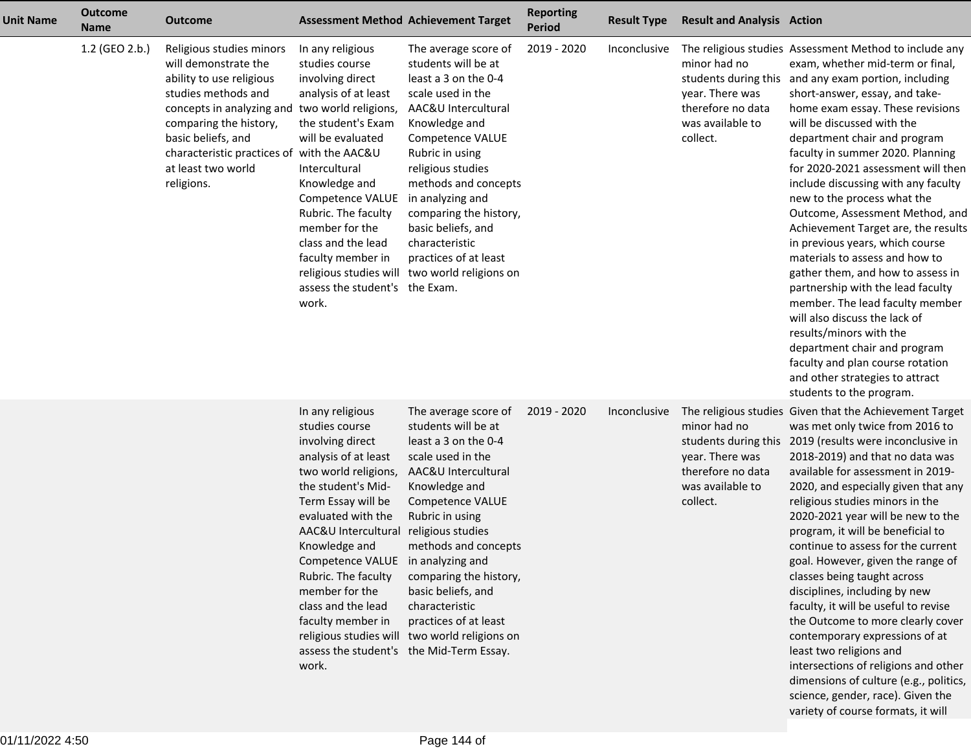| <b>Unit Name</b> | <b>Outcome</b><br><b>Name</b> | <b>Outcome</b>                                                                                                                                                                                                                                                     |                                                                                                                                                                                                                                                                                                                                                    | <b>Assessment Method Achievement Target</b>                                                                                                                                                                                                                                                                                                                                                                  | <b>Reporting</b><br><b>Period</b> | <b>Result Type</b> | <b>Result and Analysis Action</b>                                                                            |                                                                                                                                                                                                                                                                                                                                                                                                                                                                                                                                                                                                                                                                                                                                                                                                                                                                              |
|------------------|-------------------------------|--------------------------------------------------------------------------------------------------------------------------------------------------------------------------------------------------------------------------------------------------------------------|----------------------------------------------------------------------------------------------------------------------------------------------------------------------------------------------------------------------------------------------------------------------------------------------------------------------------------------------------|--------------------------------------------------------------------------------------------------------------------------------------------------------------------------------------------------------------------------------------------------------------------------------------------------------------------------------------------------------------------------------------------------------------|-----------------------------------|--------------------|--------------------------------------------------------------------------------------------------------------|------------------------------------------------------------------------------------------------------------------------------------------------------------------------------------------------------------------------------------------------------------------------------------------------------------------------------------------------------------------------------------------------------------------------------------------------------------------------------------------------------------------------------------------------------------------------------------------------------------------------------------------------------------------------------------------------------------------------------------------------------------------------------------------------------------------------------------------------------------------------------|
|                  | 1.2 (GEO 2.b.)                | Religious studies minors<br>will demonstrate the<br>ability to use religious<br>studies methods and<br>concepts in analyzing and<br>comparing the history,<br>basic beliefs, and<br>characteristic practices of with the AAC&U<br>at least two world<br>religions. | In any religious<br>studies course<br>involving direct<br>analysis of at least<br>two world religions,<br>the student's Exam<br>will be evaluated<br>Intercultural<br>Knowledge and<br>Competence VALUE<br>Rubric. The faculty<br>member for the<br>class and the lead<br>faculty member in<br>assess the student's the Exam.<br>work.             | The average score of<br>students will be at<br>least a 3 on the 0-4<br>scale used in the<br>AAC&U Intercultural<br>Knowledge and<br>Competence VALUE<br>Rubric in using<br>religious studies<br>methods and concepts<br>in analyzing and<br>comparing the history,<br>basic beliefs, and<br>characteristic<br>practices of at least<br>religious studies will two world religions on                         | 2019 - 2020                       | Inconclusive       | minor had no<br>students during this<br>year. There was<br>therefore no data<br>was available to<br>collect. | The religious studies Assessment Method to include any<br>exam, whether mid-term or final,<br>and any exam portion, including<br>short-answer, essay, and take-<br>home exam essay. These revisions<br>will be discussed with the<br>department chair and program<br>faculty in summer 2020. Planning<br>for 2020-2021 assessment will then<br>include discussing with any faculty<br>new to the process what the<br>Outcome, Assessment Method, and<br>Achievement Target are, the results<br>in previous years, which course<br>materials to assess and how to<br>gather them, and how to assess in<br>partnership with the lead faculty<br>member. The lead faculty member<br>will also discuss the lack of<br>results/minors with the<br>department chair and program<br>faculty and plan course rotation<br>and other strategies to attract<br>students to the program. |
|                  |                               |                                                                                                                                                                                                                                                                    | In any religious<br>studies course<br>involving direct<br>analysis of at least<br>two world religions,<br>the student's Mid-<br>Term Essay will be<br>evaluated with the<br>AAC&U Intercultural<br>Knowledge and<br>Competence VALUE in analyzing and<br>Rubric. The faculty<br>member for the<br>class and the lead<br>faculty member in<br>work. | The average score of<br>students will be at<br>least a 3 on the 0-4<br>scale used in the<br>AAC&U Intercultural<br>Knowledge and<br>Competence VALUE<br>Rubric in using<br>religious studies<br>methods and concepts<br>comparing the history,<br>basic beliefs, and<br>characteristic<br>practices of at least<br>religious studies will two world religions on<br>assess the student's the Mid-Term Essay. | 2019 - 2020                       | Inconclusive       | minor had no<br>students during this<br>year. There was<br>therefore no data<br>was available to<br>collect. | The religious studies Given that the Achievement Target<br>was met only twice from 2016 to<br>2019 (results were inconclusive in<br>2018-2019) and that no data was<br>available for assessment in 2019-<br>2020, and especially given that any<br>religious studies minors in the<br>2020-2021 year will be new to the<br>program, it will be beneficial to<br>continue to assess for the current<br>goal. However, given the range of<br>classes being taught across<br>disciplines, including by new<br>faculty, it will be useful to revise<br>the Outcome to more clearly cover<br>contemporary expressions of at<br>least two religions and<br>intersections of religions and other<br>dimensions of culture (e.g., politics,<br>science, gender, race). Given the<br>variety of course formats, it will                                                               |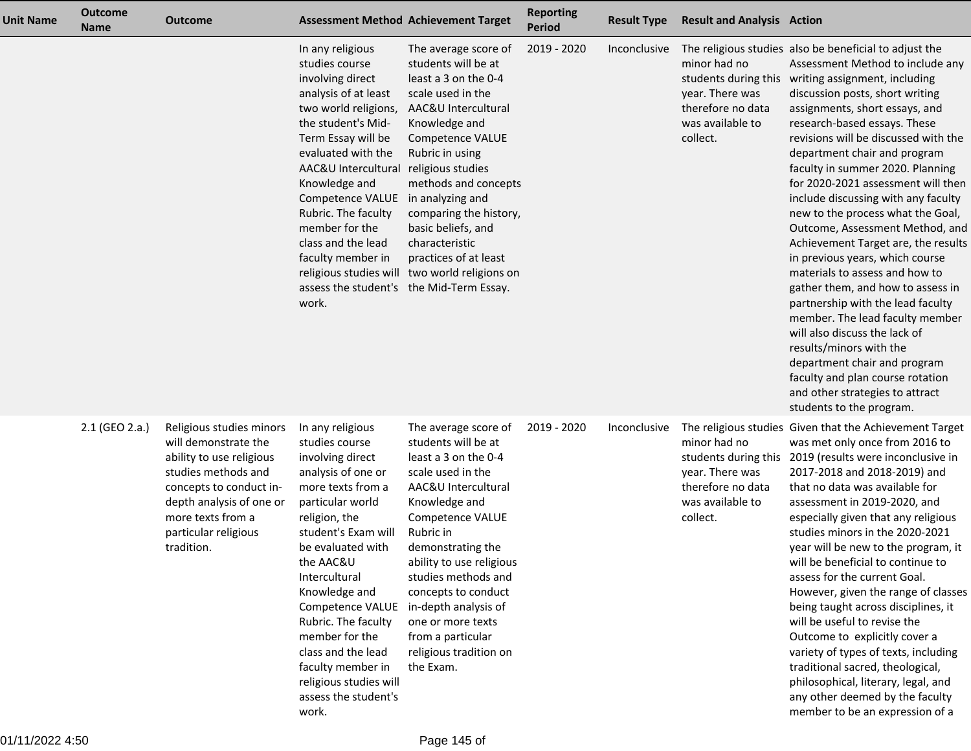| <b>Unit Name</b> | <b>Outcome</b><br><b>Name</b> | <b>Outcome</b>                                                                                                                                                                                                        |                                                                                                                                                                                                                                                                                                                                                                                                                  | <b>Assessment Method Achievement Target</b>                                                                                                                                                                                                                                                                                                                               | <b>Reporting</b><br><b>Period</b> | <b>Result Type</b> | <b>Result and Analysis Action</b>                                                    |                                                                                                                                                                                                                                                                                                                                                                                                                                                                                                                                                                                                                                                                                                                                                                                                                                                                                                                                                |
|------------------|-------------------------------|-----------------------------------------------------------------------------------------------------------------------------------------------------------------------------------------------------------------------|------------------------------------------------------------------------------------------------------------------------------------------------------------------------------------------------------------------------------------------------------------------------------------------------------------------------------------------------------------------------------------------------------------------|---------------------------------------------------------------------------------------------------------------------------------------------------------------------------------------------------------------------------------------------------------------------------------------------------------------------------------------------------------------------------|-----------------------------------|--------------------|--------------------------------------------------------------------------------------|------------------------------------------------------------------------------------------------------------------------------------------------------------------------------------------------------------------------------------------------------------------------------------------------------------------------------------------------------------------------------------------------------------------------------------------------------------------------------------------------------------------------------------------------------------------------------------------------------------------------------------------------------------------------------------------------------------------------------------------------------------------------------------------------------------------------------------------------------------------------------------------------------------------------------------------------|
|                  |                               |                                                                                                                                                                                                                       | In any religious<br>studies course<br>involving direct<br>analysis of at least<br>two world religions,<br>the student's Mid-<br>Term Essay will be<br>evaluated with the<br>AAC&U Intercultural religious studies<br>Knowledge and<br>Competence VALUE in analyzing and<br>Rubric. The faculty<br>member for the<br>class and the lead<br>faculty member in<br>assess the student's the Mid-Term Essay.<br>work. | The average score of<br>students will be at<br>least a 3 on the 0-4<br>scale used in the<br>AAC&U Intercultural<br>Knowledge and<br>Competence VALUE<br>Rubric in using<br>methods and concepts<br>comparing the history,<br>basic beliefs, and<br>characteristic<br>practices of at least<br>religious studies will two world religions on                               | 2019 - 2020                       | Inconclusive       | minor had no<br>year. There was<br>therefore no data<br>was available to<br>collect. | The religious studies also be beneficial to adjust the<br>Assessment Method to include any<br>students during this writing assignment, including<br>discussion posts, short writing<br>assignments, short essays, and<br>research-based essays. These<br>revisions will be discussed with the<br>department chair and program<br>faculty in summer 2020. Planning<br>for 2020-2021 assessment will then<br>include discussing with any faculty<br>new to the process what the Goal,<br>Outcome, Assessment Method, and<br>Achievement Target are, the results<br>in previous years, which course<br>materials to assess and how to<br>gather them, and how to assess in<br>partnership with the lead faculty<br>member. The lead faculty member<br>will also discuss the lack of<br>results/minors with the<br>department chair and program<br>faculty and plan course rotation<br>and other strategies to attract<br>students to the program. |
|                  | 2.1 (GEO 2.a.)                | Religious studies minors<br>will demonstrate the<br>ability to use religious<br>studies methods and<br>concepts to conduct in-<br>depth analysis of one or<br>more texts from a<br>particular religious<br>tradition. | In any religious<br>studies course<br>involving direct<br>analysis of one or<br>more texts from a<br>particular world<br>religion, the<br>student's Exam will<br>be evaluated with<br>the AAC&U<br>Intercultural<br>Knowledge and<br>Competence VALUE<br>Rubric. The faculty<br>member for the<br>class and the lead<br>faculty member in<br>religious studies will<br>assess the student's<br>work.             | The average score of<br>students will be at<br>least a 3 on the 0-4<br>scale used in the<br>AAC&U Intercultural<br>Knowledge and<br>Competence VALUE<br>Rubric in<br>demonstrating the<br>ability to use religious<br>studies methods and<br>concepts to conduct<br>in-depth analysis of<br>one or more texts<br>from a particular<br>religious tradition on<br>the Exam. | 2019 - 2020                       | Inconclusive       | minor had no<br>year. There was<br>therefore no data<br>was available to<br>collect. | The religious studies Given that the Achievement Target<br>was met only once from 2016 to<br>students during this 2019 (results were inconclusive in<br>2017-2018 and 2018-2019) and<br>that no data was available for<br>assessment in 2019-2020, and<br>especially given that any religious<br>studies minors in the 2020-2021<br>year will be new to the program, it<br>will be beneficial to continue to<br>assess for the current Goal.<br>However, given the range of classes<br>being taught across disciplines, it<br>will be useful to revise the<br>Outcome to explicitly cover a<br>variety of types of texts, including<br>traditional sacred, theological,<br>philosophical, literary, legal, and<br>any other deemed by the faculty<br>member to be an expression of a                                                                                                                                                           |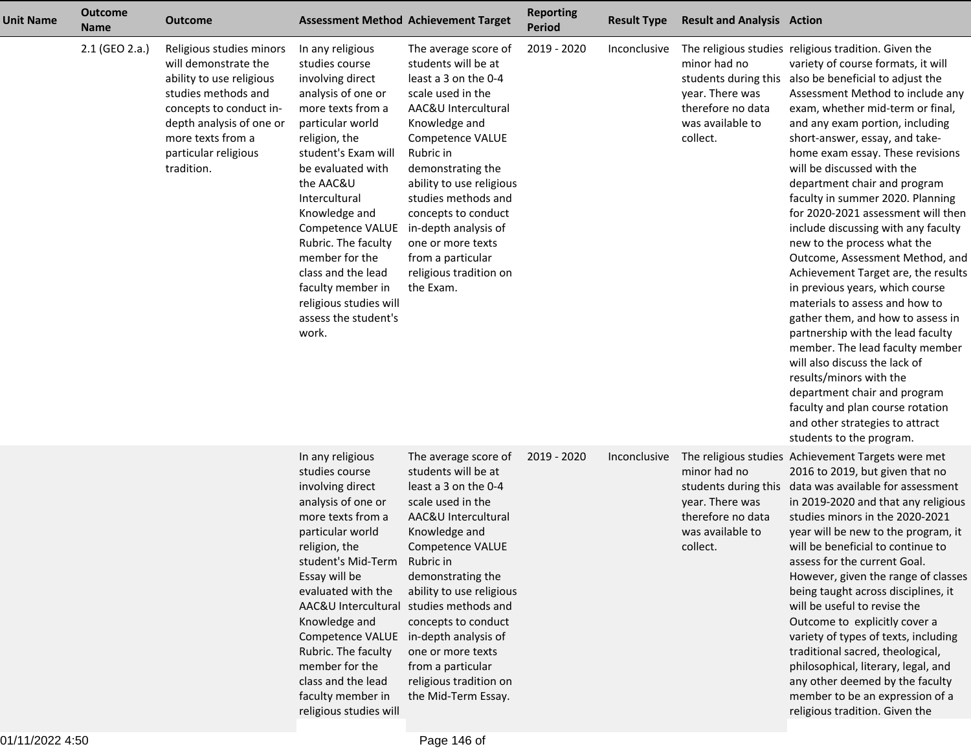| <b>Unit Name</b> | <b>Outcome</b><br><b>Name</b> | <b>Outcome</b>                                                                                                                                                                                                        |                                                                                                                                                                                                                                                                                                                                                                                                      | <b>Assessment Method Achievement Target</b>                                                                                                                                                                                                                                                                                                                               | <b>Reporting</b><br><b>Period</b> | <b>Result Type</b> | <b>Result and Analysis Action</b>                                                    |                                                                                                                                                                                                                                                                                                                                                                                                                                                                                                                                                                                                                                                                                                                                                                                                                                                                                                                                                                                                               |
|------------------|-------------------------------|-----------------------------------------------------------------------------------------------------------------------------------------------------------------------------------------------------------------------|------------------------------------------------------------------------------------------------------------------------------------------------------------------------------------------------------------------------------------------------------------------------------------------------------------------------------------------------------------------------------------------------------|---------------------------------------------------------------------------------------------------------------------------------------------------------------------------------------------------------------------------------------------------------------------------------------------------------------------------------------------------------------------------|-----------------------------------|--------------------|--------------------------------------------------------------------------------------|---------------------------------------------------------------------------------------------------------------------------------------------------------------------------------------------------------------------------------------------------------------------------------------------------------------------------------------------------------------------------------------------------------------------------------------------------------------------------------------------------------------------------------------------------------------------------------------------------------------------------------------------------------------------------------------------------------------------------------------------------------------------------------------------------------------------------------------------------------------------------------------------------------------------------------------------------------------------------------------------------------------|
|                  | 2.1 (GEO 2.a.)                | Religious studies minors<br>will demonstrate the<br>ability to use religious<br>studies methods and<br>concepts to conduct in-<br>depth analysis of one or<br>more texts from a<br>particular religious<br>tradition. | In any religious<br>studies course<br>involving direct<br>analysis of one or<br>more texts from a<br>particular world<br>religion, the<br>student's Exam will<br>be evaluated with<br>the AAC&U<br>Intercultural<br>Knowledge and<br>Competence VALUE<br>Rubric. The faculty<br>member for the<br>class and the lead<br>faculty member in<br>religious studies will<br>assess the student's<br>work. | The average score of<br>students will be at<br>least a 3 on the 0-4<br>scale used in the<br>AAC&U Intercultural<br>Knowledge and<br>Competence VALUE<br>Rubric in<br>demonstrating the<br>ability to use religious<br>studies methods and<br>concepts to conduct<br>in-depth analysis of<br>one or more texts<br>from a particular<br>religious tradition on<br>the Exam. | 2019 - 2020                       | Inconclusive       | minor had no<br>year. There was<br>therefore no data<br>was available to<br>collect. | The religious studies religious tradition. Given the<br>variety of course formats, it will<br>students during this also be beneficial to adjust the<br>Assessment Method to include any<br>exam, whether mid-term or final,<br>and any exam portion, including<br>short-answer, essay, and take-<br>home exam essay. These revisions<br>will be discussed with the<br>department chair and program<br>faculty in summer 2020. Planning<br>for 2020-2021 assessment will then<br>include discussing with any faculty<br>new to the process what the<br>Outcome, Assessment Method, and<br>Achievement Target are, the results<br>in previous years, which course<br>materials to assess and how to<br>gather them, and how to assess in<br>partnership with the lead faculty<br>member. The lead faculty member<br>will also discuss the lack of<br>results/minors with the<br>department chair and program<br>faculty and plan course rotation<br>and other strategies to attract<br>students to the program. |
|                  |                               |                                                                                                                                                                                                                       | In any religious<br>studies course<br>involving direct<br>analysis of one or<br>more texts from a<br>particular world<br>religion, the<br>student's Mid-Term Rubric in<br>Essay will be<br>evaluated with the<br>Knowledge and<br>Competence VALUE in-depth analysis of<br>Rubric. The faculty<br>member for the<br>class and the lead<br>faculty member in<br>religious studies will                | The average score of<br>students will be at<br>least a 3 on the 0-4<br>scale used in the<br>AAC&U Intercultural<br>Knowledge and<br><b>Competence VALUE</b><br>demonstrating the<br>ability to use religious<br>AAC&U Intercultural studies methods and<br>concepts to conduct<br>one or more texts<br>from a particular<br>religious tradition on<br>the Mid-Term Essay. | 2019 - 2020                       | Inconclusive       | minor had no<br>year. There was<br>therefore no data<br>was available to<br>collect. | The religious studies Achievement Targets were met<br>2016 to 2019, but given that no<br>students during this data was available for assessment<br>in 2019-2020 and that any religious<br>studies minors in the 2020-2021<br>year will be new to the program, it<br>will be beneficial to continue to<br>assess for the current Goal.<br>However, given the range of classes<br>being taught across disciplines, it<br>will be useful to revise the<br>Outcome to explicitly cover a<br>variety of types of texts, including<br>traditional sacred, theological,<br>philosophical, literary, legal, and<br>any other deemed by the faculty<br>member to be an expression of a<br>religious tradition. Given the                                                                                                                                                                                                                                                                                               |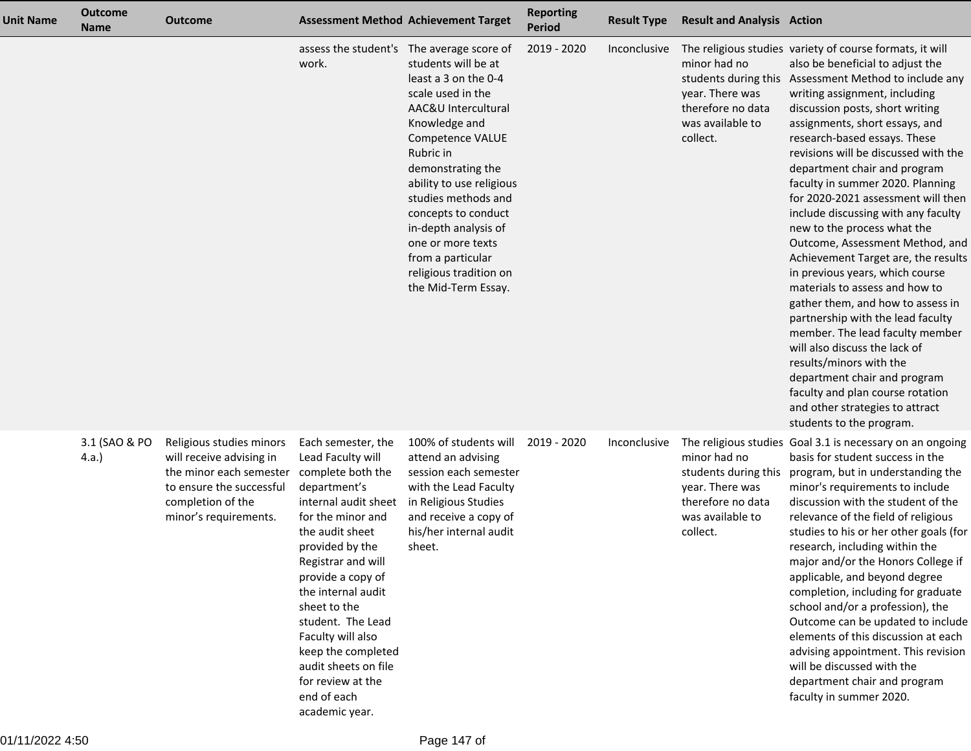| <b>Unit Name</b> | <b>Outcome</b><br><b>Name</b> | <b>Outcome</b>                                                                                                                                            |                                                                                                                                                                                                                                                                                                                                                                                                | <b>Assessment Method Achievement Target</b>                                                                                                                                                                                                                                                                                                                                                              | <b>Reporting</b><br><b>Period</b> | <b>Result Type</b> | <b>Result and Analysis Action</b>                                                                                                     |                                                                                                                                                                                                                                                                                                                                                                                                                                                                                                                                                                                                                                                                                                                                                                                                                                                                                                                                                           |
|------------------|-------------------------------|-----------------------------------------------------------------------------------------------------------------------------------------------------------|------------------------------------------------------------------------------------------------------------------------------------------------------------------------------------------------------------------------------------------------------------------------------------------------------------------------------------------------------------------------------------------------|----------------------------------------------------------------------------------------------------------------------------------------------------------------------------------------------------------------------------------------------------------------------------------------------------------------------------------------------------------------------------------------------------------|-----------------------------------|--------------------|---------------------------------------------------------------------------------------------------------------------------------------|-----------------------------------------------------------------------------------------------------------------------------------------------------------------------------------------------------------------------------------------------------------------------------------------------------------------------------------------------------------------------------------------------------------------------------------------------------------------------------------------------------------------------------------------------------------------------------------------------------------------------------------------------------------------------------------------------------------------------------------------------------------------------------------------------------------------------------------------------------------------------------------------------------------------------------------------------------------|
|                  |                               |                                                                                                                                                           | work.                                                                                                                                                                                                                                                                                                                                                                                          | assess the student's The average score of<br>students will be at<br>least a 3 on the 0-4<br>scale used in the<br>AAC&U Intercultural<br>Knowledge and<br>Competence VALUE<br>Rubric in<br>demonstrating the<br>ability to use religious<br>studies methods and<br>concepts to conduct<br>in-depth analysis of<br>one or more texts<br>from a particular<br>religious tradition on<br>the Mid-Term Essay. | 2019 - 2020                       | Inconclusive       | minor had no<br>students during this<br>year. There was<br>therefore no data<br>was available to<br>collect.                          | The religious studies variety of course formats, it will<br>also be beneficial to adjust the<br>Assessment Method to include any<br>writing assignment, including<br>discussion posts, short writing<br>assignments, short essays, and<br>research-based essays. These<br>revisions will be discussed with the<br>department chair and program<br>faculty in summer 2020. Planning<br>for 2020-2021 assessment will then<br>include discussing with any faculty<br>new to the process what the<br>Outcome, Assessment Method, and<br>Achievement Target are, the results<br>in previous years, which course<br>materials to assess and how to<br>gather them, and how to assess in<br>partnership with the lead faculty<br>member. The lead faculty member<br>will also discuss the lack of<br>results/minors with the<br>department chair and program<br>faculty and plan course rotation<br>and other strategies to attract<br>students to the program. |
|                  | 3.1 (SAO & PO<br>4.a.         | Religious studies minors<br>will receive advising in<br>the minor each semester<br>to ensure the successful<br>completion of the<br>minor's requirements. | Each semester, the<br>Lead Faculty will<br>complete both the<br>department's<br>internal audit sheet<br>for the minor and<br>the audit sheet<br>provided by the<br>Registrar and will<br>provide a copy of<br>the internal audit<br>sheet to the<br>student. The Lead<br>Faculty will also<br>keep the completed<br>audit sheets on file<br>for review at the<br>end of each<br>academic year. | 100% of students will<br>attend an advising<br>session each semester<br>with the Lead Faculty<br>in Religious Studies<br>and receive a copy of<br>his/her internal audit<br>sheet.                                                                                                                                                                                                                       | 2019 - 2020                       | Inconclusive       | The religious studies<br>minor had no<br>students during this<br>year. There was<br>therefore no data<br>was available to<br>collect. | Goal 3.1 is necessary on an ongoing<br>basis for student success in the<br>program, but in understanding the<br>minor's requirements to include<br>discussion with the student of the<br>relevance of the field of religious<br>studies to his or her other goals (for<br>research, including within the<br>major and/or the Honors College if<br>applicable, and beyond degree<br>completion, including for graduate<br>school and/or a profession), the<br>Outcome can be updated to include<br>elements of this discussion at each<br>advising appointment. This revision<br>will be discussed with the<br>department chair and program<br>faculty in summer 2020.                                                                                                                                                                                                                                                                                     |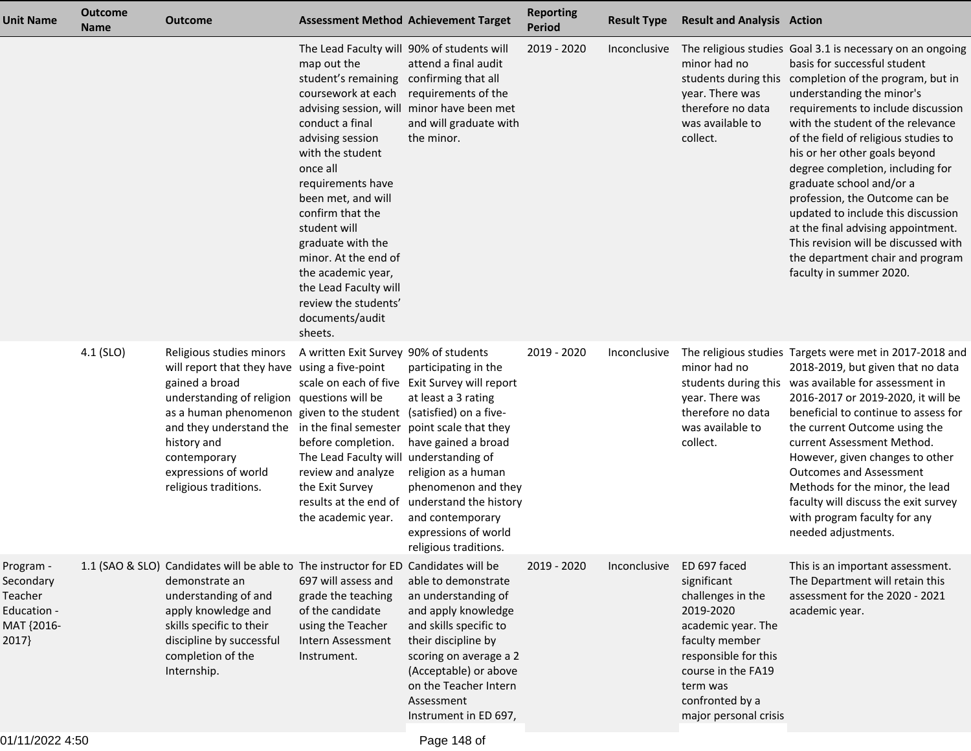| <b>Unit Name</b>                                                        | <b>Outcome</b><br><b>Name</b> | <b>Outcome</b>                                                                                                                                                                                                                                                                                                             | <b>Assessment Method Achievement Target</b>                                                                                                                                                                                                                                                                                                                                                                    |                                                                                                                                                                                                                                                                                                                 | <b>Reporting</b><br><b>Period</b> | <b>Result Type</b> | <b>Result and Analysis Action</b>                                                                                                                                                                           |                                                                                                                                                                                                                                                                                                                                                                                                                                                                                                                                                                                                                           |
|-------------------------------------------------------------------------|-------------------------------|----------------------------------------------------------------------------------------------------------------------------------------------------------------------------------------------------------------------------------------------------------------------------------------------------------------------------|----------------------------------------------------------------------------------------------------------------------------------------------------------------------------------------------------------------------------------------------------------------------------------------------------------------------------------------------------------------------------------------------------------------|-----------------------------------------------------------------------------------------------------------------------------------------------------------------------------------------------------------------------------------------------------------------------------------------------------------------|-----------------------------------|--------------------|-------------------------------------------------------------------------------------------------------------------------------------------------------------------------------------------------------------|---------------------------------------------------------------------------------------------------------------------------------------------------------------------------------------------------------------------------------------------------------------------------------------------------------------------------------------------------------------------------------------------------------------------------------------------------------------------------------------------------------------------------------------------------------------------------------------------------------------------------|
|                                                                         |                               |                                                                                                                                                                                                                                                                                                                            | The Lead Faculty will 90% of students will<br>map out the<br>student's remaining<br>coursework at each<br>conduct a final<br>advising session<br>with the student<br>once all<br>requirements have<br>been met, and will<br>confirm that the<br>student will<br>graduate with the<br>minor. At the end of<br>the academic year,<br>the Lead Faculty will<br>review the students'<br>documents/audit<br>sheets. | attend a final audit<br>confirming that all<br>requirements of the<br>advising session, will minor have been met<br>and will graduate with<br>the minor.                                                                                                                                                        | 2019 - 2020                       | Inconclusive       | minor had no<br>year. There was<br>therefore no data<br>was available to<br>collect.                                                                                                                        | The religious studies Goal 3.1 is necessary on an ongoing<br>basis for successful student<br>students during this completion of the program, but in<br>understanding the minor's<br>requirements to include discussion<br>with the student of the relevance<br>of the field of religious studies to<br>his or her other goals beyond<br>degree completion, including for<br>graduate school and/or a<br>profession, the Outcome can be<br>updated to include this discussion<br>at the final advising appointment.<br>This revision will be discussed with<br>the department chair and program<br>faculty in summer 2020. |
|                                                                         | 4.1 (SLO)                     | Religious studies minors<br>will report that they have using a five-point<br>gained a broad<br>understanding of religion questions will be<br>as a human phenomenon given to the student (satisfied) on a five-<br>and they understand the<br>history and<br>contemporary<br>expressions of world<br>religious traditions. | A written Exit Survey 90% of students<br>in the final semester<br>before completion.<br>The Lead Faculty will understanding of<br>review and analyze<br>the Exit Survey<br>the academic year.                                                                                                                                                                                                                  | participating in the<br>scale on each of five Exit Survey will report<br>at least a 3 rating<br>point scale that they<br>have gained a broad<br>religion as a human<br>phenomenon and they<br>results at the end of understand the history<br>and contemporary<br>expressions of world<br>religious traditions. | 2019 - 2020                       | Inconclusive       | minor had no<br>year. There was<br>therefore no data<br>was available to<br>collect.                                                                                                                        | The religious studies Targets were met in 2017-2018 and<br>2018-2019, but given that no data<br>students during this was available for assessment in<br>2016-2017 or 2019-2020, it will be<br>beneficial to continue to assess for<br>the current Outcome using the<br>current Assessment Method.<br>However, given changes to other<br><b>Outcomes and Assessment</b><br>Methods for the minor, the lead<br>faculty will discuss the exit survey<br>with program faculty for any<br>needed adjustments.                                                                                                                  |
| Program -<br>Secondary<br>Teacher<br>Education -<br>MAT {2016-<br>2017} |                               | 1.1 (SAO & SLO) Candidates will be able to The instructor for ED Candidates will be<br>demonstrate an<br>understanding of and<br>apply knowledge and<br>skills specific to their<br>discipline by successful<br>completion of the<br>Internship.                                                                           | 697 will assess and<br>grade the teaching<br>of the candidate<br>using the Teacher<br>Intern Assessment<br>Instrument.                                                                                                                                                                                                                                                                                         | able to demonstrate<br>an understanding of<br>and apply knowledge<br>and skills specific to<br>their discipline by<br>scoring on average a 2<br>(Acceptable) or above<br>on the Teacher Intern<br>Assessment<br>Instrument in ED 697,                                                                           | 2019 - 2020                       | Inconclusive       | ED 697 faced<br>significant<br>challenges in the<br>2019-2020<br>academic year. The<br>faculty member<br>responsible for this<br>course in the FA19<br>term was<br>confronted by a<br>major personal crisis | This is an important assessment.<br>The Department will retain this<br>assessment for the 2020 - 2021<br>academic year.                                                                                                                                                                                                                                                                                                                                                                                                                                                                                                   |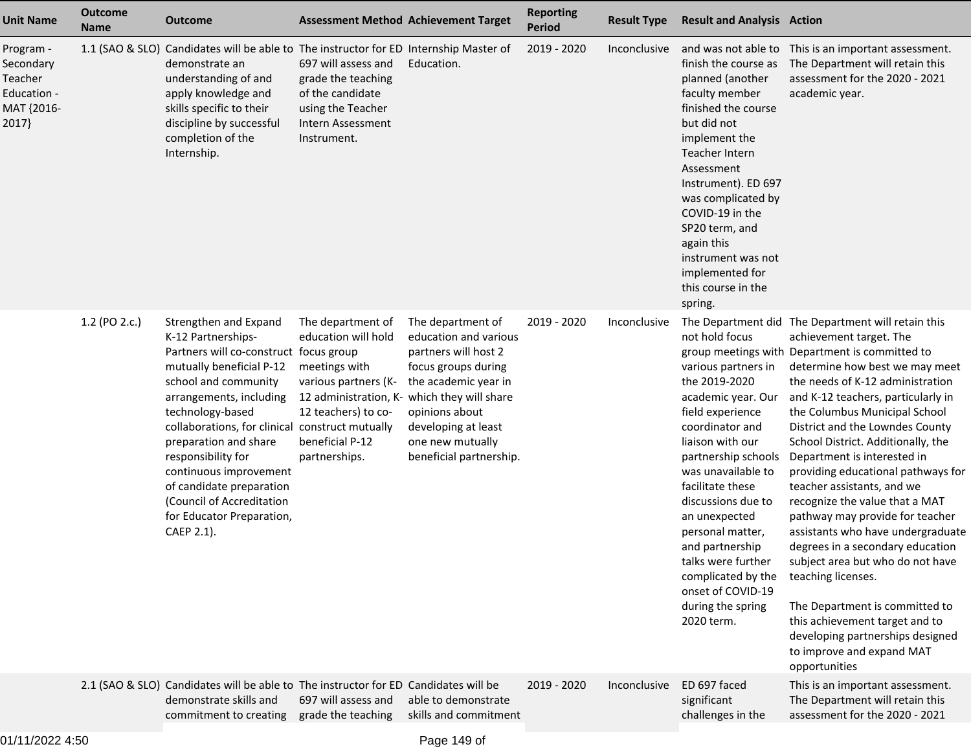| <b>Unit Name</b>                                                        | <b>Outcome</b><br><b>Name</b> | <b>Outcome</b>                                                                                                                                                                                                                                                                                                                                                                                                           | <b>Assessment Method Achievement Target</b>                                                                                                                                                 |                                                                                                                                                                                                           | <b>Reporting</b><br><b>Period</b> | <b>Result Type</b> | <b>Result and Analysis Action</b>                                                                                                                                                                                                                                                                                                                                                          |                                                                                                                                                                                                                                                                                                                                                                                                                                                                                                                                                                                                                                                                                                                                                                                                                        |
|-------------------------------------------------------------------------|-------------------------------|--------------------------------------------------------------------------------------------------------------------------------------------------------------------------------------------------------------------------------------------------------------------------------------------------------------------------------------------------------------------------------------------------------------------------|---------------------------------------------------------------------------------------------------------------------------------------------------------------------------------------------|-----------------------------------------------------------------------------------------------------------------------------------------------------------------------------------------------------------|-----------------------------------|--------------------|--------------------------------------------------------------------------------------------------------------------------------------------------------------------------------------------------------------------------------------------------------------------------------------------------------------------------------------------------------------------------------------------|------------------------------------------------------------------------------------------------------------------------------------------------------------------------------------------------------------------------------------------------------------------------------------------------------------------------------------------------------------------------------------------------------------------------------------------------------------------------------------------------------------------------------------------------------------------------------------------------------------------------------------------------------------------------------------------------------------------------------------------------------------------------------------------------------------------------|
| Program -<br>Secondary<br>Teacher<br>Education -<br>MAT {2016-<br>2017} |                               | 1.1 (SAO & SLO) Candidates will be able to The instructor for ED Internship Master of<br>demonstrate an<br>understanding of and<br>apply knowledge and<br>skills specific to their<br>discipline by successful<br>completion of the<br>Internship.                                                                                                                                                                       | 697 will assess and<br>grade the teaching<br>of the candidate<br>using the Teacher<br>Intern Assessment<br>Instrument.                                                                      | Education.                                                                                                                                                                                                | 2019 - 2020                       | Inconclusive       | finish the course as<br>planned (another<br>faculty member<br>finished the course<br>but did not<br>implement the<br><b>Teacher Intern</b><br>Assessment<br>Instrument). ED 697<br>was complicated by<br>COVID-19 in the<br>SP20 term, and<br>again this<br>instrument was not<br>implemented for<br>this course in the<br>spring.                                                         | and was not able to This is an important assessment.<br>The Department will retain this<br>assessment for the 2020 - 2021<br>academic year.                                                                                                                                                                                                                                                                                                                                                                                                                                                                                                                                                                                                                                                                            |
|                                                                         | 1.2 (PO 2.c.)                 | Strengthen and Expand<br>K-12 Partnerships-<br>Partners will co-construct focus group<br>mutually beneficial P-12<br>school and community<br>arrangements, including<br>technology-based<br>collaborations, for clinical construct mutually<br>preparation and share<br>responsibility for<br>continuous improvement<br>of candidate preparation<br>(Council of Accreditation<br>for Educator Preparation,<br>CAEP 2.1). | The department of<br>education will hold<br>meetings with<br>various partners (K-<br>12 administration, K- which they will share<br>12 teachers) to co-<br>beneficial P-12<br>partnerships. | The department of<br>education and various<br>partners will host 2<br>focus groups during<br>the academic year in<br>opinions about<br>developing at least<br>one new mutually<br>beneficial partnership. | 2019 - 2020                       | Inconclusive       | not hold focus<br>various partners in<br>the 2019-2020<br>academic year. Our<br>field experience<br>coordinator and<br>liaison with our<br>partnership schools<br>was unavailable to<br>facilitate these<br>discussions due to<br>an unexpected<br>personal matter,<br>and partnership<br>talks were further<br>complicated by the<br>onset of COVID-19<br>during the spring<br>2020 term. | The Department did The Department will retain this<br>achievement target. The<br>group meetings with Department is committed to<br>determine how best we may meet<br>the needs of K-12 administration<br>and K-12 teachers, particularly in<br>the Columbus Municipal School<br>District and the Lowndes County<br>School District. Additionally, the<br>Department is interested in<br>providing educational pathways for<br>teacher assistants, and we<br>recognize the value that a MAT<br>pathway may provide for teacher<br>assistants who have undergraduate<br>degrees in a secondary education<br>subject area but who do not have<br>teaching licenses.<br>The Department is committed to<br>this achievement target and to<br>developing partnerships designed<br>to improve and expand MAT<br>opportunities |
|                                                                         |                               | 2.1 (SAO & SLO) Candidates will be able to The instructor for ED Candidates will be<br>demonstrate skills and<br>commitment to creating                                                                                                                                                                                                                                                                                  | 697 will assess and<br>grade the teaching                                                                                                                                                   | able to demonstrate<br>skills and commitment                                                                                                                                                              | 2019 - 2020                       | Inconclusive       | ED 697 faced<br>significant<br>challenges in the                                                                                                                                                                                                                                                                                                                                           | This is an important assessment.<br>The Department will retain this<br>assessment for the 2020 - 2021                                                                                                                                                                                                                                                                                                                                                                                                                                                                                                                                                                                                                                                                                                                  |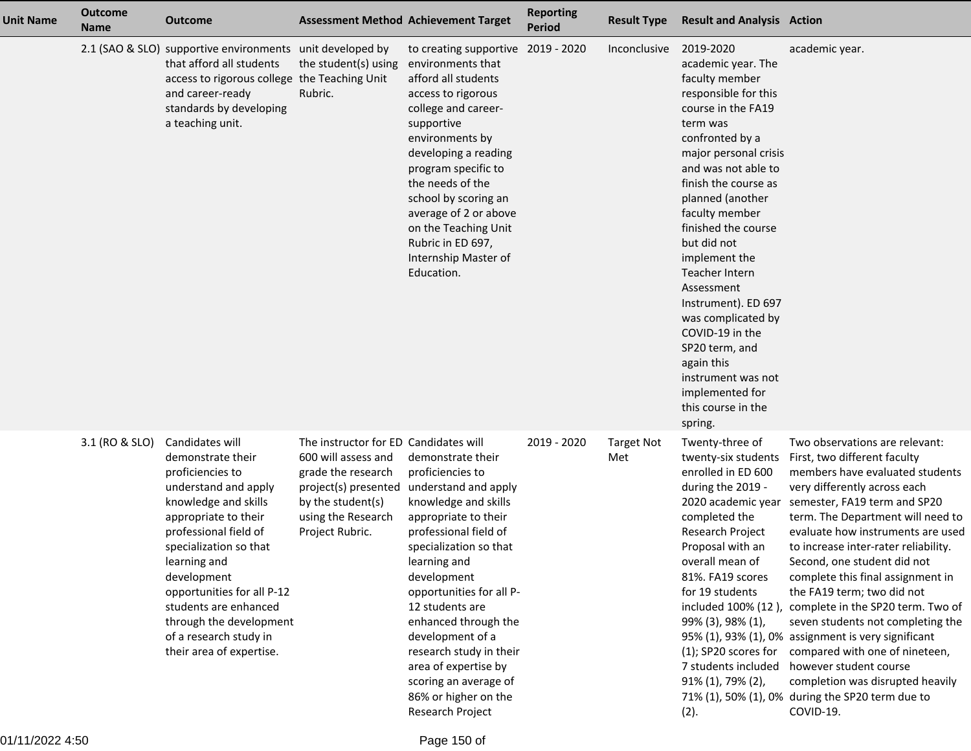| <b>Unit Name</b> | <b>Outcome</b><br><b>Name</b> | <b>Outcome</b>                                                                                                                                                                                                                                                                                                                                             |                                                                                                                                                  | <b>Assessment Method Achievement Target</b>                                                                                                                                                                                                                                                                                                                                                                                             | <b>Reporting</b><br><b>Period</b> | <b>Result Type</b>       | <b>Result and Analysis Action</b>                                                                                                                                                                                                                                                                                                                                                                                                                                                                             |                                                                                                                                                                                                                                                                                                                                                                                                                                                                                                                                                                                                                                                                                                                                |
|------------------|-------------------------------|------------------------------------------------------------------------------------------------------------------------------------------------------------------------------------------------------------------------------------------------------------------------------------------------------------------------------------------------------------|--------------------------------------------------------------------------------------------------------------------------------------------------|-----------------------------------------------------------------------------------------------------------------------------------------------------------------------------------------------------------------------------------------------------------------------------------------------------------------------------------------------------------------------------------------------------------------------------------------|-----------------------------------|--------------------------|---------------------------------------------------------------------------------------------------------------------------------------------------------------------------------------------------------------------------------------------------------------------------------------------------------------------------------------------------------------------------------------------------------------------------------------------------------------------------------------------------------------|--------------------------------------------------------------------------------------------------------------------------------------------------------------------------------------------------------------------------------------------------------------------------------------------------------------------------------------------------------------------------------------------------------------------------------------------------------------------------------------------------------------------------------------------------------------------------------------------------------------------------------------------------------------------------------------------------------------------------------|
|                  |                               | 2.1 (SAO & SLO) supportive environments unit developed by<br>that afford all students<br>access to rigorous college the Teaching Unit<br>and career-ready<br>standards by developing<br>a teaching unit.                                                                                                                                                   | the student(s) using<br>Rubric.                                                                                                                  | to creating supportive 2019 - 2020<br>environments that<br>afford all students<br>access to rigorous<br>college and career-<br>supportive<br>environments by<br>developing a reading<br>program specific to<br>the needs of the<br>school by scoring an<br>average of 2 or above<br>on the Teaching Unit<br>Rubric in ED 697,<br>Internship Master of<br>Education.                                                                     |                                   | Inconclusive             | 2019-2020<br>academic year. The<br>faculty member<br>responsible for this<br>course in the FA19<br>term was<br>confronted by a<br>major personal crisis<br>and was not able to<br>finish the course as<br>planned (another<br>faculty member<br>finished the course<br>but did not<br>implement the<br>Teacher Intern<br>Assessment<br>Instrument). ED 697<br>was complicated by<br>COVID-19 in the<br>SP20 term, and<br>again this<br>instrument was not<br>implemented for<br>this course in the<br>spring. | academic year.                                                                                                                                                                                                                                                                                                                                                                                                                                                                                                                                                                                                                                                                                                                 |
|                  | 3.1 (RO & SLO)                | Candidates will<br>demonstrate their<br>proficiencies to<br>understand and apply<br>knowledge and skills<br>appropriate to their<br>professional field of<br>specialization so that<br>learning and<br>development<br>opportunities for all P-12<br>students are enhanced<br>through the development<br>of a research study in<br>their area of expertise. | The instructor for ED Candidates will<br>600 will assess and<br>grade the research<br>by the student(s)<br>using the Research<br>Project Rubric. | demonstrate their<br>proficiencies to<br>project(s) presented understand and apply<br>knowledge and skills<br>appropriate to their<br>professional field of<br>specialization so that<br>learning and<br>development<br>opportunities for all P-<br>12 students are<br>enhanced through the<br>development of a<br>research study in their<br>area of expertise by<br>scoring an average of<br>86% or higher on the<br>Research Project | 2019 - 2020                       | <b>Target Not</b><br>Met | Twenty-three of<br>twenty-six students<br>enrolled in ED 600<br>during the 2019 -<br>completed the<br>Research Project<br>Proposal with an<br>overall mean of<br>81%. FA19 scores<br>for 19 students<br>99% (3), 98% (1),<br>(1); SP20 scores for<br>7 students included<br>91% (1), 79% (2),<br>(2).                                                                                                                                                                                                         | Two observations are relevant:<br>First, two different faculty<br>members have evaluated students<br>very differently across each<br>2020 academic year semester, FA19 term and SP20<br>term. The Department will need to<br>evaluate how instruments are used<br>to increase inter-rater reliability.<br>Second, one student did not<br>complete this final assignment in<br>the FA19 term; two did not<br>included 100% (12), complete in the SP20 term. Two of<br>seven students not completing the<br>95% (1), 93% (1), 0% assignment is very significant<br>compared with one of nineteen,<br>however student course<br>completion was disrupted heavily<br>71% (1), 50% (1), 0% during the SP20 term due to<br>COVID-19. |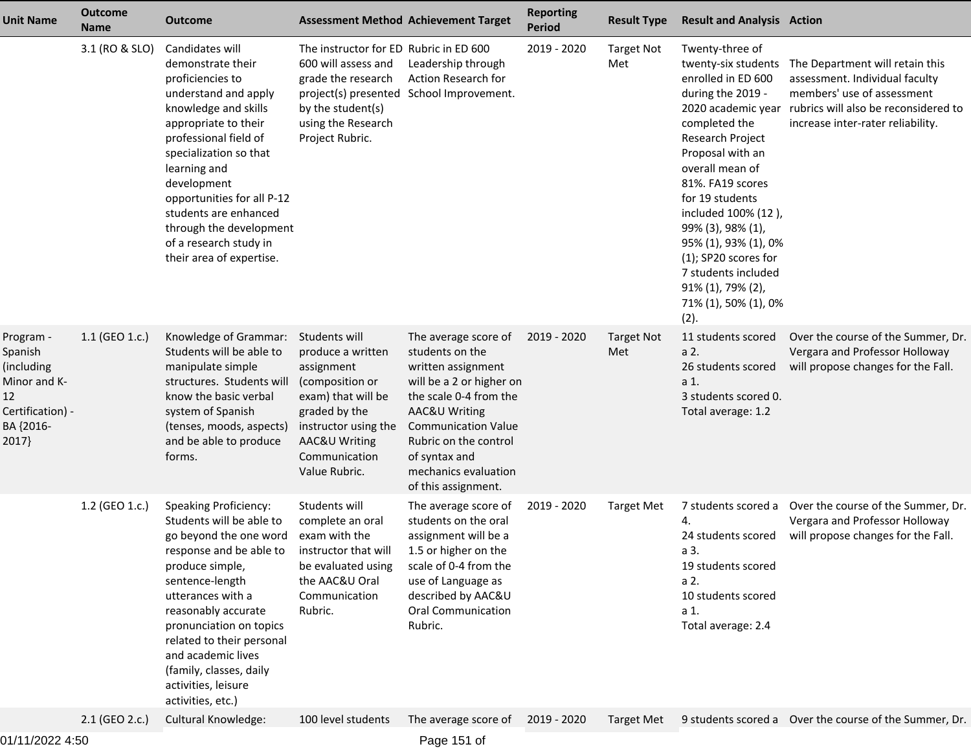| <b>Unit Name</b>                                                                                   | <b>Outcome</b><br><b>Name</b> | <b>Outcome</b>                                                                                                                                                                                                                                                                                                                                             |                                                                                                                                                                                       | <b>Assessment Method Achievement Target</b>                                                                                                                                                                                                                 | <b>Reporting</b><br><b>Period</b> | <b>Result Type</b>       | <b>Result and Analysis Action</b>                                                                                                                                                                                                                                                                                                                                                                     |                                                                                                                                                                              |
|----------------------------------------------------------------------------------------------------|-------------------------------|------------------------------------------------------------------------------------------------------------------------------------------------------------------------------------------------------------------------------------------------------------------------------------------------------------------------------------------------------------|---------------------------------------------------------------------------------------------------------------------------------------------------------------------------------------|-------------------------------------------------------------------------------------------------------------------------------------------------------------------------------------------------------------------------------------------------------------|-----------------------------------|--------------------------|-------------------------------------------------------------------------------------------------------------------------------------------------------------------------------------------------------------------------------------------------------------------------------------------------------------------------------------------------------------------------------------------------------|------------------------------------------------------------------------------------------------------------------------------------------------------------------------------|
|                                                                                                    | 3.1 (RO & SLO)                | Candidates will<br>demonstrate their<br>proficiencies to<br>understand and apply<br>knowledge and skills<br>appropriate to their<br>professional field of<br>specialization so that<br>learning and<br>development<br>opportunities for all P-12<br>students are enhanced<br>through the development<br>of a research study in<br>their area of expertise. | The instructor for ED Rubric in ED 600<br>600 will assess and<br>grade the research<br>by the student(s)<br>using the Research<br>Project Rubric.                                     | Leadership through<br>Action Research for<br>project(s) presented School Improvement.                                                                                                                                                                       | 2019 - 2020                       | <b>Target Not</b><br>Met | Twenty-three of<br>twenty-six students<br>enrolled in ED 600<br>during the 2019 -<br>2020 academic year<br>completed the<br>Research Project<br>Proposal with an<br>overall mean of<br>81%. FA19 scores<br>for 19 students<br>included 100% (12),<br>99% (3), 98% (1),<br>95% (1), 93% (1), 0%<br>$(1)$ ; SP20 scores for<br>7 students included<br>91% (1), 79% (2),<br>71% (1), 50% (1), 0%<br>(2). | The Department will retain this<br>assessment. Individual faculty<br>members' use of assessment<br>rubrics will also be reconsidered to<br>increase inter-rater reliability. |
| Program -<br>Spanish<br>(including<br>Minor and K-<br>12<br>Certification) -<br>BA {2016-<br>2017} | 1.1 (GEO 1.c.)                | Knowledge of Grammar:<br>Students will be able to<br>manipulate simple<br>structures. Students will<br>know the basic verbal<br>system of Spanish<br>(tenses, moods, aspects)<br>and be able to produce<br>forms.                                                                                                                                          | Students will<br>produce a written<br>assignment<br>(composition or<br>exam) that will be<br>graded by the<br>instructor using the<br>AAC&U Writing<br>Communication<br>Value Rubric. | The average score of<br>students on the<br>written assignment<br>will be a 2 or higher on<br>the scale 0-4 from the<br>AAC&U Writing<br><b>Communication Value</b><br>Rubric on the control<br>of syntax and<br>mechanics evaluation<br>of this assignment. | 2019 - 2020                       | <b>Target Not</b><br>Met | 11 students scored<br>a 2.<br>26 students scored<br>a 1.<br>3 students scored 0.<br>Total average: 1.2                                                                                                                                                                                                                                                                                                | Over the course of the Summer, Dr.<br>Vergara and Professor Holloway<br>will propose changes for the Fall.                                                                   |
|                                                                                                    | 1.2 (GEO 1.c.)                | <b>Speaking Proficiency:</b><br>Students will be able to<br>go beyond the one word<br>response and be able to<br>produce simple,<br>sentence-length<br>utterances with a<br>reasonably accurate<br>pronunciation on topics<br>related to their personal<br>and academic lives<br>(family, classes, daily<br>activities, leisure<br>activities, etc.)       | Students will<br>complete an oral<br>exam with the<br>instructor that will<br>be evaluated using<br>the AAC&U Oral<br>Communication<br>Rubric.                                        | The average score of<br>students on the oral<br>assignment will be a<br>1.5 or higher on the<br>scale of 0-4 from the<br>use of Language as<br>described by AAC&U<br><b>Oral Communication</b><br>Rubric.                                                   | 2019 - 2020                       | <b>Target Met</b>        | 7 students scored a<br>4.<br>24 students scored<br>a 3.<br>19 students scored<br>a 2.<br>10 students scored<br>a 1.<br>Total average: 2.4                                                                                                                                                                                                                                                             | Over the course of the Summer, Dr.<br>Vergara and Professor Holloway<br>will propose changes for the Fall.                                                                   |
|                                                                                                    | 2.1 (GEO 2.c.)                | <b>Cultural Knowledge:</b>                                                                                                                                                                                                                                                                                                                                 | 100 level students                                                                                                                                                                    | The average score of                                                                                                                                                                                                                                        | 2019 - 2020                       | <b>Target Met</b>        |                                                                                                                                                                                                                                                                                                                                                                                                       | 9 students scored a Over the course of the Summer, Dr.                                                                                                                       |

01/11/2022 4:50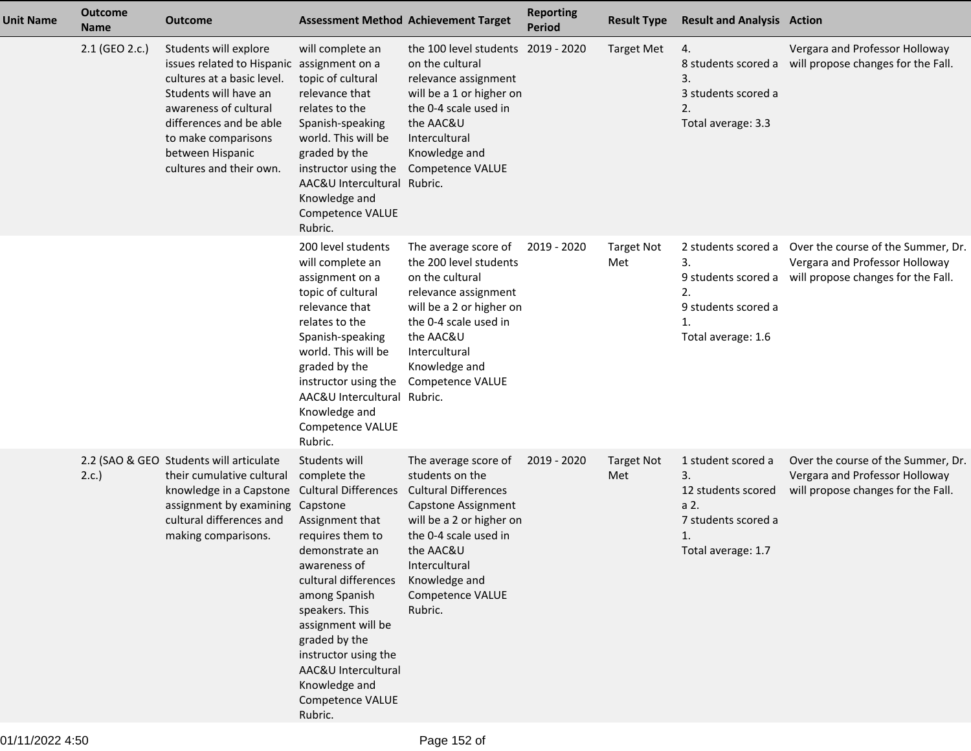| <b>Unit Name</b> | <b>Outcome</b><br><b>Name</b> | <b>Outcome</b>                                                                                                                                                                                                                                       |                                                                                                                                                                                                                                                                                                                                                    | <b>Assessment Method Achievement Target</b>                                                                                                                                                                                      | <b>Reporting</b><br><b>Period</b> | <b>Result Type</b>       | <b>Result and Analysis Action</b>                                                                         |                                                                                                                                |
|------------------|-------------------------------|------------------------------------------------------------------------------------------------------------------------------------------------------------------------------------------------------------------------------------------------------|----------------------------------------------------------------------------------------------------------------------------------------------------------------------------------------------------------------------------------------------------------------------------------------------------------------------------------------------------|----------------------------------------------------------------------------------------------------------------------------------------------------------------------------------------------------------------------------------|-----------------------------------|--------------------------|-----------------------------------------------------------------------------------------------------------|--------------------------------------------------------------------------------------------------------------------------------|
|                  | 2.1 (GEO 2.c.)                | Students will explore<br>issues related to Hispanic assignment on a<br>cultures at a basic level.<br>Students will have an<br>awareness of cultural<br>differences and be able<br>to make comparisons<br>between Hispanic<br>cultures and their own. | will complete an<br>topic of cultural<br>relevance that<br>relates to the<br>Spanish-speaking<br>world. This will be<br>graded by the<br>instructor using the<br>AAC&U Intercultural Rubric.<br>Knowledge and<br>Competence VALUE<br>Rubric.                                                                                                       | the 100 level students 2019 - 2020<br>on the cultural<br>relevance assignment<br>will be a 1 or higher on<br>the 0-4 scale used in<br>the AAC&U<br>Intercultural<br>Knowledge and<br>Competence VALUE                            |                                   | <b>Target Met</b>        | 4.<br>8 students scored a<br>3.<br>3 students scored a<br>2.<br>Total average: 3.3                        | Vergara and Professor Holloway<br>will propose changes for the Fall.                                                           |
|                  |                               |                                                                                                                                                                                                                                                      | 200 level students<br>will complete an<br>assignment on a<br>topic of cultural<br>relevance that<br>relates to the<br>Spanish-speaking<br>world. This will be<br>graded by the<br>instructor using the<br>AAC&U Intercultural Rubric.<br>Knowledge and<br>Competence VALUE<br>Rubric.                                                              | The average score of<br>the 200 level students<br>on the cultural<br>relevance assignment<br>will be a 2 or higher on<br>the 0-4 scale used in<br>the AAC&U<br>Intercultural<br>Knowledge and<br>Competence VALUE                | 2019 - 2020                       | <b>Target Not</b><br>Met | 2 students scored a<br>3.<br>2.<br>9 students scored a<br>Total average: 1.6                              | Over the course of the Summer, Dr.<br>Vergara and Professor Holloway<br>9 students scored a will propose changes for the Fall. |
|                  | 2.c.                          | 2.2 (SAO & GEO Students will articulate<br>their cumulative cultural<br>knowledge in a Capstone<br>assignment by examining<br>cultural differences and<br>making comparisons.                                                                        | Students will<br>complete the<br><b>Cultural Differences</b><br>Capstone<br>Assignment that<br>requires them to<br>demonstrate an<br>awareness of<br>cultural differences<br>among Spanish<br>speakers. This<br>assignment will be<br>graded by the<br>instructor using the<br>AAC&U Intercultural<br>Knowledge and<br>Competence VALUE<br>Rubric. | The average score of<br>students on the<br><b>Cultural Differences</b><br>Capstone Assignment<br>will be a 2 or higher on<br>the 0-4 scale used in<br>the AAC&U<br>Intercultural<br>Knowledge and<br>Competence VALUE<br>Rubric. | 2019 - 2020                       | <b>Target Not</b><br>Met | 1 student scored a<br>3.<br>12 students scored<br>a 2.<br>7 students scored a<br>1.<br>Total average: 1.7 | Over the course of the Summer, Dr.<br>Vergara and Professor Holloway<br>will propose changes for the Fall.                     |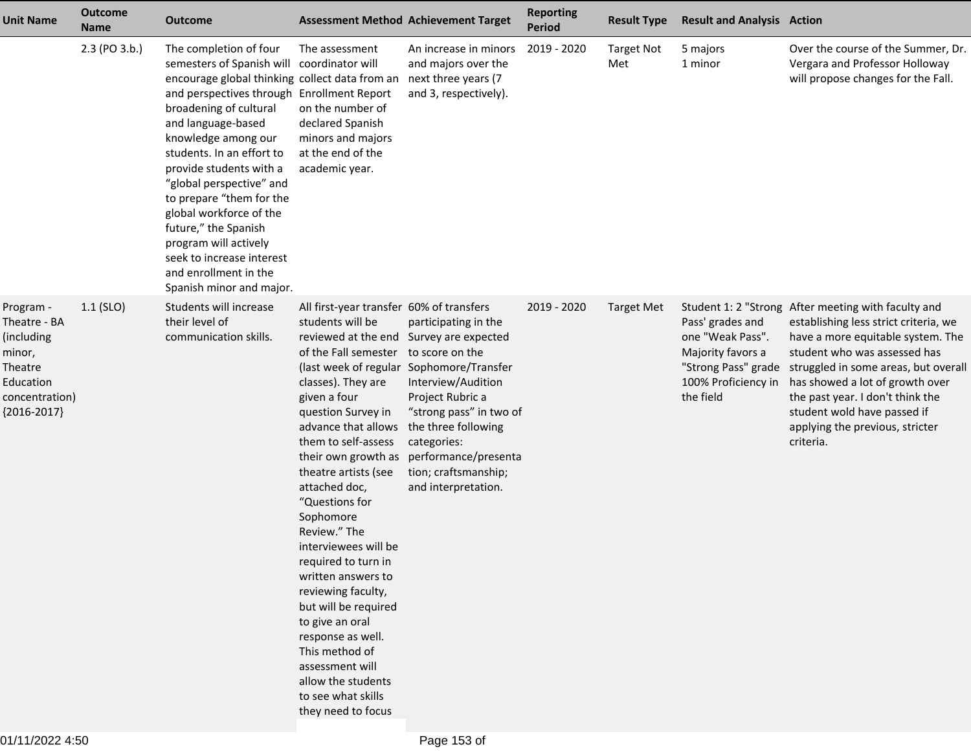| <b>Unit Name</b>                                                                                             | <b>Outcome</b><br><b>Name</b> | <b>Outcome</b>                                                                                                                                                                                                                                                                                                                                                                                                                                                                                           | <b>Assessment Method Achievement Target</b>                                                                                                                                                                                                                                                                                                                                                                                                                                                                                                                                                                                                                     |                                                                                                                                                                                                                            | <b>Reporting</b><br><b>Period</b> | <b>Result Type</b>       | <b>Result and Analysis Action</b>                                                                                    |                                                                                                                                                                                                                                                                                                                                                                 |
|--------------------------------------------------------------------------------------------------------------|-------------------------------|----------------------------------------------------------------------------------------------------------------------------------------------------------------------------------------------------------------------------------------------------------------------------------------------------------------------------------------------------------------------------------------------------------------------------------------------------------------------------------------------------------|-----------------------------------------------------------------------------------------------------------------------------------------------------------------------------------------------------------------------------------------------------------------------------------------------------------------------------------------------------------------------------------------------------------------------------------------------------------------------------------------------------------------------------------------------------------------------------------------------------------------------------------------------------------------|----------------------------------------------------------------------------------------------------------------------------------------------------------------------------------------------------------------------------|-----------------------------------|--------------------------|----------------------------------------------------------------------------------------------------------------------|-----------------------------------------------------------------------------------------------------------------------------------------------------------------------------------------------------------------------------------------------------------------------------------------------------------------------------------------------------------------|
|                                                                                                              | 2.3 (PO 3.b.)                 | The completion of four<br>semesters of Spanish will<br>encourage global thinking collect data from an<br>and perspectives through Enrollment Report<br>broadening of cultural<br>and language-based<br>knowledge among our<br>students. In an effort to<br>provide students with a<br>"global perspective" and<br>to prepare "them for the<br>global workforce of the<br>future," the Spanish<br>program will actively<br>seek to increase interest<br>and enrollment in the<br>Spanish minor and major. | The assessment<br>coordinator will<br>on the number of<br>declared Spanish<br>minors and majors<br>at the end of the<br>academic year.                                                                                                                                                                                                                                                                                                                                                                                                                                                                                                                          | An increase in minors<br>and majors over the<br>next three years (7<br>and 3, respectively).                                                                                                                               | 2019 - 2020                       | <b>Target Not</b><br>Met | 5 majors<br>1 minor                                                                                                  | Over the course of the Summer, Dr.<br>Vergara and Professor Holloway<br>will propose changes for the Fall.                                                                                                                                                                                                                                                      |
| Program -<br>Theatre - BA<br>(including<br>minor,<br>Theatre<br>Education<br>concentration)<br>${2016-2017}$ | $1.1$ (SLO)                   | Students will increase<br>their level of<br>communication skills.                                                                                                                                                                                                                                                                                                                                                                                                                                        | All first-year transfer 60% of transfers<br>students will be<br>reviewed at the end Survey are expected<br>of the Fall semester to score on the<br>(last week of regular Sophomore/Transfer<br>classes). They are<br>given a four<br>question Survey in<br>advance that allows<br>them to self-assess<br>theatre artists (see<br>attached doc,<br>"Questions for<br>Sophomore<br>Review." The<br>interviewees will be<br>required to turn in<br>written answers to<br>reviewing faculty,<br>but will be required<br>to give an oral<br>response as well.<br>This method of<br>assessment will<br>allow the students<br>to see what skills<br>they need to focus | participating in the<br>Interview/Audition<br>Project Rubric a<br>"strong pass" in two of<br>the three following<br>categories:<br>their own growth as performance/presenta<br>tion; craftsmanship;<br>and interpretation. | 2019 - 2020                       | Target Met               | Pass' grades and<br>one "Weak Pass".<br>Majority favors a<br>"Strong Pass" grade<br>100% Proficiency in<br>the field | Student 1: 2 "Strong After meeting with faculty and<br>establishing less strict criteria, we<br>have a more equitable system. The<br>student who was assessed has<br>struggled in some areas, but overall<br>has showed a lot of growth over<br>the past year. I don't think the<br>student wold have passed if<br>applying the previous, stricter<br>criteria. |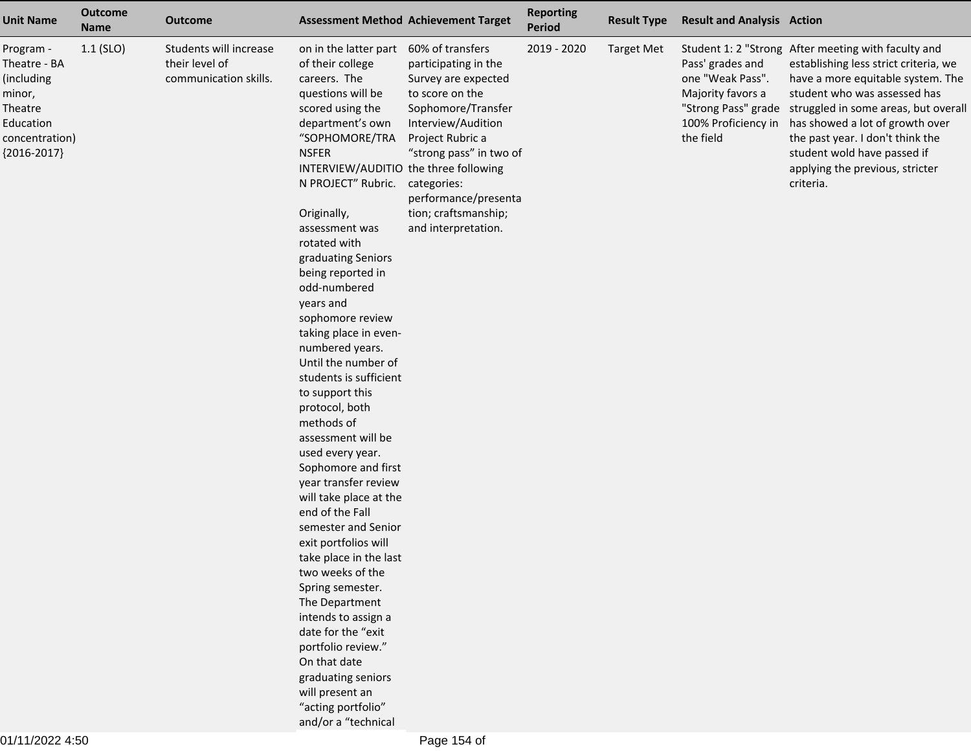| <b>Unit Name</b>                                                                                             | <b>Outcome</b><br><b>Name</b> | <b>Outcome</b>                                                    |                                                                                                                                                                                                                                                                                                                                                                                                                                                                                                                                                                                                                                                                                                                                                                                                                                                                                                                                                                        | <b>Assessment Method Achievement Target</b>                                                                                                                                                                                                                         | <b>Reporting</b><br><b>Period</b> | <b>Result Type</b> | <b>Result and Analysis Action</b>                                                             |                                                                                                                                                                                                                                                                                                                                                                                    |
|--------------------------------------------------------------------------------------------------------------|-------------------------------|-------------------------------------------------------------------|------------------------------------------------------------------------------------------------------------------------------------------------------------------------------------------------------------------------------------------------------------------------------------------------------------------------------------------------------------------------------------------------------------------------------------------------------------------------------------------------------------------------------------------------------------------------------------------------------------------------------------------------------------------------------------------------------------------------------------------------------------------------------------------------------------------------------------------------------------------------------------------------------------------------------------------------------------------------|---------------------------------------------------------------------------------------------------------------------------------------------------------------------------------------------------------------------------------------------------------------------|-----------------------------------|--------------------|-----------------------------------------------------------------------------------------------|------------------------------------------------------------------------------------------------------------------------------------------------------------------------------------------------------------------------------------------------------------------------------------------------------------------------------------------------------------------------------------|
| Program -<br>Theatre - BA<br>(including<br>minor,<br>Theatre<br>Education<br>concentration)<br>${2016-2017}$ | $1.1$ (SLO)                   | Students will increase<br>their level of<br>communication skills. | on in the latter part<br>of their college<br>careers. The<br>questions will be<br>scored using the<br>department's own<br>"SOPHOMORE/TRA<br><b>NSFER</b><br>INTERVIEW/AUDITIO the three following<br>N PROJECT" Rubric.<br>Originally,<br>assessment was<br>rotated with<br>graduating Seniors<br>being reported in<br>odd-numbered<br>years and<br>sophomore review<br>taking place in even-<br>numbered years.<br>Until the number of<br>students is sufficient<br>to support this<br>protocol, both<br>methods of<br>assessment will be<br>used every year.<br>Sophomore and first<br>year transfer review<br>will take place at the<br>end of the Fall<br>semester and Senior<br>exit portfolios will<br>take place in the last<br>two weeks of the<br>Spring semester.<br>The Department<br>intends to assign a<br>date for the "exit<br>portfolio review."<br>On that date<br>graduating seniors<br>will present an<br>"acting portfolio"<br>and/or a "technical | 60% of transfers<br>participating in the<br>Survey are expected<br>to score on the<br>Sophomore/Transfer<br>Interview/Audition<br>Project Rubric a<br>"strong pass" in two of<br>categories:<br>performance/presenta<br>tion; craftsmanship;<br>and interpretation. | 2019 - 2020                       | <b>Target Met</b>  | Pass' grades and<br>one "Weak Pass".<br>Majority favors a<br>100% Proficiency in<br>the field | Student 1: 2 "Strong After meeting with faculty and<br>establishing less strict criteria, we<br>have a more equitable system. The<br>student who was assessed has<br>"Strong Pass" grade struggled in some areas, but overal<br>has showed a lot of growth over<br>the past year. I don't think the<br>student wold have passed if<br>applying the previous, stricter<br>criteria. |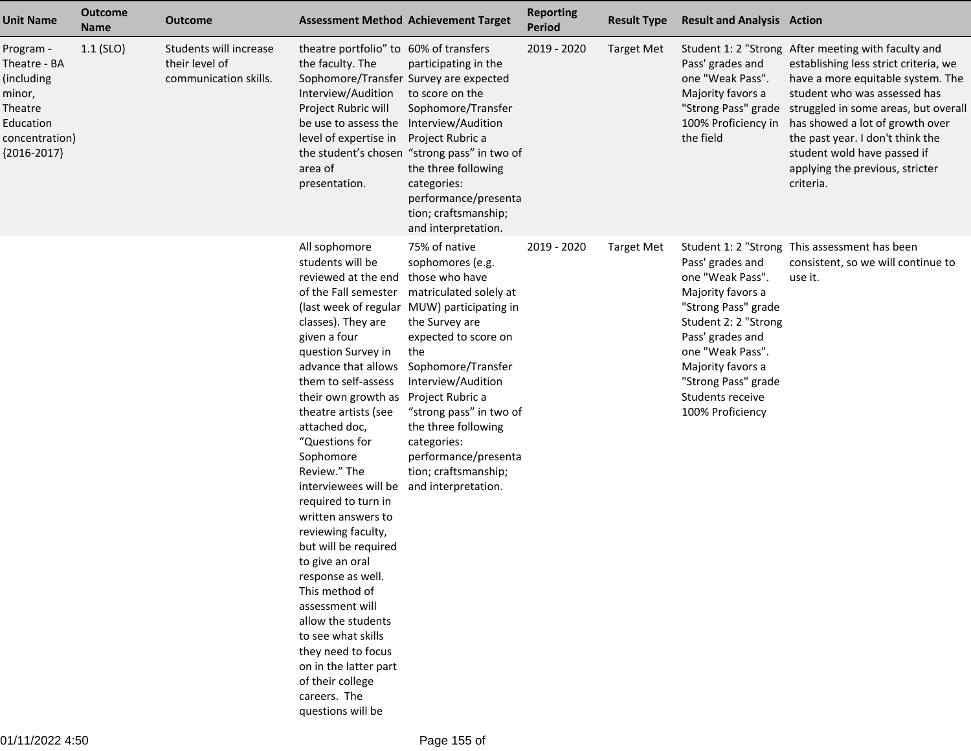| <b>Unit Name</b>                                                                                             | Outcome<br><b>Name</b> | <b>Outcome</b>                                                    | <b>Assessment Method Achievement Target</b>                                                                                                                                                                                                                                                                                                                                                                                                                                                                                                                                                                                                               |                                                                                                                                                                                                                                                                                                                                                                                     | <b>Reporting</b><br><b>Period</b> | <b>Result Type</b> | <b>Result and Analysis Action</b>                                                                                                                                                                                                    |                                                                                                                                                                                                                                                                                                                                                                                                        |
|--------------------------------------------------------------------------------------------------------------|------------------------|-------------------------------------------------------------------|-----------------------------------------------------------------------------------------------------------------------------------------------------------------------------------------------------------------------------------------------------------------------------------------------------------------------------------------------------------------------------------------------------------------------------------------------------------------------------------------------------------------------------------------------------------------------------------------------------------------------------------------------------------|-------------------------------------------------------------------------------------------------------------------------------------------------------------------------------------------------------------------------------------------------------------------------------------------------------------------------------------------------------------------------------------|-----------------------------------|--------------------|--------------------------------------------------------------------------------------------------------------------------------------------------------------------------------------------------------------------------------------|--------------------------------------------------------------------------------------------------------------------------------------------------------------------------------------------------------------------------------------------------------------------------------------------------------------------------------------------------------------------------------------------------------|
| Program -<br>Theatre - BA<br>(including<br>minor,<br>Theatre<br>Education<br>concentration)<br>${2016-2017}$ | $1.1$ (SLO)            | Students will increase<br>their level of<br>communication skills. | theatre portfolio" to 60% of transfers<br>the faculty. The<br>Sophomore/Transfer Survey are expected<br>Interview/Audition<br>Project Rubric will<br>be use to assess the<br>level of expertise in<br>area of<br>presentation.                                                                                                                                                                                                                                                                                                                                                                                                                            | participating in the<br>to score on the<br>Sophomore/Transfer<br>Interview/Audition<br>Project Rubric a<br>the student's chosen "strong pass" in two of<br>the three following<br>categories:<br>performance/presenta<br>tion; craftsmanship;<br>and interpretation.                                                                                                                | 2019 - 2020                       | <b>Target Met</b>  | Pass' grades and<br>one "Weak Pass".<br>Majority favors a<br>the field                                                                                                                                                               | Student 1: 2 "Strong After meeting with faculty and<br>establishing less strict criteria, we<br>have a more equitable system. The<br>student who was assessed has<br>"Strong Pass" grade struggled in some areas, but overal<br>100% Proficiency in has showed a lot of growth over<br>the past year. I don't think the<br>student wold have passed if<br>applying the previous, stricter<br>criteria. |
|                                                                                                              |                        |                                                                   | All sophomore<br>students will be<br>reviewed at the end<br>classes). They are<br>given a four<br>question Survey in<br>advance that allows<br>them to self-assess<br>their own growth as<br>theatre artists (see<br>attached doc,<br>"Questions for<br>Sophomore<br>Review." The<br>interviewees will be and interpretation.<br>required to turn in<br>written answers to<br>reviewing faculty,<br>but will be required<br>to give an oral<br>response as well.<br>This method of<br>assessment will<br>allow the students<br>to see what skills<br>they need to focus<br>on in the latter part<br>of their college<br>careers. The<br>questions will be | 75% of native<br>sophomores (e.g.<br>those who have<br>of the Fall semester matriculated solely at<br>(last week of regular MUW) participating in<br>the Survey are<br>expected to score on<br>the<br>Sophomore/Transfer<br>Interview/Audition<br>Project Rubric a<br>"strong pass" in two of<br>the three following<br>categories:<br>performance/presenta<br>tion; craftsmanship; | 2019 - 2020                       | <b>Target Met</b>  | Pass' grades and<br>one "Weak Pass".<br>Majority favors a<br>"Strong Pass" grade<br>Student 2: 2 "Strong<br>Pass' grades and<br>one "Weak Pass".<br>Majority favors a<br>"Strong Pass" grade<br>Students receive<br>100% Proficiency | Student 1: 2 "Strong This assessment has been<br>consistent, so we will continue to<br>use it.                                                                                                                                                                                                                                                                                                         |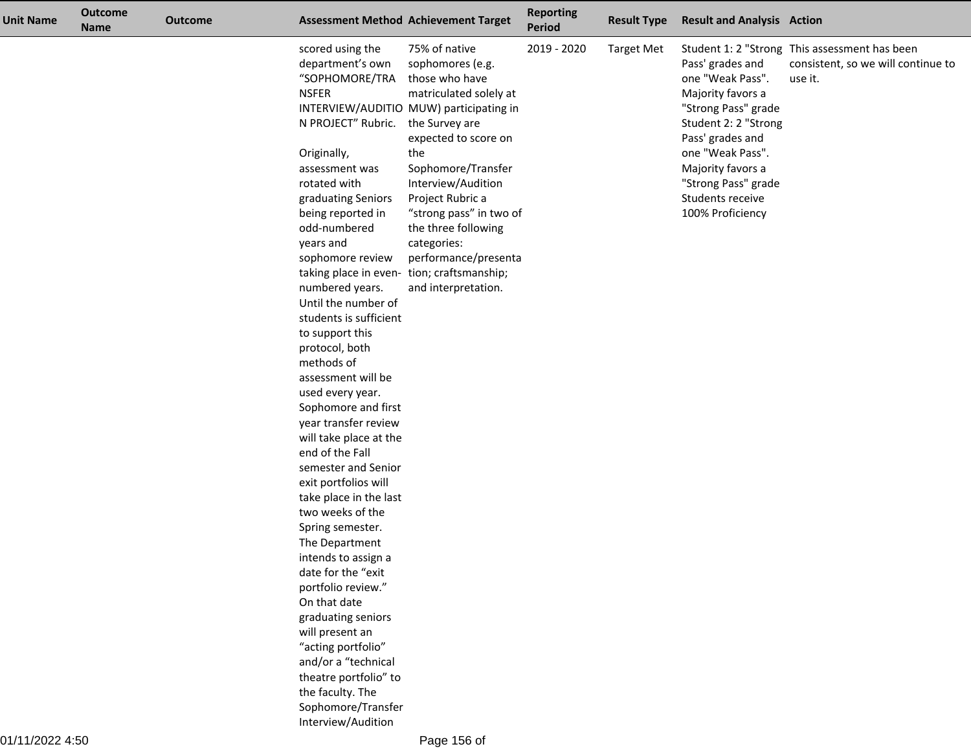| <b>Unit Name</b> | <b>Outcome</b><br><b>Name</b> | <b>Outcome</b> |                                                                                                                                                                                                                                                                                                                                                                                                                                                                                                                                                                                                                                                                                                                                                                                                                                                                                                                            | <b>Assessment Method Achievement Target</b>                                                                                                                                                                                                                                                                                                                                           | <b>Reporting</b><br><b>Period</b> | <b>Result Type</b> | <b>Result and Analysis Action</b>                                                                                                                                                                                                    |                                                                                                |
|------------------|-------------------------------|----------------|----------------------------------------------------------------------------------------------------------------------------------------------------------------------------------------------------------------------------------------------------------------------------------------------------------------------------------------------------------------------------------------------------------------------------------------------------------------------------------------------------------------------------------------------------------------------------------------------------------------------------------------------------------------------------------------------------------------------------------------------------------------------------------------------------------------------------------------------------------------------------------------------------------------------------|---------------------------------------------------------------------------------------------------------------------------------------------------------------------------------------------------------------------------------------------------------------------------------------------------------------------------------------------------------------------------------------|-----------------------------------|--------------------|--------------------------------------------------------------------------------------------------------------------------------------------------------------------------------------------------------------------------------------|------------------------------------------------------------------------------------------------|
|                  |                               |                | scored using the<br>department's own<br>"SOPHOMORE/TRA<br><b>NSFER</b><br>N PROJECT" Rubric. the Survey are<br>Originally,<br>assessment was<br>rotated with<br>graduating Seniors<br>being reported in<br>odd-numbered<br>years and<br>sophomore review<br>numbered years.<br>Until the number of<br>students is sufficient<br>to support this<br>protocol, both<br>methods of<br>assessment will be<br>used every year.<br>Sophomore and first<br>year transfer review<br>will take place at the<br>end of the Fall<br>semester and Senior<br>exit portfolios will<br>take place in the last<br>two weeks of the<br>Spring semester.<br>The Department<br>intends to assign a<br>date for the "exit<br>portfolio review."<br>On that date<br>graduating seniors<br>will present an<br>"acting portfolio"<br>and/or a "technical<br>theatre portfolio" to<br>the faculty. The<br>Sophomore/Transfer<br>Interview/Audition | 75% of native<br>sophomores (e.g.<br>those who have<br>matriculated solely at<br>INTERVIEW/AUDITIO MUW) participating in<br>expected to score on<br>the<br>Sophomore/Transfer<br>Interview/Audition<br>Project Rubric a<br>"strong pass" in two of<br>the three following<br>categories:<br>performance/presenta<br>taking place in even- tion; craftsmanship;<br>and interpretation. | 2019 - 2020                       | <b>Target Met</b>  | Pass' grades and<br>one "Weak Pass".<br>Majority favors a<br>"Strong Pass" grade<br>Student 2: 2 "Strong<br>Pass' grades and<br>one "Weak Pass".<br>Majority favors a<br>"Strong Pass" grade<br>Students receive<br>100% Proficiency | Student 1: 2 "Strong This assessment has been<br>consistent, so we will continue to<br>use it. |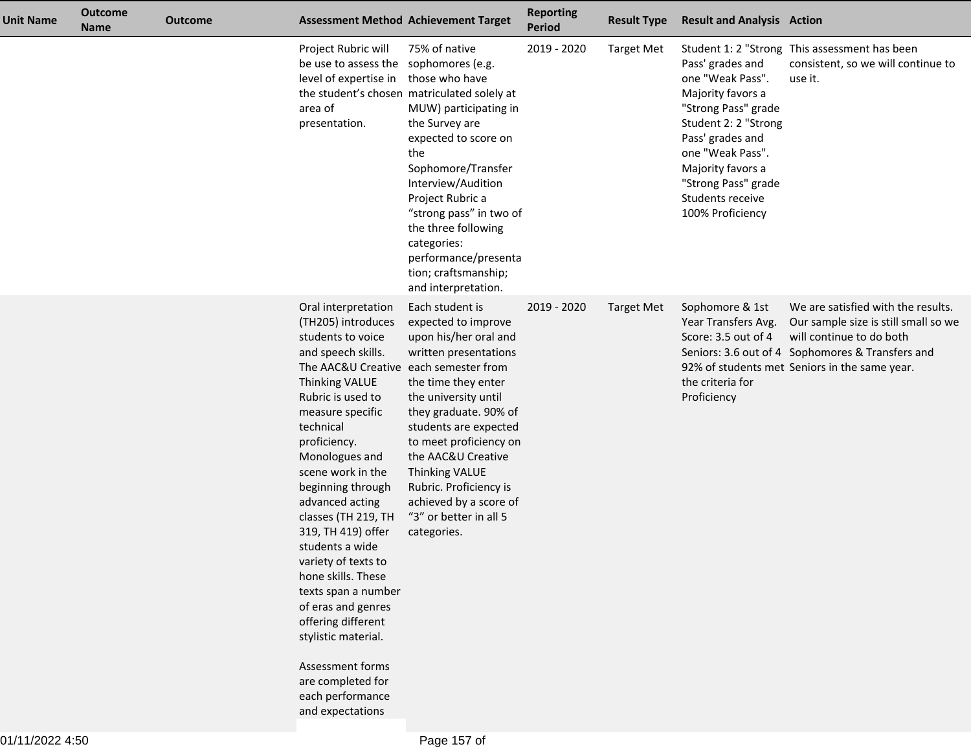| <b>Unit Name</b> | <b>Outcome</b><br><b>Name</b> | <b>Outcome</b> |                                                                                                                                                                                                                                                                                                                                                                                                                                                                                                                                                                                                     | <b>Assessment Method Achievement Target</b>                                                                                                                                                                                                                                                                                                              | <b>Reporting</b><br><b>Period</b> | <b>Result Type</b> | <b>Result and Analysis Action</b>                                                                                                                                                                                                    |                                                                                                                                                                                                             |
|------------------|-------------------------------|----------------|-----------------------------------------------------------------------------------------------------------------------------------------------------------------------------------------------------------------------------------------------------------------------------------------------------------------------------------------------------------------------------------------------------------------------------------------------------------------------------------------------------------------------------------------------------------------------------------------------------|----------------------------------------------------------------------------------------------------------------------------------------------------------------------------------------------------------------------------------------------------------------------------------------------------------------------------------------------------------|-----------------------------------|--------------------|--------------------------------------------------------------------------------------------------------------------------------------------------------------------------------------------------------------------------------------|-------------------------------------------------------------------------------------------------------------------------------------------------------------------------------------------------------------|
|                  |                               |                | Project Rubric will<br>be use to assess the sophomores (e.g.<br>level of expertise in those who have<br>area of<br>presentation.                                                                                                                                                                                                                                                                                                                                                                                                                                                                    | 75% of native<br>the student's chosen matriculated solely at<br>MUW) participating in<br>the Survey are<br>expected to score on<br>the<br>Sophomore/Transfer<br>Interview/Audition<br>Project Rubric a<br>"strong pass" in two of<br>the three following<br>categories:<br>performance/presenta<br>tion; craftsmanship;<br>and interpretation.           | 2019 - 2020                       | <b>Target Met</b>  | Pass' grades and<br>one "Weak Pass".<br>Majority favors a<br>"Strong Pass" grade<br>Student 2: 2 "Strong<br>Pass' grades and<br>one "Weak Pass".<br>Majority favors a<br>"Strong Pass" grade<br>Students receive<br>100% Proficiency | Student 1: 2 "Strong This assessment has been<br>consistent, so we will continue to<br>use it.                                                                                                              |
|                  |                               |                | Oral interpretation<br>(TH205) introduces<br>students to voice<br>and speech skills.<br>The AAC&U Creative each semester from<br><b>Thinking VALUE</b><br>Rubric is used to<br>measure specific<br>technical<br>proficiency.<br>Monologues and<br>scene work in the<br>beginning through<br>advanced acting<br>classes (TH 219, TH<br>319, TH 419) offer<br>students a wide<br>variety of texts to<br>hone skills. These<br>texts span a number<br>of eras and genres<br>offering different<br>stylistic material.<br>Assessment forms<br>are completed for<br>each performance<br>and expectations | Each student is<br>expected to improve<br>upon his/her oral and<br>written presentations<br>the time they enter<br>the university until<br>they graduate. 90% of<br>students are expected<br>to meet proficiency on<br>the AAC&U Creative<br>Thinking VALUE<br>Rubric. Proficiency is<br>achieved by a score of<br>"3" or better in all 5<br>categories. | 2019 - 2020                       | <b>Target Met</b>  | Sophomore & 1st<br>Year Transfers Avg.<br>Score: 3.5 out of 4<br>the criteria for<br>Proficiency                                                                                                                                     | We are satisfied with the results.<br>Our sample size is still small so we<br>will continue to do both<br>Seniors: 3.6 out of 4 Sophomores & Transfers and<br>92% of students met Seniors in the same year. |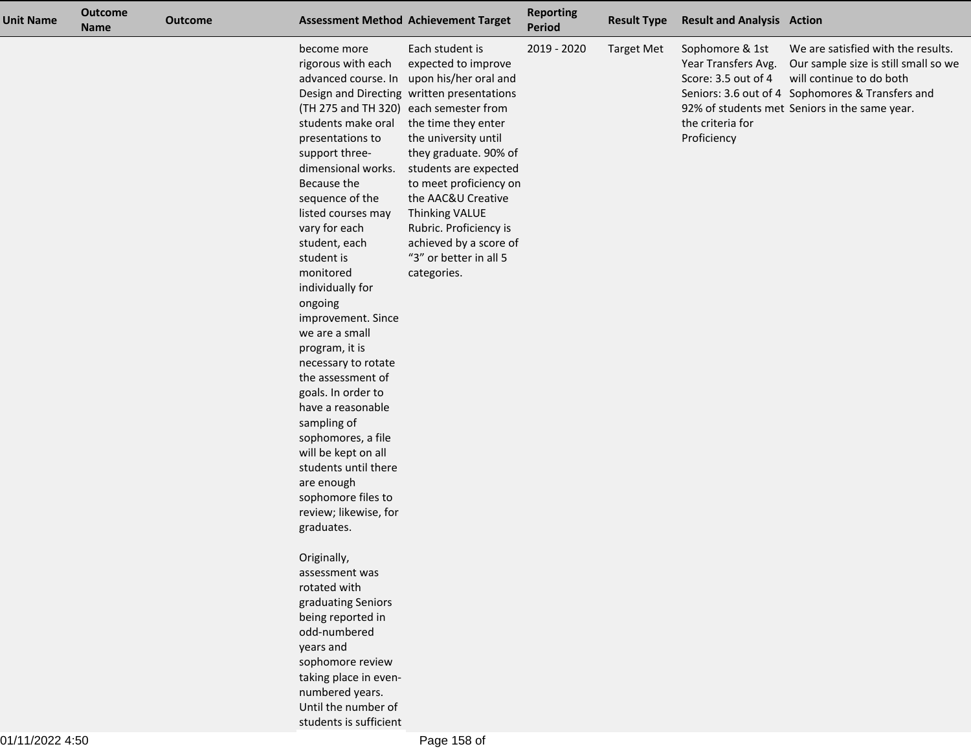| <b>Unit Name</b> | <b>Outcome</b><br><b>Name</b> | <b>Outcome</b> |                                                                                                                                                                                                                                                                                                                                                                                                                                                                                                                                                                                                                | <b>Assessment Method Achievement Target</b>                                                                                                                                                                                                                                                                                                                                                                                    | <b>Reporting</b><br>Period | <b>Result Type</b> | <b>Result and Analysis Action</b>                                                                |                                                                                                                                                                                                             |
|------------------|-------------------------------|----------------|----------------------------------------------------------------------------------------------------------------------------------------------------------------------------------------------------------------------------------------------------------------------------------------------------------------------------------------------------------------------------------------------------------------------------------------------------------------------------------------------------------------------------------------------------------------------------------------------------------------|--------------------------------------------------------------------------------------------------------------------------------------------------------------------------------------------------------------------------------------------------------------------------------------------------------------------------------------------------------------------------------------------------------------------------------|----------------------------|--------------------|--------------------------------------------------------------------------------------------------|-------------------------------------------------------------------------------------------------------------------------------------------------------------------------------------------------------------|
|                  |                               |                | become more<br>rigorous with each<br>advanced course. In<br>students make oral<br>presentations to<br>support three-<br>dimensional works.<br>Because the<br>sequence of the<br>listed courses may<br>vary for each<br>student, each<br>student is<br>monitored<br>individually for<br>ongoing<br>improvement. Since<br>we are a small<br>program, it is<br>necessary to rotate<br>the assessment of<br>goals. In order to<br>have a reasonable<br>sampling of<br>sophomores, a file<br>will be kept on all<br>students until there<br>are enough<br>sophomore files to<br>review; likewise, for<br>graduates. | Each student is<br>expected to improve<br>upon his/her oral and<br>Design and Directing written presentations<br>(TH 275 and TH 320) each semester from<br>the time they enter<br>the university until<br>they graduate. 90% of<br>students are expected<br>to meet proficiency on<br>the AAC&U Creative<br><b>Thinking VALUE</b><br>Rubric. Proficiency is<br>achieved by a score of<br>"3" or better in all 5<br>categories. | 2019 - 2020                | <b>Target Met</b>  | Sophomore & 1st<br>Year Transfers Avg.<br>Score: 3.5 out of 4<br>the criteria for<br>Proficiency | We are satisfied with the results.<br>Our sample size is still small so we<br>will continue to do both<br>Seniors: 3.6 out of 4 Sophomores & Transfers and<br>92% of students met Seniors in the same year. |
|                  |                               |                | Originally,<br>assessment was<br>rotated with<br>graduating Seniors<br>being reported in<br>odd-numbered<br>years and<br>sophomore review<br>taking place in even-<br>numbered years.<br>Until the number of<br>students is sufficient                                                                                                                                                                                                                                                                                                                                                                         |                                                                                                                                                                                                                                                                                                                                                                                                                                |                            |                    |                                                                                                  |                                                                                                                                                                                                             |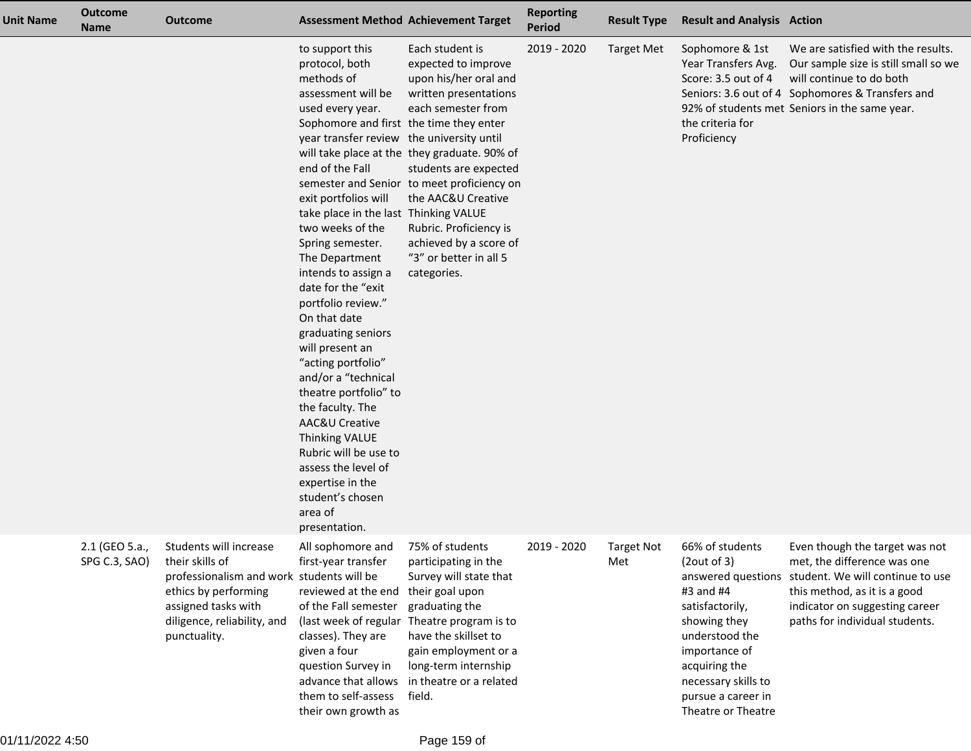| <b>Unit Name</b> | <b>Outcome</b><br><b>Name</b>   | <b>Outcome</b>                                                                                                                                                                       |                                                                                                                                                                                                                                                                                                                                                                                                                                                                                                                                                                                                                                                                                                                      | <b>Assessment Method Achievement Target</b>                                                                                                                                                                                                                                                                                                              | <b>Reporting</b><br>Period | <b>Result Type</b>       | <b>Result and Analysis Action</b>                                                                                                                                                                     |                                                                                                                                                                                                                          |
|------------------|---------------------------------|--------------------------------------------------------------------------------------------------------------------------------------------------------------------------------------|----------------------------------------------------------------------------------------------------------------------------------------------------------------------------------------------------------------------------------------------------------------------------------------------------------------------------------------------------------------------------------------------------------------------------------------------------------------------------------------------------------------------------------------------------------------------------------------------------------------------------------------------------------------------------------------------------------------------|----------------------------------------------------------------------------------------------------------------------------------------------------------------------------------------------------------------------------------------------------------------------------------------------------------------------------------------------------------|----------------------------|--------------------------|-------------------------------------------------------------------------------------------------------------------------------------------------------------------------------------------------------|--------------------------------------------------------------------------------------------------------------------------------------------------------------------------------------------------------------------------|
|                  |                                 |                                                                                                                                                                                      | to support this<br>protocol, both<br>methods of<br>assessment will be<br>used every year.<br>Sophomore and first the time they enter<br>year transfer review the university until<br>end of the Fall<br>exit portfolios will<br>take place in the last Thinking VALUE<br>two weeks of the<br>Spring semester.<br>The Department<br>intends to assign a<br>date for the "exit<br>portfolio review."<br>On that date<br>graduating seniors<br>will present an<br>"acting portfolio"<br>and/or a "technical<br>theatre portfolio" to<br>the faculty. The<br>AAC&U Creative<br><b>Thinking VALUE</b><br>Rubric will be use to<br>assess the level of<br>expertise in the<br>student's chosen<br>area of<br>presentation. | Each student is<br>expected to improve<br>upon his/her oral and<br>written presentations<br>each semester from<br>will take place at the they graduate. 90% of<br>students are expected<br>semester and Senior to meet proficiency on<br>the AAC&U Creative<br>Rubric. Proficiency is<br>achieved by a score of<br>"3" or better in all 5<br>categories. | 2019 - 2020                | <b>Target Met</b>        | Sophomore & 1st<br>Year Transfers Avg.<br>Score: 3.5 out of 4<br>the criteria for<br>Proficiency                                                                                                      | We are satisfied with the results.<br>Our sample size is still small so we<br>will continue to do both<br>Seniors: 3.6 out of 4 Sophomores & Transfers and<br>92% of students met Seniors in the same year.              |
|                  | 2.1 (GEO 5.a.,<br>SPG C.3, SAO) | Students will increase<br>their skills of<br>professionalism and work students will be<br>ethics by performing<br>assigned tasks with<br>diligence, reliability, and<br>punctuality. | All sophomore and<br>first-year transfer<br>reviewed at the end<br>of the Fall semester<br>classes). They are<br>given a four<br>question Survey in<br>advance that allows<br>them to self-assess<br>their own growth as                                                                                                                                                                                                                                                                                                                                                                                                                                                                                             | 75% of students<br>participating in the<br>Survey will state that<br>their goal upon<br>graduating the<br>(last week of regular Theatre program is to<br>have the skillset to<br>gain employment or a<br>long-term internship<br>in theatre or a related<br>field.                                                                                       | 2019 - 2020                | <b>Target Not</b><br>Met | 66% of students<br>(2out of 3)<br>#3 and #4<br>satisfactorily,<br>showing they<br>understood the<br>importance of<br>acquiring the<br>necessary skills to<br>pursue a career in<br>Theatre or Theatre | Even though the target was not<br>met, the difference was one<br>answered questions student. We will continue to use<br>this method, as it is a good<br>indicator on suggesting career<br>paths for individual students. |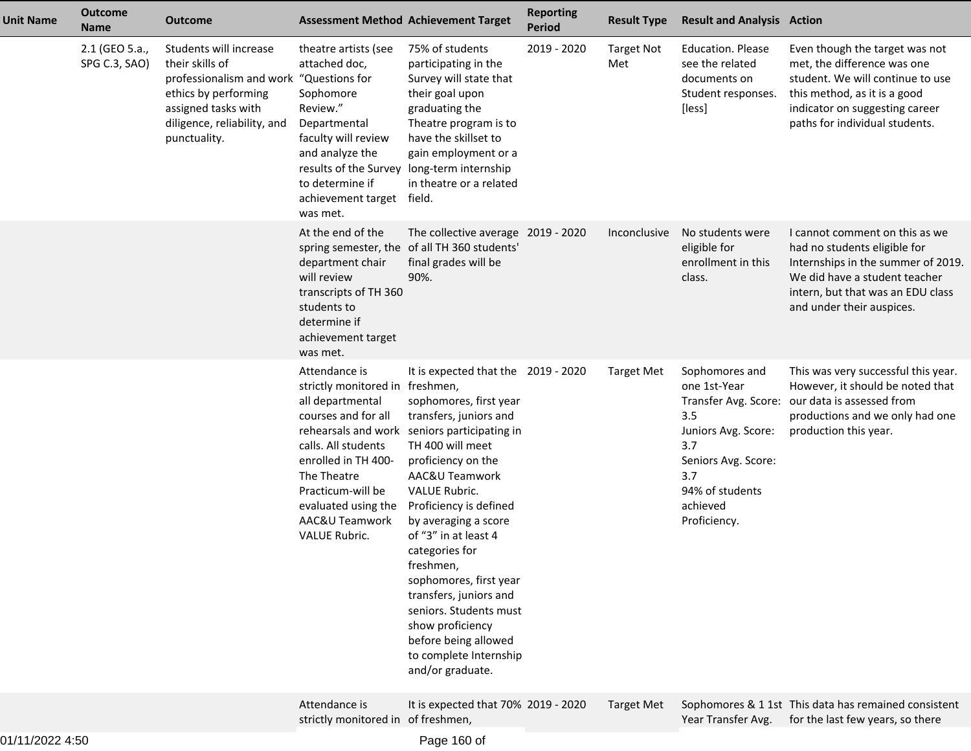| <b>Unit Name</b> | <b>Outcome</b><br><b>Name</b>   | <b>Outcome</b>                                                                                                                                                                     |                                                                                                                                                                                                                                                | <b>Assessment Method Achievement Target</b>                                                                                                                                                                                                                                                                                                                                                                                                                                                           | <b>Reporting</b><br><b>Period</b> | <b>Result Type</b>       | <b>Result and Analysis Action</b>                                                                                                                |                                                                                                                                                                                                         |
|------------------|---------------------------------|------------------------------------------------------------------------------------------------------------------------------------------------------------------------------------|------------------------------------------------------------------------------------------------------------------------------------------------------------------------------------------------------------------------------------------------|-------------------------------------------------------------------------------------------------------------------------------------------------------------------------------------------------------------------------------------------------------------------------------------------------------------------------------------------------------------------------------------------------------------------------------------------------------------------------------------------------------|-----------------------------------|--------------------------|--------------------------------------------------------------------------------------------------------------------------------------------------|---------------------------------------------------------------------------------------------------------------------------------------------------------------------------------------------------------|
|                  | 2.1 (GEO 5.a.,<br>SPG C.3, SAO) | Students will increase<br>their skills of<br>professionalism and work "Questions for<br>ethics by performing<br>assigned tasks with<br>diligence, reliability, and<br>punctuality. | theatre artists (see<br>attached doc,<br>Sophomore<br>Review."<br>Departmental<br>faculty will review<br>and analyze the<br>results of the Survey<br>to determine if<br>achievement target<br>was met.                                         | 75% of students<br>participating in the<br>Survey will state that<br>their goal upon<br>graduating the<br>Theatre program is to<br>have the skillset to<br>gain employment or a<br>long-term internship<br>in theatre or a related<br>field.                                                                                                                                                                                                                                                          | 2019 - 2020                       | <b>Target Not</b><br>Met | <b>Education. Please</b><br>see the related<br>documents on<br>Student responses.<br>[less]                                                      | Even though the target was not<br>met, the difference was one<br>student. We will continue to use<br>this method, as it is a good<br>indicator on suggesting career<br>paths for individual students.   |
|                  |                                 |                                                                                                                                                                                    | At the end of the<br>department chair<br>will review<br>transcripts of TH 360<br>students to<br>determine if<br>achievement target<br>was met.                                                                                                 | The collective average 2019 - 2020<br>spring semester, the of all TH 360 students'<br>final grades will be<br>90%.                                                                                                                                                                                                                                                                                                                                                                                    |                                   | Inconclusive             | No students were<br>eligible for<br>enrollment in this<br>class.                                                                                 | I cannot comment on this as we<br>had no students eligible for<br>Internships in the summer of 2019.<br>We did have a student teacher<br>intern, but that was an EDU class<br>and under their auspices. |
|                  |                                 |                                                                                                                                                                                    | Attendance is<br>strictly monitored in freshmen,<br>all departmental<br>courses and for all<br>calls. All students<br>enrolled in TH 400-<br>The Theatre<br>Practicum-will be<br>evaluated using the<br>AAC&U Teamwork<br><b>VALUE Rubric.</b> | It is expected that the 2019 - 2020<br>sophomores, first year<br>transfers, juniors and<br>rehearsals and work seniors participating in<br>TH 400 will meet<br>proficiency on the<br>AAC&U Teamwork<br>VALUE Rubric.<br>Proficiency is defined<br>by averaging a score<br>of "3" in at least 4<br>categories for<br>freshmen,<br>sophomores, first year<br>transfers, juniors and<br>seniors. Students must<br>show proficiency<br>before being allowed<br>to complete Internship<br>and/or graduate. |                                   | <b>Target Met</b>        | Sophomores and<br>one 1st-Year<br>3.5<br>Juniors Avg. Score:<br>3.7<br>Seniors Avg. Score:<br>3.7<br>94% of students<br>achieved<br>Proficiency. | This was very successful this year.<br>However, it should be noted that<br>Transfer Avg. Score: our data is assessed from<br>productions and we only had one<br>production this year.                   |
|                  |                                 |                                                                                                                                                                                    | Attendance is<br>strictly monitored in of freshmen,                                                                                                                                                                                            | It is expected that 70% 2019 - 2020                                                                                                                                                                                                                                                                                                                                                                                                                                                                   |                                   | <b>Target Met</b>        | Year Transfer Avg.                                                                                                                               | Sophomores & 1 1st This data has remained consistent<br>for the last few years, so there                                                                                                                |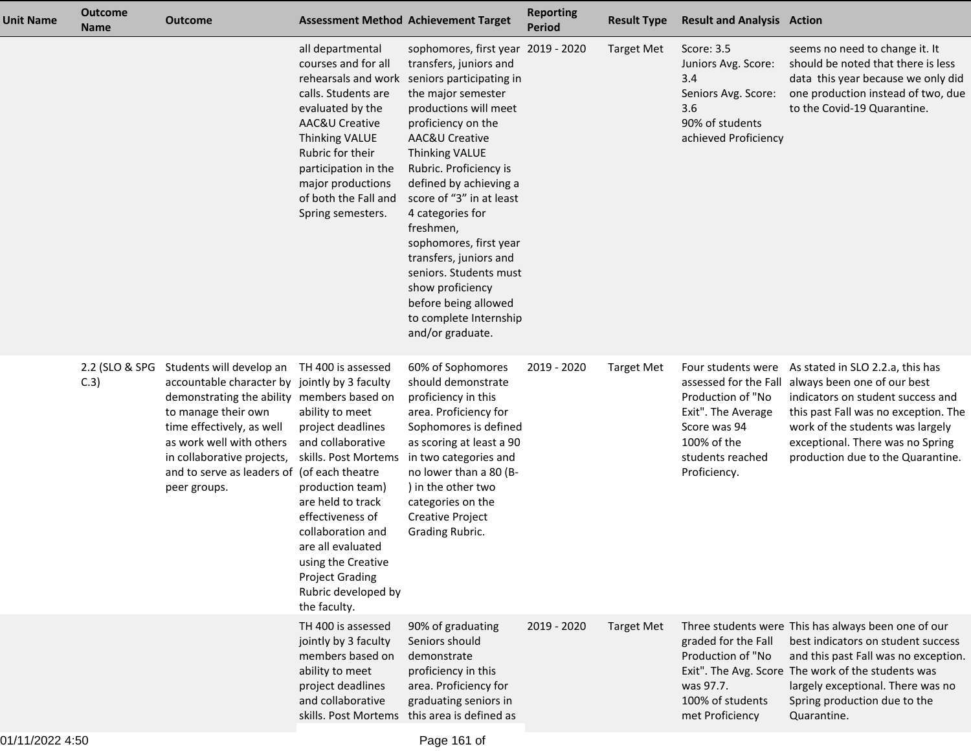| <b>Unit Name</b> | <b>Outcome</b><br><b>Name</b> | <b>Outcome</b>                                                                                                                                                                                                                                                                                       |                                                                                                                                                                                                                                                                                                       | <b>Assessment Method Achievement Target</b>                                                                                                                                                                                                                                                                                                                                                                                                                                                       | <b>Reporting</b><br><b>Period</b> | <b>Result Type</b> | <b>Result and Analysis Action</b>                                                                                                |                                                                                                                                                                                                                                                                                 |
|------------------|-------------------------------|------------------------------------------------------------------------------------------------------------------------------------------------------------------------------------------------------------------------------------------------------------------------------------------------------|-------------------------------------------------------------------------------------------------------------------------------------------------------------------------------------------------------------------------------------------------------------------------------------------------------|---------------------------------------------------------------------------------------------------------------------------------------------------------------------------------------------------------------------------------------------------------------------------------------------------------------------------------------------------------------------------------------------------------------------------------------------------------------------------------------------------|-----------------------------------|--------------------|----------------------------------------------------------------------------------------------------------------------------------|---------------------------------------------------------------------------------------------------------------------------------------------------------------------------------------------------------------------------------------------------------------------------------|
|                  |                               |                                                                                                                                                                                                                                                                                                      | all departmental<br>courses and for all<br>rehearsals and work<br>calls. Students are<br>evaluated by the<br><b>AAC&amp;U Creative</b><br><b>Thinking VALUE</b><br>Rubric for their<br>participation in the<br>major productions<br>of both the Fall and<br>Spring semesters.                         | sophomores, first year 2019 - 2020<br>transfers, juniors and<br>seniors participating in<br>the major semester<br>productions will meet<br>proficiency on the<br>AAC&U Creative<br><b>Thinking VALUE</b><br>Rubric. Proficiency is<br>defined by achieving a<br>score of "3" in at least<br>4 categories for<br>freshmen,<br>sophomores, first year<br>transfers, juniors and<br>seniors. Students must<br>show proficiency<br>before being allowed<br>to complete Internship<br>and/or graduate. |                                   | <b>Target Met</b>  | Score: 3.5<br>Juniors Avg. Score:<br>3.4<br>Seniors Avg. Score:<br>3.6<br>90% of students<br>achieved Proficiency                | seems no need to change it. It<br>should be noted that there is less<br>data this year because we only did<br>one production instead of two, due<br>to the Covid-19 Quarantine.                                                                                                 |
|                  | 2.2 (SLO & SPG<br>C.3)        | Students will develop an<br>accountable character by jointly by 3 faculty<br>demonstrating the ability members based on<br>to manage their own<br>time effectively, as well<br>as work well with others<br>in collaborative projects,<br>and to serve as leaders of (of each theatre<br>peer groups. | TH 400 is assessed<br>ability to meet<br>project deadlines<br>and collaborative<br>skills. Post Mortems<br>production team)<br>are held to track<br>effectiveness of<br>collaboration and<br>are all evaluated<br>using the Creative<br><b>Project Grading</b><br>Rubric developed by<br>the faculty. | 60% of Sophomores<br>should demonstrate<br>proficiency in this<br>area. Proficiency for<br>Sophomores is defined<br>as scoring at least a 90<br>in two categories and<br>no lower than a 80 (B-<br>) in the other two<br>categories on the<br><b>Creative Project</b><br>Grading Rubric.                                                                                                                                                                                                          | 2019 - 2020                       | <b>Target Met</b>  | Four students were<br>Production of "No<br>Exit". The Average<br>Score was 94<br>100% of the<br>students reached<br>Proficiency. | As stated in SLO 2.2.a, this has<br>assessed for the Fall always been one of our best<br>indicators on student success and<br>this past Fall was no exception. The<br>work of the students was largely<br>exceptional. There was no Spring<br>production due to the Quarantine. |
|                  |                               |                                                                                                                                                                                                                                                                                                      | TH 400 is assessed<br>jointly by 3 faculty<br>members based on<br>ability to meet<br>project deadlines<br>and collaborative                                                                                                                                                                           | 90% of graduating<br>Seniors should<br>demonstrate<br>proficiency in this<br>area. Proficiency for<br>graduating seniors in<br>skills. Post Mortems this area is defined as                                                                                                                                                                                                                                                                                                                       | 2019 - 2020                       | <b>Target Met</b>  | graded for the Fall<br>Production of "No<br>was 97.7.<br>100% of students<br>met Proficiency                                     | Three students were This has always been one of our<br>best indicators on student success<br>and this past Fall was no exception.<br>Exit". The Avg. Score The work of the students was<br>largely exceptional. There was no<br>Spring production due to the<br>Quarantine.     |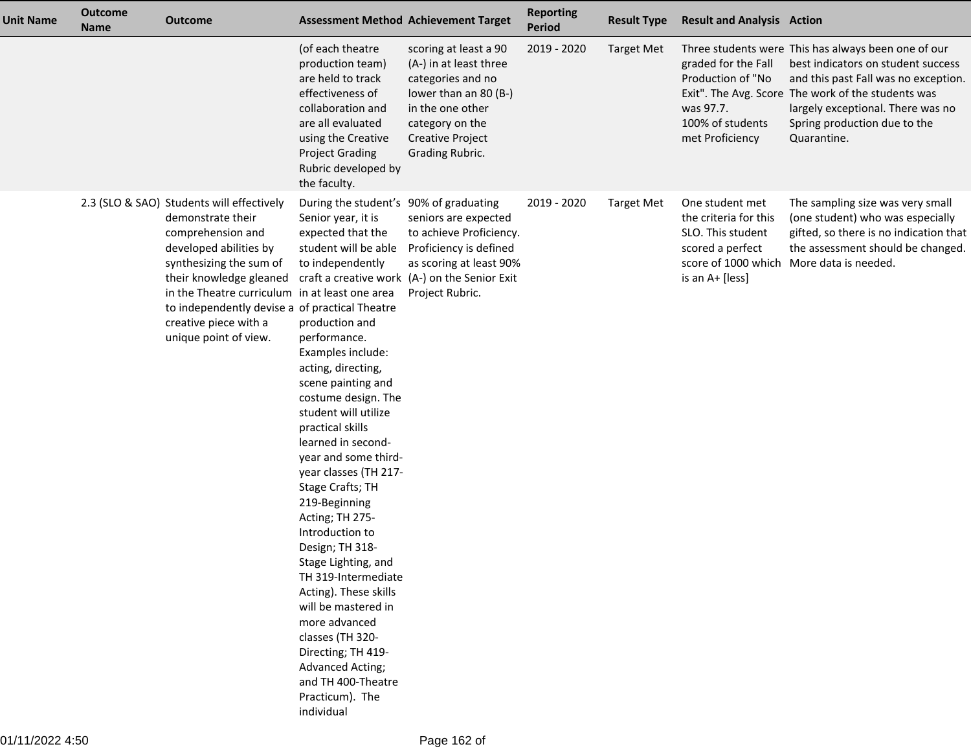| <b>Unit Name</b> | <b>Outcome</b><br><b>Name</b> | <b>Outcome</b>                                                                                                                                                                                                                                                                                                            |                                                                                                                                                                                                                                                                                                                                                                                                                                                                                                                                                                                                                                                                                                              | <b>Assessment Method Achievement Target</b>                                                                                                                                        | <b>Reporting</b><br><b>Period</b> | <b>Result Type</b> | <b>Result and Analysis Action</b>                                                                    |                                                                                                                                                                                                                                                                             |
|------------------|-------------------------------|---------------------------------------------------------------------------------------------------------------------------------------------------------------------------------------------------------------------------------------------------------------------------------------------------------------------------|--------------------------------------------------------------------------------------------------------------------------------------------------------------------------------------------------------------------------------------------------------------------------------------------------------------------------------------------------------------------------------------------------------------------------------------------------------------------------------------------------------------------------------------------------------------------------------------------------------------------------------------------------------------------------------------------------------------|------------------------------------------------------------------------------------------------------------------------------------------------------------------------------------|-----------------------------------|--------------------|------------------------------------------------------------------------------------------------------|-----------------------------------------------------------------------------------------------------------------------------------------------------------------------------------------------------------------------------------------------------------------------------|
|                  |                               |                                                                                                                                                                                                                                                                                                                           | (of each theatre<br>production team)<br>are held to track<br>effectiveness of<br>collaboration and<br>are all evaluated<br>using the Creative<br><b>Project Grading</b><br>Rubric developed by<br>the faculty.                                                                                                                                                                                                                                                                                                                                                                                                                                                                                               | scoring at least a 90<br>(A-) in at least three<br>categories and no<br>lower than an 80 (B-)<br>in the one other<br>category on the<br><b>Creative Project</b><br>Grading Rubric. | 2019 - 2020                       | <b>Target Met</b>  | graded for the Fall<br>Production of "No<br>was 97.7.<br>100% of students<br>met Proficiency         | Three students were This has always been one of our<br>best indicators on student success<br>and this past Fall was no exception.<br>Exit". The Avg. Score The work of the students was<br>largely exceptional. There was no<br>Spring production due to the<br>Quarantine. |
|                  |                               | 2.3 (SLO & SAO) Students will effectively<br>demonstrate their<br>comprehension and<br>developed abilities by<br>synthesizing the sum of<br>their knowledge gleaned<br>in the Theatre curriculum in at least one area<br>to independently devise a of practical Theatre<br>creative piece with a<br>unique point of view. | During the student's 90% of graduating<br>Senior year, it is<br>expected that the<br>student will be able<br>to independently<br>production and<br>performance.<br>Examples include:<br>acting, directing,<br>scene painting and<br>costume design. The<br>student will utilize<br>practical skills<br>learned in second-<br>year and some third-<br>year classes (TH 217-<br>Stage Crafts; TH<br>219-Beginning<br>Acting; TH 275-<br>Introduction to<br>Design; TH 318-<br>Stage Lighting, and<br>TH 319-Intermediate<br>Acting). These skills<br>will be mastered in<br>more advanced<br>classes (TH 320-<br>Directing; TH 419-<br>Advanced Acting;<br>and TH 400-Theatre<br>Practicum). The<br>individual | seniors are expected<br>to achieve Proficiency.<br>Proficiency is defined<br>as scoring at least 90%<br>craft a creative work (A-) on the Senior Exit<br>Project Rubric.           | 2019 - 2020                       | <b>Target Met</b>  | One student met<br>the criteria for this<br>SLO. This student<br>scored a perfect<br>is an A+ [less] | The sampling size was very small<br>(one student) who was especially<br>gifted, so there is no indication that<br>the assessment should be changed.<br>score of 1000 which More data is needed.                                                                             |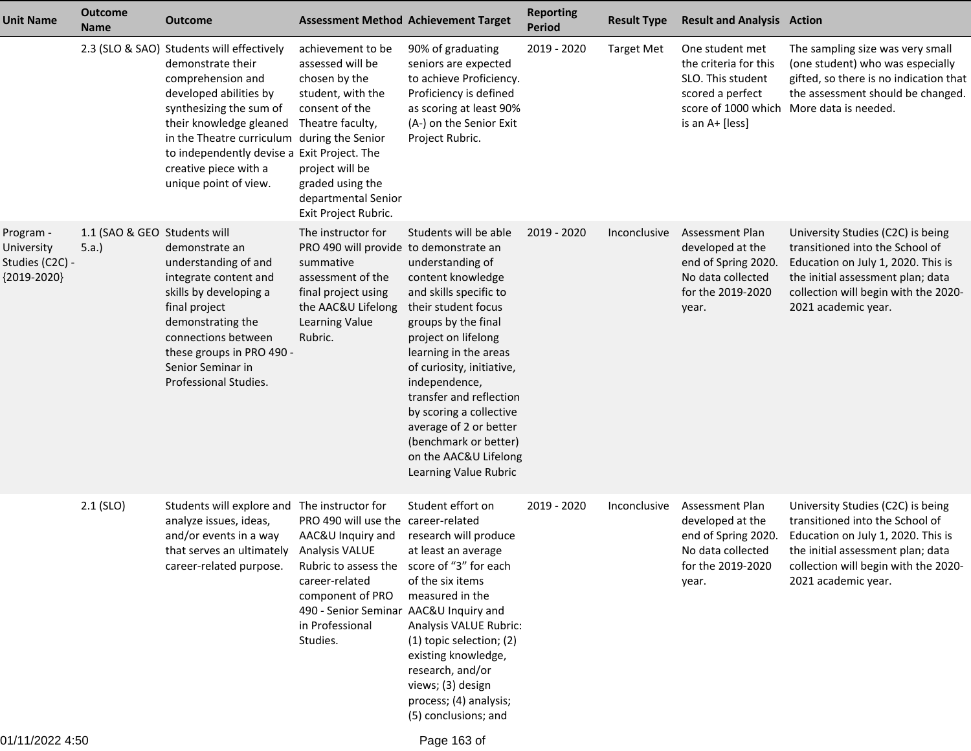| <b>Unit Name</b>                                          | <b>Outcome</b><br><b>Name</b>        | <b>Outcome</b>                                                                                                                                                                                                                                                                                    | <b>Assessment Method Achievement Target</b>                                                                                                                                                                                                 |                                                                                                                                                                                                                                                                                                                                                                                                 | <b>Reporting</b><br><b>Period</b> | <b>Result Type</b> | <b>Result and Analysis Action</b>                                                                                           |                                                                                                                                                                                                                |
|-----------------------------------------------------------|--------------------------------------|---------------------------------------------------------------------------------------------------------------------------------------------------------------------------------------------------------------------------------------------------------------------------------------------------|---------------------------------------------------------------------------------------------------------------------------------------------------------------------------------------------------------------------------------------------|-------------------------------------------------------------------------------------------------------------------------------------------------------------------------------------------------------------------------------------------------------------------------------------------------------------------------------------------------------------------------------------------------|-----------------------------------|--------------------|-----------------------------------------------------------------------------------------------------------------------------|----------------------------------------------------------------------------------------------------------------------------------------------------------------------------------------------------------------|
|                                                           |                                      | 2.3 (SLO & SAO) Students will effectively<br>demonstrate their<br>comprehension and<br>developed abilities by<br>synthesizing the sum of<br>their knowledge gleaned<br>in the Theatre curriculum<br>to independently devise a Exit Project. The<br>creative piece with a<br>unique point of view. | achievement to be<br>assessed will be<br>chosen by the<br>student, with the<br>consent of the<br>Theatre faculty,<br>during the Senior<br>project will be<br>graded using the<br>departmental Senior<br>Exit Project Rubric.                | 90% of graduating<br>seniors are expected<br>to achieve Proficiency.<br>Proficiency is defined<br>as scoring at least 90%<br>(A-) on the Senior Exit<br>Project Rubric.                                                                                                                                                                                                                         | 2019 - 2020                       | <b>Target Met</b>  | One student met<br>the criteria for this<br>SLO. This student<br>scored a perfect<br>score of 1000 which<br>is an A+ [less] | The sampling size was very small<br>(one student) who was especially<br>gifted, so there is no indication that<br>the assessment should be changed.<br>More data is needed.                                    |
| Program -<br>University<br>Studies (C2C) -<br>{2019-2020} | 1.1 (SAO & GEO Students will<br>5.a. | demonstrate an<br>understanding of and<br>integrate content and<br>skills by developing a<br>final project<br>demonstrating the<br>connections between<br>these groups in PRO 490 -<br>Senior Seminar in<br>Professional Studies.                                                                 | The instructor for<br>PRO 490 will provide to demonstrate an<br>summative<br>assessment of the<br>final project using<br>the AAC&U Lifelong<br>Learning Value<br>Rubric.                                                                    | Students will be able<br>understanding of<br>content knowledge<br>and skills specific to<br>their student focus<br>groups by the final<br>project on lifelong<br>learning in the areas<br>of curiosity, initiative,<br>independence,<br>transfer and reflection<br>by scoring a collective<br>average of 2 or better<br>(benchmark or better)<br>on the AAC&U Lifelong<br>Learning Value Rubric | 2019 - 2020                       | Inconclusive       | Assessment Plan<br>developed at the<br>end of Spring 2020.<br>No data collected<br>for the 2019-2020<br>year.               | University Studies (C2C) is being<br>transitioned into the School of<br>Education on July 1, 2020. This is<br>the initial assessment plan; data<br>collection will begin with the 2020-<br>2021 academic year. |
|                                                           | $2.1$ (SLO)                          | Students will explore and<br>analyze issues, ideas,<br>and/or events in a way<br>that serves an ultimately Analysis VALUE<br>career-related purpose.                                                                                                                                              | The instructor for<br>PRO 490 will use the career-related<br>AAC&U Inquiry and<br>Rubric to assess the score of "3" for each<br>career-related<br>component of PRO<br>490 - Senior Seminar AAC&U Inquiry and<br>in Professional<br>Studies. | Student effort on<br>research will produce<br>at least an average<br>of the six items<br>measured in the<br>Analysis VALUE Rubric:<br>(1) topic selection; (2)<br>existing knowledge,<br>research, and/or<br>views; (3) design<br>process; (4) analysis;<br>(5) conclusions; and                                                                                                                | 2019 - 2020                       | Inconclusive       | Assessment Plan<br>developed at the<br>end of Spring 2020.<br>No data collected<br>for the 2019-2020<br>year.               | University Studies (C2C) is being<br>transitioned into the School of<br>Education on July 1, 2020. This is<br>the initial assessment plan; data<br>collection will begin with the 2020-<br>2021 academic year. |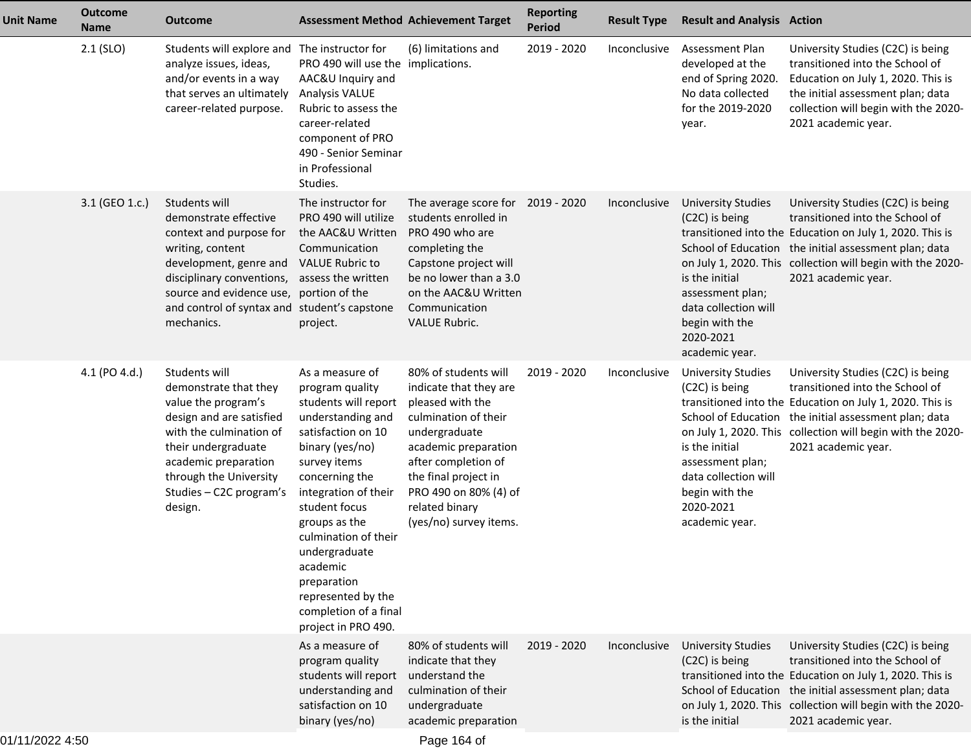| <b>Unit Name</b> | <b>Outcome</b><br><b>Name</b> | <b>Outcome</b>                                                                                                                                                                                                                      |                                                                                                                                                                                                                                                                                                                                                                | <b>Assessment Method Achievement Target</b>                                                                                                                                                                                                             | <b>Reporting</b><br><b>Period</b> | <b>Result Type</b> | <b>Result and Analysis Action</b>                                                                                                                                       |                                                                                                                                                                                                                                                                                |
|------------------|-------------------------------|-------------------------------------------------------------------------------------------------------------------------------------------------------------------------------------------------------------------------------------|----------------------------------------------------------------------------------------------------------------------------------------------------------------------------------------------------------------------------------------------------------------------------------------------------------------------------------------------------------------|---------------------------------------------------------------------------------------------------------------------------------------------------------------------------------------------------------------------------------------------------------|-----------------------------------|--------------------|-------------------------------------------------------------------------------------------------------------------------------------------------------------------------|--------------------------------------------------------------------------------------------------------------------------------------------------------------------------------------------------------------------------------------------------------------------------------|
|                  | $2.1$ (SLO)                   | Students will explore and The instructor for<br>analyze issues, ideas,<br>and/or events in a way<br>that serves an ultimately<br>career-related purpose.                                                                            | PRO 490 will use the implications.<br>AAC&U Inquiry and<br><b>Analysis VALUE</b><br>Rubric to assess the<br>career-related<br>component of PRO<br>490 - Senior Seminar<br>in Professional<br>Studies.                                                                                                                                                          | (6) limitations and                                                                                                                                                                                                                                     | 2019 - 2020                       | Inconclusive       | <b>Assessment Plan</b><br>developed at the<br>end of Spring 2020.<br>No data collected<br>for the 2019-2020<br>year.                                                    | University Studies (C2C) is being<br>transitioned into the School of<br>Education on July 1, 2020. This is<br>the initial assessment plan; data<br>collection will begin with the 2020-<br>2021 academic year.                                                                 |
|                  | 3.1 (GEO 1.c.)                | Students will<br>demonstrate effective<br>context and purpose for<br>writing, content<br>development, genre and<br>disciplinary conventions,<br>source and evidence use, portion of the<br>and control of syntax and<br>mechanics.  | The instructor for<br>PRO 490 will utilize<br>the AAC&U Written<br>Communication<br><b>VALUE Rubric to</b><br>assess the written<br>student's capstone<br>project.                                                                                                                                                                                             | The average score for 2019 - 2020<br>students enrolled in<br>PRO 490 who are<br>completing the<br>Capstone project will<br>be no lower than a 3.0<br>on the AAC&U Written<br>Communication<br>VALUE Rubric.                                             |                                   | Inconclusive       | <b>University Studies</b><br>(C <sub>2</sub> C) is being<br>is the initial<br>assessment plan;<br>data collection will<br>begin with the<br>2020-2021<br>academic year. | University Studies (C2C) is being<br>transitioned into the School of<br>transitioned into the Education on July 1, 2020. This is<br>School of Education the initial assessment plan; data<br>on July 1, 2020. This collection will begin with the 2020-<br>2021 academic year. |
|                  | 4.1 (PO 4.d.)                 | Students will<br>demonstrate that they<br>value the program's<br>design and are satisfied<br>with the culmination of<br>their undergraduate<br>academic preparation<br>through the University<br>Studies - C2C program's<br>design. | As a measure of<br>program quality<br>students will report<br>understanding and<br>satisfaction on 10<br>binary (yes/no)<br>survey items<br>concerning the<br>integration of their<br>student focus<br>groups as the<br>culmination of their<br>undergraduate<br>academic<br>preparation<br>represented by the<br>completion of a final<br>project in PRO 490. | 80% of students will<br>indicate that they are<br>pleased with the<br>culmination of their<br>undergraduate<br>academic preparation<br>after completion of<br>the final project in<br>PRO 490 on 80% (4) of<br>related binary<br>(yes/no) survey items. | 2019 - 2020                       | Inconclusive       | <b>University Studies</b><br>(C <sub>2</sub> C) is being<br>is the initial<br>assessment plan;<br>data collection will<br>begin with the<br>2020-2021<br>academic year. | University Studies (C2C) is being<br>transitioned into the School of<br>transitioned into the Education on July 1, 2020. This is<br>School of Education the initial assessment plan; data<br>on July 1, 2020. This collection will begin with the 2020-<br>2021 academic year. |
|                  |                               |                                                                                                                                                                                                                                     | As a measure of<br>program quality<br>students will report<br>understanding and<br>satisfaction on 10<br>binary (yes/no)                                                                                                                                                                                                                                       | 80% of students will<br>indicate that they<br>understand the<br>culmination of their<br>undergraduate<br>academic preparation                                                                                                                           | 2019 - 2020                       | Inconclusive       | <b>University Studies</b><br>(C2C) is being<br>is the initial                                                                                                           | University Studies (C2C) is being<br>transitioned into the School of<br>transitioned into the Education on July 1, 2020. This is<br>School of Education the initial assessment plan; data<br>on July 1, 2020. This collection will begin with the 2020-<br>2021 academic year. |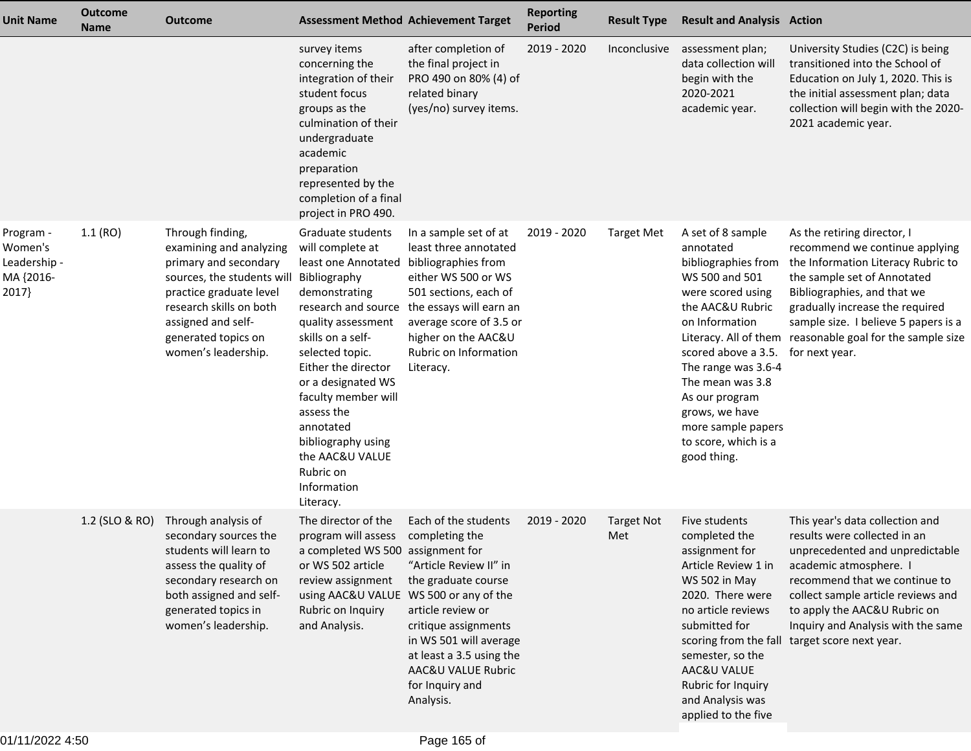| <b>Unit Name</b>                                           | <b>Outcome</b><br><b>Name</b> | <b>Outcome</b>                                                                                                                                                                                                                            | <b>Assessment Method Achievement Target</b>                                                                                                                                                                                                                                                                                                         |                                                                                                                                                                                                                                                  | <b>Reporting</b><br><b>Period</b> | <b>Result Type</b>       | <b>Result and Analysis Action</b>                                                                                                                                                                                                                                                                     |                                                                                                                                                                                                                                                                                                                             |
|------------------------------------------------------------|-------------------------------|-------------------------------------------------------------------------------------------------------------------------------------------------------------------------------------------------------------------------------------------|-----------------------------------------------------------------------------------------------------------------------------------------------------------------------------------------------------------------------------------------------------------------------------------------------------------------------------------------------------|--------------------------------------------------------------------------------------------------------------------------------------------------------------------------------------------------------------------------------------------------|-----------------------------------|--------------------------|-------------------------------------------------------------------------------------------------------------------------------------------------------------------------------------------------------------------------------------------------------------------------------------------------------|-----------------------------------------------------------------------------------------------------------------------------------------------------------------------------------------------------------------------------------------------------------------------------------------------------------------------------|
|                                                            |                               |                                                                                                                                                                                                                                           | survey items<br>concerning the<br>integration of their<br>student focus<br>groups as the<br>culmination of their<br>undergraduate<br>academic<br>preparation<br>represented by the<br>completion of a final<br>project in PRO 490.                                                                                                                  | after completion of<br>the final project in<br>PRO 490 on 80% (4) of<br>related binary<br>(yes/no) survey items.                                                                                                                                 | 2019 - 2020                       | Inconclusive             | assessment plan;<br>data collection will<br>begin with the<br>2020-2021<br>academic year.                                                                                                                                                                                                             | University Studies (C2C) is being<br>transitioned into the School of<br>Education on July 1, 2020. This is<br>the initial assessment plan; data<br>collection will begin with the 2020-<br>2021 academic year.                                                                                                              |
| Program -<br>Women's<br>Leadership -<br>MA {2016-<br>2017} | 1.1(RO)                       | Through finding,<br>examining and analyzing<br>primary and secondary<br>sources, the students will Bibliography<br>practice graduate level<br>research skills on both<br>assigned and self-<br>generated topics on<br>women's leadership. | Graduate students<br>will complete at<br>least one Annotated<br>demonstrating<br>research and source<br>quality assessment<br>skills on a self-<br>selected topic.<br>Either the director<br>or a designated WS<br>faculty member will<br>assess the<br>annotated<br>bibliography using<br>the AAC&U VALUE<br>Rubric on<br>Information<br>Literacy. | In a sample set of at<br>least three annotated<br>bibliographies from<br>either WS 500 or WS<br>501 sections, each of<br>the essays will earn an<br>average score of 3.5 or<br>higher on the AAC&U<br>Rubric on Information<br>Literacy.         | 2019 - 2020                       | <b>Target Met</b>        | A set of 8 sample<br>annotated<br>bibliographies from<br>WS 500 and 501<br>were scored using<br>the AAC&U Rubric<br>on Information<br>scored above a 3.5.<br>The range was 3.6-4<br>The mean was 3.8<br>As our program<br>grows, we have<br>more sample papers<br>to score, which is a<br>good thing. | As the retiring director, I<br>recommend we continue applying<br>the Information Literacy Rubric to<br>the sample set of Annotated<br>Bibliographies, and that we<br>gradually increase the required<br>sample size. I believe 5 papers is a<br>Literacy. All of them reasonable goal for the sample size<br>for next year. |
|                                                            | 1.2 (SLO & RO)                | Through analysis of<br>secondary sources the<br>students will learn to<br>assess the quality of<br>secondary research on<br>both assigned and self-<br>generated topics in<br>women's leadership.                                         | The director of the<br>program will assess<br>a completed WS 500 assignment for<br>or WS 502 article<br>review assignment<br>using AAC&U VALUE WS 500 or any of the<br>Rubric on Inquiry<br>and Analysis.                                                                                                                                           | Each of the students<br>completing the<br>"Article Review II" in<br>the graduate course<br>article review or<br>critique assignments<br>in WS 501 will average<br>at least a 3.5 using the<br>AAC&U VALUE Rubric<br>for Inquiry and<br>Analysis. | 2019 - 2020                       | <b>Target Not</b><br>Met | Five students<br>completed the<br>assignment for<br>Article Review 1 in<br>WS 502 in May<br>2020. There were<br>no article reviews<br>submitted for<br>semester, so the<br>AAC&U VALUE<br>Rubric for Inquiry<br>and Analysis was<br>applied to the five                                               | This year's data collection and<br>results were collected in an<br>unprecedented and unpredictable<br>academic atmosphere. I<br>recommend that we continue to<br>collect sample article reviews and<br>to apply the AAC&U Rubric on<br>Inquiry and Analysis with the same<br>scoring from the fall target score next year.  |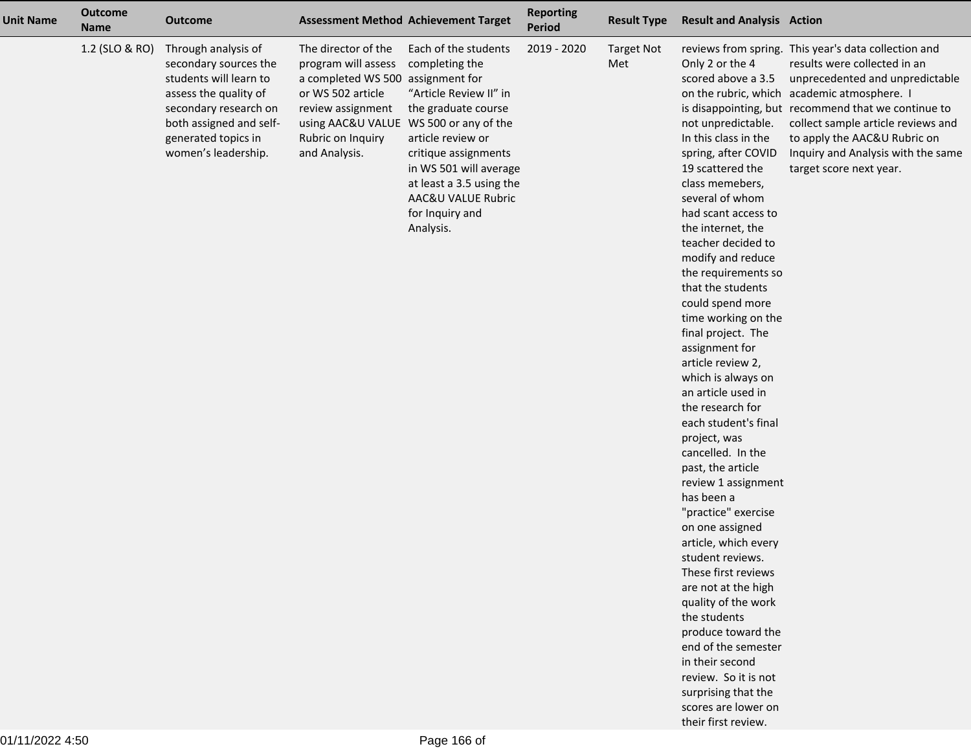| Unit Name | <b>Outcome</b><br><b>Name</b> | <b>Outcome</b>                                                                                                                                                                                    |                                                                                                                                                  | <b>Assessment Method Achievement Target</b>                                                                                                                                                                                                                                                                  | <b>Reporting</b><br>Period | <b>Result Type</b>       | <b>Result and Analysis Action</b>                                                                                                                                                                                                                                                                                                                                                                                                                                                                                                                                                                                                                                                                                                                                                                                                                                                                                                              |                                                                                                                                                                                                                                                                                                                                                                      |
|-----------|-------------------------------|---------------------------------------------------------------------------------------------------------------------------------------------------------------------------------------------------|--------------------------------------------------------------------------------------------------------------------------------------------------|--------------------------------------------------------------------------------------------------------------------------------------------------------------------------------------------------------------------------------------------------------------------------------------------------------------|----------------------------|--------------------------|------------------------------------------------------------------------------------------------------------------------------------------------------------------------------------------------------------------------------------------------------------------------------------------------------------------------------------------------------------------------------------------------------------------------------------------------------------------------------------------------------------------------------------------------------------------------------------------------------------------------------------------------------------------------------------------------------------------------------------------------------------------------------------------------------------------------------------------------------------------------------------------------------------------------------------------------|----------------------------------------------------------------------------------------------------------------------------------------------------------------------------------------------------------------------------------------------------------------------------------------------------------------------------------------------------------------------|
|           | 1.2 (SLO & RO)                | Through analysis of<br>secondary sources the<br>students will learn to<br>assess the quality of<br>secondary research on<br>both assigned and self-<br>generated topics in<br>women's leadership. | The director of the<br>program will assess<br>a completed WS 500<br>or WS 502 article<br>review assignment<br>Rubric on Inquiry<br>and Analysis. | Each of the students<br>completing the<br>assignment for<br>"Article Review II" in<br>the graduate course<br>using AAC&U VALUE WS 500 or any of the<br>article review or<br>critique assignments<br>in WS 501 will average<br>at least a 3.5 using the<br>AAC&U VALUE Rubric<br>for Inquiry and<br>Analysis. | 2019 - 2020                | <b>Target Not</b><br>Met | Only 2 or the 4<br>scored above a 3.5<br>not unpredictable.<br>In this class in the<br>spring, after COVID<br>19 scattered the<br>class memebers,<br>several of whom<br>had scant access to<br>the internet, the<br>teacher decided to<br>modify and reduce<br>the requirements so<br>that the students<br>could spend more<br>time working on the<br>final project. The<br>assignment for<br>article review 2,<br>which is always on<br>an article used in<br>the research for<br>each student's final<br>project, was<br>cancelled. In the<br>past, the article<br>review 1 assignment<br>has been a<br>"practice" exercise<br>on one assigned<br>article, which every<br>student reviews.<br>These first reviews<br>are not at the high<br>quality of the work<br>the students<br>produce toward the<br>end of the semester<br>in their second<br>review. So it is not<br>surprising that the<br>scores are lower on<br>their first review. | reviews from spring. This year's data collection and<br>results were collected in an<br>unprecedented and unpredictable<br>on the rubric, which academic atmosphere. I<br>is disappointing, but recommend that we continue to<br>collect sample article reviews and<br>to apply the AAC&U Rubric on<br>Inquiry and Analysis with the same<br>target score next year. |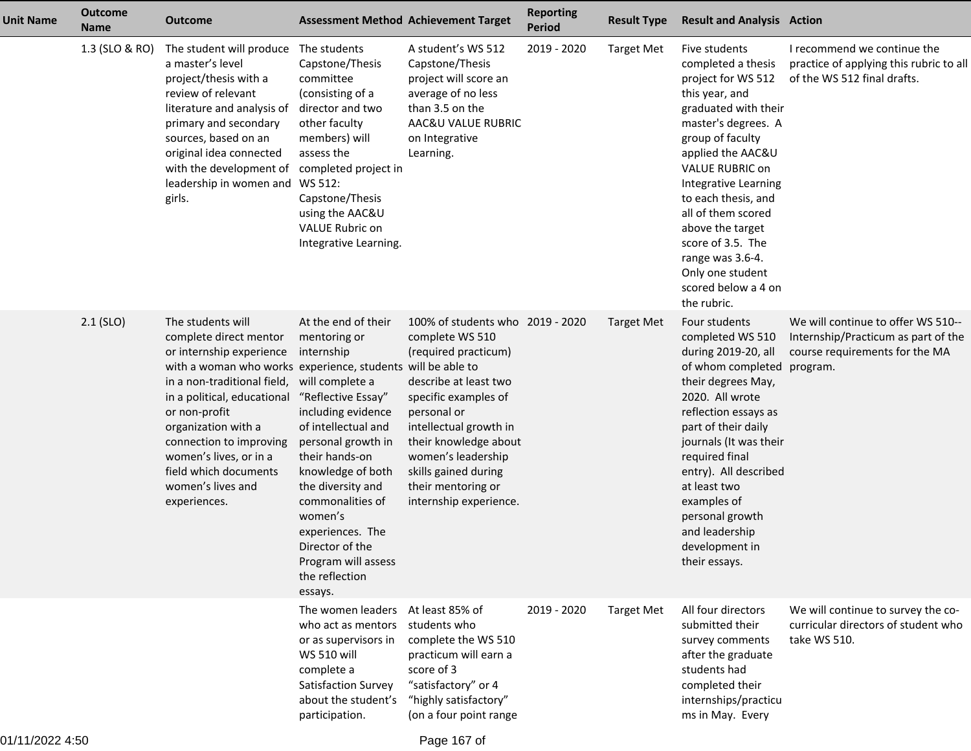| <b>Unit Name</b> | <b>Outcome</b><br><b>Name</b> | <b>Outcome</b>                                                                                                                                                                                                                                                                                                                                                  |                                                                                                                                                                                                                                                                                                                                                     | <b>Assessment Method Achievement Target</b>                                                                                                                                                                                                                                                  | <b>Reporting</b><br><b>Period</b> | <b>Result Type</b> | <b>Result and Analysis Action</b>                                                                                                                                                                                                                                                                                                                                                         |                                                                                                             |
|------------------|-------------------------------|-----------------------------------------------------------------------------------------------------------------------------------------------------------------------------------------------------------------------------------------------------------------------------------------------------------------------------------------------------------------|-----------------------------------------------------------------------------------------------------------------------------------------------------------------------------------------------------------------------------------------------------------------------------------------------------------------------------------------------------|----------------------------------------------------------------------------------------------------------------------------------------------------------------------------------------------------------------------------------------------------------------------------------------------|-----------------------------------|--------------------|-------------------------------------------------------------------------------------------------------------------------------------------------------------------------------------------------------------------------------------------------------------------------------------------------------------------------------------------------------------------------------------------|-------------------------------------------------------------------------------------------------------------|
|                  | 1.3 (SLO & RO)                | The student will produce The students<br>a master's level<br>project/thesis with a<br>review of relevant<br>literature and analysis of<br>primary and secondary<br>sources, based on an<br>original idea connected<br>with the development of<br>leadership in women and WS 512:<br>girls.                                                                      | Capstone/Thesis<br>committee<br>(consisting of a<br>director and two<br>other faculty<br>members) will<br>assess the<br>completed project in<br>Capstone/Thesis<br>using the AAC&U<br>VALUE Rubric on<br>Integrative Learning.                                                                                                                      | A student's WS 512<br>Capstone/Thesis<br>project will score an<br>average of no less<br>than 3.5 on the<br>AAC&U VALUE RUBRIC<br>on Integrative<br>Learning.                                                                                                                                 | 2019 - 2020                       | <b>Target Met</b>  | Five students<br>completed a thesis<br>project for WS 512<br>this year, and<br>graduated with their<br>master's degrees. A<br>group of faculty<br>applied the AAC&U<br><b>VALUE RUBRIC on</b><br>Integrative Learning<br>to each thesis, and<br>all of them scored<br>above the target<br>score of 3.5. The<br>range was 3.6-4.<br>Only one student<br>scored below a 4 on<br>the rubric. | I recommend we continue the<br>practice of applying this rubric to all<br>of the WS 512 final drafts.       |
|                  | $2.1$ (SLO)                   | The students will<br>complete direct mentor<br>or internship experience<br>with a woman who works experience, students will be able to<br>in a non-traditional field,<br>in a political, educational<br>or non-profit<br>organization with a<br>connection to improving<br>women's lives, or in a<br>field which documents<br>women's lives and<br>experiences. | At the end of their<br>mentoring or<br>internship<br>will complete a<br>"Reflective Essay"<br>including evidence<br>of intellectual and<br>personal growth in<br>their hands-on<br>knowledge of both<br>the diversity and<br>commonalities of<br>women's<br>experiences. The<br>Director of the<br>Program will assess<br>the reflection<br>essays. | 100% of students who 2019 - 2020<br>complete WS 510<br>(required practicum)<br>describe at least two<br>specific examples of<br>personal or<br>intellectual growth in<br>their knowledge about<br>women's leadership<br>skills gained during<br>their mentoring or<br>internship experience. |                                   | <b>Target Met</b>  | Four students<br>completed WS 510<br>during 2019-20, all<br>of whom completed program.<br>their degrees May,<br>2020. All wrote<br>reflection essays as<br>part of their daily<br>journals (It was their<br>required final<br>entry). All described<br>at least two<br>examples of<br>personal growth<br>and leadership<br>development in<br>their essays.                                | We will continue to offer WS 510--<br>Internship/Practicum as part of the<br>course requirements for the MA |
|                  |                               |                                                                                                                                                                                                                                                                                                                                                                 | The women leaders<br>who act as mentors<br>or as supervisors in<br><b>WS 510 will</b><br>complete a<br>Satisfaction Survey<br>about the student's<br>participation.                                                                                                                                                                                 | At least 85% of<br>students who<br>complete the WS 510<br>practicum will earn a<br>score of 3<br>"satisfactory" or 4<br>"highly satisfactory"<br>(on a four point range                                                                                                                      | 2019 - 2020                       | <b>Target Met</b>  | All four directors<br>submitted their<br>survey comments<br>after the graduate<br>students had<br>completed their<br>internships/practicu<br>ms in May. Every                                                                                                                                                                                                                             | We will continue to survey the co-<br>curricular directors of student who<br>take WS 510.                   |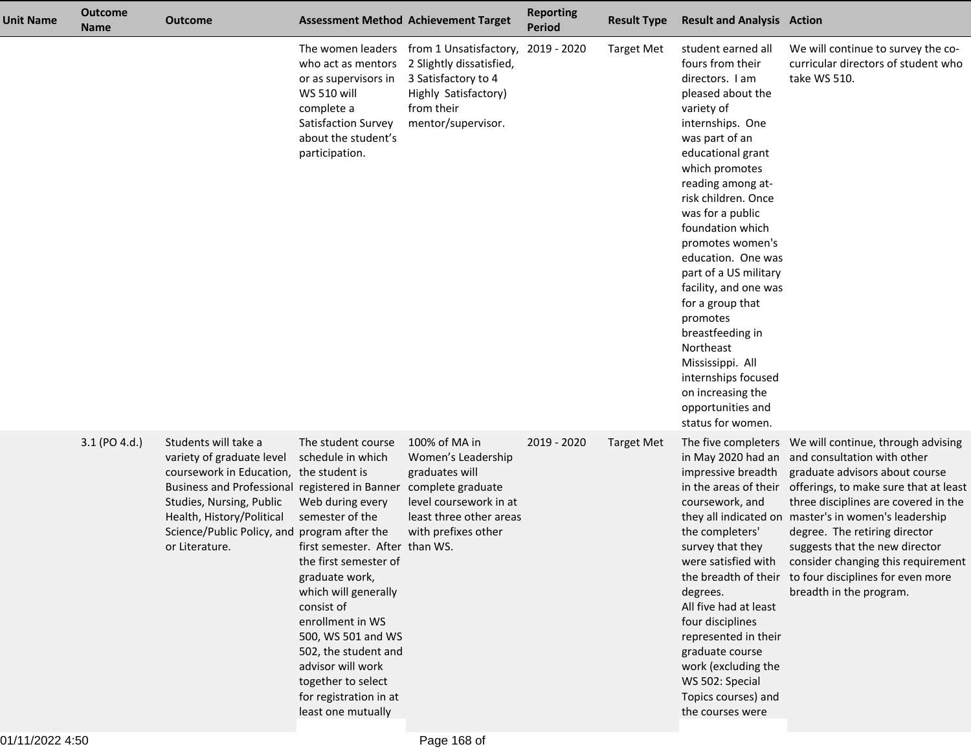| <b>Unit Name</b> | <b>Outcome</b><br><b>Name</b> | <b>Outcome</b>                                                                                                                                                                                                                                                            |                                                                                                                                                                                                                                                                                                                                                                | <b>Assessment Method Achievement Target</b>                                                                                                             | <b>Reporting</b><br><b>Period</b> | <b>Result Type</b> | <b>Result and Analysis Action</b>                                                                                                                                                                                                                                                                                                                                                                                                                                                                                                    |                                                                                                                                                                                                                                                                                                                                                                                                                                                                                                                              |
|------------------|-------------------------------|---------------------------------------------------------------------------------------------------------------------------------------------------------------------------------------------------------------------------------------------------------------------------|----------------------------------------------------------------------------------------------------------------------------------------------------------------------------------------------------------------------------------------------------------------------------------------------------------------------------------------------------------------|---------------------------------------------------------------------------------------------------------------------------------------------------------|-----------------------------------|--------------------|--------------------------------------------------------------------------------------------------------------------------------------------------------------------------------------------------------------------------------------------------------------------------------------------------------------------------------------------------------------------------------------------------------------------------------------------------------------------------------------------------------------------------------------|------------------------------------------------------------------------------------------------------------------------------------------------------------------------------------------------------------------------------------------------------------------------------------------------------------------------------------------------------------------------------------------------------------------------------------------------------------------------------------------------------------------------------|
|                  |                               |                                                                                                                                                                                                                                                                           | who act as mentors<br>or as supervisors in<br><b>WS 510 will</b><br>complete a<br>Satisfaction Survey<br>about the student's<br>participation.                                                                                                                                                                                                                 | The women leaders from 1 Unsatisfactory,<br>2 Slightly dissatisfied,<br>3 Satisfactory to 4<br>Highly Satisfactory)<br>from their<br>mentor/supervisor. | 2019 - 2020                       | <b>Target Met</b>  | student earned all<br>fours from their<br>directors. I am<br>pleased about the<br>variety of<br>internships. One<br>was part of an<br>educational grant<br>which promotes<br>reading among at-<br>risk children. Once<br>was for a public<br>foundation which<br>promotes women's<br>education. One was<br>part of a US military<br>facility, and one was<br>for a group that<br>promotes<br>breastfeeding in<br>Northeast<br>Mississippi. All<br>internships focused<br>on increasing the<br>opportunities and<br>status for women. | We will continue to survey the co-<br>curricular directors of student who<br>take WS 510.                                                                                                                                                                                                                                                                                                                                                                                                                                    |
|                  | 3.1 (PO 4.d.)                 | Students will take a<br>variety of graduate level<br>coursework in Education, the student is<br>Business and Professional registered in Banner<br>Studies, Nursing, Public<br>Health, History/Political<br>Science/Public Policy, and program after the<br>or Literature. | The student course<br>schedule in which<br>Web during every<br>semester of the<br>first semester. After than WS.<br>the first semester of<br>graduate work,<br>which will generally<br>consist of<br>enrollment in WS<br>500, WS 501 and WS<br>502, the student and<br>advisor will work<br>together to select<br>for registration in at<br>least one mutually | 100% of MA in<br>Women's Leadership<br>graduates will<br>complete graduate<br>level coursework in at<br>least three other areas<br>with prefixes other  | 2019 - 2020                       | Target Met         | impressive breadth<br>coursework, and<br>the completers'<br>survey that they<br>degrees.<br>All five had at least<br>four disciplines<br>represented in their<br>graduate course<br>work (excluding the<br>WS 502: Special<br>Topics courses) and<br>the courses were                                                                                                                                                                                                                                                                | The five completers  We will continue, through advising<br>in May 2020 had an and consultation with other<br>graduate advisors about course<br>in the areas of their offerings, to make sure that at least<br>three disciplines are covered in the<br>they all indicated on master's in women's leadership<br>degree. The retiring director<br>suggests that the new director<br>were satisfied with consider changing this requirement<br>the breadth of their to four disciplines for even more<br>breadth in the program. |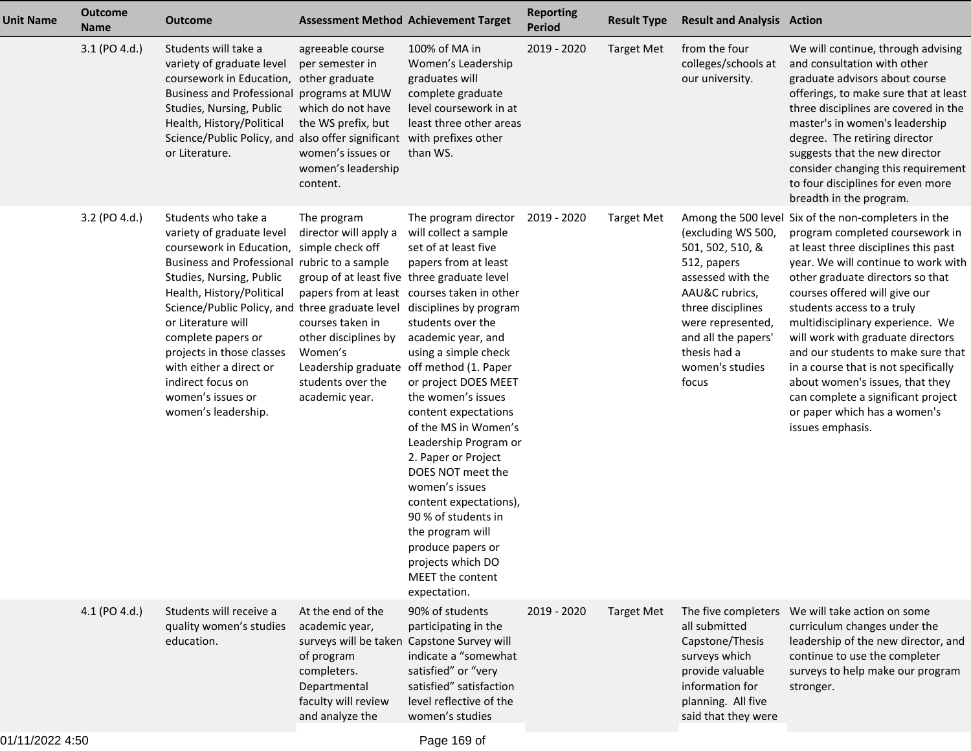| <b>Unit Name</b> | <b>Outcome</b><br><b>Name</b> | <b>Outcome</b>                                                                                                                                                                                                                                                                                                                                                                                                                 | <b>Assessment Method Achievement Target</b>                                                                                                                                                                                   |                                                                                                                                                                                                                                                                                                                                                                                                                                                                                                                                                                                   | <b>Reporting</b><br><b>Period</b> | <b>Result Type</b> | <b>Result and Analysis Action</b>                                                                                                                                                                         |                                                                                                                                                                                                                                                                                                                                                                                                                                                                                                                                                               |
|------------------|-------------------------------|--------------------------------------------------------------------------------------------------------------------------------------------------------------------------------------------------------------------------------------------------------------------------------------------------------------------------------------------------------------------------------------------------------------------------------|-------------------------------------------------------------------------------------------------------------------------------------------------------------------------------------------------------------------------------|-----------------------------------------------------------------------------------------------------------------------------------------------------------------------------------------------------------------------------------------------------------------------------------------------------------------------------------------------------------------------------------------------------------------------------------------------------------------------------------------------------------------------------------------------------------------------------------|-----------------------------------|--------------------|-----------------------------------------------------------------------------------------------------------------------------------------------------------------------------------------------------------|---------------------------------------------------------------------------------------------------------------------------------------------------------------------------------------------------------------------------------------------------------------------------------------------------------------------------------------------------------------------------------------------------------------------------------------------------------------------------------------------------------------------------------------------------------------|
|                  | 3.1 (PO 4.d.)                 | Students will take a<br>variety of graduate level<br>coursework in Education,<br>Business and Professional programs at MUW<br>Studies, Nursing, Public<br>Health, History/Political<br>Science/Public Policy, and also offer significant with prefixes other<br>or Literature.                                                                                                                                                 | agreeable course<br>per semester in<br>other graduate<br>which do not have<br>the WS prefix, but<br>women's issues or<br>women's leadership<br>content.                                                                       | 100% of MA in<br>Women's Leadership<br>graduates will<br>complete graduate<br>level coursework in at<br>least three other areas<br>than WS.                                                                                                                                                                                                                                                                                                                                                                                                                                       | 2019 - 2020                       | <b>Target Met</b>  | from the four<br>colleges/schools at<br>our university.                                                                                                                                                   | We will continue, through advising<br>and consultation with other<br>graduate advisors about course<br>offerings, to make sure that at least<br>three disciplines are covered in the<br>master's in women's leadership<br>degree. The retiring director<br>suggests that the new director<br>consider changing this requirement<br>to four disciplines for even more<br>breadth in the program.                                                                                                                                                               |
|                  | 3.2 (PO 4.d.)                 | Students who take a<br>variety of graduate level<br>coursework in Education, simple check off<br>Business and Professional rubric to a sample<br>Studies, Nursing, Public<br>Health, History/Political<br>Science/Public Policy, and three graduate level<br>or Literature will<br>complete papers or<br>projects in those classes<br>with either a direct or<br>indirect focus on<br>women's issues or<br>women's leadership. | The program<br>director will apply a<br>group of at least five three graduate level<br>courses taken in<br>other disciplines by<br>Women's<br>Leadership graduate off method (1. Paper<br>students over the<br>academic year. | The program director<br>will collect a sample<br>set of at least five<br>papers from at least<br>papers from at least courses taken in other<br>disciplines by program<br>students over the<br>academic year, and<br>using a simple check<br>or project DOES MEET<br>the women's issues<br>content expectations<br>of the MS in Women's<br>Leadership Program or<br>2. Paper or Project<br>DOES NOT meet the<br>women's issues<br>content expectations),<br>90 % of students in<br>the program will<br>produce papers or<br>projects which DO<br>MEET the content<br>expectation. | 2019 - 2020                       | <b>Target Met</b>  | (excluding WS 500,<br>501, 502, 510, &<br>512, papers<br>assessed with the<br>AAU&C rubrics,<br>three disciplines<br>were represented,<br>and all the papers'<br>thesis had a<br>women's studies<br>focus | Among the 500 level Six of the non-completers in the<br>program completed coursework in<br>at least three disciplines this past<br>year. We will continue to work with<br>other graduate directors so that<br>courses offered will give our<br>students access to a truly<br>multidisciplinary experience. We<br>will work with graduate directors<br>and our students to make sure that<br>in a course that is not specifically<br>about women's issues, that they<br>can complete a significant project<br>or paper which has a women's<br>issues emphasis. |
|                  | 4.1 (PO 4.d.)                 | Students will receive a<br>quality women's studies<br>education.                                                                                                                                                                                                                                                                                                                                                               | At the end of the<br>academic year,<br>surveys will be taken Capstone Survey will<br>of program<br>completers.<br>Departmental<br>faculty will review<br>and analyze the                                                      | 90% of students<br>participating in the<br>indicate a "somewhat<br>satisfied" or "very<br>satisfied" satisfaction<br>level reflective of the<br>women's studies                                                                                                                                                                                                                                                                                                                                                                                                                   | 2019 - 2020                       | <b>Target Met</b>  | all submitted<br>Capstone/Thesis<br>surveys which<br>provide valuable<br>information for<br>planning. All five<br>said that they were                                                                     | The five completers  We will take action on some<br>curriculum changes under the<br>leadership of the new director, and<br>continue to use the completer<br>surveys to help make our program<br>stronger.                                                                                                                                                                                                                                                                                                                                                     |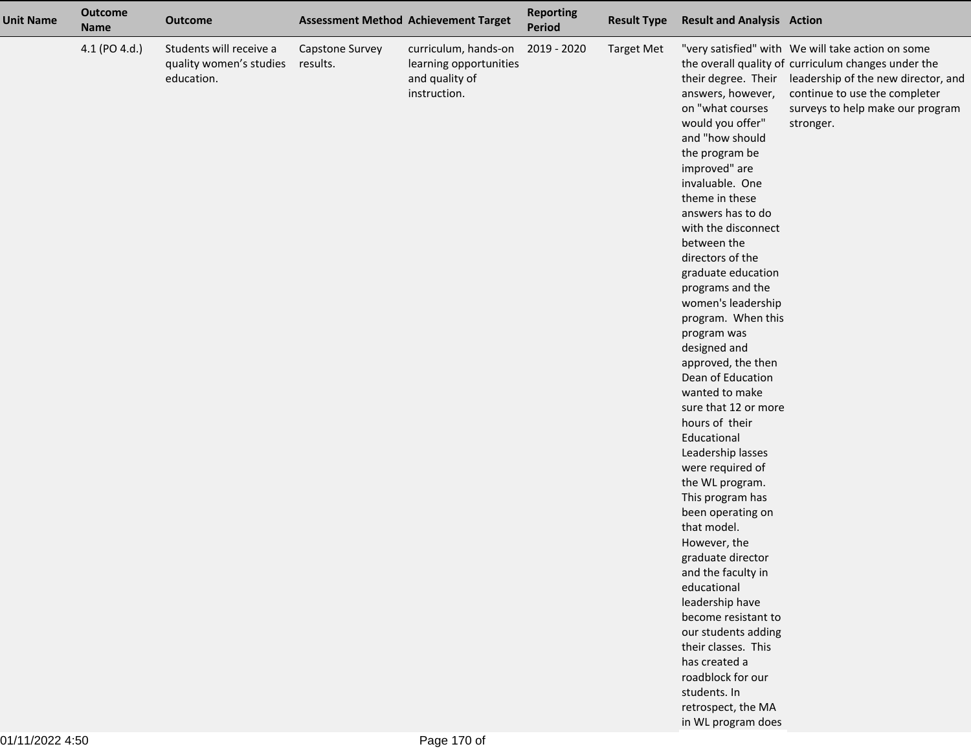| <b>Unit Name</b> | <b>Outcome</b><br><b>Name</b> | <b>Outcome</b>                                                   |                             | <b>Assessment Method Achievement Target</b>                                      | <b>Reporting</b><br><b>Period</b> | <b>Result Type</b> | <b>Result and Analysis Action</b>                                                                                                                                                                                                                                                                                                                                                                                                                                                                                                                                                                                                                                                                                                                                                                                                                                      |                                                                                                                                                                                                                                                       |
|------------------|-------------------------------|------------------------------------------------------------------|-----------------------------|----------------------------------------------------------------------------------|-----------------------------------|--------------------|------------------------------------------------------------------------------------------------------------------------------------------------------------------------------------------------------------------------------------------------------------------------------------------------------------------------------------------------------------------------------------------------------------------------------------------------------------------------------------------------------------------------------------------------------------------------------------------------------------------------------------------------------------------------------------------------------------------------------------------------------------------------------------------------------------------------------------------------------------------------|-------------------------------------------------------------------------------------------------------------------------------------------------------------------------------------------------------------------------------------------------------|
|                  | 4.1 (PO 4.d.)                 | Students will receive a<br>quality women's studies<br>education. | Capstone Survey<br>results. | curriculum, hands-on<br>learning opportunities<br>and quality of<br>instruction. | 2019 - 2020                       | <b>Target Met</b>  | answers, however,<br>on "what courses<br>would you offer"<br>and "how should<br>the program be<br>improved" are<br>invaluable. One<br>theme in these<br>answers has to do<br>with the disconnect<br>between the<br>directors of the<br>graduate education<br>programs and the<br>women's leadership<br>program. When this<br>program was<br>designed and<br>approved, the then<br>Dean of Education<br>wanted to make<br>sure that 12 or more<br>hours of their<br>Educational<br>Leadership lasses<br>were required of<br>the WL program.<br>This program has<br>been operating on<br>that model.<br>However, the<br>graduate director<br>and the faculty in<br>educational<br>leadership have<br>become resistant to<br>our students adding<br>their classes. This<br>has created a<br>roadblock for our<br>students. In<br>retrospect, the MA<br>in WL program does | "very satisfied" with We will take action on some<br>the overall quality of curriculum changes under the<br>their degree. Their leadership of the new director, and<br>continue to use the completer<br>surveys to help make our program<br>stronger. |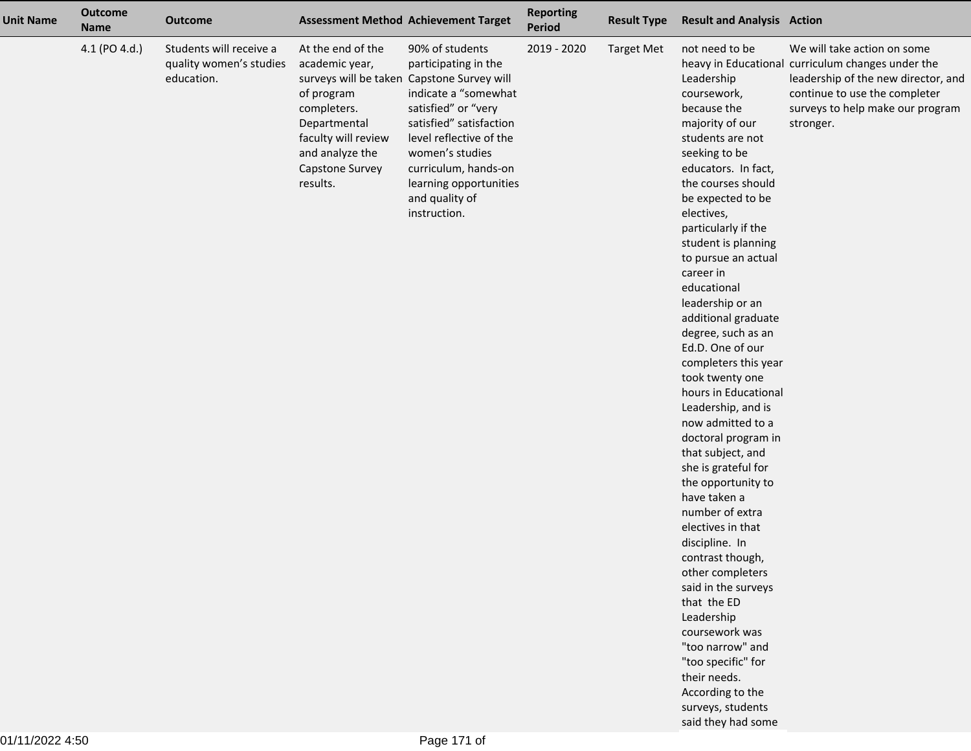| <b>Unit Name</b> | <b>Outcome</b><br><b>Name</b> | <b>Outcome</b>                                                   |                                                                                                                                                           | <b>Assessment Method Achievement Target</b>                                                                                                                                                                                                                                                       | <b>Reporting</b><br><b>Period</b> | <b>Result Type</b> | <b>Result and Analysis Action</b>                                                                                                                                                                                                                                                                                                                                                                                                                                                                                                                                                                                                                                                                                                                                                                                                                                                                                |                                                                                                                                                                                                           |
|------------------|-------------------------------|------------------------------------------------------------------|-----------------------------------------------------------------------------------------------------------------------------------------------------------|---------------------------------------------------------------------------------------------------------------------------------------------------------------------------------------------------------------------------------------------------------------------------------------------------|-----------------------------------|--------------------|------------------------------------------------------------------------------------------------------------------------------------------------------------------------------------------------------------------------------------------------------------------------------------------------------------------------------------------------------------------------------------------------------------------------------------------------------------------------------------------------------------------------------------------------------------------------------------------------------------------------------------------------------------------------------------------------------------------------------------------------------------------------------------------------------------------------------------------------------------------------------------------------------------------|-----------------------------------------------------------------------------------------------------------------------------------------------------------------------------------------------------------|
|                  | 4.1 (PO 4.d.)                 | Students will receive a<br>quality women's studies<br>education. | At the end of the<br>academic year,<br>of program<br>completers.<br>Departmental<br>faculty will review<br>and analyze the<br>Capstone Survey<br>results. | 90% of students<br>participating in the<br>surveys will be taken Capstone Survey will<br>indicate a "somewhat<br>satisfied" or "very<br>satisfied" satisfaction<br>level reflective of the<br>women's studies<br>curriculum, hands-on<br>learning opportunities<br>and quality of<br>instruction. | 2019 - 2020                       | <b>Target Met</b>  | not need to be<br>Leadership<br>coursework,<br>because the<br>majority of our<br>students are not<br>seeking to be<br>educators. In fact,<br>the courses should<br>be expected to be<br>electives,<br>particularly if the<br>student is planning<br>to pursue an actual<br>career in<br>educational<br>leadership or an<br>additional graduate<br>degree, such as an<br>Ed.D. One of our<br>completers this year<br>took twenty one<br>hours in Educational<br>Leadership, and is<br>now admitted to a<br>doctoral program in<br>that subject, and<br>she is grateful for<br>the opportunity to<br>have taken a<br>number of extra<br>electives in that<br>discipline. In<br>contrast though,<br>other completers<br>said in the surveys<br>that the ED<br>Leadership<br>coursework was<br>"too narrow" and<br>"too specific" for<br>their needs.<br>According to the<br>surveys, students<br>said they had some | We will take action on some<br>heavy in Educational curriculum changes under the<br>leadership of the new director, and<br>continue to use the completer<br>surveys to help make our program<br>stronger. |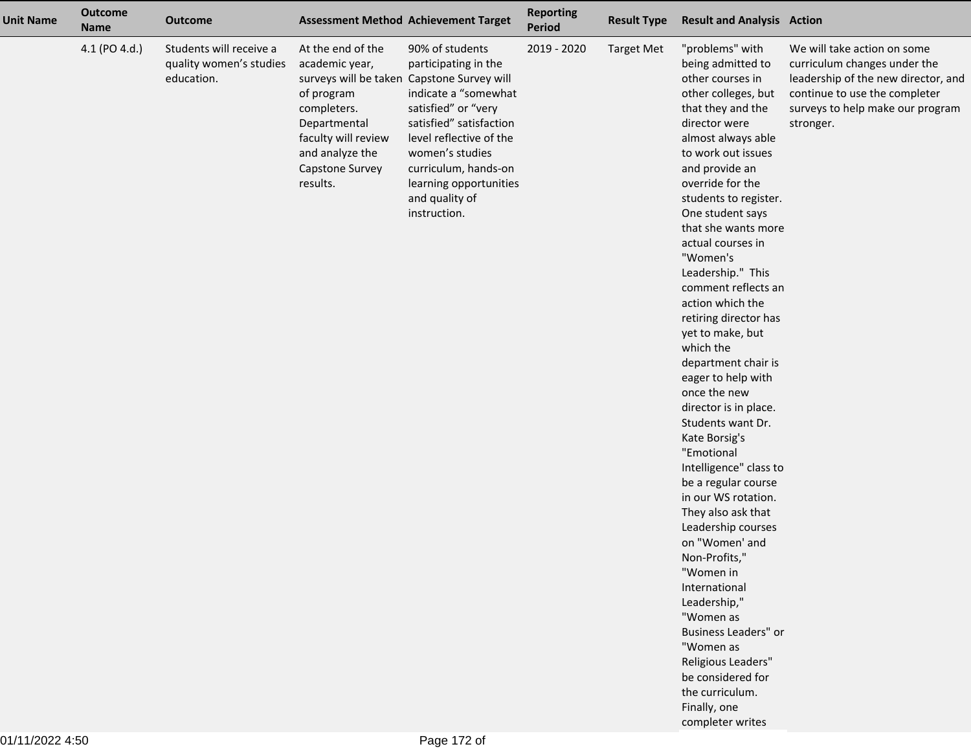| <b>Unit Name</b> | <b>Outcome</b><br><b>Name</b> | <b>Outcome</b>                                                   |                                                                                                                                                           | <b>Assessment Method Achievement Target</b>                                                                                                                                                                                                                                                       | <b>Reporting</b><br><b>Period</b> | <b>Result Type</b> | <b>Result and Analysis Action</b>                                                                                                                                                                                                                                                                                                                                                                                                                                                                                                                                                                                                                                                                                                                                                                                                                                                                                                         |                                                                                                                                                                                      |
|------------------|-------------------------------|------------------------------------------------------------------|-----------------------------------------------------------------------------------------------------------------------------------------------------------|---------------------------------------------------------------------------------------------------------------------------------------------------------------------------------------------------------------------------------------------------------------------------------------------------|-----------------------------------|--------------------|-------------------------------------------------------------------------------------------------------------------------------------------------------------------------------------------------------------------------------------------------------------------------------------------------------------------------------------------------------------------------------------------------------------------------------------------------------------------------------------------------------------------------------------------------------------------------------------------------------------------------------------------------------------------------------------------------------------------------------------------------------------------------------------------------------------------------------------------------------------------------------------------------------------------------------------------|--------------------------------------------------------------------------------------------------------------------------------------------------------------------------------------|
|                  | 4.1 (PO 4.d.)                 | Students will receive a<br>quality women's studies<br>education. | At the end of the<br>academic year,<br>of program<br>completers.<br>Departmental<br>faculty will review<br>and analyze the<br>Capstone Survey<br>results. | 90% of students<br>participating in the<br>surveys will be taken Capstone Survey will<br>indicate a "somewhat<br>satisfied" or "very<br>satisfied" satisfaction<br>level reflective of the<br>women's studies<br>curriculum, hands-on<br>learning opportunities<br>and quality of<br>instruction. | 2019 - 2020                       | <b>Target Met</b>  | "problems" with<br>being admitted to<br>other courses in<br>other colleges, but<br>that they and the<br>director were<br>almost always able<br>to work out issues<br>and provide an<br>override for the<br>students to register.<br>One student says<br>that she wants more<br>actual courses in<br>"Women's<br>Leadership." This<br>comment reflects an<br>action which the<br>retiring director has<br>yet to make, but<br>which the<br>department chair is<br>eager to help with<br>once the new<br>director is in place.<br>Students want Dr.<br>Kate Borsig's<br>"Emotional<br>Intelligence" class to<br>be a regular course<br>in our WS rotation.<br>They also ask that<br>Leadership courses<br>on "Women' and<br>Non-Profits,"<br>"Women in<br>International<br>Leadership,"<br>"Women as<br>Business Leaders" or<br>"Women as<br>Religious Leaders"<br>be considered for<br>the curriculum.<br>Finally, one<br>completer writes | We will take action on some<br>curriculum changes under the<br>leadership of the new director, and<br>continue to use the completer<br>surveys to help make our program<br>stronger. |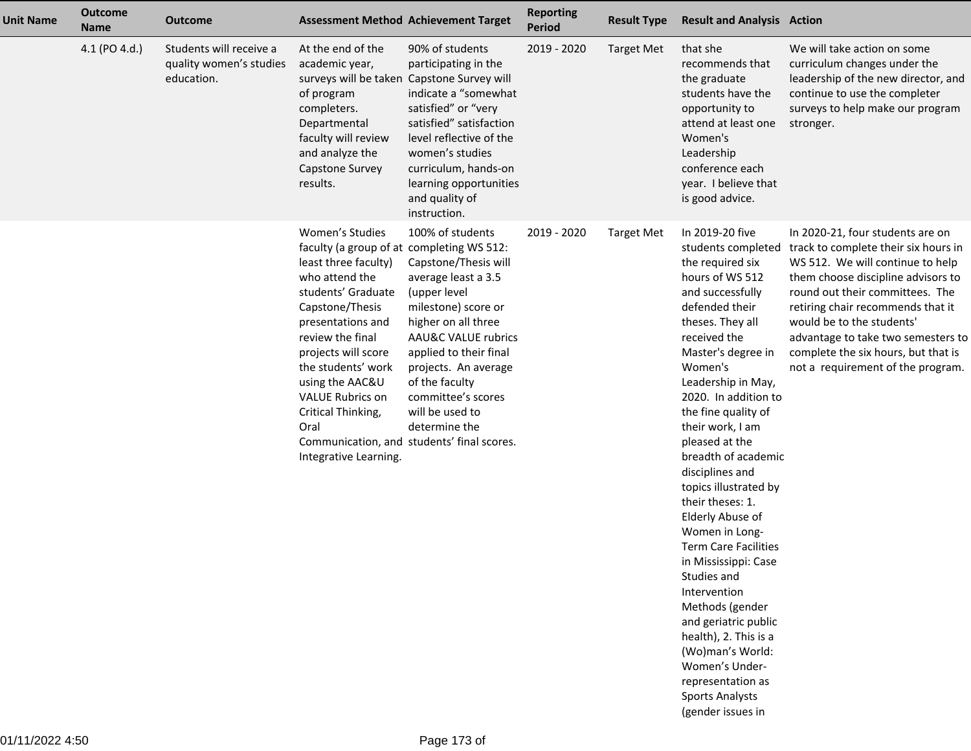| <b>Unit Name</b> | <b>Outcome</b><br><b>Name</b> | <b>Outcome</b>                                                   |                                                                                                                                                                                                                                                                                                                                            | <b>Assessment Method Achievement Target</b>                                                                                                                                                                                                                                                                                      | <b>Reporting</b><br><b>Period</b> | <b>Result Type</b> | <b>Result and Analysis Action</b>                                                                                                                                                                                                                                                                                                                                                                                                                                                                                                                                                                                                                                                                   |                                                                                                                                                                                                                                                                                                                                                                           |
|------------------|-------------------------------|------------------------------------------------------------------|--------------------------------------------------------------------------------------------------------------------------------------------------------------------------------------------------------------------------------------------------------------------------------------------------------------------------------------------|----------------------------------------------------------------------------------------------------------------------------------------------------------------------------------------------------------------------------------------------------------------------------------------------------------------------------------|-----------------------------------|--------------------|-----------------------------------------------------------------------------------------------------------------------------------------------------------------------------------------------------------------------------------------------------------------------------------------------------------------------------------------------------------------------------------------------------------------------------------------------------------------------------------------------------------------------------------------------------------------------------------------------------------------------------------------------------------------------------------------------------|---------------------------------------------------------------------------------------------------------------------------------------------------------------------------------------------------------------------------------------------------------------------------------------------------------------------------------------------------------------------------|
|                  | 4.1 (PO 4.d.)                 | Students will receive a<br>quality women's studies<br>education. | At the end of the<br>academic year,<br>surveys will be taken Capstone Survey will<br>of program<br>completers.<br>Departmental<br>faculty will review<br>and analyze the<br>Capstone Survey<br>results.                                                                                                                                    | 90% of students<br>participating in the<br>indicate a "somewhat<br>satisfied" or "very<br>satisfied" satisfaction<br>level reflective of the<br>women's studies<br>curriculum, hands-on<br>learning opportunities<br>and quality of<br>instruction.                                                                              | 2019 - 2020                       | <b>Target Met</b>  | that she<br>recommends that<br>the graduate<br>students have the<br>opportunity to<br>attend at least one<br>Women's<br>Leadership<br>conference each<br>year. I believe that<br>is good advice.                                                                                                                                                                                                                                                                                                                                                                                                                                                                                                    | We will take action on some<br>curriculum changes under the<br>leadership of the new director, and<br>continue to use the completer<br>surveys to help make our program<br>stronger.                                                                                                                                                                                      |
|                  |                               |                                                                  | Women's Studies<br>faculty (a group of at completing WS 512:<br>least three faculty)<br>who attend the<br>students' Graduate<br>Capstone/Thesis<br>presentations and<br>review the final<br>projects will score<br>the students' work<br>using the AAC&U<br><b>VALUE Rubrics on</b><br>Critical Thinking,<br>Oral<br>Integrative Learning. | 100% of students<br>Capstone/Thesis will<br>average least a 3.5<br>(upper level<br>milestone) score or<br>higher on all three<br>AAU&C VALUE rubrics<br>applied to their final<br>projects. An average<br>of the faculty<br>committee's scores<br>will be used to<br>determine the<br>Communication, and students' final scores. | 2019 - 2020                       | <b>Target Met</b>  | In 2019-20 five<br>students completed<br>the required six<br>hours of WS 512<br>and successfully<br>defended their<br>theses. They all<br>received the<br>Master's degree in<br>Women's<br>Leadership in May,<br>2020. In addition to<br>the fine quality of<br>their work, I am<br>pleased at the<br>breadth of academic<br>disciplines and<br>topics illustrated by<br>their theses: 1.<br>Elderly Abuse of<br>Women in Long-<br><b>Term Care Facilities</b><br>in Mississippi: Case<br>Studies and<br>Intervention<br>Methods (gender<br>and geriatric public<br>health), 2. This is a<br>(Wo)man's World:<br>Women's Under-<br>representation as<br><b>Sports Analysts</b><br>(gender issues in | In 2020-21, four students are on<br>track to complete their six hours in<br>WS 512. We will continue to help<br>them choose discipline advisors to<br>round out their committees. The<br>retiring chair recommends that it<br>would be to the students'<br>advantage to take two semesters to<br>complete the six hours, but that is<br>not a requirement of the program. |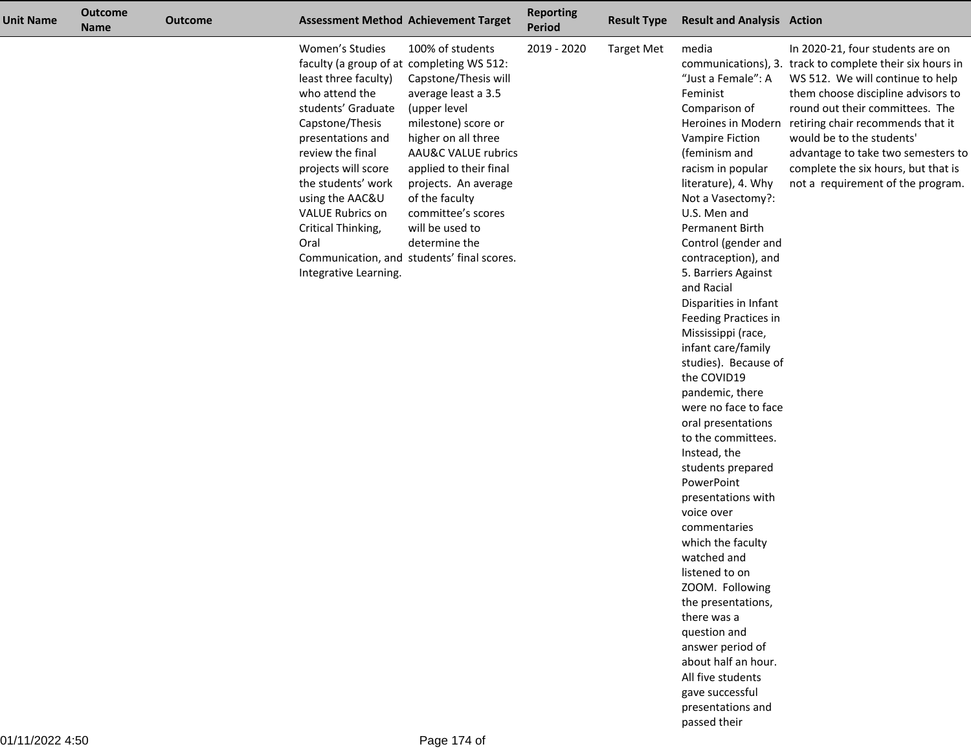| <b>Unit Name</b> | <b>Outcome</b><br><b>Name</b> | <b>Outcome</b> |                                                                                                                                                                                                                                                                                                                                            | <b>Assessment Method Achievement Target</b>                                                                                                                                                                                                                                                                                      | <b>Reporting</b><br>Period | <b>Result Type</b> | <b>Result and Analysis Action</b>                                                                                                                                                                                                                                                                                                                                                                                                                                                                                                                                                                                                                                                                                                                                                                                                                                           |                                                                                                                                                                                                                                                                                                                                                                                                                  |
|------------------|-------------------------------|----------------|--------------------------------------------------------------------------------------------------------------------------------------------------------------------------------------------------------------------------------------------------------------------------------------------------------------------------------------------|----------------------------------------------------------------------------------------------------------------------------------------------------------------------------------------------------------------------------------------------------------------------------------------------------------------------------------|----------------------------|--------------------|-----------------------------------------------------------------------------------------------------------------------------------------------------------------------------------------------------------------------------------------------------------------------------------------------------------------------------------------------------------------------------------------------------------------------------------------------------------------------------------------------------------------------------------------------------------------------------------------------------------------------------------------------------------------------------------------------------------------------------------------------------------------------------------------------------------------------------------------------------------------------------|------------------------------------------------------------------------------------------------------------------------------------------------------------------------------------------------------------------------------------------------------------------------------------------------------------------------------------------------------------------------------------------------------------------|
|                  |                               |                | Women's Studies<br>faculty (a group of at completing WS 512:<br>least three faculty)<br>who attend the<br>students' Graduate<br>Capstone/Thesis<br>presentations and<br>review the final<br>projects will score<br>the students' work<br>using the AAC&U<br><b>VALUE Rubrics on</b><br>Critical Thinking,<br>Oral<br>Integrative Learning. | 100% of students<br>Capstone/Thesis will<br>average least a 3.5<br>(upper level<br>milestone) score or<br>higher on all three<br>AAU&C VALUE rubrics<br>applied to their final<br>projects. An average<br>of the faculty<br>committee's scores<br>will be used to<br>determine the<br>Communication, and students' final scores. | 2019 - 2020                | <b>Target Met</b>  | media<br>"Just a Female": A<br>Feminist<br>Comparison of<br>Vampire Fiction<br>(feminism and<br>racism in popular<br>literature), 4. Why<br>Not a Vasectomy?:<br>U.S. Men and<br>Permanent Birth<br>Control (gender and<br>contraception), and<br>5. Barriers Against<br>and Racial<br>Disparities in Infant<br>Feeding Practices in<br>Mississippi (race,<br>infant care/family<br>studies). Because of<br>the COVID19<br>pandemic, there<br>were no face to face<br>oral presentations<br>to the committees.<br>Instead, the<br>students prepared<br>PowerPoint<br>presentations with<br>voice over<br>commentaries<br>which the faculty<br>watched and<br>listened to on<br>ZOOM. Following<br>the presentations,<br>there was a<br>question and<br>answer period of<br>about half an hour.<br>All five students<br>gave successful<br>presentations and<br>passed their | In 2020-21, four students are on<br>communications), 3. track to complete their six hours in<br>WS 512. We will continue to help<br>them choose discipline advisors to<br>round out their committees. The<br>Heroines in Modern retiring chair recommends that it<br>would be to the students'<br>advantage to take two semesters to<br>complete the six hours, but that is<br>not a requirement of the program. |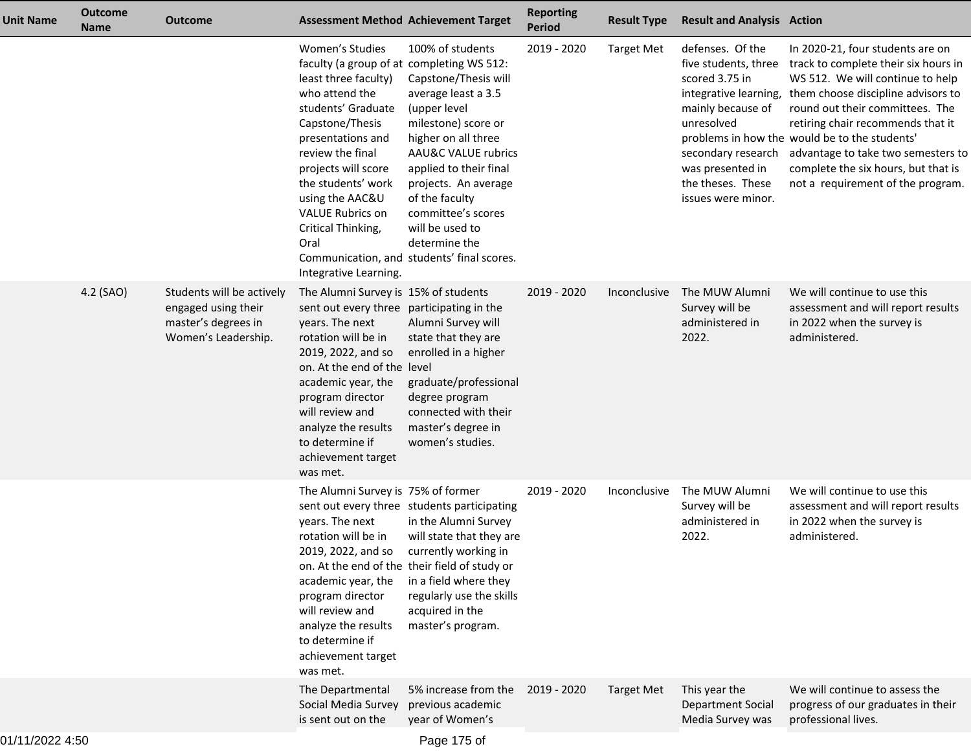| Unit Name     | <b>Outcome</b><br><b>Name</b> | <b>Outcome</b>                                                                                 | <b>Assessment Method Achievement Target</b>                                                                                                                                                                                                                                                                                                |                                                                                                                                                                                                                                                                                                                                             | <b>Reporting</b><br><b>Period</b> | <b>Result Type</b> | <b>Result and Analysis Action</b>                                                                                                                                                  |                                                                                                                                                                                                                                                                                                                                                                                                                     |
|---------------|-------------------------------|------------------------------------------------------------------------------------------------|--------------------------------------------------------------------------------------------------------------------------------------------------------------------------------------------------------------------------------------------------------------------------------------------------------------------------------------------|---------------------------------------------------------------------------------------------------------------------------------------------------------------------------------------------------------------------------------------------------------------------------------------------------------------------------------------------|-----------------------------------|--------------------|------------------------------------------------------------------------------------------------------------------------------------------------------------------------------------|---------------------------------------------------------------------------------------------------------------------------------------------------------------------------------------------------------------------------------------------------------------------------------------------------------------------------------------------------------------------------------------------------------------------|
|               |                               |                                                                                                | Women's Studies<br>faculty (a group of at completing WS 512:<br>least three faculty)<br>who attend the<br>students' Graduate<br>Capstone/Thesis<br>presentations and<br>review the final<br>projects will score<br>the students' work<br>using the AAC&U<br><b>VALUE Rubrics on</b><br>Critical Thinking,<br>Oral<br>Integrative Learning. | 100% of students<br>Capstone/Thesis will<br>average least a 3.5<br>(upper level<br>milestone) score or<br>higher on all three<br><b>AAU&amp;C VALUE rubrics</b><br>applied to their final<br>projects. An average<br>of the faculty<br>committee's scores<br>will be used to<br>determine the<br>Communication, and students' final scores. | 2019 - 2020                       | <b>Target Met</b>  | defenses. Of the<br>five students, three<br>scored 3.75 in<br>mainly because of<br>unresolved<br>secondary research<br>was presented in<br>the theses. These<br>issues were minor. | In 2020-21, four students are on<br>track to complete their six hours in<br>WS 512. We will continue to help<br>integrative learning, them choose discipline advisors to<br>round out their committees. The<br>retiring chair recommends that it<br>problems in how the would be to the students'<br>advantage to take two semesters to<br>complete the six hours, but that is<br>not a requirement of the program. |
|               | 4.2 (SAO)                     | Students will be actively<br>engaged using their<br>master's degrees in<br>Women's Leadership. | The Alumni Survey is 15% of students<br>sent out every three participating in the<br>years. The next<br>rotation will be in<br>2019, 2022, and so<br>on. At the end of the level<br>academic year, the<br>program director<br>will review and<br>analyze the results<br>to determine if<br>achievement target<br>was met.                  | Alumni Survey will<br>state that they are<br>enrolled in a higher<br>graduate/professional<br>degree program<br>connected with their<br>master's degree in<br>women's studies.                                                                                                                                                              | 2019 - 2020                       | Inconclusive       | The MUW Alumni<br>Survey will be<br>administered in<br>2022.                                                                                                                       | We will continue to use this<br>assessment and will report results<br>in 2022 when the survey is<br>administered.                                                                                                                                                                                                                                                                                                   |
|               |                               |                                                                                                | The Alumni Survey is 75% of former<br>years. The next<br>rotation will be in<br>2019, 2022, and so<br>academic year, the<br>program director<br>will review and<br>analyze the results<br>to determine if<br>achievement target<br>was met.                                                                                                | sent out every three students participating<br>in the Alumni Survey<br>will state that they are<br>currently working in<br>on. At the end of the their field of study or<br>in a field where they<br>regularly use the skills<br>acquired in the<br>master's program.                                                                       | 2019 - 2020                       | Inconclusive       | The MUW Alumni<br>Survey will be<br>administered in<br>2022.                                                                                                                       | We will continue to use this<br>assessment and will report results<br>in 2022 when the survey is<br>administered.                                                                                                                                                                                                                                                                                                   |
|               |                               |                                                                                                | The Departmental<br>Social Media Survey<br>is sent out on the                                                                                                                                                                                                                                                                              | 5% increase from the<br>previous academic<br>year of Women's                                                                                                                                                                                                                                                                                | 2019 - 2020                       | <b>Target Met</b>  | This year the<br><b>Department Social</b><br>Media Survey was                                                                                                                      | We will continue to assess the<br>progress of our graduates in their<br>professional lives.                                                                                                                                                                                                                                                                                                                         |
| $\frac{1}{2}$ |                               |                                                                                                |                                                                                                                                                                                                                                                                                                                                            |                                                                                                                                                                                                                                                                                                                                             |                                   |                    |                                                                                                                                                                                    |                                                                                                                                                                                                                                                                                                                                                                                                                     |

Page 175 of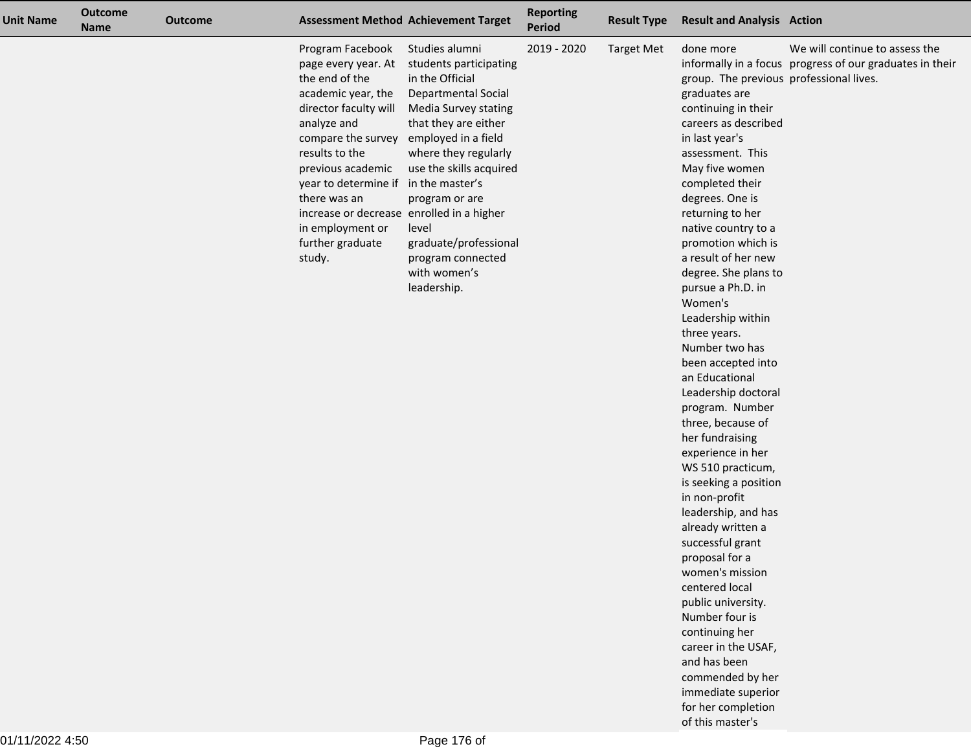| <b>Unit Name</b> | <b>Outcome</b><br><b>Name</b> | <b>Outcome</b> |                                                                                                                                                                                                                                                                                                                                             | <b>Assessment Method Achievement Target</b>                                                                                                                                                                                                                                                                          | <b>Reporting</b><br>Period | <b>Result Type</b> | <b>Result and Analysis Action</b>                                                                                                                                                                                                                                                                                                                                                                                                                                                                                                                                                                                                                                                                                                                                                                                                                                                                                               |                                                                                            |
|------------------|-------------------------------|----------------|---------------------------------------------------------------------------------------------------------------------------------------------------------------------------------------------------------------------------------------------------------------------------------------------------------------------------------------------|----------------------------------------------------------------------------------------------------------------------------------------------------------------------------------------------------------------------------------------------------------------------------------------------------------------------|----------------------------|--------------------|---------------------------------------------------------------------------------------------------------------------------------------------------------------------------------------------------------------------------------------------------------------------------------------------------------------------------------------------------------------------------------------------------------------------------------------------------------------------------------------------------------------------------------------------------------------------------------------------------------------------------------------------------------------------------------------------------------------------------------------------------------------------------------------------------------------------------------------------------------------------------------------------------------------------------------|--------------------------------------------------------------------------------------------|
|                  |                               |                | Program Facebook<br>page every year. At<br>the end of the<br>academic year, the<br>director faculty will<br>analyze and<br>compare the survey<br>results to the<br>previous academic<br>year to determine if in the master's<br>there was an<br>increase or decrease enrolled in a higher<br>in employment or<br>further graduate<br>study. | Studies alumni<br>students participating<br>in the Official<br>Departmental Social<br>Media Survey stating<br>that they are either<br>employed in a field<br>where they regularly<br>use the skills acquired<br>program or are<br>level<br>graduate/professional<br>program connected<br>with women's<br>leadership. | 2019 - 2020                | <b>Target Met</b>  | done more<br>group. The previous professional lives.<br>graduates are<br>continuing in their<br>careers as described<br>in last year's<br>assessment. This<br>May five women<br>completed their<br>degrees. One is<br>returning to her<br>native country to a<br>promotion which is<br>a result of her new<br>degree. She plans to<br>pursue a Ph.D. in<br>Women's<br>Leadership within<br>three years.<br>Number two has<br>been accepted into<br>an Educational<br>Leadership doctoral<br>program. Number<br>three, because of<br>her fundraising<br>experience in her<br>WS 510 practicum,<br>is seeking a position<br>in non-profit<br>leadership, and has<br>already written a<br>successful grant<br>proposal for a<br>women's mission<br>centered local<br>public university.<br>Number four is<br>continuing her<br>career in the USAF,<br>and has been<br>commended by her<br>immediate superior<br>for her completion | We will continue to assess the<br>informally in a focus progress of our graduates in their |

of this master's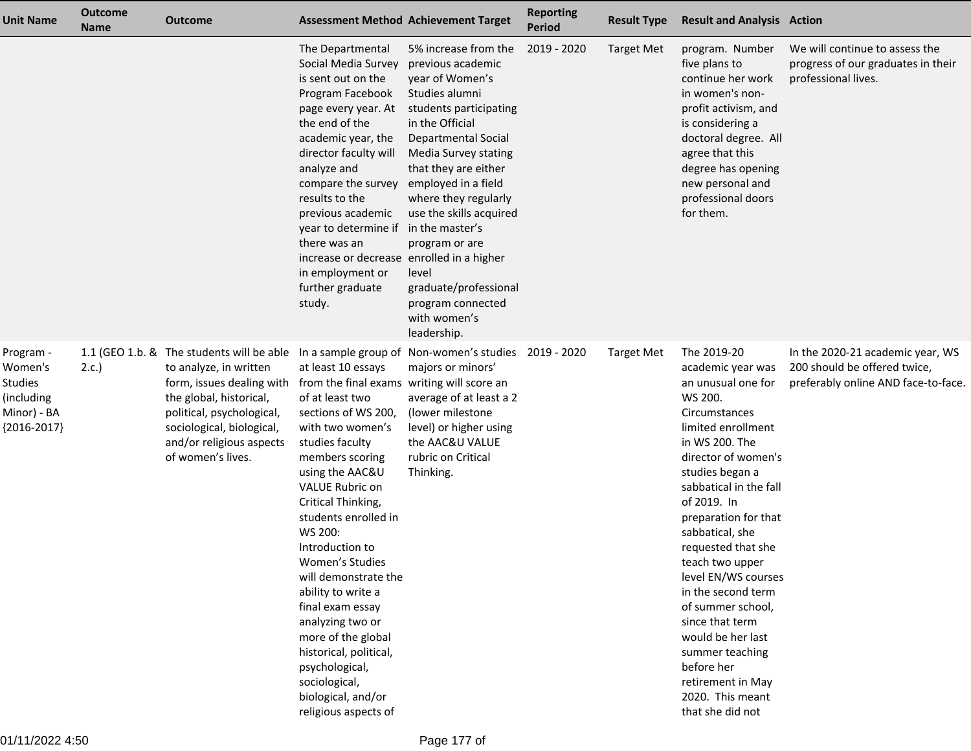| Unit Name                                                                            | <b>Outcome</b><br><b>Name</b> | <b>Outcome</b>                                                                                                                                                                                                                         |                                                                                                                                                                                                                                                                                                                                                                                                                                                                                                                                         | <b>Assessment Method Achievement Target</b>                                                                                                                                                                                                                                                                                                                                                                    | <b>Reporting</b><br><b>Period</b> | <b>Result Type</b> | <b>Result and Analysis Action</b>                                                                                                                                                                                                                                                                                                                                                                                                                                                                         |                                                                                                         |
|--------------------------------------------------------------------------------------|-------------------------------|----------------------------------------------------------------------------------------------------------------------------------------------------------------------------------------------------------------------------------------|-----------------------------------------------------------------------------------------------------------------------------------------------------------------------------------------------------------------------------------------------------------------------------------------------------------------------------------------------------------------------------------------------------------------------------------------------------------------------------------------------------------------------------------------|----------------------------------------------------------------------------------------------------------------------------------------------------------------------------------------------------------------------------------------------------------------------------------------------------------------------------------------------------------------------------------------------------------------|-----------------------------------|--------------------|-----------------------------------------------------------------------------------------------------------------------------------------------------------------------------------------------------------------------------------------------------------------------------------------------------------------------------------------------------------------------------------------------------------------------------------------------------------------------------------------------------------|---------------------------------------------------------------------------------------------------------|
|                                                                                      |                               |                                                                                                                                                                                                                                        | The Departmental<br>Social Media Survey<br>is sent out on the<br>Program Facebook<br>page every year. At<br>the end of the<br>academic year, the<br>director faculty will<br>analyze and<br>compare the survey<br>results to the<br>previous academic<br>year to determine if<br>there was an<br>increase or decrease enrolled in a higher<br>in employment or<br>further graduate<br>study.                                                                                                                                            | 5% increase from the<br>previous academic<br>year of Women's<br>Studies alumni<br>students participating<br>in the Official<br><b>Departmental Social</b><br>Media Survey stating<br>that they are either<br>employed in a field<br>where they regularly<br>use the skills acquired<br>in the master's<br>program or are<br>level<br>graduate/professional<br>program connected<br>with women's<br>leadership. | 2019 - 2020                       | <b>Target Met</b>  | program. Number<br>five plans to<br>continue her work<br>in women's non-<br>profit activism, and<br>is considering a<br>doctoral degree. All<br>agree that this<br>degree has opening<br>new personal and<br>professional doors<br>for them.                                                                                                                                                                                                                                                              | We will continue to assess the<br>progress of our graduates in their<br>professional lives.             |
| Program -<br>Women's<br><b>Studies</b><br>(including<br>Minor) - BA<br>${2016-2017}$ | 2.c.                          | 1.1 (GEO 1.b. & The students will be able<br>to analyze, in written<br>form, issues dealing with<br>the global, historical,<br>political, psychological,<br>sociological, biological,<br>and/or religious aspects<br>of women's lives. | at least 10 essays<br>from the final exams writing will score an<br>of at least two<br>sections of WS 200,<br>with two women's<br>studies faculty<br>members scoring<br>using the AAC&U<br><b>VALUE Rubric on</b><br>Critical Thinking,<br>students enrolled in<br>WS 200:<br>Introduction to<br>Women's Studies<br>will demonstrate the<br>ability to write a<br>final exam essay<br>analyzing two or<br>more of the global<br>historical, political,<br>psychological,<br>sociological,<br>biological, and/or<br>religious aspects of | In a sample group of Non-women's studies<br>majors or minors'<br>average of at least a 2<br>(lower milestone<br>level) or higher using<br>the AAC&U VALUE<br>rubric on Critical<br>Thinking.                                                                                                                                                                                                                   | 2019 - 2020                       | <b>Target Met</b>  | The 2019-20<br>academic year was<br>an unusual one for<br>WS 200.<br>Circumstances<br>limited enrollment<br>in WS 200. The<br>director of women's<br>studies began a<br>sabbatical in the fall<br>of 2019. In<br>preparation for that<br>sabbatical, she<br>requested that she<br>teach two upper<br>level EN/WS courses<br>in the second term<br>of summer school,<br>since that term<br>would be her last<br>summer teaching<br>before her<br>retirement in May<br>2020. This meant<br>that she did not | In the 2020-21 academic year, WS<br>200 should be offered twice,<br>preferably online AND face-to-face. |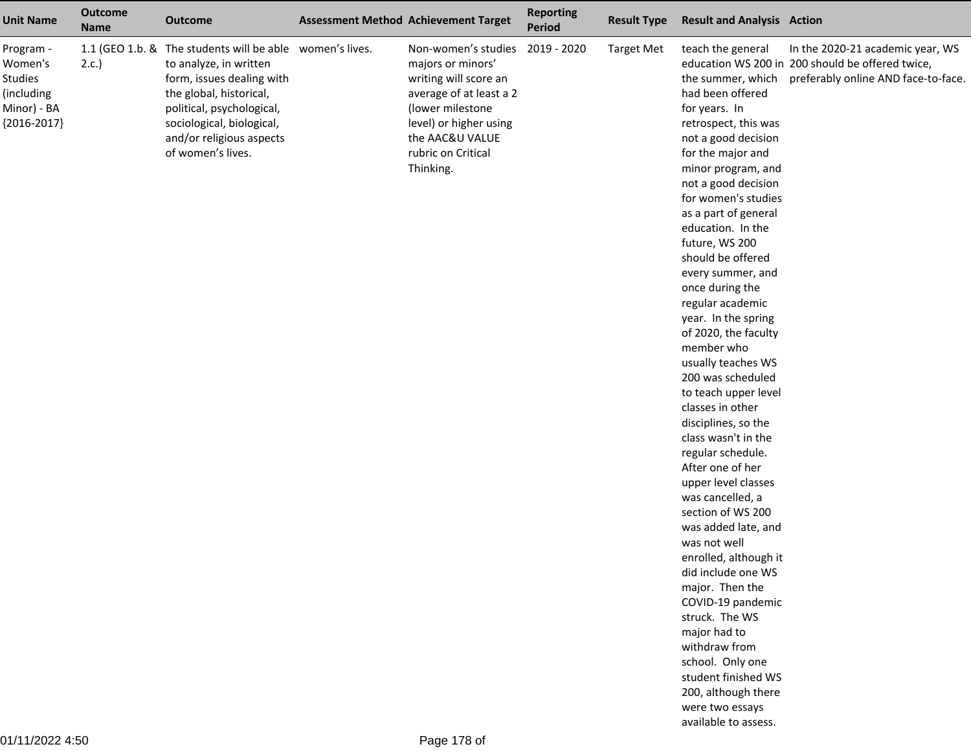| <b>Unit Name</b>                                                                     | <b>Outcome</b><br><b>Name</b> | <b>Outcome</b>                                                                                                                                                                                                                                        | <b>Assessment Method Achievement Target</b>                                                                                                                                                                  | <b>Reporting</b><br><b>Period</b> | <b>Result Type</b> | <b>Result and Analysis Action</b>                                                                                                                                                                                                                                                                                                                                                                                                                                                                                                                                                                                                                                                                                                                                                                                                                                                                                                                                            |                                                                                                                             |
|--------------------------------------------------------------------------------------|-------------------------------|-------------------------------------------------------------------------------------------------------------------------------------------------------------------------------------------------------------------------------------------------------|--------------------------------------------------------------------------------------------------------------------------------------------------------------------------------------------------------------|-----------------------------------|--------------------|------------------------------------------------------------------------------------------------------------------------------------------------------------------------------------------------------------------------------------------------------------------------------------------------------------------------------------------------------------------------------------------------------------------------------------------------------------------------------------------------------------------------------------------------------------------------------------------------------------------------------------------------------------------------------------------------------------------------------------------------------------------------------------------------------------------------------------------------------------------------------------------------------------------------------------------------------------------------------|-----------------------------------------------------------------------------------------------------------------------------|
| Program -<br>Women's<br><b>Studies</b><br>(including<br>Minor) - BA<br>${2016-2017}$ | 2.c.                          | 1.1 (GEO 1.b. & The students will be able women's lives.<br>to analyze, in written<br>form, issues dealing with<br>the global, historical,<br>political, psychological,<br>sociological, biological,<br>and/or religious aspects<br>of women's lives. | Non-women's studies 2019 - 2020<br>majors or minors'<br>writing will score an<br>average of at least a 2<br>(lower milestone<br>level) or higher using<br>the AAC&U VALUE<br>rubric on Critical<br>Thinking. |                                   | <b>Target Met</b>  | teach the general<br>the summer, which<br>had been offered<br>for years. In<br>retrospect, this was<br>not a good decision<br>for the major and<br>minor program, and<br>not a good decision<br>for women's studies<br>as a part of general<br>education. In the<br>future, WS 200<br>should be offered<br>every summer, and<br>once during the<br>regular academic<br>year. In the spring<br>of 2020, the faculty<br>member who<br>usually teaches WS<br>200 was scheduled<br>to teach upper level<br>classes in other<br>disciplines, so the<br>class wasn't in the<br>regular schedule.<br>After one of her<br>upper level classes<br>was cancelled, a<br>section of WS 200<br>was added late, and<br>was not well<br>enrolled, although it<br>did include one WS<br>major. Then the<br>COVID-19 pandemic<br>struck. The WS<br>major had to<br>withdraw from<br>school. Only one<br>student finished WS<br>200, although there<br>were two essays<br>available to assess. | In the 2020-21 academic year, WS<br>education WS 200 in 200 should be offered twice,<br>preferably online AND face-to-face. |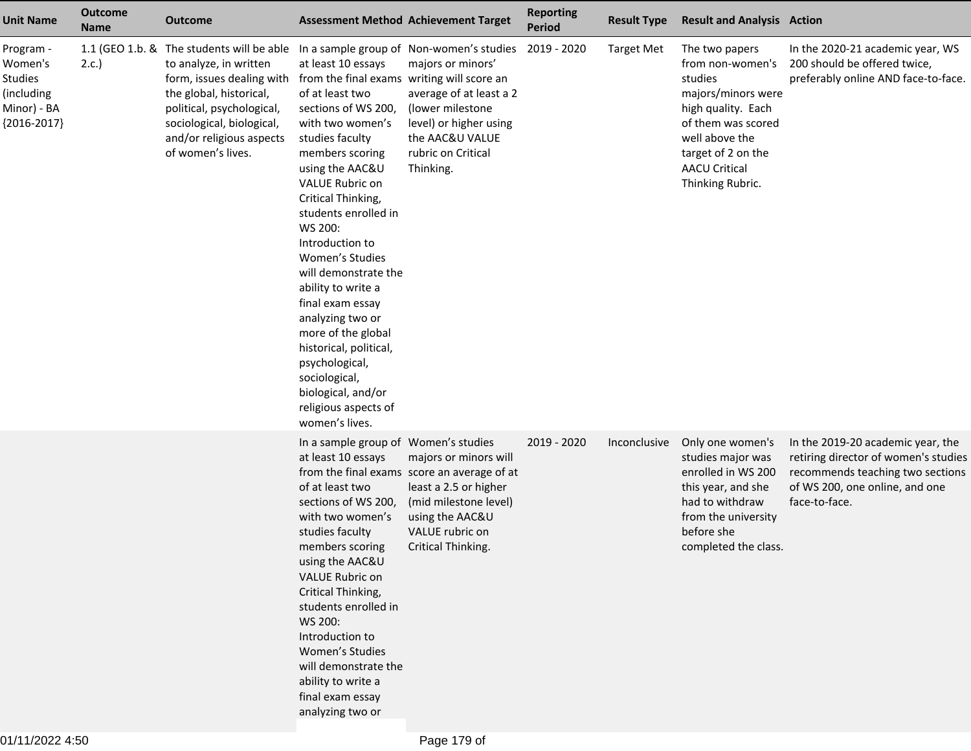| <b>Unit Name</b>                                                                     | <b>Outcome</b><br><b>Name</b> | <b>Outcome</b>                                                                                                                                                                                                                                                                  | <b>Assessment Method Achievement Target</b>                                                                                                                                                                                                                                                                                                                                                                                                                                                                                                        |                                                                                                                                                                                    | <b>Reporting</b><br><b>Period</b> | <b>Result Type</b> | <b>Result and Analysis Action</b>                                                                                                                                                                   |                                                                                                                                                                  |
|--------------------------------------------------------------------------------------|-------------------------------|---------------------------------------------------------------------------------------------------------------------------------------------------------------------------------------------------------------------------------------------------------------------------------|----------------------------------------------------------------------------------------------------------------------------------------------------------------------------------------------------------------------------------------------------------------------------------------------------------------------------------------------------------------------------------------------------------------------------------------------------------------------------------------------------------------------------------------------------|------------------------------------------------------------------------------------------------------------------------------------------------------------------------------------|-----------------------------------|--------------------|-----------------------------------------------------------------------------------------------------------------------------------------------------------------------------------------------------|------------------------------------------------------------------------------------------------------------------------------------------------------------------|
| Program -<br>Women's<br><b>Studies</b><br>(including<br>Minor) - BA<br>${2016-2017}$ | 2.c.                          | 1.1 (GEO 1.b. & The students will be able In a sample group of Non-women's studies<br>to analyze, in written<br>form, issues dealing with<br>the global, historical,<br>political, psychological,<br>sociological, biological,<br>and/or religious aspects<br>of women's lives. | at least 10 essays<br>from the final exams writing will score an<br>of at least two<br>sections of WS 200,<br>with two women's<br>studies faculty<br>members scoring<br>using the AAC&U<br>VALUE Rubric on<br>Critical Thinking,<br>students enrolled in<br>WS 200:<br>Introduction to<br>Women's Studies<br>will demonstrate the<br>ability to write a<br>final exam essay<br>analyzing two or<br>more of the global<br>historical, political,<br>psychological,<br>sociological,<br>biological, and/or<br>religious aspects of<br>women's lives. | majors or minors'<br>average of at least a 2<br>(lower milestone<br>level) or higher using<br>the AAC&U VALUE<br>rubric on Critical<br>Thinking.                                   | 2019 - 2020                       | <b>Target Met</b>  | The two papers<br>from non-women's<br>studies<br>majors/minors were<br>high quality. Each<br>of them was scored<br>well above the<br>target of 2 on the<br><b>AACU Critical</b><br>Thinking Rubric. | In the 2020-21 academic year, WS<br>200 should be offered twice,<br>preferably online AND face-to-face.                                                          |
|                                                                                      |                               |                                                                                                                                                                                                                                                                                 | In a sample group of Women's studies<br>at least 10 essays<br>of at least two<br>sections of WS 200,<br>with two women's<br>studies faculty<br>members scoring<br>using the AAC&U<br>VALUE Rubric on<br>Critical Thinking,<br>students enrolled in<br>WS 200:<br>Introduction to<br>Women's Studies<br>will demonstrate the<br>ability to write a<br>final exam essay<br>analyzing two or                                                                                                                                                          | majors or minors will<br>from the final exams score an average of at<br>least a 2.5 or higher<br>(mid milestone level)<br>using the AAC&U<br>VALUE rubric on<br>Critical Thinking. | 2019 - 2020                       | Inconclusive       | Only one women's<br>studies major was<br>enrolled in WS 200<br>this year, and she<br>had to withdraw<br>from the university<br>before she<br>completed the class.                                   | In the 2019-20 academic year, the<br>retiring director of women's studies<br>recommends teaching two sections<br>of WS 200, one online, and one<br>face-to-face. |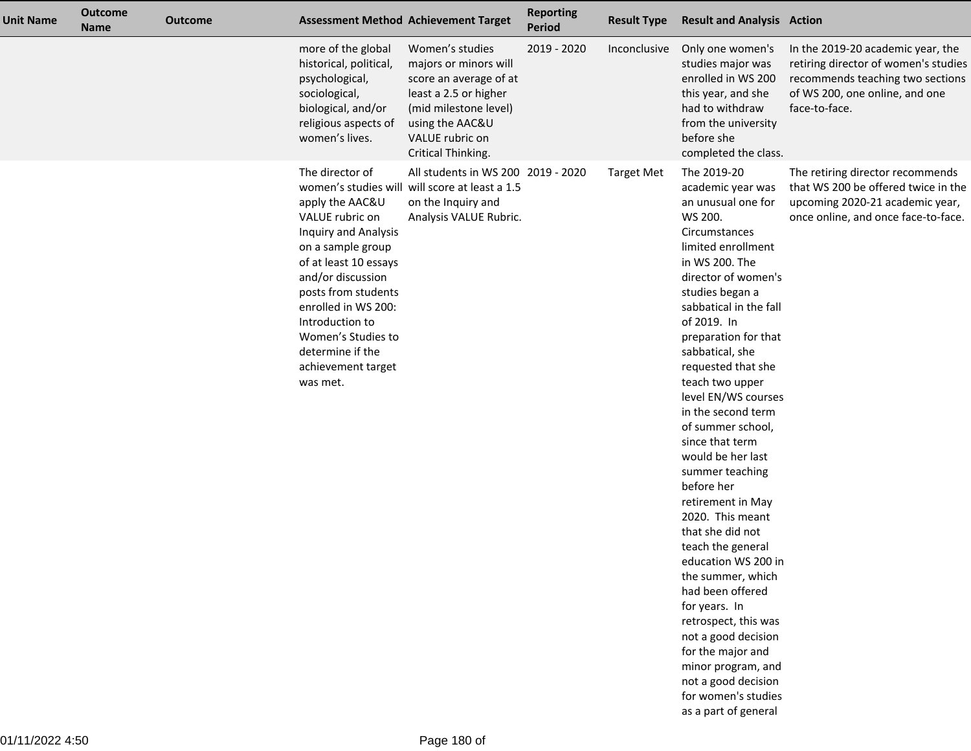| Unit Name | <b>Outcome</b><br><b>Name</b> | <b>Outcome</b> |                                                                                                                                                                                                                                                                                               | <b>Assessment Method Achievement Target</b>                                                                                                                                      | <b>Reporting</b><br><b>Period</b> | <b>Result Type</b> | <b>Result and Analysis Action</b>                                                                                                                                                                                                                                                                                                                                                                                                                                                                                                                                                                                                                                                                                                                                               |                                                                                                                                                                  |
|-----------|-------------------------------|----------------|-----------------------------------------------------------------------------------------------------------------------------------------------------------------------------------------------------------------------------------------------------------------------------------------------|----------------------------------------------------------------------------------------------------------------------------------------------------------------------------------|-----------------------------------|--------------------|---------------------------------------------------------------------------------------------------------------------------------------------------------------------------------------------------------------------------------------------------------------------------------------------------------------------------------------------------------------------------------------------------------------------------------------------------------------------------------------------------------------------------------------------------------------------------------------------------------------------------------------------------------------------------------------------------------------------------------------------------------------------------------|------------------------------------------------------------------------------------------------------------------------------------------------------------------|
|           |                               |                | more of the global<br>historical, political,<br>psychological,<br>sociological,<br>biological, and/or<br>religious aspects of<br>women's lives.                                                                                                                                               | Women's studies<br>majors or minors will<br>score an average of at<br>least a 2.5 or higher<br>(mid milestone level)<br>using the AAC&U<br>VALUE rubric on<br>Critical Thinking. | 2019 - 2020                       | Inconclusive       | Only one women's<br>studies major was<br>enrolled in WS 200<br>this year, and she<br>had to withdraw<br>from the university<br>before she<br>completed the class.                                                                                                                                                                                                                                                                                                                                                                                                                                                                                                                                                                                                               | In the 2019-20 academic year, the<br>retiring director of women's studies<br>recommends teaching two sections<br>of WS 200, one online, and one<br>face-to-face. |
|           |                               |                | The director of<br>apply the AAC&U<br>VALUE rubric on<br>Inquiry and Analysis<br>on a sample group<br>of at least 10 essays<br>and/or discussion<br>posts from students<br>enrolled in WS 200:<br>Introduction to<br>Women's Studies to<br>determine if the<br>achievement target<br>was met. | All students in WS 200 2019 - 2020<br>women's studies will will score at least a 1.5<br>on the Inquiry and<br>Analysis VALUE Rubric.                                             |                                   | <b>Target Met</b>  | The 2019-20<br>academic year was<br>an unusual one for<br>WS 200.<br>Circumstances<br>limited enrollment<br>in WS 200. The<br>director of women's<br>studies began a<br>sabbatical in the fall<br>of 2019. In<br>preparation for that<br>sabbatical, she<br>requested that she<br>teach two upper<br>level EN/WS courses<br>in the second term<br>of summer school,<br>since that term<br>would be her last<br>summer teaching<br>before her<br>retirement in May<br>2020. This meant<br>that she did not<br>teach the general<br>education WS 200 in<br>the summer, which<br>had been offered<br>for years. In<br>retrospect, this was<br>not a good decision<br>for the major and<br>minor program, and<br>not a good decision<br>for women's studies<br>as a part of general | The retiring director recommends<br>that WS 200 be offered twice in the<br>upcoming 2020-21 academic year,<br>once online, and once face-to-face.                |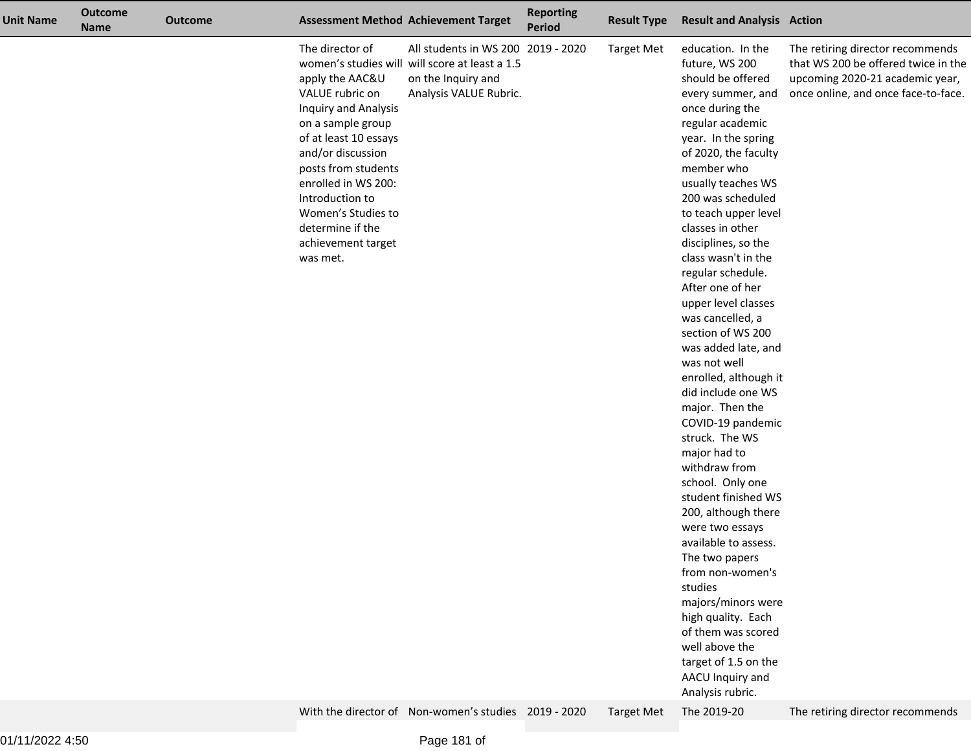| <b>Unit Name</b> | <b>Outcome</b><br><b>Name</b> | <b>Outcome</b> |                                                                                                                                                                                                                                                                                               | <b>Assessment Method Achievement Target</b>                                                                                                                                                  | <b>Reporting</b><br><b>Period</b> | <b>Result Type</b>                     | <b>Result and Analysis Action</b>                                                                                                                                                                                                                                                                                                                                                                                                                                                                                                                                                                                                                                                                                                                                                                                                                                                                                                                 |                                                                                                                                                                                       |
|------------------|-------------------------------|----------------|-----------------------------------------------------------------------------------------------------------------------------------------------------------------------------------------------------------------------------------------------------------------------------------------------|----------------------------------------------------------------------------------------------------------------------------------------------------------------------------------------------|-----------------------------------|----------------------------------------|---------------------------------------------------------------------------------------------------------------------------------------------------------------------------------------------------------------------------------------------------------------------------------------------------------------------------------------------------------------------------------------------------------------------------------------------------------------------------------------------------------------------------------------------------------------------------------------------------------------------------------------------------------------------------------------------------------------------------------------------------------------------------------------------------------------------------------------------------------------------------------------------------------------------------------------------------|---------------------------------------------------------------------------------------------------------------------------------------------------------------------------------------|
|                  |                               |                | The director of<br>apply the AAC&U<br>VALUE rubric on<br>Inquiry and Analysis<br>on a sample group<br>of at least 10 essays<br>and/or discussion<br>posts from students<br>enrolled in WS 200:<br>Introduction to<br>Women's Studies to<br>determine if the<br>achievement target<br>was met. | All students in WS 200 2019 - 2020<br>women's studies will will score at least a 1.5<br>on the Inquiry and<br>Analysis VALUE Rubric.<br>With the director of Non-women's studies 2019 - 2020 |                                   | <b>Target Met</b><br><b>Target Met</b> | education. In the<br>future, WS 200<br>should be offered<br>every summer, and<br>once during the<br>regular academic<br>year. In the spring<br>of 2020, the faculty<br>member who<br>usually teaches WS<br>200 was scheduled<br>to teach upper level<br>classes in other<br>disciplines, so the<br>class wasn't in the<br>regular schedule.<br>After one of her<br>upper level classes<br>was cancelled, a<br>section of WS 200<br>was added late, and<br>was not well<br>enrolled, although it<br>did include one WS<br>major. Then the<br>COVID-19 pandemic<br>struck. The WS<br>major had to<br>withdraw from<br>school. Only one<br>student finished WS<br>200, although there<br>were two essays<br>available to assess.<br>The two papers<br>from non-women's<br>studies<br>majors/minors were<br>high quality. Each<br>of them was scored<br>well above the<br>target of 1.5 on the<br>AACU Inquiry and<br>Analysis rubric.<br>The 2019-20 | The retiring director recommends<br>that WS 200 be offered twice in the<br>upcoming 2020-21 academic year,<br>once online, and once face-to-face.<br>The retiring director recommends |
|                  |                               |                |                                                                                                                                                                                                                                                                                               |                                                                                                                                                                                              |                                   |                                        |                                                                                                                                                                                                                                                                                                                                                                                                                                                                                                                                                                                                                                                                                                                                                                                                                                                                                                                                                   |                                                                                                                                                                                       |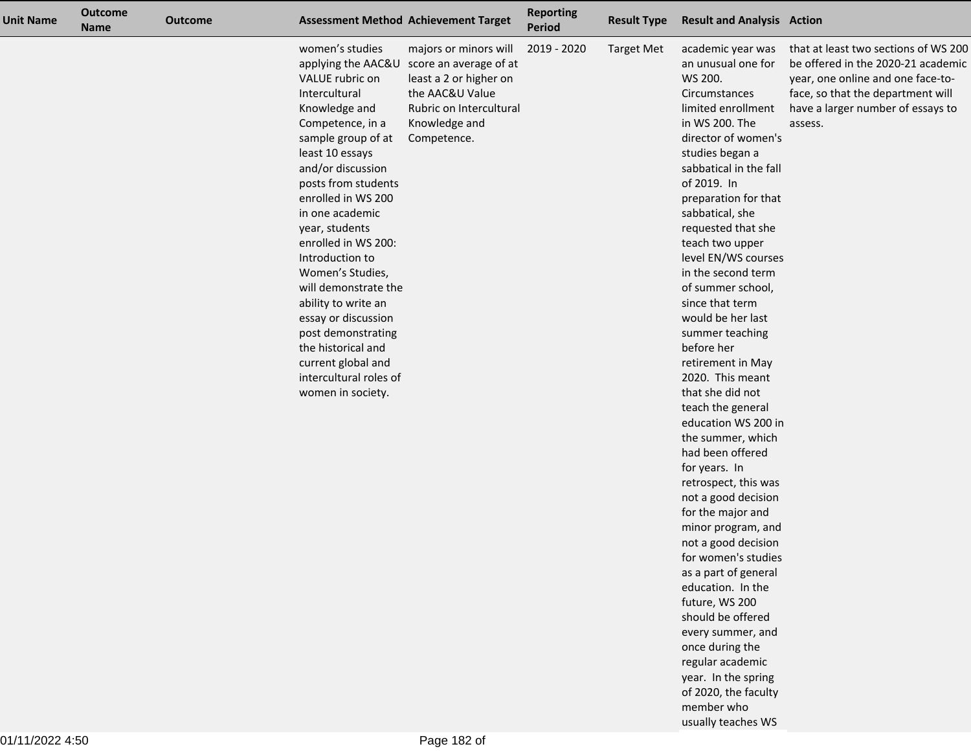| <b>Unit Name</b> | <b>Outcome</b><br><b>Name</b> | <b>Outcome</b> |                                                                                                                                                                                                                                                                                                                                                                                                                                                                                               | <b>Assessment Method Achievement Target</b>                                                                                                                                | <b>Reporting</b><br><b>Period</b> | <b>Result Type</b> | <b>Result and Analysis Action</b>                                                                                                                                                                                                                                                                                                                                                                                                                                                                                                                                                                                                                                                                                                                                                                                                                                                                                                                     |                                                                                                                                                                                                      |
|------------------|-------------------------------|----------------|-----------------------------------------------------------------------------------------------------------------------------------------------------------------------------------------------------------------------------------------------------------------------------------------------------------------------------------------------------------------------------------------------------------------------------------------------------------------------------------------------|----------------------------------------------------------------------------------------------------------------------------------------------------------------------------|-----------------------------------|--------------------|-------------------------------------------------------------------------------------------------------------------------------------------------------------------------------------------------------------------------------------------------------------------------------------------------------------------------------------------------------------------------------------------------------------------------------------------------------------------------------------------------------------------------------------------------------------------------------------------------------------------------------------------------------------------------------------------------------------------------------------------------------------------------------------------------------------------------------------------------------------------------------------------------------------------------------------------------------|------------------------------------------------------------------------------------------------------------------------------------------------------------------------------------------------------|
|                  |                               |                | women's studies<br>VALUE rubric on<br>Intercultural<br>Knowledge and<br>Competence, in a<br>sample group of at<br>least 10 essays<br>and/or discussion<br>posts from students<br>enrolled in WS 200<br>in one academic<br>year, students<br>enrolled in WS 200:<br>Introduction to<br>Women's Studies,<br>will demonstrate the<br>ability to write an<br>essay or discussion<br>post demonstrating<br>the historical and<br>current global and<br>intercultural roles of<br>women in society. | majors or minors will<br>applying the AAC&U score an average of at<br>least a 2 or higher on<br>the AAC&U Value<br>Rubric on Intercultural<br>Knowledge and<br>Competence. | 2019 - 2020                       | <b>Target Met</b>  | academic year was<br>an unusual one for<br>WS 200.<br>Circumstances<br>limited enrollment<br>in WS 200. The<br>director of women's<br>studies began a<br>sabbatical in the fall<br>of 2019. In<br>preparation for that<br>sabbatical, she<br>requested that she<br>teach two upper<br>level EN/WS courses<br>in the second term<br>of summer school,<br>since that term<br>would be her last<br>summer teaching<br>before her<br>retirement in May<br>2020. This meant<br>that she did not<br>teach the general<br>education WS 200 in<br>the summer, which<br>had been offered<br>for years. In<br>retrospect, this was<br>not a good decision<br>for the major and<br>minor program, and<br>not a good decision<br>for women's studies<br>as a part of general<br>education. In the<br>future, WS 200<br>should be offered<br>every summer, and<br>once during the<br>regular academic<br>year. In the spring<br>of 2020, the faculty<br>member who | that at least two sections of WS 200<br>be offered in the 2020-21 academic<br>year, one online and one face-to-<br>face, so that the department will<br>have a larger number of essays to<br>assess. |

usually teaches WS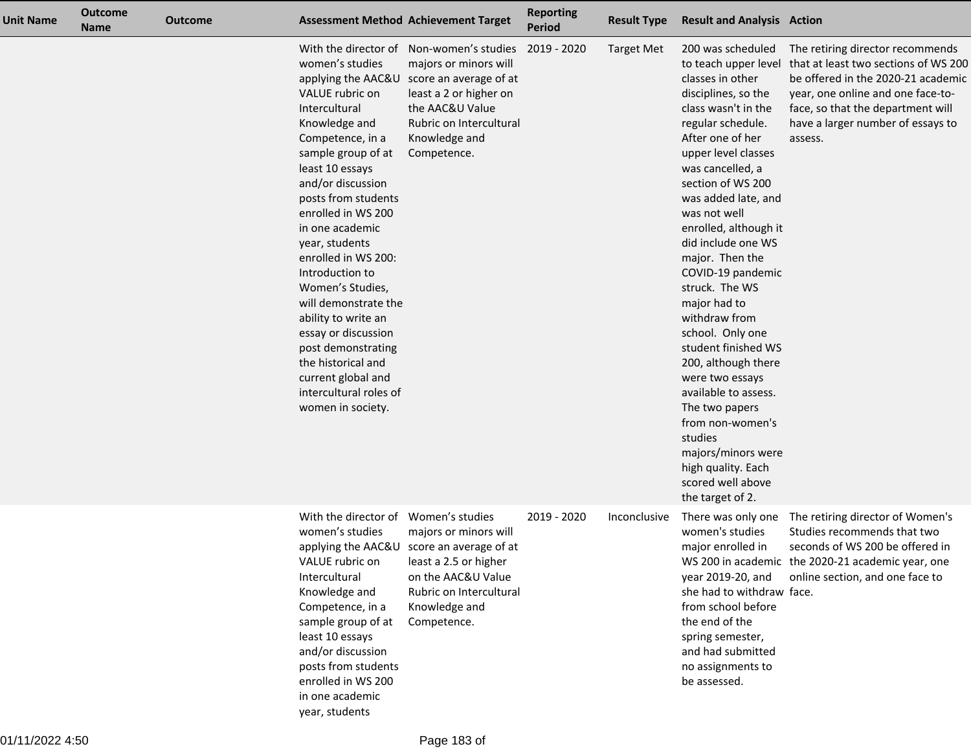| Unit Name | <b>Outcome</b><br><b>Name</b> | <b>Outcome</b> |                                                                                                                                                                                                                                                                                                                                                                                                                                                                                               | <b>Assessment Method Achievement Target</b>                                                                                                                                                                            | <b>Reporting</b><br><b>Period</b> | <b>Result Type</b> | <b>Result and Analysis Action</b>                                                                                                                                                                                                                                                                                                                                                                                                                                                                                                                                                                                                                        |                                                                                                                                                                                                                                          |
|-----------|-------------------------------|----------------|-----------------------------------------------------------------------------------------------------------------------------------------------------------------------------------------------------------------------------------------------------------------------------------------------------------------------------------------------------------------------------------------------------------------------------------------------------------------------------------------------|------------------------------------------------------------------------------------------------------------------------------------------------------------------------------------------------------------------------|-----------------------------------|--------------------|----------------------------------------------------------------------------------------------------------------------------------------------------------------------------------------------------------------------------------------------------------------------------------------------------------------------------------------------------------------------------------------------------------------------------------------------------------------------------------------------------------------------------------------------------------------------------------------------------------------------------------------------------------|------------------------------------------------------------------------------------------------------------------------------------------------------------------------------------------------------------------------------------------|
|           |                               |                | women's studies<br>VALUE rubric on<br>Intercultural<br>Knowledge and<br>Competence, in a<br>sample group of at<br>least 10 essays<br>and/or discussion<br>posts from students<br>enrolled in WS 200<br>in one academic<br>year, students<br>enrolled in WS 200:<br>Introduction to<br>Women's Studies,<br>will demonstrate the<br>ability to write an<br>essay or discussion<br>post demonstrating<br>the historical and<br>current global and<br>intercultural roles of<br>women in society. | With the director of Non-women's studies<br>majors or minors will<br>applying the AAC&U score an average of at<br>least a 2 or higher on<br>the AAC&U Value<br>Rubric on Intercultural<br>Knowledge and<br>Competence. | 2019 - 2020                       | <b>Target Met</b>  | 200 was scheduled<br>to teach upper level<br>classes in other<br>disciplines, so the<br>class wasn't in the<br>regular schedule.<br>After one of her<br>upper level classes<br>was cancelled, a<br>section of WS 200<br>was added late, and<br>was not well<br>enrolled, although it<br>did include one WS<br>major. Then the<br>COVID-19 pandemic<br>struck. The WS<br>major had to<br>withdraw from<br>school. Only one<br>student finished WS<br>200, although there<br>were two essays<br>available to assess.<br>The two papers<br>from non-women's<br>studies<br>majors/minors were<br>high quality. Each<br>scored well above<br>the target of 2. | The retiring director recommends<br>that at least two sections of WS 200<br>be offered in the 2020-21 academic<br>year, one online and one face-to-<br>face, so that the department will<br>have a larger number of essays to<br>assess. |
|           |                               |                | With the director of<br>women's studies<br>VALUE rubric on<br>Intercultural<br>Knowledge and<br>Competence, in a<br>sample group of at<br>least 10 essays<br>and/or discussion<br>posts from students<br>enrolled in WS 200<br>in one academic                                                                                                                                                                                                                                                | Women's studies<br>majors or minors will<br>applying the AAC&U score an average of at<br>least a 2.5 or higher<br>on the AAC&U Value<br>Rubric on Intercultural<br>Knowledge and<br>Competence.                        | 2019 - 2020                       | Inconclusive       | There was only one<br>women's studies<br>major enrolled in<br>year 2019-20, and<br>she had to withdraw face.<br>from school before<br>the end of the<br>spring semester,<br>and had submitted<br>no assignments to<br>be assessed.                                                                                                                                                                                                                                                                                                                                                                                                                       | The retiring director of Women's<br>Studies recommends that two<br>seconds of WS 200 be offered in<br>WS 200 in academic the 2020-21 academic year, one<br>online section, and one face to                                               |

year, students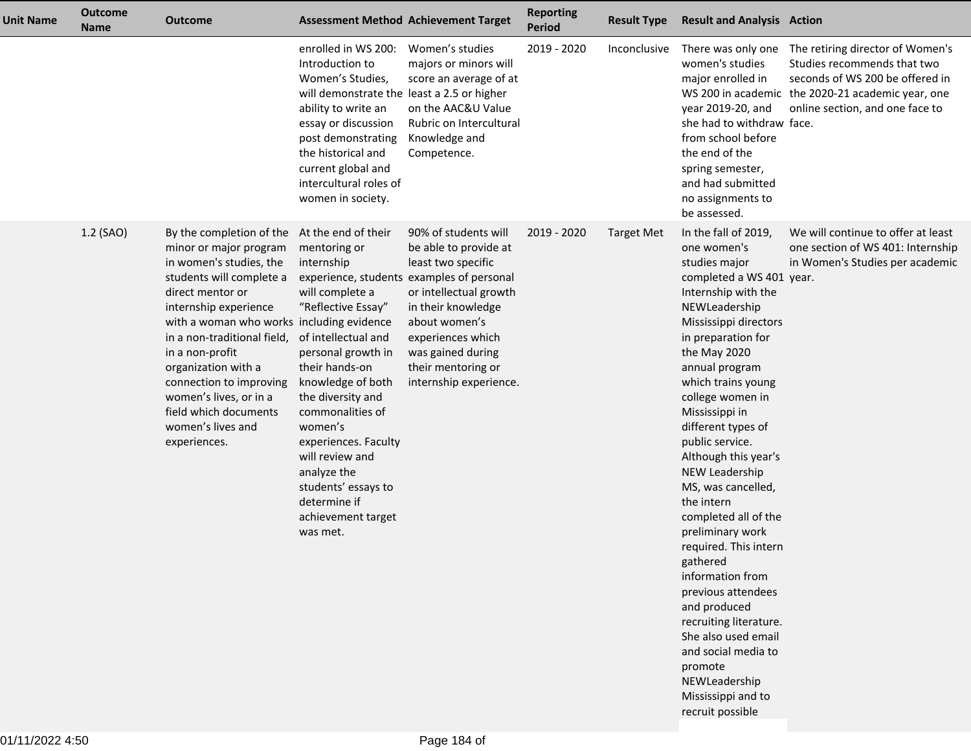| <b>Unit Name</b> | <b>Outcome</b><br><b>Name</b> | <b>Outcome</b>                                                                                                                                                                                                                                                                                                                                                                                  |                                                                                                                                                                                                                                                                                                                                                                                               | <b>Assessment Method Achievement Target</b>                                                                                                                                                                                                            | <b>Reporting</b><br><b>Period</b> | <b>Result Type</b> | <b>Result and Analysis Action</b>                                                                                                                                                                                                                                                                                                                                                                                                                                                                                                                                                                                                                                                     |                                                                                                                                                                         |
|------------------|-------------------------------|-------------------------------------------------------------------------------------------------------------------------------------------------------------------------------------------------------------------------------------------------------------------------------------------------------------------------------------------------------------------------------------------------|-----------------------------------------------------------------------------------------------------------------------------------------------------------------------------------------------------------------------------------------------------------------------------------------------------------------------------------------------------------------------------------------------|--------------------------------------------------------------------------------------------------------------------------------------------------------------------------------------------------------------------------------------------------------|-----------------------------------|--------------------|---------------------------------------------------------------------------------------------------------------------------------------------------------------------------------------------------------------------------------------------------------------------------------------------------------------------------------------------------------------------------------------------------------------------------------------------------------------------------------------------------------------------------------------------------------------------------------------------------------------------------------------------------------------------------------------|-------------------------------------------------------------------------------------------------------------------------------------------------------------------------|
|                  |                               |                                                                                                                                                                                                                                                                                                                                                                                                 | enrolled in WS 200:<br>Introduction to<br>Women's Studies,<br>will demonstrate the least a 2.5 or higher<br>ability to write an<br>essay or discussion<br>post demonstrating<br>the historical and<br>current global and<br>intercultural roles of<br>women in society.                                                                                                                       | Women's studies<br>majors or minors will<br>score an average of at<br>on the AAC&U Value<br>Rubric on Intercultural<br>Knowledge and<br>Competence.                                                                                                    | 2019 - 2020                       | Inconclusive       | There was only one<br>women's studies<br>major enrolled in<br>WS 200 in academic<br>year 2019-20, and<br>she had to withdraw face.<br>from school before<br>the end of the<br>spring semester,<br>and had submitted<br>no assignments to<br>be assessed.                                                                                                                                                                                                                                                                                                                                                                                                                              | The retiring director of Women's<br>Studies recommends that two<br>seconds of WS 200 be offered in<br>the 2020-21 academic year, one<br>online section, and one face to |
|                  | 1.2 (SAO)                     | By the completion of the<br>minor or major program<br>in women's studies, the<br>students will complete a<br>direct mentor or<br>internship experience<br>with a woman who works including evidence<br>in a non-traditional field,<br>in a non-profit<br>organization with a<br>connection to improving<br>women's lives, or in a<br>field which documents<br>women's lives and<br>experiences. | At the end of their<br>mentoring or<br>internship<br>experience, students<br>will complete a<br>"Reflective Essay"<br>of intellectual and<br>personal growth in<br>their hands-on<br>knowledge of both<br>the diversity and<br>commonalities of<br>women's<br>experiences. Faculty<br>will review and<br>analyze the<br>students' essays to<br>determine if<br>achievement target<br>was met. | 90% of students will<br>be able to provide at<br>least two specific<br>examples of personal<br>or intellectual growth<br>in their knowledge<br>about women's<br>experiences which<br>was gained during<br>their mentoring or<br>internship experience. | 2019 - 2020                       | <b>Target Met</b>  | In the fall of 2019,<br>one women's<br>studies major<br>completed a WS 401 year.<br>Internship with the<br>NEWLeadership<br>Mississippi directors<br>in preparation for<br>the May 2020<br>annual program<br>which trains young<br>college women in<br>Mississippi in<br>different types of<br>public service.<br>Although this year's<br>NEW Leadership<br>MS, was cancelled,<br>the intern<br>completed all of the<br>preliminary work<br>required. This intern<br>gathered<br>information from<br>previous attendees<br>and produced<br>recruiting literature.<br>She also used email<br>and social media to<br>promote<br>NEWLeadership<br>Mississippi and to<br>recruit possible | We will continue to offer at least<br>one section of WS 401: Internship<br>in Women's Studies per academic                                                              |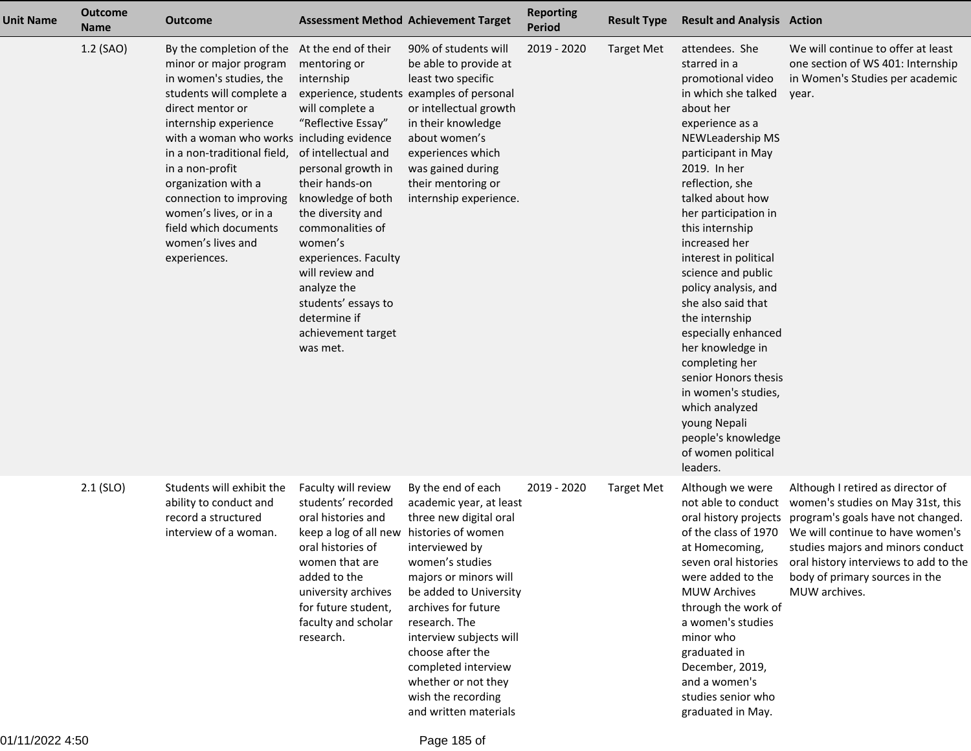| <b>Unit Name</b> | <b>Outcome</b><br><b>Name</b> | <b>Outcome</b>                                                                                                                                                                                                                                                                                                                                                                                  |                                                                                                                                                                                                                                                                                                                                                                       | <b>Assessment Method Achievement Target</b>                                                                                                                                                                                                                                                                                                         | <b>Reporting</b><br><b>Period</b> | <b>Result Type</b> | <b>Result and Analysis Action</b>                                                                                                                                                                                                                                                                                                                                                                                                                                                                                                                                                            |                                                                                                                                                                                                                                                                                                                           |
|------------------|-------------------------------|-------------------------------------------------------------------------------------------------------------------------------------------------------------------------------------------------------------------------------------------------------------------------------------------------------------------------------------------------------------------------------------------------|-----------------------------------------------------------------------------------------------------------------------------------------------------------------------------------------------------------------------------------------------------------------------------------------------------------------------------------------------------------------------|-----------------------------------------------------------------------------------------------------------------------------------------------------------------------------------------------------------------------------------------------------------------------------------------------------------------------------------------------------|-----------------------------------|--------------------|----------------------------------------------------------------------------------------------------------------------------------------------------------------------------------------------------------------------------------------------------------------------------------------------------------------------------------------------------------------------------------------------------------------------------------------------------------------------------------------------------------------------------------------------------------------------------------------------|---------------------------------------------------------------------------------------------------------------------------------------------------------------------------------------------------------------------------------------------------------------------------------------------------------------------------|
|                  | 1.2 (SAO)                     | By the completion of the<br>minor or major program<br>in women's studies, the<br>students will complete a<br>direct mentor or<br>internship experience<br>with a woman who works including evidence<br>in a non-traditional field,<br>in a non-profit<br>organization with a<br>connection to improving<br>women's lives, or in a<br>field which documents<br>women's lives and<br>experiences. | At the end of their<br>mentoring or<br>internship<br>will complete a<br>"Reflective Essay"<br>of intellectual and<br>personal growth in<br>their hands-on<br>knowledge of both<br>the diversity and<br>commonalities of<br>women's<br>experiences. Faculty<br>will review and<br>analyze the<br>students' essays to<br>determine if<br>achievement target<br>was met. | 90% of students will<br>be able to provide at<br>least two specific<br>experience, students examples of personal<br>or intellectual growth<br>in their knowledge<br>about women's<br>experiences which<br>was gained during<br>their mentoring or<br>internship experience.                                                                         | 2019 - 2020                       | <b>Target Met</b>  | attendees. She<br>starred in a<br>promotional video<br>in which she talked<br>about her<br>experience as a<br>NEWLeadership MS<br>participant in May<br>2019. In her<br>reflection, she<br>talked about how<br>her participation in<br>this internship<br>increased her<br>interest in political<br>science and public<br>policy analysis, and<br>she also said that<br>the internship<br>especially enhanced<br>her knowledge in<br>completing her<br>senior Honors thesis<br>in women's studies,<br>which analyzed<br>young Nepali<br>people's knowledge<br>of women political<br>leaders. | We will continue to offer at least<br>one section of WS 401: Internship<br>in Women's Studies per academic<br>year.                                                                                                                                                                                                       |
|                  | $2.1$ (SLO)                   | Students will exhibit the<br>ability to conduct and<br>record a structured<br>interview of a woman.                                                                                                                                                                                                                                                                                             | Faculty will review<br>students' recorded<br>oral histories and<br>keep a log of all new histories of women<br>oral histories of<br>women that are<br>added to the<br>university archives<br>for future student,<br>faculty and scholar<br>research.                                                                                                                  | By the end of each<br>academic year, at least<br>three new digital oral<br>interviewed by<br>women's studies<br>majors or minors will<br>be added to University<br>archives for future<br>research. The<br>interview subjects will<br>choose after the<br>completed interview<br>whether or not they<br>wish the recording<br>and written materials | 2019 - 2020                       | <b>Target Met</b>  | Although we were<br>oral history projects<br>of the class of 1970<br>at Homecoming,<br>were added to the<br><b>MUW Archives</b><br>through the work of<br>a women's studies<br>minor who<br>graduated in<br>December, 2019,<br>and a women's<br>studies senior who<br>graduated in May.                                                                                                                                                                                                                                                                                                      | Although I retired as director of<br>not able to conduct women's studies on May 31st, this<br>program's goals have not changed.<br>We will continue to have women's<br>studies majors and minors conduct<br>seven oral histories oral history interviews to add to the<br>body of primary sources in the<br>MUW archives. |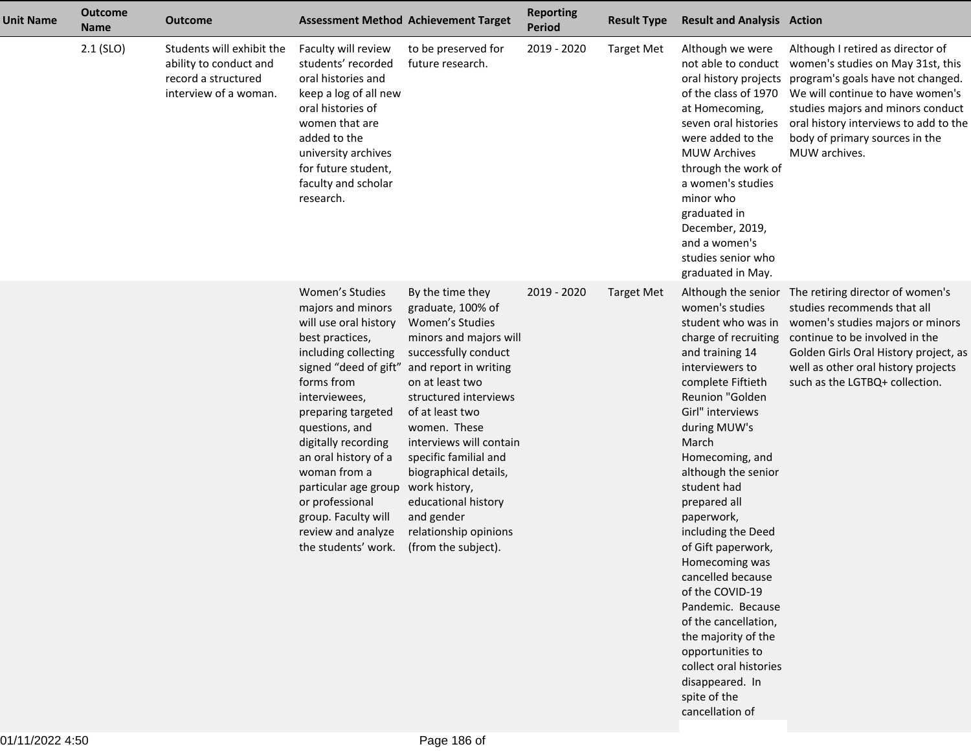| <b>Unit Name</b> | <b>Outcome</b><br><b>Name</b> | <b>Outcome</b>                                                                                      |                                                                                                                                                                                                                                                                                                                                                                             | <b>Assessment Method Achievement Target</b>                                                                                                                                                                                                                                                                                                                                                                | <b>Reporting</b><br><b>Period</b> | <b>Result Type</b> | <b>Result and Analysis Action</b>                                                                                                                                                                                                                                                                                                                                                                                                                                                                                                                                                    |                                                                                                                                                                                                                                                                                  |
|------------------|-------------------------------|-----------------------------------------------------------------------------------------------------|-----------------------------------------------------------------------------------------------------------------------------------------------------------------------------------------------------------------------------------------------------------------------------------------------------------------------------------------------------------------------------|------------------------------------------------------------------------------------------------------------------------------------------------------------------------------------------------------------------------------------------------------------------------------------------------------------------------------------------------------------------------------------------------------------|-----------------------------------|--------------------|--------------------------------------------------------------------------------------------------------------------------------------------------------------------------------------------------------------------------------------------------------------------------------------------------------------------------------------------------------------------------------------------------------------------------------------------------------------------------------------------------------------------------------------------------------------------------------------|----------------------------------------------------------------------------------------------------------------------------------------------------------------------------------------------------------------------------------------------------------------------------------|
|                  | $2.1$ (SLO)                   | Students will exhibit the<br>ability to conduct and<br>record a structured<br>interview of a woman. | Faculty will review<br>students' recorded<br>oral histories and<br>keep a log of all new<br>oral histories of<br>women that are<br>added to the<br>university archives<br>for future student,<br>faculty and scholar<br>research.                                                                                                                                           | to be preserved for<br>future research.                                                                                                                                                                                                                                                                                                                                                                    | 2019 - 2020                       | <b>Target Met</b>  | Although we were<br>not able to conduct<br>oral history projects<br>of the class of 1970<br>at Homecoming,<br>seven oral histories<br>were added to the<br><b>MUW Archives</b><br>through the work of<br>a women's studies<br>minor who<br>graduated in<br>December, 2019,<br>and a women's<br>studies senior who<br>graduated in May.                                                                                                                                                                                                                                               | Although I retired as director of<br>women's studies on May 31st, this<br>program's goals have not changed.<br>We will continue to have women's<br>studies majors and minors conduct<br>oral history interviews to add to the<br>body of primary sources in the<br>MUW archives. |
|                  |                               |                                                                                                     | Women's Studies<br>majors and minors<br>will use oral history<br>best practices,<br>including collecting<br>forms from<br>interviewees,<br>preparing targeted<br>questions, and<br>digitally recording<br>an oral history of a<br>woman from a<br>particular age group work history,<br>or professional<br>group. Faculty will<br>review and analyze<br>the students' work. | By the time they<br>graduate, 100% of<br>Women's Studies<br>minors and majors will<br>successfully conduct<br>signed "deed of gift" and report in writing<br>on at least two<br>structured interviews<br>of at least two<br>women. These<br>interviews will contain<br>specific familial and<br>biographical details,<br>educational history<br>and gender<br>relationship opinions<br>(from the subject). | 2019 - 2020                       | <b>Target Met</b>  | Although the senior<br>women's studies<br>student who was in<br>charge of recruiting<br>and training 14<br>interviewers to<br>complete Fiftieth<br>Reunion "Golden<br>Girl" interviews<br>during MUW's<br>March<br>Homecoming, and<br>although the senior<br>student had<br>prepared all<br>paperwork,<br>including the Deed<br>of Gift paperwork,<br>Homecoming was<br>cancelled because<br>of the COVID-19<br>Pandemic. Because<br>of the cancellation,<br>the majority of the<br>opportunities to<br>collect oral histories<br>disappeared. In<br>spite of the<br>cancellation of | The retiring director of women's<br>studies recommends that all<br>women's studies majors or minors<br>continue to be involved in the<br>Golden Girls Oral History project, as<br>well as other oral history projects<br>such as the LGTBQ+ collection.                          |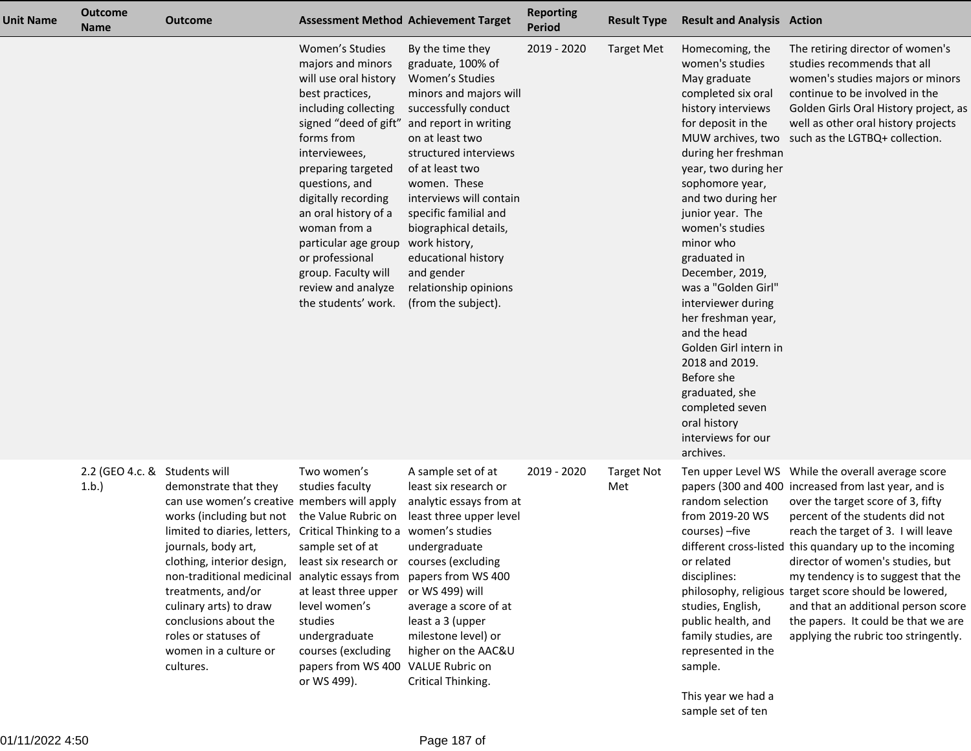| <b>Unit Name</b> | <b>Outcome</b><br><b>Name</b>         | <b>Outcome</b>                                                                                                                                                                                                                                                                                                                                            |                                                                                                                                                                                                                                                                                                                                                                                                                            | <b>Assessment Method Achievement Target</b>                                                                                                                                                                                                                                                                                                                 | <b>Reporting</b><br><b>Period</b> | <b>Result Type</b>       | <b>Result and Analysis Action</b>                                                                                                                                                                                                                                                                                                                                                                                                                                                                                                       |                                                                                                                                                                                                                                                                                                                                                                                                                                                                                                                                               |
|------------------|---------------------------------------|-----------------------------------------------------------------------------------------------------------------------------------------------------------------------------------------------------------------------------------------------------------------------------------------------------------------------------------------------------------|----------------------------------------------------------------------------------------------------------------------------------------------------------------------------------------------------------------------------------------------------------------------------------------------------------------------------------------------------------------------------------------------------------------------------|-------------------------------------------------------------------------------------------------------------------------------------------------------------------------------------------------------------------------------------------------------------------------------------------------------------------------------------------------------------|-----------------------------------|--------------------------|-----------------------------------------------------------------------------------------------------------------------------------------------------------------------------------------------------------------------------------------------------------------------------------------------------------------------------------------------------------------------------------------------------------------------------------------------------------------------------------------------------------------------------------------|-----------------------------------------------------------------------------------------------------------------------------------------------------------------------------------------------------------------------------------------------------------------------------------------------------------------------------------------------------------------------------------------------------------------------------------------------------------------------------------------------------------------------------------------------|
|                  |                                       |                                                                                                                                                                                                                                                                                                                                                           | Women's Studies<br>majors and minors<br>will use oral history<br>best practices,<br>including collecting<br>signed "deed of gift" and report in writing<br>forms from<br>interviewees,<br>preparing targeted<br>questions, and<br>digitally recording<br>an oral history of a<br>woman from a<br>particular age group work history,<br>or professional<br>group. Faculty will<br>review and analyze<br>the students' work. | By the time they<br>graduate, 100% of<br>Women's Studies<br>minors and majors will<br>successfully conduct<br>on at least two<br>structured interviews<br>of at least two<br>women. These<br>interviews will contain<br>specific familial and<br>biographical details,<br>educational history<br>and gender<br>relationship opinions<br>(from the subject). | 2019 - 2020                       | <b>Target Met</b>        | Homecoming, the<br>women's studies<br>May graduate<br>completed six oral<br>history interviews<br>for deposit in the<br>during her freshman<br>year, two during her<br>sophomore year,<br>and two during her<br>junior year. The<br>women's studies<br>minor who<br>graduated in<br>December, 2019,<br>was a "Golden Girl"<br>interviewer during<br>her freshman year,<br>and the head<br>Golden Girl intern in<br>2018 and 2019.<br>Before she<br>graduated, she<br>completed seven<br>oral history<br>interviews for our<br>archives. | The retiring director of women's<br>studies recommends that all<br>women's studies majors or minors<br>continue to be involved in the<br>Golden Girls Oral History project, as<br>well as other oral history projects<br>MUW archives, two such as the LGTBQ+ collection.                                                                                                                                                                                                                                                                     |
|                  | 2.2 (GEO 4.c. & Students will<br>1.b. | demonstrate that they<br>can use women's creative members will apply<br>works (including but not<br>limited to diaries, letters,<br>journals, body art,<br>clothing, interior design,<br>non-traditional medicinal<br>treatments, and/or<br>culinary arts) to draw<br>conclusions about the<br>roles or statuses of<br>women in a culture or<br>cultures. | Two women's<br>studies faculty<br>the Value Rubric on<br>Critical Thinking to a women's studies<br>sample set of at<br>least six research or courses (excluding<br>analytic essays from<br>at least three upper<br>level women's<br>studies<br>undergraduate<br>courses (excluding<br>papers from WS 400 VALUE Rubric on<br>or WS 499).                                                                                    | A sample set of at<br>least six research or<br>analytic essays from at<br>least three upper level<br>undergraduate<br>papers from WS 400<br>or WS 499) will<br>average a score of at<br>least a 3 (upper<br>milestone level) or<br>higher on the AAC&U<br>Critical Thinking.                                                                                | 2019 - 2020                       | <b>Target Not</b><br>Met | random selection<br>from 2019-20 WS<br>courses) - five<br>or related<br>disciplines:<br>studies, English,<br>public health, and<br>family studies, are<br>represented in the<br>sample.<br>This year we had a                                                                                                                                                                                                                                                                                                                           | Ten upper Level WS While the overall average score<br>papers (300 and 400 increased from last year, and is<br>over the target score of 3, fifty<br>percent of the students did not<br>reach the target of 3. I will leave<br>different cross-listed this quandary up to the incoming<br>director of women's studies, but<br>my tendency is to suggest that the<br>philosophy, religious target score should be lowered,<br>and that an additional person score<br>the papers. It could be that we are<br>applying the rubric too stringently. |

sample set of ten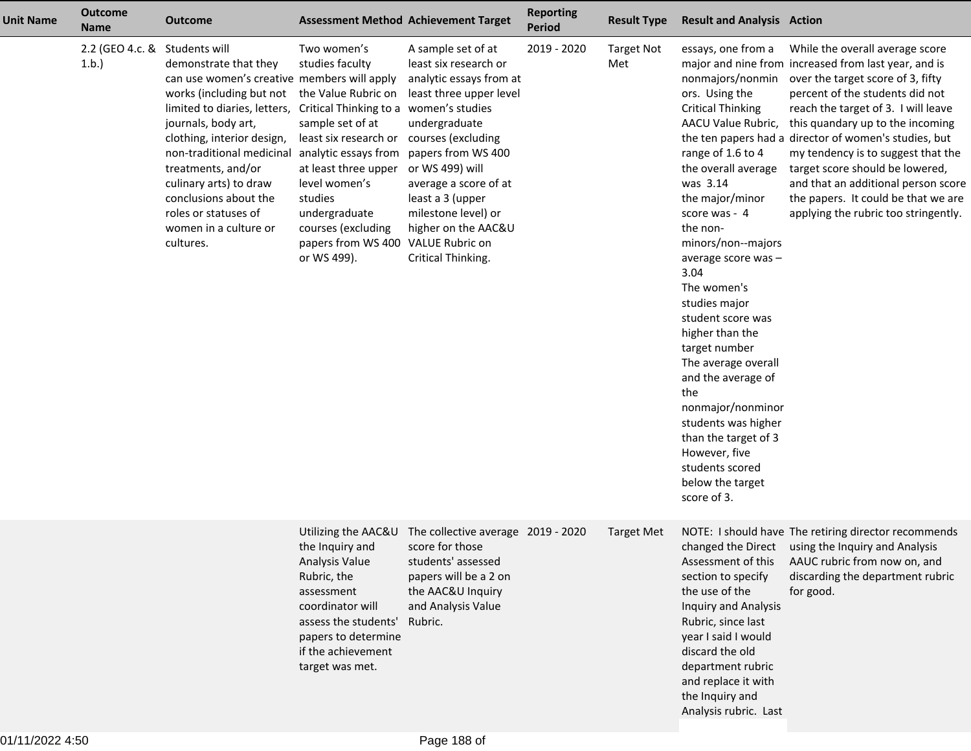| <b>Unit Name</b> | <b>Outcome</b><br><b>Name</b> | <b>Outcome</b>                                                                                                                                                                                                                                                                                                                                                             |                                                                                                                                                                                                                                                                                                                      | <b>Assessment Method Achievement Target</b>                                                                                                                                                                                                                                                        | <b>Reporting</b><br><b>Period</b> | <b>Result Type</b>       | <b>Result and Analysis Action</b>                                                                                                                                                                                                                                                                                                                                                                                                                                                                                                                              |                                                                                                                                                                                                                                                                                                                                                                                                                                                                                                    |
|------------------|-------------------------------|----------------------------------------------------------------------------------------------------------------------------------------------------------------------------------------------------------------------------------------------------------------------------------------------------------------------------------------------------------------------------|----------------------------------------------------------------------------------------------------------------------------------------------------------------------------------------------------------------------------------------------------------------------------------------------------------------------|----------------------------------------------------------------------------------------------------------------------------------------------------------------------------------------------------------------------------------------------------------------------------------------------------|-----------------------------------|--------------------------|----------------------------------------------------------------------------------------------------------------------------------------------------------------------------------------------------------------------------------------------------------------------------------------------------------------------------------------------------------------------------------------------------------------------------------------------------------------------------------------------------------------------------------------------------------------|----------------------------------------------------------------------------------------------------------------------------------------------------------------------------------------------------------------------------------------------------------------------------------------------------------------------------------------------------------------------------------------------------------------------------------------------------------------------------------------------------|
|                  | 2.2 (GEO 4.c. &<br>1.b.       | Students will<br>demonstrate that they<br>can use women's creative members will apply<br>works (including but not<br>limited to diaries, letters,<br>journals, body art,<br>clothing, interior design,<br>non-traditional medicinal<br>treatments, and/or<br>culinary arts) to draw<br>conclusions about the<br>roles or statuses of<br>women in a culture or<br>cultures. | Two women's<br>studies faculty<br>the Value Rubric on<br>Critical Thinking to a women's studies<br>sample set of at<br>least six research or<br>analytic essays from<br>at least three upper<br>level women's<br>studies<br>undergraduate<br>courses (excluding<br>papers from WS 400 VALUE Rubric on<br>or WS 499). | A sample set of at<br>least six research or<br>analytic essays from at<br>least three upper level<br>undergraduate<br>courses (excluding<br>papers from WS 400<br>or WS 499) will<br>average a score of at<br>least a 3 (upper<br>milestone level) or<br>higher on the AAC&U<br>Critical Thinking. | 2019 - 2020                       | <b>Target Not</b><br>Met | essays, one from a<br>nonmajors/nonmin<br>ors. Using the<br><b>Critical Thinking</b><br>AACU Value Rubric,<br>range of 1.6 to 4<br>the overall average<br>was 3.14<br>the major/minor<br>score was - 4<br>the non-<br>minors/non--majors<br>average score was-<br>3.04<br>The women's<br>studies major<br>student score was<br>higher than the<br>target number<br>The average overall<br>and the average of<br>the<br>nonmajor/nonminor<br>students was higher<br>than the target of 3<br>However, five<br>students scored<br>below the target<br>score of 3. | While the overall average score<br>major and nine from increased from last year, and is<br>over the target score of 3, fifty<br>percent of the students did not<br>reach the target of 3. I will leave<br>this quandary up to the incoming<br>the ten papers had a director of women's studies, but<br>my tendency is to suggest that the<br>target score should be lowered,<br>and that an additional person score<br>the papers. It could be that we are<br>applying the rubric too stringently. |
|                  |                               |                                                                                                                                                                                                                                                                                                                                                                            | the Inquiry and<br>Analysis Value<br>Rubric, the<br>assessment<br>coordinator will<br>assess the students'<br>papers to determine<br>if the achievement<br>target was met.                                                                                                                                           | Utilizing the AAC&U The collective average 2019 - 2020<br>score for those<br>students' assessed<br>papers will be a 2 on<br>the AAC&U Inquiry<br>and Analysis Value<br>Rubric.                                                                                                                     |                                   | <b>Target Met</b>        | Assessment of this<br>section to specify<br>the use of the<br>Inquiry and Analysis<br>Rubric, since last<br>year I said I would<br>discard the old<br>department rubric<br>and replace it with<br>the Inquiry and<br>Analysis rubric. Last                                                                                                                                                                                                                                                                                                                     | NOTE: I should have The retiring director recommends<br>changed the Direct using the Inquiry and Analysis<br>AAUC rubric from now on, and<br>discarding the department rubric<br>for good.                                                                                                                                                                                                                                                                                                         |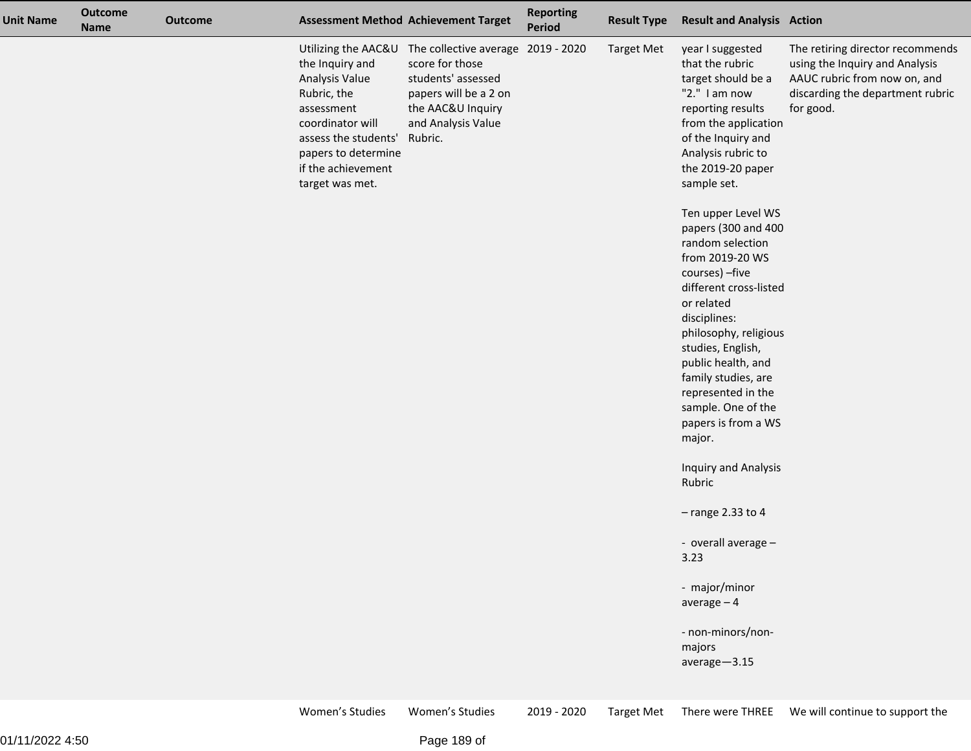| <b>Unit Name</b> | <b>Outcome</b><br><b>Name</b> | <b>Outcome</b> | <b>Assessment Method Achievement Target</b>                                                                                                                                |                                                                                                                                                                                | <b>Reporting</b><br>Period | <b>Result Type</b> | <b>Result and Analysis Action</b>                                                                                                                                                                                                                                                                                                                                                                                                                                                                                                                                                                       |                                                                                                                                                     |
|------------------|-------------------------------|----------------|----------------------------------------------------------------------------------------------------------------------------------------------------------------------------|--------------------------------------------------------------------------------------------------------------------------------------------------------------------------------|----------------------------|--------------------|---------------------------------------------------------------------------------------------------------------------------------------------------------------------------------------------------------------------------------------------------------------------------------------------------------------------------------------------------------------------------------------------------------------------------------------------------------------------------------------------------------------------------------------------------------------------------------------------------------|-----------------------------------------------------------------------------------------------------------------------------------------------------|
|                  |                               |                | the Inquiry and<br>Analysis Value<br>Rubric, the<br>assessment<br>coordinator will<br>assess the students'<br>papers to determine<br>if the achievement<br>target was met. | Utilizing the AAC&U The collective average 2019 - 2020<br>score for those<br>students' assessed<br>papers will be a 2 on<br>the AAC&U Inquiry<br>and Analysis Value<br>Rubric. |                            | <b>Target Met</b>  | year I suggested<br>that the rubric<br>target should be a<br>"2." I am now<br>reporting results<br>from the application<br>of the Inquiry and<br>Analysis rubric to<br>the 2019-20 paper<br>sample set.<br>Ten upper Level WS<br>papers (300 and 400<br>random selection<br>from 2019-20 WS<br>courses) - five<br>different cross-listed<br>or related<br>disciplines:<br>philosophy, religious<br>studies, English,<br>public health, and<br>family studies, are<br>represented in the<br>sample. One of the<br>papers is from a WS<br>major.<br>Inquiry and Analysis<br>Rubric<br>$-$ range 2.33 to 4 | The retiring director recommends<br>using the Inquiry and Analysis<br>AAUC rubric from now on, and<br>discarding the department rubric<br>for good. |
|                  |                               |                |                                                                                                                                                                            |                                                                                                                                                                                |                            |                    | - overall average -<br>3.23                                                                                                                                                                                                                                                                                                                                                                                                                                                                                                                                                                             |                                                                                                                                                     |
|                  |                               |                |                                                                                                                                                                            |                                                                                                                                                                                |                            |                    | - major/minor<br>average $-4$                                                                                                                                                                                                                                                                                                                                                                                                                                                                                                                                                                           |                                                                                                                                                     |
|                  |                               |                |                                                                                                                                                                            |                                                                                                                                                                                |                            |                    | - non-minors/non-<br>majors<br>average-3.15                                                                                                                                                                                                                                                                                                                                                                                                                                                                                                                                                             |                                                                                                                                                     |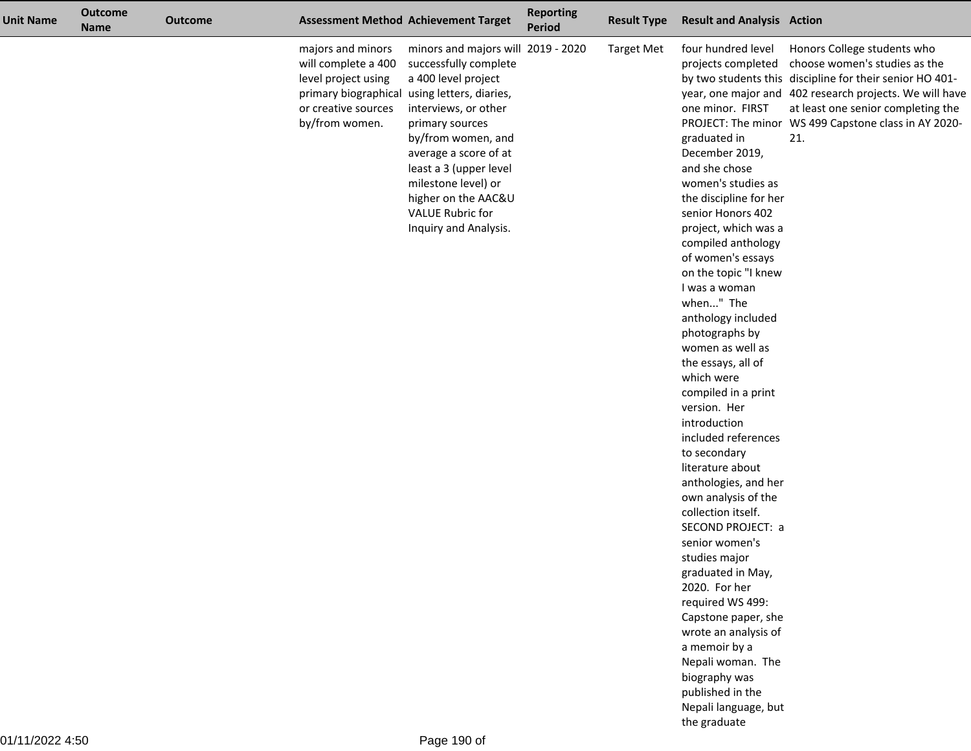| <b>Unit Name</b> | <b>Outcome</b><br><b>Name</b> | <b>Outcome</b> |                                                                                                          | <b>Assessment Method Achievement Target</b>                                                                                                                                                                                                                                                                                                              | <b>Reporting</b><br><b>Period</b> | <b>Result Type</b> | <b>Result and Analysis Action</b>                                                                                                                                                                                                                                                                                                                                                                                                                                                                                                                                                                                                                                                                                                                                                                                                                                  |                                                                                                                                                                                                                                                                                                             |
|------------------|-------------------------------|----------------|----------------------------------------------------------------------------------------------------------|----------------------------------------------------------------------------------------------------------------------------------------------------------------------------------------------------------------------------------------------------------------------------------------------------------------------------------------------------------|-----------------------------------|--------------------|--------------------------------------------------------------------------------------------------------------------------------------------------------------------------------------------------------------------------------------------------------------------------------------------------------------------------------------------------------------------------------------------------------------------------------------------------------------------------------------------------------------------------------------------------------------------------------------------------------------------------------------------------------------------------------------------------------------------------------------------------------------------------------------------------------------------------------------------------------------------|-------------------------------------------------------------------------------------------------------------------------------------------------------------------------------------------------------------------------------------------------------------------------------------------------------------|
|                  |                               |                | majors and minors<br>will complete a 400<br>level project using<br>or creative sources<br>by/from women. | minors and majors will 2019 - 2020<br>successfully complete<br>a 400 level project<br>primary biographical using letters, diaries,<br>interviews, or other<br>primary sources<br>by/from women, and<br>average a score of at<br>least a 3 (upper level<br>milestone level) or<br>higher on the AAC&U<br><b>VALUE Rubric for</b><br>Inquiry and Analysis. |                                   | <b>Target Met</b>  | four hundred level<br>one minor. FIRST<br>graduated in<br>December 2019,<br>and she chose<br>women's studies as<br>the discipline for her<br>senior Honors 402<br>project, which was a<br>compiled anthology<br>of women's essays<br>on the topic "I knew<br>I was a woman<br>when" The<br>anthology included<br>photographs by<br>women as well as<br>the essays, all of<br>which were<br>compiled in a print<br>version. Her<br>introduction<br>included references<br>to secondary<br>literature about<br>anthologies, and her<br>own analysis of the<br>collection itself.<br>SECOND PROJECT: a<br>senior women's<br>studies major<br>graduated in May,<br>2020. For her<br>required WS 499:<br>Capstone paper, she<br>wrote an analysis of<br>a memoir by a<br>Nepali woman. The<br>biography was<br>published in the<br>Nepali language, but<br>the graduate | Honors College students who<br>projects completed choose women's studies as the<br>by two students this discipline for their senior HO 401-<br>year, one major and 402 research projects. We will have<br>at least one senior completing the<br>PROJECT: The minor WS 499 Capstone class in AY 2020-<br>21. |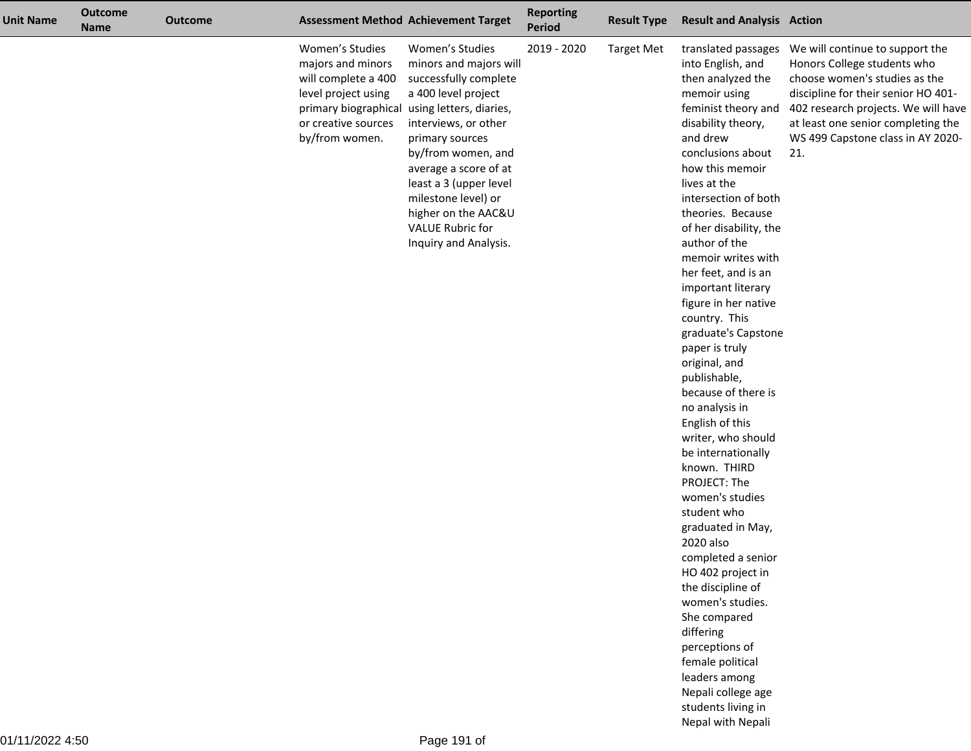| <b>Unit Name</b> | <b>Outcome</b><br><b>Name</b> | <b>Outcome</b> |                                                                                                                             | <b>Assessment Method Achievement Target</b>                                                                                                                                                                                                                                                                                                                     | <b>Reporting</b><br><b>Period</b> | <b>Result Type</b> | <b>Result and Analysis Action</b>                                                                                                                                                                                                                                                                                                                                                                                                                                                                                                                                                                                                                                                                                                                                                                                                                                                     |                                                                                                                                                                                                                              |
|------------------|-------------------------------|----------------|-----------------------------------------------------------------------------------------------------------------------------|-----------------------------------------------------------------------------------------------------------------------------------------------------------------------------------------------------------------------------------------------------------------------------------------------------------------------------------------------------------------|-----------------------------------|--------------------|---------------------------------------------------------------------------------------------------------------------------------------------------------------------------------------------------------------------------------------------------------------------------------------------------------------------------------------------------------------------------------------------------------------------------------------------------------------------------------------------------------------------------------------------------------------------------------------------------------------------------------------------------------------------------------------------------------------------------------------------------------------------------------------------------------------------------------------------------------------------------------------|------------------------------------------------------------------------------------------------------------------------------------------------------------------------------------------------------------------------------|
|                  |                               |                | Women's Studies<br>majors and minors<br>will complete a 400<br>level project using<br>or creative sources<br>by/from women. | Women's Studies<br>minors and majors will<br>successfully complete<br>a 400 level project<br>primary biographical using letters, diaries,<br>interviews, or other<br>primary sources<br>by/from women, and<br>average a score of at<br>least a 3 (upper level<br>milestone level) or<br>higher on the AAC&U<br><b>VALUE Rubric for</b><br>Inquiry and Analysis. | 2019 - 2020                       | <b>Target Met</b>  | into English, and<br>then analyzed the<br>memoir using<br>feminist theory and<br>disability theory,<br>and drew<br>conclusions about<br>how this memoir<br>lives at the<br>intersection of both<br>theories. Because<br>of her disability, the<br>author of the<br>memoir writes with<br>her feet, and is an<br>important literary<br>figure in her native<br>country. This<br>graduate's Capstone<br>paper is truly<br>original, and<br>publishable,<br>because of there is<br>no analysis in<br>English of this<br>writer, who should<br>be internationally<br>known. THIRD<br>PROJECT: The<br>women's studies<br>student who<br>graduated in May,<br>2020 also<br>completed a senior<br>HO 402 project in<br>the discipline of<br>women's studies.<br>She compared<br>differing<br>perceptions of<br>female political<br>leaders among<br>Nepali college age<br>students living in | Honors College students who<br>choose women's studies as the<br>discipline for their senior HO 401-<br>402 research projects. We will have<br>at least one senior completing the<br>WS 499 Capstone class in AY 2020-<br>21. |

Nepal with Nepali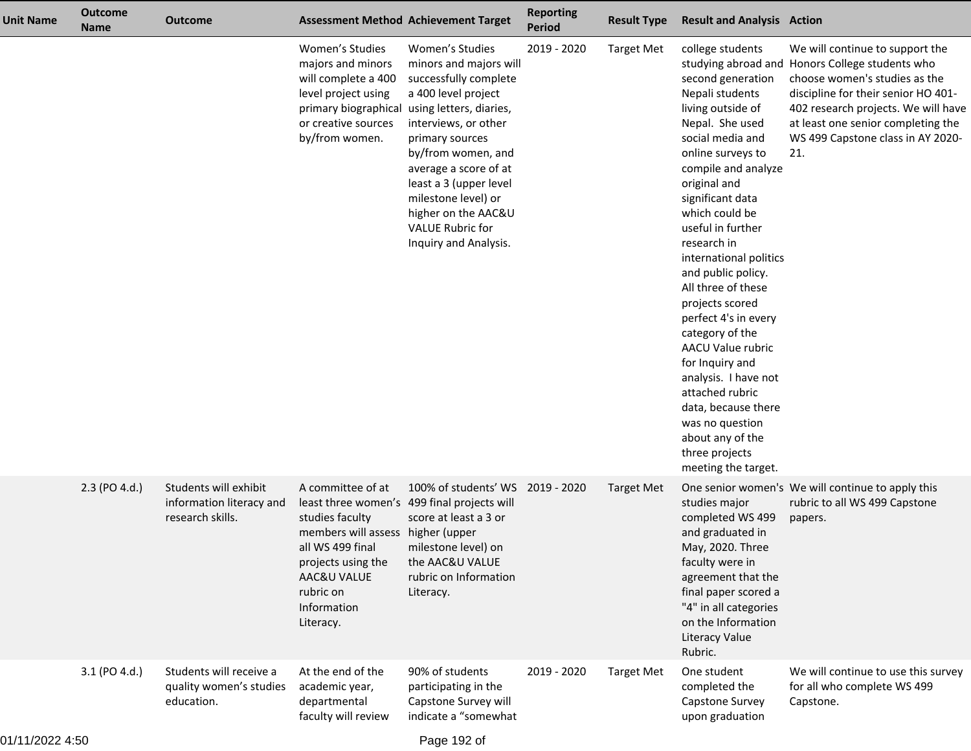| <b>Unit Name</b> | <b>Outcome</b><br><b>Name</b> | <b>Outcome</b>                                                        |                                                                                                                                                                             | <b>Assessment Method Achievement Target</b>                                                                                                                                                                                                                                                                     | <b>Reporting</b><br><b>Period</b> | <b>Result Type</b> | <b>Result and Analysis Action</b>                                                                                                                                                                                                                                                                                                                                                                                                                                                                                                                                                        |                                                                                                                                                                                                                                                                                     |
|------------------|-------------------------------|-----------------------------------------------------------------------|-----------------------------------------------------------------------------------------------------------------------------------------------------------------------------|-----------------------------------------------------------------------------------------------------------------------------------------------------------------------------------------------------------------------------------------------------------------------------------------------------------------|-----------------------------------|--------------------|------------------------------------------------------------------------------------------------------------------------------------------------------------------------------------------------------------------------------------------------------------------------------------------------------------------------------------------------------------------------------------------------------------------------------------------------------------------------------------------------------------------------------------------------------------------------------------------|-------------------------------------------------------------------------------------------------------------------------------------------------------------------------------------------------------------------------------------------------------------------------------------|
|                  |                               |                                                                       | Women's Studies<br>majors and minors<br>will complete a 400<br>level project using<br>primary biographical using letters, diaries,<br>or creative sources<br>by/from women. | Women's Studies<br>minors and majors will<br>successfully complete<br>a 400 level project<br>interviews, or other<br>primary sources<br>by/from women, and<br>average a score of at<br>least a 3 (upper level<br>milestone level) or<br>higher on the AAC&U<br><b>VALUE Rubric for</b><br>Inquiry and Analysis. | 2019 - 2020                       | <b>Target Met</b>  | college students<br>second generation<br>Nepali students<br>living outside of<br>Nepal. She used<br>social media and<br>online surveys to<br>compile and analyze<br>original and<br>significant data<br>which could be<br>useful in further<br>research in<br>international politics<br>and public policy.<br>All three of these<br>projects scored<br>perfect 4's in every<br>category of the<br>AACU Value rubric<br>for Inquiry and<br>analysis. I have not<br>attached rubric<br>data, because there<br>was no question<br>about any of the<br>three projects<br>meeting the target. | We will continue to support the<br>studying abroad and Honors College students who<br>choose women's studies as the<br>discipline for their senior HO 401-<br>402 research projects. We will have<br>at least one senior completing the<br>WS 499 Capstone class in AY 2020-<br>21. |
|                  | 2.3 (PO 4.d.)                 | Students will exhibit<br>information literacy and<br>research skills. | A committee of at<br>studies faculty<br>members will assess higher (upper<br>all WS 499 final<br>projects using the<br>AAC&U VALUE<br>rubric on<br>Information<br>Literacy. | 100% of students' WS<br>least three women's 499 final projects will<br>score at least a 3 or<br>milestone level) on<br>the AAC&U VALUE<br>rubric on Information<br>Literacy.                                                                                                                                    | 2019 - 2020                       | Target Met         | studies major<br>completed WS 499<br>and graduated in<br>May, 2020. Three<br>faculty were in<br>agreement that the<br>final paper scored a<br>"4" in all categories<br>on the Information<br><b>Literacy Value</b><br>Rubric.                                                                                                                                                                                                                                                                                                                                                            | One senior women's We will continue to apply this<br>rubric to all WS 499 Capstone<br>papers.                                                                                                                                                                                       |
|                  | 3.1 (PO 4.d.)                 | Students will receive a<br>quality women's studies<br>education.      | At the end of the<br>academic year,<br>departmental<br>faculty will review                                                                                                  | 90% of students<br>participating in the<br>Capstone Survey will<br>indicate a "somewhat                                                                                                                                                                                                                         | 2019 - 2020                       | <b>Target Met</b>  | One student<br>completed the<br>Capstone Survey<br>upon graduation                                                                                                                                                                                                                                                                                                                                                                                                                                                                                                                       | We will continue to use this survey<br>for all who complete WS 499<br>Capstone.                                                                                                                                                                                                     |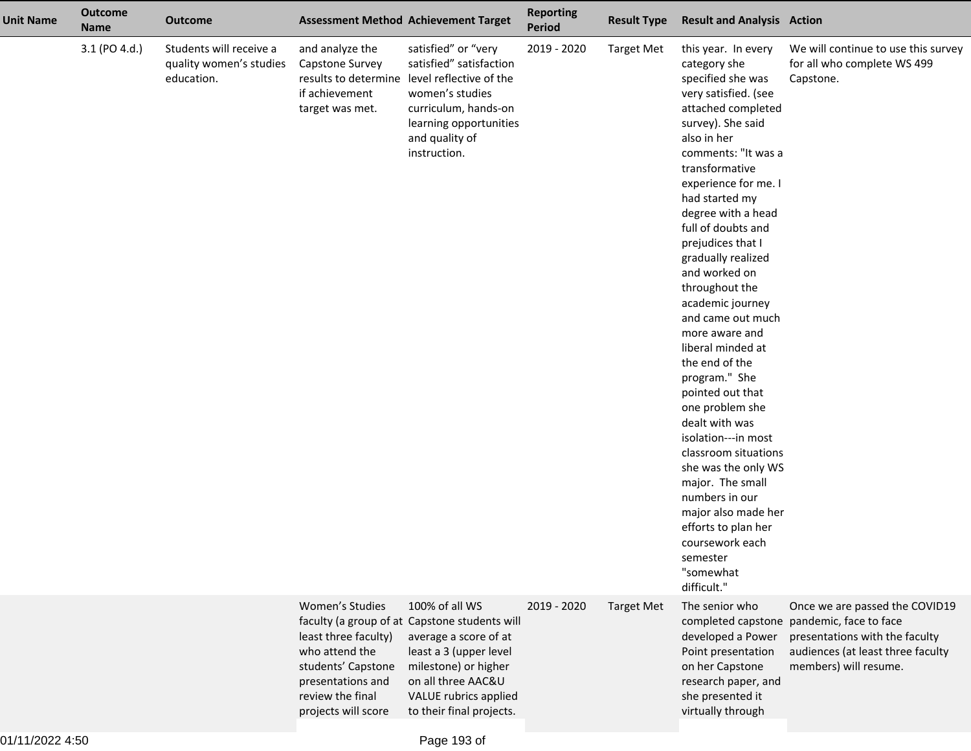| <b>Unit Name</b> | <b>Outcome</b><br><b>Name</b> | <b>Outcome</b>                                                   |                                                                                                                                                 | <b>Assessment Method Achievement Target</b>                                                                                                                                                                           | <b>Reporting</b><br><b>Period</b> | <b>Result Type</b> | <b>Result and Analysis Action</b>                                                                                                                                                                                                                                                                                                                                                                                                                                                                                                                                                                                                                                                                                                                        |                                                                                                                                                                             |
|------------------|-------------------------------|------------------------------------------------------------------|-------------------------------------------------------------------------------------------------------------------------------------------------|-----------------------------------------------------------------------------------------------------------------------------------------------------------------------------------------------------------------------|-----------------------------------|--------------------|----------------------------------------------------------------------------------------------------------------------------------------------------------------------------------------------------------------------------------------------------------------------------------------------------------------------------------------------------------------------------------------------------------------------------------------------------------------------------------------------------------------------------------------------------------------------------------------------------------------------------------------------------------------------------------------------------------------------------------------------------------|-----------------------------------------------------------------------------------------------------------------------------------------------------------------------------|
|                  | 3.1 (PO 4.d.)                 | Students will receive a<br>quality women's studies<br>education. | and analyze the<br>Capstone Survey<br>if achievement<br>target was met.                                                                         | satisfied" or "very<br>satisfied" satisfaction<br>results to determine level reflective of the<br>women's studies<br>curriculum, hands-on<br>learning opportunities<br>and quality of<br>instruction.                 | 2019 - 2020                       | <b>Target Met</b>  | this year. In every<br>category she<br>specified she was<br>very satisfied. (see<br>attached completed<br>survey). She said<br>also in her<br>comments: "It was a<br>transformative<br>experience for me. I<br>had started my<br>degree with a head<br>full of doubts and<br>prejudices that I<br>gradually realized<br>and worked on<br>throughout the<br>academic journey<br>and came out much<br>more aware and<br>liberal minded at<br>the end of the<br>program." She<br>pointed out that<br>one problem she<br>dealt with was<br>isolation---in most<br>classroom situations<br>she was the only WS<br>major. The small<br>numbers in our<br>major also made her<br>efforts to plan her<br>coursework each<br>semester<br>"somewhat<br>difficult." | We will continue to use this survey<br>for all who complete WS 499<br>Capstone.                                                                                             |
|                  |                               |                                                                  | Women's Studies<br>least three faculty)<br>who attend the<br>students' Capstone<br>presentations and<br>review the final<br>projects will score | 100% of all WS<br>faculty (a group of at Capstone students will<br>average a score of at<br>least a 3 (upper level<br>milestone) or higher<br>on all three AAC&U<br>VALUE rubrics applied<br>to their final projects. | 2019 - 2020                       | <b>Target Met</b>  | The senior who<br>developed a Power<br>Point presentation<br>on her Capstone<br>research paper, and<br>she presented it<br>virtually through                                                                                                                                                                                                                                                                                                                                                                                                                                                                                                                                                                                                             | Once we are passed the COVID19<br>completed capstone pandemic, face to face<br>presentations with the faculty<br>audiences (at least three faculty<br>members) will resume. |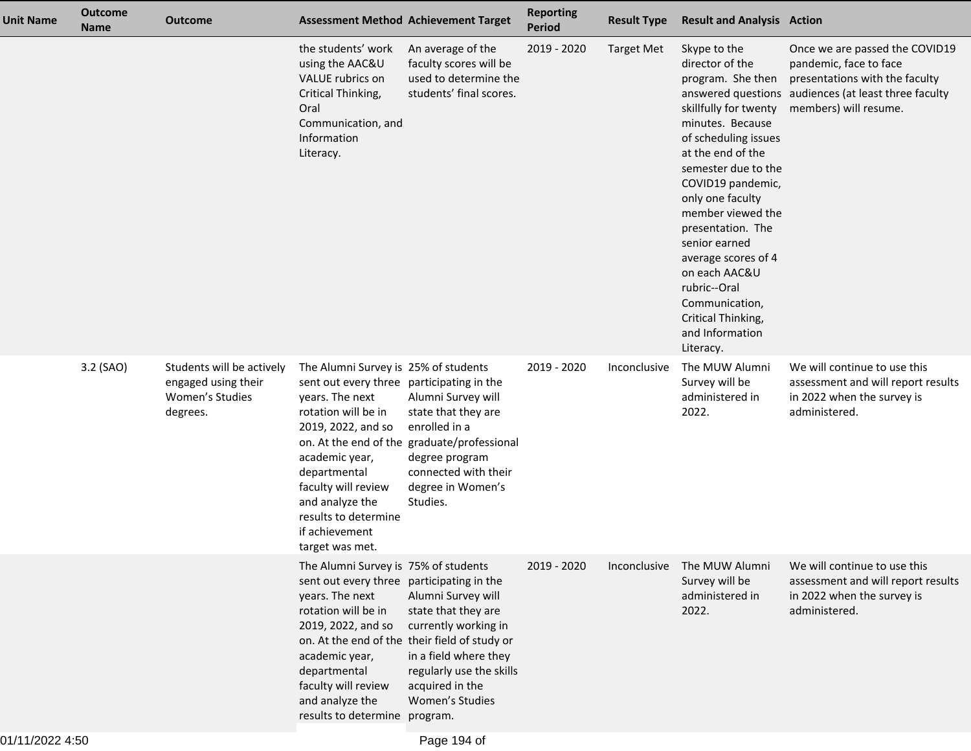| <b>Unit Name</b> | <b>Outcome</b><br><b>Name</b> | <b>Outcome</b>                                                                  |                                                                                                                                                                                                                                                                                            | <b>Assessment Method Achievement Target</b>                                                                                                                                                                   | <b>Reporting</b><br><b>Period</b> | <b>Result Type</b> | <b>Result and Analysis Action</b>                                                                                                                                                                                                                                                                                                                                                                         |                                                                                                                                                                             |
|------------------|-------------------------------|---------------------------------------------------------------------------------|--------------------------------------------------------------------------------------------------------------------------------------------------------------------------------------------------------------------------------------------------------------------------------------------|---------------------------------------------------------------------------------------------------------------------------------------------------------------------------------------------------------------|-----------------------------------|--------------------|-----------------------------------------------------------------------------------------------------------------------------------------------------------------------------------------------------------------------------------------------------------------------------------------------------------------------------------------------------------------------------------------------------------|-----------------------------------------------------------------------------------------------------------------------------------------------------------------------------|
|                  |                               |                                                                                 | the students' work<br>using the AAC&U<br>VALUE rubrics on<br>Critical Thinking,<br>Oral<br>Communication, and<br>Information<br>Literacy.                                                                                                                                                  | An average of the<br>faculty scores will be<br>used to determine the<br>students' final scores.                                                                                                               | 2019 - 2020                       | <b>Target Met</b>  | Skype to the<br>director of the<br>program. She then<br>skillfully for twenty<br>minutes. Because<br>of scheduling issues<br>at the end of the<br>semester due to the<br>COVID19 pandemic,<br>only one faculty<br>member viewed the<br>presentation. The<br>senior earned<br>average scores of 4<br>on each AAC&U<br>rubric--Oral<br>Communication,<br>Critical Thinking,<br>and Information<br>Literacy. | Once we are passed the COVID19<br>pandemic, face to face<br>presentations with the faculty<br>answered questions audiences (at least three faculty<br>members) will resume. |
|                  | 3.2 (SAO)                     | Students will be actively<br>engaged using their<br>Women's Studies<br>degrees. | The Alumni Survey is 25% of students<br>sent out every three participating in the<br>years. The next<br>rotation will be in<br>2019, 2022, and so<br>academic year,<br>departmental<br>faculty will review<br>and analyze the<br>results to determine<br>if achievement<br>target was met. | Alumni Survey will<br>state that they are<br>enrolled in a<br>on. At the end of the graduate/professional<br>degree program<br>connected with their<br>degree in Women's<br>Studies.                          | 2019 - 2020                       | Inconclusive       | The MUW Alumni<br>Survey will be<br>administered in<br>2022.                                                                                                                                                                                                                                                                                                                                              | We will continue to use this<br>assessment and will report results<br>in 2022 when the survey is<br>administered.                                                           |
|                  |                               |                                                                                 | The Alumni Survey is 75% of students<br>sent out every three participating in the<br>years. The next<br>rotation will be in<br>2019, 2022, and so<br>academic year,<br>departmental<br>faculty will review<br>and analyze the<br>results to determine program.                             | Alumni Survey will<br>state that they are<br>currently working in<br>on. At the end of the their field of study or<br>in a field where they<br>regularly use the skills<br>acquired in the<br>Women's Studies | 2019 - 2020                       | Inconclusive       | The MUW Alumni<br>Survey will be<br>administered in<br>2022.                                                                                                                                                                                                                                                                                                                                              | We will continue to use this<br>assessment and will report results<br>in 2022 when the survey is<br>administered.                                                           |